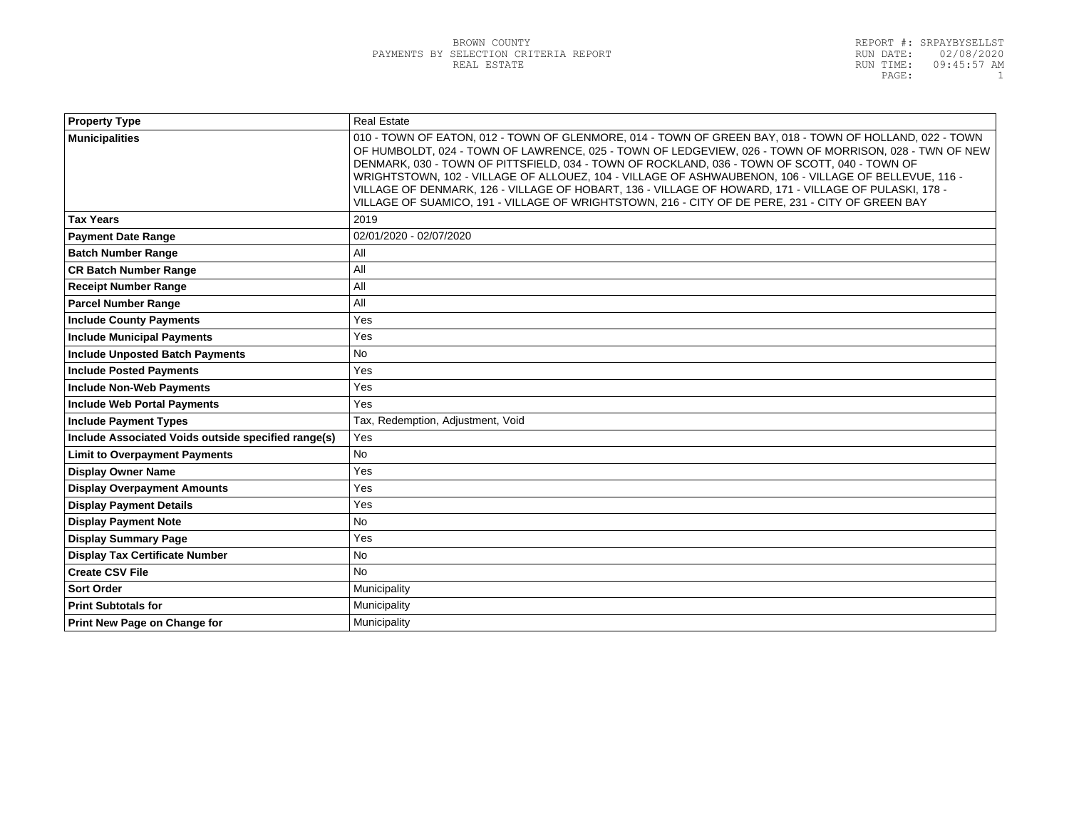| <b>Property Type</b>                                | <b>Real Estate</b>                                                                                                                                                                                                                                                                                                                                                                                                                                                                                                                                                                                                                       |
|-----------------------------------------------------|------------------------------------------------------------------------------------------------------------------------------------------------------------------------------------------------------------------------------------------------------------------------------------------------------------------------------------------------------------------------------------------------------------------------------------------------------------------------------------------------------------------------------------------------------------------------------------------------------------------------------------------|
| <b>Municipalities</b>                               | 010 - TOWN OF EATON, 012 - TOWN OF GLENMORE, 014 - TOWN OF GREEN BAY, 018 - TOWN OF HOLLAND, 022 - TOWN<br>OF HUMBOLDT, 024 - TOWN OF LAWRENCE, 025 - TOWN OF LEDGEVIEW, 026 - TOWN OF MORRISON, 028 - TWN OF NEW<br>DENMARK, 030 - TOWN OF PITTSFIELD, 034 - TOWN OF ROCKLAND, 036 - TOWN OF SCOTT, 040 - TOWN OF<br>WRIGHTSTOWN, 102 - VILLAGE OF ALLOUEZ, 104 - VILLAGE OF ASHWAUBENON, 106 - VILLAGE OF BELLEVUE, 116 -<br>VILLAGE OF DENMARK, 126 - VILLAGE OF HOBART, 136 - VILLAGE OF HOWARD, 171 - VILLAGE OF PULASKI, 178 -<br>VILLAGE OF SUAMICO, 191 - VILLAGE OF WRIGHTSTOWN, 216 - CITY OF DE PERE, 231 - CITY OF GREEN BAY |
| <b>Tax Years</b>                                    | 2019                                                                                                                                                                                                                                                                                                                                                                                                                                                                                                                                                                                                                                     |
| <b>Payment Date Range</b>                           | 02/01/2020 - 02/07/2020                                                                                                                                                                                                                                                                                                                                                                                                                                                                                                                                                                                                                  |
| <b>Batch Number Range</b>                           | All                                                                                                                                                                                                                                                                                                                                                                                                                                                                                                                                                                                                                                      |
| <b>CR Batch Number Range</b>                        | All                                                                                                                                                                                                                                                                                                                                                                                                                                                                                                                                                                                                                                      |
| <b>Receipt Number Range</b>                         | All                                                                                                                                                                                                                                                                                                                                                                                                                                                                                                                                                                                                                                      |
| <b>Parcel Number Range</b>                          | All                                                                                                                                                                                                                                                                                                                                                                                                                                                                                                                                                                                                                                      |
| <b>Include County Payments</b>                      | Yes                                                                                                                                                                                                                                                                                                                                                                                                                                                                                                                                                                                                                                      |
| <b>Include Municipal Payments</b>                   | Yes                                                                                                                                                                                                                                                                                                                                                                                                                                                                                                                                                                                                                                      |
| <b>Include Unposted Batch Payments</b>              | No                                                                                                                                                                                                                                                                                                                                                                                                                                                                                                                                                                                                                                       |
| <b>Include Posted Payments</b>                      | Yes                                                                                                                                                                                                                                                                                                                                                                                                                                                                                                                                                                                                                                      |
| <b>Include Non-Web Payments</b>                     | Yes                                                                                                                                                                                                                                                                                                                                                                                                                                                                                                                                                                                                                                      |
| <b>Include Web Portal Payments</b>                  | Yes                                                                                                                                                                                                                                                                                                                                                                                                                                                                                                                                                                                                                                      |
| <b>Include Payment Types</b>                        | Tax, Redemption, Adjustment, Void                                                                                                                                                                                                                                                                                                                                                                                                                                                                                                                                                                                                        |
| Include Associated Voids outside specified range(s) | Yes                                                                                                                                                                                                                                                                                                                                                                                                                                                                                                                                                                                                                                      |
| <b>Limit to Overpayment Payments</b>                | No                                                                                                                                                                                                                                                                                                                                                                                                                                                                                                                                                                                                                                       |
| <b>Display Owner Name</b>                           | Yes                                                                                                                                                                                                                                                                                                                                                                                                                                                                                                                                                                                                                                      |
| <b>Display Overpayment Amounts</b>                  | Yes                                                                                                                                                                                                                                                                                                                                                                                                                                                                                                                                                                                                                                      |
| <b>Display Payment Details</b>                      | Yes                                                                                                                                                                                                                                                                                                                                                                                                                                                                                                                                                                                                                                      |
| <b>Display Payment Note</b>                         | <b>No</b>                                                                                                                                                                                                                                                                                                                                                                                                                                                                                                                                                                                                                                |
| <b>Display Summary Page</b>                         | Yes                                                                                                                                                                                                                                                                                                                                                                                                                                                                                                                                                                                                                                      |
| <b>Display Tax Certificate Number</b>               | <b>No</b>                                                                                                                                                                                                                                                                                                                                                                                                                                                                                                                                                                                                                                |
| <b>Create CSV File</b>                              | <b>No</b>                                                                                                                                                                                                                                                                                                                                                                                                                                                                                                                                                                                                                                |
| <b>Sort Order</b>                                   | Municipality                                                                                                                                                                                                                                                                                                                                                                                                                                                                                                                                                                                                                             |
| <b>Print Subtotals for</b>                          | Municipality                                                                                                                                                                                                                                                                                                                                                                                                                                                                                                                                                                                                                             |
| Print New Page on Change for                        | Municipality                                                                                                                                                                                                                                                                                                                                                                                                                                                                                                                                                                                                                             |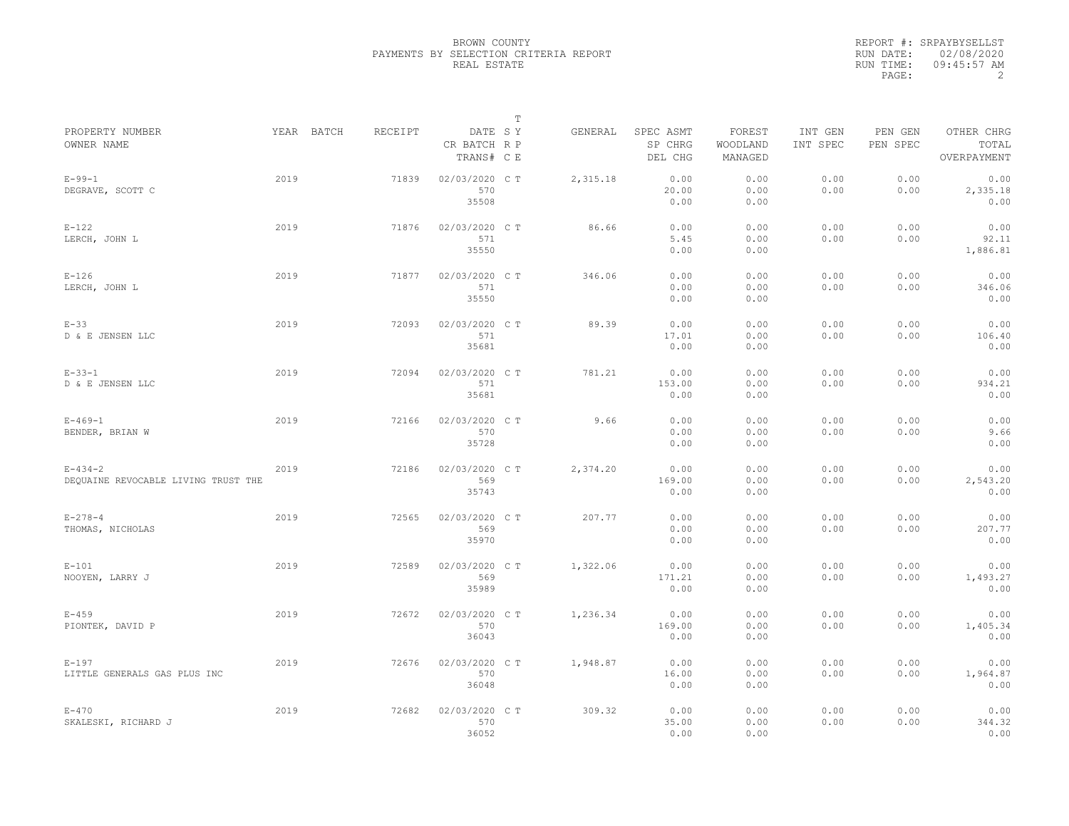|                                                      |      |            |         |                                       | $\mathbb T$ |          |                                 |                               |                     |                     |                                    |
|------------------------------------------------------|------|------------|---------|---------------------------------------|-------------|----------|---------------------------------|-------------------------------|---------------------|---------------------|------------------------------------|
| PROPERTY NUMBER<br>OWNER NAME                        |      | YEAR BATCH | RECEIPT | DATE SY<br>CR BATCH R P<br>TRANS# C E |             | GENERAL  | SPEC ASMT<br>SP CHRG<br>DEL CHG | FOREST<br>WOODLAND<br>MANAGED | INT GEN<br>INT SPEC | PEN GEN<br>PEN SPEC | OTHER CHRG<br>TOTAL<br>OVERPAYMENT |
| $E - 99 - 1$<br>DEGRAVE, SCOTT C                     | 2019 |            | 71839   | 02/03/2020 C T<br>570<br>35508        |             | 2,315.18 | 0.00<br>20.00<br>0.00           | 0.00<br>0.00<br>0.00          | 0.00<br>0.00        | 0.00<br>0.00        | 0.00<br>2,335.18<br>0.00           |
| $E-122$<br>LERCH, JOHN L                             | 2019 |            | 71876   | 02/03/2020 C T<br>571<br>35550        |             | 86.66    | 0.00<br>5.45<br>0.00            | 0.00<br>0.00<br>0.00          | 0.00<br>0.00        | 0.00<br>0.00        | 0.00<br>92.11<br>1,886.81          |
| $E-126$<br>LERCH, JOHN L                             | 2019 |            | 71877   | 02/03/2020 C T<br>571<br>35550        |             | 346.06   | 0.00<br>0.00<br>0.00            | 0.00<br>0.00<br>0.00          | 0.00<br>0.00        | 0.00<br>0.00        | 0.00<br>346.06<br>0.00             |
| $E-33$<br>D & E JENSEN LLC                           | 2019 |            | 72093   | 02/03/2020 C T<br>571<br>35681        |             | 89.39    | 0.00<br>17.01<br>0.00           | 0.00<br>0.00<br>0.00          | 0.00<br>0.00        | 0.00<br>0.00        | 0.00<br>106.40<br>0.00             |
| $E - 33 - 1$<br>D & E JENSEN LLC                     | 2019 |            | 72094   | 02/03/2020 C T<br>571<br>35681        |             | 781.21   | 0.00<br>153.00<br>0.00          | 0.00<br>0.00<br>0.00          | 0.00<br>0.00        | 0.00<br>0.00        | 0.00<br>934.21<br>0.00             |
| $E - 469 - 1$<br>BENDER, BRIAN W                     | 2019 |            | 72166   | 02/03/2020 CT<br>570<br>35728         |             | 9.66     | 0.00<br>0.00<br>0.00            | 0.00<br>0.00<br>0.00          | 0.00<br>0.00        | 0.00<br>0.00        | 0.00<br>9.66<br>0.00               |
| $E - 434 - 2$<br>DEQUAINE REVOCABLE LIVING TRUST THE | 2019 |            | 72186   | 02/03/2020 C T<br>569<br>35743        |             | 2,374.20 | 0.00<br>169.00<br>0.00          | 0.00<br>0.00<br>0.00          | 0.00<br>0.00        | 0.00<br>0.00        | 0.00<br>2,543.20<br>0.00           |
| $E - 278 - 4$<br>THOMAS, NICHOLAS                    | 2019 |            | 72565   | 02/03/2020 C T<br>569<br>35970        |             | 207.77   | 0.00<br>0.00<br>0.00            | 0.00<br>0.00<br>0.00          | 0.00<br>0.00        | 0.00<br>0.00        | 0.00<br>207.77<br>0.00             |
| $E-101$<br>NOOYEN, LARRY J                           | 2019 |            | 72589   | 02/03/2020 CT<br>569<br>35989         |             | 1,322.06 | 0.00<br>171.21<br>0.00          | 0.00<br>0.00<br>0.00          | 0.00<br>0.00        | 0.00<br>0.00        | 0.00<br>1,493.27<br>0.00           |
| $E - 459$<br>PIONTEK, DAVID P                        | 2019 |            | 72672   | 02/03/2020 CT<br>570<br>36043         |             | 1,236.34 | 0.00<br>169.00<br>0.00          | 0.00<br>0.00<br>0.00          | 0.00<br>0.00        | 0.00<br>0.00        | 0.00<br>1,405.34<br>0.00           |
| $E-197$<br>LITTLE GENERALS GAS PLUS INC              | 2019 |            | 72676   | 02/03/2020 C T<br>570<br>36048        |             | 1,948.87 | 0.00<br>16.00<br>0.00           | 0.00<br>0.00<br>0.00          | 0.00<br>0.00        | 0.00<br>0.00        | 0.00<br>1,964.87<br>0.00           |
| $E - 470$<br>SKALESKI, RICHARD J                     | 2019 |            | 72682   | 02/03/2020 CT<br>570<br>36052         |             | 309.32   | 0.00<br>35.00<br>0.00           | 0.00<br>0.00<br>0.00          | 0.00<br>0.00        | 0.00<br>0.00        | 0.00<br>344.32<br>0.00             |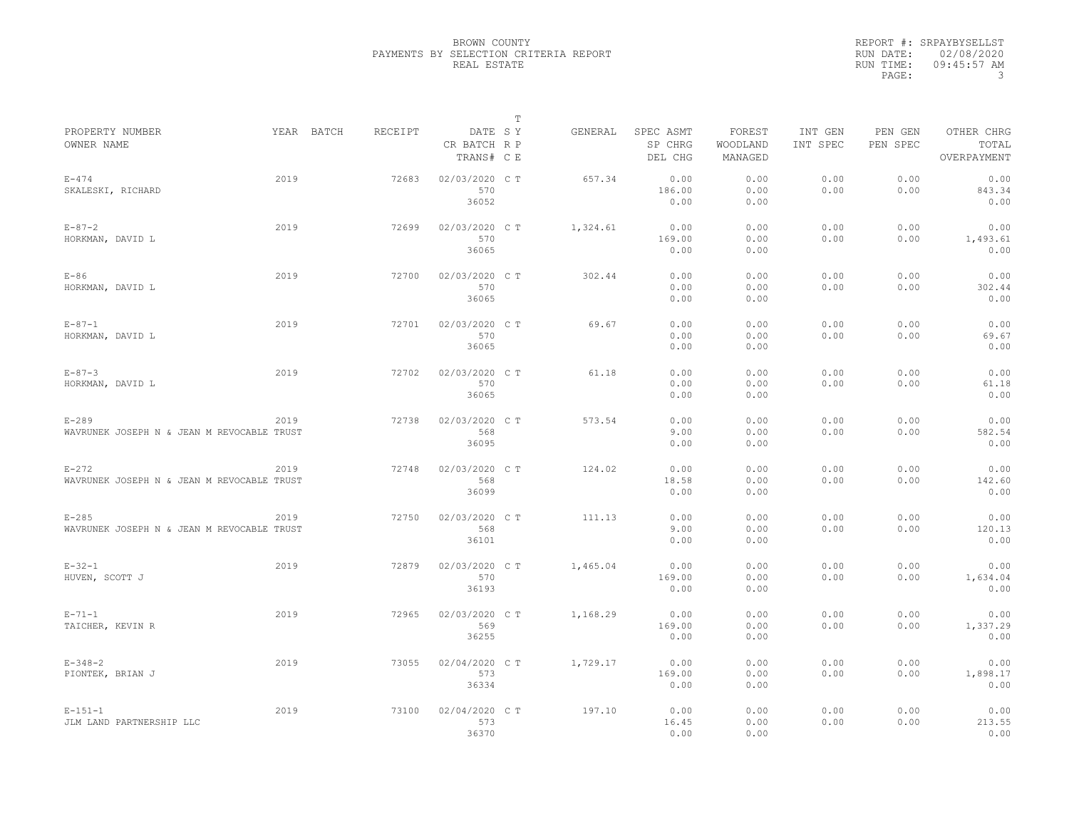|                                                         |      |            |         |                                       | $\mathbb T$ |          |                                 |                               |                     |                     |                                    |
|---------------------------------------------------------|------|------------|---------|---------------------------------------|-------------|----------|---------------------------------|-------------------------------|---------------------|---------------------|------------------------------------|
| PROPERTY NUMBER<br>OWNER NAME                           |      | YEAR BATCH | RECEIPT | DATE SY<br>CR BATCH R P<br>TRANS# C E |             | GENERAL  | SPEC ASMT<br>SP CHRG<br>DEL CHG | FOREST<br>WOODLAND<br>MANAGED | INT GEN<br>INT SPEC | PEN GEN<br>PEN SPEC | OTHER CHRG<br>TOTAL<br>OVERPAYMENT |
| $E - 474$<br>SKALESKI, RICHARD                          | 2019 |            | 72683   | 02/03/2020 C T<br>570<br>36052        |             | 657.34   | 0.00<br>186.00<br>0.00          | 0.00<br>0.00<br>0.00          | 0.00<br>0.00        | 0.00<br>0.00        | 0.00<br>843.34<br>0.00             |
| $E - 87 - 2$<br>HORKMAN, DAVID L                        | 2019 |            | 72699   | 02/03/2020 C T<br>570<br>36065        |             | 1,324.61 | 0.00<br>169.00<br>0.00          | 0.00<br>0.00<br>0.00          | 0.00<br>0.00        | 0.00<br>0.00        | 0.00<br>1,493.61<br>0.00           |
| $E-86$<br>HORKMAN, DAVID L                              | 2019 |            | 72700   | 02/03/2020 C T<br>570<br>36065        |             | 302.44   | 0.00<br>0.00<br>0.00            | 0.00<br>0.00<br>0.00          | 0.00<br>0.00        | 0.00<br>0.00        | 0.00<br>302.44<br>0.00             |
| $E - 87 - 1$<br>HORKMAN, DAVID L                        | 2019 |            | 72701   | 02/03/2020 C T<br>570<br>36065        |             | 69.67    | 0.00<br>0.00<br>0.00            | 0.00<br>0.00<br>0.00          | 0.00<br>0.00        | 0.00<br>0.00        | 0.00<br>69.67<br>0.00              |
| $E - 87 - 3$<br>HORKMAN, DAVID L                        | 2019 |            | 72702   | 02/03/2020 C T<br>570<br>36065        |             | 61.18    | 0.00<br>0.00<br>0.00            | 0.00<br>0.00<br>0.00          | 0.00<br>0.00        | 0.00<br>0.00        | 0.00<br>61.18<br>0.00              |
| $E - 289$<br>WAVRUNEK JOSEPH N & JEAN M REVOCABLE TRUST | 2019 |            | 72738   | 02/03/2020 CT<br>568<br>36095         |             | 573.54   | 0.00<br>9.00<br>0.00            | 0.00<br>0.00<br>0.00          | 0.00<br>0.00        | 0.00<br>0.00        | 0.00<br>582.54<br>0.00             |
| $E-272$<br>WAVRUNEK JOSEPH N & JEAN M REVOCABLE TRUST   | 2019 |            | 72748   | 02/03/2020 C T<br>568<br>36099        |             | 124.02   | 0.00<br>18.58<br>0.00           | 0.00<br>0.00<br>0.00          | 0.00<br>0.00        | 0.00<br>0.00        | 0.00<br>142.60<br>0.00             |
| $E-285$<br>WAVRUNEK JOSEPH N & JEAN M REVOCABLE TRUST   | 2019 |            | 72750   | 02/03/2020 C T<br>568<br>36101        |             | 111.13   | 0.00<br>9.00<br>0.00            | 0.00<br>0.00<br>0.00          | 0.00<br>0.00        | 0.00<br>0.00        | 0.00<br>120.13<br>0.00             |
| $E - 32 - 1$<br>HUVEN, SCOTT J                          | 2019 |            | 72879   | 02/03/2020 CT<br>570<br>36193         |             | 1,465.04 | 0.00<br>169.00<br>0.00          | 0.00<br>0.00<br>0.00          | 0.00<br>0.00        | 0.00<br>0.00        | 0.00<br>1,634.04<br>0.00           |
| $E - 71 - 1$<br>TAICHER, KEVIN R                        | 2019 |            | 72965   | 02/03/2020 CT<br>569<br>36255         |             | 1,168.29 | 0.00<br>169.00<br>0.00          | 0.00<br>0.00<br>0.00          | 0.00<br>0.00        | 0.00<br>0.00        | 0.00<br>1,337.29<br>0.00           |
| $E - 348 - 2$<br>PIONTEK, BRIAN J                       | 2019 |            | 73055   | 02/04/2020 C T<br>573<br>36334        |             | 1,729.17 | 0.00<br>169.00<br>0.00          | 0.00<br>0.00<br>0.00          | 0.00<br>0.00        | 0.00<br>0.00        | 0.00<br>1,898.17<br>0.00           |
| $E - 151 - 1$<br>JLM LAND PARTNERSHIP LLC               | 2019 |            | 73100   | 02/04/2020 CT<br>573<br>36370         |             | 197.10   | 0.00<br>16.45<br>0.00           | 0.00<br>0.00<br>0.00          | 0.00<br>0.00        | 0.00<br>0.00        | 0.00<br>213.55<br>0.00             |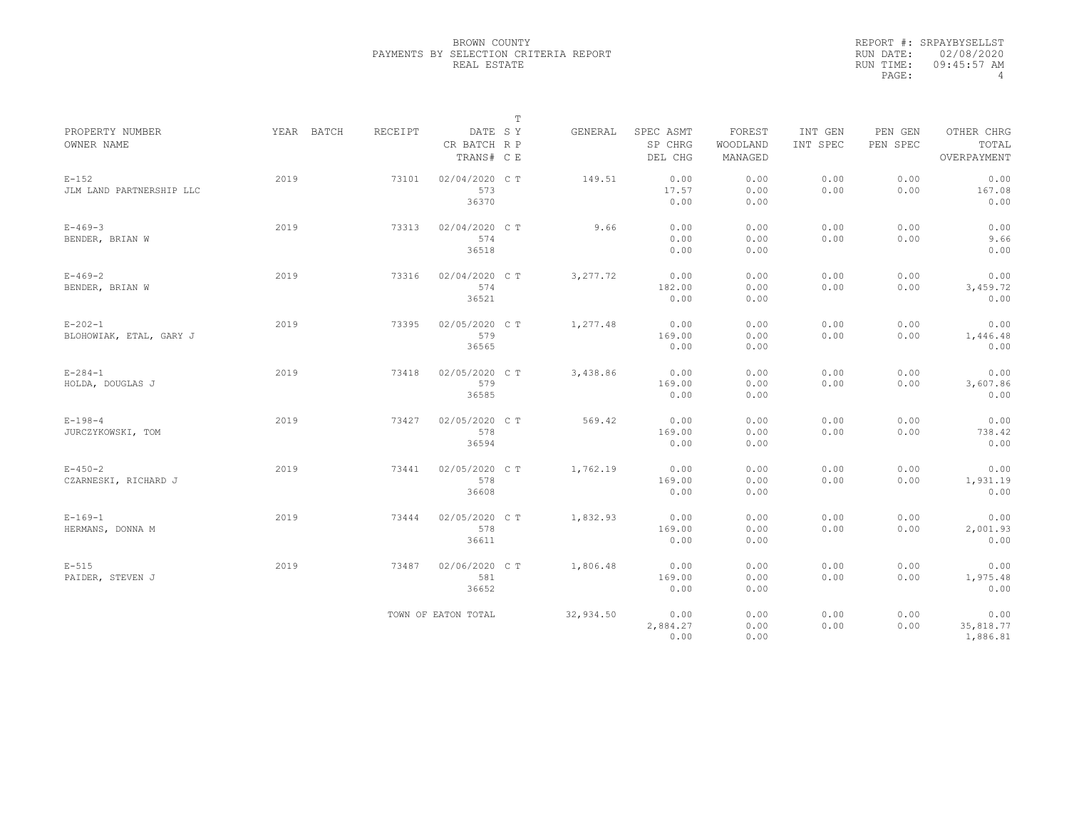|                                          |            |                |                                       | $\mathbb T$ |           |                                 |                               |                     |                     |                                    |
|------------------------------------------|------------|----------------|---------------------------------------|-------------|-----------|---------------------------------|-------------------------------|---------------------|---------------------|------------------------------------|
| PROPERTY NUMBER<br>OWNER NAME            | YEAR BATCH | <b>RECEIPT</b> | DATE SY<br>CR BATCH R P<br>TRANS# C E |             | GENERAL   | SPEC ASMT<br>SP CHRG<br>DEL CHG | FOREST<br>WOODLAND<br>MANAGED | INT GEN<br>INT SPEC | PEN GEN<br>PEN SPEC | OTHER CHRG<br>TOTAL<br>OVERPAYMENT |
| $E-152$<br>JLM LAND PARTNERSHIP LLC      | 2019       | 73101          | 02/04/2020 C T<br>573<br>36370        |             | 149.51    | 0.00<br>17.57<br>0.00           | 0.00<br>0.00<br>0.00          | 0.00<br>0.00        | 0.00<br>0.00        | 0.00<br>167.08<br>0.00             |
| $E - 469 - 3$<br>BENDER, BRIAN W         | 2019       | 73313          | 02/04/2020 C T<br>574<br>36518        |             | 9.66      | 0.00<br>0.00<br>0.00            | 0.00<br>0.00<br>0.00          | 0.00<br>0.00        | 0.00<br>0.00        | 0.00<br>9.66<br>0.00               |
| $E - 469 - 2$<br>BENDER, BRIAN W         | 2019       | 73316          | 02/04/2020 C T<br>574<br>36521        |             | 3, 277.72 | 0.00<br>182.00<br>0.00          | 0.00<br>0.00<br>0.00          | 0.00<br>0.00        | 0.00<br>0.00        | 0.00<br>3,459.72<br>0.00           |
| $E - 202 - 1$<br>BLOHOWIAK, ETAL, GARY J | 2019       | 73395          | 02/05/2020 C T<br>579<br>36565        |             | 1,277.48  | 0.00<br>169.00<br>0.00          | 0.00<br>0.00<br>0.00          | 0.00<br>0.00        | 0.00<br>0.00        | 0.00<br>1,446.48<br>0.00           |
| $E - 284 - 1$<br>HOLDA, DOUGLAS J        | 2019       | 73418          | 02/05/2020 C T<br>579<br>36585        |             | 3,438.86  | 0.00<br>169.00<br>0.00          | 0.00<br>0.00<br>0.00          | 0.00<br>0.00        | 0.00<br>0.00        | 0.00<br>3,607.86<br>0.00           |
| $E - 198 - 4$<br>JURCZYKOWSKI, TOM       | 2019       | 73427          | 02/05/2020 C T<br>578<br>36594        |             | 569.42    | 0.00<br>169.00<br>0.00          | 0.00<br>0.00<br>0.00          | 0.00<br>0.00        | 0.00<br>0.00        | 0.00<br>738.42<br>0.00             |
| $E - 450 - 2$<br>CZARNESKI, RICHARD J    | 2019       | 73441          | 02/05/2020 C T<br>578<br>36608        |             | 1,762.19  | 0.00<br>169.00<br>0.00          | 0.00<br>0.00<br>0.00          | 0.00<br>0.00        | 0.00<br>0.00        | 0.00<br>1,931.19<br>0.00           |
| $E - 169 - 1$<br>HERMANS, DONNA M        | 2019       | 73444          | 02/05/2020 CT<br>578<br>36611         |             | 1,832.93  | 0.00<br>169.00<br>0.00          | 0.00<br>0.00<br>0.00          | 0.00<br>0.00        | 0.00<br>0.00        | 0.00<br>2,001.93<br>0.00           |
| $E-515$<br>PAIDER, STEVEN J              | 2019       | 73487          | 02/06/2020 CT<br>581<br>36652         |             | 1,806.48  | 0.00<br>169.00<br>0.00          | 0.00<br>0.00<br>0.00          | 0.00<br>0.00        | 0.00<br>0.00        | 0.00<br>1,975.48<br>0.00           |
|                                          |            |                | TOWN OF EATON TOTAL                   |             | 32,934.50 | 0.00<br>2,884.27<br>0.00        | 0.00<br>0.00<br>0.00          | 0.00<br>0.00        | 0.00<br>0.00        | 0.00<br>35,818.77<br>1,886.81      |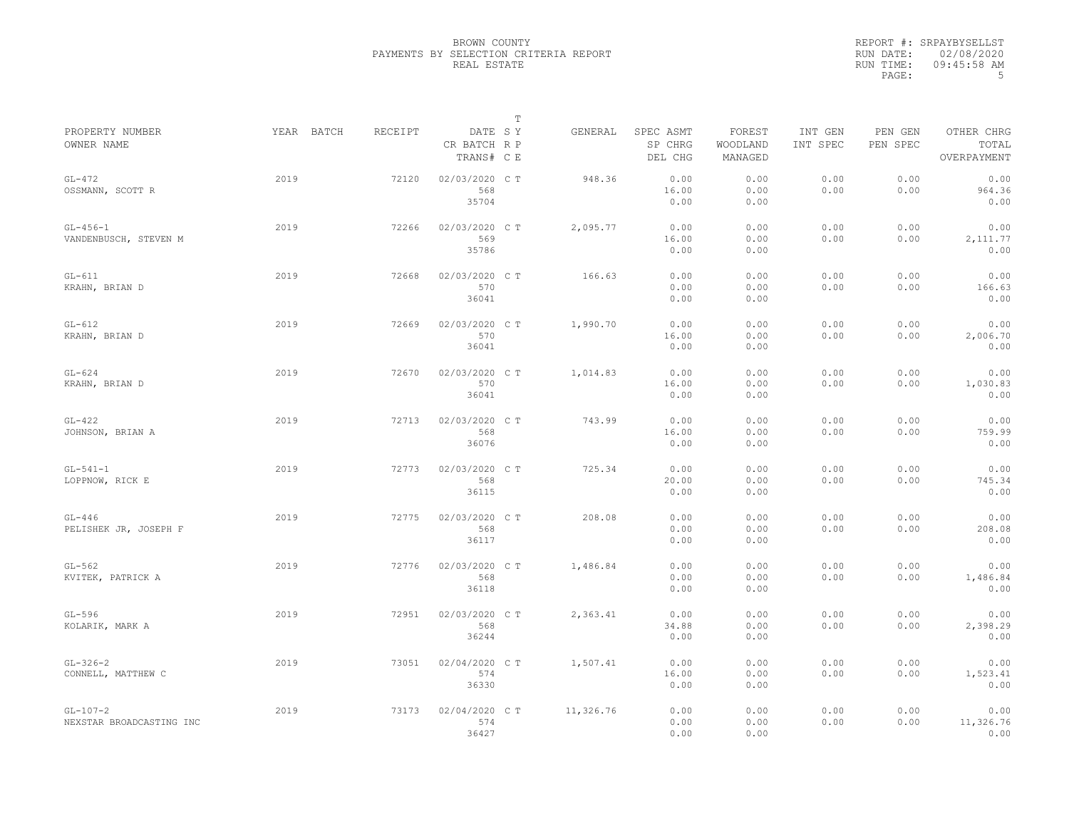|                                        |            |         |                                       | $\mathbb T$ |           |                                 |                               |                     |                     |                                    |
|----------------------------------------|------------|---------|---------------------------------------|-------------|-----------|---------------------------------|-------------------------------|---------------------|---------------------|------------------------------------|
| PROPERTY NUMBER<br>OWNER NAME          | YEAR BATCH | RECEIPT | DATE SY<br>CR BATCH R P<br>TRANS# C E |             | GENERAL   | SPEC ASMT<br>SP CHRG<br>DEL CHG | FOREST<br>WOODLAND<br>MANAGED | INT GEN<br>INT SPEC | PEN GEN<br>PEN SPEC | OTHER CHRG<br>TOTAL<br>OVERPAYMENT |
| $GL-472$<br>OSSMANN, SCOTT R           | 2019       | 72120   | 02/03/2020 CT<br>568<br>35704         |             | 948.36    | 0.00<br>16.00<br>0.00           | 0.00<br>0.00<br>0.00          | 0.00<br>0.00        | 0.00<br>0.00        | 0.00<br>964.36<br>0.00             |
| $GL-456-1$<br>VANDENBUSCH, STEVEN M    | 2019       | 72266   | 02/03/2020 C T<br>569<br>35786        |             | 2,095.77  | 0.00<br>16.00<br>0.00           | 0.00<br>0.00<br>0.00          | 0.00<br>0.00        | 0.00<br>0.00        | 0.00<br>2, 111.77<br>0.00          |
| $GL-611$<br>KRAHN, BRIAN D             | 2019       | 72668   | 02/03/2020 CT<br>570<br>36041         |             | 166.63    | 0.00<br>0.00<br>0.00            | 0.00<br>0.00<br>0.00          | 0.00<br>0.00        | 0.00<br>0.00        | 0.00<br>166.63<br>0.00             |
| $GL-612$<br>KRAHN, BRIAN D             | 2019       | 72669   | 02/03/2020 CT<br>570<br>36041         |             | 1,990.70  | 0.00<br>16.00<br>0.00           | 0.00<br>0.00<br>0.00          | 0.00<br>0.00        | 0.00<br>0.00        | 0.00<br>2,006.70<br>0.00           |
| $GL-624$<br>KRAHN, BRIAN D             | 2019       | 72670   | 02/03/2020 C T<br>570<br>36041        |             | 1,014.83  | 0.00<br>16.00<br>0.00           | 0.00<br>0.00<br>0.00          | 0.00<br>0.00        | 0.00<br>0.00        | 0.00<br>1,030.83<br>0.00           |
| $GL-422$<br>JOHNSON, BRIAN A           | 2019       | 72713   | 02/03/2020 CT<br>568<br>36076         |             | 743.99    | 0.00<br>16.00<br>0.00           | 0.00<br>0.00<br>0.00          | 0.00<br>0.00        | 0.00<br>0.00        | 0.00<br>759.99<br>0.00             |
| $GL-541-1$<br>LOPPNOW, RICK E          | 2019       | 72773   | 02/03/2020 C T<br>568<br>36115        |             | 725.34    | 0.00<br>20.00<br>0.00           | 0.00<br>0.00<br>0.00          | 0.00<br>0.00        | 0.00<br>0.00        | 0.00<br>745.34<br>0.00             |
| $GL-446$<br>PELISHEK JR, JOSEPH F      | 2019       | 72775   | 02/03/2020 CT<br>568<br>36117         |             | 208.08    | 0.00<br>0.00<br>0.00            | 0.00<br>0.00<br>0.00          | 0.00<br>0.00        | 0.00<br>0.00        | 0.00<br>208.08<br>0.00             |
| $GL-562$<br>KVITEK, PATRICK A          | 2019       | 72776   | 02/03/2020 CT<br>568<br>36118         |             | 1,486.84  | 0.00<br>0.00<br>0.00            | 0.00<br>0.00<br>0.00          | 0.00<br>0.00        | 0.00<br>0.00        | 0.00<br>1,486.84<br>0.00           |
| $GL-596$<br>KOLARIK, MARK A            | 2019       | 72951   | 02/03/2020 CT<br>568<br>36244         |             | 2,363.41  | 0.00<br>34.88<br>0.00           | 0.00<br>0.00<br>0.00          | 0.00<br>0.00        | 0.00<br>0.00        | 0.00<br>2,398.29<br>0.00           |
| $GL-326-2$<br>CONNELL, MATTHEW C       | 2019       | 73051   | 02/04/2020 C T<br>574<br>36330        |             | 1,507.41  | 0.00<br>16.00<br>0.00           | 0.00<br>0.00<br>0.00          | 0.00<br>0.00        | 0.00<br>0.00        | 0.00<br>1,523.41<br>0.00           |
| $GL-107-2$<br>NEXSTAR BROADCASTING INC | 2019       | 73173   | 02/04/2020 CT<br>574<br>36427         |             | 11,326.76 | 0.00<br>0.00<br>0.00            | 0.00<br>0.00<br>0.00          | 0.00<br>0.00        | 0.00<br>0.00        | 0.00<br>11,326.76<br>0.00          |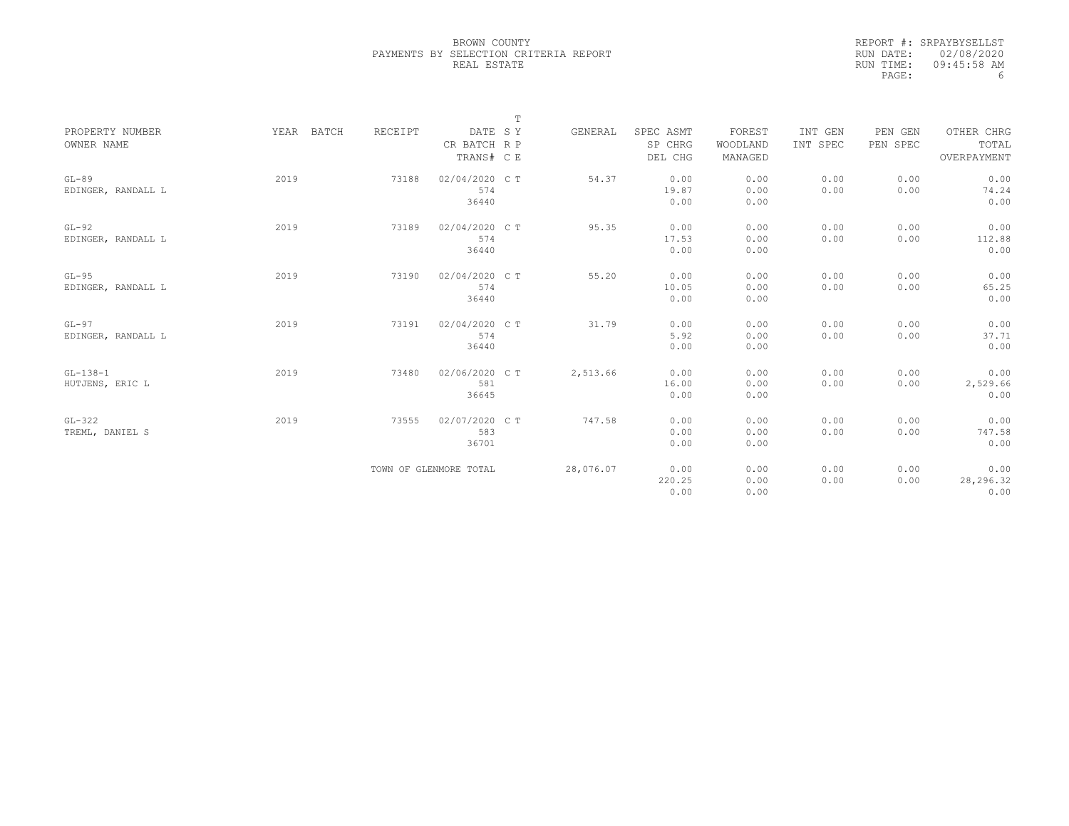|                               |            |         |                                       | $\mathbb T$ |           |                                 |                               |                     |                     |                                    |
|-------------------------------|------------|---------|---------------------------------------|-------------|-----------|---------------------------------|-------------------------------|---------------------|---------------------|------------------------------------|
| PROPERTY NUMBER<br>OWNER NAME | YEAR BATCH | RECEIPT | DATE SY<br>CR BATCH R P<br>TRANS# C E |             | GENERAL   | SPEC ASMT<br>SP CHRG<br>DEL CHG | FOREST<br>WOODLAND<br>MANAGED | INT GEN<br>INT SPEC | PEN GEN<br>PEN SPEC | OTHER CHRG<br>TOTAL<br>OVERPAYMENT |
| $GL-89$<br>EDINGER, RANDALL L | 2019       | 73188   | 02/04/2020 C T<br>574<br>36440        |             | 54.37     | 0.00<br>19.87<br>0.00           | 0.00<br>0.00<br>0.00          | 0.00<br>0.00        | 0.00<br>0.00        | 0.00<br>74.24<br>0.00              |
| $GL-92$<br>EDINGER, RANDALL L | 2019       | 73189   | 02/04/2020 C T<br>574<br>36440        |             | 95.35     | 0.00<br>17.53<br>0.00           | 0.00<br>0.00<br>0.00          | 0.00<br>0.00        | 0.00<br>0.00        | 0.00<br>112.88<br>0.00             |
| $GL-95$<br>EDINGER, RANDALL L | 2019       | 73190   | 02/04/2020 C T<br>574<br>36440        |             | 55.20     | 0.00<br>10.05<br>0.00           | 0.00<br>0.00<br>0.00          | 0.00<br>0.00        | 0.00<br>0.00        | 0.00<br>65.25<br>0.00              |
| $GL-97$<br>EDINGER, RANDALL L | 2019       | 73191   | 02/04/2020 C T<br>574<br>36440        |             | 31.79     | 0.00<br>5.92<br>0.00            | 0.00<br>0.00<br>0.00          | 0.00<br>0.00        | 0.00<br>0.00        | 0.00<br>37.71<br>0.00              |
| $GL-138-1$<br>HUTJENS, ERIC L | 2019       | 73480   | 02/06/2020 C T<br>581<br>36645        |             | 2,513.66  | 0.00<br>16.00<br>0.00           | 0.00<br>0.00<br>0.00          | 0.00<br>0.00        | 0.00<br>0.00        | 0.00<br>2,529.66<br>0.00           |
| $GL-322$<br>TREML, DANIEL S   | 2019       | 73555   | 02/07/2020 CT<br>583<br>36701         |             | 747.58    | 0.00<br>0.00<br>0.00            | 0.00<br>0.00<br>0.00          | 0.00<br>0.00        | 0.00<br>0.00        | 0.00<br>747.58<br>0.00             |
|                               |            |         | TOWN OF GLENMORE TOTAL                |             | 28,076.07 | 0.00<br>220.25<br>0.00          | 0.00<br>0.00<br>0.00          | 0.00<br>0.00        | 0.00<br>0.00        | 0.00<br>28,296.32<br>0.00          |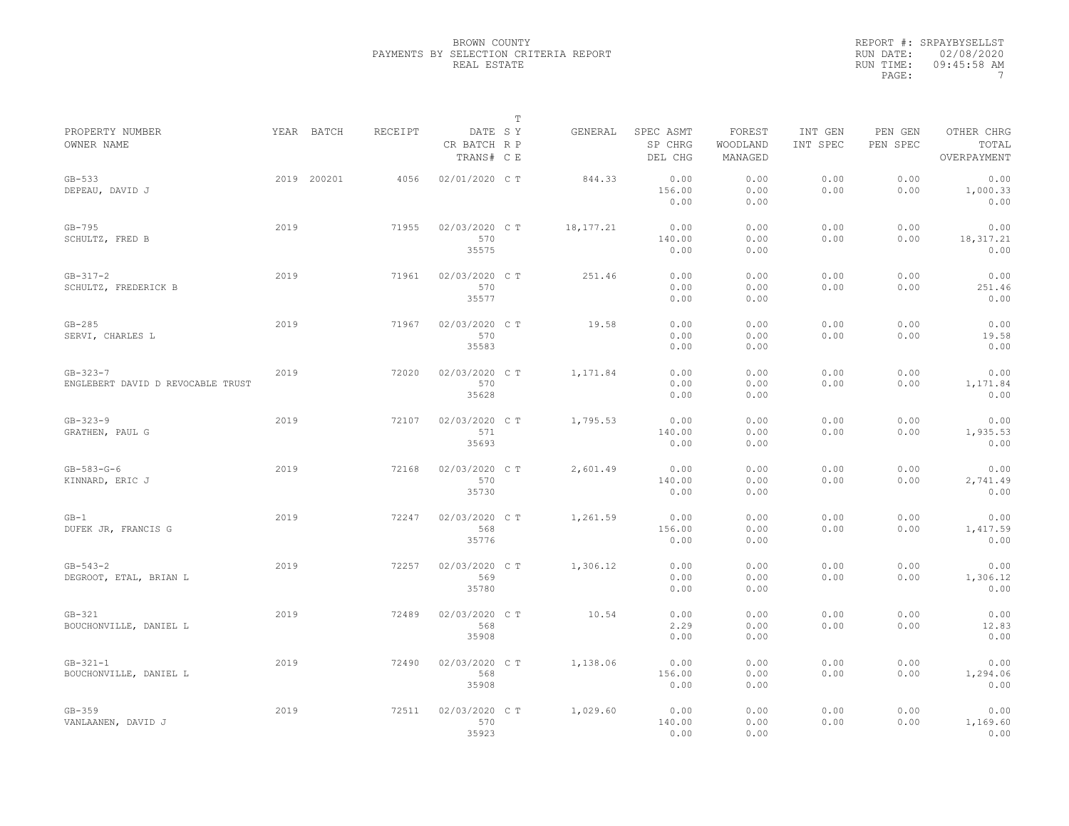|                                                     |      |             |                |                                       | $\mathbb T$ |           |                                 |                               |                     |                     |                                    |
|-----------------------------------------------------|------|-------------|----------------|---------------------------------------|-------------|-----------|---------------------------------|-------------------------------|---------------------|---------------------|------------------------------------|
| PROPERTY NUMBER<br>OWNER NAME                       |      | YEAR BATCH  | <b>RECEIPT</b> | DATE SY<br>CR BATCH R P<br>TRANS# C E |             | GENERAL   | SPEC ASMT<br>SP CHRG<br>DEL CHG | FOREST<br>WOODLAND<br>MANAGED | INT GEN<br>INT SPEC | PEN GEN<br>PEN SPEC | OTHER CHRG<br>TOTAL<br>OVERPAYMENT |
| $GB-533$<br>DEPEAU, DAVID J                         |      | 2019 200201 | 4056           | 02/01/2020 C T                        |             | 844.33    | 0.00<br>156.00<br>0.00          | 0.00<br>0.00<br>0.00          | 0.00<br>0.00        | 0.00<br>0.00        | 0.00<br>1,000.33<br>0.00           |
| $GB-795$<br>SCHULTZ, FRED B                         | 2019 |             | 71955          | 02/03/2020 C T<br>570<br>35575        |             | 18,177.21 | 0.00<br>140.00<br>0.00          | 0.00<br>0.00<br>0.00          | 0.00<br>0.00        | 0.00<br>0.00        | 0.00<br>18, 317. 21<br>0.00        |
| $GB - 317 - 2$<br>SCHULTZ, FREDERICK B              | 2019 |             | 71961          | 02/03/2020 CT<br>570<br>35577         |             | 251.46    | 0.00<br>0.00<br>0.00            | 0.00<br>0.00<br>0.00          | 0.00<br>0.00        | 0.00<br>0.00        | 0.00<br>251.46<br>0.00             |
| $GB-285$<br>SERVI, CHARLES L                        | 2019 |             | 71967          | 02/03/2020 CT<br>570<br>35583         |             | 19.58     | 0.00<br>0.00<br>0.00            | 0.00<br>0.00<br>0.00          | 0.00<br>0.00        | 0.00<br>0.00        | 0.00<br>19.58<br>0.00              |
| $GB - 323 - 7$<br>ENGLEBERT DAVID D REVOCABLE TRUST | 2019 |             | 72020          | 02/03/2020 C T<br>570<br>35628        |             | 1,171.84  | 0.00<br>0.00<br>0.00            | 0.00<br>0.00<br>0.00          | 0.00<br>0.00        | 0.00<br>0.00        | 0.00<br>1,171.84<br>0.00           |
| $GB - 323 - 9$<br>GRATHEN, PAUL G                   | 2019 |             | 72107          | 02/03/2020 CT<br>571<br>35693         |             | 1,795.53  | 0.00<br>140.00<br>0.00          | 0.00<br>0.00<br>0.00          | 0.00<br>0.00        | 0.00<br>0.00        | 0.00<br>1,935.53<br>0.00           |
| $GB - 583 - G - 6$<br>KINNARD, ERIC J               | 2019 |             | 72168          | 02/03/2020 C T<br>570<br>35730        |             | 2,601.49  | 0.00<br>140.00<br>0.00          | 0.00<br>0.00<br>0.00          | 0.00<br>0.00        | 0.00<br>0.00        | 0.00<br>2,741.49<br>0.00           |
| $GB-1$<br>DUFEK JR, FRANCIS G                       | 2019 |             | 72247          | 02/03/2020 CT<br>568<br>35776         |             | 1,261.59  | 0.00<br>156.00<br>0.00          | 0.00<br>0.00<br>0.00          | 0.00<br>0.00        | 0.00<br>0.00        | 0.00<br>1,417.59<br>0.00           |
| $GB - 543 - 2$<br>DEGROOT, ETAL, BRIAN L            | 2019 |             | 72257          | 02/03/2020 CT<br>569<br>35780         |             | 1,306.12  | 0.00<br>0.00<br>0.00            | 0.00<br>0.00<br>0.00          | 0.00<br>0.00        | 0.00<br>0.00        | 0.00<br>1,306.12<br>0.00           |
| $GB-321$<br>BOUCHONVILLE, DANIEL L                  | 2019 |             | 72489          | 02/03/2020 CT<br>568<br>35908         |             | 10.54     | 0.00<br>2.29<br>0.00            | 0.00<br>0.00<br>0.00          | 0.00<br>0.00        | 0.00<br>0.00        | 0.00<br>12.83<br>0.00              |
| $GB - 321 - 1$<br>BOUCHONVILLE, DANIEL L            | 2019 |             | 72490          | 02/03/2020 C T<br>568<br>35908        |             | 1,138.06  | 0.00<br>156.00<br>0.00          | 0.00<br>0.00<br>0.00          | 0.00<br>0.00        | 0.00<br>0.00        | 0.00<br>1,294.06<br>0.00           |
| $GB-359$<br>VANLAANEN, DAVID J                      | 2019 |             | 72511          | 02/03/2020 C T<br>570<br>35923        |             | 1,029.60  | 0.00<br>140.00<br>0.00          | 0.00<br>0.00<br>0.00          | 0.00<br>0.00        | 0.00<br>0.00        | 0.00<br>1,169.60<br>0.00           |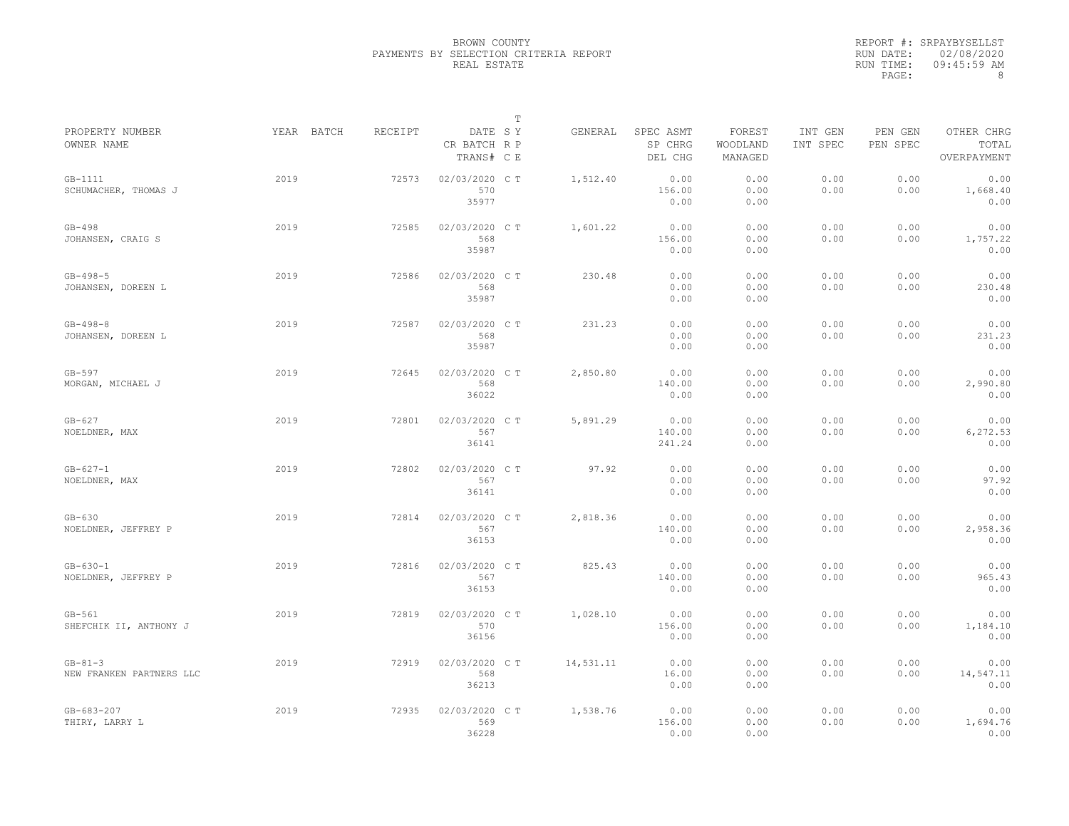|                                           |            |                |                                       | $\mathbb T$ |           |                                 |                               |                     |                     |                                    |
|-------------------------------------------|------------|----------------|---------------------------------------|-------------|-----------|---------------------------------|-------------------------------|---------------------|---------------------|------------------------------------|
| PROPERTY NUMBER<br>OWNER NAME             | YEAR BATCH | <b>RECEIPT</b> | DATE SY<br>CR BATCH R P<br>TRANS# C E |             | GENERAL   | SPEC ASMT<br>SP CHRG<br>DEL CHG | FOREST<br>WOODLAND<br>MANAGED | INT GEN<br>INT SPEC | PEN GEN<br>PEN SPEC | OTHER CHRG<br>TOTAL<br>OVERPAYMENT |
| $GB-1111$<br>SCHUMACHER, THOMAS J         | 2019       | 72573          | 02/03/2020 CT<br>570<br>35977         |             | 1,512.40  | 0.00<br>156.00<br>0.00          | 0.00<br>0.00<br>0.00          | 0.00<br>0.00        | 0.00<br>0.00        | 0.00<br>1,668.40<br>0.00           |
| $GB-498$<br>JOHANSEN, CRAIG S             | 2019       | 72585          | 02/03/2020 C T<br>568<br>35987        |             | 1,601.22  | 0.00<br>156.00<br>0.00          | 0.00<br>0.00<br>0.00          | 0.00<br>0.00        | 0.00<br>0.00        | 0.00<br>1,757.22<br>0.00           |
| $GB - 498 - 5$<br>JOHANSEN, DOREEN L      | 2019       | 72586          | 02/03/2020 CT<br>568<br>35987         |             | 230.48    | 0.00<br>0.00<br>0.00            | 0.00<br>0.00<br>0.00          | 0.00<br>0.00        | 0.00<br>0.00        | 0.00<br>230.48<br>0.00             |
| $GB - 498 - 8$<br>JOHANSEN, DOREEN L      | 2019       | 72587          | 02/03/2020 CT<br>568<br>35987         |             | 231.23    | 0.00<br>0.00<br>0.00            | 0.00<br>0.00<br>0.00          | 0.00<br>0.00        | 0.00<br>0.00        | 0.00<br>231.23<br>0.00             |
| $GB-597$<br>MORGAN, MICHAEL J             | 2019       | 72645          | 02/03/2020 C T<br>568<br>36022        |             | 2,850.80  | 0.00<br>140.00<br>0.00          | 0.00<br>0.00<br>0.00          | 0.00<br>0.00        | 0.00<br>0.00        | 0.00<br>2,990.80<br>0.00           |
| $GB-627$<br>NOELDNER, MAX                 | 2019       | 72801          | 02/03/2020 CT<br>567<br>36141         |             | 5,891.29  | 0.00<br>140.00<br>241.24        | 0.00<br>0.00<br>0.00          | 0.00<br>0.00        | 0.00<br>0.00        | 0.00<br>6,272.53<br>0.00           |
| $GB - 627 - 1$<br>NOELDNER, MAX           | 2019       | 72802          | 02/03/2020 C T<br>567<br>36141        |             | 97.92     | 0.00<br>0.00<br>0.00            | 0.00<br>0.00<br>0.00          | 0.00<br>0.00        | 0.00<br>0.00        | 0.00<br>97.92<br>0.00              |
| $GB-630$<br>NOELDNER, JEFFREY P           | 2019       | 72814          | 02/03/2020 CT<br>567<br>36153         |             | 2,818.36  | 0.00<br>140.00<br>0.00          | 0.00<br>0.00<br>0.00          | 0.00<br>0.00        | 0.00<br>0.00        | 0.00<br>2,958.36<br>0.00           |
| $GB - 630 - 1$<br>NOELDNER, JEFFREY P     | 2019       | 72816          | 02/03/2020 C T<br>567<br>36153        |             | 825.43    | 0.00<br>140.00<br>0.00          | 0.00<br>0.00<br>0.00          | 0.00<br>0.00        | 0.00<br>0.00        | 0.00<br>965.43<br>0.00             |
| $GB-561$<br>SHEFCHIK II, ANTHONY J        | 2019       | 72819          | 02/03/2020 C T<br>570<br>36156        |             | 1,028.10  | 0.00<br>156.00<br>0.00          | 0.00<br>0.00<br>0.00          | 0.00<br>0.00        | 0.00<br>0.00        | 0.00<br>1,184.10<br>0.00           |
| $GB - 81 - 3$<br>NEW FRANKEN PARTNERS LLC | 2019       | 72919          | 02/03/2020 C T<br>568<br>36213        |             | 14,531.11 | 0.00<br>16.00<br>0.00           | 0.00<br>0.00<br>0.00          | 0.00<br>0.00        | 0.00<br>0.00        | 0.00<br>14,547.11<br>0.00          |
| $GB - 683 - 207$<br>THIRY, LARRY L        | 2019       | 72935          | 02/03/2020 CT<br>569<br>36228         |             | 1,538.76  | 0.00<br>156.00<br>0.00          | 0.00<br>0.00<br>0.00          | 0.00<br>0.00        | 0.00<br>0.00        | 0.00<br>1,694.76<br>0.00           |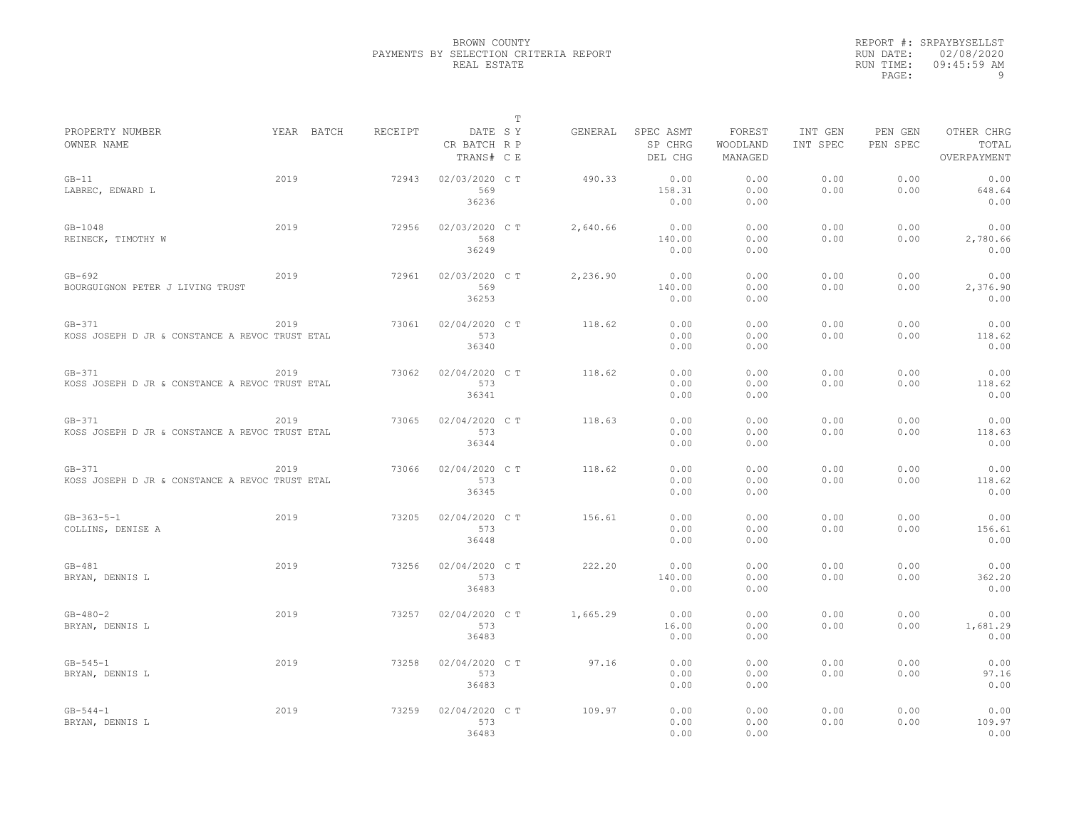|                                                             |            |         |                                       | $\mathbb T$ |          |                                 |                               |                     |                     |                                    |
|-------------------------------------------------------------|------------|---------|---------------------------------------|-------------|----------|---------------------------------|-------------------------------|---------------------|---------------------|------------------------------------|
| PROPERTY NUMBER<br>OWNER NAME                               | YEAR BATCH | RECEIPT | DATE SY<br>CR BATCH R P<br>TRANS# C E |             | GENERAL  | SPEC ASMT<br>SP CHRG<br>DEL CHG | FOREST<br>WOODLAND<br>MANAGED | INT GEN<br>INT SPEC | PEN GEN<br>PEN SPEC | OTHER CHRG<br>TOTAL<br>OVERPAYMENT |
| $GB-11$<br>LABREC, EDWARD L                                 | 2019       | 72943   | 02/03/2020 CT<br>569<br>36236         |             | 490.33   | 0.00<br>158.31<br>0.00          | 0.00<br>0.00<br>0.00          | 0.00<br>0.00        | 0.00<br>0.00        | 0.00<br>648.64<br>0.00             |
| $GB - 1048$<br>REINECK, TIMOTHY W                           | 2019       | 72956   | 02/03/2020 C T<br>568<br>36249        |             | 2,640.66 | 0.00<br>140.00<br>0.00          | 0.00<br>0.00<br>0.00          | 0.00<br>0.00        | 0.00<br>0.00        | 0.00<br>2,780.66<br>0.00           |
| $GB-692$<br>BOURGUIGNON PETER J LIVING TRUST                | 2019       | 72961   | 02/03/2020 C T<br>569<br>36253        |             | 2,236.90 | 0.00<br>140.00<br>0.00          | 0.00<br>0.00<br>0.00          | 0.00<br>0.00        | 0.00<br>0.00        | 0.00<br>2,376.90<br>0.00           |
| $GB-371$<br>KOSS JOSEPH D JR & CONSTANCE A REVOC TRUST ETAL | 2019       | 73061   | 02/04/2020 C T<br>573<br>36340        |             | 118.62   | 0.00<br>0.00<br>0.00            | 0.00<br>0.00<br>0.00          | 0.00<br>0.00        | 0.00<br>0.00        | 0.00<br>118.62<br>0.00             |
| $GB-371$<br>KOSS JOSEPH D JR & CONSTANCE A REVOC TRUST ETAL | 2019       | 73062   | 02/04/2020 C T<br>573<br>36341        |             | 118.62   | 0.00<br>0.00<br>0.00            | 0.00<br>0.00<br>0.00          | 0.00<br>0.00        | 0.00<br>0.00        | 0.00<br>118.62<br>0.00             |
| $GB-371$<br>KOSS JOSEPH D JR & CONSTANCE A REVOC TRUST ETAL | 2019       | 73065   | 02/04/2020 C T<br>573<br>36344        |             | 118.63   | 0.00<br>0.00<br>0.00            | 0.00<br>0.00<br>0.00          | 0.00<br>0.00        | 0.00<br>0.00        | 0.00<br>118.63<br>0.00             |
| $GB-371$<br>KOSS JOSEPH D JR & CONSTANCE A REVOC TRUST ETAL | 2019       | 73066   | 02/04/2020 CT<br>573<br>36345         |             | 118.62   | 0.00<br>0.00<br>0.00            | 0.00<br>0.00<br>0.00          | 0.00<br>0.00        | 0.00<br>0.00        | 0.00<br>118.62<br>0.00             |
| $GB - 363 - 5 - 1$<br>COLLINS, DENISE A                     | 2019       | 73205   | 02/04/2020 C T<br>573<br>36448        |             | 156.61   | 0.00<br>0.00<br>0.00            | 0.00<br>0.00<br>0.00          | 0.00<br>0.00        | 0.00<br>0.00        | 0.00<br>156.61<br>0.00             |
| $GB-481$<br>BRYAN, DENNIS L                                 | 2019       | 73256   | 02/04/2020 C T<br>573<br>36483        |             | 222.20   | 0.00<br>140.00<br>0.00          | 0.00<br>0.00<br>0.00          | 0.00<br>0.00        | 0.00<br>0.00        | 0.00<br>362.20<br>0.00             |
| $GB - 480 - 2$<br>BRYAN, DENNIS L                           | 2019       | 73257   | 02/04/2020 C T<br>573<br>36483        |             | 1,665.29 | 0.00<br>16.00<br>0.00           | 0.00<br>0.00<br>0.00          | 0.00<br>0.00        | 0.00<br>0.00        | 0.00<br>1,681.29<br>0.00           |
| $GB - 545 - 1$<br>BRYAN, DENNIS L                           | 2019       | 73258   | 02/04/2020 C T<br>573<br>36483        |             | 97.16    | 0.00<br>0.00<br>0.00            | 0.00<br>0.00<br>0.00          | 0.00<br>0.00        | 0.00<br>0.00        | 0.00<br>97.16<br>0.00              |
| $GB - 544 - 1$<br>BRYAN, DENNIS L                           | 2019       | 73259   | 02/04/2020 CT<br>573<br>36483         |             | 109.97   | 0.00<br>0.00<br>0.00            | 0.00<br>0.00<br>0.00          | 0.00<br>0.00        | 0.00<br>0.00        | 0.00<br>109.97<br>0.00             |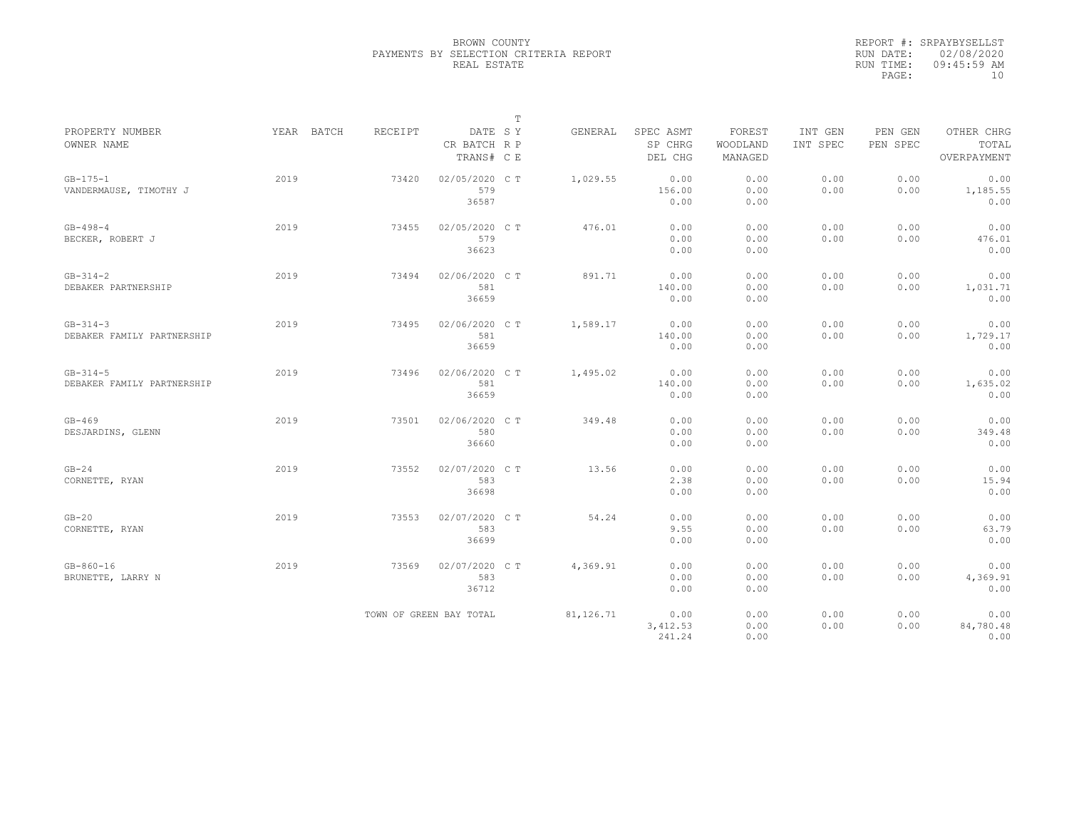|                                              |      |            |         |                                       | $\mathbb T$ |           |                                 |                               |                     |                     |                                    |
|----------------------------------------------|------|------------|---------|---------------------------------------|-------------|-----------|---------------------------------|-------------------------------|---------------------|---------------------|------------------------------------|
| PROPERTY NUMBER<br>OWNER NAME                |      | YEAR BATCH | RECEIPT | DATE SY<br>CR BATCH R P<br>TRANS# C E |             | GENERAL   | SPEC ASMT<br>SP CHRG<br>DEL CHG | FOREST<br>WOODLAND<br>MANAGED | INT GEN<br>INT SPEC | PEN GEN<br>PEN SPEC | OTHER CHRG<br>TOTAL<br>OVERPAYMENT |
| $GB-175-1$<br>VANDERMAUSE, TIMOTHY J         | 2019 |            | 73420   | 02/05/2020 C T<br>579<br>36587        |             | 1,029.55  | 0.00<br>156.00<br>0.00          | 0.00<br>0.00<br>0.00          | 0.00<br>0.00        | 0.00<br>0.00        | 0.00<br>1,185.55<br>0.00           |
| $GB - 498 - 4$<br>BECKER, ROBERT J           | 2019 |            | 73455   | 02/05/2020 C T<br>579<br>36623        |             | 476.01    | 0.00<br>0.00<br>0.00            | 0.00<br>0.00<br>0.00          | 0.00<br>0.00        | 0.00<br>0.00        | 0.00<br>476.01<br>0.00             |
| $GB-314-2$<br>DEBAKER PARTNERSHIP            | 2019 |            | 73494   | 02/06/2020 C T<br>581<br>36659        |             | 891.71    | 0.00<br>140.00<br>0.00          | 0.00<br>0.00<br>0.00          | 0.00<br>0.00        | 0.00<br>0.00        | 0.00<br>1,031.71<br>0.00           |
| $GB - 314 - 3$<br>DEBAKER FAMILY PARTNERSHIP | 2019 |            | 73495   | 02/06/2020 CT<br>581<br>36659         |             | 1,589.17  | 0.00<br>140.00<br>0.00          | 0.00<br>0.00<br>0.00          | 0.00<br>0.00        | 0.00<br>0.00        | 0.00<br>1,729.17<br>0.00           |
| $GB - 314 - 5$<br>DEBAKER FAMILY PARTNERSHIP | 2019 |            | 73496   | 02/06/2020 C T<br>581<br>36659        |             | 1,495.02  | 0.00<br>140.00<br>0.00          | 0.00<br>0.00<br>0.00          | 0.00<br>0.00        | 0.00<br>0.00        | 0.00<br>1,635.02<br>0.00           |
| $GB-469$<br>DESJARDINS, GLENN                | 2019 |            | 73501   | 02/06/2020 C T<br>580<br>36660        |             | 349.48    | 0.00<br>0.00<br>0.00            | 0.00<br>0.00<br>0.00          | 0.00<br>0.00        | 0.00<br>0.00        | 0.00<br>349.48<br>0.00             |
| $GB-24$<br>CORNETTE, RYAN                    | 2019 |            | 73552   | 02/07/2020 CT<br>583<br>36698         |             | 13.56     | 0.00<br>2.38<br>0.00            | 0.00<br>0.00<br>0.00          | 0.00<br>0.00        | 0.00<br>0.00        | 0.00<br>15.94<br>0.00              |
| $GB-20$<br>CORNETTE, RYAN                    | 2019 |            | 73553   | 02/07/2020 C T<br>583<br>36699        |             | 54.24     | 0.00<br>9.55<br>0.00            | 0.00<br>0.00<br>0.00          | 0.00<br>0.00        | 0.00<br>0.00        | 0.00<br>63.79<br>0.00              |
| $GB - 860 - 16$<br>BRUNETTE, LARRY N         | 2019 |            | 73569   | 02/07/2020 CT<br>583<br>36712         |             | 4,369.91  | 0.00<br>0.00<br>0.00            | 0.00<br>0.00<br>0.00          | 0.00<br>0.00        | 0.00<br>0.00        | 0.00<br>4,369.91<br>0.00           |
|                                              |      |            |         | TOWN OF GREEN BAY TOTAL               |             | 81,126.71 | 0.00<br>3, 412.53<br>241.24     | 0.00<br>0.00<br>0.00          | 0.00<br>0.00        | 0.00<br>0.00        | 0.00<br>84,780.48<br>0.00          |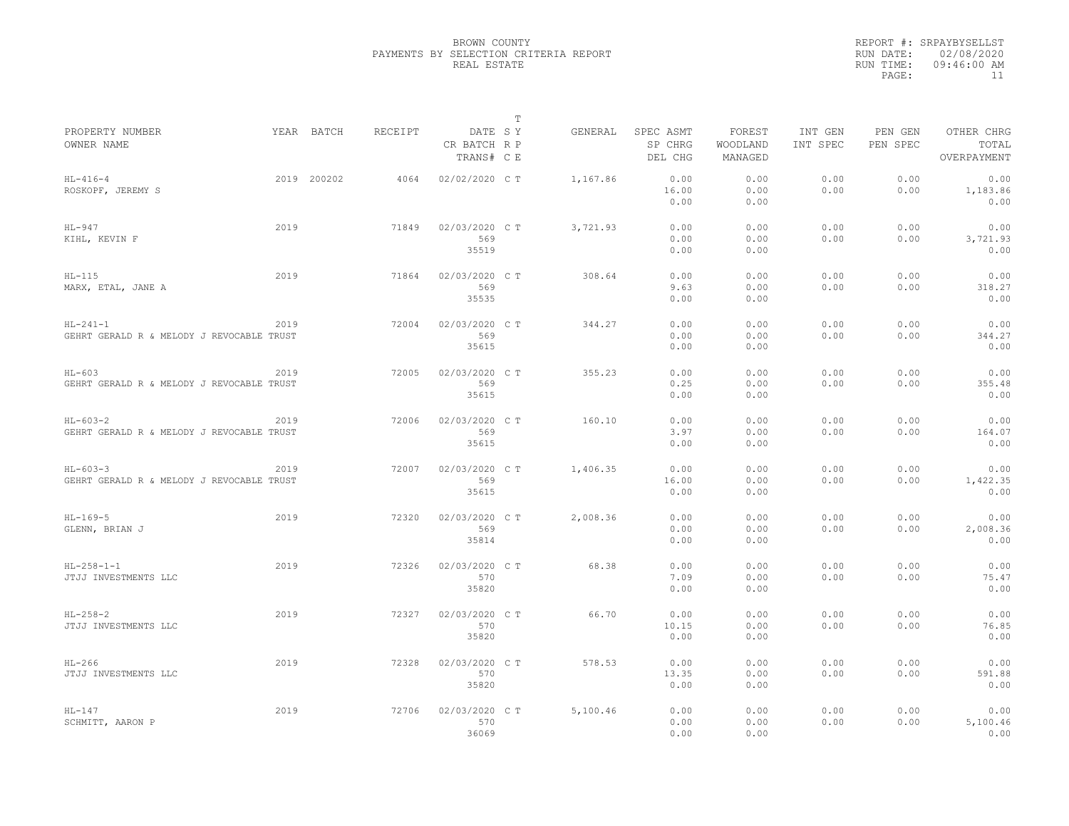|                                                             |      |             |         |                                       | $\mathbb T$ |          |                                 |                               |                     |                     |                                    |
|-------------------------------------------------------------|------|-------------|---------|---------------------------------------|-------------|----------|---------------------------------|-------------------------------|---------------------|---------------------|------------------------------------|
| PROPERTY NUMBER<br>OWNER NAME                               |      | YEAR BATCH  | RECEIPT | DATE SY<br>CR BATCH R P<br>TRANS# C E |             | GENERAL  | SPEC ASMT<br>SP CHRG<br>DEL CHG | FOREST<br>WOODLAND<br>MANAGED | INT GEN<br>INT SPEC | PEN GEN<br>PEN SPEC | OTHER CHRG<br>TOTAL<br>OVERPAYMENT |
| $HL-416-4$<br>ROSKOPF, JEREMY S                             |      | 2019 200202 | 4064    | 02/02/2020 C T                        |             | 1,167.86 | 0.00<br>16.00<br>0.00           | 0.00<br>0.00<br>0.00          | 0.00<br>0.00        | 0.00<br>0.00        | 0.00<br>1,183.86<br>0.00           |
| $HL-947$<br>KIHL, KEVIN F                                   | 2019 |             | 71849   | 02/03/2020 C T<br>569<br>35519        |             | 3,721.93 | 0.00<br>0.00<br>0.00            | 0.00<br>0.00<br>0.00          | 0.00<br>0.00        | 0.00<br>0.00        | 0.00<br>3,721.93<br>0.00           |
| $HL-115$<br>MARX, ETAL, JANE A                              | 2019 |             | 71864   | 02/03/2020 C T<br>569<br>35535        |             | 308.64   | 0.00<br>9.63<br>0.00            | 0.00<br>0.00<br>0.00          | 0.00<br>0.00        | 0.00<br>0.00        | 0.00<br>318.27<br>0.00             |
| $HL-241-1$<br>GEHRT GERALD R & MELODY J REVOCABLE TRUST     | 2019 |             | 72004   | 02/03/2020 C T<br>569<br>35615        |             | 344.27   | 0.00<br>0.00<br>0.00            | 0.00<br>0.00<br>0.00          | 0.00<br>0.00        | 0.00<br>0.00        | 0.00<br>344.27<br>0.00             |
| $HL-603$<br>GEHRT GERALD R & MELODY J REVOCABLE TRUST       | 2019 |             | 72005   | 02/03/2020 C T<br>569<br>35615        |             | 355.23   | 0.00<br>0.25<br>0.00            | 0.00<br>0.00<br>0.00          | 0.00<br>0.00        | 0.00<br>0.00        | 0.00<br>355.48<br>0.00             |
| $HL-603-2$<br>GEHRT GERALD R & MELODY J REVOCABLE TRUST     | 2019 |             | 72006   | 02/03/2020 CT<br>569<br>35615         |             | 160.10   | 0.00<br>3.97<br>0.00            | 0.00<br>0.00<br>0.00          | 0.00<br>0.00        | 0.00<br>0.00        | 0.00<br>164.07<br>0.00             |
| $HL - 603 - 3$<br>GEHRT GERALD R & MELODY J REVOCABLE TRUST | 2019 |             | 72007   | 02/03/2020 C T<br>569<br>35615        |             | 1,406.35 | 0.00<br>16.00<br>0.00           | 0.00<br>0.00<br>0.00          | 0.00<br>0.00        | 0.00<br>0.00        | 0.00<br>1,422.35<br>0.00           |
| $HL-169-5$<br>GLENN, BRIAN J                                | 2019 |             | 72320   | 02/03/2020 C T<br>569<br>35814        |             | 2,008.36 | 0.00<br>0.00<br>0.00            | 0.00<br>0.00<br>0.00          | 0.00<br>0.00        | 0.00<br>0.00        | 0.00<br>2,008.36<br>0.00           |
| $HL-258-1-1$<br>JTJJ INVESTMENTS LLC                        | 2019 |             | 72326   | 02/03/2020 CT<br>570<br>35820         |             | 68.38    | 0.00<br>7.09<br>0.00            | 0.00<br>0.00<br>0.00          | 0.00<br>0.00        | 0.00<br>0.00        | 0.00<br>75.47<br>0.00              |
| $HL-258-2$<br>JTJJ INVESTMENTS LLC                          | 2019 |             | 72327   | 02/03/2020 C T<br>570<br>35820        |             | 66.70    | 0.00<br>10.15<br>0.00           | 0.00<br>0.00<br>0.00          | 0.00<br>0.00        | 0.00<br>0.00        | 0.00<br>76.85<br>0.00              |
| $HL-266$<br>JTJJ INVESTMENTS LLC                            | 2019 |             | 72328   | 02/03/2020 C T<br>570<br>35820        |             | 578.53   | 0.00<br>13.35<br>0.00           | 0.00<br>0.00<br>0.00          | 0.00<br>0.00        | 0.00<br>0.00        | 0.00<br>591.88<br>0.00             |
| $HL-147$<br>SCHMITT, AARON P                                | 2019 |             | 72706   | 02/03/2020 CT<br>570<br>36069         |             | 5,100.46 | 0.00<br>0.00<br>0.00            | 0.00<br>0.00<br>0.00          | 0.00<br>0.00        | 0.00<br>0.00        | 0.00<br>5,100.46<br>0.00           |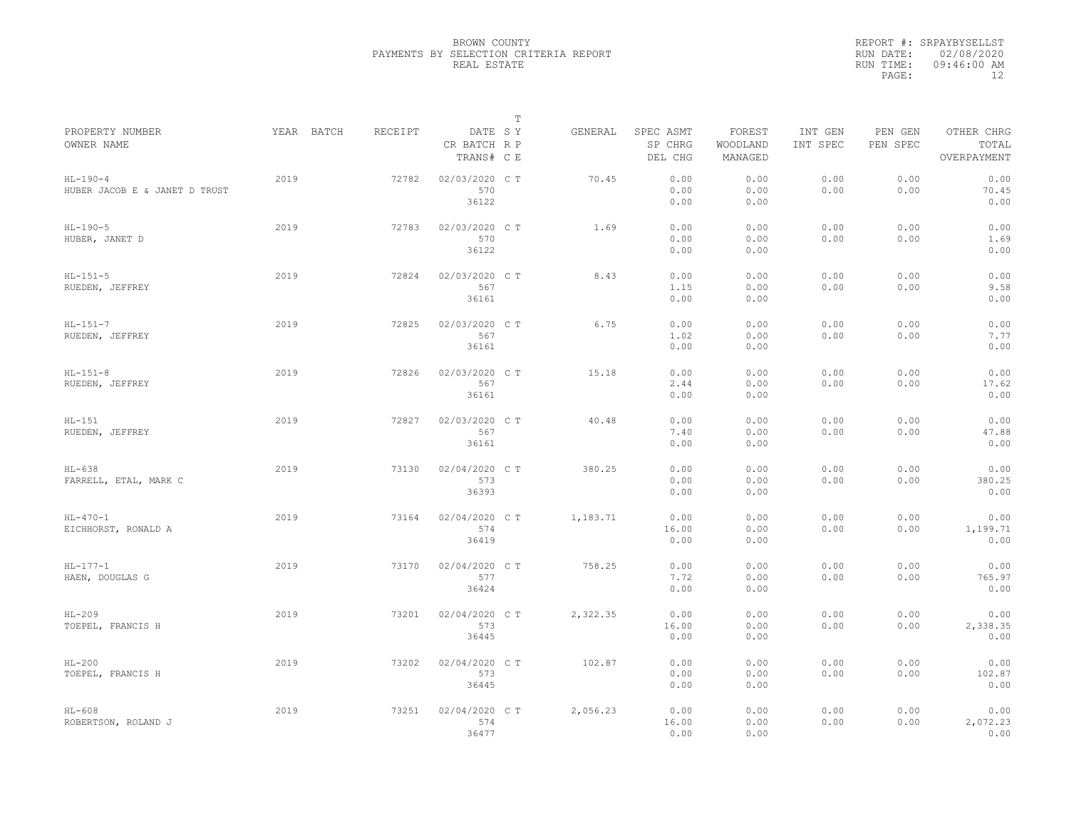|                                             |            |         |                                       | T |          |                                 |                               |                     |                     |                                    |
|---------------------------------------------|------------|---------|---------------------------------------|---|----------|---------------------------------|-------------------------------|---------------------|---------------------|------------------------------------|
| PROPERTY NUMBER<br>OWNER NAME               | YEAR BATCH | RECEIPT | DATE SY<br>CR BATCH R P<br>TRANS# C E |   | GENERAL  | SPEC ASMT<br>SP CHRG<br>DEL CHG | FOREST<br>WOODLAND<br>MANAGED | INT GEN<br>INT SPEC | PEN GEN<br>PEN SPEC | OTHER CHRG<br>TOTAL<br>OVERPAYMENT |
| $HL-190-4$<br>HUBER JACOB E & JANET D TRUST | 2019       | 72782   | 02/03/2020 C T<br>570<br>36122        |   | 70.45    | 0.00<br>0.00<br>0.00            | 0.00<br>0.00<br>0.00          | 0.00<br>0.00        | 0.00<br>0.00        | 0.00<br>70.45<br>0.00              |
| $HL-190-5$<br>HUBER, JANET D                | 2019       | 72783   | 02/03/2020 C T<br>570<br>36122        |   | 1.69     | 0.00<br>0.00<br>0.00            | 0.00<br>0.00<br>0.00          | 0.00<br>0.00        | 0.00<br>0.00        | 0.00<br>1.69<br>0.00               |
| $HL-151-5$<br>RUEDEN, JEFFREY               | 2019       | 72824   | 02/03/2020 CT<br>567<br>36161         |   | 8.43     | 0.00<br>1.15<br>0.00            | 0.00<br>0.00<br>0.00          | 0.00<br>0.00        | 0.00<br>0.00        | 0.00<br>9.58<br>0.00               |
| $HL-151-7$<br>RUEDEN, JEFFREY               | 2019       | 72825   | 02/03/2020 C T<br>567<br>36161        |   | 6.75     | 0.00<br>1.02<br>0.00            | 0.00<br>0.00<br>0.00          | 0.00<br>0.00        | 0.00<br>0.00        | 0.00<br>7.77<br>0.00               |
| $HL-151-8$<br>RUEDEN, JEFFREY               | 2019       | 72826   | 02/03/2020 C T<br>567<br>36161        |   | 15.18    | 0.00<br>2.44<br>0.00            | 0.00<br>0.00<br>0.00          | 0.00<br>0.00        | 0.00<br>0.00        | 0.00<br>17.62<br>0.00              |
| $HL-151$<br>RUEDEN, JEFFREY                 | 2019       | 72827   | 02/03/2020 C T<br>567<br>36161        |   | 40.48    | 0.00<br>7.40<br>0.00            | 0.00<br>0.00<br>0.00          | 0.00<br>0.00        | 0.00<br>0.00        | 0.00<br>47.88<br>0.00              |
| $HL-638$<br>FARRELL, ETAL, MARK C           | 2019       | 73130   | 02/04/2020 CT<br>573<br>36393         |   | 380.25   | 0.00<br>0.00<br>0.00            | 0.00<br>0.00<br>0.00          | 0.00<br>0.00        | 0.00<br>0.00        | 0.00<br>380.25<br>0.00             |
| $HL - 470 - 1$<br>EICHHORST, RONALD A       | 2019       | 73164   | 02/04/2020 C T<br>574<br>36419        |   | 1,183.71 | 0.00<br>16.00<br>0.00           | 0.00<br>0.00<br>0.00          | 0.00<br>0.00        | 0.00<br>0.00        | 0.00<br>1,199.71<br>0.00           |
| $HL-177-1$<br>HAEN, DOUGLAS G               | 2019       | 73170   | 02/04/2020 C T<br>577<br>36424        |   | 758.25   | 0.00<br>7.72<br>0.00            | 0.00<br>0.00<br>0.00          | 0.00<br>0.00        | 0.00<br>0.00        | 0.00<br>765.97<br>0.00             |
| $HL-209$<br>TOEPEL, FRANCIS H               | 2019       | 73201   | 02/04/2020 C T<br>573<br>36445        |   | 2,322.35 | 0.00<br>16.00<br>0.00           | 0.00<br>0.00<br>0.00          | 0.00<br>0.00        | 0.00<br>0.00        | 0.00<br>2,338.35<br>0.00           |
| $HL-200$<br>TOEPEL, FRANCIS H               | 2019       | 73202   | 02/04/2020 C T<br>573<br>36445        |   | 102.87   | 0.00<br>0.00<br>0.00            | 0.00<br>0.00<br>0.00          | 0.00<br>0.00        | 0.00<br>0.00        | 0.00<br>102.87<br>0.00             |
| $HL-608$<br>ROBERTSON, ROLAND J             | 2019       | 73251   | 02/04/2020 C T<br>574<br>36477        |   | 2,056.23 | 0.00<br>16.00<br>0.00           | 0.00<br>0.00<br>0.00          | 0.00<br>0.00        | 0.00<br>0.00        | 0.00<br>2,072.23<br>0.00           |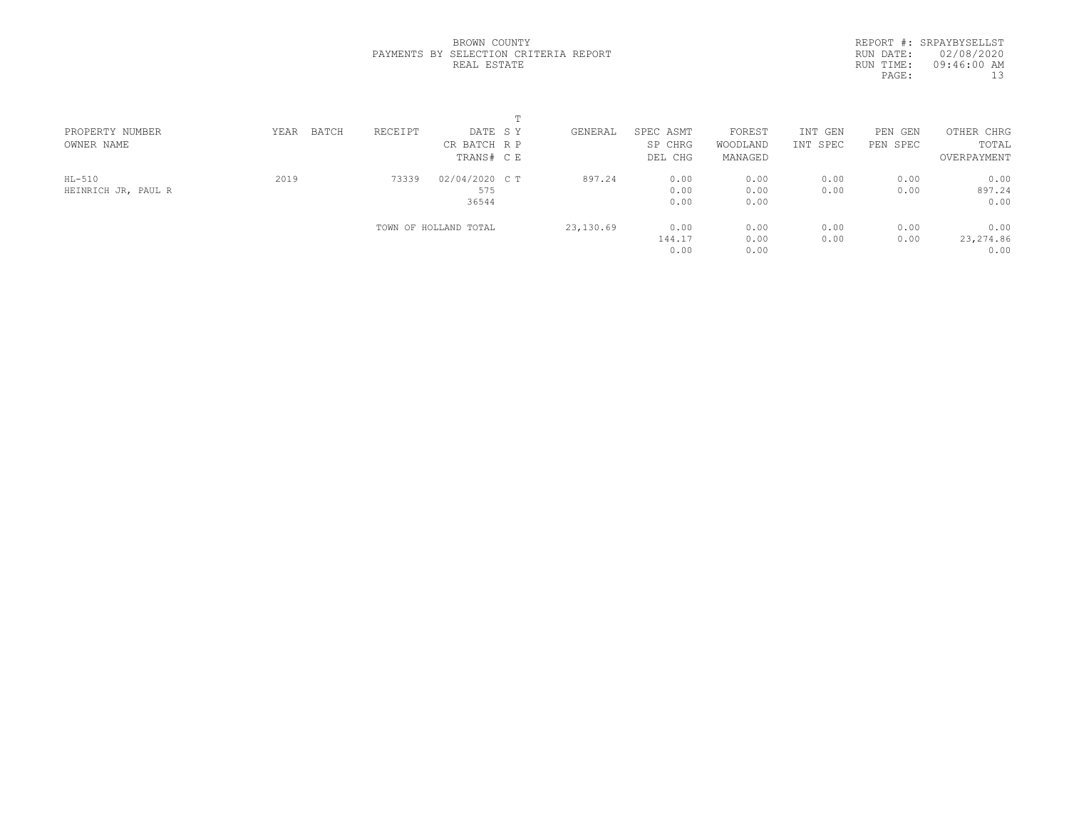|  | BROWN COUNTY |                                       |  |
|--|--------------|---------------------------------------|--|
|  |              | PAYMENTS BY SELECTION CRITERIA REPORT |  |
|  | REAL ESTATE  |                                       |  |

|           | REPORT #: SRPAYBYSELLST |
|-----------|-------------------------|
| RUN DATE: | 02/08/2020              |
| RUN TIME: | 09:46:00 AM             |
| PAGE:     | 13                      |
|           |                         |

| PROPERTY NUMBER     | BATCH<br>YEAR | RECEIPT | DATE SY               | GENERAL   | SPEC ASMT | FOREST   | INT GEN  | PEN<br>GEN | OTHER CHRG  |  |
|---------------------|---------------|---------|-----------------------|-----------|-----------|----------|----------|------------|-------------|--|
| OWNER NAME          |               |         | CR BATCH R P          |           | SP CHRG   | WOODLAND | INT SPEC | PEN SPEC   | TOTAL       |  |
|                     |               |         | TRANS# C E            |           | DEL CHG   | MANAGED  |          |            | OVERPAYMENT |  |
| $HL-510$            | 2019          | 73339   | 02/04/2020 C T        | 897.24    | 0.00      | 0.00     | 0.00     | 0.00       | 0.00        |  |
| HEINRICH JR, PAUL R |               |         | 575                   |           | 0.00      | 0.00     | 0.00     | 0.00       | 897.24      |  |
|                     |               |         | 36544                 |           | 0.00      | 0.00     |          |            | 0.00        |  |
|                     |               |         | TOWN OF HOLLAND TOTAL | 23,130.69 | 0.00      | 0.00     | 0.00     | 0.00       | 0.00        |  |
|                     |               |         |                       |           | 144.17    | 0.00     | 0.00     | 0.00       | 23, 274.86  |  |
|                     |               |         |                       |           | 0.00      | 0.00     |          |            | 0.00        |  |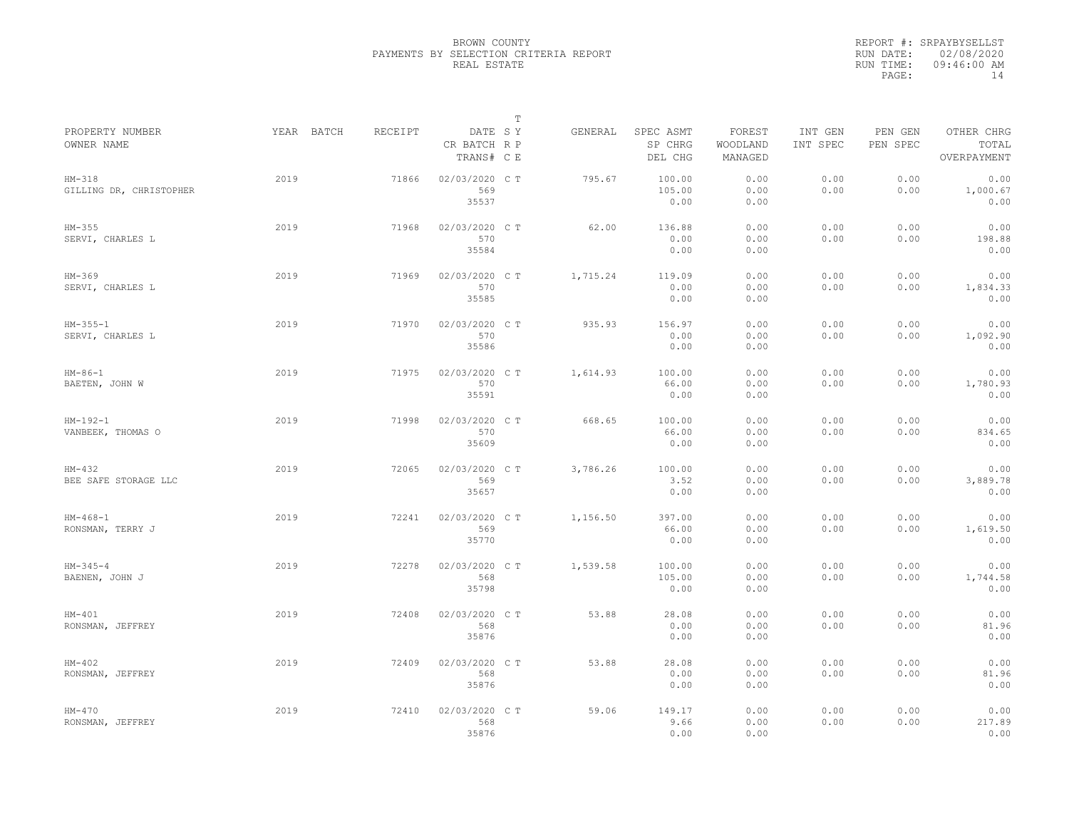|                                     |            |         |                                       | $\mathbb T$ |          |                                 |                               |                     |                     |                                    |
|-------------------------------------|------------|---------|---------------------------------------|-------------|----------|---------------------------------|-------------------------------|---------------------|---------------------|------------------------------------|
| PROPERTY NUMBER<br>OWNER NAME       | YEAR BATCH | RECEIPT | DATE SY<br>CR BATCH R P<br>TRANS# C E |             | GENERAL  | SPEC ASMT<br>SP CHRG<br>DEL CHG | FOREST<br>WOODLAND<br>MANAGED | INT GEN<br>INT SPEC | PEN GEN<br>PEN SPEC | OTHER CHRG<br>TOTAL<br>OVERPAYMENT |
| $HM-318$<br>GILLING DR, CHRISTOPHER | 2019       | 71866   | 02/03/2020 CT<br>569<br>35537         |             | 795.67   | 100.00<br>105.00<br>0.00        | 0.00<br>0.00<br>0.00          | 0.00<br>0.00        | 0.00<br>0.00        | 0.00<br>1,000.67<br>0.00           |
| $HM-355$<br>SERVI, CHARLES L        | 2019       | 71968   | 02/03/2020 C T<br>570<br>35584        |             | 62.00    | 136.88<br>0.00<br>0.00          | 0.00<br>0.00<br>0.00          | 0.00<br>0.00        | 0.00<br>0.00        | 0.00<br>198.88<br>0.00             |
| $HM-369$<br>SERVI, CHARLES L        | 2019       | 71969   | 02/03/2020 C T<br>570<br>35585        |             | 1,715.24 | 119.09<br>0.00<br>0.00          | 0.00<br>0.00<br>0.00          | 0.00<br>0.00        | 0.00<br>0.00        | 0.00<br>1,834.33<br>0.00           |
| $HM-355-1$<br>SERVI, CHARLES L      | 2019       | 71970   | 02/03/2020 C T<br>570<br>35586        |             | 935.93   | 156.97<br>0.00<br>0.00          | 0.00<br>0.00<br>0.00          | 0.00<br>0.00        | 0.00<br>0.00        | 0.00<br>1,092.90<br>0.00           |
| $HM-86-1$<br>BAETEN, JOHN W         | 2019       | 71975   | 02/03/2020 C T<br>570<br>35591        |             | 1,614.93 | 100.00<br>66.00<br>0.00         | 0.00<br>0.00<br>0.00          | 0.00<br>0.00        | 0.00<br>0.00        | 0.00<br>1,780.93<br>0.00           |
| $HM-192-1$<br>VANBEEK, THOMAS O     | 2019       | 71998   | 02/03/2020 CT<br>570<br>35609         |             | 668.65   | 100.00<br>66.00<br>0.00         | 0.00<br>0.00<br>0.00          | 0.00<br>0.00        | 0.00<br>0.00        | 0.00<br>834.65<br>0.00             |
| $HM-432$<br>BEE SAFE STORAGE LLC    | 2019       | 72065   | 02/03/2020 C T<br>569<br>35657        |             | 3,786.26 | 100.00<br>3.52<br>0.00          | 0.00<br>0.00<br>0.00          | 0.00<br>0.00        | 0.00<br>0.00        | 0.00<br>3,889.78<br>0.00           |
| $HM-468-1$<br>RONSMAN, TERRY J      | 2019       | 72241   | 02/03/2020 C T<br>569<br>35770        |             | 1,156.50 | 397.00<br>66.00<br>0.00         | 0.00<br>0.00<br>0.00          | 0.00<br>0.00        | 0.00<br>0.00        | 0.00<br>1,619.50<br>0.00           |
| $HM-345-4$<br>BAENEN, JOHN J        | 2019       | 72278   | 02/03/2020 CT<br>568<br>35798         |             | 1,539.58 | 100.00<br>105.00<br>0.00        | 0.00<br>0.00<br>0.00          | 0.00<br>0.00        | 0.00<br>0.00        | 0.00<br>1,744.58<br>0.00           |
| $HM-401$<br>RONSMAN, JEFFREY        | 2019       | 72408   | 02/03/2020 CT<br>568<br>35876         |             | 53.88    | 28.08<br>0.00<br>0.00           | 0.00<br>0.00<br>0.00          | 0.00<br>0.00        | 0.00<br>0.00        | 0.00<br>81.96<br>0.00              |
| $HM-402$<br>RONSMAN, JEFFREY        | 2019       | 72409   | 02/03/2020 C T<br>568<br>35876        |             | 53.88    | 28.08<br>0.00<br>0.00           | 0.00<br>0.00<br>0.00          | 0.00<br>0.00        | 0.00<br>0.00        | 0.00<br>81.96<br>0.00              |
| $HM-470$<br>RONSMAN, JEFFREY        | 2019       | 72410   | 02/03/2020 CT<br>568<br>35876         |             | 59.06    | 149.17<br>9.66<br>0.00          | 0.00<br>0.00<br>0.00          | 0.00<br>0.00        | 0.00<br>0.00        | 0.00<br>217.89<br>0.00             |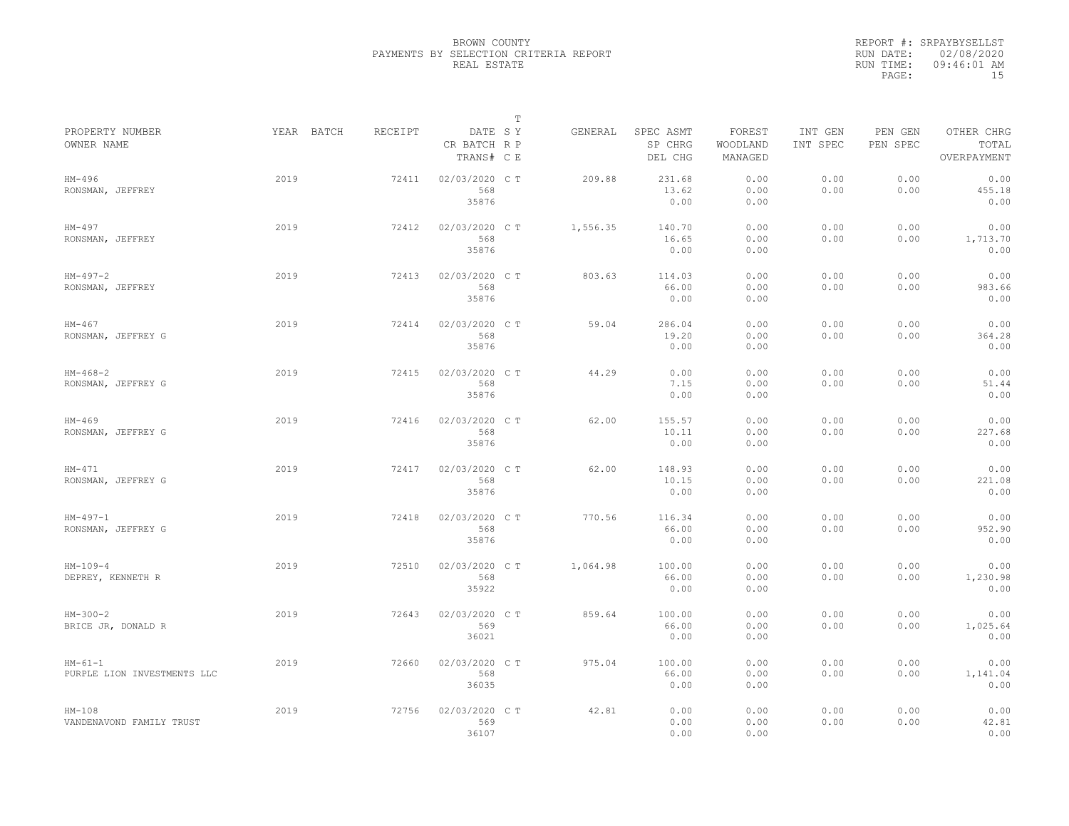|                                          |            |         |                                       | $\mathbb T$ |          |                                 |                               |                     |                     |                                    |
|------------------------------------------|------------|---------|---------------------------------------|-------------|----------|---------------------------------|-------------------------------|---------------------|---------------------|------------------------------------|
| PROPERTY NUMBER<br>OWNER NAME            | YEAR BATCH | RECEIPT | DATE SY<br>CR BATCH R P<br>TRANS# C E |             | GENERAL  | SPEC ASMT<br>SP CHRG<br>DEL CHG | FOREST<br>WOODLAND<br>MANAGED | INT GEN<br>INT SPEC | PEN GEN<br>PEN SPEC | OTHER CHRG<br>TOTAL<br>OVERPAYMENT |
| HM-496<br>RONSMAN, JEFFREY               | 2019       | 72411   | 02/03/2020 C T<br>568<br>35876        |             | 209.88   | 231.68<br>13.62<br>0.00         | 0.00<br>0.00<br>0.00          | 0.00<br>0.00        | 0.00<br>0.00        | 0.00<br>455.18<br>0.00             |
| HM-497<br>RONSMAN, JEFFREY               | 2019       | 72412   | 02/03/2020 C T<br>568<br>35876        |             | 1,556.35 | 140.70<br>16.65<br>0.00         | 0.00<br>0.00<br>0.00          | 0.00<br>0.00        | 0.00<br>0.00        | 0.00<br>1,713.70<br>0.00           |
| $HM-497-2$<br>RONSMAN, JEFFREY           | 2019       | 72413   | 02/03/2020 C T<br>568<br>35876        |             | 803.63   | 114.03<br>66.00<br>0.00         | 0.00<br>0.00<br>0.00          | 0.00<br>0.00        | 0.00<br>0.00        | 0.00<br>983.66<br>0.00             |
| $HM-467$<br>RONSMAN, JEFFREY G           | 2019       | 72414   | 02/03/2020 CT<br>568<br>35876         |             | 59.04    | 286.04<br>19.20<br>0.00         | 0.00<br>0.00<br>0.00          | 0.00<br>0.00        | 0.00<br>0.00        | 0.00<br>364.28<br>0.00             |
| $HM-468-2$<br>RONSMAN, JEFFREY G         | 2019       | 72415   | 02/03/2020 CT<br>568<br>35876         |             | 44.29    | 0.00<br>7.15<br>0.00            | 0.00<br>0.00<br>0.00          | 0.00<br>0.00        | 0.00<br>0.00        | 0.00<br>51.44<br>0.00              |
| $HM-469$<br>RONSMAN, JEFFREY G           | 2019       | 72416   | 02/03/2020 CT<br>568<br>35876         |             | 62.00    | 155.57<br>10.11<br>0.00         | 0.00<br>0.00<br>0.00          | 0.00<br>0.00        | 0.00<br>0.00        | 0.00<br>227.68<br>0.00             |
| $HM-471$<br>RONSMAN, JEFFREY G           | 2019       | 72417   | 02/03/2020 C T<br>568<br>35876        |             | 62.00    | 148.93<br>10.15<br>0.00         | 0.00<br>0.00<br>0.00          | 0.00<br>0.00        | 0.00<br>0.00        | 0.00<br>221.08<br>0.00             |
| $HM-497-1$<br>RONSMAN, JEFFREY G         | 2019       | 72418   | 02/03/2020 C T<br>568<br>35876        |             | 770.56   | 116.34<br>66.00<br>0.00         | 0.00<br>0.00<br>0.00          | 0.00<br>0.00        | 0.00<br>0.00        | 0.00<br>952.90<br>0.00             |
| $HM-109-4$<br>DEPREY, KENNETH R          | 2019       | 72510   | 02/03/2020 C T<br>568<br>35922        |             | 1,064.98 | 100.00<br>66.00<br>0.00         | 0.00<br>0.00<br>0.00          | 0.00<br>0.00        | 0.00<br>0.00        | 0.00<br>1,230.98<br>0.00           |
| $HM-300-2$<br>BRICE JR, DONALD R         | 2019       | 72643   | 02/03/2020 CT<br>569<br>36021         |             | 859.64   | 100.00<br>66.00<br>0.00         | 0.00<br>0.00<br>0.00          | 0.00<br>0.00        | 0.00<br>0.00        | 0.00<br>1,025.64<br>0.00           |
| $HM-61-1$<br>PURPLE LION INVESTMENTS LLC | 2019       | 72660   | 02/03/2020 C T<br>568<br>36035        |             | 975.04   | 100.00<br>66.00<br>0.00         | 0.00<br>0.00<br>0.00          | 0.00<br>0.00        | 0.00<br>0.00        | 0.00<br>1,141.04<br>0.00           |
| $HM-108$<br>VANDENAVOND FAMILY TRUST     | 2019       | 72756   | 02/03/2020 CT<br>569<br>36107         |             | 42.81    | 0.00<br>0.00<br>0.00            | 0.00<br>0.00<br>0.00          | 0.00<br>0.00        | 0.00<br>0.00        | 0.00<br>42.81<br>0.00              |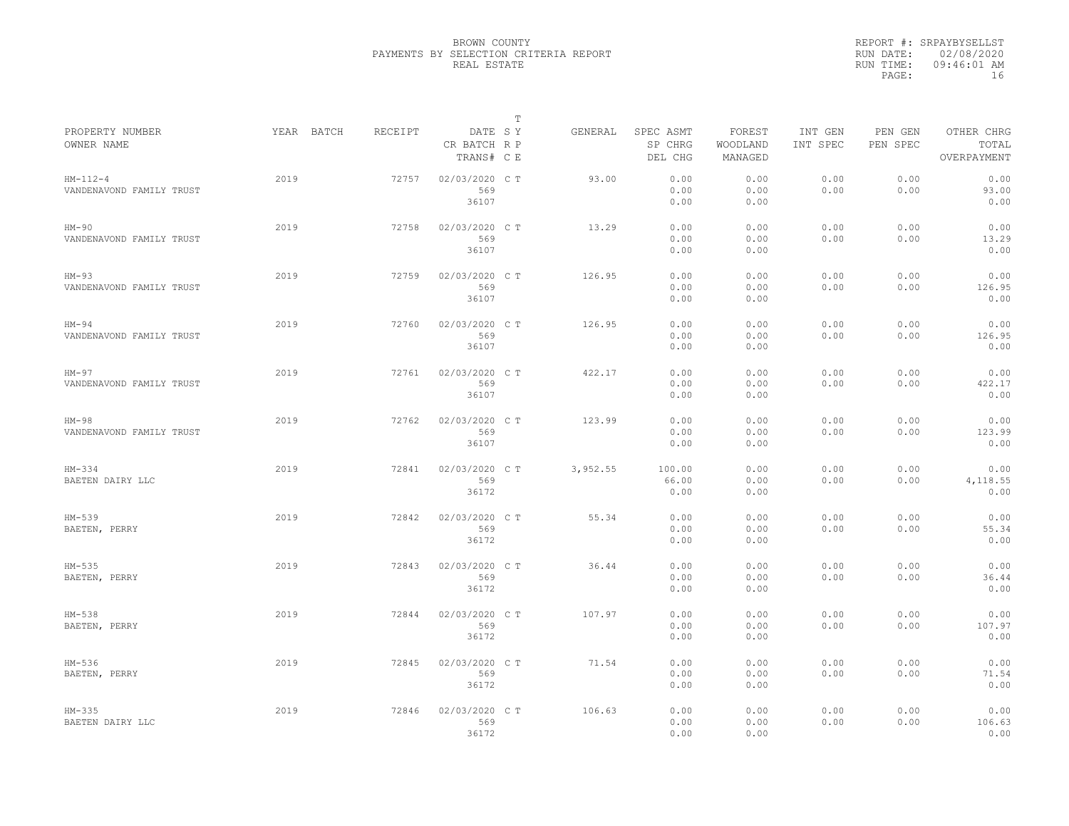|                                        |            |         |                                       | $\mathbb T$ |          |                                 |                               |                     |                     |                                    |
|----------------------------------------|------------|---------|---------------------------------------|-------------|----------|---------------------------------|-------------------------------|---------------------|---------------------|------------------------------------|
| PROPERTY NUMBER<br>OWNER NAME          | YEAR BATCH | RECEIPT | DATE SY<br>CR BATCH R P<br>TRANS# C E |             | GENERAL  | SPEC ASMT<br>SP CHRG<br>DEL CHG | FOREST<br>WOODLAND<br>MANAGED | INT GEN<br>INT SPEC | PEN GEN<br>PEN SPEC | OTHER CHRG<br>TOTAL<br>OVERPAYMENT |
| $HM-112-4$<br>VANDENAVOND FAMILY TRUST | 2019       | 72757   | 02/03/2020 CT<br>569<br>36107         |             | 93.00    | 0.00<br>0.00<br>0.00            | 0.00<br>0.00<br>0.00          | 0.00<br>0.00        | 0.00<br>0.00        | 0.00<br>93.00<br>0.00              |
| HM-90<br>VANDENAVOND FAMILY TRUST      | 2019       | 72758   | 02/03/2020 C T<br>569<br>36107        |             | 13.29    | 0.00<br>0.00<br>0.00            | 0.00<br>0.00<br>0.00          | 0.00<br>0.00        | 0.00<br>0.00        | 0.00<br>13.29<br>0.00              |
| $HM-93$<br>VANDENAVOND FAMILY TRUST    | 2019       | 72759   | 02/03/2020 C T<br>569<br>36107        |             | 126.95   | 0.00<br>0.00<br>0.00            | 0.00<br>0.00<br>0.00          | 0.00<br>0.00        | 0.00<br>0.00        | 0.00<br>126.95<br>0.00             |
| $HM-94$<br>VANDENAVOND FAMILY TRUST    | 2019       | 72760   | 02/03/2020 C T<br>569<br>36107        |             | 126.95   | 0.00<br>0.00<br>0.00            | 0.00<br>0.00<br>0.00          | 0.00<br>0.00        | 0.00<br>0.00        | 0.00<br>126.95<br>0.00             |
| HM-97<br>VANDENAVOND FAMILY TRUST      | 2019       | 72761   | 02/03/2020 C T<br>569<br>36107        |             | 422.17   | 0.00<br>0.00<br>0.00            | 0.00<br>0.00<br>0.00          | 0.00<br>0.00        | 0.00<br>0.00        | 0.00<br>422.17<br>0.00             |
| $HM-98$<br>VANDENAVOND FAMILY TRUST    | 2019       | 72762   | 02/03/2020 C T<br>569<br>36107        |             | 123.99   | 0.00<br>0.00<br>0.00            | 0.00<br>0.00<br>0.00          | 0.00<br>0.00        | 0.00<br>0.00        | 0.00<br>123.99<br>0.00             |
| $HM-334$<br>BAETEN DAIRY LLC           | 2019       | 72841   | 02/03/2020 C T<br>569<br>36172        |             | 3,952.55 | 100.00<br>66.00<br>0.00         | 0.00<br>0.00<br>0.00          | 0.00<br>0.00        | 0.00<br>0.00        | 0.00<br>4,118.55<br>0.00           |
| $HM-539$<br>BAETEN, PERRY              | 2019       | 72842   | 02/03/2020 C T<br>569<br>36172        |             | 55.34    | 0.00<br>0.00<br>0.00            | 0.00<br>0.00<br>0.00          | 0.00<br>0.00        | 0.00<br>0.00        | 0.00<br>55.34<br>0.00              |
| $HM-535$<br>BAETEN, PERRY              | 2019       | 72843   | 02/03/2020 C T<br>569<br>36172        |             | 36.44    | 0.00<br>0.00<br>0.00            | 0.00<br>0.00<br>0.00          | 0.00<br>0.00        | 0.00<br>0.00        | 0.00<br>36.44<br>0.00              |
| HM-538<br>BAETEN, PERRY                | 2019       | 72844   | 02/03/2020 C T<br>569<br>36172        |             | 107.97   | 0.00<br>0.00<br>0.00            | 0.00<br>0.00<br>0.00          | 0.00<br>0.00        | 0.00<br>0.00        | 0.00<br>107.97<br>0.00             |
| HM-536<br>BAETEN, PERRY                | 2019       | 72845   | 02/03/2020 C T<br>569<br>36172        |             | 71.54    | 0.00<br>0.00<br>0.00            | 0.00<br>0.00<br>0.00          | 0.00<br>0.00        | 0.00<br>0.00        | 0.00<br>71.54<br>0.00              |
| $HM-335$<br>BAETEN DAIRY LLC           | 2019       | 72846   | 02/03/2020 C T<br>569<br>36172        |             | 106.63   | 0.00<br>0.00<br>0.00            | 0.00<br>0.00<br>0.00          | 0.00<br>0.00        | 0.00<br>0.00        | 0.00<br>106.63<br>0.00             |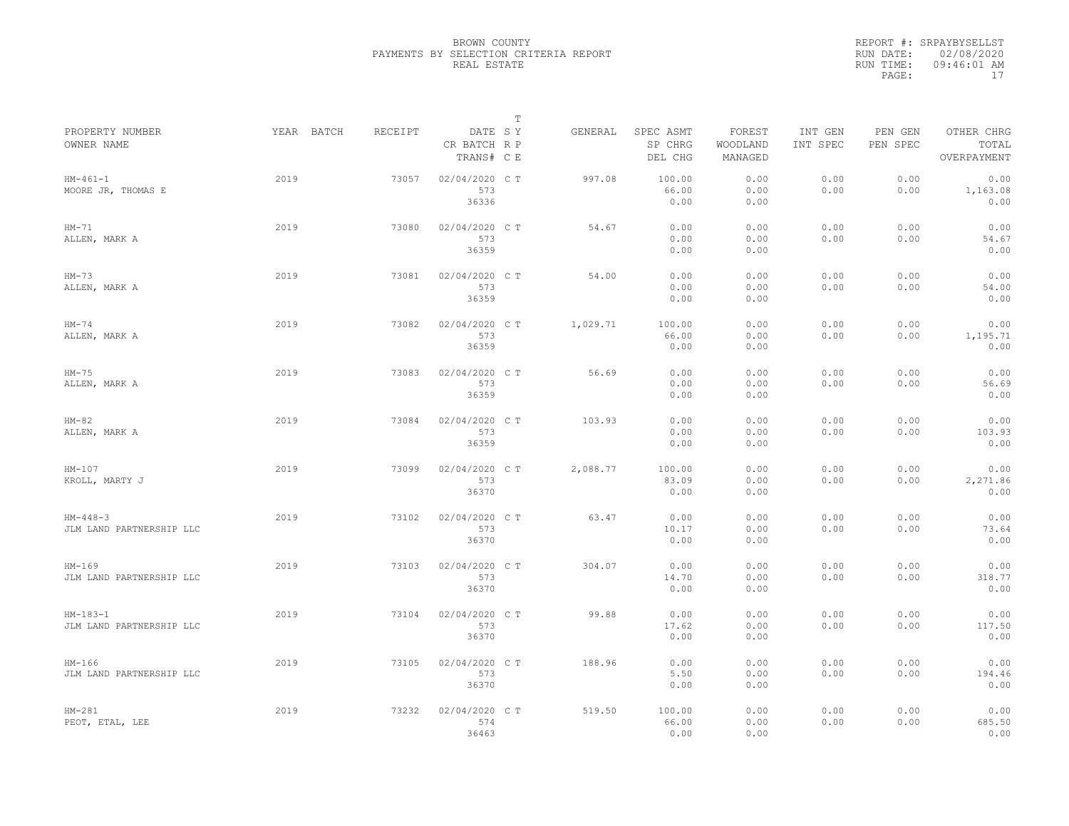|                                        |            |         |                                       | $\mathbb T$ |          |                                 |                               |                     |                     |                                    |
|----------------------------------------|------------|---------|---------------------------------------|-------------|----------|---------------------------------|-------------------------------|---------------------|---------------------|------------------------------------|
| PROPERTY NUMBER<br>OWNER NAME          | YEAR BATCH | RECEIPT | DATE SY<br>CR BATCH R P<br>TRANS# C E |             | GENERAL  | SPEC ASMT<br>SP CHRG<br>DEL CHG | FOREST<br>WOODLAND<br>MANAGED | INT GEN<br>INT SPEC | PEN GEN<br>PEN SPEC | OTHER CHRG<br>TOTAL<br>OVERPAYMENT |
| $HM-461-1$<br>MOORE JR, THOMAS E       | 2019       | 73057   | 02/04/2020 C T<br>573<br>36336        |             | 997.08   | 100.00<br>66.00<br>0.00         | 0.00<br>0.00<br>0.00          | 0.00<br>0.00        | 0.00<br>0.00        | 0.00<br>1,163.08<br>0.00           |
| $HM-71$<br>ALLEN, MARK A               | 2019       | 73080   | 02/04/2020 C T<br>573<br>36359        |             | 54.67    | 0.00<br>0.00<br>0.00            | 0.00<br>0.00<br>0.00          | 0.00<br>0.00        | 0.00<br>0.00        | 0.00<br>54.67<br>0.00              |
| $HM-73$<br>ALLEN, MARK A               | 2019       | 73081   | 02/04/2020 C T<br>573<br>36359        |             | 54.00    | 0.00<br>0.00<br>0.00            | 0.00<br>0.00<br>0.00          | 0.00<br>0.00        | 0.00<br>0.00        | 0.00<br>54.00<br>0.00              |
| $HM-74$<br>ALLEN, MARK A               | 2019       | 73082   | 02/04/2020 C T<br>573<br>36359        |             | 1,029.71 | 100.00<br>66.00<br>0.00         | 0.00<br>0.00<br>0.00          | 0.00<br>0.00        | 0.00<br>0.00        | 0.00<br>1,195.71<br>0.00           |
| $HM-75$<br>ALLEN, MARK A               | 2019       | 73083   | 02/04/2020 C T<br>573<br>36359        |             | 56.69    | 0.00<br>0.00<br>0.00            | 0.00<br>0.00<br>0.00          | 0.00<br>0.00        | 0.00<br>0.00        | 0.00<br>56.69<br>0.00              |
| $HM-82$<br>ALLEN, MARK A               | 2019       | 73084   | 02/04/2020 CT<br>573<br>36359         |             | 103.93   | 0.00<br>0.00<br>0.00            | 0.00<br>0.00<br>0.00          | 0.00<br>0.00        | 0.00<br>0.00        | 0.00<br>103.93<br>0.00             |
| $HM-107$<br>KROLL, MARTY J             | 2019       | 73099   | 02/04/2020 C T<br>573<br>36370        |             | 2,088.77 | 100.00<br>83.09<br>0.00         | 0.00<br>0.00<br>0.00          | 0.00<br>0.00        | 0.00<br>0.00        | 0.00<br>2,271.86<br>0.00           |
| $HM-448-3$<br>JLM LAND PARTNERSHIP LLC | 2019       | 73102   | 02/04/2020 C T<br>573<br>36370        |             | 63.47    | 0.00<br>10.17<br>0.00           | 0.00<br>0.00<br>0.00          | 0.00<br>0.00        | 0.00<br>0.00        | 0.00<br>73.64<br>0.00              |
| $HM-169$<br>JLM LAND PARTNERSHIP LLC   | 2019       | 73103   | 02/04/2020 CT<br>573<br>36370         |             | 304.07   | 0.00<br>14.70<br>0.00           | 0.00<br>0.00<br>0.00          | 0.00<br>0.00        | 0.00<br>0.00        | 0.00<br>318.77<br>0.00             |
| $HM-183-1$<br>JLM LAND PARTNERSHIP LLC | 2019       | 73104   | 02/04/2020 CT<br>573<br>36370         |             | 99.88    | 0.00<br>17.62<br>0.00           | 0.00<br>0.00<br>0.00          | 0.00<br>0.00        | 0.00<br>0.00        | 0.00<br>117.50<br>0.00             |
| $HM-166$<br>JLM LAND PARTNERSHIP LLC   | 2019       | 73105   | 02/04/2020 C T<br>573<br>36370        |             | 188.96   | 0.00<br>5.50<br>0.00            | 0.00<br>0.00<br>0.00          | 0.00<br>0.00        | 0.00<br>0.00        | 0.00<br>194.46<br>0.00             |
| $HM-281$<br>PEOT, ETAL, LEE            | 2019       | 73232   | 02/04/2020 CT<br>574<br>36463         |             | 519.50   | 100.00<br>66.00<br>0.00         | 0.00<br>0.00<br>0.00          | 0.00<br>0.00        | 0.00<br>0.00        | 0.00<br>685.50<br>0.00             |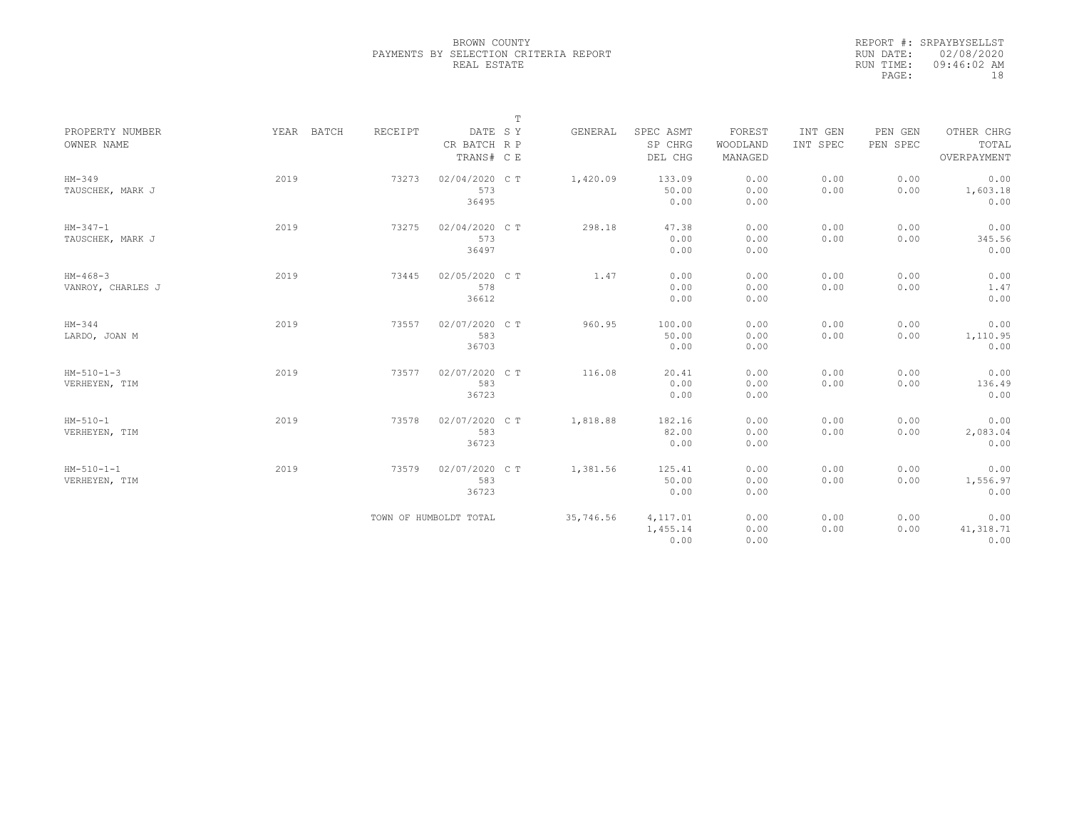|           | REPORT #: SRPAYBYSELLST |
|-----------|-------------------------|
|           | RUN DATE: 02/08/2020    |
| RUN TIME: | $09:46:02$ AM           |
| PAGE:     | 18                      |

|                               |            |         |                         | Т |           |                      |                    |                     |                     |                     |
|-------------------------------|------------|---------|-------------------------|---|-----------|----------------------|--------------------|---------------------|---------------------|---------------------|
| PROPERTY NUMBER<br>OWNER NAME | YEAR BATCH | RECEIPT | DATE SY<br>CR BATCH R P |   | GENERAL   | SPEC ASMT<br>SP CHRG | FOREST<br>WOODLAND | INT GEN<br>INT SPEC | PEN GEN<br>PEN SPEC | OTHER CHRG<br>TOTAL |
|                               |            |         | TRANS# C E              |   |           | DEL CHG              | MANAGED            |                     |                     | OVERPAYMENT         |
| $HM-349$<br>TAUSCHEK, MARK J  | 2019       | 73273   | 02/04/2020 CT<br>573    |   | 1,420.09  | 133.09<br>50.00      | 0.00<br>0.00       | 0.00<br>0.00        | 0.00<br>0.00        | 0.00<br>1,603.18    |
|                               |            |         | 36495                   |   |           | 0.00                 | 0.00               |                     |                     | 0.00                |
| $HM-347-1$                    | 2019       | 73275   | 02/04/2020 C T          |   | 298.18    | 47.38                | 0.00               | 0.00                | 0.00                | 0.00                |
| TAUSCHEK, MARK J              |            |         | 573<br>36497            |   |           | 0.00<br>0.00         | 0.00<br>0.00       | 0.00                | 0.00                | 345.56<br>0.00      |
| $HM-468-3$                    | 2019       | 73445   | 02/05/2020 C T          |   | 1.47      | 0.00                 | 0.00               | 0.00                | 0.00                | 0.00                |
| VANROY, CHARLES J             |            |         | 578<br>36612            |   |           | 0.00<br>0.00         | 0.00<br>0.00       | 0.00                | 0.00                | 1.47<br>0.00        |
| $HM-344$                      | 2019       | 73557   | 02/07/2020 CT           |   | 960.95    | 100.00               | 0.00               | 0.00                | 0.00                | 0.00                |
| LARDO, JOAN M                 |            |         | 583<br>36703            |   |           | 50.00<br>0.00        | 0.00<br>0.00       | 0.00                | 0.00                | 1,110.95<br>0.00    |
| $HM-510-1-3$                  | 2019       | 73577   | 02/07/2020 C T          |   | 116.08    | 20.41                | 0.00               | 0.00                | 0.00                | 0.00                |
| VERHEYEN, TIM                 |            |         | 583<br>36723            |   |           | 0.00<br>0.00         | 0.00<br>0.00       | 0.00                | 0.00                | 136.49<br>0.00      |
| $HM-510-1$                    | 2019       | 73578   | 02/07/2020 C T          |   | 1,818.88  | 182.16               | 0.00               | 0.00                | 0.00                | 0.00                |
| VERHEYEN, TIM                 |            |         | 583<br>36723            |   |           | 82.00<br>0.00        | 0.00<br>0.00       | 0.00                | 0.00                | 2,083.04<br>0.00    |
| $HM-510-1-1$                  | 2019       | 73579   | 02/07/2020 C T          |   | 1,381.56  | 125.41               | 0.00               | 0.00                | 0.00                | 0.00                |
| VERHEYEN, TIM                 |            |         | 583<br>36723            |   |           | 50.00<br>0.00        | 0.00<br>0.00       | 0.00                | 0.00                | 1,556.97<br>0.00    |
|                               |            |         | TOWN OF HUMBOLDT TOTAL  |   | 35,746.56 | 4,117.01             | 0.00               | 0.00                | 0.00                | 0.00                |
|                               |            |         |                         |   |           | 1,455.14<br>0.00     | 0.00<br>0.00       | 0.00                | 0.00                | 41,318.71<br>0.00   |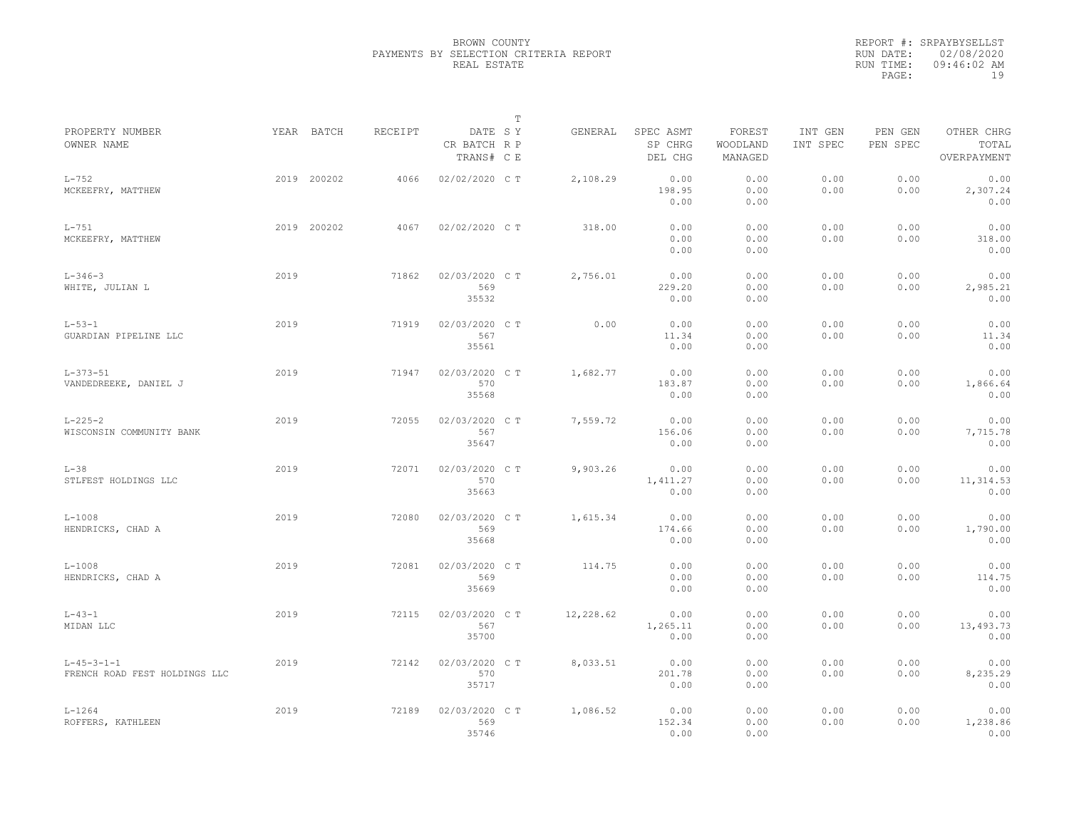|                                                       |      |             |         |                                       | $\mathbb{T}$ |           |                                 |                               |                     |                     |                                    |
|-------------------------------------------------------|------|-------------|---------|---------------------------------------|--------------|-----------|---------------------------------|-------------------------------|---------------------|---------------------|------------------------------------|
| PROPERTY NUMBER<br>OWNER NAME                         |      | YEAR BATCH  | RECEIPT | DATE SY<br>CR BATCH R P<br>TRANS# C E |              | GENERAL   | SPEC ASMT<br>SP CHRG<br>DEL CHG | FOREST<br>WOODLAND<br>MANAGED | INT GEN<br>INT SPEC | PEN GEN<br>PEN SPEC | OTHER CHRG<br>TOTAL<br>OVERPAYMENT |
| $L-752$<br>MCKEEFRY, MATTHEW                          |      | 2019 200202 | 4066    | 02/02/2020 CT                         |              | 2,108.29  | 0.00<br>198.95<br>0.00          | 0.00<br>0.00<br>0.00          | 0.00<br>0.00        | 0.00<br>0.00        | 0.00<br>2,307.24<br>0.00           |
| $L-751$<br>MCKEEFRY, MATTHEW                          |      | 2019 200202 | 4067    | 02/02/2020 CT                         |              | 318.00    | 0.00<br>0.00<br>0.00            | 0.00<br>0.00<br>0.00          | 0.00<br>0.00        | 0.00<br>0.00        | 0.00<br>318.00<br>0.00             |
| $L - 346 - 3$<br>WHITE, JULIAN L                      | 2019 |             | 71862   | 02/03/2020 C T<br>569<br>35532        |              | 2,756.01  | 0.00<br>229.20<br>0.00          | 0.00<br>0.00<br>0.00          | 0.00<br>0.00        | 0.00<br>0.00        | 0.00<br>2,985.21<br>0.00           |
| $L - 53 - 1$<br>GUARDIAN PIPELINE LLC                 | 2019 |             | 71919   | 02/03/2020 C T<br>567<br>35561        |              | 0.00      | 0.00<br>11.34<br>0.00           | 0.00<br>0.00<br>0.00          | 0.00<br>0.00        | 0.00<br>0.00        | 0.00<br>11.34<br>0.00              |
| $L - 373 - 51$<br>VANDEDREEKE, DANIEL J               | 2019 |             | 71947   | 02/03/2020 C T<br>570<br>35568        |              | 1,682.77  | 0.00<br>183.87<br>0.00          | 0.00<br>0.00<br>0.00          | 0.00<br>0.00        | 0.00<br>0.00        | 0.00<br>1,866.64<br>0.00           |
| $L - 225 - 2$<br>WISCONSIN COMMUNITY BANK             | 2019 |             | 72055   | 02/03/2020 C T<br>567<br>35647        |              | 7,559.72  | 0.00<br>156.06<br>0.00          | 0.00<br>0.00<br>0.00          | 0.00<br>0.00        | 0.00<br>0.00        | 0.00<br>7,715.78<br>0.00           |
| $L-38$<br>STLFEST HOLDINGS LLC                        | 2019 |             | 72071   | 02/03/2020 C T<br>570<br>35663        |              | 9,903.26  | 0.00<br>1,411.27<br>0.00        | 0.00<br>0.00<br>0.00          | 0.00<br>0.00        | 0.00<br>0.00        | 0.00<br>11, 314.53<br>0.00         |
| $L-1008$<br>HENDRICKS, CHAD A                         | 2019 |             | 72080   | 02/03/2020 C T<br>569<br>35668        |              | 1,615.34  | 0.00<br>174.66<br>0.00          | 0.00<br>0.00<br>0.00          | 0.00<br>0.00        | 0.00<br>0.00        | 0.00<br>1,790.00<br>0.00           |
| $L-1008$<br>HENDRICKS, CHAD A                         | 2019 |             | 72081   | 02/03/2020 C T<br>569<br>35669        |              | 114.75    | 0.00<br>0.00<br>0.00            | 0.00<br>0.00<br>0.00          | 0.00<br>0.00        | 0.00<br>0.00        | 0.00<br>114.75<br>0.00             |
| $L - 43 - 1$<br>MIDAN LLC                             | 2019 |             | 72115   | 02/03/2020 C T<br>567<br>35700        |              | 12,228.62 | 0.00<br>1,265.11<br>0.00        | 0.00<br>0.00<br>0.00          | 0.00<br>0.00        | 0.00<br>0.00        | 0.00<br>13,493.73<br>0.00          |
| $L - 45 - 3 - 1 - 1$<br>FRENCH ROAD FEST HOLDINGS LLC | 2019 |             | 72142   | 02/03/2020 C T<br>570<br>35717        |              | 8,033.51  | 0.00<br>201.78<br>0.00          | 0.00<br>0.00<br>0.00          | 0.00<br>0.00        | 0.00<br>0.00        | 0.00<br>8,235.29<br>0.00           |
| $L - 1264$<br>ROFFERS, KATHLEEN                       | 2019 |             | 72189   | 02/03/2020 C T<br>569<br>35746        |              | 1,086.52  | 0.00<br>152.34<br>0.00          | 0.00<br>0.00<br>0.00          | 0.00<br>0.00        | 0.00<br>0.00        | 0.00<br>1,238.86<br>0.00           |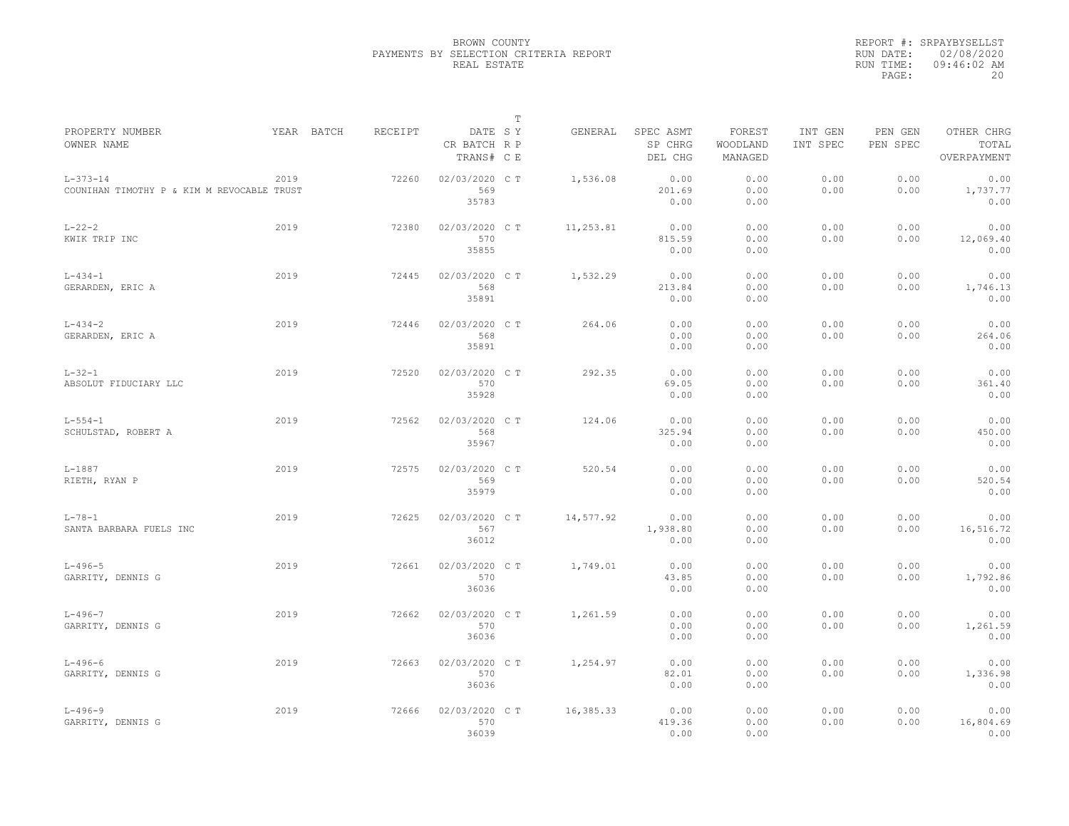|                                                              |      |            |         |                                       | $\mathbb T$ |           |                                 |                               |                     |                     |                                    |
|--------------------------------------------------------------|------|------------|---------|---------------------------------------|-------------|-----------|---------------------------------|-------------------------------|---------------------|---------------------|------------------------------------|
| PROPERTY NUMBER<br>OWNER NAME                                |      | YEAR BATCH | RECEIPT | DATE SY<br>CR BATCH R P<br>TRANS# C E |             | GENERAL   | SPEC ASMT<br>SP CHRG<br>DEL CHG | FOREST<br>WOODLAND<br>MANAGED | INT GEN<br>INT SPEC | PEN GEN<br>PEN SPEC | OTHER CHRG<br>TOTAL<br>OVERPAYMENT |
| $L - 373 - 14$<br>COUNIHAN TIMOTHY P & KIM M REVOCABLE TRUST | 2019 |            | 72260   | 02/03/2020 C T<br>569<br>35783        |             | 1,536.08  | 0.00<br>201.69<br>0.00          | 0.00<br>0.00<br>0.00          | 0.00<br>0.00        | 0.00<br>0.00        | 0.00<br>1,737.77<br>0.00           |
| $L - 22 - 2$<br>KWIK TRIP INC                                | 2019 |            | 72380   | 02/03/2020 C T<br>570<br>35855        |             | 11,253.81 | 0.00<br>815.59<br>0.00          | 0.00<br>0.00<br>0.00          | 0.00<br>0.00        | 0.00<br>0.00        | 0.00<br>12,069.40<br>0.00          |
| $L - 434 - 1$<br>GERARDEN, ERIC A                            | 2019 |            | 72445   | 02/03/2020 C T<br>568<br>35891        |             | 1,532.29  | 0.00<br>213.84<br>0.00          | 0.00<br>0.00<br>0.00          | 0.00<br>0.00        | 0.00<br>0.00        | 0.00<br>1,746.13<br>0.00           |
| $L - 434 - 2$<br>GERARDEN, ERIC A                            | 2019 |            | 72446   | 02/03/2020 C T<br>568<br>35891        |             | 264.06    | 0.00<br>0.00<br>0.00            | 0.00<br>0.00<br>0.00          | 0.00<br>0.00        | 0.00<br>0.00        | 0.00<br>264.06<br>0.00             |
| $L - 32 - 1$<br>ABSOLUT FIDUCIARY LLC                        | 2019 |            | 72520   | 02/03/2020 C T<br>570<br>35928        |             | 292.35    | 0.00<br>69.05<br>0.00           | 0.00<br>0.00<br>0.00          | 0.00<br>0.00        | 0.00<br>0.00        | 0.00<br>361.40<br>0.00             |
| $L - 554 - 1$<br>SCHULSTAD, ROBERT A                         | 2019 |            | 72562   | 02/03/2020 C T<br>568<br>35967        |             | 124.06    | 0.00<br>325.94<br>0.00          | 0.00<br>0.00<br>0.00          | 0.00<br>0.00        | 0.00<br>0.00        | 0.00<br>450.00<br>0.00             |
| $L - 1887$<br>RIETH, RYAN P                                  | 2019 |            | 72575   | 02/03/2020 CT<br>569<br>35979         |             | 520.54    | 0.00<br>0.00<br>0.00            | 0.00<br>0.00<br>0.00          | 0.00<br>0.00        | 0.00<br>0.00        | 0.00<br>520.54<br>0.00             |
| $L - 78 - 1$<br>SANTA BARBARA FUELS INC                      | 2019 |            | 72625   | 02/03/2020 CT<br>567<br>36012         |             | 14,577.92 | 0.00<br>1,938.80<br>0.00        | 0.00<br>0.00<br>0.00          | 0.00<br>0.00        | 0.00<br>0.00        | 0.00<br>16,516.72<br>0.00          |
| $L - 496 - 5$<br>GARRITY, DENNIS G                           | 2019 |            | 72661   | 02/03/2020 C T<br>570<br>36036        |             | 1,749.01  | 0.00<br>43.85<br>0.00           | 0.00<br>0.00<br>0.00          | 0.00<br>0.00        | 0.00<br>0.00        | 0.00<br>1,792.86<br>0.00           |
| $L - 496 - 7$<br>GARRITY, DENNIS G                           | 2019 |            | 72662   | 02/03/2020 CT<br>570<br>36036         |             | 1,261.59  | 0.00<br>0.00<br>0.00            | 0.00<br>0.00<br>0.00          | 0.00<br>0.00        | 0.00<br>0.00        | 0.00<br>1,261.59<br>0.00           |
| $L - 496 - 6$<br>GARRITY, DENNIS G                           | 2019 |            | 72663   | 02/03/2020 C T<br>570<br>36036        |             | 1,254.97  | 0.00<br>82.01<br>0.00           | 0.00<br>0.00<br>0.00          | 0.00<br>0.00        | 0.00<br>0.00        | 0.00<br>1,336.98<br>0.00           |
| $L - 496 - 9$<br>GARRITY, DENNIS G                           | 2019 |            | 72666   | 02/03/2020 C T<br>570<br>36039        |             | 16,385.33 | 0.00<br>419.36<br>0.00          | 0.00<br>0.00<br>0.00          | 0.00<br>0.00        | 0.00<br>0.00        | 0.00<br>16,804.69<br>0.00          |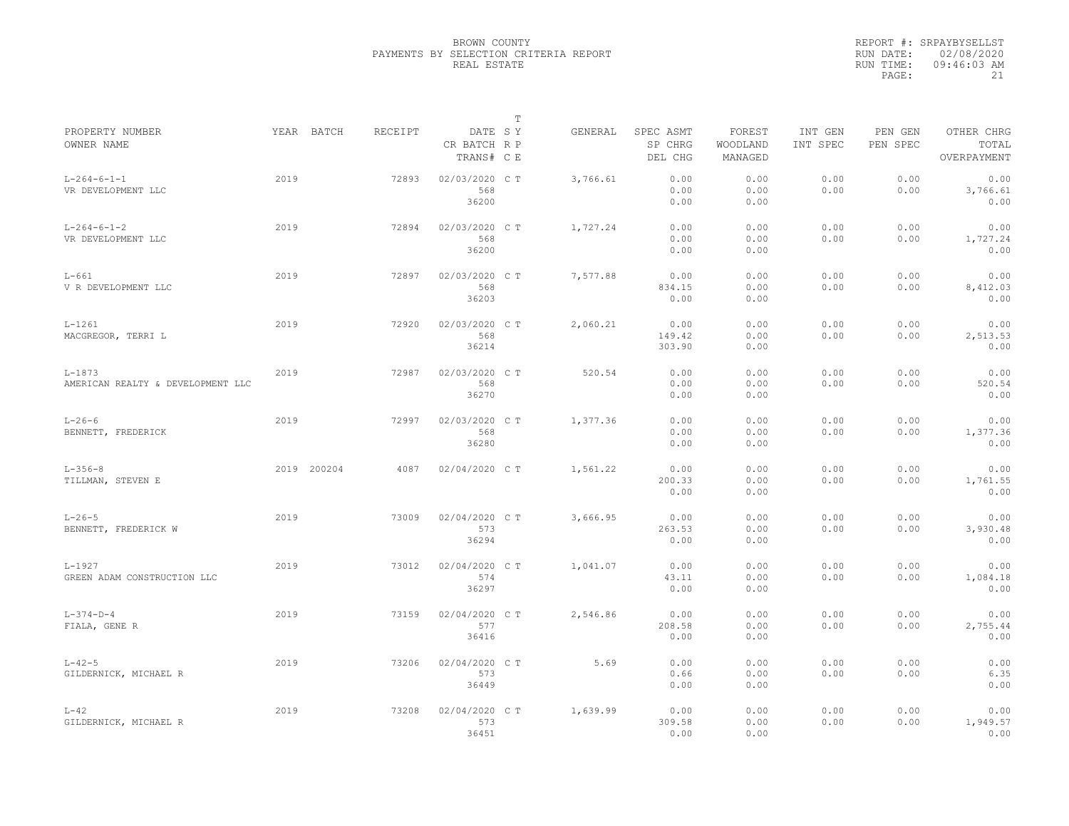|                                                 |      |             |         |                                       | T |          |                                 |                               |                     |                     |                                    |
|-------------------------------------------------|------|-------------|---------|---------------------------------------|---|----------|---------------------------------|-------------------------------|---------------------|---------------------|------------------------------------|
| PROPERTY NUMBER<br>OWNER NAME                   |      | YEAR BATCH  | RECEIPT | DATE SY<br>CR BATCH R P<br>TRANS# C E |   | GENERAL  | SPEC ASMT<br>SP CHRG<br>DEL CHG | FOREST<br>WOODLAND<br>MANAGED | INT GEN<br>INT SPEC | PEN GEN<br>PEN SPEC | OTHER CHRG<br>TOTAL<br>OVERPAYMENT |
| $L - 264 - 6 - 1 - 1$<br>VR DEVELOPMENT LLC     | 2019 |             | 72893   | 02/03/2020 CT<br>568<br>36200         |   | 3,766.61 | 0.00<br>0.00<br>0.00            | 0.00<br>0.00<br>0.00          | 0.00<br>0.00        | 0.00<br>0.00        | 0.00<br>3,766.61<br>0.00           |
| $L - 264 - 6 - 1 - 2$<br>VR DEVELOPMENT LLC     | 2019 |             | 72894   | 02/03/2020 C T<br>568<br>36200        |   | 1,727.24 | 0.00<br>0.00<br>0.00            | 0.00<br>0.00<br>0.00          | 0.00<br>0.00        | 0.00<br>0.00        | 0.00<br>1,727.24<br>0.00           |
| $L-661$<br>V R DEVELOPMENT LLC                  | 2019 |             | 72897   | 02/03/2020 C T<br>568<br>36203        |   | 7,577.88 | 0.00<br>834.15<br>0.00          | 0.00<br>0.00<br>0.00          | 0.00<br>0.00        | 0.00<br>0.00        | 0.00<br>8,412.03<br>0.00           |
| $L - 1261$<br>MACGREGOR, TERRI L                | 2019 |             | 72920   | 02/03/2020 C T<br>568<br>36214        |   | 2,060.21 | 0.00<br>149.42<br>303.90        | 0.00<br>0.00<br>0.00          | 0.00<br>0.00        | 0.00<br>0.00        | 0.00<br>2,513.53<br>0.00           |
| $L - 1873$<br>AMERICAN REALTY & DEVELOPMENT LLC | 2019 |             | 72987   | 02/03/2020 C T<br>568<br>36270        |   | 520.54   | 0.00<br>0.00<br>0.00            | 0.00<br>0.00<br>0.00          | 0.00<br>0.00        | 0.00<br>0.00        | 0.00<br>520.54<br>0.00             |
| $L - 26 - 6$<br>BENNETT, FREDERICK              | 2019 |             | 72997   | 02/03/2020 C T<br>568<br>36280        |   | 1,377.36 | 0.00<br>0.00<br>0.00            | 0.00<br>0.00<br>0.00          | 0.00<br>0.00        | 0.00<br>0.00        | 0.00<br>1,377.36<br>0.00           |
| $L - 356 - 8$<br>TILLMAN, STEVEN E              |      | 2019 200204 | 4087    | 02/04/2020 C T                        |   | 1,561.22 | 0.00<br>200.33<br>0.00          | 0.00<br>0.00<br>0.00          | 0.00<br>0.00        | 0.00<br>0.00        | 0.00<br>1,761.55<br>0.00           |
| $L - 26 - 5$<br>BENNETT, FREDERICK W            | 2019 |             | 73009   | 02/04/2020 C T<br>573<br>36294        |   | 3,666.95 | 0.00<br>263.53<br>0.00          | 0.00<br>0.00<br>0.00          | 0.00<br>0.00        | 0.00<br>0.00        | 0.00<br>3,930.48<br>0.00           |
| $L - 1927$<br>GREEN ADAM CONSTRUCTION LLC       | 2019 |             | 73012   | 02/04/2020 C T<br>574<br>36297        |   | 1,041.07 | 0.00<br>43.11<br>0.00           | 0.00<br>0.00<br>0.00          | 0.00<br>0.00        | 0.00<br>0.00        | 0.00<br>1,084.18<br>0.00           |
| $L - 374 - D - 4$<br>FIALA, GENE R              | 2019 |             | 73159   | 02/04/2020 C T<br>577<br>36416        |   | 2,546.86 | 0.00<br>208.58<br>0.00          | 0.00<br>0.00<br>0.00          | 0.00<br>0.00        | 0.00<br>0.00        | 0.00<br>2,755.44<br>0.00           |
| $L - 42 - 5$<br>GILDERNICK, MICHAEL R           | 2019 |             | 73206   | 02/04/2020 C T<br>573<br>36449        |   | 5.69     | 0.00<br>0.66<br>0.00            | 0.00<br>0.00<br>0.00          | 0.00<br>0.00        | 0.00<br>0.00        | 0.00<br>6.35<br>0.00               |
| $L-42$<br>GILDERNICK, MICHAEL R                 | 2019 |             | 73208   | 02/04/2020 C T<br>573<br>36451        |   | 1,639.99 | 0.00<br>309.58<br>0.00          | 0.00<br>0.00<br>0.00          | 0.00<br>0.00        | 0.00<br>0.00        | 0.00<br>1,949.57<br>0.00           |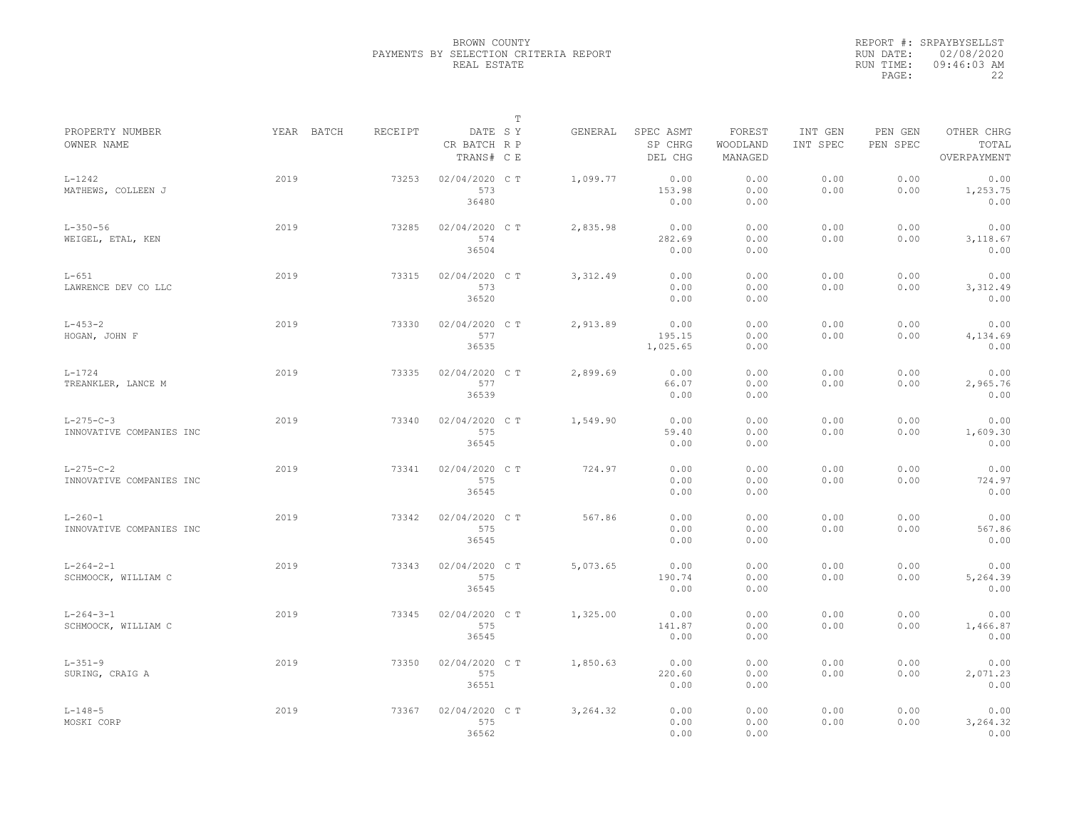|                                               |            |         |                                       | $\mathbb T$ |           |                                 |                               |                     |                     |                                    |
|-----------------------------------------------|------------|---------|---------------------------------------|-------------|-----------|---------------------------------|-------------------------------|---------------------|---------------------|------------------------------------|
| PROPERTY NUMBER<br>OWNER NAME                 | YEAR BATCH | RECEIPT | DATE SY<br>CR BATCH R P<br>TRANS# C E |             | GENERAL   | SPEC ASMT<br>SP CHRG<br>DEL CHG | FOREST<br>WOODLAND<br>MANAGED | INT GEN<br>INT SPEC | PEN GEN<br>PEN SPEC | OTHER CHRG<br>TOTAL<br>OVERPAYMENT |
| $L - 1242$<br>MATHEWS, COLLEEN J              | 2019       | 73253   | 02/04/2020 CT<br>573<br>36480         |             | 1,099.77  | 0.00<br>153.98<br>0.00          | 0.00<br>0.00<br>0.00          | 0.00<br>0.00        | 0.00<br>0.00        | 0.00<br>1,253.75<br>0.00           |
| $L - 350 - 56$<br>WEIGEL, ETAL, KEN           | 2019       | 73285   | 02/04/2020 C T<br>574<br>36504        |             | 2,835.98  | 0.00<br>282.69<br>0.00          | 0.00<br>0.00<br>0.00          | 0.00<br>0.00        | 0.00<br>0.00        | 0.00<br>3,118.67<br>0.00           |
| $L-651$<br>LAWRENCE DEV CO LLC                | 2019       | 73315   | 02/04/2020 C T<br>573<br>36520        |             | 3, 312.49 | 0.00<br>0.00<br>0.00            | 0.00<br>0.00<br>0.00          | 0.00<br>0.00        | 0.00<br>0.00        | 0.00<br>3,312.49<br>0.00           |
| $L - 453 - 2$<br>HOGAN, JOHN F                | 2019       | 73330   | 02/04/2020 C T<br>577<br>36535        |             | 2,913.89  | 0.00<br>195.15<br>1,025.65      | 0.00<br>0.00<br>0.00          | 0.00<br>0.00        | 0.00<br>0.00        | 0.00<br>4,134.69<br>0.00           |
| $L - 1724$<br>TREANKLER, LANCE M              | 2019       | 73335   | 02/04/2020 C T<br>577<br>36539        |             | 2,899.69  | 0.00<br>66.07<br>0.00           | 0.00<br>0.00<br>0.00          | 0.00<br>0.00        | 0.00<br>0.00        | 0.00<br>2,965.76<br>0.00           |
| $L - 275 - C - 3$<br>INNOVATIVE COMPANIES INC | 2019       | 73340   | 02/04/2020 CT<br>575<br>36545         |             | 1,549.90  | 0.00<br>59.40<br>0.00           | 0.00<br>0.00<br>0.00          | 0.00<br>0.00        | 0.00<br>0.00        | 0.00<br>1,609.30<br>0.00           |
| $L - 275 - C - 2$<br>INNOVATIVE COMPANIES INC | 2019       | 73341   | 02/04/2020 C T<br>575<br>36545        |             | 724.97    | 0.00<br>0.00<br>0.00            | 0.00<br>0.00<br>0.00          | 0.00<br>0.00        | 0.00<br>0.00        | 0.00<br>724.97<br>0.00             |
| $L - 260 - 1$<br>INNOVATIVE COMPANIES INC     | 2019       | 73342   | 02/04/2020 C T<br>575<br>36545        |             | 567.86    | 0.00<br>0.00<br>0.00            | 0.00<br>0.00<br>0.00          | 0.00<br>0.00        | 0.00<br>0.00        | 0.00<br>567.86<br>0.00             |
| $L - 264 - 2 - 1$<br>SCHMOOCK, WILLIAM C      | 2019       | 73343   | 02/04/2020 CT<br>575<br>36545         |             | 5,073.65  | 0.00<br>190.74<br>0.00          | 0.00<br>0.00<br>0.00          | 0.00<br>0.00        | 0.00<br>0.00        | 0.00<br>5,264.39<br>0.00           |
| $L - 264 - 3 - 1$<br>SCHMOOCK, WILLIAM C      | 2019       | 73345   | 02/04/2020 C T<br>575<br>36545        |             | 1,325.00  | 0.00<br>141.87<br>0.00          | 0.00<br>0.00<br>0.00          | 0.00<br>0.00        | 0.00<br>0.00        | 0.00<br>1,466.87<br>0.00           |
| $L - 351 - 9$<br>SURING, CRAIG A              | 2019       | 73350   | 02/04/2020 C T<br>575<br>36551        |             | 1,850.63  | 0.00<br>220.60<br>0.00          | 0.00<br>0.00<br>0.00          | 0.00<br>0.00        | 0.00<br>0.00        | 0.00<br>2,071.23<br>0.00           |
| $L - 148 - 5$<br>MOSKI CORP                   | 2019       | 73367   | 02/04/2020 C T<br>575<br>36562        |             | 3,264.32  | 0.00<br>0.00<br>0.00            | 0.00<br>0.00<br>0.00          | 0.00<br>0.00        | 0.00<br>0.00        | 0.00<br>3,264.32<br>0.00           |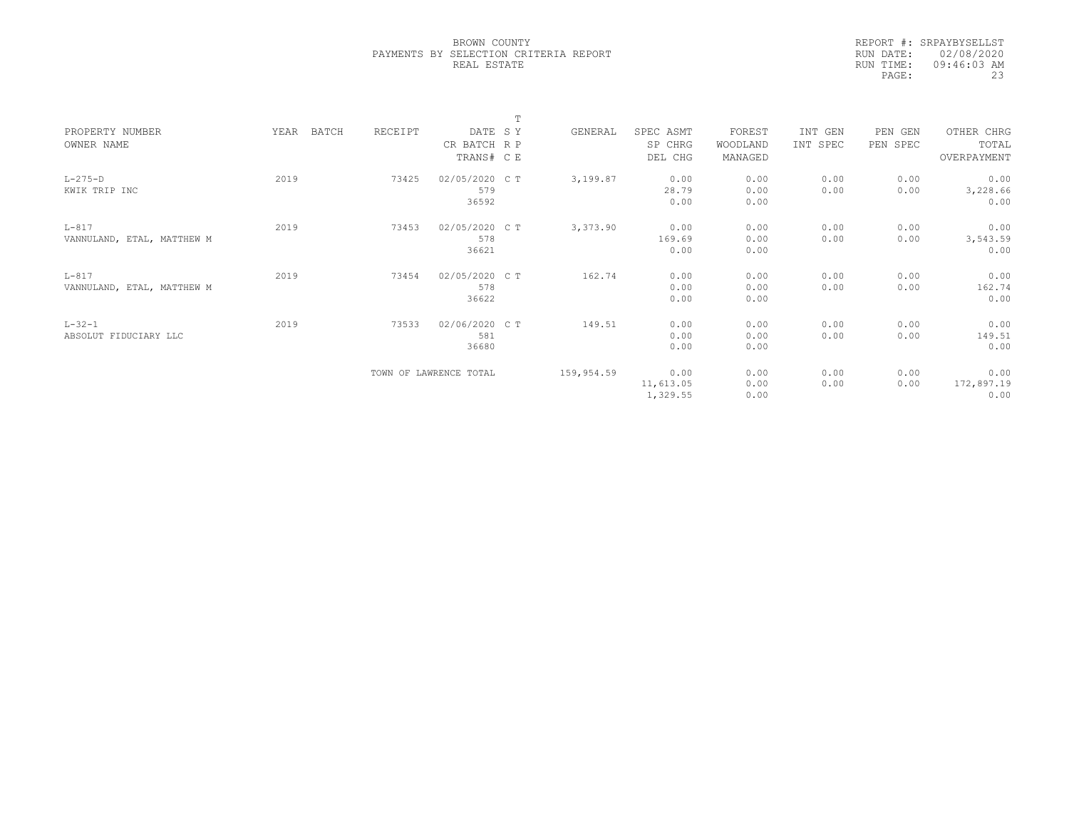|                            |               |         |                        | m |            |           |          |          |          |             |  |
|----------------------------|---------------|---------|------------------------|---|------------|-----------|----------|----------|----------|-------------|--|
| PROPERTY NUMBER            | YEAR<br>BATCH | RECEIPT | DATE SY                |   | GENERAL    | SPEC ASMT | FOREST   | INT GEN  | PEN GEN  | OTHER CHRG  |  |
| OWNER NAME                 |               |         | CR BATCH R P           |   |            | SP CHRG   | WOODLAND | INT SPEC | PEN SPEC | TOTAL       |  |
|                            |               |         | TRANS# C E             |   |            | DEL CHG   | MANAGED  |          |          | OVERPAYMENT |  |
| $L-275-D$                  | 2019          | 73425   | 02/05/2020 C T         |   | 3,199.87   | 0.00      | 0.00     | 0.00     | 0.00     | 0.00        |  |
| KWIK TRIP INC              |               |         | 579                    |   |            | 28.79     | 0.00     | 0.00     | 0.00     | 3,228.66    |  |
|                            |               |         | 36592                  |   |            | 0.00      | 0.00     |          |          | 0.00        |  |
| $L-817$                    | 2019          | 73453   | 02/05/2020 CT          |   | 3,373.90   | 0.00      | 0.00     | 0.00     | 0.00     | 0.00        |  |
| VANNULAND, ETAL, MATTHEW M |               |         | 578                    |   |            | 169.69    | 0.00     | 0.00     | 0.00     | 3,543.59    |  |
|                            |               |         | 36621                  |   |            | 0.00      | 0.00     |          |          | 0.00        |  |
| $L-817$                    | 2019          | 73454   | 02/05/2020 C T         |   | 162.74     | 0.00      | 0.00     | 0.00     | 0.00     | 0.00        |  |
| VANNULAND, ETAL, MATTHEW M |               |         | 578                    |   |            | 0.00      | 0.00     | 0.00     | 0.00     | 162.74      |  |
|                            |               |         | 36622                  |   |            | 0.00      | 0.00     |          |          | 0.00        |  |
| $L - 32 - 1$               | 2019          | 73533   | 02/06/2020 CT          |   | 149.51     | 0.00      | 0.00     | 0.00     | 0.00     | 0.00        |  |
| ABSOLUT FIDUCIARY LLC      |               |         | 581                    |   |            | 0.00      | 0.00     | 0.00     | 0.00     | 149.51      |  |
|                            |               |         | 36680                  |   |            | 0.00      | 0.00     |          |          | 0.00        |  |
|                            |               |         | TOWN OF LAWRENCE TOTAL |   | 159,954.59 | 0.00      | 0.00     | 0.00     | 0.00     | 0.00        |  |
|                            |               |         |                        |   |            | 11,613.05 | 0.00     | 0.00     | 0.00     | 172,897.19  |  |
|                            |               |         |                        |   |            | 1,329.55  | 0.00     |          |          | 0.00        |  |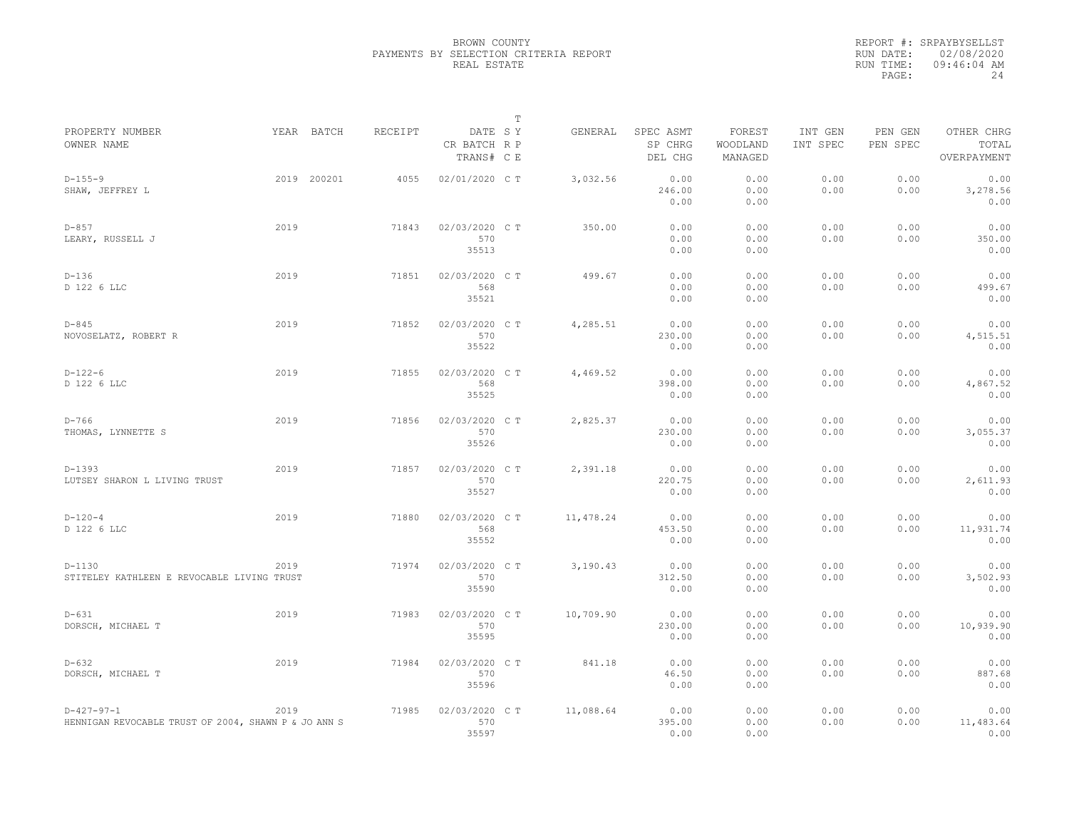|                                                                      |      |             |                |                                       | $\mathbb T$ |           |                                 |                               |                     |                     |                                    |
|----------------------------------------------------------------------|------|-------------|----------------|---------------------------------------|-------------|-----------|---------------------------------|-------------------------------|---------------------|---------------------|------------------------------------|
| PROPERTY NUMBER<br>OWNER NAME                                        |      | YEAR BATCH  | <b>RECEIPT</b> | DATE SY<br>CR BATCH R P<br>TRANS# C E |             | GENERAL   | SPEC ASMT<br>SP CHRG<br>DEL CHG | FOREST<br>WOODLAND<br>MANAGED | INT GEN<br>INT SPEC | PEN GEN<br>PEN SPEC | OTHER CHRG<br>TOTAL<br>OVERPAYMENT |
| $D-155-9$<br>SHAW, JEFFREY L                                         |      | 2019 200201 | 4055           | 02/01/2020 C T                        |             | 3,032.56  | 0.00<br>246.00<br>0.00          | 0.00<br>0.00<br>0.00          | 0.00<br>0.00        | 0.00<br>0.00        | 0.00<br>3,278.56<br>0.00           |
| $D-857$<br>LEARY, RUSSELL J                                          | 2019 |             | 71843          | 02/03/2020 C T<br>570<br>35513        |             | 350.00    | 0.00<br>0.00<br>0.00            | 0.00<br>0.00<br>0.00          | 0.00<br>0.00        | 0.00<br>0.00        | 0.00<br>350.00<br>0.00             |
| $D-136$<br>D 122 6 LLC                                               | 2019 |             | 71851          | 02/03/2020 CT<br>568<br>35521         |             | 499.67    | 0.00<br>0.00<br>0.00            | 0.00<br>0.00<br>0.00          | 0.00<br>0.00        | 0.00<br>0.00        | 0.00<br>499.67<br>0.00             |
| $D - 845$<br>NOVOSELATZ, ROBERT R                                    | 2019 |             | 71852          | 02/03/2020 C T<br>570<br>35522        |             | 4,285.51  | 0.00<br>230.00<br>0.00          | 0.00<br>0.00<br>0.00          | 0.00<br>0.00        | 0.00<br>0.00        | 0.00<br>4,515.51<br>0.00           |
| $D-122-6$<br>D 122 6 LLC                                             | 2019 |             | 71855          | 02/03/2020 C T<br>568<br>35525        |             | 4,469.52  | 0.00<br>398.00<br>0.00          | 0.00<br>0.00<br>0.00          | 0.00<br>0.00        | 0.00<br>0.00        | 0.00<br>4,867.52<br>0.00           |
| $D-766$<br>THOMAS, LYNNETTE S                                        | 2019 |             | 71856          | 02/03/2020 C T<br>570<br>35526        |             | 2,825.37  | 0.00<br>230.00<br>0.00          | 0.00<br>0.00<br>0.00          | 0.00<br>0.00        | 0.00<br>0.00        | 0.00<br>3,055.37<br>0.00           |
| $D-1393$<br>LUTSEY SHARON L LIVING TRUST                             | 2019 |             | 71857          | 02/03/2020 C T<br>570<br>35527        |             | 2,391.18  | 0.00<br>220.75<br>0.00          | 0.00<br>0.00<br>0.00          | 0.00<br>0.00        | 0.00<br>0.00        | 0.00<br>2,611.93<br>0.00           |
| $D-120-4$<br>D 122 6 LLC                                             | 2019 |             | 71880          | 02/03/2020 C T<br>568<br>35552        |             | 11,478.24 | 0.00<br>453.50<br>0.00          | 0.00<br>0.00<br>0.00          | 0.00<br>0.00        | 0.00<br>0.00        | 0.00<br>11,931.74<br>0.00          |
| $D-1130$<br>STITELEY KATHLEEN E REVOCABLE LIVING TRUST               | 2019 |             | 71974          | 02/03/2020 C T<br>570<br>35590        |             | 3,190.43  | 0.00<br>312.50<br>0.00          | 0.00<br>0.00<br>0.00          | 0.00<br>0.00        | 0.00<br>0.00        | 0.00<br>3,502.93<br>0.00           |
| $D-631$<br>DORSCH, MICHAEL T                                         | 2019 |             | 71983          | 02/03/2020 C T<br>570<br>35595        |             | 10,709.90 | 0.00<br>230.00<br>0.00          | 0.00<br>0.00<br>0.00          | 0.00<br>0.00        | 0.00<br>0.00        | 0.00<br>10,939.90<br>0.00          |
| $D - 632$<br>DORSCH, MICHAEL T                                       | 2019 |             | 71984          | 02/03/2020 C T<br>570<br>35596        |             | 841.18    | 0.00<br>46.50<br>0.00           | 0.00<br>0.00<br>0.00          | 0.00<br>0.00        | 0.00<br>0.00        | 0.00<br>887.68<br>0.00             |
| $D-427-97-1$<br>HENNIGAN REVOCABLE TRUST OF 2004, SHAWN P & JO ANN S | 2019 |             | 71985          | 02/03/2020 C T<br>570<br>35597        |             | 11,088.64 | 0.00<br>395.00<br>0.00          | 0.00<br>0.00<br>0.00          | 0.00<br>0.00        | 0.00<br>0.00        | 0.00<br>11,483.64<br>0.00          |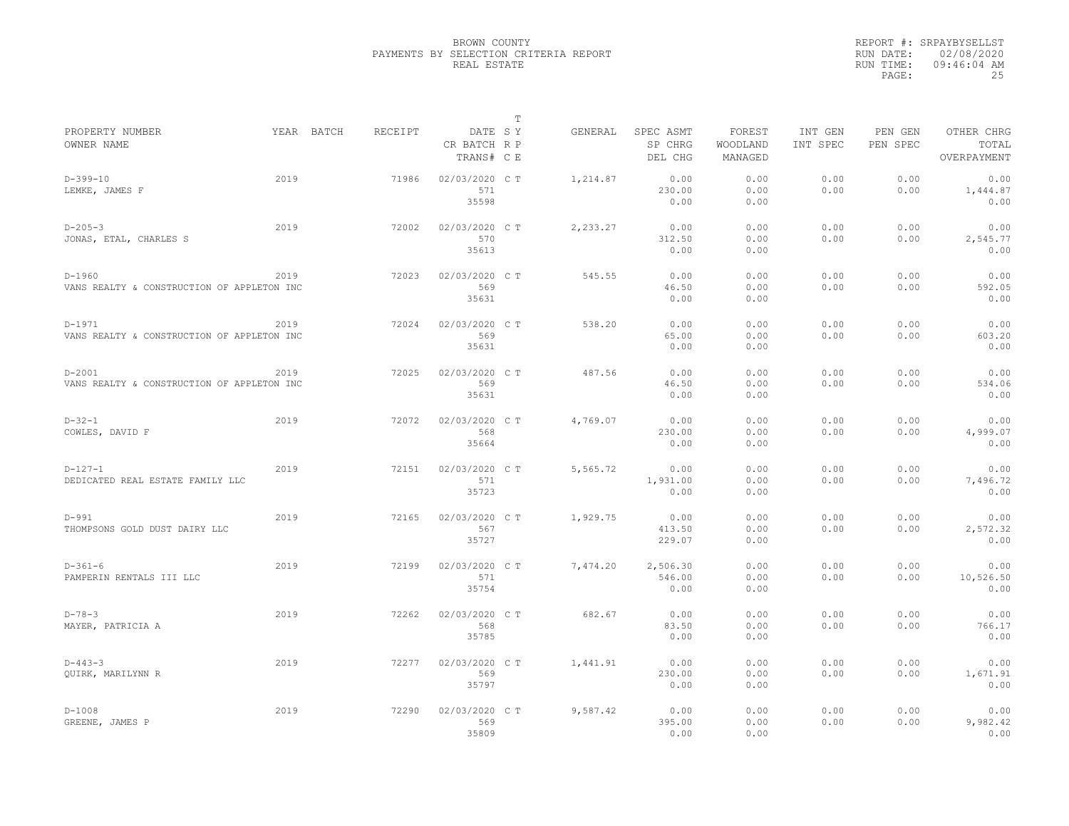|                                                          |      |            |         |                                         | $\mathbb T$ |          |                                 |                               |                     |                     |                                    |
|----------------------------------------------------------|------|------------|---------|-----------------------------------------|-------------|----------|---------------------------------|-------------------------------|---------------------|---------------------|------------------------------------|
| PROPERTY NUMBER<br>OWNER NAME                            |      | YEAR BATCH | RECEIPT | DATE SY<br>CR BATCH R P<br>TRANS# C E   |             | GENERAL  | SPEC ASMT<br>SP CHRG<br>DEL CHG | FOREST<br>WOODLAND<br>MANAGED | INT GEN<br>INT SPEC | PEN GEN<br>PEN SPEC | OTHER CHRG<br>TOTAL<br>OVERPAYMENT |
| $D-399-10$<br>LEMKE, JAMES F                             | 2019 |            | 71986   | 02/03/2020 CT<br>571                    |             | 1,214.87 | 0.00<br>230.00                  | 0.00<br>0.00                  | 0.00<br>0.00        | 0.00<br>0.00        | 0.00<br>1,444.87                   |
| $D - 205 - 3$<br>JONAS, ETAL, CHARLES S                  | 2019 |            | 72002   | 35598<br>02/03/2020 C T<br>570<br>35613 |             | 2,233.27 | 0.00<br>0.00<br>312.50<br>0.00  | 0.00<br>0.00<br>0.00<br>0.00  | 0.00<br>0.00        | 0.00<br>0.00        | 0.00<br>0.00<br>2,545.77<br>0.00   |
| $D - 1960$<br>VANS REALTY & CONSTRUCTION OF APPLETON INC | 2019 |            | 72023   | 02/03/2020 C T<br>569<br>35631          |             | 545.55   | 0.00<br>46.50<br>0.00           | 0.00<br>0.00<br>0.00          | 0.00<br>0.00        | 0.00<br>0.00        | 0.00<br>592.05<br>0.00             |
| $D-1971$<br>VANS REALTY & CONSTRUCTION OF APPLETON INC   | 2019 |            | 72024   | 02/03/2020 C T<br>569<br>35631          |             | 538.20   | 0.00<br>65.00<br>0.00           | 0.00<br>0.00<br>0.00          | 0.00<br>0.00        | 0.00<br>0.00        | 0.00<br>603.20<br>0.00             |
| $D - 2001$<br>VANS REALTY & CONSTRUCTION OF APPLETON INC | 2019 |            | 72025   | 02/03/2020 C T<br>569<br>35631          |             | 487.56   | 0.00<br>46.50<br>0.00           | 0.00<br>0.00<br>0.00          | 0.00<br>0.00        | 0.00<br>0.00        | 0.00<br>534.06<br>0.00             |
| $D-32-1$<br>COWLES, DAVID F                              | 2019 |            | 72072   | 02/03/2020 C T<br>568<br>35664          |             | 4,769.07 | 0.00<br>230.00<br>0.00          | 0.00<br>0.00<br>0.00          | 0.00<br>0.00        | 0.00<br>0.00        | 0.00<br>4,999.07<br>0.00           |
| $D-127-1$<br>DEDICATED REAL ESTATE FAMILY LLC            | 2019 |            | 72151   | 02/03/2020 C T<br>571<br>35723          |             | 5,565.72 | 0.00<br>1,931.00<br>0.00        | 0.00<br>0.00<br>0.00          | 0.00<br>0.00        | 0.00<br>0.00        | 0.00<br>7,496.72<br>0.00           |
| $D-991$<br>THOMPSONS GOLD DUST DAIRY LLC                 | 2019 |            | 72165   | 02/03/2020 C T<br>567<br>35727          |             | 1,929.75 | 0.00<br>413.50<br>229.07        | 0.00<br>0.00<br>0.00          | 0.00<br>0.00        | 0.00<br>0.00        | 0.00<br>2,572.32<br>0.00           |
| $D-361-6$<br>PAMPERIN RENTALS III LLC                    | 2019 |            | 72199   | 02/03/2020 C T<br>571<br>35754          |             | 7,474.20 | 2,506.30<br>546.00<br>0.00      | 0.00<br>0.00<br>0.00          | 0.00<br>0.00        | 0.00<br>0.00        | 0.00<br>10,526.50<br>0.00          |
| $D - 78 - 3$<br>MAYER, PATRICIA A                        | 2019 |            | 72262   | 02/03/2020 CT<br>568<br>35785           |             | 682.67   | 0.00<br>83.50<br>0.00           | 0.00<br>0.00<br>0.00          | 0.00<br>0.00        | 0.00<br>0.00        | 0.00<br>766.17<br>0.00             |
| $D-443-3$<br><b>OUIRK, MARILYNN R</b>                    | 2019 |            | 72277   | 02/03/2020 C T<br>569<br>35797          |             | 1,441.91 | 0.00<br>230.00<br>0.00          | 0.00<br>0.00<br>0.00          | 0.00<br>0.00        | 0.00<br>0.00        | 0.00<br>1,671.91<br>0.00           |
| $D-1008$<br>GREENE, JAMES P                              | 2019 |            | 72290   | 02/03/2020 C T<br>569<br>35809          |             | 9,587.42 | 0.00<br>395.00<br>0.00          | 0.00<br>0.00<br>0.00          | 0.00<br>0.00        | 0.00<br>0.00        | 0.00<br>9,982.42<br>0.00           |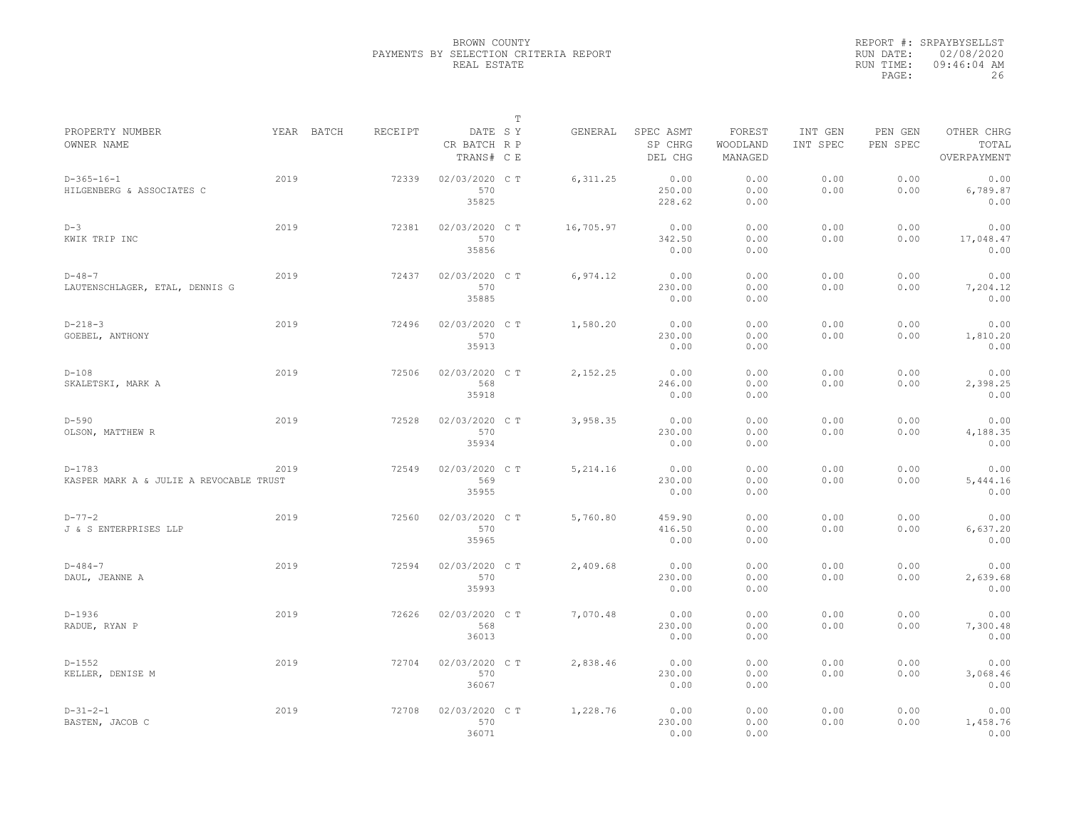|                                                     |      |            |         |                                       | $\mathbb T$ |           |                                 |                               |                     |                     |                                    |
|-----------------------------------------------------|------|------------|---------|---------------------------------------|-------------|-----------|---------------------------------|-------------------------------|---------------------|---------------------|------------------------------------|
| PROPERTY NUMBER<br>OWNER NAME                       |      | YEAR BATCH | RECEIPT | DATE SY<br>CR BATCH R P<br>TRANS# C E |             | GENERAL   | SPEC ASMT<br>SP CHRG<br>DEL CHG | FOREST<br>WOODLAND<br>MANAGED | INT GEN<br>INT SPEC | PEN GEN<br>PEN SPEC | OTHER CHRG<br>TOTAL<br>OVERPAYMENT |
| $D-365-16-1$<br>HILGENBERG & ASSOCIATES C           | 2019 |            | 72339   | 02/03/2020 C T<br>570<br>35825        |             | 6, 311.25 | 0.00<br>250.00<br>228.62        | 0.00<br>0.00<br>0.00          | 0.00<br>0.00        | 0.00<br>0.00        | 0.00<br>6,789.87<br>0.00           |
| $D-3$<br>KWIK TRIP INC                              | 2019 |            | 72381   | 02/03/2020 C T<br>570<br>35856        |             | 16,705.97 | 0.00<br>342.50<br>0.00          | 0.00<br>0.00<br>0.00          | 0.00<br>0.00        | 0.00<br>0.00        | 0.00<br>17,048.47<br>0.00          |
| $D - 48 - 7$<br>LAUTENSCHLAGER, ETAL, DENNIS G      | 2019 |            | 72437   | 02/03/2020 C T<br>570<br>35885        |             | 6,974.12  | 0.00<br>230.00<br>0.00          | 0.00<br>0.00<br>0.00          | 0.00<br>0.00        | 0.00<br>0.00        | 0.00<br>7,204.12<br>0.00           |
| $D-218-3$<br>GOEBEL, ANTHONY                        | 2019 |            | 72496   | 02/03/2020 C T<br>570<br>35913        |             | 1,580.20  | 0.00<br>230.00<br>0.00          | 0.00<br>0.00<br>0.00          | 0.00<br>0.00        | 0.00<br>0.00        | 0.00<br>1,810.20<br>0.00           |
| $D-108$<br>SKALETSKI, MARK A                        | 2019 |            | 72506   | 02/03/2020 C T<br>568<br>35918        |             | 2,152.25  | 0.00<br>246.00<br>0.00          | 0.00<br>0.00<br>0.00          | 0.00<br>0.00        | 0.00<br>0.00        | 0.00<br>2,398.25<br>0.00           |
| $D-590$<br>OLSON, MATTHEW R                         | 2019 |            | 72528   | 02/03/2020 C T<br>570<br>35934        |             | 3,958.35  | 0.00<br>230.00<br>0.00          | 0.00<br>0.00<br>0.00          | 0.00<br>0.00        | 0.00<br>0.00        | 0.00<br>4,188.35<br>0.00           |
| $D-1783$<br>KASPER MARK A & JULIE A REVOCABLE TRUST | 2019 |            | 72549   | 02/03/2020 CT<br>569<br>35955         |             | 5,214.16  | 0.00<br>230.00<br>0.00          | 0.00<br>0.00<br>0.00          | 0.00<br>0.00        | 0.00<br>0.00        | 0.00<br>5,444.16<br>0.00           |
| $D - 77 - 2$<br>J & S ENTERPRISES LLP               | 2019 |            | 72560   | 02/03/2020 C T<br>570<br>35965        |             | 5,760.80  | 459.90<br>416.50<br>0.00        | 0.00<br>0.00<br>0.00          | 0.00<br>0.00        | 0.00<br>0.00        | 0.00<br>6,637.20<br>0.00           |
| $D - 484 - 7$<br>DAUL, JEANNE A                     | 2019 |            | 72594   | 02/03/2020 C T<br>570<br>35993        |             | 2,409.68  | 0.00<br>230.00<br>0.00          | 0.00<br>0.00<br>0.00          | 0.00<br>0.00        | 0.00<br>0.00        | 0.00<br>2,639.68<br>0.00           |
| $D-1936$<br>RADUE, RYAN P                           | 2019 |            | 72626   | 02/03/2020 C T<br>568<br>36013        |             | 7,070.48  | 0.00<br>230.00<br>0.00          | 0.00<br>0.00<br>0.00          | 0.00<br>0.00        | 0.00<br>0.00        | 0.00<br>7,300.48<br>0.00           |
| $D-1552$<br>KELLER, DENISE M                        | 2019 |            | 72704   | 02/03/2020 C T<br>570<br>36067        |             | 2,838.46  | 0.00<br>230.00<br>0.00          | 0.00<br>0.00<br>0.00          | 0.00<br>0.00        | 0.00<br>0.00        | 0.00<br>3,068.46<br>0.00           |
| $D-31-2-1$<br>BASTEN, JACOB C                       | 2019 |            | 72708   | 02/03/2020 C T<br>570<br>36071        |             | 1,228.76  | 0.00<br>230.00<br>0.00          | 0.00<br>0.00<br>0.00          | 0.00<br>0.00        | 0.00<br>0.00        | 0.00<br>1,458.76<br>0.00           |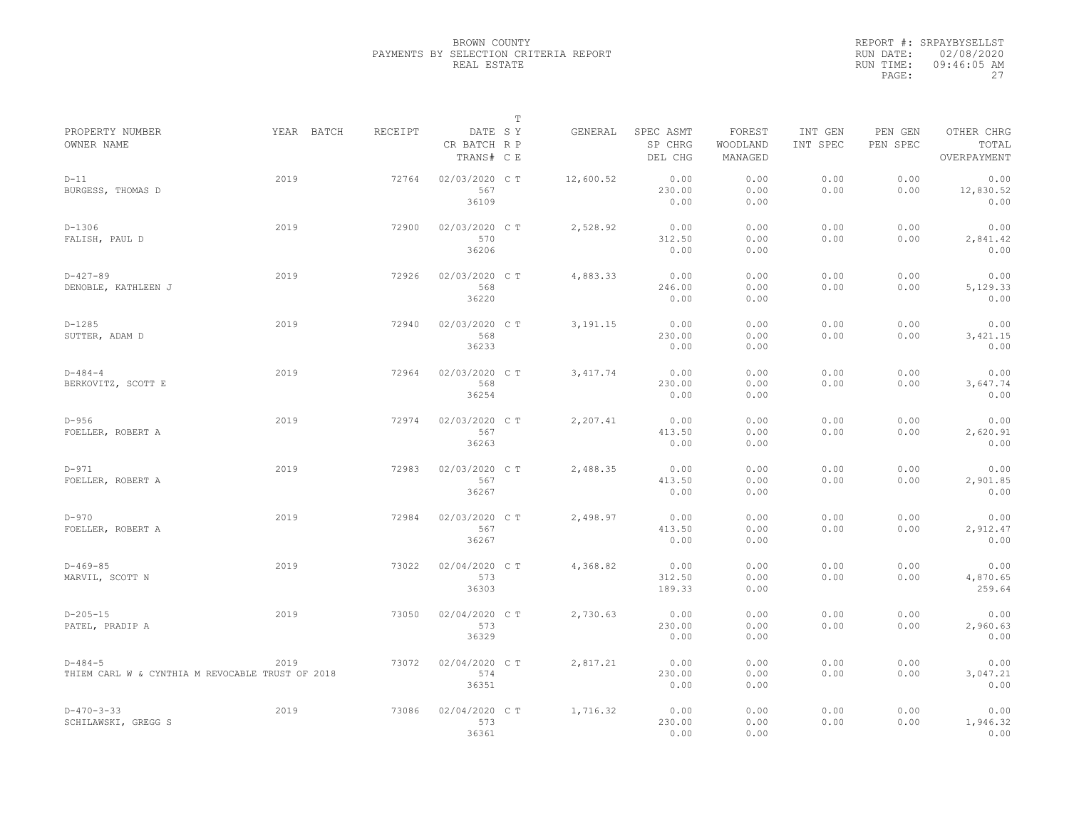|                                                                   |            |         |                                       | $\mathbb T$ |            |                                 |                               |                     |                     |                                    |
|-------------------------------------------------------------------|------------|---------|---------------------------------------|-------------|------------|---------------------------------|-------------------------------|---------------------|---------------------|------------------------------------|
| PROPERTY NUMBER<br>OWNER NAME                                     | YEAR BATCH | RECEIPT | DATE SY<br>CR BATCH R P<br>TRANS# C E |             | GENERAL    | SPEC ASMT<br>SP CHRG<br>DEL CHG | FOREST<br>WOODLAND<br>MANAGED | INT GEN<br>INT SPEC | PEN GEN<br>PEN SPEC | OTHER CHRG<br>TOTAL<br>OVERPAYMENT |
| $D-11$<br>BURGESS, THOMAS D                                       | 2019       | 72764   | 02/03/2020 CT<br>567<br>36109         |             | 12,600.52  | 0.00<br>230.00<br>0.00          | 0.00<br>0.00<br>0.00          | 0.00<br>0.00        | 0.00<br>0.00        | 0.00<br>12,830.52<br>0.00          |
| $D-1306$<br>FALISH, PAUL D                                        | 2019       | 72900   | 02/03/2020 C T<br>570<br>36206        |             | 2,528.92   | 0.00<br>312.50<br>0.00          | 0.00<br>0.00<br>0.00          | 0.00<br>0.00        | 0.00<br>0.00        | 0.00<br>2,841.42<br>0.00           |
| $D-427-89$<br>DENOBLE, KATHLEEN J                                 | 2019       | 72926   | 02/03/2020 C T<br>568<br>36220        |             | 4,883.33   | 0.00<br>246.00<br>0.00          | 0.00<br>0.00<br>0.00          | 0.00<br>0.00        | 0.00<br>0.00        | 0.00<br>5,129.33<br>0.00           |
| $D-1285$<br>SUTTER, ADAM D                                        | 2019       | 72940   | 02/03/2020 C T<br>568<br>36233        |             | 3, 191. 15 | 0.00<br>230.00<br>0.00          | 0.00<br>0.00<br>0.00          | 0.00<br>0.00        | 0.00<br>0.00        | 0.00<br>3,421.15<br>0.00           |
| $D - 484 - 4$<br>BERKOVITZ, SCOTT E                               | 2019       | 72964   | 02/03/2020 C T<br>568<br>36254        |             | 3, 417.74  | 0.00<br>230.00<br>0.00          | 0.00<br>0.00<br>0.00          | 0.00<br>0.00        | 0.00<br>0.00        | 0.00<br>3,647.74<br>0.00           |
| $D-956$<br>FOELLER, ROBERT A                                      | 2019       | 72974   | 02/03/2020 C T<br>567<br>36263        |             | 2,207.41   | 0.00<br>413.50<br>0.00          | 0.00<br>0.00<br>0.00          | 0.00<br>0.00        | 0.00<br>0.00        | 0.00<br>2,620.91<br>0.00           |
| $D-971$<br>FOELLER, ROBERT A                                      | 2019       | 72983   | 02/03/2020 C T<br>567<br>36267        |             | 2,488.35   | 0.00<br>413.50<br>0.00          | 0.00<br>0.00<br>0.00          | 0.00<br>0.00        | 0.00<br>0.00        | 0.00<br>2,901.85<br>0.00           |
| $D-970$<br>FOELLER, ROBERT A                                      | 2019       | 72984   | 02/03/2020 C T<br>567<br>36267        |             | 2,498.97   | 0.00<br>413.50<br>0.00          | 0.00<br>0.00<br>0.00          | 0.00<br>0.00        | 0.00<br>0.00        | 0.00<br>2,912.47<br>0.00           |
| $D-469-85$<br>MARVIL, SCOTT N                                     | 2019       | 73022   | 02/04/2020 C T<br>573<br>36303        |             | 4,368.82   | 0.00<br>312.50<br>189.33        | 0.00<br>0.00<br>0.00          | 0.00<br>0.00        | 0.00<br>0.00        | 0.00<br>4,870.65<br>259.64         |
| $D-205-15$<br>PATEL, PRADIP A                                     | 2019       | 73050   | 02/04/2020 CT<br>573<br>36329         |             | 2,730.63   | 0.00<br>230.00<br>0.00          | 0.00<br>0.00<br>0.00          | 0.00<br>0.00        | 0.00<br>0.00        | 0.00<br>2,960.63<br>0.00           |
| $D - 484 - 5$<br>THIEM CARL W & CYNTHIA M REVOCABLE TRUST OF 2018 | 2019       | 73072   | 02/04/2020 C T<br>574<br>36351        |             | 2,817.21   | 0.00<br>230.00<br>0.00          | 0.00<br>0.00<br>0.00          | 0.00<br>0.00        | 0.00<br>0.00        | 0.00<br>3,047.21<br>0.00           |
| $D-470-3-33$<br>SCHILAWSKI, GREGG S                               | 2019       | 73086   | 02/04/2020 C T<br>573<br>36361        |             | 1,716.32   | 0.00<br>230.00<br>0.00          | 0.00<br>0.00<br>0.00          | 0.00<br>0.00        | 0.00<br>0.00        | 0.00<br>1,946.32<br>0.00           |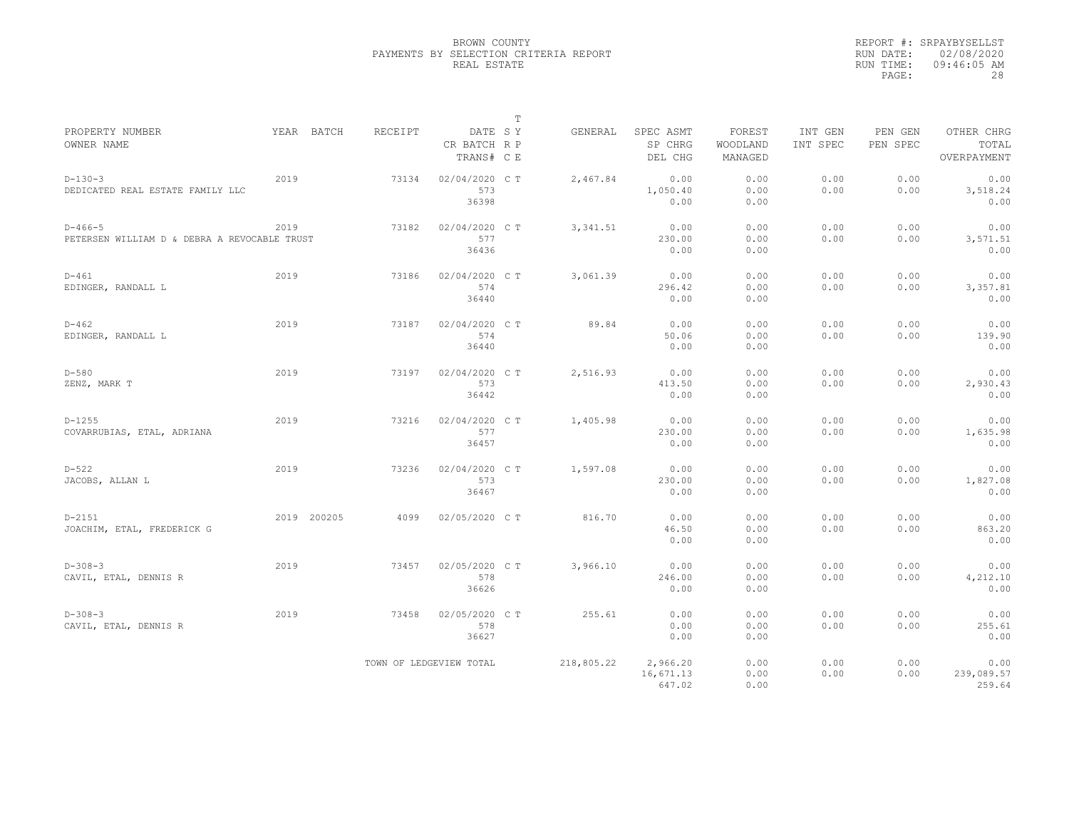|                                                           |             |         |                                       | $\mathbb T$ |                                            |                               |                     |                     |                                    |
|-----------------------------------------------------------|-------------|---------|---------------------------------------|-------------|--------------------------------------------|-------------------------------|---------------------|---------------------|------------------------------------|
| PROPERTY NUMBER<br>OWNER NAME                             | YEAR BATCH  | RECEIPT | DATE SY<br>CR BATCH R P<br>TRANS# C E |             | GENERAL<br>SPEC ASMT<br>SP CHRG<br>DEL CHG | FOREST<br>WOODLAND<br>MANAGED | INT GEN<br>INT SPEC | PEN GEN<br>PEN SPEC | OTHER CHRG<br>TOTAL<br>OVERPAYMENT |
| $D-130-3$<br>DEDICATED REAL ESTATE FAMILY LLC             | 2019        | 73134   | 02/04/2020 C T<br>573<br>36398        | 2,467.84    | 0.00<br>1,050.40<br>0.00                   | 0.00<br>0.00<br>0.00          | 0.00<br>0.00        | 0.00<br>0.00        | 0.00<br>3,518.24<br>0.00           |
| $D-466-5$<br>PETERSEN WILLIAM D & DEBRA A REVOCABLE TRUST | 2019        | 73182   | 02/04/2020 C T<br>577<br>36436        | 3, 341.51   | 0.00<br>230.00<br>0.00                     | 0.00<br>0.00<br>0.00          | 0.00<br>0.00        | 0.00<br>0.00        | 0.00<br>3,571.51<br>0.00           |
| $D - 461$<br>EDINGER, RANDALL L                           | 2019        | 73186   | 02/04/2020 CT<br>574<br>36440         |             | 3,061.39<br>0.00<br>296.42<br>0.00         | 0.00<br>0.00<br>0.00          | 0.00<br>0.00        | 0.00<br>0.00        | 0.00<br>3,357.81<br>0.00           |
| $D - 462$<br>EDINGER, RANDALL L                           | 2019        | 73187   | 02/04/2020 C T<br>574<br>36440        |             | 0.00<br>89.84<br>50.06<br>0.00             | 0.00<br>0.00<br>0.00          | 0.00<br>0.00        | 0.00<br>0.00        | 0.00<br>139.90<br>0.00             |
| $D-580$<br>ZENZ, MARK T                                   | 2019        | 73197   | 02/04/2020 C T<br>573<br>36442        |             | 2,516.93<br>0.00<br>413.50<br>0.00         | 0.00<br>0.00<br>0.00          | 0.00<br>0.00        | 0.00<br>0.00        | 0.00<br>2,930.43<br>0.00           |
| $D-1255$<br>COVARRUBIAS, ETAL, ADRIANA                    | 2019        | 73216   | 02/04/2020 C T<br>577<br>36457        | 1,405.98    | 0.00<br>230.00<br>0.00                     | 0.00<br>0.00<br>0.00          | 0.00<br>0.00        | 0.00<br>0.00        | 0.00<br>1,635.98<br>0.00           |
| $D-522$<br>JACOBS, ALLAN L                                | 2019        | 73236   | 02/04/2020 C T<br>573<br>36467        | 1,597.08    | 0.00<br>230.00<br>0.00                     | 0.00<br>0.00<br>0.00          | 0.00<br>0.00        | 0.00<br>0.00        | 0.00<br>1,827.08<br>0.00           |
| $D - 2151$<br>JOACHIM, ETAL, FREDERICK G                  | 2019 200205 | 4099    | 02/05/2020 C T                        |             | 816.70<br>0.00<br>46.50<br>0.00            | 0.00<br>0.00<br>0.00          | 0.00<br>0.00        | 0.00<br>0.00        | 0.00<br>863.20<br>0.00             |
| $D-308-3$<br>CAVIL, ETAL, DENNIS R                        | 2019        | 73457   | 02/05/2020 C T<br>578<br>36626        |             | 3,966.10<br>0.00<br>246.00<br>0.00         | 0.00<br>0.00<br>0.00          | 0.00<br>0.00        | 0.00<br>0.00        | 0.00<br>4,212.10<br>0.00           |
| $D-308-3$<br>CAVIL, ETAL, DENNIS R                        | 2019        | 73458   | 02/05/2020 CT<br>578<br>36627         |             | 255.61<br>0.00<br>0.00<br>0.00             | 0.00<br>0.00<br>0.00          | 0.00<br>0.00        | 0.00<br>0.00        | 0.00<br>255.61<br>0.00             |
|                                                           |             |         | TOWN OF LEDGEVIEW TOTAL               | 218,805.22  | 2,966.20<br>16,671.13<br>647.02            | 0.00<br>0.00<br>0.00          | 0.00<br>0.00        | 0.00<br>0.00        | 0.00<br>239,089.57<br>259.64       |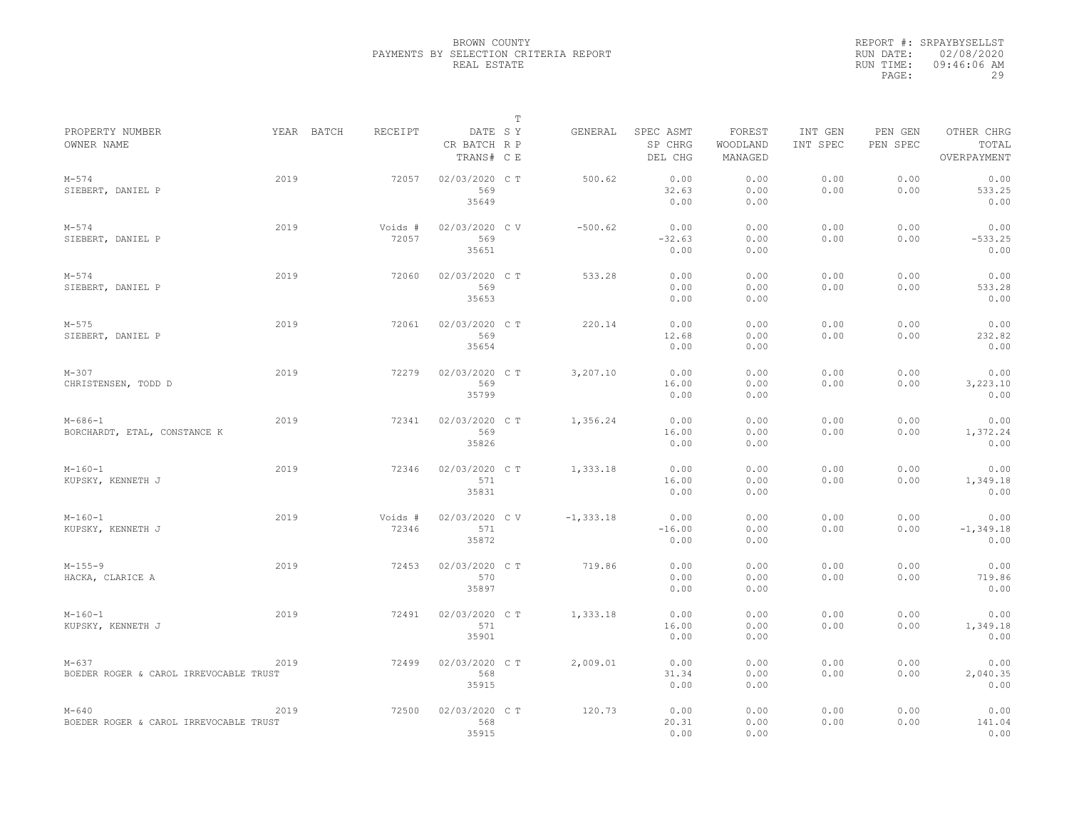|                                                     |            |                  |                                       | $\mathbb T$ |              |                                 |                               |                     |                     |                                    |
|-----------------------------------------------------|------------|------------------|---------------------------------------|-------------|--------------|---------------------------------|-------------------------------|---------------------|---------------------|------------------------------------|
| PROPERTY NUMBER<br>OWNER NAME                       | YEAR BATCH | RECEIPT          | DATE SY<br>CR BATCH R P<br>TRANS# C E |             | GENERAL      | SPEC ASMT<br>SP CHRG<br>DEL CHG | FOREST<br>WOODLAND<br>MANAGED | INT GEN<br>INT SPEC | PEN GEN<br>PEN SPEC | OTHER CHRG<br>TOTAL<br>OVERPAYMENT |
| $M - 574$<br>SIEBERT, DANIEL P                      | 2019       | 72057            | 02/03/2020 CT<br>569<br>35649         |             | 500.62       | 0.00<br>32.63<br>0.00           | 0.00<br>0.00<br>0.00          | 0.00<br>0.00        | 0.00<br>0.00        | 0.00<br>533.25<br>0.00             |
| $M - 574$<br>SIEBERT, DANIEL P                      | 2019       | Voids #<br>72057 | 02/03/2020 CV<br>569<br>35651         |             | $-500.62$    | 0.00<br>$-32.63$<br>0.00        | 0.00<br>0.00<br>0.00          | 0.00<br>0.00        | 0.00<br>0.00        | 0.00<br>$-533.25$<br>0.00          |
| $M - 574$<br>SIEBERT, DANIEL P                      | 2019       | 72060            | 02/03/2020 C T<br>569<br>35653        |             | 533.28       | 0.00<br>0.00<br>0.00            | 0.00<br>0.00<br>0.00          | 0.00<br>0.00        | 0.00<br>0.00        | 0.00<br>533.28<br>0.00             |
| $M - 575$<br>SIEBERT, DANIEL P                      | 2019       | 72061            | 02/03/2020 C T<br>569<br>35654        |             | 220.14       | 0.00<br>12.68<br>0.00           | 0.00<br>0.00<br>0.00          | 0.00<br>0.00        | 0.00<br>0.00        | 0.00<br>232.82<br>0.00             |
| $M - 307$<br>CHRISTENSEN, TODD D                    | 2019       | 72279            | 02/03/2020 C T<br>569<br>35799        |             | 3,207.10     | 0.00<br>16.00<br>0.00           | 0.00<br>0.00<br>0.00          | 0.00<br>0.00        | 0.00<br>0.00        | 0.00<br>3,223.10<br>0.00           |
| $M - 686 - 1$<br>BORCHARDT, ETAL, CONSTANCE K       | 2019       | 72341            | 02/03/2020 CT<br>569<br>35826         |             | 1,356.24     | 0.00<br>16.00<br>0.00           | 0.00<br>0.00<br>0.00          | 0.00<br>0.00        | 0.00<br>0.00        | 0.00<br>1,372.24<br>0.00           |
| $M-160-1$<br>KUPSKY, KENNETH J                      | 2019       | 72346            | 02/03/2020 CT<br>571<br>35831         |             | 1,333.18     | 0.00<br>16.00<br>0.00           | 0.00<br>0.00<br>0.00          | 0.00<br>0.00        | 0.00<br>0.00        | 0.00<br>1,349.18<br>0.00           |
| $M-160-1$<br>KUPSKY, KENNETH J                      | 2019       | Voids #<br>72346 | 02/03/2020 CV<br>571<br>35872         |             | $-1, 333.18$ | 0.00<br>$-16.00$<br>0.00        | 0.00<br>0.00<br>0.00          | 0.00<br>0.00        | 0.00<br>0.00        | 0.00<br>$-1, 349.18$<br>0.00       |
| $M-155-9$<br>HACKA, CLARICE A                       | 2019       | 72453            | 02/03/2020 CT<br>570<br>35897         |             | 719.86       | 0.00<br>0.00<br>0.00            | 0.00<br>0.00<br>0.00          | 0.00<br>0.00        | 0.00<br>0.00        | 0.00<br>719.86<br>0.00             |
| $M-160-1$<br>KUPSKY, KENNETH J                      | 2019       | 72491            | 02/03/2020 CT<br>571<br>35901         |             | 1,333.18     | 0.00<br>16.00<br>0.00           | 0.00<br>0.00<br>0.00          | 0.00<br>0.00        | 0.00<br>0.00        | 0.00<br>1,349.18<br>0.00           |
| $M - 637$<br>BOEDER ROGER & CAROL IRREVOCABLE TRUST | 2019       | 72499            | 02/03/2020 C T<br>568<br>35915        |             | 2,009.01     | 0.00<br>31.34<br>0.00           | 0.00<br>0.00<br>0.00          | 0.00<br>0.00        | 0.00<br>0.00        | 0.00<br>2,040.35<br>0.00           |
| $M - 640$<br>BOEDER ROGER & CAROL IRREVOCABLE TRUST | 2019       | 72500            | 02/03/2020 CT<br>568<br>35915         |             | 120.73       | 0.00<br>20.31<br>0.00           | 0.00<br>0.00<br>0.00          | 0.00<br>0.00        | 0.00<br>0.00        | 0.00<br>141.04<br>0.00             |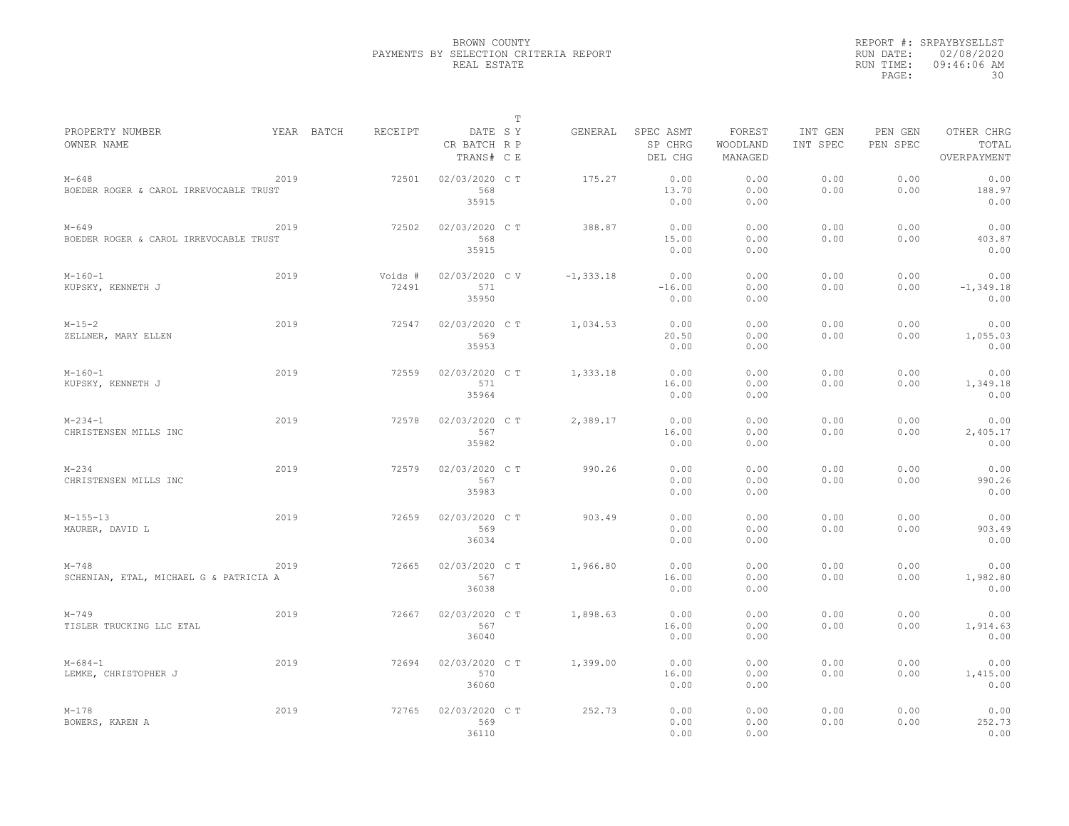| YEAR BATCH<br>RECEIPT<br>DATE SY<br>SPEC ASMT<br>FOREST<br>INT GEN<br>OTHER CHRG<br>GENERAL<br>PEN GEN<br>SP CHRG<br>PEN SPEC<br>TOTAL<br>CR BATCH R P<br>WOODLAND<br>INT SPEC<br>MANAGED<br>TRANS# C E<br>DEL CHG<br>OVERPAYMENT<br>2019<br>02/03/2020 C T<br>0.00<br>0.00<br>0.00<br>0.00<br>$M - 648$<br>72501<br>175.27<br>0.00<br>568<br>13.70<br>0.00<br>0.00<br>188.97<br>BOEDER ROGER & CAROL IRREVOCABLE TRUST<br>0.00<br>35915<br>0.00<br>0.00<br>0.00<br>0.00<br>0.00<br>2019<br>72502<br>02/03/2020 C T<br>388.87<br>0.00<br>0.00<br>0.00<br>568<br>15.00<br>0.00<br>0.00<br>0.00<br>403.87<br>BOEDER ROGER & CAROL IRREVOCABLE TRUST<br>35915<br>0.00<br>0.00<br>0.00<br>2019<br>$-1, 333.18$<br>0.00<br>0.00<br>0.00<br>0.00<br>0.00<br>$M-160-1$<br>Voids #<br>02/03/2020 C V<br>72491<br>571<br>$-16.00$<br>0.00<br>0.00<br>KUPSKY, KENNETH J<br>0.00<br>$-1, 349.18$<br>35950<br>0.00<br>0.00<br>0.00<br>2019<br>02/03/2020 C T<br>1,034.53<br>0.00<br>0.00<br>0.00<br>0.00<br>0.00<br>$M-15-2$<br>72547<br>569<br>20.50<br>0.00<br>0.00<br>0.00<br>1,055.03<br>ZELLNER, MARY ELLEN<br>35953<br>0.00<br>0.00<br>0.00<br>2019<br>0.00<br>0.00<br>0.00<br>72559<br>02/03/2020 C T<br>1,333.18<br>0.00<br>0.00<br>571<br>16.00<br>0.00<br>0.00<br>0.00<br>1,349.18<br>35964<br>0.00<br>0.00<br>0.00<br>2019<br>2,389.17<br>0.00<br>0.00<br>0.00<br>$M - 234 - 1$<br>72578<br>02/03/2020 C T<br>0.00<br>0.00<br>567<br>0.00<br>CHRISTENSEN MILLS INC<br>16.00<br>0.00<br>0.00<br>2,405.17<br>35982<br>0.00<br>0.00<br>0.00<br>2019<br>0.00<br>0.00<br>0.00<br>0.00<br>72579<br>02/03/2020 CT<br>990.26<br>0.00<br>567<br>0.00<br>0.00<br>0.00<br>0.00<br>990.26<br>CHRISTENSEN MILLS INC<br>35983<br>0.00<br>0.00<br>0.00<br>2019<br>02/03/2020 CT<br>0.00<br>0.00<br>$M-155-13$<br>72659<br>903.49<br>0.00<br>0.00<br>0.00<br>569<br>0.00<br>0.00<br>0.00<br>903.49<br>0.00<br>36034<br>0.00<br>0.00<br>0.00<br>2019<br>02/03/2020 C T<br>0.00<br>0.00<br>0.00<br>0.00<br>$M - 748$<br>72665<br>1,966.80<br>0.00<br>567<br>16.00<br>0.00<br>0.00<br>0.00<br>1,982.80<br>SCHENIAN, ETAL, MICHAEL G & PATRICIA A<br>36038<br>0.00<br>0.00<br>0.00<br>$M - 749$<br>2019<br>72667<br>02/03/2020 CT<br>1,898.63<br>0.00<br>0.00<br>0.00<br>0.00<br>0.00<br>567<br>16.00<br>0.00<br>0.00<br>0.00<br>1,914.63<br>TISLER TRUCKING LLC ETAL<br>36040<br>0.00<br>0.00<br>0.00<br>2019<br>02/03/2020 C T<br>0.00<br>0.00<br>0.00<br>0.00<br>0.00<br>$M - 684 - 1$<br>72694<br>1,399.00<br>570<br>0.00<br>0.00<br>0.00<br>16.00<br>1,415.00<br>36060<br>0.00<br>0.00<br>0.00<br>$M - 178$<br>2019<br>72765<br>02/03/2020 C T<br>252.73<br>0.00<br>0.00<br>0.00<br>0.00<br>0.00<br>569<br>0.00<br>0.00<br>0.00<br>0.00<br>252.73<br>BOWERS, KAREN A<br>36110 |                               |  |  | $\mathbb T$ |      |      |  |      |
|---------------------------------------------------------------------------------------------------------------------------------------------------------------------------------------------------------------------------------------------------------------------------------------------------------------------------------------------------------------------------------------------------------------------------------------------------------------------------------------------------------------------------------------------------------------------------------------------------------------------------------------------------------------------------------------------------------------------------------------------------------------------------------------------------------------------------------------------------------------------------------------------------------------------------------------------------------------------------------------------------------------------------------------------------------------------------------------------------------------------------------------------------------------------------------------------------------------------------------------------------------------------------------------------------------------------------------------------------------------------------------------------------------------------------------------------------------------------------------------------------------------------------------------------------------------------------------------------------------------------------------------------------------------------------------------------------------------------------------------------------------------------------------------------------------------------------------------------------------------------------------------------------------------------------------------------------------------------------------------------------------------------------------------------------------------------------------------------------------------------------------------------------------------------------------------------------------------------------------------------------------------------------------------------------------------------------------------------------------------------------------------------------------------------------------------------------------------------------------------------------------------------------------------------------------------------------------------------------------------------------------------------------------------------------------------------------------------------------------------------------------------|-------------------------------|--|--|-------------|------|------|--|------|
|                                                                                                                                                                                                                                                                                                                                                                                                                                                                                                                                                                                                                                                                                                                                                                                                                                                                                                                                                                                                                                                                                                                                                                                                                                                                                                                                                                                                                                                                                                                                                                                                                                                                                                                                                                                                                                                                                                                                                                                                                                                                                                                                                                                                                                                                                                                                                                                                                                                                                                                                                                                                                                                                                                                                                               | PROPERTY NUMBER<br>OWNER NAME |  |  |             |      |      |  |      |
|                                                                                                                                                                                                                                                                                                                                                                                                                                                                                                                                                                                                                                                                                                                                                                                                                                                                                                                                                                                                                                                                                                                                                                                                                                                                                                                                                                                                                                                                                                                                                                                                                                                                                                                                                                                                                                                                                                                                                                                                                                                                                                                                                                                                                                                                                                                                                                                                                                                                                                                                                                                                                                                                                                                                                               |                               |  |  |             |      |      |  |      |
|                                                                                                                                                                                                                                                                                                                                                                                                                                                                                                                                                                                                                                                                                                                                                                                                                                                                                                                                                                                                                                                                                                                                                                                                                                                                                                                                                                                                                                                                                                                                                                                                                                                                                                                                                                                                                                                                                                                                                                                                                                                                                                                                                                                                                                                                                                                                                                                                                                                                                                                                                                                                                                                                                                                                                               |                               |  |  |             |      |      |  |      |
|                                                                                                                                                                                                                                                                                                                                                                                                                                                                                                                                                                                                                                                                                                                                                                                                                                                                                                                                                                                                                                                                                                                                                                                                                                                                                                                                                                                                                                                                                                                                                                                                                                                                                                                                                                                                                                                                                                                                                                                                                                                                                                                                                                                                                                                                                                                                                                                                                                                                                                                                                                                                                                                                                                                                                               |                               |  |  |             |      |      |  |      |
|                                                                                                                                                                                                                                                                                                                                                                                                                                                                                                                                                                                                                                                                                                                                                                                                                                                                                                                                                                                                                                                                                                                                                                                                                                                                                                                                                                                                                                                                                                                                                                                                                                                                                                                                                                                                                                                                                                                                                                                                                                                                                                                                                                                                                                                                                                                                                                                                                                                                                                                                                                                                                                                                                                                                                               |                               |  |  |             |      |      |  |      |
|                                                                                                                                                                                                                                                                                                                                                                                                                                                                                                                                                                                                                                                                                                                                                                                                                                                                                                                                                                                                                                                                                                                                                                                                                                                                                                                                                                                                                                                                                                                                                                                                                                                                                                                                                                                                                                                                                                                                                                                                                                                                                                                                                                                                                                                                                                                                                                                                                                                                                                                                                                                                                                                                                                                                                               | $M - 649$                     |  |  |             |      |      |  |      |
|                                                                                                                                                                                                                                                                                                                                                                                                                                                                                                                                                                                                                                                                                                                                                                                                                                                                                                                                                                                                                                                                                                                                                                                                                                                                                                                                                                                                                                                                                                                                                                                                                                                                                                                                                                                                                                                                                                                                                                                                                                                                                                                                                                                                                                                                                                                                                                                                                                                                                                                                                                                                                                                                                                                                                               |                               |  |  |             |      |      |  |      |
|                                                                                                                                                                                                                                                                                                                                                                                                                                                                                                                                                                                                                                                                                                                                                                                                                                                                                                                                                                                                                                                                                                                                                                                                                                                                                                                                                                                                                                                                                                                                                                                                                                                                                                                                                                                                                                                                                                                                                                                                                                                                                                                                                                                                                                                                                                                                                                                                                                                                                                                                                                                                                                                                                                                                                               |                               |  |  |             |      |      |  |      |
|                                                                                                                                                                                                                                                                                                                                                                                                                                                                                                                                                                                                                                                                                                                                                                                                                                                                                                                                                                                                                                                                                                                                                                                                                                                                                                                                                                                                                                                                                                                                                                                                                                                                                                                                                                                                                                                                                                                                                                                                                                                                                                                                                                                                                                                                                                                                                                                                                                                                                                                                                                                                                                                                                                                                                               |                               |  |  |             |      |      |  |      |
|                                                                                                                                                                                                                                                                                                                                                                                                                                                                                                                                                                                                                                                                                                                                                                                                                                                                                                                                                                                                                                                                                                                                                                                                                                                                                                                                                                                                                                                                                                                                                                                                                                                                                                                                                                                                                                                                                                                                                                                                                                                                                                                                                                                                                                                                                                                                                                                                                                                                                                                                                                                                                                                                                                                                                               |                               |  |  |             |      |      |  |      |
|                                                                                                                                                                                                                                                                                                                                                                                                                                                                                                                                                                                                                                                                                                                                                                                                                                                                                                                                                                                                                                                                                                                                                                                                                                                                                                                                                                                                                                                                                                                                                                                                                                                                                                                                                                                                                                                                                                                                                                                                                                                                                                                                                                                                                                                                                                                                                                                                                                                                                                                                                                                                                                                                                                                                                               |                               |  |  |             |      |      |  |      |
|                                                                                                                                                                                                                                                                                                                                                                                                                                                                                                                                                                                                                                                                                                                                                                                                                                                                                                                                                                                                                                                                                                                                                                                                                                                                                                                                                                                                                                                                                                                                                                                                                                                                                                                                                                                                                                                                                                                                                                                                                                                                                                                                                                                                                                                                                                                                                                                                                                                                                                                                                                                                                                                                                                                                                               |                               |  |  |             |      |      |  |      |
|                                                                                                                                                                                                                                                                                                                                                                                                                                                                                                                                                                                                                                                                                                                                                                                                                                                                                                                                                                                                                                                                                                                                                                                                                                                                                                                                                                                                                                                                                                                                                                                                                                                                                                                                                                                                                                                                                                                                                                                                                                                                                                                                                                                                                                                                                                                                                                                                                                                                                                                                                                                                                                                                                                                                                               |                               |  |  |             |      |      |  |      |
|                                                                                                                                                                                                                                                                                                                                                                                                                                                                                                                                                                                                                                                                                                                                                                                                                                                                                                                                                                                                                                                                                                                                                                                                                                                                                                                                                                                                                                                                                                                                                                                                                                                                                                                                                                                                                                                                                                                                                                                                                                                                                                                                                                                                                                                                                                                                                                                                                                                                                                                                                                                                                                                                                                                                                               |                               |  |  |             |      |      |  |      |
|                                                                                                                                                                                                                                                                                                                                                                                                                                                                                                                                                                                                                                                                                                                                                                                                                                                                                                                                                                                                                                                                                                                                                                                                                                                                                                                                                                                                                                                                                                                                                                                                                                                                                                                                                                                                                                                                                                                                                                                                                                                                                                                                                                                                                                                                                                                                                                                                                                                                                                                                                                                                                                                                                                                                                               |                               |  |  |             |      |      |  |      |
|                                                                                                                                                                                                                                                                                                                                                                                                                                                                                                                                                                                                                                                                                                                                                                                                                                                                                                                                                                                                                                                                                                                                                                                                                                                                                                                                                                                                                                                                                                                                                                                                                                                                                                                                                                                                                                                                                                                                                                                                                                                                                                                                                                                                                                                                                                                                                                                                                                                                                                                                                                                                                                                                                                                                                               | $M-160-1$                     |  |  |             |      |      |  |      |
|                                                                                                                                                                                                                                                                                                                                                                                                                                                                                                                                                                                                                                                                                                                                                                                                                                                                                                                                                                                                                                                                                                                                                                                                                                                                                                                                                                                                                                                                                                                                                                                                                                                                                                                                                                                                                                                                                                                                                                                                                                                                                                                                                                                                                                                                                                                                                                                                                                                                                                                                                                                                                                                                                                                                                               | KUPSKY, KENNETH J             |  |  |             |      |      |  |      |
|                                                                                                                                                                                                                                                                                                                                                                                                                                                                                                                                                                                                                                                                                                                                                                                                                                                                                                                                                                                                                                                                                                                                                                                                                                                                                                                                                                                                                                                                                                                                                                                                                                                                                                                                                                                                                                                                                                                                                                                                                                                                                                                                                                                                                                                                                                                                                                                                                                                                                                                                                                                                                                                                                                                                                               |                               |  |  |             |      |      |  |      |
|                                                                                                                                                                                                                                                                                                                                                                                                                                                                                                                                                                                                                                                                                                                                                                                                                                                                                                                                                                                                                                                                                                                                                                                                                                                                                                                                                                                                                                                                                                                                                                                                                                                                                                                                                                                                                                                                                                                                                                                                                                                                                                                                                                                                                                                                                                                                                                                                                                                                                                                                                                                                                                                                                                                                                               |                               |  |  |             |      |      |  |      |
|                                                                                                                                                                                                                                                                                                                                                                                                                                                                                                                                                                                                                                                                                                                                                                                                                                                                                                                                                                                                                                                                                                                                                                                                                                                                                                                                                                                                                                                                                                                                                                                                                                                                                                                                                                                                                                                                                                                                                                                                                                                                                                                                                                                                                                                                                                                                                                                                                                                                                                                                                                                                                                                                                                                                                               |                               |  |  |             |      |      |  |      |
|                                                                                                                                                                                                                                                                                                                                                                                                                                                                                                                                                                                                                                                                                                                                                                                                                                                                                                                                                                                                                                                                                                                                                                                                                                                                                                                                                                                                                                                                                                                                                                                                                                                                                                                                                                                                                                                                                                                                                                                                                                                                                                                                                                                                                                                                                                                                                                                                                                                                                                                                                                                                                                                                                                                                                               |                               |  |  |             |      |      |  |      |
|                                                                                                                                                                                                                                                                                                                                                                                                                                                                                                                                                                                                                                                                                                                                                                                                                                                                                                                                                                                                                                                                                                                                                                                                                                                                                                                                                                                                                                                                                                                                                                                                                                                                                                                                                                                                                                                                                                                                                                                                                                                                                                                                                                                                                                                                                                                                                                                                                                                                                                                                                                                                                                                                                                                                                               |                               |  |  |             |      |      |  |      |
|                                                                                                                                                                                                                                                                                                                                                                                                                                                                                                                                                                                                                                                                                                                                                                                                                                                                                                                                                                                                                                                                                                                                                                                                                                                                                                                                                                                                                                                                                                                                                                                                                                                                                                                                                                                                                                                                                                                                                                                                                                                                                                                                                                                                                                                                                                                                                                                                                                                                                                                                                                                                                                                                                                                                                               | $M - 234$                     |  |  |             |      |      |  |      |
|                                                                                                                                                                                                                                                                                                                                                                                                                                                                                                                                                                                                                                                                                                                                                                                                                                                                                                                                                                                                                                                                                                                                                                                                                                                                                                                                                                                                                                                                                                                                                                                                                                                                                                                                                                                                                                                                                                                                                                                                                                                                                                                                                                                                                                                                                                                                                                                                                                                                                                                                                                                                                                                                                                                                                               |                               |  |  |             |      |      |  |      |
|                                                                                                                                                                                                                                                                                                                                                                                                                                                                                                                                                                                                                                                                                                                                                                                                                                                                                                                                                                                                                                                                                                                                                                                                                                                                                                                                                                                                                                                                                                                                                                                                                                                                                                                                                                                                                                                                                                                                                                                                                                                                                                                                                                                                                                                                                                                                                                                                                                                                                                                                                                                                                                                                                                                                                               |                               |  |  |             |      |      |  |      |
|                                                                                                                                                                                                                                                                                                                                                                                                                                                                                                                                                                                                                                                                                                                                                                                                                                                                                                                                                                                                                                                                                                                                                                                                                                                                                                                                                                                                                                                                                                                                                                                                                                                                                                                                                                                                                                                                                                                                                                                                                                                                                                                                                                                                                                                                                                                                                                                                                                                                                                                                                                                                                                                                                                                                                               |                               |  |  |             |      |      |  |      |
|                                                                                                                                                                                                                                                                                                                                                                                                                                                                                                                                                                                                                                                                                                                                                                                                                                                                                                                                                                                                                                                                                                                                                                                                                                                                                                                                                                                                                                                                                                                                                                                                                                                                                                                                                                                                                                                                                                                                                                                                                                                                                                                                                                                                                                                                                                                                                                                                                                                                                                                                                                                                                                                                                                                                                               | MAURER, DAVID L               |  |  |             |      |      |  |      |
|                                                                                                                                                                                                                                                                                                                                                                                                                                                                                                                                                                                                                                                                                                                                                                                                                                                                                                                                                                                                                                                                                                                                                                                                                                                                                                                                                                                                                                                                                                                                                                                                                                                                                                                                                                                                                                                                                                                                                                                                                                                                                                                                                                                                                                                                                                                                                                                                                                                                                                                                                                                                                                                                                                                                                               |                               |  |  |             |      |      |  |      |
|                                                                                                                                                                                                                                                                                                                                                                                                                                                                                                                                                                                                                                                                                                                                                                                                                                                                                                                                                                                                                                                                                                                                                                                                                                                                                                                                                                                                                                                                                                                                                                                                                                                                                                                                                                                                                                                                                                                                                                                                                                                                                                                                                                                                                                                                                                                                                                                                                                                                                                                                                                                                                                                                                                                                                               |                               |  |  |             |      |      |  |      |
|                                                                                                                                                                                                                                                                                                                                                                                                                                                                                                                                                                                                                                                                                                                                                                                                                                                                                                                                                                                                                                                                                                                                                                                                                                                                                                                                                                                                                                                                                                                                                                                                                                                                                                                                                                                                                                                                                                                                                                                                                                                                                                                                                                                                                                                                                                                                                                                                                                                                                                                                                                                                                                                                                                                                                               |                               |  |  |             |      |      |  |      |
|                                                                                                                                                                                                                                                                                                                                                                                                                                                                                                                                                                                                                                                                                                                                                                                                                                                                                                                                                                                                                                                                                                                                                                                                                                                                                                                                                                                                                                                                                                                                                                                                                                                                                                                                                                                                                                                                                                                                                                                                                                                                                                                                                                                                                                                                                                                                                                                                                                                                                                                                                                                                                                                                                                                                                               |                               |  |  |             |      |      |  |      |
|                                                                                                                                                                                                                                                                                                                                                                                                                                                                                                                                                                                                                                                                                                                                                                                                                                                                                                                                                                                                                                                                                                                                                                                                                                                                                                                                                                                                                                                                                                                                                                                                                                                                                                                                                                                                                                                                                                                                                                                                                                                                                                                                                                                                                                                                                                                                                                                                                                                                                                                                                                                                                                                                                                                                                               |                               |  |  |             |      |      |  |      |
|                                                                                                                                                                                                                                                                                                                                                                                                                                                                                                                                                                                                                                                                                                                                                                                                                                                                                                                                                                                                                                                                                                                                                                                                                                                                                                                                                                                                                                                                                                                                                                                                                                                                                                                                                                                                                                                                                                                                                                                                                                                                                                                                                                                                                                                                                                                                                                                                                                                                                                                                                                                                                                                                                                                                                               |                               |  |  |             |      |      |  |      |
|                                                                                                                                                                                                                                                                                                                                                                                                                                                                                                                                                                                                                                                                                                                                                                                                                                                                                                                                                                                                                                                                                                                                                                                                                                                                                                                                                                                                                                                                                                                                                                                                                                                                                                                                                                                                                                                                                                                                                                                                                                                                                                                                                                                                                                                                                                                                                                                                                                                                                                                                                                                                                                                                                                                                                               |                               |  |  |             |      |      |  |      |
|                                                                                                                                                                                                                                                                                                                                                                                                                                                                                                                                                                                                                                                                                                                                                                                                                                                                                                                                                                                                                                                                                                                                                                                                                                                                                                                                                                                                                                                                                                                                                                                                                                                                                                                                                                                                                                                                                                                                                                                                                                                                                                                                                                                                                                                                                                                                                                                                                                                                                                                                                                                                                                                                                                                                                               |                               |  |  |             |      |      |  |      |
|                                                                                                                                                                                                                                                                                                                                                                                                                                                                                                                                                                                                                                                                                                                                                                                                                                                                                                                                                                                                                                                                                                                                                                                                                                                                                                                                                                                                                                                                                                                                                                                                                                                                                                                                                                                                                                                                                                                                                                                                                                                                                                                                                                                                                                                                                                                                                                                                                                                                                                                                                                                                                                                                                                                                                               |                               |  |  |             |      |      |  |      |
|                                                                                                                                                                                                                                                                                                                                                                                                                                                                                                                                                                                                                                                                                                                                                                                                                                                                                                                                                                                                                                                                                                                                                                                                                                                                                                                                                                                                                                                                                                                                                                                                                                                                                                                                                                                                                                                                                                                                                                                                                                                                                                                                                                                                                                                                                                                                                                                                                                                                                                                                                                                                                                                                                                                                                               | LEMKE, CHRISTOPHER J          |  |  |             |      |      |  |      |
|                                                                                                                                                                                                                                                                                                                                                                                                                                                                                                                                                                                                                                                                                                                                                                                                                                                                                                                                                                                                                                                                                                                                                                                                                                                                                                                                                                                                                                                                                                                                                                                                                                                                                                                                                                                                                                                                                                                                                                                                                                                                                                                                                                                                                                                                                                                                                                                                                                                                                                                                                                                                                                                                                                                                                               |                               |  |  |             |      |      |  |      |
|                                                                                                                                                                                                                                                                                                                                                                                                                                                                                                                                                                                                                                                                                                                                                                                                                                                                                                                                                                                                                                                                                                                                                                                                                                                                                                                                                                                                                                                                                                                                                                                                                                                                                                                                                                                                                                                                                                                                                                                                                                                                                                                                                                                                                                                                                                                                                                                                                                                                                                                                                                                                                                                                                                                                                               |                               |  |  |             |      |      |  |      |
|                                                                                                                                                                                                                                                                                                                                                                                                                                                                                                                                                                                                                                                                                                                                                                                                                                                                                                                                                                                                                                                                                                                                                                                                                                                                                                                                                                                                                                                                                                                                                                                                                                                                                                                                                                                                                                                                                                                                                                                                                                                                                                                                                                                                                                                                                                                                                                                                                                                                                                                                                                                                                                                                                                                                                               |                               |  |  |             |      |      |  |      |
|                                                                                                                                                                                                                                                                                                                                                                                                                                                                                                                                                                                                                                                                                                                                                                                                                                                                                                                                                                                                                                                                                                                                                                                                                                                                                                                                                                                                                                                                                                                                                                                                                                                                                                                                                                                                                                                                                                                                                                                                                                                                                                                                                                                                                                                                                                                                                                                                                                                                                                                                                                                                                                                                                                                                                               |                               |  |  |             | 0.00 | 0.00 |  | 0.00 |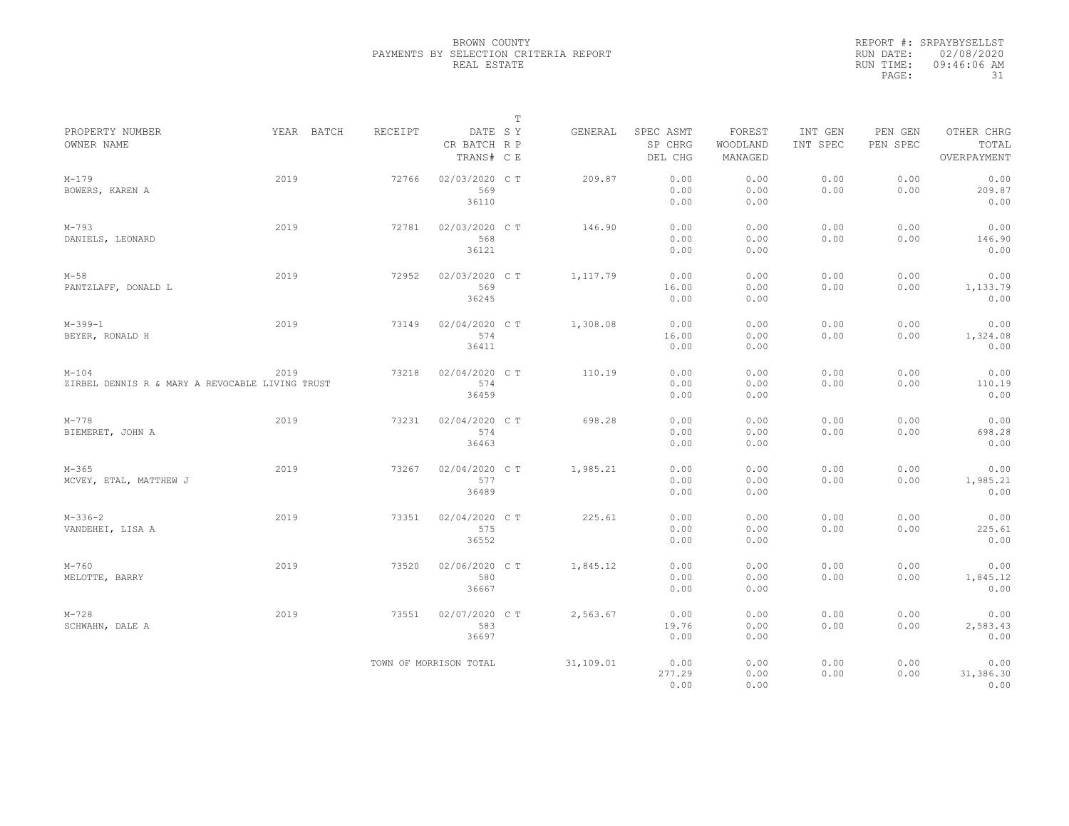|                                                            |            |         |                                       | T |           |                                 |                               |                     |                     |                                    |
|------------------------------------------------------------|------------|---------|---------------------------------------|---|-----------|---------------------------------|-------------------------------|---------------------|---------------------|------------------------------------|
| PROPERTY NUMBER<br>OWNER NAME                              | YEAR BATCH | RECEIPT | DATE SY<br>CR BATCH R P<br>TRANS# C E |   | GENERAL   | SPEC ASMT<br>SP CHRG<br>DEL CHG | FOREST<br>WOODLAND<br>MANAGED | INT GEN<br>INT SPEC | PEN GEN<br>PEN SPEC | OTHER CHRG<br>TOTAL<br>OVERPAYMENT |
| $M-179$<br>BOWERS, KAREN A                                 | 2019       | 72766   | 02/03/2020 C T<br>569<br>36110        |   | 209.87    | 0.00<br>0.00<br>0.00            | 0.00<br>0.00<br>0.00          | 0.00<br>0.00        | 0.00<br>0.00        | 0.00<br>209.87<br>0.00             |
| $M - 793$<br>DANIELS, LEONARD                              | 2019       | 72781   | 02/03/2020 C T<br>568<br>36121        |   | 146.90    | 0.00<br>0.00<br>0.00            | 0.00<br>0.00<br>0.00          | 0.00<br>0.00        | 0.00<br>0.00        | 0.00<br>146.90<br>0.00             |
| $M-58$<br>PANTZLAFF, DONALD L                              | 2019       | 72952   | 02/03/2020 C T<br>569<br>36245        |   | 1, 117.79 | 0.00<br>16.00<br>0.00           | 0.00<br>0.00<br>0.00          | 0.00<br>0.00        | 0.00<br>0.00        | 0.00<br>1,133.79<br>0.00           |
| $M-399-1$<br>BEYER, RONALD H                               | 2019       | 73149   | 02/04/2020 C T<br>574<br>36411        |   | 1,308.08  | 0.00<br>16.00<br>0.00           | 0.00<br>0.00<br>0.00          | 0.00<br>0.00        | 0.00<br>0.00        | 0.00<br>1,324.08<br>0.00           |
| $M-104$<br>ZIRBEL DENNIS R & MARY A REVOCABLE LIVING TRUST | 2019       | 73218   | 02/04/2020 C T<br>574<br>36459        |   | 110.19    | 0.00<br>0.00<br>0.00            | 0.00<br>0.00<br>0.00          | 0.00<br>0.00        | 0.00<br>0.00        | 0.00<br>110.19<br>0.00             |
| $M - 778$<br>BIEMERET, JOHN A                              | 2019       | 73231   | 02/04/2020 C T<br>574<br>36463        |   | 698.28    | 0.00<br>0.00<br>0.00            | 0.00<br>0.00<br>0.00          | 0.00<br>0.00        | 0.00<br>0.00        | 0.00<br>698.28<br>0.00             |
| $M - 365$<br>MCVEY, ETAL, MATTHEW J                        | 2019       | 73267   | 02/04/2020 C T<br>577<br>36489        |   | 1,985.21  | 0.00<br>0.00<br>0.00            | 0.00<br>0.00<br>0.00          | 0.00<br>0.00        | 0.00<br>0.00        | 0.00<br>1,985.21<br>0.00           |
| $M-336-2$<br>VANDEHEI, LISA A                              | 2019       | 73351   | 02/04/2020 C T<br>575<br>36552        |   | 225.61    | 0.00<br>0.00<br>0.00            | 0.00<br>0.00<br>0.00          | 0.00<br>0.00        | 0.00<br>0.00        | 0.00<br>225.61<br>0.00             |
| $M-760$<br>MELOTTE, BARRY                                  | 2019       | 73520   | 02/06/2020 C T<br>580<br>36667        |   | 1,845.12  | 0.00<br>0.00<br>0.00            | 0.00<br>0.00<br>0.00          | 0.00<br>0.00        | 0.00<br>0.00        | 0.00<br>1,845.12<br>0.00           |
| $M - 728$<br>SCHWAHN, DALE A                               | 2019       | 73551   | 02/07/2020 C T<br>583<br>36697        |   | 2,563.67  | 0.00<br>19.76<br>0.00           | 0.00<br>0.00<br>0.00          | 0.00<br>0.00        | 0.00<br>0.00        | 0.00<br>2,583.43<br>0.00           |
|                                                            |            |         | TOWN OF MORRISON TOTAL                |   | 31,109.01 | 0.00<br>277.29<br>0.00          | 0.00<br>0.00<br>0.00          | 0.00<br>0.00        | 0.00<br>0.00        | 0.00<br>31,386.30<br>0.00          |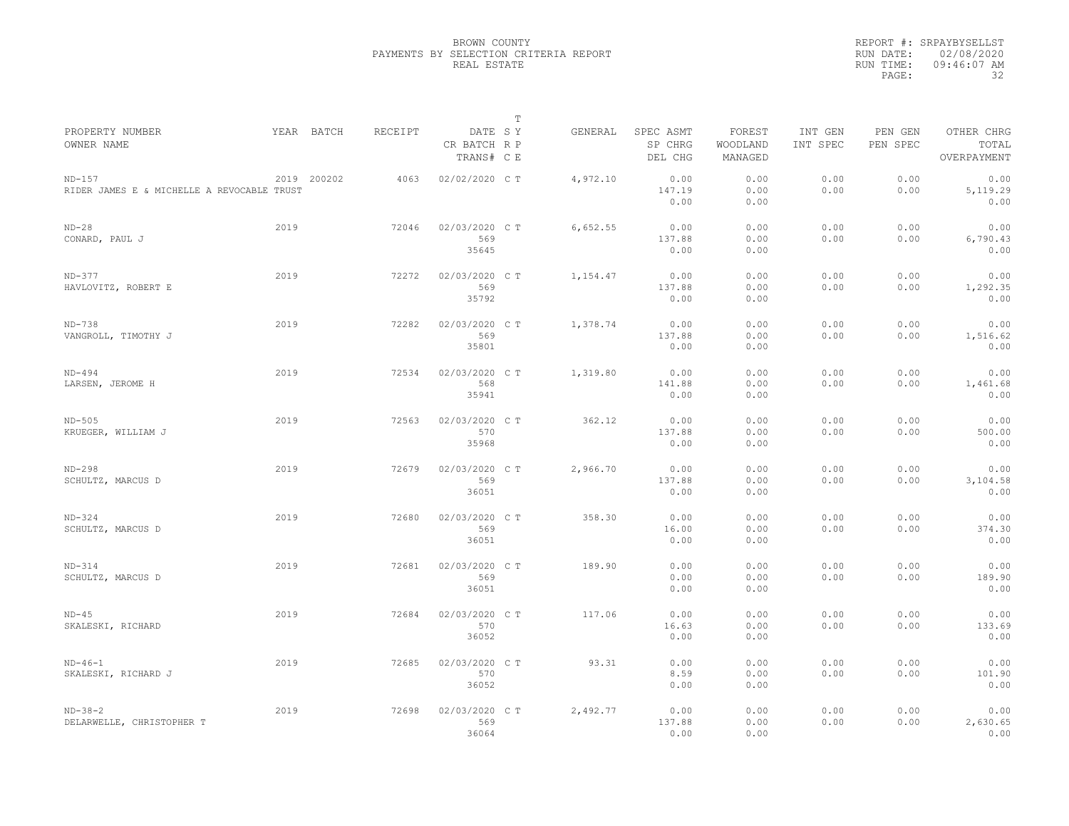|                                                        |      |             |         |                                       | $\mathbb T$ |          |                                 |                               |                     |                     |                                    |
|--------------------------------------------------------|------|-------------|---------|---------------------------------------|-------------|----------|---------------------------------|-------------------------------|---------------------|---------------------|------------------------------------|
| PROPERTY NUMBER<br>OWNER NAME                          |      | YEAR BATCH  | RECEIPT | DATE SY<br>CR BATCH R P<br>TRANS# C E |             | GENERAL  | SPEC ASMT<br>SP CHRG<br>DEL CHG | FOREST<br>WOODLAND<br>MANAGED | INT GEN<br>INT SPEC | PEN GEN<br>PEN SPEC | OTHER CHRG<br>TOTAL<br>OVERPAYMENT |
| $ND-157$<br>RIDER JAMES E & MICHELLE A REVOCABLE TRUST |      | 2019 200202 | 4063    | 02/02/2020 C T                        |             | 4,972.10 | 0.00<br>147.19<br>0.00          | 0.00<br>0.00<br>0.00          | 0.00<br>0.00        | 0.00<br>0.00        | 0.00<br>5, 119.29<br>0.00          |
| $ND-28$<br>CONARD, PAUL J                              | 2019 |             | 72046   | 02/03/2020 C T<br>569<br>35645        |             | 6,652.55 | 0.00<br>137.88<br>0.00          | 0.00<br>0.00<br>0.00          | 0.00<br>0.00        | 0.00<br>0.00        | 0.00<br>6,790.43<br>0.00           |
| $ND-377$<br>HAVLOVITZ, ROBERT E                        | 2019 |             | 72272   | 02/03/2020 C T<br>569<br>35792        |             | 1,154.47 | 0.00<br>137.88<br>0.00          | 0.00<br>0.00<br>0.00          | 0.00<br>0.00        | 0.00<br>0.00        | 0.00<br>1,292.35<br>0.00           |
| $ND-738$<br>VANGROLL, TIMOTHY J                        | 2019 |             | 72282   | 02/03/2020 C T<br>569<br>35801        |             | 1,378.74 | 0.00<br>137.88<br>0.00          | 0.00<br>0.00<br>0.00          | 0.00<br>0.00        | 0.00<br>0.00        | 0.00<br>1,516.62<br>0.00           |
| $ND-494$<br>LARSEN, JEROME H                           | 2019 |             | 72534   | 02/03/2020 C T<br>568<br>35941        |             | 1,319.80 | 0.00<br>141.88<br>0.00          | 0.00<br>0.00<br>0.00          | 0.00<br>0.00        | 0.00<br>0.00        | 0.00<br>1,461.68<br>0.00           |
| $ND-505$<br>KRUEGER, WILLIAM J                         | 2019 |             | 72563   | 02/03/2020 CT<br>570<br>35968         |             | 362.12   | 0.00<br>137.88<br>0.00          | 0.00<br>0.00<br>0.00          | 0.00<br>0.00        | 0.00<br>0.00        | 0.00<br>500.00<br>0.00             |
| $ND-298$<br>SCHULTZ, MARCUS D                          | 2019 |             | 72679   | 02/03/2020 C T<br>569<br>36051        |             | 2,966.70 | 0.00<br>137.88<br>0.00          | 0.00<br>0.00<br>0.00          | 0.00<br>0.00        | 0.00<br>0.00        | 0.00<br>3,104.58<br>0.00           |
| $ND-324$<br>SCHULTZ, MARCUS D                          | 2019 |             | 72680   | 02/03/2020 C T<br>569<br>36051        |             | 358.30   | 0.00<br>16.00<br>0.00           | 0.00<br>0.00<br>0.00          | 0.00<br>0.00        | 0.00<br>0.00        | 0.00<br>374.30<br>0.00             |
| $ND-314$<br>SCHULTZ, MARCUS D                          | 2019 |             | 72681   | 02/03/2020 CT<br>569<br>36051         |             | 189.90   | 0.00<br>0.00<br>0.00            | 0.00<br>0.00<br>0.00          | 0.00<br>0.00        | 0.00<br>0.00        | 0.00<br>189.90<br>0.00             |
| $ND-45$<br>SKALESKI, RICHARD                           | 2019 |             | 72684   | 02/03/2020 CT<br>570<br>36052         |             | 117.06   | 0.00<br>16.63<br>0.00           | 0.00<br>0.00<br>0.00          | 0.00<br>0.00        | 0.00<br>0.00        | 0.00<br>133.69<br>0.00             |
| $ND-46-1$<br>SKALESKI, RICHARD J                       | 2019 |             | 72685   | 02/03/2020 C T<br>570<br>36052        |             | 93.31    | 0.00<br>8.59<br>0.00            | 0.00<br>0.00<br>0.00          | 0.00<br>0.00        | 0.00<br>0.00        | 0.00<br>101.90<br>0.00             |
| $ND-38-2$<br>DELARWELLE, CHRISTOPHER T                 | 2019 |             | 72698   | 02/03/2020 CT<br>569<br>36064         |             | 2,492.77 | 0.00<br>137.88<br>0.00          | 0.00<br>0.00<br>0.00          | 0.00<br>0.00        | 0.00<br>0.00        | 0.00<br>2,630.65<br>0.00           |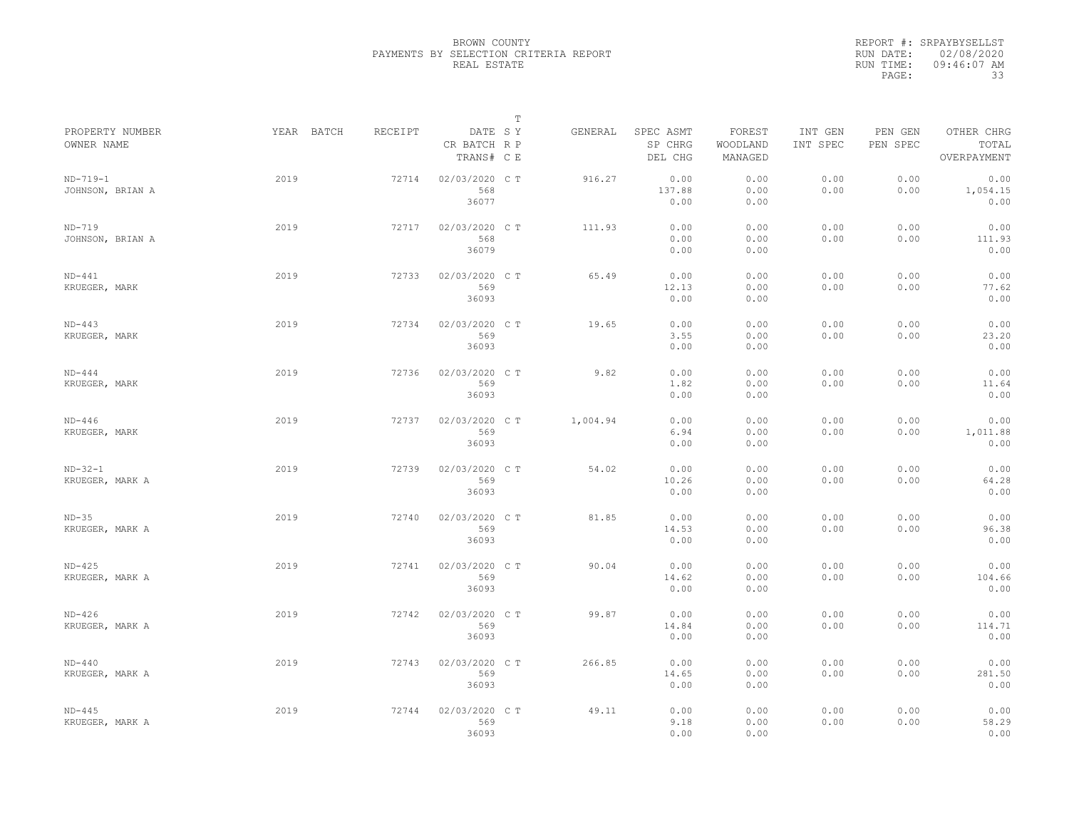|                                |            |         |                                       | $\mathbb T$ |          |                                 |                               |                     |                     |                                    |
|--------------------------------|------------|---------|---------------------------------------|-------------|----------|---------------------------------|-------------------------------|---------------------|---------------------|------------------------------------|
| PROPERTY NUMBER<br>OWNER NAME  | YEAR BATCH | RECEIPT | DATE SY<br>CR BATCH R P<br>TRANS# C E |             | GENERAL  | SPEC ASMT<br>SP CHRG<br>DEL CHG | FOREST<br>WOODLAND<br>MANAGED | INT GEN<br>INT SPEC | PEN GEN<br>PEN SPEC | OTHER CHRG<br>TOTAL<br>OVERPAYMENT |
| $ND-719-1$<br>JOHNSON, BRIAN A | 2019       | 72714   | 02/03/2020 C T<br>568<br>36077        |             | 916.27   | 0.00<br>137.88<br>0.00          | 0.00<br>0.00<br>0.00          | 0.00<br>0.00        | 0.00<br>0.00        | 0.00<br>1,054.15<br>0.00           |
| $ND-719$<br>JOHNSON, BRIAN A   | 2019       | 72717   | 02/03/2020 C T<br>568<br>36079        |             | 111.93   | 0.00<br>0.00<br>0.00            | 0.00<br>0.00<br>0.00          | 0.00<br>0.00        | 0.00<br>0.00        | 0.00<br>111.93<br>0.00             |
| $ND-441$<br>KRUEGER, MARK      | 2019       | 72733   | 02/03/2020 C T<br>569<br>36093        |             | 65.49    | 0.00<br>12.13<br>0.00           | 0.00<br>0.00<br>0.00          | 0.00<br>0.00        | 0.00<br>0.00        | 0.00<br>77.62<br>0.00              |
| $ND-443$<br>KRUEGER, MARK      | 2019       | 72734   | 02/03/2020 CT<br>569<br>36093         |             | 19.65    | 0.00<br>3.55<br>0.00            | 0.00<br>0.00<br>0.00          | 0.00<br>0.00        | 0.00<br>0.00        | 0.00<br>23.20<br>0.00              |
| $ND-444$<br>KRUEGER, MARK      | 2019       | 72736   | 02/03/2020 CT<br>569<br>36093         |             | 9.82     | 0.00<br>1.82<br>0.00            | 0.00<br>0.00<br>0.00          | 0.00<br>0.00        | 0.00<br>0.00        | 0.00<br>11.64<br>0.00              |
| $ND-446$<br>KRUEGER, MARK      | 2019       | 72737   | 02/03/2020 CT<br>569<br>36093         |             | 1,004.94 | 0.00<br>6.94<br>0.00            | 0.00<br>0.00<br>0.00          | 0.00<br>0.00        | 0.00<br>0.00        | 0.00<br>1,011.88<br>0.00           |
| $ND-32-1$<br>KRUEGER, MARK A   | 2019       | 72739   | 02/03/2020 CT<br>569<br>36093         |             | 54.02    | 0.00<br>10.26<br>0.00           | 0.00<br>0.00<br>0.00          | 0.00<br>0.00        | 0.00<br>0.00        | 0.00<br>64.28<br>0.00              |
| $ND-35$<br>KRUEGER, MARK A     | 2019       | 72740   | 02/03/2020 C T<br>569<br>36093        |             | 81.85    | 0.00<br>14.53<br>0.00           | 0.00<br>0.00<br>0.00          | 0.00<br>0.00        | 0.00<br>0.00        | 0.00<br>96.38<br>0.00              |
| $ND-425$<br>KRUEGER, MARK A    | 2019       | 72741   | 02/03/2020 C T<br>569<br>36093        |             | 90.04    | 0.00<br>14.62<br>0.00           | 0.00<br>0.00<br>0.00          | 0.00<br>0.00        | 0.00<br>0.00        | 0.00<br>104.66<br>0.00             |
| $ND-426$<br>KRUEGER, MARK A    | 2019       | 72742   | 02/03/2020 CT<br>569<br>36093         |             | 99.87    | 0.00<br>14.84<br>0.00           | 0.00<br>0.00<br>0.00          | 0.00<br>0.00        | 0.00<br>0.00        | 0.00<br>114.71<br>0.00             |
| $ND-440$<br>KRUEGER, MARK A    | 2019       | 72743   | 02/03/2020 CT<br>569<br>36093         |             | 266.85   | 0.00<br>14.65<br>0.00           | 0.00<br>0.00<br>0.00          | 0.00<br>0.00        | 0.00<br>0.00        | 0.00<br>281.50<br>0.00             |
| $ND-445$<br>KRUEGER, MARK A    | 2019       | 72744   | 02/03/2020 CT<br>569<br>36093         |             | 49.11    | 0.00<br>9.18<br>0.00            | 0.00<br>0.00<br>0.00          | 0.00<br>0.00        | 0.00<br>0.00        | 0.00<br>58.29<br>0.00              |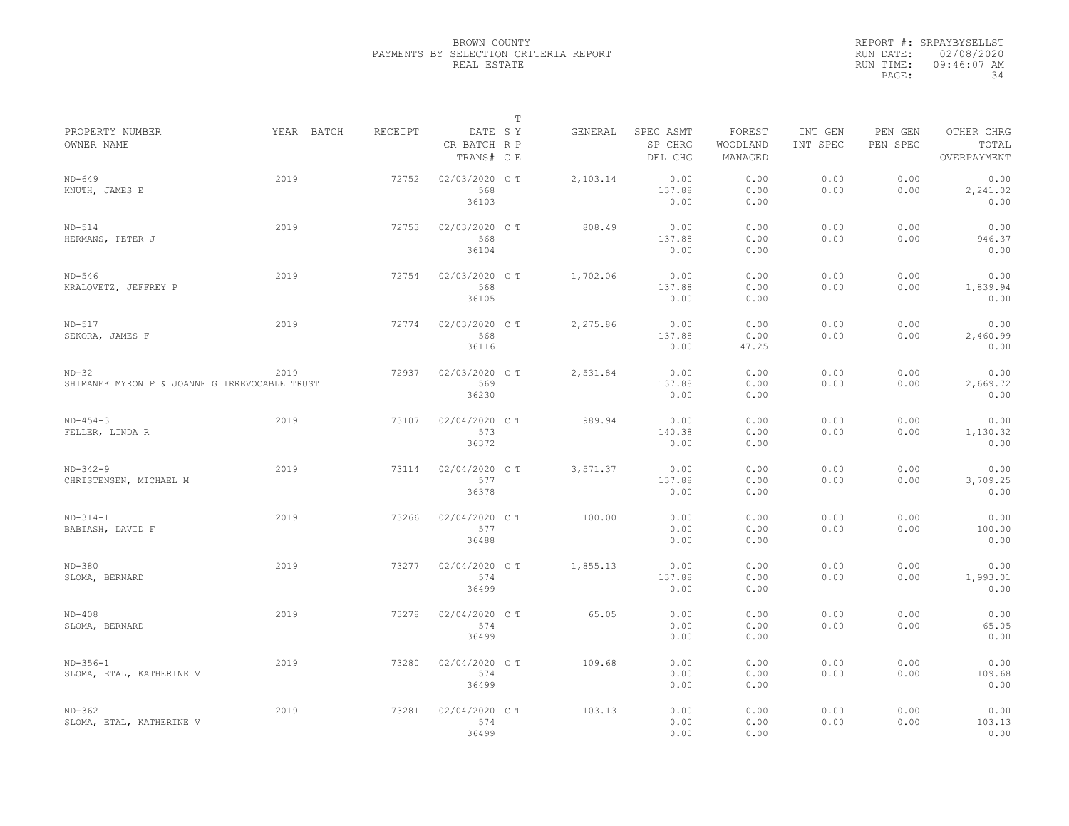|                                                          |            |         |                                       | $\mathbb T$ |          |                                 |                               |                     |                     |                                    |
|----------------------------------------------------------|------------|---------|---------------------------------------|-------------|----------|---------------------------------|-------------------------------|---------------------|---------------------|------------------------------------|
| PROPERTY NUMBER<br>OWNER NAME                            | YEAR BATCH | RECEIPT | DATE SY<br>CR BATCH R P<br>TRANS# C E |             | GENERAL  | SPEC ASMT<br>SP CHRG<br>DEL CHG | FOREST<br>WOODLAND<br>MANAGED | INT GEN<br>INT SPEC | PEN GEN<br>PEN SPEC | OTHER CHRG<br>TOTAL<br>OVERPAYMENT |
| $ND-649$<br>KNUTH, JAMES E                               | 2019       | 72752   | 02/03/2020 C T<br>568<br>36103        |             | 2,103.14 | 0.00<br>137.88<br>0.00          | 0.00<br>0.00<br>0.00          | 0.00<br>0.00        | 0.00<br>0.00        | 0.00<br>2,241.02<br>0.00           |
| $ND-514$<br>HERMANS, PETER J                             | 2019       | 72753   | 02/03/2020 C T<br>568<br>36104        |             | 808.49   | 0.00<br>137.88<br>0.00          | 0.00<br>0.00<br>0.00          | 0.00<br>0.00        | 0.00<br>0.00        | 0.00<br>946.37<br>0.00             |
| $ND-546$<br>KRALOVETZ, JEFFREY P                         | 2019       | 72754   | 02/03/2020 C T<br>568<br>36105        |             | 1,702.06 | 0.00<br>137.88<br>0.00          | 0.00<br>0.00<br>0.00          | 0.00<br>0.00        | 0.00<br>0.00        | 0.00<br>1,839.94<br>0.00           |
| $ND-517$<br>SEKORA, JAMES F                              | 2019       | 72774   | 02/03/2020 C T<br>568<br>36116        |             | 2,275.86 | 0.00<br>137.88<br>0.00          | 0.00<br>0.00<br>47.25         | 0.00<br>0.00        | 0.00<br>0.00        | 0.00<br>2,460.99<br>0.00           |
| $ND-32$<br>SHIMANEK MYRON P & JOANNE G IRREVOCABLE TRUST | 2019       | 72937   | 02/03/2020 C T<br>569<br>36230        |             | 2,531.84 | 0.00<br>137.88<br>0.00          | 0.00<br>0.00<br>0.00          | 0.00<br>0.00        | 0.00<br>0.00        | 0.00<br>2,669.72<br>0.00           |
| $ND-454-3$<br>FELLER, LINDA R                            | 2019       | 73107   | 02/04/2020 C T<br>573<br>36372        |             | 989.94   | 0.00<br>140.38<br>0.00          | 0.00<br>0.00<br>0.00          | 0.00<br>0.00        | 0.00<br>0.00        | 0.00<br>1,130.32<br>0.00           |
| $ND-342-9$<br>CHRISTENSEN, MICHAEL M                     | 2019       | 73114   | 02/04/2020 CT<br>577<br>36378         |             | 3,571.37 | 0.00<br>137.88<br>0.00          | 0.00<br>0.00<br>0.00          | 0.00<br>0.00        | 0.00<br>0.00        | 0.00<br>3,709.25<br>0.00           |
| $ND-314-1$<br>BABIASH, DAVID F                           | 2019       | 73266   | 02/04/2020 CT<br>577<br>36488         |             | 100.00   | 0.00<br>0.00<br>0.00            | 0.00<br>0.00<br>0.00          | 0.00<br>0.00        | 0.00<br>0.00        | 0.00<br>100.00<br>0.00             |
| $ND-380$<br>SLOMA, BERNARD                               | 2019       | 73277   | 02/04/2020 C T<br>574<br>36499        |             | 1,855.13 | 0.00<br>137.88<br>0.00          | 0.00<br>0.00<br>0.00          | 0.00<br>0.00        | 0.00<br>0.00        | 0.00<br>1,993.01<br>0.00           |
| $ND-408$<br>SLOMA, BERNARD                               | 2019       | 73278   | 02/04/2020 C T<br>574<br>36499        |             | 65.05    | 0.00<br>0.00<br>0.00            | 0.00<br>0.00<br>0.00          | 0.00<br>0.00        | 0.00<br>0.00        | 0.00<br>65.05<br>0.00              |
| $ND-356-1$<br>SLOMA, ETAL, KATHERINE V                   | 2019       | 73280   | 02/04/2020 C T<br>574<br>36499        |             | 109.68   | 0.00<br>0.00<br>0.00            | 0.00<br>0.00<br>0.00          | 0.00<br>0.00        | 0.00<br>0.00        | 0.00<br>109.68<br>0.00             |
| $ND-362$<br>SLOMA, ETAL, KATHERINE V                     | 2019       | 73281   | 02/04/2020 C T<br>574<br>36499        |             | 103.13   | 0.00<br>0.00<br>0.00            | 0.00<br>0.00<br>0.00          | 0.00<br>0.00        | 0.00<br>0.00        | 0.00<br>103.13<br>0.00             |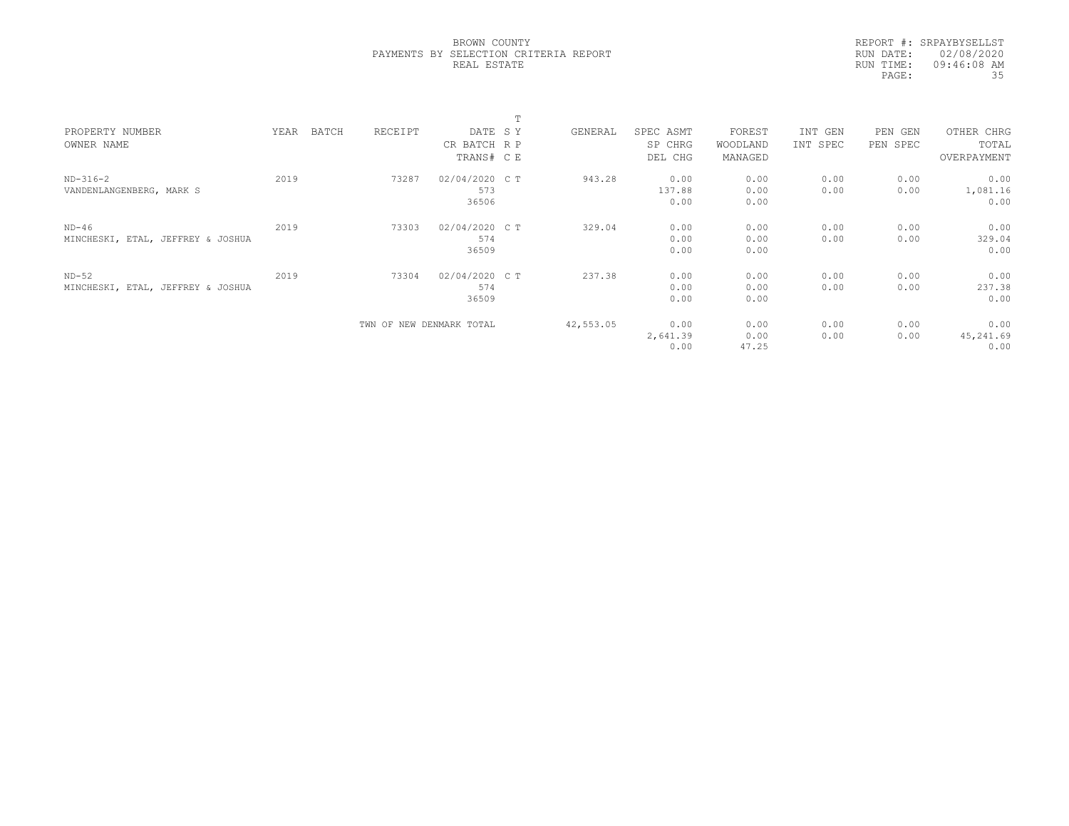|                                   |      |       |                          |                | T |           |           |          |          |            |             |  |
|-----------------------------------|------|-------|--------------------------|----------------|---|-----------|-----------|----------|----------|------------|-------------|--|
| PROPERTY NUMBER                   | YEAR | BATCH | RECEIPT                  | DATE SY        |   | GENERAL   | SPEC ASMT | FOREST   | INT GEN  | PEN<br>GEN | OTHER CHRG  |  |
| OWNER NAME                        |      |       |                          | CR BATCH R P   |   |           | SP CHRG   | WOODLAND | INT SPEC | PEN SPEC   | TOTAL       |  |
|                                   |      |       |                          | TRANS# C E     |   |           | DEL CHG   | MANAGED  |          |            | OVERPAYMENT |  |
| $ND-316-2$                        | 2019 |       | 73287                    | 02/04/2020 C T |   | 943.28    | 0.00      | 0.00     | 0.00     | 0.00       | 0.00        |  |
| VANDENLANGENBERG, MARK S          |      |       |                          | 573            |   |           | 137.88    | 0.00     | 0.00     | 0.00       | 1,081.16    |  |
|                                   |      |       |                          | 36506          |   |           | 0.00      | 0.00     |          |            | 0.00        |  |
| $ND-46$                           | 2019 |       | 73303                    | 02/04/2020 C T |   | 329.04    | 0.00      | 0.00     | 0.00     | 0.00       | 0.00        |  |
| MINCHESKI, ETAL, JEFFREY & JOSHUA |      |       |                          | 574            |   |           | 0.00      | 0.00     | 0.00     | 0.00       | 329.04      |  |
|                                   |      |       |                          | 36509          |   |           | 0.00      | 0.00     |          |            | 0.00        |  |
| $ND-52$                           | 2019 |       | 73304                    | 02/04/2020 C T |   | 237.38    | 0.00      | 0.00     | 0.00     | 0.00       | 0.00        |  |
| MINCHESKI, ETAL, JEFFREY & JOSHUA |      |       |                          | 574            |   |           | 0.00      | 0.00     | 0.00     | 0.00       | 237.38      |  |
|                                   |      |       |                          | 36509          |   |           | 0.00      | 0.00     |          |            | 0.00        |  |
|                                   |      |       | TWN OF NEW DENMARK TOTAL |                |   | 42,553.05 | 0.00      | 0.00     | 0.00     | 0.00       | 0.00        |  |
|                                   |      |       |                          |                |   |           | 2,641.39  | 0.00     | 0.00     | 0.00       | 45,241.69   |  |
|                                   |      |       |                          |                |   |           | 0.00      | 47.25    |          |            | 0.00        |  |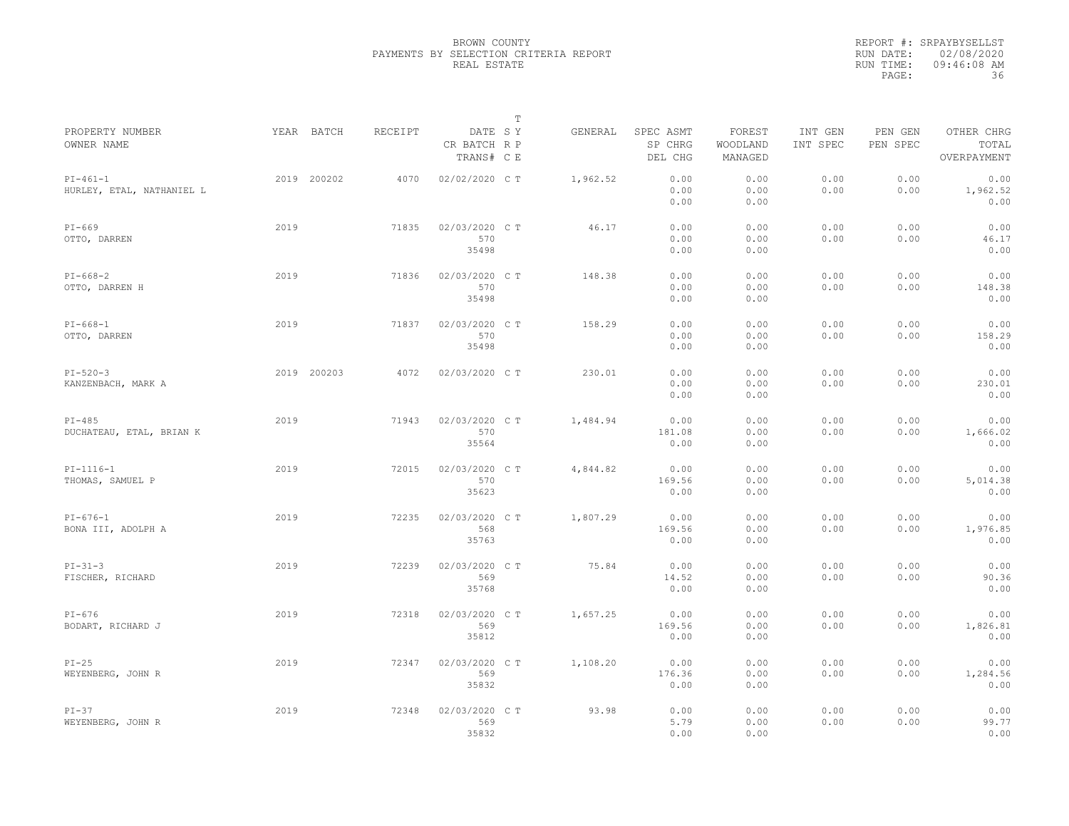|                                         |             |         |                                       | $\mathbb T$ |          |                                 |                               |                     |                     |                                    |
|-----------------------------------------|-------------|---------|---------------------------------------|-------------|----------|---------------------------------|-------------------------------|---------------------|---------------------|------------------------------------|
| PROPERTY NUMBER<br>OWNER NAME           | YEAR BATCH  | RECEIPT | DATE SY<br>CR BATCH R P<br>TRANS# C E |             | GENERAL  | SPEC ASMT<br>SP CHRG<br>DEL CHG | FOREST<br>WOODLAND<br>MANAGED | INT GEN<br>INT SPEC | PEN GEN<br>PEN SPEC | OTHER CHRG<br>TOTAL<br>OVERPAYMENT |
| $PI-461-1$<br>HURLEY, ETAL, NATHANIEL L | 2019 200202 | 4070    | 02/02/2020 C T                        |             | 1,962.52 | 0.00<br>0.00<br>0.00            | 0.00<br>0.00<br>0.00          | 0.00<br>0.00        | 0.00<br>0.00        | 0.00<br>1,962.52<br>0.00           |
| $PI-669$<br>OTTO, DARREN                | 2019        | 71835   | 02/03/2020 C T<br>570<br>35498        |             | 46.17    | 0.00<br>0.00<br>0.00            | 0.00<br>0.00<br>0.00          | 0.00<br>0.00        | 0.00<br>0.00        | 0.00<br>46.17<br>0.00              |
| $PI-668-2$<br>OTTO, DARREN H            | 2019        | 71836   | 02/03/2020 C T<br>570<br>35498        |             | 148.38   | 0.00<br>0.00<br>0.00            | 0.00<br>0.00<br>0.00          | 0.00<br>0.00        | 0.00<br>0.00        | 0.00<br>148.38<br>0.00             |
| $PI-668-1$<br>OTTO, DARREN              | 2019        | 71837   | 02/03/2020 C T<br>570<br>35498        |             | 158.29   | 0.00<br>0.00<br>0.00            | 0.00<br>0.00<br>0.00          | 0.00<br>0.00        | 0.00<br>0.00        | 0.00<br>158.29<br>0.00             |
| $PI - 520 - 3$<br>KANZENBACH, MARK A    | 2019 200203 | 4072    | 02/03/2020 C T                        |             | 230.01   | 0.00<br>0.00<br>0.00            | 0.00<br>0.00<br>0.00          | 0.00<br>0.00        | 0.00<br>0.00        | 0.00<br>230.01<br>0.00             |
| $PI-485$<br>DUCHATEAU, ETAL, BRIAN K    | 2019        | 71943   | 02/03/2020 C T<br>570<br>35564        |             | 1,484.94 | 0.00<br>181.08<br>0.00          | 0.00<br>0.00<br>0.00          | 0.00<br>0.00        | 0.00<br>0.00        | 0.00<br>1,666.02<br>0.00           |
| $PI-1116-1$<br>THOMAS, SAMUEL P         | 2019        | 72015   | 02/03/2020 C T<br>570<br>35623        |             | 4,844.82 | 0.00<br>169.56<br>0.00          | 0.00<br>0.00<br>0.00          | 0.00<br>0.00        | 0.00<br>0.00        | 0.00<br>5,014.38<br>0.00           |
| $PI-676-1$<br>BONA III, ADOLPH A        | 2019        | 72235   | 02/03/2020 C T<br>568<br>35763        |             | 1,807.29 | 0.00<br>169.56<br>0.00          | 0.00<br>0.00<br>0.00          | 0.00<br>0.00        | 0.00<br>0.00        | 0.00<br>1,976.85<br>0.00           |
| $PI - 31 - 3$<br>FISCHER, RICHARD       | 2019        | 72239   | 02/03/2020 CT<br>569<br>35768         |             | 75.84    | 0.00<br>14.52<br>0.00           | 0.00<br>0.00<br>0.00          | 0.00<br>0.00        | 0.00<br>0.00        | 0.00<br>90.36<br>0.00              |
| $PI-676$<br>BODART, RICHARD J           | 2019        | 72318   | 02/03/2020 C T<br>569<br>35812        |             | 1,657.25 | 0.00<br>169.56<br>0.00          | 0.00<br>0.00<br>0.00          | 0.00<br>0.00        | 0.00<br>0.00        | 0.00<br>1,826.81<br>0.00           |
| $PI-25$<br>WEYENBERG, JOHN R            | 2019        | 72347   | 02/03/2020 C T<br>569<br>35832        |             | 1,108.20 | 0.00<br>176.36<br>0.00          | 0.00<br>0.00<br>0.00          | 0.00<br>0.00        | 0.00<br>0.00        | 0.00<br>1,284.56<br>0.00           |
| $PI-37$<br>WEYENBERG, JOHN R            | 2019        | 72348   | 02/03/2020 C T<br>569<br>35832        |             | 93.98    | 0.00<br>5.79<br>0.00            | 0.00<br>0.00<br>0.00          | 0.00<br>0.00        | 0.00<br>0.00        | 0.00<br>99.77<br>0.00              |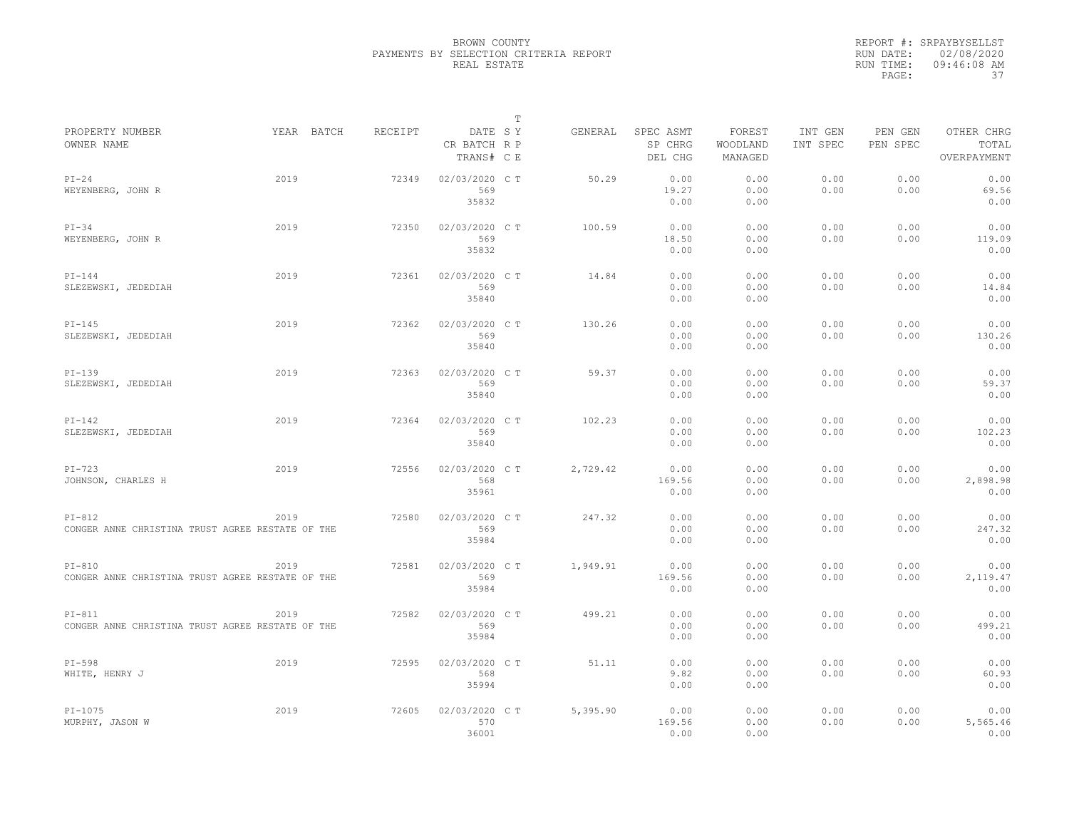|                                                  |            |         |                                       | T |          |                                 |                               |                     |                     |                                    |
|--------------------------------------------------|------------|---------|---------------------------------------|---|----------|---------------------------------|-------------------------------|---------------------|---------------------|------------------------------------|
| PROPERTY NUMBER<br>OWNER NAME                    | YEAR BATCH | RECEIPT | DATE SY<br>CR BATCH R P<br>TRANS# C E |   | GENERAL  | SPEC ASMT<br>SP CHRG<br>DEL CHG | FOREST<br>WOODLAND<br>MANAGED | INT GEN<br>INT SPEC | PEN GEN<br>PEN SPEC | OTHER CHRG<br>TOTAL<br>OVERPAYMENT |
| $PI-24$                                          | 2019       | 72349   | 02/03/2020 CT                         |   | 50.29    | 0.00                            | 0.00                          | 0.00                | 0.00                | 0.00                               |
| WEYENBERG, JOHN R                                |            |         | 569                                   |   |          | 19.27                           | 0.00                          | 0.00                | 0.00                | 69.56                              |
|                                                  |            |         | 35832                                 |   |          | 0.00                            | 0.00                          |                     |                     | 0.00                               |
| $PI-34$                                          | 2019       | 72350   | 02/03/2020 C T                        |   | 100.59   | 0.00                            | 0.00                          | 0.00                | 0.00                | 0.00                               |
| WEYENBERG, JOHN R                                |            |         | 569                                   |   |          | 18.50                           | 0.00                          | 0.00                | 0.00                | 119.09                             |
|                                                  |            |         | 35832                                 |   |          | 0.00                            | 0.00                          |                     |                     | 0.00                               |
| $PI-144$                                         | 2019       | 72361   | 02/03/2020 C T                        |   | 14.84    | 0.00                            | 0.00                          | 0.00                | 0.00                | 0.00                               |
| SLEZEWSKI, JEDEDIAH                              |            |         | 569                                   |   |          | 0.00                            | 0.00                          | 0.00                | 0.00                | 14.84                              |
|                                                  |            |         | 35840                                 |   |          | 0.00                            | 0.00                          |                     |                     | 0.00                               |
| $PI-145$                                         | 2019       | 72362   | 02/03/2020 C T                        |   | 130.26   | 0.00                            | 0.00                          | 0.00                | 0.00                | 0.00                               |
| SLEZEWSKI, JEDEDIAH                              |            |         | 569                                   |   |          | 0.00                            | 0.00                          | 0.00                | 0.00                | 130.26                             |
|                                                  |            |         | 35840                                 |   |          | 0.00                            | 0.00                          |                     |                     | 0.00                               |
| $PI-139$                                         | 2019       | 72363   | 02/03/2020 C T                        |   | 59.37    | 0.00                            | 0.00                          | 0.00                | 0.00                | 0.00                               |
| SLEZEWSKI, JEDEDIAH                              |            |         | 569                                   |   |          | 0.00                            | 0.00                          | 0.00                | 0.00                | 59.37                              |
|                                                  |            |         | 35840                                 |   |          | 0.00                            | 0.00                          |                     |                     | 0.00                               |
| $PI-142$                                         | 2019       | 72364   | 02/03/2020 C T                        |   | 102.23   | 0.00                            | 0.00                          | 0.00                | 0.00                | 0.00                               |
| SLEZEWSKI, JEDEDIAH                              |            |         | 569                                   |   |          | 0.00                            | 0.00                          | 0.00                | 0.00                | 102.23                             |
|                                                  |            |         | 35840                                 |   |          | 0.00                            | 0.00                          |                     |                     | 0.00                               |
| $PI-723$                                         | 2019       | 72556   | 02/03/2020 CT                         |   | 2,729.42 | 0.00                            | 0.00                          | 0.00                | 0.00                | 0.00                               |
| JOHNSON, CHARLES H                               |            |         | 568                                   |   |          | 169.56                          | 0.00                          | 0.00                | 0.00                | 2,898.98                           |
|                                                  |            |         | 35961                                 |   |          | 0.00                            | 0.00                          |                     |                     | 0.00                               |
| $PI-812$                                         | 2019       | 72580   | 02/03/2020 C T                        |   | 247.32   | 0.00                            | 0.00                          | 0.00                | 0.00                | 0.00                               |
| CONGER ANNE CHRISTINA TRUST AGREE RESTATE OF THE |            |         | 569                                   |   |          | 0.00                            | 0.00                          | 0.00                | 0.00                | 247.32                             |
|                                                  |            |         | 35984                                 |   |          | 0.00                            | 0.00                          |                     |                     | 0.00                               |
| $PI-810$                                         | 2019       | 72581   | 02/03/2020 C T                        |   | 1,949.91 | 0.00                            | 0.00                          | 0.00                | 0.00                | 0.00                               |
| CONGER ANNE CHRISTINA TRUST AGREE RESTATE OF THE |            |         | 569                                   |   |          | 169.56                          | 0.00                          | 0.00                | 0.00                | 2,119.47                           |
|                                                  |            |         | 35984                                 |   |          | 0.00                            | 0.00                          |                     |                     | 0.00                               |
| $PI-811$                                         | 2019       | 72582   | 02/03/2020 C T                        |   | 499.21   | 0.00                            | 0.00                          | 0.00                | 0.00                | 0.00                               |
| CONGER ANNE CHRISTINA TRUST AGREE RESTATE OF THE |            |         | 569                                   |   |          | 0.00                            | 0.00                          | 0.00                | 0.00                | 499.21                             |
|                                                  |            |         | 35984                                 |   |          | 0.00                            | 0.00                          |                     |                     | 0.00                               |
| $PI-598$                                         | 2019       | 72595   | 02/03/2020 C T                        |   | 51.11    | 0.00                            | 0.00                          | 0.00                | 0.00                | 0.00                               |
| WHITE, HENRY J                                   |            |         | 568                                   |   |          | 9.82                            | 0.00                          | 0.00                | 0.00                | 60.93                              |
|                                                  |            |         | 35994                                 |   |          | 0.00                            | 0.00                          |                     |                     | 0.00                               |
| $PI-1075$                                        | 2019       | 72605   | 02/03/2020 C T                        |   | 5,395.90 | 0.00                            | 0.00                          | 0.00                | 0.00                | 0.00                               |
| MURPHY, JASON W                                  |            |         | 570                                   |   |          | 169.56                          | 0.00                          | 0.00                | 0.00                | 5,565.46                           |
|                                                  |            |         | 36001                                 |   |          | 0.00                            | 0.00                          |                     |                     | 0.00                               |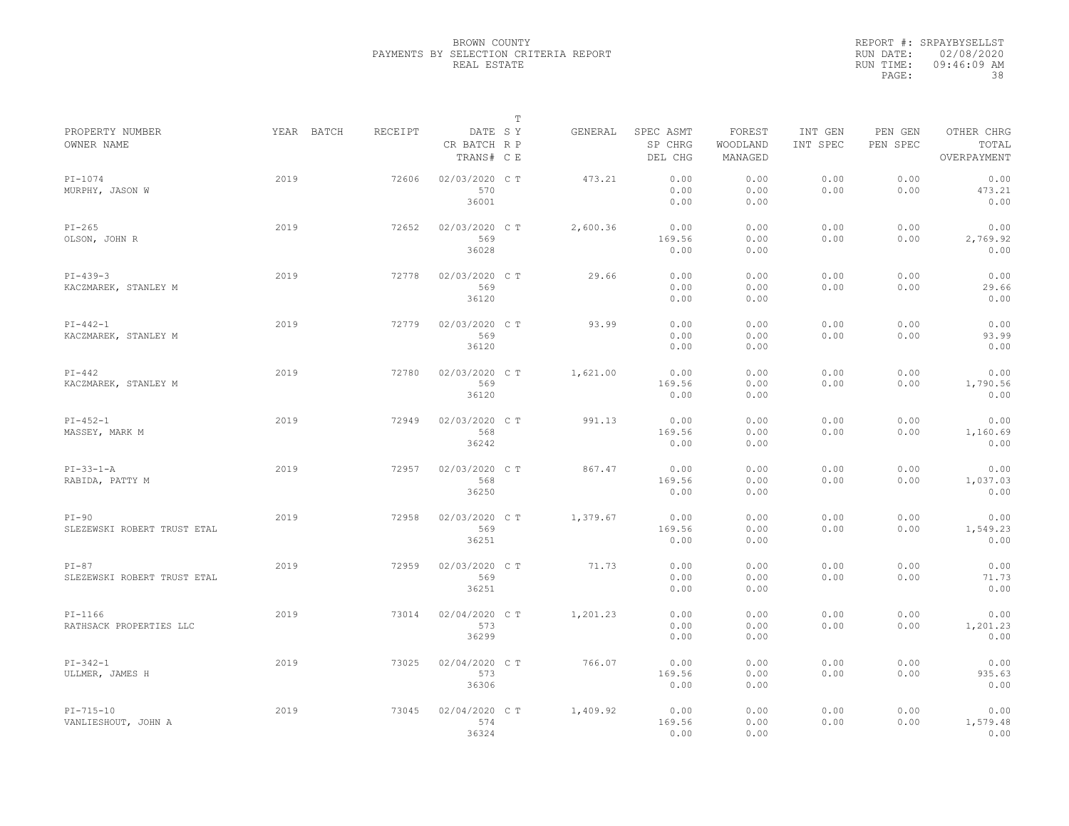|                                        |            |         |                                       | T |          |                                 |                               |                     |                     |                                    |
|----------------------------------------|------------|---------|---------------------------------------|---|----------|---------------------------------|-------------------------------|---------------------|---------------------|------------------------------------|
| PROPERTY NUMBER<br>OWNER NAME          | YEAR BATCH | RECEIPT | DATE SY<br>CR BATCH R P<br>TRANS# C E |   | GENERAL  | SPEC ASMT<br>SP CHRG<br>DEL CHG | FOREST<br>WOODLAND<br>MANAGED | INT GEN<br>INT SPEC | PEN GEN<br>PEN SPEC | OTHER CHRG<br>TOTAL<br>OVERPAYMENT |
| $PI-1074$<br>MURPHY, JASON W           | 2019       | 72606   | 02/03/2020 CT<br>570<br>36001         |   | 473.21   | 0.00<br>0.00<br>0.00            | 0.00<br>0.00<br>0.00          | 0.00<br>0.00        | 0.00<br>0.00        | 0.00<br>473.21<br>0.00             |
| $PI-265$<br>OLSON, JOHN R              | 2019       | 72652   | 02/03/2020 C T<br>569<br>36028        |   | 2,600.36 | 0.00<br>169.56<br>0.00          | 0.00<br>0.00<br>0.00          | 0.00<br>0.00        | 0.00<br>0.00        | 0.00<br>2,769.92<br>0.00           |
| $PI-439-3$<br>KACZMAREK, STANLEY M     | 2019       | 72778   | 02/03/2020 C T<br>569<br>36120        |   | 29.66    | 0.00<br>0.00<br>0.00            | 0.00<br>0.00<br>0.00          | 0.00<br>0.00        | 0.00<br>0.00        | 0.00<br>29.66<br>0.00              |
| $PI-442-1$<br>KACZMAREK, STANLEY M     | 2019       | 72779   | 02/03/2020 C T<br>569<br>36120        |   | 93.99    | 0.00<br>0.00<br>0.00            | 0.00<br>0.00<br>0.00          | 0.00<br>0.00        | 0.00<br>0.00        | 0.00<br>93.99<br>0.00              |
| $PI-442$<br>KACZMAREK, STANLEY M       | 2019       | 72780   | 02/03/2020 C T<br>569<br>36120        |   | 1,621.00 | 0.00<br>169.56<br>0.00          | 0.00<br>0.00<br>0.00          | 0.00<br>0.00        | 0.00<br>0.00        | 0.00<br>1,790.56<br>0.00           |
| $PI-452-1$<br>MASSEY, MARK M           | 2019       | 72949   | 02/03/2020 C T<br>568<br>36242        |   | 991.13   | 0.00<br>169.56<br>0.00          | 0.00<br>0.00<br>0.00          | 0.00<br>0.00        | 0.00<br>0.00        | 0.00<br>1,160.69<br>0.00           |
| $PI-33-1-A$<br>RABIDA, PATTY M         | 2019       | 72957   | 02/03/2020 C T<br>568<br>36250        |   | 867.47   | 0.00<br>169.56<br>0.00          | 0.00<br>0.00<br>0.00          | 0.00<br>0.00        | 0.00<br>0.00        | 0.00<br>1,037.03<br>0.00           |
| $PI-90$<br>SLEZEWSKI ROBERT TRUST ETAL | 2019       | 72958   | 02/03/2020 C T<br>569<br>36251        |   | 1,379.67 | 0.00<br>169.56<br>0.00          | 0.00<br>0.00<br>0.00          | 0.00<br>0.00        | 0.00<br>0.00        | 0.00<br>1,549.23<br>0.00           |
| $PI-87$<br>SLEZEWSKI ROBERT TRUST ETAL | 2019       | 72959   | 02/03/2020 C T<br>569<br>36251        |   | 71.73    | 0.00<br>0.00<br>0.00            | 0.00<br>0.00<br>0.00          | 0.00<br>0.00        | 0.00<br>0.00        | 0.00<br>71.73<br>0.00              |
| $PI-1166$<br>RATHSACK PROPERTIES LLC   | 2019       | 73014   | 02/04/2020 C T<br>573<br>36299        |   | 1,201.23 | 0.00<br>0.00<br>0.00            | 0.00<br>0.00<br>0.00          | 0.00<br>0.00        | 0.00<br>0.00        | 0.00<br>1,201.23<br>0.00           |
| $PI-342-1$<br>ULLMER, JAMES H          | 2019       | 73025   | 02/04/2020 C T<br>573<br>36306        |   | 766.07   | 0.00<br>169.56<br>0.00          | 0.00<br>0.00<br>0.00          | 0.00<br>0.00        | 0.00<br>0.00        | 0.00<br>935.63<br>0.00             |
| $PI-715-10$<br>VANLIESHOUT, JOHN A     | 2019       | 73045   | 02/04/2020 C T<br>574<br>36324        |   | 1,409.92 | 0.00<br>169.56<br>0.00          | 0.00<br>0.00<br>0.00          | 0.00<br>0.00        | 0.00<br>0.00        | 0.00<br>1,579.48<br>0.00           |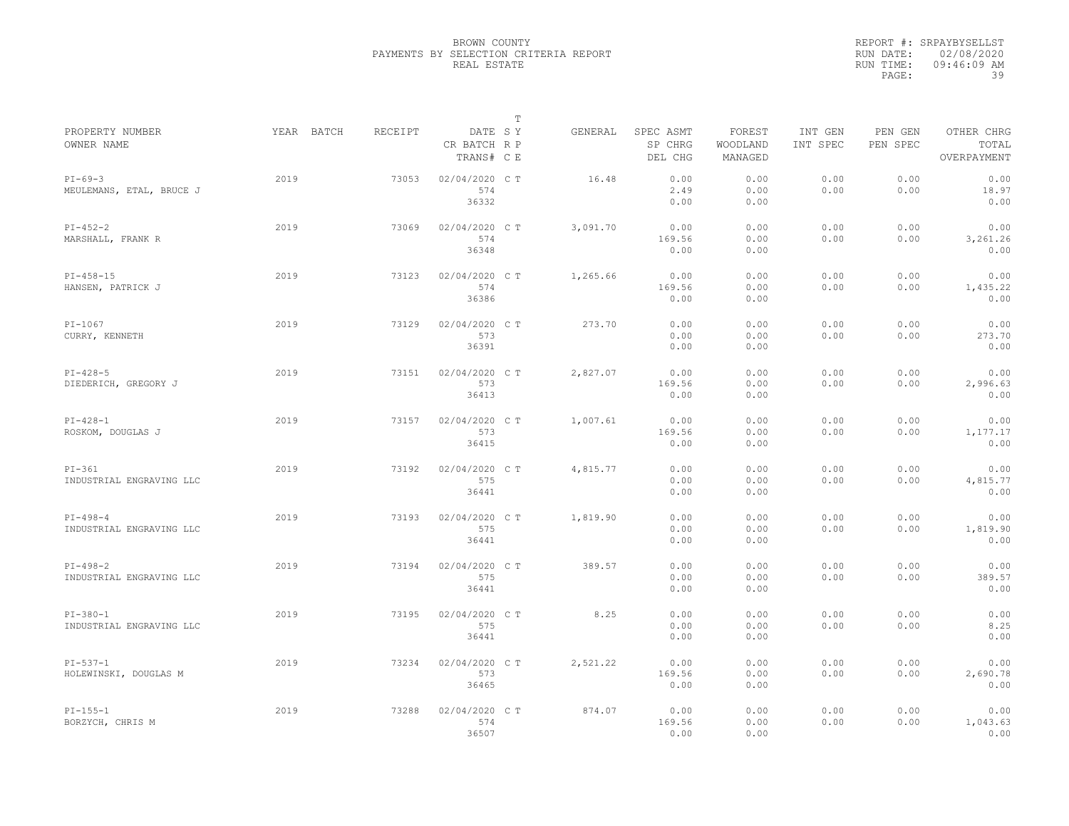|                                        |            |         |                                       | $\mathbb T$ |          |                                 |                               |                     |                     |                                    |
|----------------------------------------|------------|---------|---------------------------------------|-------------|----------|---------------------------------|-------------------------------|---------------------|---------------------|------------------------------------|
| PROPERTY NUMBER<br>OWNER NAME          | YEAR BATCH | RECEIPT | DATE SY<br>CR BATCH R P<br>TRANS# C E |             | GENERAL  | SPEC ASMT<br>SP CHRG<br>DEL CHG | FOREST<br>WOODLAND<br>MANAGED | INT GEN<br>INT SPEC | PEN GEN<br>PEN SPEC | OTHER CHRG<br>TOTAL<br>OVERPAYMENT |
| $PI-69-3$<br>MEULEMANS, ETAL, BRUCE J  | 2019       | 73053   | 02/04/2020 C T<br>574<br>36332        |             | 16.48    | 0.00<br>2.49<br>0.00            | 0.00<br>0.00<br>0.00          | 0.00<br>0.00        | 0.00<br>0.00        | 0.00<br>18.97<br>0.00              |
| $PI-452-2$<br>MARSHALL, FRANK R        | 2019       | 73069   | 02/04/2020 C T<br>574<br>36348        |             | 3,091.70 | 0.00<br>169.56<br>0.00          | 0.00<br>0.00<br>0.00          | 0.00<br>0.00        | 0.00<br>0.00        | 0.00<br>3,261.26<br>0.00           |
| $PI-458-15$<br>HANSEN, PATRICK J       | 2019       | 73123   | 02/04/2020 C T<br>574<br>36386        |             | 1,265.66 | 0.00<br>169.56<br>0.00          | 0.00<br>0.00<br>0.00          | 0.00<br>0.00        | 0.00<br>0.00        | 0.00<br>1,435.22<br>0.00           |
| $PI-1067$<br>CURRY, KENNETH            | 2019       | 73129   | 02/04/2020 C T<br>573<br>36391        |             | 273.70   | 0.00<br>0.00<br>0.00            | 0.00<br>0.00<br>0.00          | 0.00<br>0.00        | 0.00<br>0.00        | 0.00<br>273.70<br>0.00             |
| $PI-428-5$<br>DIEDERICH, GREGORY J     | 2019       | 73151   | 02/04/2020 C T<br>573<br>36413        |             | 2,827.07 | 0.00<br>169.56<br>0.00          | 0.00<br>0.00<br>0.00          | 0.00<br>0.00        | 0.00<br>0.00        | 0.00<br>2,996.63<br>0.00           |
| $PI-428-1$<br>ROSKOM, DOUGLAS J        | 2019       | 73157   | 02/04/2020 C T<br>573<br>36415        |             | 1,007.61 | 0.00<br>169.56<br>0.00          | 0.00<br>0.00<br>0.00          | 0.00<br>0.00        | 0.00<br>0.00        | 0.00<br>1,177.17<br>0.00           |
| $PI-361$<br>INDUSTRIAL ENGRAVING LLC   | 2019       | 73192   | 02/04/2020 CT<br>575<br>36441         |             | 4,815.77 | 0.00<br>0.00<br>0.00            | 0.00<br>0.00<br>0.00          | 0.00<br>0.00        | 0.00<br>0.00        | 0.00<br>4,815.77<br>0.00           |
| $PI-498-4$<br>INDUSTRIAL ENGRAVING LLC | 2019       | 73193   | 02/04/2020 C T<br>575<br>36441        |             | 1,819.90 | 0.00<br>0.00<br>0.00            | 0.00<br>0.00<br>0.00          | 0.00<br>0.00        | 0.00<br>0.00        | 0.00<br>1,819.90<br>0.00           |
| $PI-498-2$<br>INDUSTRIAL ENGRAVING LLC | 2019       | 73194   | 02/04/2020 C T<br>575<br>36441        |             | 389.57   | 0.00<br>0.00<br>0.00            | 0.00<br>0.00<br>0.00          | 0.00<br>0.00        | 0.00<br>0.00        | 0.00<br>389.57<br>0.00             |
| $PI-380-1$<br>INDUSTRIAL ENGRAVING LLC | 2019       | 73195   | 02/04/2020 C T<br>575<br>36441        |             | 8.25     | 0.00<br>0.00<br>0.00            | 0.00<br>0.00<br>0.00          | 0.00<br>0.00        | 0.00<br>0.00        | 0.00<br>8.25<br>0.00               |
| $PI-537-1$<br>HOLEWINSKI, DOUGLAS M    | 2019       | 73234   | 02/04/2020 CT<br>573<br>36465         |             | 2,521.22 | 0.00<br>169.56<br>0.00          | 0.00<br>0.00<br>0.00          | 0.00<br>0.00        | 0.00<br>0.00        | 0.00<br>2,690.78<br>0.00           |
| $PI-155-1$<br>BORZYCH, CHRIS M         | 2019       | 73288   | 02/04/2020 CT<br>574<br>36507         |             | 874.07   | 0.00<br>169.56<br>0.00          | 0.00<br>0.00<br>0.00          | 0.00<br>0.00        | 0.00<br>0.00        | 0.00<br>1,043.63<br>0.00           |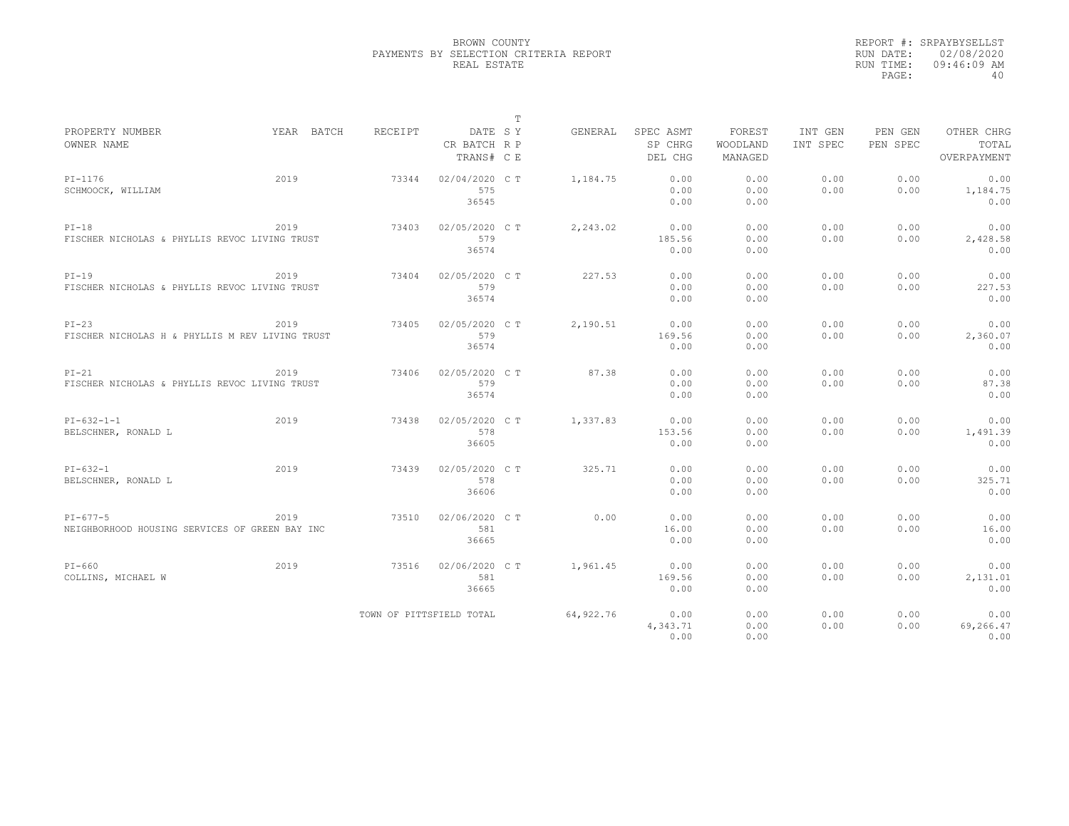|                                                                  |            |                          |                                       | $\mathbb T$ |            |                                 |                               |                     |                     |                                    |
|------------------------------------------------------------------|------------|--------------------------|---------------------------------------|-------------|------------|---------------------------------|-------------------------------|---------------------|---------------------|------------------------------------|
| PROPERTY NUMBER<br>OWNER NAME                                    | YEAR BATCH | RECEIPT                  | DATE SY<br>CR BATCH R P<br>TRANS# C E |             | GENERAL    | SPEC ASMT<br>SP CHRG<br>DEL CHG | FOREST<br>WOODLAND<br>MANAGED | INT GEN<br>INT SPEC | PEN GEN<br>PEN SPEC | OTHER CHRG<br>TOTAL<br>OVERPAYMENT |
| $PI-1176$<br>SCHMOOCK, WILLIAM                                   | 2019       | 73344                    | 02/04/2020 C T<br>575<br>36545        |             | 1,184.75   | 0.00<br>0.00<br>0.00            | 0.00<br>0.00<br>0.00          | 0.00<br>0.00        | 0.00<br>0.00        | 0.00<br>1,184.75<br>0.00           |
| $PI-18$<br>FISCHER NICHOLAS & PHYLLIS REVOC LIVING TRUST         | 2019       | 73403                    | 02/05/2020 C T<br>579<br>36574        |             | 2,243.02   | 0.00<br>185.56<br>0.00          | 0.00<br>0.00<br>0.00          | 0.00<br>0.00        | 0.00<br>0.00        | 0.00<br>2,428.58<br>0.00           |
| $PI-19$<br>FISCHER NICHOLAS & PHYLLIS REVOC LIVING TRUST         | 2019       | 73404                    | 02/05/2020 C T<br>579<br>36574        |             | 227.53     | 0.00<br>0.00<br>0.00            | 0.00<br>0.00<br>0.00          | 0.00<br>0.00        | 0.00<br>0.00        | 0.00<br>227.53<br>0.00             |
| $PI-23$<br>FISCHER NICHOLAS H & PHYLLIS M REV LIVING TRUST       | 2019       | 73405                    | 02/05/2020 C T<br>579<br>36574        |             | 2,190.51   | 0.00<br>169.56<br>0.00          | 0.00<br>0.00<br>0.00          | 0.00<br>0.00        | 0.00<br>0.00        | 0.00<br>2,360.07<br>0.00           |
| $PI-21$<br>FISCHER NICHOLAS & PHYLLIS REVOC LIVING TRUST         | 2019       | 73406                    | 02/05/2020 C T<br>579<br>36574        |             | 87.38      | 0.00<br>0.00<br>0.00            | 0.00<br>0.00<br>0.00          | 0.00<br>0.00        | 0.00<br>0.00        | 0.00<br>87.38<br>0.00              |
| $PI-632-1-1$<br>BELSCHNER, RONALD L                              | 2019       | 73438                    | 02/05/2020 C T<br>578<br>36605        |             | 1,337.83   | 0.00<br>153.56<br>0.00          | 0.00<br>0.00<br>0.00          | 0.00<br>0.00        | 0.00<br>0.00        | 0.00<br>1,491.39<br>0.00           |
| $PI-632-1$<br>BELSCHNER, RONALD L                                | 2019       | 73439                    | 02/05/2020 C T<br>578<br>36606        |             | 325.71     | 0.00<br>0.00<br>0.00            | 0.00<br>0.00<br>0.00          | 0.00<br>0.00        | 0.00<br>0.00        | 0.00<br>325.71<br>0.00             |
| $PI - 677 - 5$<br>NEIGHBORHOOD HOUSING SERVICES OF GREEN BAY INC | 2019       | 73510                    | 02/06/2020 C T<br>581<br>36665        |             | 0.00       | 0.00<br>16.00<br>0.00           | 0.00<br>0.00<br>0.00          | 0.00<br>0.00        | 0.00<br>0.00        | 0.00<br>16.00<br>0.00              |
| $PI-660$<br>COLLINS, MICHAEL W                                   | 2019       | 73516                    | 02/06/2020 C T<br>581<br>36665        |             | 1,961.45   | 0.00<br>169.56<br>0.00          | 0.00<br>0.00<br>0.00          | 0.00<br>0.00        | 0.00<br>0.00        | 0.00<br>2,131.01<br>0.00           |
|                                                                  |            | TOWN OF PITTSFIELD TOTAL |                                       |             | 64, 922.76 | 0.00<br>4,343.71<br>0.00        | 0.00<br>0.00<br>0.00          | 0.00<br>0.00        | 0.00<br>0.00        | 0.00<br>69,266.47<br>0.00          |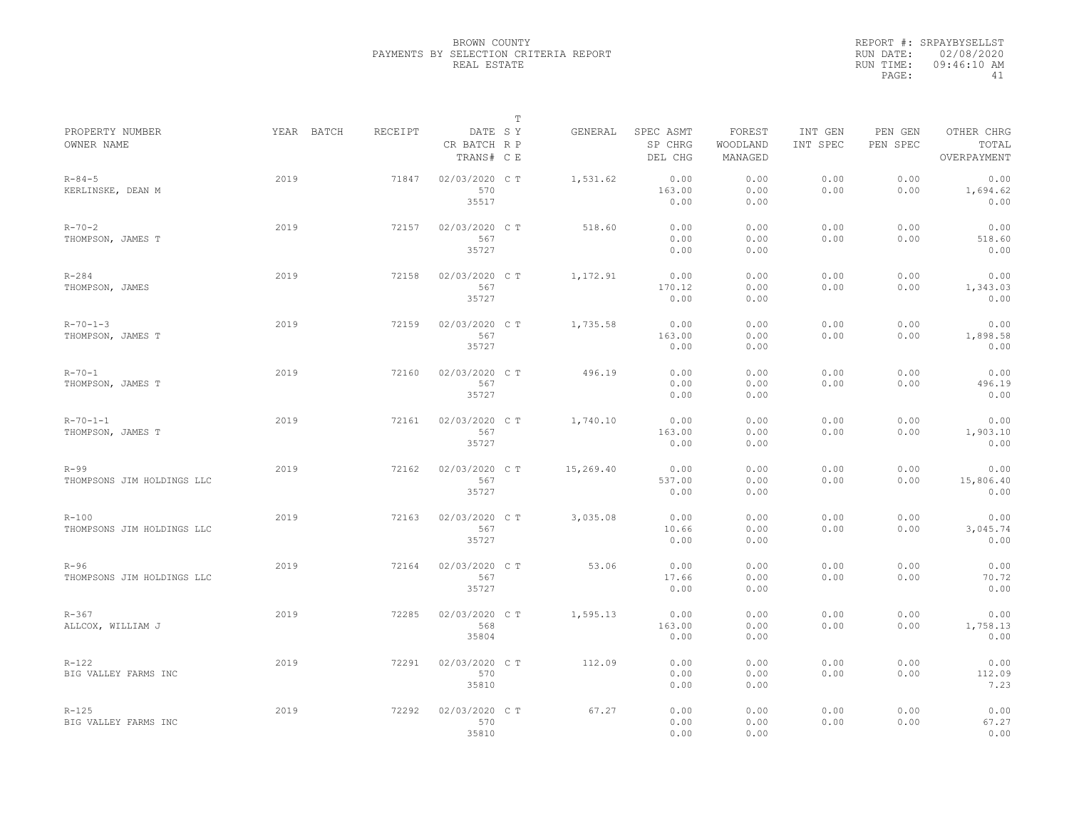|                                         |            |         |                                       | $\mathbb T$ |           |                                 |                               |                     |                     |                                    |
|-----------------------------------------|------------|---------|---------------------------------------|-------------|-----------|---------------------------------|-------------------------------|---------------------|---------------------|------------------------------------|
| PROPERTY NUMBER<br>OWNER NAME           | YEAR BATCH | RECEIPT | DATE SY<br>CR BATCH R P<br>TRANS# C E |             | GENERAL   | SPEC ASMT<br>SP CHRG<br>DEL CHG | FOREST<br>WOODLAND<br>MANAGED | INT GEN<br>INT SPEC | PEN GEN<br>PEN SPEC | OTHER CHRG<br>TOTAL<br>OVERPAYMENT |
| $R - 84 - 5$<br>KERLINSKE, DEAN M       | 2019       | 71847   | 02/03/2020 C T<br>570<br>35517        |             | 1,531.62  | 0.00<br>163.00<br>0.00          | 0.00<br>0.00<br>0.00          | 0.00<br>0.00        | 0.00<br>0.00        | 0.00<br>1,694.62<br>0.00           |
| $R - 70 - 2$<br>THOMPSON, JAMES T       | 2019       | 72157   | 02/03/2020 C T<br>567<br>35727        |             | 518.60    | 0.00<br>0.00<br>0.00            | 0.00<br>0.00<br>0.00          | 0.00<br>0.00        | 0.00<br>0.00        | 0.00<br>518.60<br>0.00             |
| $R - 284$<br>THOMPSON, JAMES            | 2019       | 72158   | 02/03/2020 C T<br>567<br>35727        |             | 1,172.91  | 0.00<br>170.12<br>0.00          | 0.00<br>0.00<br>0.00          | 0.00<br>0.00        | 0.00<br>0.00        | 0.00<br>1,343.03<br>0.00           |
| $R - 70 - 1 - 3$<br>THOMPSON, JAMES T   | 2019       | 72159   | 02/03/2020 C T<br>567<br>35727        |             | 1,735.58  | 0.00<br>163.00<br>0.00          | 0.00<br>0.00<br>0.00          | 0.00<br>0.00        | 0.00<br>0.00        | 0.00<br>1,898.58<br>0.00           |
| $R - 70 - 1$<br>THOMPSON, JAMES T       | 2019       | 72160   | 02/03/2020 C T<br>567<br>35727        |             | 496.19    | 0.00<br>0.00<br>0.00            | 0.00<br>0.00<br>0.00          | 0.00<br>0.00        | 0.00<br>0.00        | 0.00<br>496.19<br>0.00             |
| $R - 70 - 1 - 1$<br>THOMPSON, JAMES T   | 2019       | 72161   | 02/03/2020 C T<br>567<br>35727        |             | 1,740.10  | 0.00<br>163.00<br>0.00          | 0.00<br>0.00<br>0.00          | 0.00<br>0.00        | 0.00<br>0.00        | 0.00<br>1,903.10<br>0.00           |
| $R-99$<br>THOMPSONS JIM HOLDINGS LLC    | 2019       | 72162   | 02/03/2020 C T<br>567<br>35727        |             | 15,269.40 | 0.00<br>537.00<br>0.00          | 0.00<br>0.00<br>0.00          | 0.00<br>0.00        | 0.00<br>0.00        | 0.00<br>15,806.40<br>0.00          |
| $R - 100$<br>THOMPSONS JIM HOLDINGS LLC | 2019       | 72163   | 02/03/2020 C T<br>567<br>35727        |             | 3,035.08  | 0.00<br>10.66<br>0.00           | 0.00<br>0.00<br>0.00          | 0.00<br>0.00        | 0.00<br>0.00        | 0.00<br>3,045.74<br>0.00           |
| $R-96$<br>THOMPSONS JIM HOLDINGS LLC    | 2019       | 72164   | 02/03/2020 C T<br>567<br>35727        |             | 53.06     | 0.00<br>17.66<br>0.00           | 0.00<br>0.00<br>0.00          | 0.00<br>0.00        | 0.00<br>0.00        | 0.00<br>70.72<br>0.00              |
| $R - 367$<br>ALLCOX, WILLIAM J          | 2019       | 72285   | 02/03/2020 C T<br>568<br>35804        |             | 1,595.13  | 0.00<br>163.00<br>0.00          | 0.00<br>0.00<br>0.00          | 0.00<br>0.00        | 0.00<br>0.00        | 0.00<br>1,758.13<br>0.00           |
| $R - 122$<br>BIG VALLEY FARMS INC       | 2019       | 72291   | 02/03/2020 C T<br>570<br>35810        |             | 112.09    | 0.00<br>0.00<br>0.00            | 0.00<br>0.00<br>0.00          | 0.00<br>0.00        | 0.00<br>0.00        | 0.00<br>112.09<br>7.23             |
| $R - 125$<br>BIG VALLEY FARMS INC       | 2019       | 72292   | 02/03/2020 CT<br>570<br>35810         |             | 67.27     | 0.00<br>0.00<br>0.00            | 0.00<br>0.00<br>0.00          | 0.00<br>0.00        | 0.00<br>0.00        | 0.00<br>67.27<br>0.00              |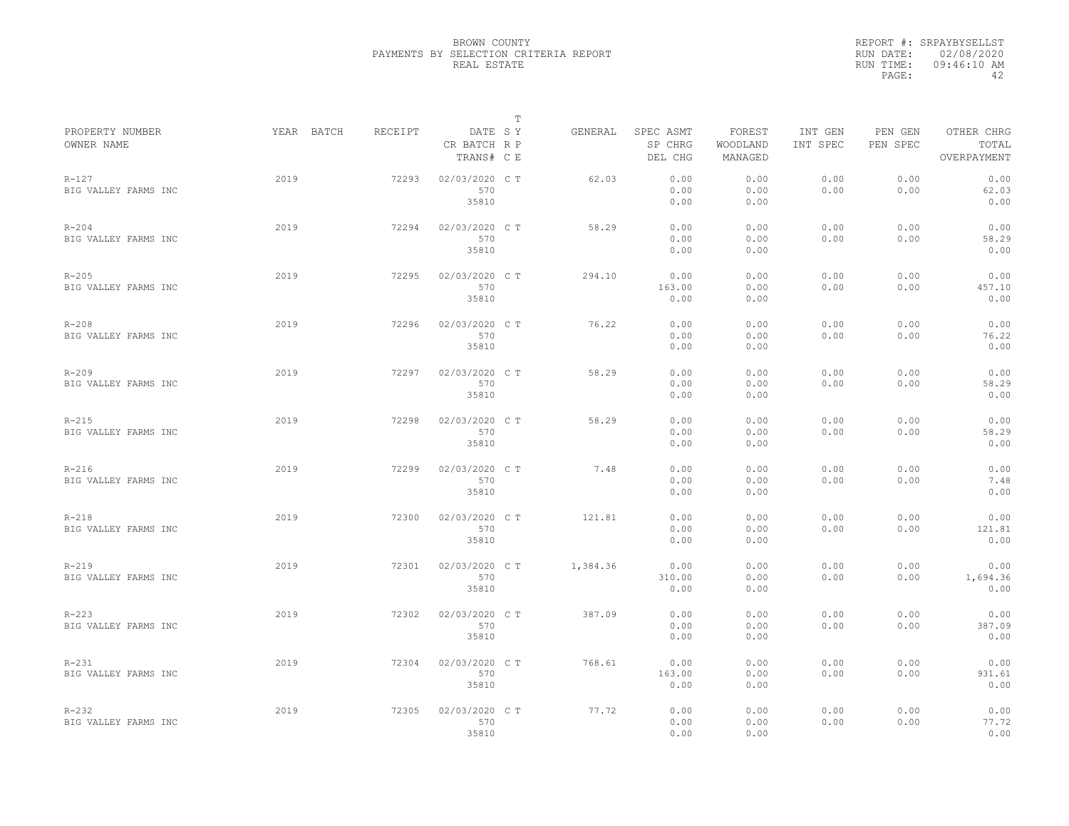|                                   |            |         |                                       | $\mathbb T$ |          |                                 |                               |                     |                     |                                    |
|-----------------------------------|------------|---------|---------------------------------------|-------------|----------|---------------------------------|-------------------------------|---------------------|---------------------|------------------------------------|
| PROPERTY NUMBER<br>OWNER NAME     | YEAR BATCH | RECEIPT | DATE SY<br>CR BATCH R P<br>TRANS# C E |             | GENERAL  | SPEC ASMT<br>SP CHRG<br>DEL CHG | FOREST<br>WOODLAND<br>MANAGED | INT GEN<br>INT SPEC | PEN GEN<br>PEN SPEC | OTHER CHRG<br>TOTAL<br>OVERPAYMENT |
| $R - 127$<br>BIG VALLEY FARMS INC | 2019       | 72293   | 02/03/2020 C T<br>570<br>35810        |             | 62.03    | 0.00<br>0.00<br>0.00            | 0.00<br>0.00<br>0.00          | 0.00<br>0.00        | 0.00<br>0.00        | 0.00<br>62.03<br>0.00              |
| $R - 204$<br>BIG VALLEY FARMS INC | 2019       | 72294   | 02/03/2020 C T<br>570<br>35810        |             | 58.29    | 0.00<br>0.00<br>0.00            | 0.00<br>0.00<br>0.00          | 0.00<br>0.00        | 0.00<br>0.00        | 0.00<br>58.29<br>0.00              |
| $R - 205$<br>BIG VALLEY FARMS INC | 2019       | 72295   | 02/03/2020 C T<br>570<br>35810        |             | 294.10   | 0.00<br>163.00<br>0.00          | 0.00<br>0.00<br>0.00          | 0.00<br>0.00        | 0.00<br>0.00        | 0.00<br>457.10<br>0.00             |
| $R - 208$<br>BIG VALLEY FARMS INC | 2019       | 72296   | 02/03/2020 C T<br>570<br>35810        |             | 76.22    | 0.00<br>0.00<br>0.00            | 0.00<br>0.00<br>0.00          | 0.00<br>0.00        | 0.00<br>0.00        | 0.00<br>76.22<br>0.00              |
| $R - 209$<br>BIG VALLEY FARMS INC | 2019       | 72297   | 02/03/2020 C T<br>570<br>35810        |             | 58.29    | 0.00<br>0.00<br>0.00            | 0.00<br>0.00<br>0.00          | 0.00<br>0.00        | 0.00<br>0.00        | 0.00<br>58.29<br>0.00              |
| $R - 215$<br>BIG VALLEY FARMS INC | 2019       | 72298   | 02/03/2020 C T<br>570<br>35810        |             | 58.29    | 0.00<br>0.00<br>0.00            | 0.00<br>0.00<br>0.00          | 0.00<br>0.00        | 0.00<br>0.00        | 0.00<br>58.29<br>0.00              |
| $R-216$<br>BIG VALLEY FARMS INC   | 2019       | 72299   | 02/03/2020 C T<br>570<br>35810        |             | 7.48     | 0.00<br>0.00<br>0.00            | 0.00<br>0.00<br>0.00          | 0.00<br>0.00        | 0.00<br>0.00        | 0.00<br>7.48<br>0.00               |
| $R-218$<br>BIG VALLEY FARMS INC   | 2019       | 72300   | 02/03/2020 C T<br>570<br>35810        |             | 121.81   | 0.00<br>0.00<br>0.00            | 0.00<br>0.00<br>0.00          | 0.00<br>0.00        | 0.00<br>0.00        | 0.00<br>121.81<br>0.00             |
| $R - 219$<br>BIG VALLEY FARMS INC | 2019       | 72301   | 02/03/2020 C T<br>570<br>35810        |             | 1,384.36 | 0.00<br>310.00<br>0.00          | 0.00<br>0.00<br>0.00          | 0.00<br>0.00        | 0.00<br>0.00        | 0.00<br>1,694.36<br>0.00           |
| $R - 223$<br>BIG VALLEY FARMS INC | 2019       | 72302   | 02/03/2020 C T<br>570<br>35810        |             | 387.09   | 0.00<br>0.00<br>0.00            | 0.00<br>0.00<br>0.00          | 0.00<br>0.00        | 0.00<br>0.00        | 0.00<br>387.09<br>0.00             |
| $R-231$<br>BIG VALLEY FARMS INC   | 2019       | 72304   | 02/03/2020 C T<br>570<br>35810        |             | 768.61   | 0.00<br>163.00<br>0.00          | 0.00<br>0.00<br>0.00          | 0.00<br>0.00        | 0.00<br>0.00        | 0.00<br>931.61<br>0.00             |
| $R - 232$<br>BIG VALLEY FARMS INC | 2019       | 72305   | 02/03/2020 C T<br>570<br>35810        |             | 77.72    | 0.00<br>0.00<br>0.00            | 0.00<br>0.00<br>0.00          | 0.00<br>0.00        | 0.00<br>0.00        | 0.00<br>77.72<br>0.00              |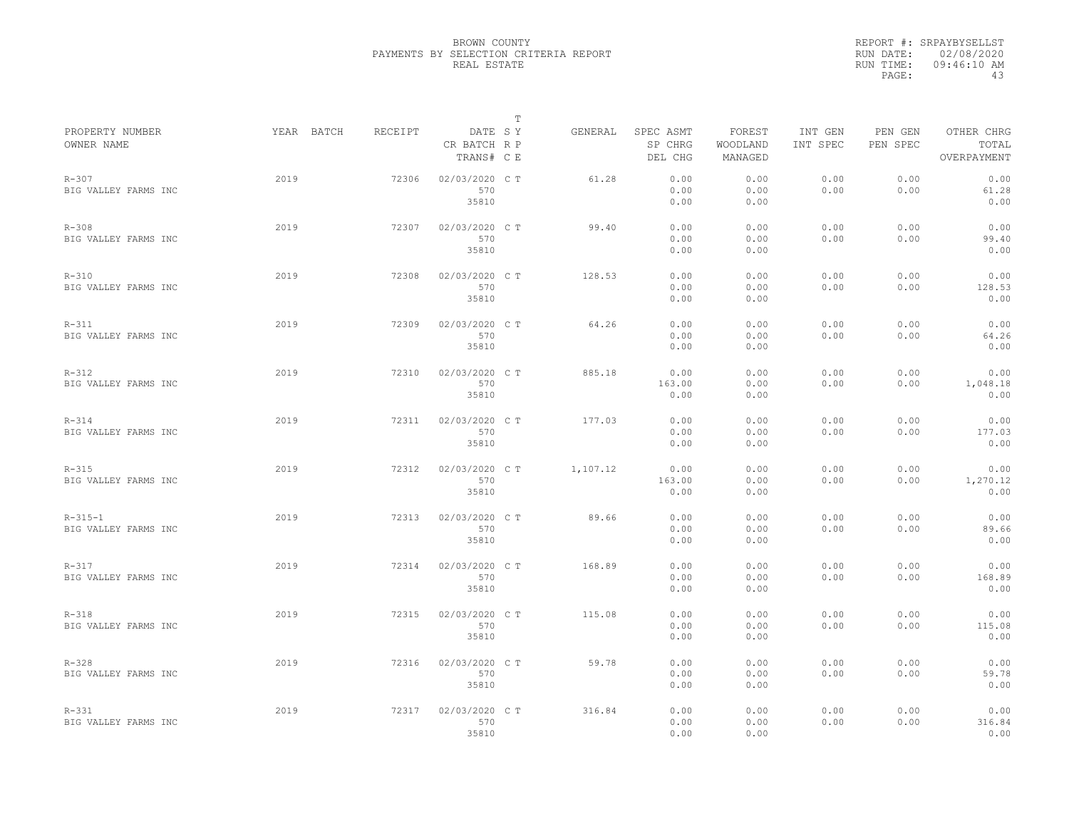|                                       |            |         |                                       | T |          |                                 |                               |                     |                     |                                    |
|---------------------------------------|------------|---------|---------------------------------------|---|----------|---------------------------------|-------------------------------|---------------------|---------------------|------------------------------------|
| PROPERTY NUMBER<br>OWNER NAME         | YEAR BATCH | RECEIPT | DATE SY<br>CR BATCH R P<br>TRANS# C E |   | GENERAL  | SPEC ASMT<br>SP CHRG<br>DEL CHG | FOREST<br>WOODLAND<br>MANAGED | INT GEN<br>INT SPEC | PEN GEN<br>PEN SPEC | OTHER CHRG<br>TOTAL<br>OVERPAYMENT |
| $R - 307$<br>BIG VALLEY FARMS INC     | 2019       | 72306   | 02/03/2020 CT<br>570<br>35810         |   | 61.28    | 0.00<br>0.00<br>0.00            | 0.00<br>0.00<br>0.00          | 0.00<br>0.00        | 0.00<br>0.00        | 0.00<br>61.28<br>0.00              |
| $R - 308$<br>BIG VALLEY FARMS INC     | 2019       | 72307   | 02/03/2020 C T<br>570<br>35810        |   | 99.40    | 0.00<br>0.00<br>0.00            | 0.00<br>0.00<br>0.00          | 0.00<br>0.00        | 0.00<br>0.00        | 0.00<br>99.40<br>0.00              |
| $R - 310$<br>BIG VALLEY FARMS INC     | 2019       | 72308   | 02/03/2020 C T<br>570<br>35810        |   | 128.53   | 0.00<br>0.00<br>0.00            | 0.00<br>0.00<br>0.00          | 0.00<br>0.00        | 0.00<br>0.00        | 0.00<br>128.53<br>0.00             |
| $R - 311$<br>BIG VALLEY FARMS INC     | 2019       | 72309   | 02/03/2020 C T<br>570<br>35810        |   | 64.26    | 0.00<br>0.00<br>0.00            | 0.00<br>0.00<br>0.00          | 0.00<br>0.00        | 0.00<br>0.00        | 0.00<br>64.26<br>0.00              |
| $R - 312$<br>BIG VALLEY FARMS INC     | 2019       | 72310   | 02/03/2020 C T<br>570<br>35810        |   | 885.18   | 0.00<br>163.00<br>0.00          | 0.00<br>0.00<br>0.00          | 0.00<br>0.00        | 0.00<br>0.00        | 0.00<br>1,048.18<br>0.00           |
| $R - 314$<br>BIG VALLEY FARMS INC     | 2019       | 72311   | 02/03/2020 C T<br>570<br>35810        |   | 177.03   | 0.00<br>0.00<br>0.00            | 0.00<br>0.00<br>0.00          | 0.00<br>0.00        | 0.00<br>0.00        | 0.00<br>177.03<br>0.00             |
| $R - 315$<br>BIG VALLEY FARMS INC     | 2019       | 72312   | 02/03/2020 C T<br>570<br>35810        |   | 1,107.12 | 0.00<br>163.00<br>0.00          | 0.00<br>0.00<br>0.00          | 0.00<br>0.00        | 0.00<br>0.00        | 0.00<br>1,270.12<br>0.00           |
| $R - 315 - 1$<br>BIG VALLEY FARMS INC | 2019       | 72313   | 02/03/2020 C T<br>570<br>35810        |   | 89.66    | 0.00<br>0.00<br>0.00            | 0.00<br>0.00<br>0.00          | 0.00<br>0.00        | 0.00<br>0.00        | 0.00<br>89.66<br>0.00              |
| $R - 317$<br>BIG VALLEY FARMS INC     | 2019       | 72314   | 02/03/2020 CT<br>570<br>35810         |   | 168.89   | 0.00<br>0.00<br>0.00            | 0.00<br>0.00<br>0.00          | 0.00<br>0.00        | 0.00<br>0.00        | 0.00<br>168.89<br>0.00             |
| $R-318$<br>BIG VALLEY FARMS INC       | 2019       | 72315   | 02/03/2020 C T<br>570<br>35810        |   | 115.08   | 0.00<br>0.00<br>0.00            | 0.00<br>0.00<br>0.00          | 0.00<br>0.00        | 0.00<br>0.00        | 0.00<br>115.08<br>0.00             |
| $R - 328$<br>BIG VALLEY FARMS INC     | 2019       | 72316   | 02/03/2020 C T<br>570<br>35810        |   | 59.78    | 0.00<br>0.00<br>0.00            | 0.00<br>0.00<br>0.00          | 0.00<br>0.00        | 0.00<br>0.00        | 0.00<br>59.78<br>0.00              |
| $R - 331$<br>BIG VALLEY FARMS INC     | 2019       | 72317   | 02/03/2020 C T<br>570<br>35810        |   | 316.84   | 0.00<br>0.00<br>0.00            | 0.00<br>0.00<br>0.00          | 0.00<br>0.00        | 0.00<br>0.00        | 0.00<br>316.84<br>0.00             |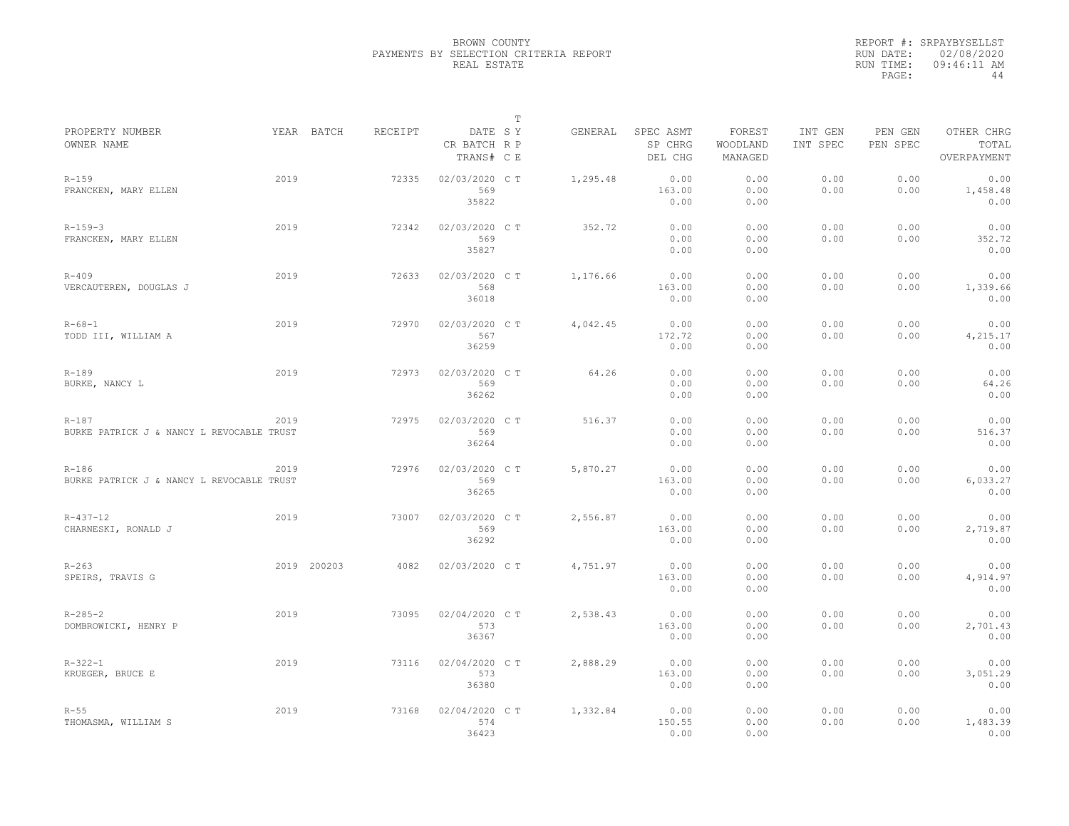|                                                        |      |             |         |                                       | $\mathbb T$ |          |                                 |                               |                     |                     |                                    |
|--------------------------------------------------------|------|-------------|---------|---------------------------------------|-------------|----------|---------------------------------|-------------------------------|---------------------|---------------------|------------------------------------|
| PROPERTY NUMBER<br>OWNER NAME                          |      | YEAR BATCH  | RECEIPT | DATE SY<br>CR BATCH R P<br>TRANS# C E |             | GENERAL  | SPEC ASMT<br>SP CHRG<br>DEL CHG | FOREST<br>WOODLAND<br>MANAGED | INT GEN<br>INT SPEC | PEN GEN<br>PEN SPEC | OTHER CHRG<br>TOTAL<br>OVERPAYMENT |
| $R - 159$<br>FRANCKEN, MARY ELLEN                      | 2019 |             | 72335   | 02/03/2020 C T<br>569<br>35822        |             | 1,295.48 | 0.00<br>163.00<br>0.00          | 0.00<br>0.00<br>0.00          | 0.00<br>0.00        | 0.00<br>0.00        | 0.00<br>1,458.48<br>0.00           |
| $R - 159 - 3$<br>FRANCKEN, MARY ELLEN                  | 2019 |             | 72342   | 02/03/2020 C T<br>569<br>35827        |             | 352.72   | 0.00<br>0.00<br>0.00            | 0.00<br>0.00<br>0.00          | 0.00<br>0.00        | 0.00<br>0.00        | 0.00<br>352.72<br>0.00             |
| $R - 409$<br>VERCAUTEREN, DOUGLAS J                    | 2019 |             | 72633   | 02/03/2020 C T<br>568<br>36018        |             | 1,176.66 | 0.00<br>163.00<br>0.00          | 0.00<br>0.00<br>0.00          | 0.00<br>0.00        | 0.00<br>0.00        | 0.00<br>1,339.66<br>0.00           |
| $R - 68 - 1$<br>TODD III, WILLIAM A                    | 2019 |             | 72970   | 02/03/2020 C T<br>567<br>36259        |             | 4,042.45 | 0.00<br>172.72<br>0.00          | 0.00<br>0.00<br>0.00          | 0.00<br>0.00        | 0.00<br>0.00        | 0.00<br>4,215.17<br>0.00           |
| $R - 189$<br>BURKE, NANCY L                            | 2019 |             | 72973   | 02/03/2020 C T<br>569<br>36262        |             | 64.26    | 0.00<br>0.00<br>0.00            | 0.00<br>0.00<br>0.00          | 0.00<br>0.00        | 0.00<br>0.00        | 0.00<br>64.26<br>0.00              |
| $R - 187$<br>BURKE PATRICK J & NANCY L REVOCABLE TRUST | 2019 |             | 72975   | 02/03/2020 C T<br>569<br>36264        |             | 516.37   | 0.00<br>0.00<br>0.00            | 0.00<br>0.00<br>0.00          | 0.00<br>0.00        | 0.00<br>0.00        | 0.00<br>516.37<br>0.00             |
| $R - 186$<br>BURKE PATRICK J & NANCY L REVOCABLE TRUST | 2019 |             | 72976   | 02/03/2020 C T<br>569<br>36265        |             | 5,870.27 | 0.00<br>163.00<br>0.00          | 0.00<br>0.00<br>0.00          | 0.00<br>0.00        | 0.00<br>0.00        | 0.00<br>6,033.27<br>0.00           |
| $R - 437 - 12$<br>CHARNESKI, RONALD J                  | 2019 |             | 73007   | 02/03/2020 CT<br>569<br>36292         |             | 2,556.87 | 0.00<br>163.00<br>0.00          | 0.00<br>0.00<br>0.00          | 0.00<br>0.00        | 0.00<br>0.00        | 0.00<br>2,719.87<br>0.00           |
| $R - 263$<br>SPEIRS, TRAVIS G                          |      | 2019 200203 | 4082    | 02/03/2020 C T                        |             | 4,751.97 | 0.00<br>163.00<br>0.00          | 0.00<br>0.00<br>0.00          | 0.00<br>0.00        | 0.00<br>0.00        | 0.00<br>4,914.97<br>0.00           |
| $R - 285 - 2$<br>DOMBROWICKI, HENRY P                  | 2019 |             | 73095   | 02/04/2020 C T<br>573<br>36367        |             | 2,538.43 | 0.00<br>163.00<br>0.00          | 0.00<br>0.00<br>0.00          | 0.00<br>0.00        | 0.00<br>0.00        | 0.00<br>2,701.43<br>0.00           |
| $R - 322 - 1$<br>KRUEGER, BRUCE E                      | 2019 |             | 73116   | 02/04/2020 C T<br>573<br>36380        |             | 2,888.29 | 0.00<br>163.00<br>0.00          | 0.00<br>0.00<br>0.00          | 0.00<br>0.00        | 0.00<br>0.00        | 0.00<br>3,051.29<br>0.00           |
| $R - 55$<br>THOMASMA, WILLIAM S                        | 2019 |             | 73168   | 02/04/2020 C T<br>574<br>36423        |             | 1,332.84 | 0.00<br>150.55<br>0.00          | 0.00<br>0.00<br>0.00          | 0.00<br>0.00        | 0.00<br>0.00        | 0.00<br>1,483.39<br>0.00           |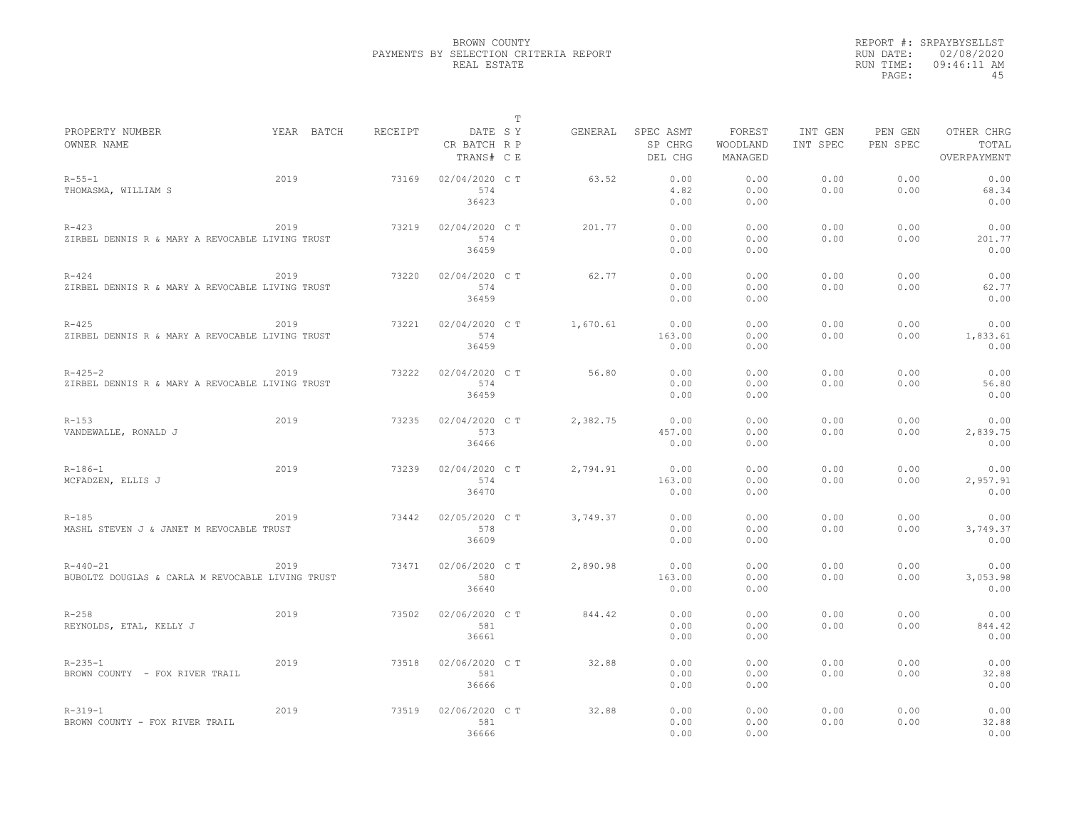|                                                                    |            |         |                                       | $\mathbb T$ |          |                                 |                               |                     |                     |                                    |
|--------------------------------------------------------------------|------------|---------|---------------------------------------|-------------|----------|---------------------------------|-------------------------------|---------------------|---------------------|------------------------------------|
| PROPERTY NUMBER<br>OWNER NAME                                      | YEAR BATCH | RECEIPT | DATE SY<br>CR BATCH R P<br>TRANS# C E |             | GENERAL  | SPEC ASMT<br>SP CHRG<br>DEL CHG | FOREST<br>WOODLAND<br>MANAGED | INT GEN<br>INT SPEC | PEN GEN<br>PEN SPEC | OTHER CHRG<br>TOTAL<br>OVERPAYMENT |
| $R - 55 - 1$<br>THOMASMA, WILLIAM S                                | 2019       | 73169   | 02/04/2020 C T<br>574<br>36423        |             | 63.52    | 0.00<br>4.82<br>0.00            | 0.00<br>0.00<br>0.00          | 0.00<br>0.00        | 0.00<br>0.00        | 0.00<br>68.34<br>0.00              |
| $R - 423$<br>ZIRBEL DENNIS R & MARY A REVOCABLE LIVING TRUST       | 2019       | 73219   | 02/04/2020 C T<br>574<br>36459        |             | 201.77   | 0.00<br>0.00<br>0.00            | 0.00<br>0.00<br>0.00          | 0.00<br>0.00        | 0.00<br>0.00        | 0.00<br>201.77<br>0.00             |
| $R - 424$<br>ZIRBEL DENNIS R & MARY A REVOCABLE LIVING TRUST       | 2019       | 73220   | 02/04/2020 C T<br>574<br>36459        |             | 62.77    | 0.00<br>0.00<br>0.00            | 0.00<br>0.00<br>0.00          | 0.00<br>0.00        | 0.00<br>0.00        | 0.00<br>62.77<br>0.00              |
| $R - 425$<br>ZIRBEL DENNIS R & MARY A REVOCABLE LIVING TRUST       | 2019       | 73221   | 02/04/2020 C T<br>574<br>36459        |             | 1,670.61 | 0.00<br>163.00<br>0.00          | 0.00<br>0.00<br>0.00          | 0.00<br>0.00        | 0.00<br>0.00        | 0.00<br>1,833.61<br>0.00           |
| $R - 425 - 2$<br>ZIRBEL DENNIS R & MARY A REVOCABLE LIVING TRUST   | 2019       | 73222   | 02/04/2020 C T<br>574<br>36459        |             | 56.80    | 0.00<br>0.00<br>0.00            | 0.00<br>0.00<br>0.00          | 0.00<br>0.00        | 0.00<br>0.00        | 0.00<br>56.80<br>0.00              |
| $R - 153$<br>VANDEWALLE, RONALD J                                  | 2019       | 73235   | 02/04/2020 C T<br>573<br>36466        |             | 2,382.75 | 0.00<br>457.00<br>0.00          | 0.00<br>0.00<br>0.00          | 0.00<br>0.00        | 0.00<br>0.00        | 0.00<br>2,839.75<br>0.00           |
| $R-186-1$<br>MCFADZEN, ELLIS J                                     | 2019       | 73239   | 02/04/2020 C T<br>574<br>36470        |             | 2,794.91 | 0.00<br>163.00<br>0.00          | 0.00<br>0.00<br>0.00          | 0.00<br>0.00        | 0.00<br>0.00        | 0.00<br>2,957.91<br>0.00           |
| $R - 185$<br>MASHL STEVEN J & JANET M REVOCABLE TRUST              | 2019       | 73442   | 02/05/2020 C T<br>578<br>36609        |             | 3,749.37 | 0.00<br>0.00<br>0.00            | 0.00<br>0.00<br>0.00          | 0.00<br>0.00        | 0.00<br>0.00        | 0.00<br>3,749.37<br>0.00           |
| $R - 440 - 21$<br>BUBOLTZ DOUGLAS & CARLA M REVOCABLE LIVING TRUST | 2019       | 73471   | 02/06/2020 CT<br>580<br>36640         |             | 2,890.98 | 0.00<br>163.00<br>0.00          | 0.00<br>0.00<br>0.00          | 0.00<br>0.00        | 0.00<br>0.00        | 0.00<br>3,053.98<br>0.00           |
| $R - 258$<br>REYNOLDS, ETAL, KELLY J                               | 2019       | 73502   | 02/06/2020 C T<br>581<br>36661        |             | 844.42   | 0.00<br>0.00<br>0.00            | 0.00<br>0.00<br>0.00          | 0.00<br>0.00        | 0.00<br>0.00        | 0.00<br>844.42<br>0.00             |
| $R - 235 - 1$<br>BROWN COUNTY - FOX RIVER TRAIL                    | 2019       | 73518   | 02/06/2020 C T<br>581<br>36666        |             | 32.88    | 0.00<br>0.00<br>0.00            | 0.00<br>0.00<br>0.00          | 0.00<br>0.00        | 0.00<br>0.00        | 0.00<br>32.88<br>0.00              |
| $R - 319 - 1$<br>BROWN COUNTY - FOX RIVER TRAIL                    | 2019       | 73519   | 02/06/2020 CT<br>581<br>36666         |             | 32.88    | 0.00<br>0.00<br>0.00            | 0.00<br>0.00<br>0.00          | 0.00<br>0.00        | 0.00<br>0.00        | 0.00<br>32.88<br>0.00              |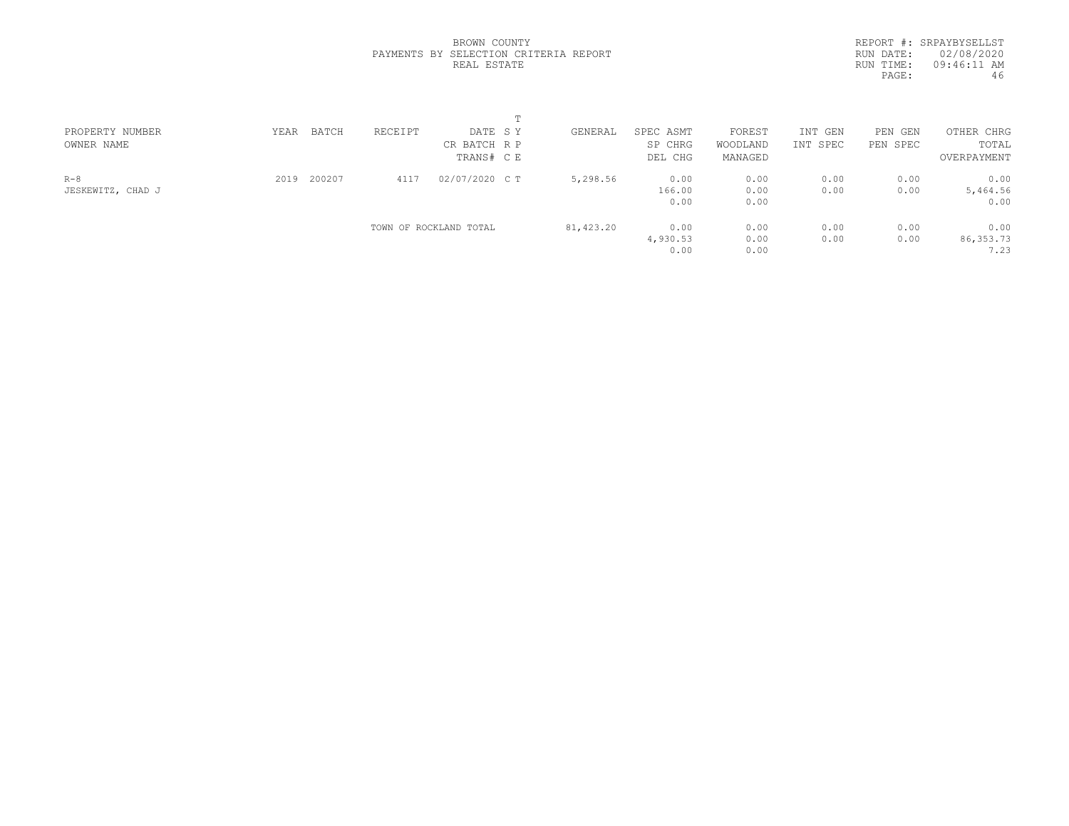|  | BROWN COUNTY |                                       |  |
|--|--------------|---------------------------------------|--|
|  |              | PAYMENTS BY SELECTION CRITERIA REPORT |  |
|  | REAL ESTATE  |                                       |  |

|           | REPORT #: SRPAYBYSELLST |
|-----------|-------------------------|
| RUN DATE: | 02/08/2020              |
| RUN TIME: | $09:46:11$ AM           |
| PAGE:     | 46                      |
|           |                         |

| PROPERTY NUMBER   | YEAR | BATCH  | RECEIPT | DATE SY                | GENERAL   | SPEC ASMT | FOREST   | INT GEN  | PEN GEN  | OTHER CHRG  |  |
|-------------------|------|--------|---------|------------------------|-----------|-----------|----------|----------|----------|-------------|--|
| OWNER NAME        |      |        |         | CR BATCH R P           |           | SP CHRG   | WOODLAND | INT SPEC | PEN SPEC | TOTAL       |  |
|                   |      |        |         | TRANS# CE              |           | DEL CHG   | MANAGED  |          |          | OVERPAYMENT |  |
| $R-8$             | 2019 | 200207 | 4117    | 02/07/2020 C T         | 5,298.56  | 0.00      | 0.00     | 0.00     | 0.00     | 0.00        |  |
| JESKEWITZ, CHAD J |      |        |         |                        |           | 166.00    | 0.00     | 0.00     | 0.00     | 5,464.56    |  |
|                   |      |        |         |                        |           | 0.00      | 0.00     |          |          | 0.00        |  |
|                   |      |        |         | TOWN OF ROCKLAND TOTAL | 81,423.20 | 0.00      | 0.00     | 0.00     | 0.00     | 0.00        |  |
|                   |      |        |         |                        |           | 4,930.53  | 0.00     | 0.00     | 0.00     | 86, 353. 73 |  |
|                   |      |        |         |                        |           | 0.00      | 0.00     |          |          | 7.23        |  |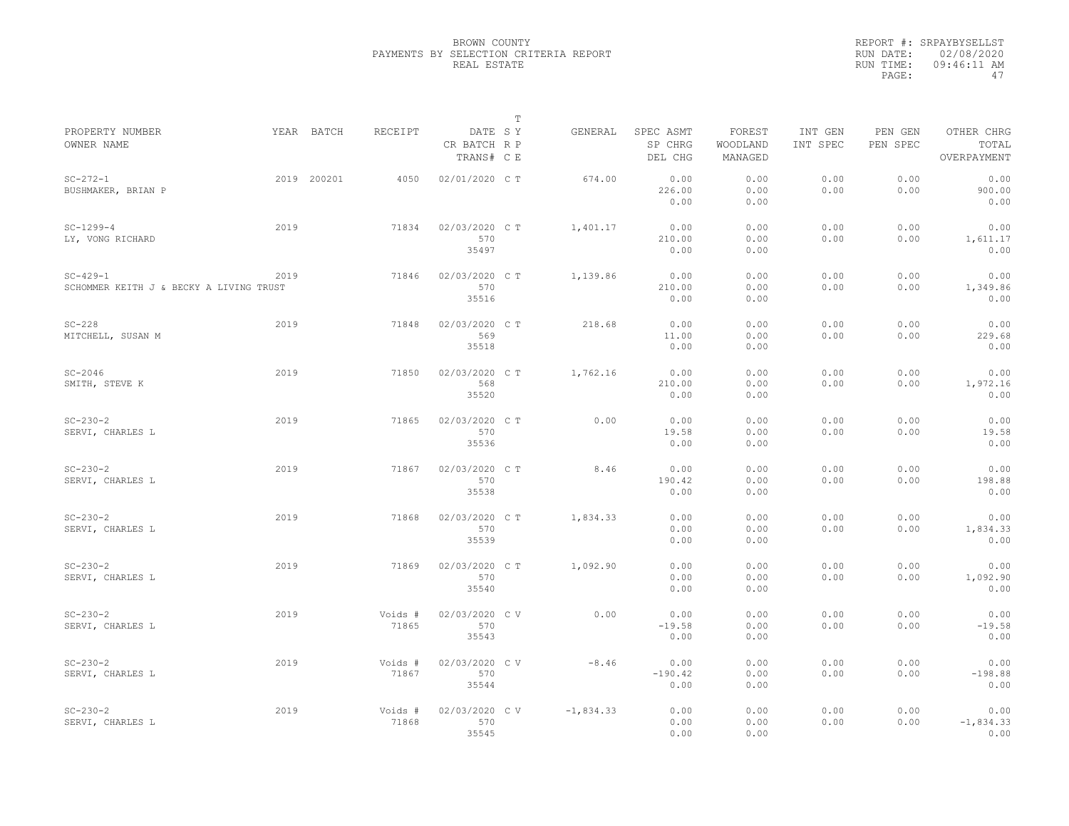|                                                           |      |                       |                                       | $\mathbb T$ |             |                                 |                               |                     |                     |                                    |  |
|-----------------------------------------------------------|------|-----------------------|---------------------------------------|-------------|-------------|---------------------------------|-------------------------------|---------------------|---------------------|------------------------------------|--|
| PROPERTY NUMBER<br>OWNER NAME                             |      | YEAR BATCH<br>RECEIPT | DATE SY<br>CR BATCH R P<br>TRANS# C E |             | GENERAL     | SPEC ASMT<br>SP CHRG<br>DEL CHG | FOREST<br>WOODLAND<br>MANAGED | INT GEN<br>INT SPEC | PEN GEN<br>PEN SPEC | OTHER CHRG<br>TOTAL<br>OVERPAYMENT |  |
| $SC - 272 - 1$<br>BUSHMAKER, BRIAN P                      |      | 2019 200201<br>4050   | 02/01/2020 C T                        |             | 674.00      | 0.00<br>226.00<br>0.00          | 0.00<br>0.00<br>0.00          | 0.00<br>0.00        | 0.00<br>0.00        | 0.00<br>900.00<br>0.00             |  |
| $SC-1299-4$<br>LY, VONG RICHARD                           | 2019 | 71834                 | 02/03/2020 C T<br>570<br>35497        |             | 1,401.17    | 0.00<br>210.00<br>0.00          | 0.00<br>0.00<br>0.00          | 0.00<br>0.00        | 0.00<br>0.00        | 0.00<br>1,611.17<br>0.00           |  |
| $SC - 429 - 1$<br>SCHOMMER KEITH J & BECKY A LIVING TRUST | 2019 | 71846                 | 02/03/2020 C T<br>570<br>35516        |             | 1,139.86    | 0.00<br>210.00<br>0.00          | 0.00<br>0.00<br>0.00          | 0.00<br>0.00        | 0.00<br>0.00        | 0.00<br>1,349.86<br>0.00           |  |
| $SC-228$<br>MITCHELL, SUSAN M                             | 2019 | 71848                 | 02/03/2020 C T<br>569<br>35518        |             | 218.68      | 0.00<br>11.00<br>0.00           | 0.00<br>0.00<br>0.00          | 0.00<br>0.00        | 0.00<br>0.00        | 0.00<br>229.68<br>0.00             |  |
| $SC-2046$<br>SMITH, STEVE K                               | 2019 | 71850                 | 02/03/2020 C T<br>568<br>35520        |             | 1,762.16    | 0.00<br>210.00<br>0.00          | 0.00<br>0.00<br>0.00          | 0.00<br>0.00        | 0.00<br>0.00        | 0.00<br>1,972.16<br>0.00           |  |
| $SC - 230 - 2$<br>SERVI, CHARLES L                        | 2019 | 71865                 | 02/03/2020 C T<br>570<br>35536        |             | 0.00        | 0.00<br>19.58<br>0.00           | 0.00<br>0.00<br>0.00          | 0.00<br>0.00        | 0.00<br>0.00        | 0.00<br>19.58<br>0.00              |  |
| $SC - 230 - 2$<br>SERVI, CHARLES L                        | 2019 | 71867                 | 02/03/2020 C T<br>570<br>35538        |             | 8.46        | 0.00<br>190.42<br>0.00          | 0.00<br>0.00<br>0.00          | 0.00<br>0.00        | 0.00<br>0.00        | 0.00<br>198.88<br>0.00             |  |
| $SC - 230 - 2$<br>SERVI, CHARLES L                        | 2019 | 71868                 | 02/03/2020 CT<br>570<br>35539         |             | 1,834.33    | 0.00<br>0.00<br>0.00            | 0.00<br>0.00<br>0.00          | 0.00<br>0.00        | 0.00<br>0.00        | 0.00<br>1,834.33<br>0.00           |  |
| $SC - 230 - 2$<br>SERVI, CHARLES L                        | 2019 | 71869                 | 02/03/2020 C T<br>570<br>35540        |             | 1,092.90    | 0.00<br>0.00<br>0.00            | 0.00<br>0.00<br>0.00          | 0.00<br>0.00        | 0.00<br>0.00        | 0.00<br>1,092.90<br>0.00           |  |
| $SC - 230 - 2$<br>SERVI, CHARLES L                        | 2019 | Voids #<br>71865      | 02/03/2020 CV<br>570<br>35543         |             | 0.00        | 0.00<br>$-19.58$<br>0.00        | 0.00<br>0.00<br>0.00          | 0.00<br>0.00        | 0.00<br>0.00        | 0.00<br>$-19.58$<br>0.00           |  |
| $SC - 230 - 2$<br>SERVI, CHARLES L                        | 2019 | Voids #<br>71867      | 02/03/2020 CV<br>570<br>35544         |             | $-8.46$     | 0.00<br>$-190.42$<br>0.00       | 0.00<br>0.00<br>0.00          | 0.00<br>0.00        | 0.00<br>0.00        | 0.00<br>$-198.88$<br>0.00          |  |
| $SC - 230 - 2$<br>SERVI, CHARLES L                        | 2019 | Voids #<br>71868      | 02/03/2020 CV<br>570<br>35545         |             | $-1,834.33$ | 0.00<br>0.00<br>0.00            | 0.00<br>0.00<br>0.00          | 0.00<br>0.00        | 0.00<br>0.00        | 0.00<br>$-1,834.33$<br>0.00        |  |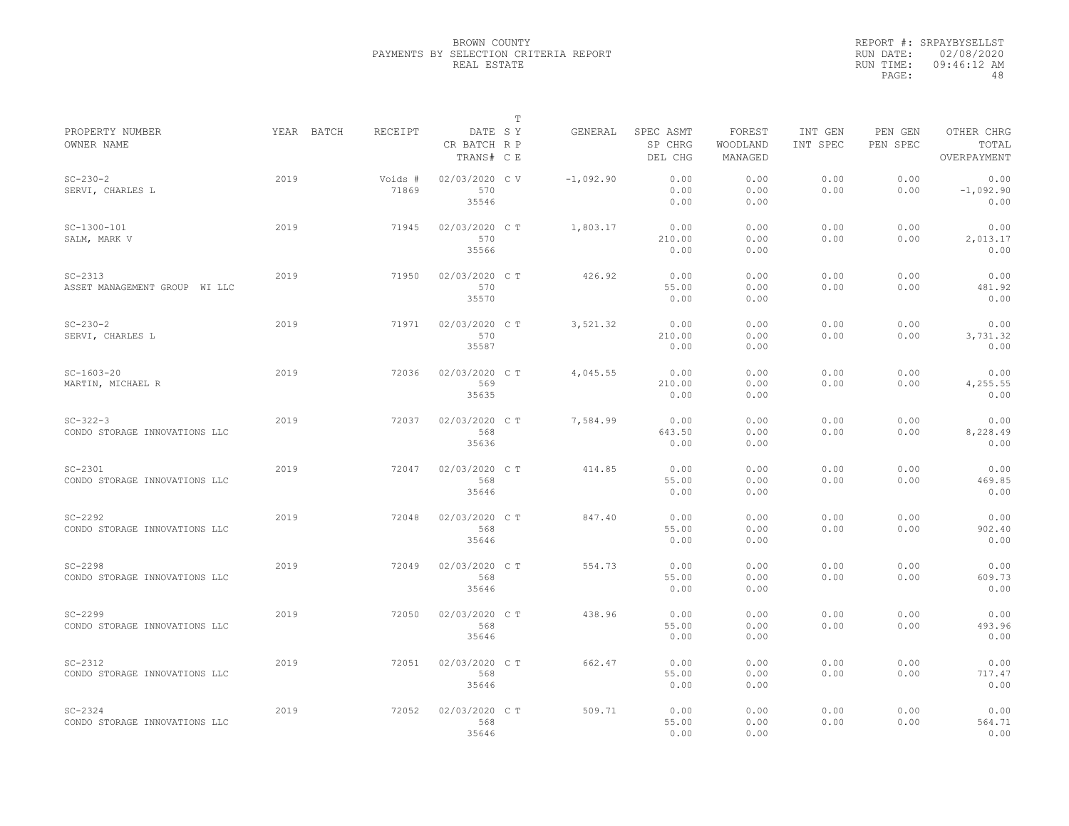|                                                 |            |                  |                                       | T |             |                                 |                               |                     |                     |                                    |
|-------------------------------------------------|------------|------------------|---------------------------------------|---|-------------|---------------------------------|-------------------------------|---------------------|---------------------|------------------------------------|
| PROPERTY NUMBER<br>OWNER NAME                   | YEAR BATCH | RECEIPT          | DATE SY<br>CR BATCH R P<br>TRANS# C E |   | GENERAL     | SPEC ASMT<br>SP CHRG<br>DEL CHG | FOREST<br>WOODLAND<br>MANAGED | INT GEN<br>INT SPEC | PEN GEN<br>PEN SPEC | OTHER CHRG<br>TOTAL<br>OVERPAYMENT |
| $SC - 230 - 2$<br>SERVI, CHARLES L              | 2019       | Voids #<br>71869 | 02/03/2020 C V<br>570<br>35546        |   | $-1,092.90$ | 0.00<br>0.00<br>0.00            | 0.00<br>0.00<br>0.00          | 0.00<br>0.00        | 0.00<br>0.00        | 0.00<br>$-1,092.90$<br>0.00        |
| $SC-1300-101$<br>SALM, MARK V                   | 2019       | 71945            | 02/03/2020 C T<br>570<br>35566        |   | 1,803.17    | 0.00<br>210.00<br>0.00          | 0.00<br>0.00<br>0.00          | 0.00<br>0.00        | 0.00<br>0.00        | 0.00<br>2,013.17<br>0.00           |
| $SC-2313$<br>ASSET MANAGEMENT GROUP WI LLC      | 2019       | 71950            | 02/03/2020 C T<br>570<br>35570        |   | 426.92      | 0.00<br>55.00<br>0.00           | 0.00<br>0.00<br>0.00          | 0.00<br>0.00        | 0.00<br>0.00        | 0.00<br>481.92<br>0.00             |
| $SC - 230 - 2$<br>SERVI, CHARLES L              | 2019       | 71971            | 02/03/2020 C T<br>570<br>35587        |   | 3,521.32    | 0.00<br>210.00<br>0.00          | 0.00<br>0.00<br>0.00          | 0.00<br>0.00        | 0.00<br>0.00        | 0.00<br>3,731.32<br>0.00           |
| $SC-1603-20$<br>MARTIN, MICHAEL R               | 2019       | 72036            | 02/03/2020 C T<br>569<br>35635        |   | 4,045.55    | 0.00<br>210.00<br>0.00          | 0.00<br>0.00<br>0.00          | 0.00<br>0.00        | 0.00<br>0.00        | 0.00<br>4,255.55<br>0.00           |
| $SC - 322 - 3$<br>CONDO STORAGE INNOVATIONS LLC | 2019       | 72037            | 02/03/2020 C T<br>568<br>35636        |   | 7,584.99    | 0.00<br>643.50<br>0.00          | 0.00<br>0.00<br>0.00          | 0.00<br>0.00        | 0.00<br>0.00        | 0.00<br>8,228.49<br>0.00           |
| $SC-2301$<br>CONDO STORAGE INNOVATIONS LLC      | 2019       | 72047            | 02/03/2020 C T<br>568<br>35646        |   | 414.85      | 0.00<br>55.00<br>0.00           | 0.00<br>0.00<br>0.00          | 0.00<br>0.00        | 0.00<br>0.00        | 0.00<br>469.85<br>0.00             |
| $SC-2292$<br>CONDO STORAGE INNOVATIONS LLC      | 2019       | 72048            | 02/03/2020 CT<br>568<br>35646         |   | 847.40      | 0.00<br>55.00<br>0.00           | 0.00<br>0.00<br>0.00          | 0.00<br>0.00        | 0.00<br>0.00        | 0.00<br>902.40<br>0.00             |
| $SC-2298$<br>CONDO STORAGE INNOVATIONS LLC      | 2019       | 72049            | 02/03/2020 C T<br>568<br>35646        |   | 554.73      | 0.00<br>55.00<br>0.00           | 0.00<br>0.00<br>0.00          | 0.00<br>0.00        | 0.00<br>0.00        | 0.00<br>609.73<br>0.00             |
| $SC-2299$<br>CONDO STORAGE INNOVATIONS LLC      | 2019       | 72050            | 02/03/2020 C T<br>568<br>35646        |   | 438.96      | 0.00<br>55.00<br>0.00           | 0.00<br>0.00<br>0.00          | 0.00<br>0.00        | 0.00<br>0.00        | 0.00<br>493.96<br>0.00             |
| $SC-2312$<br>CONDO STORAGE INNOVATIONS LLC      | 2019       | 72051            | 02/03/2020 C T<br>568<br>35646        |   | 662.47      | 0.00<br>55.00<br>0.00           | 0.00<br>0.00<br>0.00          | 0.00<br>0.00        | 0.00<br>0.00        | 0.00<br>717.47<br>0.00             |
| $SC - 2324$<br>CONDO STORAGE INNOVATIONS LLC    | 2019       | 72052            | 02/03/2020 C T<br>568<br>35646        |   | 509.71      | 0.00<br>55.00<br>0.00           | 0.00<br>0.00<br>0.00          | 0.00<br>0.00        | 0.00<br>0.00        | 0.00<br>564.71<br>0.00             |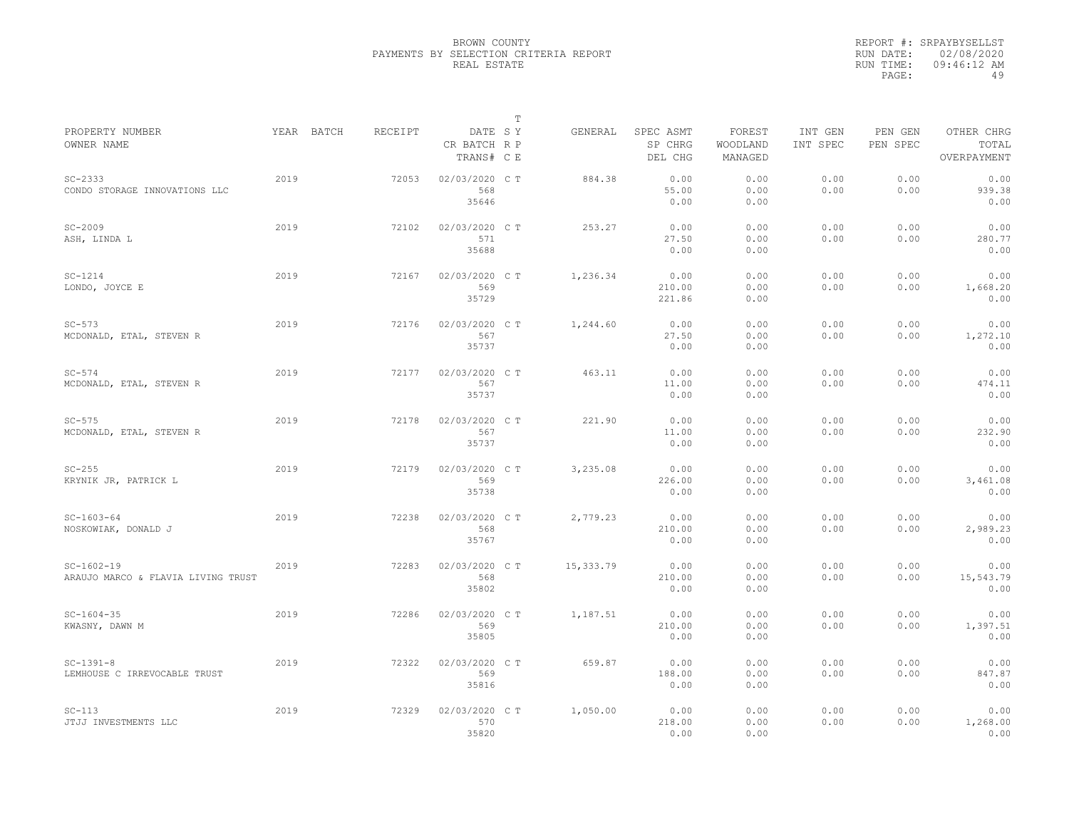|                                                    |      |            |         |                                       | T |           |                                 |                               |                     |                     |                                    |
|----------------------------------------------------|------|------------|---------|---------------------------------------|---|-----------|---------------------------------|-------------------------------|---------------------|---------------------|------------------------------------|
| PROPERTY NUMBER<br>OWNER NAME                      |      | YEAR BATCH | RECEIPT | DATE SY<br>CR BATCH R P<br>TRANS# C E |   | GENERAL   | SPEC ASMT<br>SP CHRG<br>DEL CHG | FOREST<br>WOODLAND<br>MANAGED | INT GEN<br>INT SPEC | PEN GEN<br>PEN SPEC | OTHER CHRG<br>TOTAL<br>OVERPAYMENT |
| $SC - 2333$<br>CONDO STORAGE INNOVATIONS LLC       | 2019 |            | 72053   | 02/03/2020 C T<br>568<br>35646        |   | 884.38    | 0.00<br>55.00<br>0.00           | 0.00<br>0.00<br>0.00          | 0.00<br>0.00        | 0.00<br>0.00        | 0.00<br>939.38<br>0.00             |
| $SC-2009$<br>ASH, LINDA L                          | 2019 |            | 72102   | 02/03/2020 C T<br>571<br>35688        |   | 253.27    | 0.00<br>27.50<br>0.00           | 0.00<br>0.00<br>0.00          | 0.00<br>0.00        | 0.00<br>0.00        | 0.00<br>280.77<br>0.00             |
| $SC-1214$<br>LONDO, JOYCE E                        | 2019 |            | 72167   | 02/03/2020 C T<br>569<br>35729        |   | 1,236.34  | 0.00<br>210.00<br>221.86        | 0.00<br>0.00<br>0.00          | 0.00<br>0.00        | 0.00<br>0.00        | 0.00<br>1,668.20<br>0.00           |
| $SC-573$<br>MCDONALD, ETAL, STEVEN R               | 2019 |            | 72176   | 02/03/2020 C T<br>567<br>35737        |   | 1,244.60  | 0.00<br>27.50<br>0.00           | 0.00<br>0.00<br>0.00          | 0.00<br>0.00        | 0.00<br>0.00        | 0.00<br>1,272.10<br>0.00           |
| $SC-574$<br>MCDONALD, ETAL, STEVEN R               | 2019 |            | 72177   | 02/03/2020 C T<br>567<br>35737        |   | 463.11    | 0.00<br>11.00<br>0.00           | 0.00<br>0.00<br>0.00          | 0.00<br>0.00        | 0.00<br>0.00        | 0.00<br>474.11<br>0.00             |
| $SC-575$<br>MCDONALD, ETAL, STEVEN R               | 2019 |            | 72178   | 02/03/2020 C T<br>567<br>35737        |   | 221.90    | 0.00<br>11.00<br>0.00           | 0.00<br>0.00<br>0.00          | 0.00<br>0.00        | 0.00<br>0.00        | 0.00<br>232.90<br>0.00             |
| $SC-255$<br>KRYNIK JR, PATRICK L                   | 2019 |            | 72179   | 02/03/2020 C T<br>569<br>35738        |   | 3,235.08  | 0.00<br>226.00<br>0.00          | 0.00<br>0.00<br>0.00          | 0.00<br>0.00        | 0.00<br>0.00        | 0.00<br>3,461.08<br>0.00           |
| $SC-1603-64$<br>NOSKOWIAK, DONALD J                | 2019 |            | 72238   | 02/03/2020 C T<br>568<br>35767        |   | 2,779.23  | 0.00<br>210.00<br>0.00          | 0.00<br>0.00<br>0.00          | 0.00<br>0.00        | 0.00<br>0.00        | 0.00<br>2,989.23<br>0.00           |
| $SC-1602-19$<br>ARAUJO MARCO & FLAVIA LIVING TRUST | 2019 |            | 72283   | 02/03/2020 C T<br>568<br>35802        |   | 15,333.79 | 0.00<br>210.00<br>0.00          | 0.00<br>0.00<br>0.00          | 0.00<br>0.00        | 0.00<br>0.00        | 0.00<br>15,543.79<br>0.00          |
| $SC - 1604 - 35$<br>KWASNY, DAWN M                 | 2019 |            | 72286   | 02/03/2020 C T<br>569<br>35805        |   | 1,187.51  | 0.00<br>210.00<br>0.00          | 0.00<br>0.00<br>0.00          | 0.00<br>0.00        | 0.00<br>0.00        | 0.00<br>1,397.51<br>0.00           |
| $SC-1391-8$<br>LEMHOUSE C IRREVOCABLE TRUST        | 2019 |            | 72322   | 02/03/2020 C T<br>569<br>35816        |   | 659.87    | 0.00<br>188.00<br>0.00          | 0.00<br>0.00<br>0.00          | 0.00<br>0.00        | 0.00<br>0.00        | 0.00<br>847.87<br>0.00             |
| $SC-113$<br>JTJJ INVESTMENTS LLC                   | 2019 |            | 72329   | 02/03/2020 C T<br>570<br>35820        |   | 1,050.00  | 0.00<br>218.00<br>0.00          | 0.00<br>0.00<br>0.00          | 0.00<br>0.00        | 0.00<br>0.00        | 0.00<br>1,268.00<br>0.00           |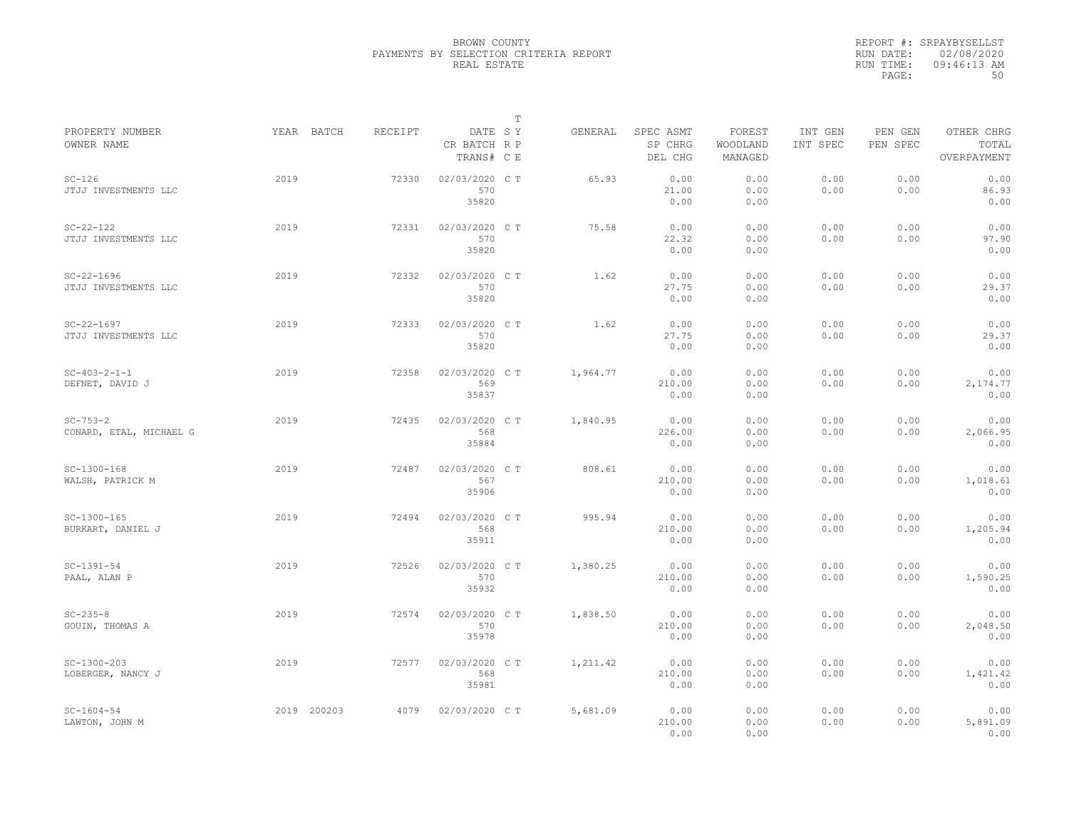|                                           |             |         |                                       | $\mathbb T$ |          |                                 |                               |                     |                     |                                    |
|-------------------------------------------|-------------|---------|---------------------------------------|-------------|----------|---------------------------------|-------------------------------|---------------------|---------------------|------------------------------------|
| PROPERTY NUMBER<br>OWNER NAME             | YEAR BATCH  | RECEIPT | DATE SY<br>CR BATCH R P<br>TRANS# C E |             | GENERAL  | SPEC ASMT<br>SP CHRG<br>DEL CHG | FOREST<br>WOODLAND<br>MANAGED | INT GEN<br>INT SPEC | PEN GEN<br>PEN SPEC | OTHER CHRG<br>TOTAL<br>OVERPAYMENT |
| $SC-126$<br>JTJJ INVESTMENTS LLC          | 2019        | 72330   | 02/03/2020 C T<br>570<br>35820        |             | 65.93    | 0.00<br>21.00<br>0.00           | 0.00<br>0.00<br>0.00          | 0.00<br>0.00        | 0.00<br>0.00        | 0.00<br>86.93<br>0.00              |
| $SC - 22 - 122$<br>JTJJ INVESTMENTS LLC   | 2019        | 72331   | 02/03/2020 C T<br>570<br>35820        |             | 75.58    | 0.00<br>22.32<br>0.00           | 0.00<br>0.00<br>0.00          | 0.00<br>0.00        | 0.00<br>0.00        | 0.00<br>97.90<br>0.00              |
| $SC - 22 - 1696$<br>JTJJ INVESTMENTS LLC  | 2019        | 72332   | 02/03/2020 C T<br>570<br>35820        |             | 1.62     | 0.00<br>27.75<br>0.00           | 0.00<br>0.00<br>0.00          | 0.00<br>0.00        | 0.00<br>0.00        | 0.00<br>29.37<br>0.00              |
| $SC - 22 - 1697$<br>JTJJ INVESTMENTS LLC  | 2019        | 72333   | 02/03/2020 C T<br>570<br>35820        |             | 1.62     | 0.00<br>27.75<br>0.00           | 0.00<br>0.00<br>0.00          | 0.00<br>0.00        | 0.00<br>0.00        | 0.00<br>29.37<br>0.00              |
| $SC-403-2-1-1$<br>DEFNET, DAVID J         | 2019        | 72358   | 02/03/2020 C T<br>569<br>35837        |             | 1,964.77 | 0.00<br>210.00<br>0.00          | 0.00<br>0.00<br>0.00          | 0.00<br>0.00        | 0.00<br>0.00        | 0.00<br>2,174.77<br>0.00           |
| $SC - 753 - 2$<br>CONARD, ETAL, MICHAEL G | 2019        | 72435   | 02/03/2020 C T<br>568<br>35884        |             | 1,840.95 | 0.00<br>226.00<br>0.00          | 0.00<br>0.00<br>0.00          | 0.00<br>0.00        | 0.00<br>0.00        | 0.00<br>2,066.95<br>0.00           |
| $SC-1300-168$<br>WALSH, PATRICK M         | 2019        | 72487   | 02/03/2020 CT<br>567<br>35906         |             | 808.61   | 0.00<br>210.00<br>0.00          | 0.00<br>0.00<br>0.00          | 0.00<br>0.00        | 0.00<br>0.00        | 0.00<br>1,018.61<br>0.00           |
| $SC-1300-165$<br>BURKART, DANIEL J        | 2019        | 72494   | 02/03/2020 CT<br>568<br>35911         |             | 995.94   | 0.00<br>210.00<br>0.00          | 0.00<br>0.00<br>0.00          | 0.00<br>0.00        | 0.00<br>0.00        | 0.00<br>1,205.94<br>0.00           |
| $SC-1391-54$<br>PAAL, ALAN P              | 2019        | 72526   | 02/03/2020 C T<br>570<br>35932        |             | 1,380.25 | 0.00<br>210.00<br>0.00          | 0.00<br>0.00<br>0.00          | 0.00<br>0.00        | 0.00<br>0.00        | 0.00<br>1,590.25<br>0.00           |
| $SC - 235 - 8$<br>GOUIN, THOMAS A         | 2019        | 72574   | 02/03/2020 C T<br>570<br>35978        |             | 1,838.50 | 0.00<br>210.00<br>0.00          | 0.00<br>0.00<br>0.00          | 0.00<br>0.00        | 0.00<br>0.00        | 0.00<br>2,048.50<br>0.00           |
| $SC-1300-203$<br>LOBERGER, NANCY J        | 2019        | 72577   | 02/03/2020 C T<br>568<br>35981        |             | 1,211.42 | 0.00<br>210.00<br>0.00          | 0.00<br>0.00<br>0.00          | 0.00<br>0.00        | 0.00<br>0.00        | 0.00<br>1,421.42<br>0.00           |
| $SC - 1604 - 54$<br>LAWTON, JOHN M        | 2019 200203 | 4079    | 02/03/2020 C T                        |             | 5,681.09 | 0.00<br>210.00<br>0.00          | 0.00<br>0.00<br>0.00          | 0.00<br>0.00        | 0.00<br>0.00        | 0.00<br>5,891.09<br>0.00           |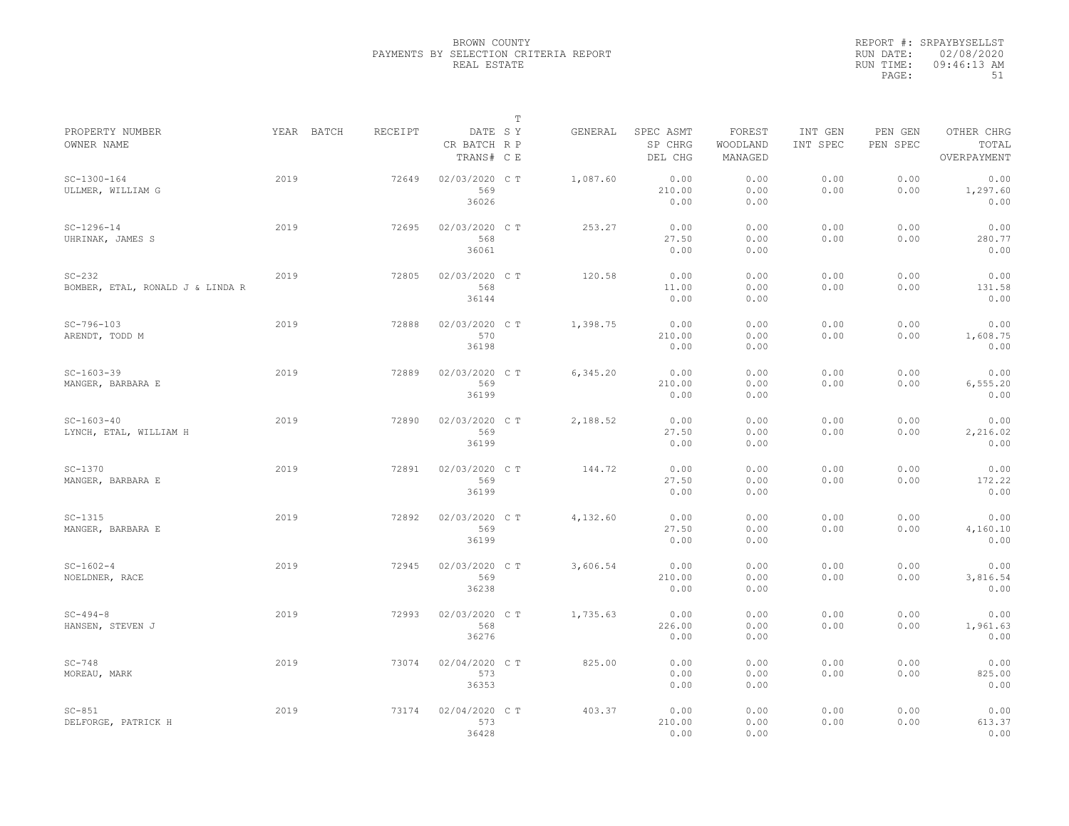|                                              |      |            |         |                                       | $\mathbb T$ |          |                                 |                               |                     |                     |                                    |
|----------------------------------------------|------|------------|---------|---------------------------------------|-------------|----------|---------------------------------|-------------------------------|---------------------|---------------------|------------------------------------|
| PROPERTY NUMBER<br>OWNER NAME                |      | YEAR BATCH | RECEIPT | DATE SY<br>CR BATCH R P<br>TRANS# C E |             | GENERAL  | SPEC ASMT<br>SP CHRG<br>DEL CHG | FOREST<br>WOODLAND<br>MANAGED | INT GEN<br>INT SPEC | PEN GEN<br>PEN SPEC | OTHER CHRG<br>TOTAL<br>OVERPAYMENT |
| $SC-1300-164$<br>ULLMER, WILLIAM G           | 2019 |            | 72649   | 02/03/2020 C T<br>569<br>36026        |             | 1,087.60 | 0.00<br>210.00<br>0.00          | 0.00<br>0.00<br>0.00          | 0.00<br>0.00        | 0.00<br>0.00        | 0.00<br>1,297.60<br>0.00           |
| $SC-1296-14$<br>UHRINAK, JAMES S             | 2019 |            | 72695   | 02/03/2020 C T<br>568<br>36061        |             | 253.27   | 0.00<br>27.50<br>0.00           | 0.00<br>0.00<br>0.00          | 0.00<br>0.00        | 0.00<br>0.00        | 0.00<br>280.77<br>0.00             |
| $SC-232$<br>BOMBER, ETAL, RONALD J & LINDA R | 2019 |            | 72805   | 02/03/2020 C T<br>568<br>36144        |             | 120.58   | 0.00<br>11.00<br>0.00           | 0.00<br>0.00<br>0.00          | 0.00<br>0.00        | 0.00<br>0.00        | 0.00<br>131.58<br>0.00             |
| $SC-796-103$<br>ARENDT, TODD M               | 2019 |            | 72888   | 02/03/2020 C T<br>570<br>36198        |             | 1,398.75 | 0.00<br>210.00<br>0.00          | 0.00<br>0.00<br>0.00          | 0.00<br>0.00        | 0.00<br>0.00        | 0.00<br>1,608.75<br>0.00           |
| $SC-1603-39$<br>MANGER, BARBARA E            | 2019 |            | 72889   | 02/03/2020 C T<br>569<br>36199        |             | 6,345.20 | 0.00<br>210.00<br>0.00          | 0.00<br>0.00<br>0.00          | 0.00<br>0.00        | 0.00<br>0.00        | 0.00<br>6, 555.20<br>0.00          |
| $SC-1603-40$<br>LYNCH, ETAL, WILLIAM H       | 2019 |            | 72890   | 02/03/2020 C T<br>569<br>36199        |             | 2,188.52 | 0.00<br>27.50<br>0.00           | 0.00<br>0.00<br>0.00          | 0.00<br>0.00        | 0.00<br>0.00        | 0.00<br>2,216.02<br>0.00           |
| $SC-1370$<br>MANGER, BARBARA E               | 2019 |            | 72891   | 02/03/2020 C T<br>569<br>36199        |             | 144.72   | 0.00<br>27.50<br>0.00           | 0.00<br>0.00<br>0.00          | 0.00<br>0.00        | 0.00<br>0.00        | 0.00<br>172.22<br>0.00             |
| $SC-1315$<br>MANGER, BARBARA E               | 2019 |            | 72892   | 02/03/2020 C T<br>569<br>36199        |             | 4,132.60 | 0.00<br>27.50<br>0.00           | 0.00<br>0.00<br>0.00          | 0.00<br>0.00        | 0.00<br>0.00        | 0.00<br>4,160.10<br>0.00           |
| $SC-1602-4$<br>NOELDNER, RACE                | 2019 |            | 72945   | 02/03/2020 C T<br>569<br>36238        |             | 3,606.54 | 0.00<br>210.00<br>0.00          | 0.00<br>0.00<br>0.00          | 0.00<br>0.00        | 0.00<br>0.00        | 0.00<br>3,816.54<br>0.00           |
| $SC-494-8$<br>HANSEN, STEVEN J               | 2019 |            | 72993   | 02/03/2020 C T<br>568<br>36276        |             | 1,735.63 | 0.00<br>226.00<br>0.00          | 0.00<br>0.00<br>0.00          | 0.00<br>0.00        | 0.00<br>0.00        | 0.00<br>1,961.63<br>0.00           |
| $SC-748$<br>MOREAU, MARK                     | 2019 |            | 73074   | 02/04/2020 C T<br>573<br>36353        |             | 825.00   | 0.00<br>0.00<br>0.00            | 0.00<br>0.00<br>0.00          | 0.00<br>0.00        | 0.00<br>0.00        | 0.00<br>825.00<br>0.00             |
| $SC-851$<br>DELFORGE, PATRICK H              | 2019 |            | 73174   | 02/04/2020 C T<br>573<br>36428        |             | 403.37   | 0.00<br>210.00<br>0.00          | 0.00<br>0.00<br>0.00          | 0.00<br>0.00        | 0.00<br>0.00        | 0.00<br>613.37<br>0.00             |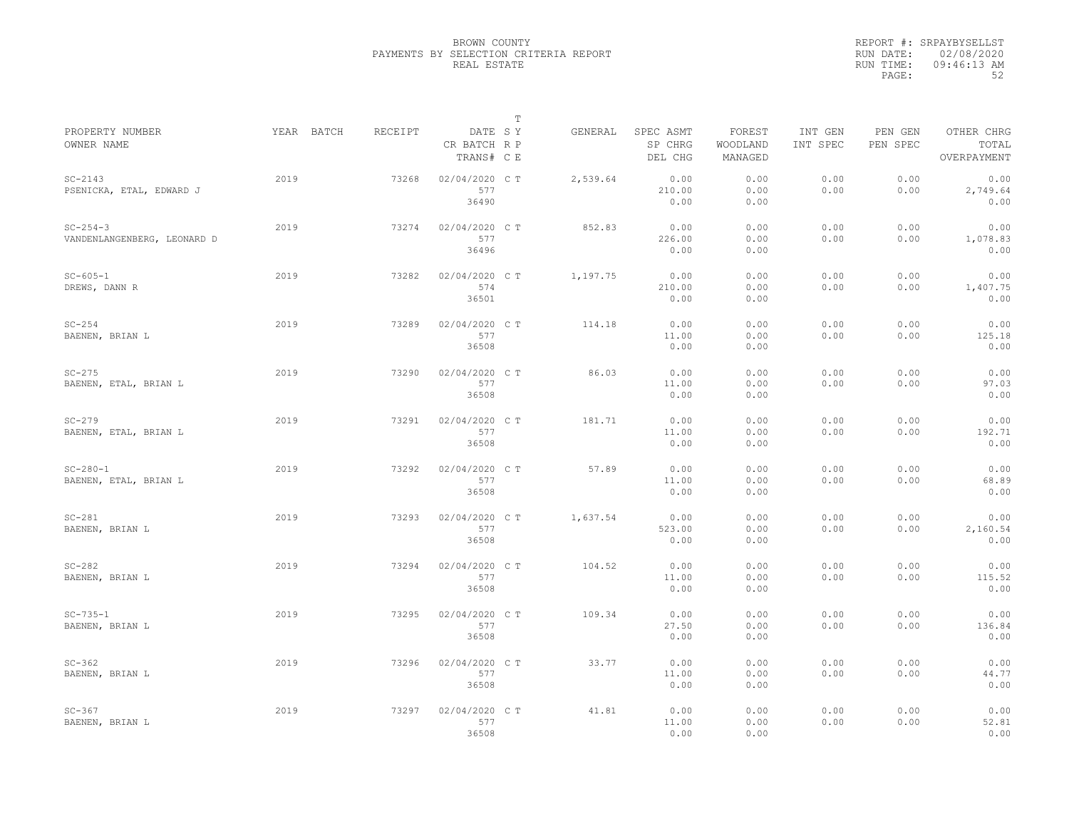|                                               |            |         |                                       | $\mathbb T$ |          |                                 |                               |                     |                     |                                    |
|-----------------------------------------------|------------|---------|---------------------------------------|-------------|----------|---------------------------------|-------------------------------|---------------------|---------------------|------------------------------------|
| PROPERTY NUMBER<br>OWNER NAME                 | YEAR BATCH | RECEIPT | DATE SY<br>CR BATCH R P<br>TRANS# C E |             | GENERAL  | SPEC ASMT<br>SP CHRG<br>DEL CHG | FOREST<br>WOODLAND<br>MANAGED | INT GEN<br>INT SPEC | PEN GEN<br>PEN SPEC | OTHER CHRG<br>TOTAL<br>OVERPAYMENT |
| $SC-2143$<br>PSENICKA, ETAL, EDWARD J         | 2019       | 73268   | 02/04/2020 C T<br>577<br>36490        |             | 2,539.64 | 0.00<br>210.00<br>0.00          | 0.00<br>0.00<br>0.00          | 0.00<br>0.00        | 0.00<br>0.00        | 0.00<br>2,749.64<br>0.00           |
| $SC - 254 - 3$<br>VANDENLANGENBERG, LEONARD D | 2019       | 73274   | 02/04/2020 C T<br>577<br>36496        |             | 852.83   | 0.00<br>226.00<br>0.00          | 0.00<br>0.00<br>0.00          | 0.00<br>0.00        | 0.00<br>0.00        | 0.00<br>1,078.83<br>0.00           |
| $SC - 605 - 1$<br>DREWS, DANN R               | 2019       | 73282   | 02/04/2020 C T<br>574<br>36501        |             | 1,197.75 | 0.00<br>210.00<br>0.00          | 0.00<br>0.00<br>0.00          | 0.00<br>0.00        | 0.00<br>0.00        | 0.00<br>1,407.75<br>0.00           |
| $SC-254$<br>BAENEN, BRIAN L                   | 2019       | 73289   | 02/04/2020 C T<br>577<br>36508        |             | 114.18   | 0.00<br>11.00<br>0.00           | 0.00<br>0.00<br>0.00          | 0.00<br>0.00        | 0.00<br>0.00        | 0.00<br>125.18<br>0.00             |
| $SC-275$<br>BAENEN, ETAL, BRIAN L             | 2019       | 73290   | 02/04/2020 C T<br>577<br>36508        |             | 86.03    | 0.00<br>11.00<br>0.00           | 0.00<br>0.00<br>0.00          | 0.00<br>0.00        | 0.00<br>0.00        | 0.00<br>97.03<br>0.00              |
| $SC-279$<br>BAENEN, ETAL, BRIAN L             | 2019       | 73291   | 02/04/2020 C T<br>577<br>36508        |             | 181.71   | 0.00<br>11.00<br>0.00           | 0.00<br>0.00<br>0.00          | 0.00<br>0.00        | 0.00<br>0.00        | 0.00<br>192.71<br>0.00             |
| $SC - 280 - 1$<br>BAENEN, ETAL, BRIAN L       | 2019       | 73292   | 02/04/2020 CT<br>577<br>36508         |             | 57.89    | 0.00<br>11.00<br>0.00           | 0.00<br>0.00<br>0.00          | 0.00<br>0.00        | 0.00<br>0.00        | 0.00<br>68.89<br>0.00              |
| $SC-281$<br>BAENEN, BRIAN L                   | 2019       | 73293   | 02/04/2020 C T<br>577<br>36508        |             | 1,637.54 | 0.00<br>523.00<br>0.00          | 0.00<br>0.00<br>0.00          | 0.00<br>0.00        | 0.00<br>0.00        | 0.00<br>2,160.54<br>0.00           |
| $SC-282$<br>BAENEN, BRIAN L                   | 2019       | 73294   | 02/04/2020 C T<br>577<br>36508        |             | 104.52   | 0.00<br>11.00<br>0.00           | 0.00<br>0.00<br>0.00          | 0.00<br>0.00        | 0.00<br>0.00        | 0.00<br>115.52<br>0.00             |
| $SC - 735 - 1$<br>BAENEN, BRIAN L             | 2019       | 73295   | 02/04/2020 C T<br>577<br>36508        |             | 109.34   | 0.00<br>27.50<br>0.00           | 0.00<br>0.00<br>0.00          | 0.00<br>0.00        | 0.00<br>0.00        | 0.00<br>136.84<br>0.00             |
| $SC-362$<br>BAENEN, BRIAN L                   | 2019       | 73296   | 02/04/2020 CT<br>577<br>36508         |             | 33.77    | 0.00<br>11.00<br>0.00           | 0.00<br>0.00<br>0.00          | 0.00<br>0.00        | 0.00<br>0.00        | 0.00<br>44.77<br>0.00              |
| $SC-367$<br>BAENEN, BRIAN L                   | 2019       | 73297   | 02/04/2020 CT<br>577<br>36508         |             | 41.81    | 0.00<br>11.00<br>0.00           | 0.00<br>0.00<br>0.00          | 0.00<br>0.00        | 0.00<br>0.00        | 0.00<br>52.81<br>0.00              |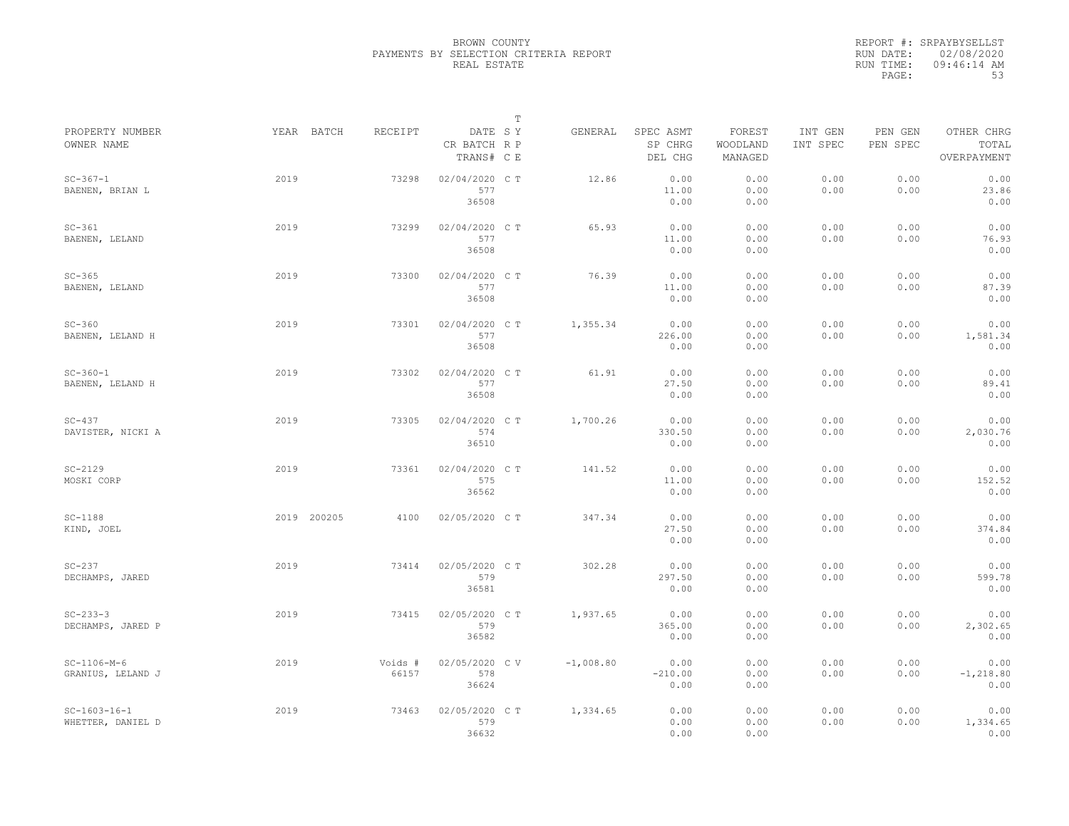|                                     |             |                  |                                       | $\mathbb T$ |             |                                 |                               |                     |                     |                                    |
|-------------------------------------|-------------|------------------|---------------------------------------|-------------|-------------|---------------------------------|-------------------------------|---------------------|---------------------|------------------------------------|
| PROPERTY NUMBER<br>OWNER NAME       | YEAR BATCH  | RECEIPT          | DATE SY<br>CR BATCH R P<br>TRANS# C E |             | GENERAL     | SPEC ASMT<br>SP CHRG<br>DEL CHG | FOREST<br>WOODLAND<br>MANAGED | INT GEN<br>INT SPEC | PEN GEN<br>PEN SPEC | OTHER CHRG<br>TOTAL<br>OVERPAYMENT |
| $SC - 367 - 1$<br>BAENEN, BRIAN L   | 2019        | 73298            | 02/04/2020 C T<br>577<br>36508        |             | 12.86       | 0.00<br>11.00<br>0.00           | 0.00<br>0.00<br>0.00          | 0.00<br>0.00        | 0.00<br>0.00        | 0.00<br>23.86<br>0.00              |
| $SC-361$<br>BAENEN, LELAND          | 2019        | 73299            | 02/04/2020 C T<br>577<br>36508        |             | 65.93       | 0.00<br>11.00<br>0.00           | 0.00<br>0.00<br>0.00          | 0.00<br>0.00        | 0.00<br>0.00        | 0.00<br>76.93<br>0.00              |
| $SC-365$<br>BAENEN, LELAND          | 2019        | 73300            | 02/04/2020 C T<br>577<br>36508        |             | 76.39       | 0.00<br>11.00<br>0.00           | 0.00<br>0.00<br>0.00          | 0.00<br>0.00        | 0.00<br>0.00        | 0.00<br>87.39<br>0.00              |
| $SC-360$<br>BAENEN, LELAND H        | 2019        | 73301            | 02/04/2020 C T<br>577<br>36508        |             | 1,355.34    | 0.00<br>226.00<br>0.00          | 0.00<br>0.00<br>0.00          | 0.00<br>0.00        | 0.00<br>0.00        | 0.00<br>1,581.34<br>0.00           |
| $SC - 360 - 1$<br>BAENEN, LELAND H  | 2019        | 73302            | 02/04/2020 C T<br>577<br>36508        |             | 61.91       | 0.00<br>27.50<br>0.00           | 0.00<br>0.00<br>0.00          | 0.00<br>0.00        | 0.00<br>0.00        | 0.00<br>89.41<br>0.00              |
| $SC-437$<br>DAVISTER, NICKI A       | 2019        | 73305            | 02/04/2020 C T<br>574<br>36510        |             | 1,700.26    | 0.00<br>330.50<br>0.00          | 0.00<br>0.00<br>0.00          | 0.00<br>0.00        | 0.00<br>0.00        | 0.00<br>2,030.76<br>0.00           |
| $SC-2129$<br>MOSKI CORP             | 2019        | 73361            | 02/04/2020 CT<br>575<br>36562         |             | 141.52      | 0.00<br>11.00<br>0.00           | 0.00<br>0.00<br>0.00          | 0.00<br>0.00        | 0.00<br>0.00        | 0.00<br>152.52<br>0.00             |
| $SC-1188$<br>KIND, JOEL             | 2019 200205 | 4100             | 02/05/2020 C T                        |             | 347.34      | 0.00<br>27.50<br>0.00           | 0.00<br>0.00<br>0.00          | 0.00<br>0.00        | 0.00<br>0.00        | 0.00<br>374.84<br>0.00             |
| $SC-237$<br>DECHAMPS, JARED         | 2019        | 73414            | 02/05/2020 C T<br>579<br>36581        |             | 302.28      | 0.00<br>297.50<br>0.00          | 0.00<br>0.00<br>0.00          | 0.00<br>0.00        | 0.00<br>0.00        | 0.00<br>599.78<br>0.00             |
| $SC-233-3$<br>DECHAMPS, JARED P     | 2019        | 73415            | 02/05/2020 C T<br>579<br>36582        |             | 1,937.65    | 0.00<br>365.00<br>0.00          | 0.00<br>0.00<br>0.00          | 0.00<br>0.00        | 0.00<br>0.00        | 0.00<br>2,302.65<br>0.00           |
| $SC-1106-M-6$<br>GRANIUS, LELAND J  | 2019        | Voids #<br>66157 | 02/05/2020 CV<br>578<br>36624         |             | $-1,008.80$ | 0.00<br>$-210.00$<br>0.00       | 0.00<br>0.00<br>0.00          | 0.00<br>0.00        | 0.00<br>0.00        | 0.00<br>$-1, 218.80$<br>0.00       |
| $SC-1603-16-1$<br>WHETTER, DANIEL D | 2019        | 73463            | 02/05/2020 C T<br>579<br>36632        |             | 1,334.65    | 0.00<br>0.00<br>0.00            | 0.00<br>0.00<br>0.00          | 0.00<br>0.00        | 0.00<br>0.00        | 0.00<br>1,334.65<br>0.00           |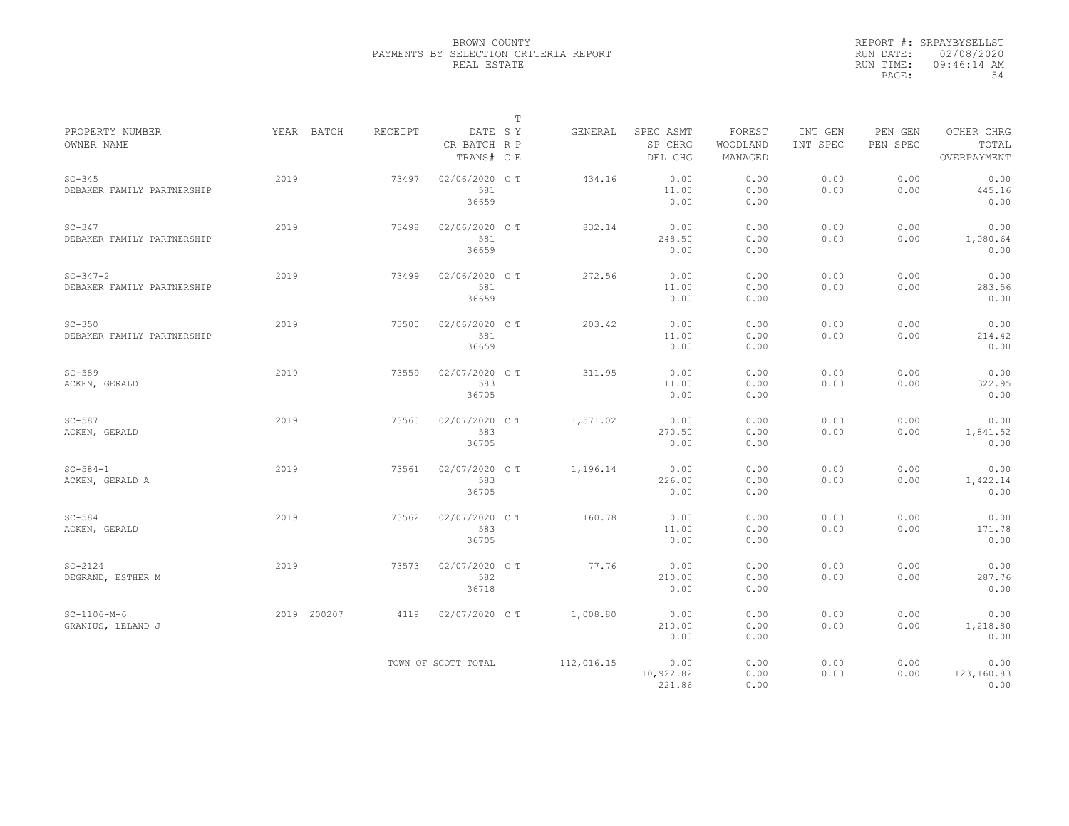|                                              |             |         | $\mathbb T$                           |            |                                 |                               |                     |                     |                                    |
|----------------------------------------------|-------------|---------|---------------------------------------|------------|---------------------------------|-------------------------------|---------------------|---------------------|------------------------------------|
| PROPERTY NUMBER<br>OWNER NAME                | YEAR BATCH  | RECEIPT | DATE SY<br>CR BATCH R P<br>TRANS# C E | GENERAL    | SPEC ASMT<br>SP CHRG<br>DEL CHG | FOREST<br>WOODLAND<br>MANAGED | INT GEN<br>INT SPEC | PEN GEN<br>PEN SPEC | OTHER CHRG<br>TOTAL<br>OVERPAYMENT |
| $SC-345$<br>DEBAKER FAMILY PARTNERSHIP       | 2019        | 73497   | 02/06/2020 C T<br>581<br>36659        | 434.16     | 0.00<br>11.00<br>0.00           | 0.00<br>0.00<br>0.00          | 0.00<br>0.00        | 0.00<br>0.00        | 0.00<br>445.16<br>0.00             |
| $SC-347$<br>DEBAKER FAMILY PARTNERSHIP       | 2019        | 73498   | 02/06/2020 C T<br>581<br>36659        | 832.14     | 0.00<br>248.50<br>0.00          | 0.00<br>0.00<br>0.00          | 0.00<br>0.00        | 0.00<br>0.00        | 0.00<br>1,080.64<br>0.00           |
| $SC - 347 - 2$<br>DEBAKER FAMILY PARTNERSHIP | 2019        | 73499   | 02/06/2020 C T<br>581<br>36659        | 272.56     | 0.00<br>11.00<br>0.00           | 0.00<br>0.00<br>0.00          | 0.00<br>0.00        | 0.00<br>0.00        | 0.00<br>283.56<br>0.00             |
| $SC-350$<br>DEBAKER FAMILY PARTNERSHIP       | 2019        | 73500   | 02/06/2020 C T<br>581<br>36659        | 203.42     | 0.00<br>11.00<br>0.00           | 0.00<br>0.00<br>0.00          | 0.00<br>0.00        | 0.00<br>0.00        | 0.00<br>214.42<br>0.00             |
| $SC-589$<br>ACKEN, GERALD                    | 2019        | 73559   | 02/07/2020 C T<br>583<br>36705        | 311.95     | 0.00<br>11.00<br>0.00           | 0.00<br>0.00<br>0.00          | 0.00<br>0.00        | 0.00<br>0.00        | 0.00<br>322.95<br>0.00             |
| $SC-587$<br>ACKEN, GERALD                    | 2019        | 73560   | 02/07/2020 C T<br>583<br>36705        | 1,571.02   | 0.00<br>270.50<br>0.00          | 0.00<br>0.00<br>0.00          | 0.00<br>0.00        | 0.00<br>0.00        | 0.00<br>1,841.52<br>0.00           |
| $SC - 584 - 1$<br>ACKEN, GERALD A            | 2019        | 73561   | 02/07/2020 C T<br>583<br>36705        | 1,196.14   | 0.00<br>226.00<br>0.00          | 0.00<br>0.00<br>0.00          | 0.00<br>0.00        | 0.00<br>0.00        | 0.00<br>1,422.14<br>0.00           |
| $SC-584$<br>ACKEN, GERALD                    | 2019        | 73562   | 02/07/2020 CT<br>583<br>36705         | 160.78     | 0.00<br>11.00<br>0.00           | 0.00<br>0.00<br>0.00          | 0.00<br>0.00        | 0.00<br>0.00        | 0.00<br>171.78<br>0.00             |
| $SC-2124$<br>DEGRAND, ESTHER M               | 2019        | 73573   | 02/07/2020 C T<br>582<br>36718        | 77.76      | 0.00<br>210.00<br>0.00          | 0.00<br>0.00<br>0.00          | 0.00<br>0.00        | 0.00<br>0.00        | 0.00<br>287.76<br>0.00             |
| $SC-1106-M-6$<br>GRANIUS, LELAND J           | 2019 200207 | 4119    | 02/07/2020 C T                        | 1,008.80   | 0.00<br>210.00<br>0.00          | 0.00<br>0.00<br>0.00          | 0.00<br>0.00        | 0.00<br>0.00        | 0.00<br>1,218.80<br>0.00           |
|                                              |             |         | TOWN OF SCOTT TOTAL                   | 112,016.15 | 0.00<br>10,922.82<br>221.86     | 0.00<br>0.00<br>0.00          | 0.00<br>0.00        | 0.00<br>0.00        | 0.00<br>123,160.83<br>0.00         |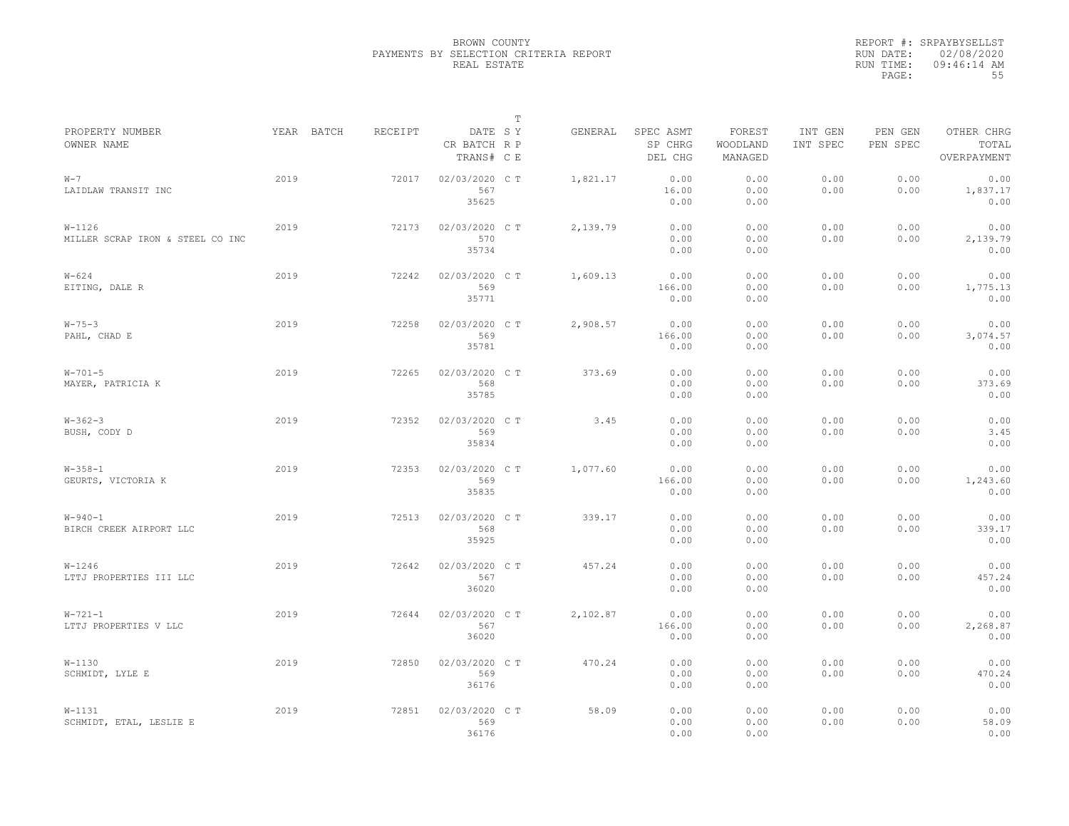|                                                |            |         |                                       | $\mathbb{T}$ |          |                                 |                               |                     |                     |                                    |
|------------------------------------------------|------------|---------|---------------------------------------|--------------|----------|---------------------------------|-------------------------------|---------------------|---------------------|------------------------------------|
| PROPERTY NUMBER<br>OWNER NAME                  | YEAR BATCH | RECEIPT | DATE SY<br>CR BATCH R P<br>TRANS# C E |              | GENERAL  | SPEC ASMT<br>SP CHRG<br>DEL CHG | FOREST<br>WOODLAND<br>MANAGED | INT GEN<br>INT SPEC | PEN GEN<br>PEN SPEC | OTHER CHRG<br>TOTAL<br>OVERPAYMENT |
| $W - 7$<br>LAIDLAW TRANSIT INC                 | 2019       | 72017   | 02/03/2020 C T<br>567<br>35625        |              | 1,821.17 | 0.00<br>16.00<br>0.00           | 0.00<br>0.00<br>0.00          | 0.00<br>0.00        | 0.00<br>0.00        | 0.00<br>1,837.17<br>0.00           |
| $W - 1126$<br>MILLER SCRAP IRON & STEEL CO INC | 2019       | 72173   | 02/03/2020 C T<br>570<br>35734        |              | 2,139.79 | 0.00<br>0.00<br>0.00            | 0.00<br>0.00<br>0.00          | 0.00<br>0.00        | 0.00<br>0.00        | 0.00<br>2,139.79<br>0.00           |
| $W - 624$<br>EITING, DALE R                    | 2019       | 72242   | 02/03/2020 C T<br>569<br>35771        |              | 1,609.13 | 0.00<br>166.00<br>0.00          | 0.00<br>0.00<br>0.00          | 0.00<br>0.00        | 0.00<br>0.00        | 0.00<br>1,775.13<br>0.00           |
| $W - 75 - 3$<br>PAHL, CHAD E                   | 2019       | 72258   | 02/03/2020 C T<br>569<br>35781        |              | 2,908.57 | 0.00<br>166.00<br>0.00          | 0.00<br>0.00<br>0.00          | 0.00<br>0.00        | 0.00<br>0.00        | 0.00<br>3,074.57<br>0.00           |
| $W - 701 - 5$<br>MAYER, PATRICIA K             | 2019       | 72265   | 02/03/2020 C T<br>568<br>35785        |              | 373.69   | 0.00<br>0.00<br>0.00            | 0.00<br>0.00<br>0.00          | 0.00<br>0.00        | 0.00<br>0.00        | 0.00<br>373.69<br>0.00             |
| $W-362-3$<br>BUSH, CODY D                      | 2019       | 72352   | 02/03/2020 C T<br>569<br>35834        |              | 3.45     | 0.00<br>0.00<br>0.00            | 0.00<br>0.00<br>0.00          | 0.00<br>0.00        | 0.00<br>0.00        | 0.00<br>3.45<br>0.00               |
| $W - 358 - 1$<br>GEURTS, VICTORIA K            | 2019       | 72353   | 02/03/2020 C T<br>569<br>35835        |              | 1,077.60 | 0.00<br>166.00<br>0.00          | 0.00<br>0.00<br>0.00          | 0.00<br>0.00        | 0.00<br>0.00        | 0.00<br>1,243.60<br>0.00           |
| $W - 940 - 1$<br>BIRCH CREEK AIRPORT LLC       | 2019       | 72513   | 02/03/2020 C T<br>568<br>35925        |              | 339.17   | 0.00<br>0.00<br>0.00            | 0.00<br>0.00<br>0.00          | 0.00<br>0.00        | 0.00<br>0.00        | 0.00<br>339.17<br>0.00             |
| $W - 1246$<br>LTTJ PROPERTIES III LLC          | 2019       | 72642   | 02/03/2020 C T<br>567<br>36020        |              | 457.24   | 0.00<br>0.00<br>0.00            | 0.00<br>0.00<br>0.00          | 0.00<br>0.00        | 0.00<br>0.00        | 0.00<br>457.24<br>0.00             |
| $W - 721 - 1$<br>LTTJ PROPERTIES V LLC         | 2019       | 72644   | 02/03/2020 C T<br>567<br>36020        |              | 2,102.87 | 0.00<br>166.00<br>0.00          | 0.00<br>0.00<br>0.00          | 0.00<br>0.00        | 0.00<br>0.00        | 0.00<br>2,268.87<br>0.00           |
| $W-1130$<br>SCHMIDT, LYLE E                    | 2019       | 72850   | 02/03/2020 C T<br>569<br>36176        |              | 470.24   | 0.00<br>0.00<br>0.00            | 0.00<br>0.00<br>0.00          | 0.00<br>0.00        | 0.00<br>0.00        | 0.00<br>470.24<br>0.00             |
| $W - 1131$<br>SCHMIDT, ETAL, LESLIE E          | 2019       | 72851   | 02/03/2020 CT<br>569<br>36176         |              | 58.09    | 0.00<br>0.00<br>0.00            | 0.00<br>0.00<br>0.00          | 0.00<br>0.00        | 0.00<br>0.00        | 0.00<br>58.09<br>0.00              |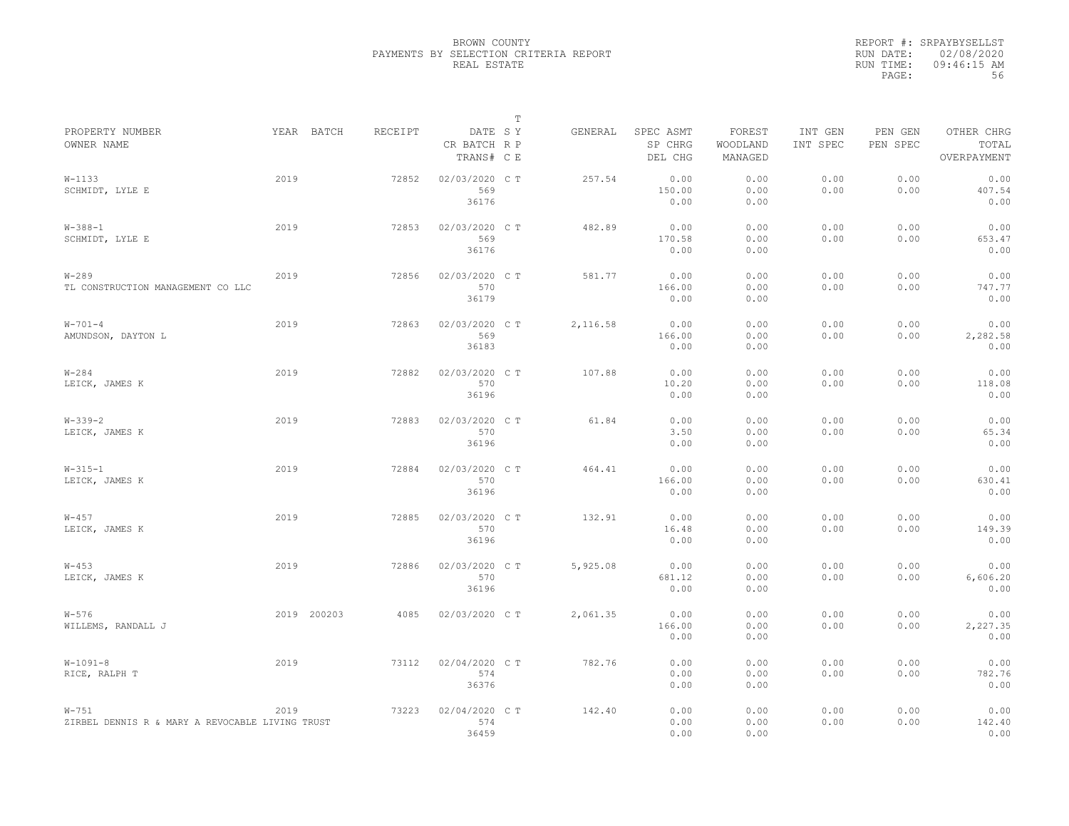|                                                              |             |         |                                       | $\mathbb{T}$ |          |                                 |                               |                     |                     |                                    |
|--------------------------------------------------------------|-------------|---------|---------------------------------------|--------------|----------|---------------------------------|-------------------------------|---------------------|---------------------|------------------------------------|
| PROPERTY NUMBER<br>OWNER NAME                                | YEAR BATCH  | RECEIPT | DATE SY<br>CR BATCH R P<br>TRANS# C E |              | GENERAL  | SPEC ASMT<br>SP CHRG<br>DEL CHG | FOREST<br>WOODLAND<br>MANAGED | INT GEN<br>INT SPEC | PEN GEN<br>PEN SPEC | OTHER CHRG<br>TOTAL<br>OVERPAYMENT |
| $W-1133$<br>SCHMIDT, LYLE E                                  | 2019        | 72852   | 02/03/2020 C T<br>569<br>36176        |              | 257.54   | 0.00<br>150.00<br>0.00          | 0.00<br>0.00<br>0.00          | 0.00<br>0.00        | 0.00<br>0.00        | 0.00<br>407.54<br>0.00             |
| $W - 388 - 1$<br>SCHMIDT, LYLE E                             | 2019        | 72853   | 02/03/2020 C T<br>569<br>36176        |              | 482.89   | 0.00<br>170.58<br>0.00          | 0.00<br>0.00<br>0.00          | 0.00<br>0.00        | 0.00<br>0.00        | 0.00<br>653.47<br>0.00             |
| $W - 289$<br>TL CONSTRUCTION MANAGEMENT CO LLC               | 2019        | 72856   | 02/03/2020 CT<br>570<br>36179         |              | 581.77   | 0.00<br>166.00<br>0.00          | 0.00<br>0.00<br>0.00          | 0.00<br>0.00        | 0.00<br>0.00        | 0.00<br>747.77<br>0.00             |
| $W - 701 - 4$<br>AMUNDSON, DAYTON L                          | 2019        | 72863   | 02/03/2020 C T<br>569<br>36183        |              | 2,116.58 | 0.00<br>166.00<br>0.00          | 0.00<br>0.00<br>0.00          | 0.00<br>0.00        | 0.00<br>0.00        | 0.00<br>2,282.58<br>0.00           |
| $W - 284$<br>LEICK, JAMES K                                  | 2019        | 72882   | 02/03/2020 C T<br>570<br>36196        |              | 107.88   | 0.00<br>10.20<br>0.00           | 0.00<br>0.00<br>0.00          | 0.00<br>0.00        | 0.00<br>0.00        | 0.00<br>118.08<br>0.00             |
| $W - 339 - 2$<br>LEICK, JAMES K                              | 2019        | 72883   | 02/03/2020 C T<br>570<br>36196        |              | 61.84    | 0.00<br>3.50<br>0.00            | 0.00<br>0.00<br>0.00          | 0.00<br>0.00        | 0.00<br>0.00        | 0.00<br>65.34<br>0.00              |
| $W-315-1$<br>LEICK, JAMES K                                  | 2019        | 72884   | 02/03/2020 CT<br>570<br>36196         |              | 464.41   | 0.00<br>166.00<br>0.00          | 0.00<br>0.00<br>0.00          | 0.00<br>0.00        | 0.00<br>0.00        | 0.00<br>630.41<br>0.00             |
| $W - 457$<br>LEICK, JAMES K                                  | 2019        | 72885   | 02/03/2020 C T<br>570<br>36196        |              | 132.91   | 0.00<br>16.48<br>0.00           | 0.00<br>0.00<br>0.00          | 0.00<br>0.00        | 0.00<br>0.00        | 0.00<br>149.39<br>0.00             |
| $W - 453$<br>LEICK, JAMES K                                  | 2019        | 72886   | 02/03/2020 C T<br>570<br>36196        |              | 5,925.08 | 0.00<br>681.12<br>0.00          | 0.00<br>0.00<br>0.00          | 0.00<br>0.00        | 0.00<br>0.00        | 0.00<br>6,606.20<br>0.00           |
| $W - 576$<br>WILLEMS, RANDALL J                              | 2019 200203 | 4085    | 02/03/2020 C T                        |              | 2,061.35 | 0.00<br>166.00<br>0.00          | 0.00<br>0.00<br>0.00          | 0.00<br>0.00        | 0.00<br>0.00        | 0.00<br>2,227.35<br>0.00           |
| $W-1091-8$<br>RICE, RALPH T                                  | 2019        | 73112   | 02/04/2020 CT<br>574<br>36376         |              | 782.76   | 0.00<br>0.00<br>0.00            | 0.00<br>0.00<br>0.00          | 0.00<br>0.00        | 0.00<br>0.00        | 0.00<br>782.76<br>0.00             |
| $W - 751$<br>ZIRBEL DENNIS R & MARY A REVOCABLE LIVING TRUST | 2019        | 73223   | 02/04/2020 C T<br>574<br>36459        |              | 142.40   | 0.00<br>0.00<br>0.00            | 0.00<br>0.00<br>0.00          | 0.00<br>0.00        | 0.00<br>0.00        | 0.00<br>142.40<br>0.00             |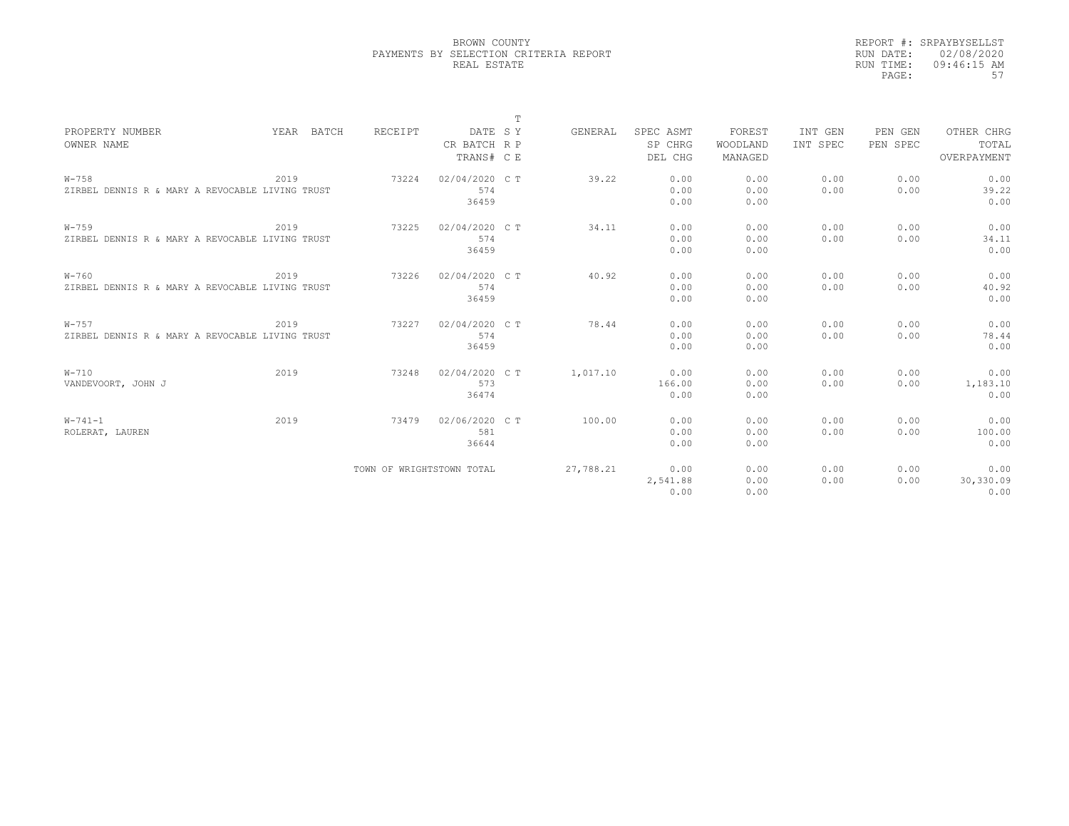|                                                 |            |                           |                | T |           |           |          |          |          |             |
|-------------------------------------------------|------------|---------------------------|----------------|---|-----------|-----------|----------|----------|----------|-------------|
| PROPERTY NUMBER                                 | YEAR BATCH | RECEIPT                   | DATE SY        |   | GENERAL   | SPEC ASMT | FOREST   | INT GEN  | PEN GEN  | OTHER CHRG  |
| OWNER NAME                                      |            |                           | CR BATCH R P   |   |           | SP CHRG   | WOODLAND | INT SPEC | PEN SPEC | TOTAL       |
|                                                 |            |                           | TRANS# C E     |   |           | DEL CHG   | MANAGED  |          |          | OVERPAYMENT |
| $W - 758$                                       | 2019       | 73224                     | 02/04/2020 C T |   | 39.22     | 0.00      | 0.00     | 0.00     | 0.00     | 0.00        |
| ZIRBEL DENNIS R & MARY A REVOCABLE LIVING TRUST |            |                           | 574            |   |           | 0.00      | 0.00     | 0.00     | 0.00     | 39.22       |
|                                                 |            |                           | 36459          |   |           | 0.00      | 0.00     |          |          | 0.00        |
| $W - 759$                                       | 2019       | 73225                     | 02/04/2020 C T |   | 34.11     | 0.00      | 0.00     | 0.00     | 0.00     | 0.00        |
| ZIRBEL DENNIS R & MARY A REVOCABLE LIVING TRUST |            |                           | 574            |   |           | 0.00      | 0.00     | 0.00     | 0.00     | 34.11       |
|                                                 |            |                           | 36459          |   |           | 0.00      | 0.00     |          |          | 0.00        |
| $W - 760$                                       | 2019       | 73226                     | 02/04/2020 C T |   | 40.92     | 0.00      | 0.00     | 0.00     | 0.00     | 0.00        |
| ZIRBEL DENNIS R & MARY A REVOCABLE LIVING TRUST |            |                           | 574            |   |           | 0.00      | 0.00     | 0.00     | 0.00     | 40.92       |
|                                                 |            |                           | 36459          |   |           | 0.00      | 0.00     |          |          | 0.00        |
| $W - 757$                                       | 2019       | 73227                     | 02/04/2020 C T |   | 78.44     | 0.00      | 0.00     | 0.00     | 0.00     | 0.00        |
| ZIRBEL DENNIS R & MARY A REVOCABLE LIVING TRUST |            |                           | 574            |   |           | 0.00      | 0.00     | 0.00     | 0.00     | 78.44       |
|                                                 |            |                           | 36459          |   |           | 0.00      | 0.00     |          |          | 0.00        |
| $W-710$                                         | 2019       | 73248                     | 02/04/2020 C T |   | 1,017.10  | 0.00      | 0.00     | 0.00     | 0.00     | 0.00        |
| VANDEVOORT, JOHN J                              |            |                           | 573            |   |           | 166.00    | 0.00     | 0.00     | 0.00     | 1,183.10    |
|                                                 |            |                           | 36474          |   |           | 0.00      | 0.00     |          |          | 0.00        |
| $W - 741 - 1$                                   | 2019       | 73479                     | 02/06/2020 C T |   | 100.00    | 0.00      | 0.00     | 0.00     | 0.00     | 0.00        |
| ROLERAT, LAUREN                                 |            |                           | 581            |   |           | 0.00      | 0.00     | 0.00     | 0.00     | 100.00      |
|                                                 |            |                           | 36644          |   |           | 0.00      | 0.00     |          |          | 0.00        |
|                                                 |            | TOWN OF WRIGHTSTOWN TOTAL |                |   | 27,788.21 | 0.00      | 0.00     | 0.00     | 0.00     | 0.00        |
|                                                 |            |                           |                |   |           | 2,541.88  | 0.00     | 0.00     | 0.00     | 30,330.09   |
|                                                 |            |                           |                |   |           | 0.00      | 0.00     |          |          | 0.00        |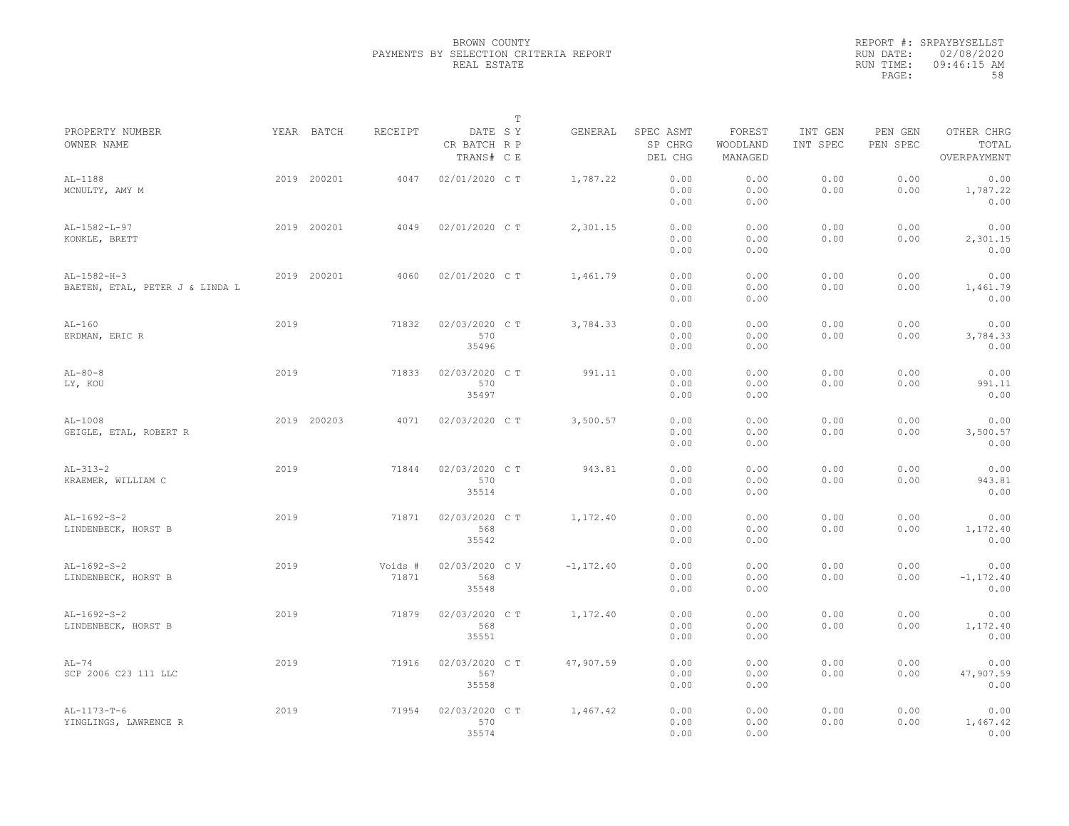|                                                  |      |             |                  |                                       | $\mathbb T$ |              |                                 |                               |                     |                     |                                    |
|--------------------------------------------------|------|-------------|------------------|---------------------------------------|-------------|--------------|---------------------------------|-------------------------------|---------------------|---------------------|------------------------------------|
| PROPERTY NUMBER<br>OWNER NAME                    |      | YEAR BATCH  | RECEIPT          | DATE SY<br>CR BATCH R P<br>TRANS# C E |             | GENERAL      | SPEC ASMT<br>SP CHRG<br>DEL CHG | FOREST<br>WOODLAND<br>MANAGED | INT GEN<br>INT SPEC | PEN GEN<br>PEN SPEC | OTHER CHRG<br>TOTAL<br>OVERPAYMENT |
| AL-1188<br>MCNULTY, AMY M                        |      | 2019 200201 | 4047             | 02/01/2020 C T                        |             | 1,787.22     | 0.00<br>0.00<br>0.00            | 0.00<br>0.00<br>0.00          | 0.00<br>0.00        | 0.00<br>0.00        | 0.00<br>1,787.22<br>0.00           |
| AL-1582-L-97<br>KONKLE, BRETT                    |      | 2019 200201 | 4049             | 02/01/2020 C T                        |             | 2,301.15     | 0.00<br>0.00<br>0.00            | 0.00<br>0.00<br>0.00          | 0.00<br>0.00        | 0.00<br>0.00        | 0.00<br>2,301.15<br>0.00           |
| $AL-1582-H-3$<br>BAETEN, ETAL, PETER J & LINDA L |      | 2019 200201 | 4060             | 02/01/2020 CT                         |             | 1,461.79     | 0.00<br>0.00<br>0.00            | 0.00<br>0.00<br>0.00          | 0.00<br>0.00        | 0.00<br>0.00        | 0.00<br>1,461.79<br>0.00           |
| $AL-160$<br>ERDMAN, ERIC R                       | 2019 |             | 71832            | 02/03/2020 C T<br>570<br>35496        |             | 3,784.33     | 0.00<br>0.00<br>0.00            | 0.00<br>0.00<br>0.00          | 0.00<br>0.00        | 0.00<br>0.00        | 0.00<br>3,784.33<br>0.00           |
| $AL-80-8$<br>LY, KOU                             | 2019 |             | 71833            | 02/03/2020 C T<br>570<br>35497        |             | 991.11       | 0.00<br>0.00<br>0.00            | 0.00<br>0.00<br>0.00          | 0.00<br>0.00        | 0.00<br>0.00        | 0.00<br>991.11<br>0.00             |
| $AL-1008$<br>GEIGLE, ETAL, ROBERT R              |      | 2019 200203 | 4071             | 02/03/2020 C T                        |             | 3,500.57     | 0.00<br>0.00<br>0.00            | 0.00<br>0.00<br>0.00          | 0.00<br>0.00        | 0.00<br>0.00        | 0.00<br>3,500.57<br>0.00           |
| $AL-313-2$<br>KRAEMER, WILLIAM C                 | 2019 |             | 71844            | 02/03/2020 CT<br>570<br>35514         |             | 943.81       | 0.00<br>0.00<br>0.00            | 0.00<br>0.00<br>0.00          | 0.00<br>0.00        | 0.00<br>0.00        | 0.00<br>943.81<br>0.00             |
| $AL-1692-S-2$<br>LINDENBECK, HORST B             | 2019 |             | 71871            | 02/03/2020 CT<br>568<br>35542         |             | 1,172.40     | 0.00<br>0.00<br>0.00            | 0.00<br>0.00<br>0.00          | 0.00<br>0.00        | 0.00<br>0.00        | 0.00<br>1,172.40<br>0.00           |
| $AL-1692-S-2$<br>LINDENBECK, HORST B             | 2019 |             | Voids #<br>71871 | 02/03/2020 CV<br>568<br>35548         |             | $-1, 172.40$ | 0.00<br>0.00<br>0.00            | 0.00<br>0.00<br>0.00          | 0.00<br>0.00        | 0.00<br>0.00        | 0.00<br>$-1, 172.40$<br>0.00       |
| $AL-1692-S-2$<br>LINDENBECK, HORST B             | 2019 |             | 71879            | 02/03/2020 C T<br>568<br>35551        |             | 1,172.40     | 0.00<br>0.00<br>0.00            | 0.00<br>0.00<br>0.00          | 0.00<br>0.00        | 0.00<br>0.00        | 0.00<br>1,172.40<br>0.00           |
| $AL-74$<br>SCP 2006 C23 111 LLC                  | 2019 |             | 71916            | 02/03/2020 C T<br>567<br>35558        |             | 47,907.59    | 0.00<br>0.00<br>0.00            | 0.00<br>0.00<br>0.00          | 0.00<br>0.00        | 0.00<br>0.00        | 0.00<br>47,907.59<br>0.00          |
| $AL-1173-T-6$<br>YINGLINGS, LAWRENCE R           | 2019 |             | 71954            | 02/03/2020 CT<br>570<br>35574         |             | 1,467.42     | 0.00<br>0.00<br>0.00            | 0.00<br>0.00<br>0.00          | 0.00<br>0.00        | 0.00<br>0.00        | 0.00<br>1,467.42<br>0.00           |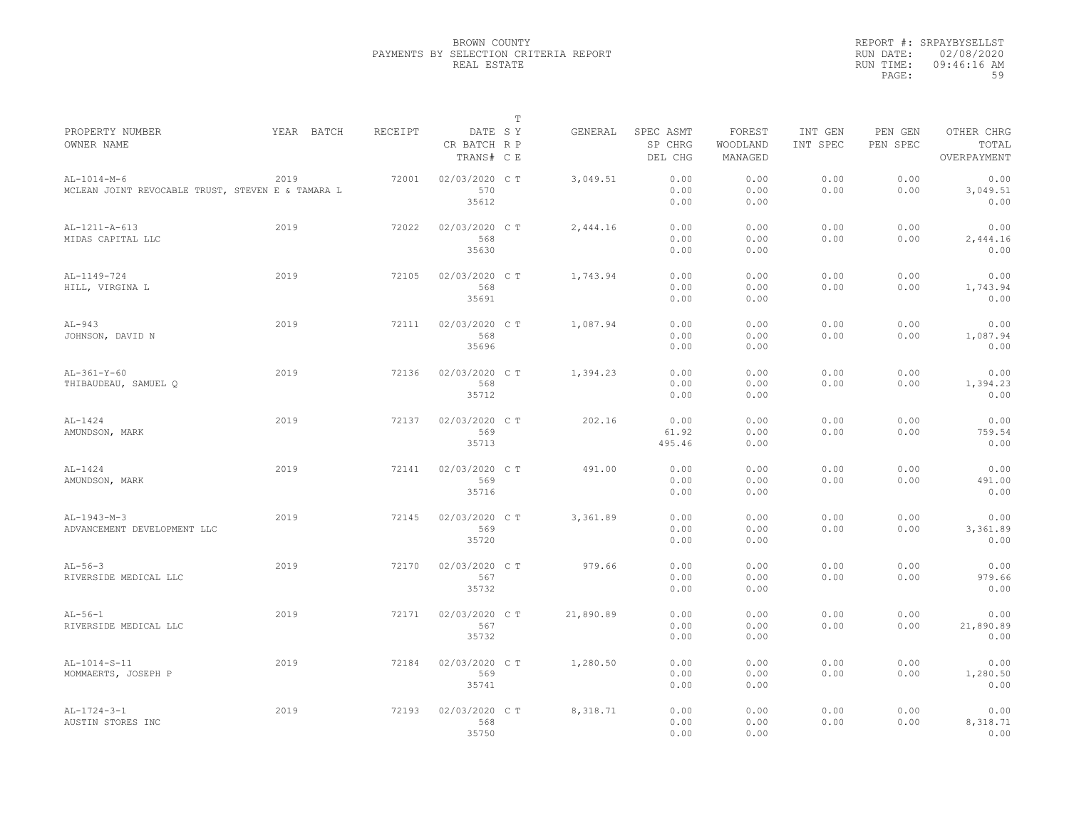|                                                                    |            |         |                                       | $\mathbb T$ |           |                                 |                               |                     |                     |                                    |
|--------------------------------------------------------------------|------------|---------|---------------------------------------|-------------|-----------|---------------------------------|-------------------------------|---------------------|---------------------|------------------------------------|
| PROPERTY NUMBER<br>OWNER NAME                                      | YEAR BATCH | RECEIPT | DATE SY<br>CR BATCH R P<br>TRANS# C E |             | GENERAL   | SPEC ASMT<br>SP CHRG<br>DEL CHG | FOREST<br>WOODLAND<br>MANAGED | INT GEN<br>INT SPEC | PEN GEN<br>PEN SPEC | OTHER CHRG<br>TOTAL<br>OVERPAYMENT |
| $AL-1014-M-6$<br>MCLEAN JOINT REVOCABLE TRUST, STEVEN E & TAMARA L | 2019       | 72001   | 02/03/2020 CT<br>570<br>35612         |             | 3,049.51  | 0.00<br>0.00<br>0.00            | 0.00<br>0.00<br>0.00          | 0.00<br>0.00        | 0.00<br>0.00        | 0.00<br>3,049.51<br>0.00           |
| AL-1211-A-613<br>MIDAS CAPITAL LLC                                 | 2019       | 72022   | 02/03/2020 C T<br>568<br>35630        |             | 2,444.16  | 0.00<br>0.00<br>0.00            | 0.00<br>0.00<br>0.00          | 0.00<br>0.00        | 0.00<br>0.00        | 0.00<br>2,444.16<br>0.00           |
| AL-1149-724<br>HILL, VIRGINA L                                     | 2019       | 72105   | 02/03/2020 C T<br>568<br>35691        |             | 1,743.94  | 0.00<br>0.00<br>0.00            | 0.00<br>0.00<br>0.00          | 0.00<br>0.00        | 0.00<br>0.00        | 0.00<br>1,743.94<br>0.00           |
| $AL-943$<br>JOHNSON, DAVID N                                       | 2019       | 72111   | 02/03/2020 C T<br>568<br>35696        |             | 1,087.94  | 0.00<br>0.00<br>0.00            | 0.00<br>0.00<br>0.00          | 0.00<br>0.00        | 0.00<br>0.00        | 0.00<br>1,087.94<br>0.00           |
| $AL-361-Y-60$<br>THIBAUDEAU, SAMUEL O                              | 2019       | 72136   | 02/03/2020 C T<br>568<br>35712        |             | 1,394.23  | 0.00<br>0.00<br>0.00            | 0.00<br>0.00<br>0.00          | 0.00<br>0.00        | 0.00<br>0.00        | 0.00<br>1,394.23<br>0.00           |
| $AL-1424$<br>AMUNDSON, MARK                                        | 2019       | 72137   | 02/03/2020 CT<br>569<br>35713         |             | 202.16    | 0.00<br>61.92<br>495.46         | 0.00<br>0.00<br>0.00          | 0.00<br>0.00        | 0.00<br>0.00        | 0.00<br>759.54<br>0.00             |
| $AL-1424$<br>AMUNDSON, MARK                                        | 2019       | 72141   | 02/03/2020 C T<br>569<br>35716        |             | 491.00    | 0.00<br>0.00<br>0.00            | 0.00<br>0.00<br>0.00          | 0.00<br>0.00        | 0.00<br>0.00        | 0.00<br>491.00<br>0.00             |
| $AL-1943-M-3$<br>ADVANCEMENT DEVELOPMENT LLC                       | 2019       | 72145   | 02/03/2020 C T<br>569<br>35720        |             | 3,361.89  | 0.00<br>0.00<br>0.00            | 0.00<br>0.00<br>0.00          | 0.00<br>0.00        | 0.00<br>0.00        | 0.00<br>3,361.89<br>0.00           |
| $AL-56-3$<br>RIVERSIDE MEDICAL LLC                                 | 2019       | 72170   | 02/03/2020 CT<br>567<br>35732         |             | 979.66    | 0.00<br>0.00<br>0.00            | 0.00<br>0.00<br>0.00          | 0.00<br>0.00        | 0.00<br>0.00        | 0.00<br>979.66<br>0.00             |
| $AL-56-1$<br>RIVERSIDE MEDICAL LLC                                 | 2019       | 72171   | 02/03/2020 C T<br>567<br>35732        |             | 21,890.89 | 0.00<br>0.00<br>0.00            | 0.00<br>0.00<br>0.00          | 0.00<br>0.00        | 0.00<br>0.00        | 0.00<br>21,890.89<br>0.00          |
| $AL-1014-S-11$<br>MOMMAERTS, JOSEPH P                              | 2019       | 72184   | 02/03/2020 C T<br>569<br>35741        |             | 1,280.50  | 0.00<br>0.00<br>0.00            | 0.00<br>0.00<br>0.00          | 0.00<br>0.00        | 0.00<br>0.00        | 0.00<br>1,280.50<br>0.00           |
| $AL-1724-3-1$<br>AUSTIN STORES INC                                 | 2019       | 72193   | 02/03/2020 CT<br>568<br>35750         |             | 8,318.71  | 0.00<br>0.00<br>0.00            | 0.00<br>0.00<br>0.00          | 0.00<br>0.00        | 0.00<br>0.00        | 0.00<br>8,318.71<br>0.00           |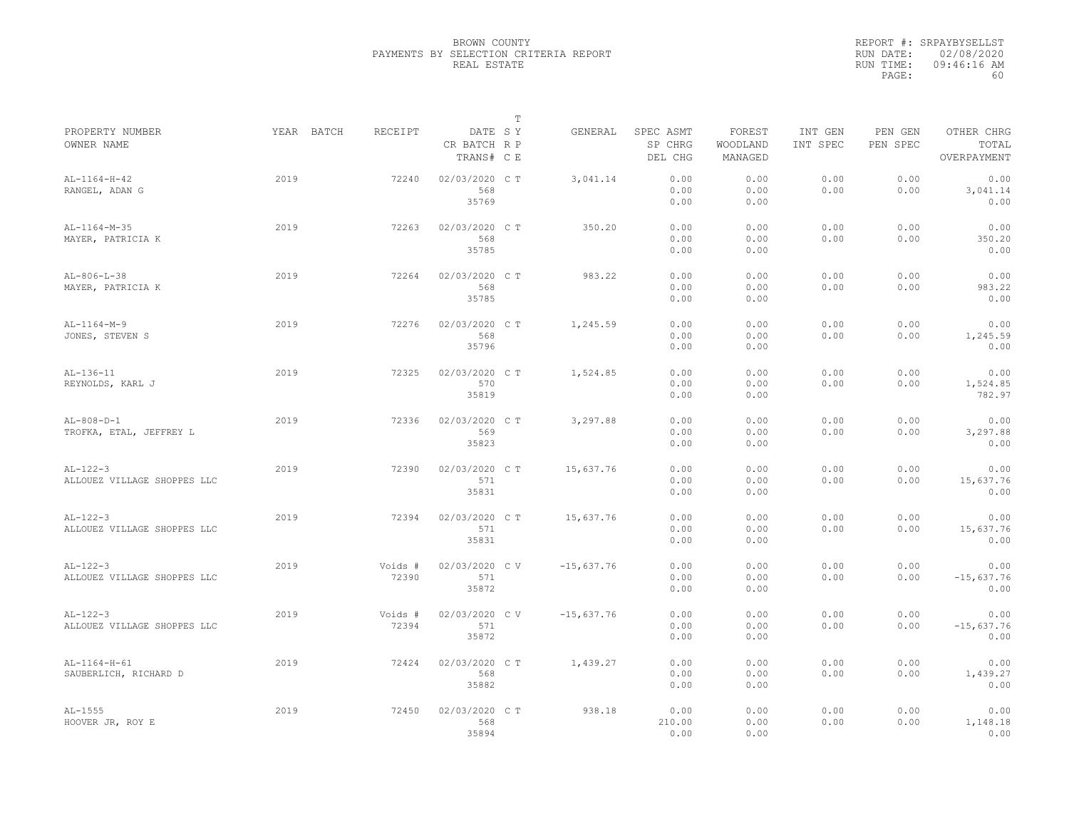|                                    |            |         |                                       | $\mathbb T$ |              |                                 |                               |                     |                     |                                    |
|------------------------------------|------------|---------|---------------------------------------|-------------|--------------|---------------------------------|-------------------------------|---------------------|---------------------|------------------------------------|
| PROPERTY NUMBER<br>OWNER NAME      | YEAR BATCH | RECEIPT | DATE SY<br>CR BATCH R P<br>TRANS# C E |             | GENERAL      | SPEC ASMT<br>SP CHRG<br>DEL CHG | FOREST<br>WOODLAND<br>MANAGED | INT GEN<br>INT SPEC | PEN GEN<br>PEN SPEC | OTHER CHRG<br>TOTAL<br>OVERPAYMENT |
| $AL-1164-H-42$<br>RANGEL, ADAN G   | 2019       | 72240   | 02/03/2020 CT<br>568                  |             | 3,041.14     | 0.00<br>0.00                    | 0.00<br>0.00                  | 0.00<br>0.00        | 0.00<br>0.00        | 0.00<br>3,041.14                   |
| $AL-1164-M-35$                     | 2019       | 72263   | 35769<br>02/03/2020 C T               |             | 350.20       | 0.00<br>0.00                    | 0.00<br>0.00                  | 0.00                | 0.00                | 0.00<br>0.00                       |
| MAYER, PATRICIA K                  |            |         | 568<br>35785                          |             |              | 0.00<br>0.00                    | 0.00<br>0.00                  | 0.00                | 0.00                | 350.20<br>0.00                     |
| $AL-806-L-38$<br>MAYER, PATRICIA K | 2019       | 72264   | 02/03/2020 C T<br>568                 |             | 983.22       | 0.00<br>0.00                    | 0.00<br>0.00                  | 0.00<br>0.00        | 0.00<br>0.00        | 0.00<br>983.22                     |
|                                    |            |         | 35785                                 |             |              | 0.00                            | 0.00                          |                     |                     | 0.00                               |
| $AL-1164-M-9$                      | 2019       | 72276   | 02/03/2020 C T                        |             | 1,245.59     | 0.00                            | 0.00                          | 0.00                | 0.00                | 0.00                               |
| JONES, STEVEN S                    |            |         | 568                                   |             |              | 0.00                            | 0.00                          | 0.00                | 0.00                | 1,245.59                           |
|                                    |            |         | 35796                                 |             |              | 0.00                            | 0.00                          |                     |                     | 0.00                               |
| $AL-136-11$                        | 2019       | 72325   | 02/03/2020 C T                        |             | 1,524.85     | 0.00                            | 0.00                          | 0.00                | 0.00                | 0.00                               |
| REYNOLDS, KARL J                   |            |         | 570                                   |             |              | 0.00                            | 0.00                          | 0.00                | 0.00                | 1,524.85                           |
|                                    |            |         | 35819                                 |             |              | 0.00                            | 0.00                          |                     |                     | 782.97                             |
| $AL-808-D-1$                       | 2019       | 72336   | 02/03/2020 C T                        |             | 3,297.88     | 0.00                            | 0.00                          | 0.00                | 0.00                | 0.00                               |
| TROFKA, ETAL, JEFFREY L            |            |         | 569                                   |             |              | 0.00                            | 0.00                          | 0.00                | 0.00                | 3,297.88                           |
|                                    |            |         | 35823                                 |             |              | 0.00                            | 0.00                          |                     |                     | 0.00                               |
| $AL-122-3$                         | 2019       | 72390   | 02/03/2020 CT                         |             | 15,637.76    | 0.00                            | 0.00                          | 0.00                | 0.00                | 0.00                               |
| ALLOUEZ VILLAGE SHOPPES LLC        |            |         | 571                                   |             |              | 0.00                            | 0.00                          | 0.00                | 0.00                | 15,637.76                          |
|                                    |            |         | 35831                                 |             |              | 0.00                            | 0.00                          |                     |                     | 0.00                               |
| $AL-122-3$                         | 2019       | 72394   | 02/03/2020 C T                        |             | 15,637.76    | 0.00                            | 0.00                          | 0.00                | 0.00                | 0.00                               |
| ALLOUEZ VILLAGE SHOPPES LLC        |            |         | 571                                   |             |              | 0.00                            | 0.00                          | 0.00                | 0.00                | 15,637.76                          |
|                                    |            |         | 35831                                 |             |              | 0.00                            | 0.00                          |                     |                     | 0.00                               |
| $AL-122-3$                         | 2019       | Voids # | 02/03/2020 CV                         |             | $-15,637.76$ | 0.00                            | 0.00                          | 0.00                | 0.00                | 0.00                               |
| ALLOUEZ VILLAGE SHOPPES LLC        |            | 72390   | 571                                   |             |              | 0.00                            | 0.00                          | 0.00                | 0.00                | $-15,637.76$                       |
|                                    |            |         | 35872                                 |             |              | 0.00                            | 0.00                          |                     |                     | 0.00                               |
| $AL-122-3$                         | 2019       | Voids # | 02/03/2020 CV                         |             | $-15,637.76$ | 0.00                            | 0.00                          | 0.00                | 0.00                | 0.00                               |
| ALLOUEZ VILLAGE SHOPPES LLC        |            | 72394   | 571                                   |             |              | 0.00                            | 0.00                          | 0.00                | 0.00                | $-15,637.76$                       |
|                                    |            |         | 35872                                 |             |              | 0.00                            | 0.00                          |                     |                     | 0.00                               |
| AL-1164-H-61                       | 2019       | 72424   | 02/03/2020 C T                        |             | 1,439.27     | 0.00                            | 0.00                          | 0.00                | 0.00                | 0.00                               |
| SAUBERLICH, RICHARD D              |            |         | 568<br>35882                          |             |              | 0.00<br>0.00                    | 0.00<br>0.00                  | 0.00                | 0.00                | 1,439.27<br>0.00                   |
| $AL-1555$                          | 2019       | 72450   | 02/03/2020 CT                         |             | 938.18       | 0.00                            | 0.00                          | 0.00                | 0.00                | 0.00                               |
| HOOVER JR, ROY E                   |            |         | 568                                   |             |              | 210.00                          | 0.00                          | 0.00                | 0.00                | 1,148.18                           |
|                                    |            |         | 35894                                 |             |              | 0.00                            | 0.00                          |                     |                     | 0.00                               |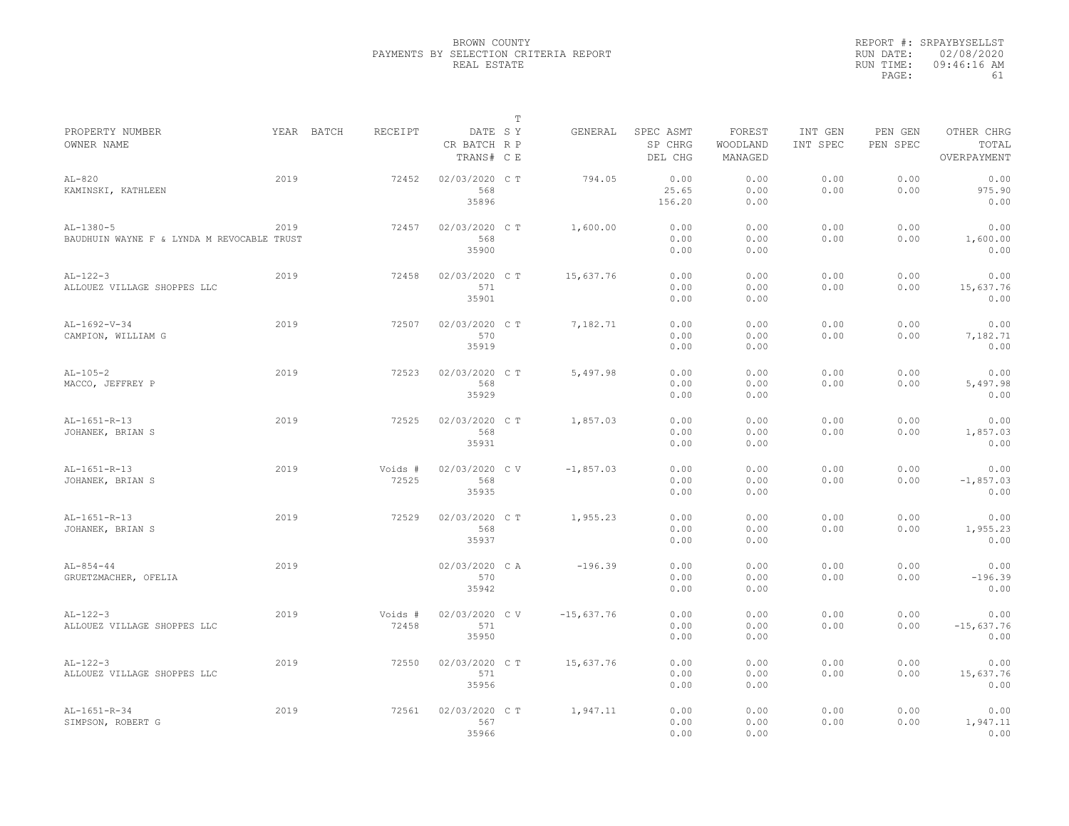| YEAR BATCH<br>RECEIPT<br>DATE SY<br>SPEC ASMT<br>FOREST<br>INT GEN<br>OTHER CHRG<br>GENERAL<br>PEN GEN<br>SP CHRG<br>WOODLAND<br>PEN SPEC<br>TOTAL<br>CR BATCH R P<br>INT SPEC<br>MANAGED<br>TRANS# C E<br>DEL CHG<br>OVERPAYMENT<br>2019<br>02/03/2020 C T<br>0.00<br>0.00<br>0.00<br>0.00<br>72452<br>794.05<br>0.00<br>KAMINSKI, KATHLEEN<br>568<br>25.65<br>0.00<br>0.00<br>975.90<br>0.00<br>35896<br>156.20<br>0.00<br>0.00<br>0.00<br>2019<br>02/03/2020 C T<br>1,600.00<br>0.00<br>0.00<br>0.00<br>0.00<br>72457<br>568<br>0.00<br>0.00<br>0.00<br>0.00<br>1,600.00<br>BAUDHUIN WAYNE F & LYNDA M REVOCABLE TRUST<br>35900<br>0.00<br>0.00<br>0.00<br>2019<br>15,637.76<br>0.00<br>0.00<br>0.00<br>0.00<br>0.00<br>72458<br>02/03/2020 C T<br>571<br>0.00<br>0.00<br>0.00<br>0.00<br>15,637.76<br>35901<br>0.00<br>0.00<br>0.00<br>2019<br>02/03/2020 C T<br>0.00<br>0.00<br>0.00<br>0.00<br>0.00<br>72507<br>7,182.71<br>570<br>0.00<br>0.00<br>0.00<br>0.00<br>7,182.71<br>35919<br>0.00<br>0.00<br>0.00<br>2019<br>0.00<br>0.00<br>0.00<br>72523<br>02/03/2020 CT<br>5,497.98<br>0.00<br>0.00<br>568<br>0.00<br>0.00<br>0.00<br>0.00<br>5,497.98<br>35929<br>0.00<br>0.00<br>0.00<br>2019<br>1,857.03<br>0.00<br>0.00<br>0.00<br>72525<br>02/03/2020 C T<br>0.00<br>0.00<br>568<br>0.00<br>0.00<br>0.00<br>0.00<br>1,857.03<br>35931<br>0.00<br>0.00<br>0.00<br>2019<br>0.00<br>0.00<br>0.00<br>Voids #<br>02/03/2020 CV<br>$-1,857.03$<br>0.00<br>0.00<br>568<br>72525<br>0.00<br>0.00<br>0.00<br>0.00<br>$-1,857.03$<br>35935<br>0.00<br>0.00<br>0.00<br>02/03/2020 CT<br>0.00<br>0.00<br>2019<br>72529<br>1,955.23<br>0.00<br>0.00<br>0.00<br>568<br>0.00<br>0.00<br>0.00<br>1,955.23<br>0.00<br>35937<br>0.00<br>0.00<br>0.00<br>2019<br>02/03/2020 CA<br>0.00<br>0.00<br>0.00<br>0.00<br>0.00<br>$-196.39$<br>570<br>0.00<br>0.00<br>0.00<br>0.00<br>$-196.39$<br>35942<br>0.00<br>0.00<br>0.00<br>2019<br>Voids #<br>02/03/2020 CV<br>$-15,637.76$<br>0.00<br>0.00<br>0.00<br>0.00<br>0.00<br>72458<br>571<br>0.00<br>0.00<br>0.00<br>0.00<br>$-15,637.76$<br>35950<br>0.00<br>0.00<br>0.00<br>2019<br>02/03/2020 C T<br>15,637.76<br>0.00<br>0.00<br>0.00<br>0.00<br>0.00<br>72550<br>571<br>0.00<br>0.00<br>0.00<br>15,637.76<br>0.00<br>35956<br>0.00<br>0.00<br>0.00<br>2019<br>72561<br>02/03/2020 C T<br>1,947.11<br>0.00<br>0.00<br>0.00<br>0.00<br>0.00<br>567<br>0.00<br>0.00<br>0.00<br>0.00<br>1,947.11<br>35966<br>0.00<br>0.00<br>0.00 |                               |  | $\mathbb T$ |  |  |  |
|----------------------------------------------------------------------------------------------------------------------------------------------------------------------------------------------------------------------------------------------------------------------------------------------------------------------------------------------------------------------------------------------------------------------------------------------------------------------------------------------------------------------------------------------------------------------------------------------------------------------------------------------------------------------------------------------------------------------------------------------------------------------------------------------------------------------------------------------------------------------------------------------------------------------------------------------------------------------------------------------------------------------------------------------------------------------------------------------------------------------------------------------------------------------------------------------------------------------------------------------------------------------------------------------------------------------------------------------------------------------------------------------------------------------------------------------------------------------------------------------------------------------------------------------------------------------------------------------------------------------------------------------------------------------------------------------------------------------------------------------------------------------------------------------------------------------------------------------------------------------------------------------------------------------------------------------------------------------------------------------------------------------------------------------------------------------------------------------------------------------------------------------------------------------------------------------------------------------------------------------------------------------------------------------------------------------------------------------------------------------------------------------------------------------------------------------------------------------|-------------------------------|--|-------------|--|--|--|
|                                                                                                                                                                                                                                                                                                                                                                                                                                                                                                                                                                                                                                                                                                                                                                                                                                                                                                                                                                                                                                                                                                                                                                                                                                                                                                                                                                                                                                                                                                                                                                                                                                                                                                                                                                                                                                                                                                                                                                                                                                                                                                                                                                                                                                                                                                                                                                                                                                                                      | PROPERTY NUMBER<br>OWNER NAME |  |             |  |  |  |
|                                                                                                                                                                                                                                                                                                                                                                                                                                                                                                                                                                                                                                                                                                                                                                                                                                                                                                                                                                                                                                                                                                                                                                                                                                                                                                                                                                                                                                                                                                                                                                                                                                                                                                                                                                                                                                                                                                                                                                                                                                                                                                                                                                                                                                                                                                                                                                                                                                                                      |                               |  |             |  |  |  |
|                                                                                                                                                                                                                                                                                                                                                                                                                                                                                                                                                                                                                                                                                                                                                                                                                                                                                                                                                                                                                                                                                                                                                                                                                                                                                                                                                                                                                                                                                                                                                                                                                                                                                                                                                                                                                                                                                                                                                                                                                                                                                                                                                                                                                                                                                                                                                                                                                                                                      | $AL-820$                      |  |             |  |  |  |
|                                                                                                                                                                                                                                                                                                                                                                                                                                                                                                                                                                                                                                                                                                                                                                                                                                                                                                                                                                                                                                                                                                                                                                                                                                                                                                                                                                                                                                                                                                                                                                                                                                                                                                                                                                                                                                                                                                                                                                                                                                                                                                                                                                                                                                                                                                                                                                                                                                                                      |                               |  |             |  |  |  |
|                                                                                                                                                                                                                                                                                                                                                                                                                                                                                                                                                                                                                                                                                                                                                                                                                                                                                                                                                                                                                                                                                                                                                                                                                                                                                                                                                                                                                                                                                                                                                                                                                                                                                                                                                                                                                                                                                                                                                                                                                                                                                                                                                                                                                                                                                                                                                                                                                                                                      |                               |  |             |  |  |  |
|                                                                                                                                                                                                                                                                                                                                                                                                                                                                                                                                                                                                                                                                                                                                                                                                                                                                                                                                                                                                                                                                                                                                                                                                                                                                                                                                                                                                                                                                                                                                                                                                                                                                                                                                                                                                                                                                                                                                                                                                                                                                                                                                                                                                                                                                                                                                                                                                                                                                      | $AL-1380-5$                   |  |             |  |  |  |
|                                                                                                                                                                                                                                                                                                                                                                                                                                                                                                                                                                                                                                                                                                                                                                                                                                                                                                                                                                                                                                                                                                                                                                                                                                                                                                                                                                                                                                                                                                                                                                                                                                                                                                                                                                                                                                                                                                                                                                                                                                                                                                                                                                                                                                                                                                                                                                                                                                                                      |                               |  |             |  |  |  |
|                                                                                                                                                                                                                                                                                                                                                                                                                                                                                                                                                                                                                                                                                                                                                                                                                                                                                                                                                                                                                                                                                                                                                                                                                                                                                                                                                                                                                                                                                                                                                                                                                                                                                                                                                                                                                                                                                                                                                                                                                                                                                                                                                                                                                                                                                                                                                                                                                                                                      |                               |  |             |  |  |  |
|                                                                                                                                                                                                                                                                                                                                                                                                                                                                                                                                                                                                                                                                                                                                                                                                                                                                                                                                                                                                                                                                                                                                                                                                                                                                                                                                                                                                                                                                                                                                                                                                                                                                                                                                                                                                                                                                                                                                                                                                                                                                                                                                                                                                                                                                                                                                                                                                                                                                      | $AL-122-3$                    |  |             |  |  |  |
|                                                                                                                                                                                                                                                                                                                                                                                                                                                                                                                                                                                                                                                                                                                                                                                                                                                                                                                                                                                                                                                                                                                                                                                                                                                                                                                                                                                                                                                                                                                                                                                                                                                                                                                                                                                                                                                                                                                                                                                                                                                                                                                                                                                                                                                                                                                                                                                                                                                                      | ALLOUEZ VILLAGE SHOPPES LLC   |  |             |  |  |  |
|                                                                                                                                                                                                                                                                                                                                                                                                                                                                                                                                                                                                                                                                                                                                                                                                                                                                                                                                                                                                                                                                                                                                                                                                                                                                                                                                                                                                                                                                                                                                                                                                                                                                                                                                                                                                                                                                                                                                                                                                                                                                                                                                                                                                                                                                                                                                                                                                                                                                      |                               |  |             |  |  |  |
|                                                                                                                                                                                                                                                                                                                                                                                                                                                                                                                                                                                                                                                                                                                                                                                                                                                                                                                                                                                                                                                                                                                                                                                                                                                                                                                                                                                                                                                                                                                                                                                                                                                                                                                                                                                                                                                                                                                                                                                                                                                                                                                                                                                                                                                                                                                                                                                                                                                                      | AL-1692-V-34                  |  |             |  |  |  |
|                                                                                                                                                                                                                                                                                                                                                                                                                                                                                                                                                                                                                                                                                                                                                                                                                                                                                                                                                                                                                                                                                                                                                                                                                                                                                                                                                                                                                                                                                                                                                                                                                                                                                                                                                                                                                                                                                                                                                                                                                                                                                                                                                                                                                                                                                                                                                                                                                                                                      | CAMPION, WILLIAM G            |  |             |  |  |  |
|                                                                                                                                                                                                                                                                                                                                                                                                                                                                                                                                                                                                                                                                                                                                                                                                                                                                                                                                                                                                                                                                                                                                                                                                                                                                                                                                                                                                                                                                                                                                                                                                                                                                                                                                                                                                                                                                                                                                                                                                                                                                                                                                                                                                                                                                                                                                                                                                                                                                      |                               |  |             |  |  |  |
|                                                                                                                                                                                                                                                                                                                                                                                                                                                                                                                                                                                                                                                                                                                                                                                                                                                                                                                                                                                                                                                                                                                                                                                                                                                                                                                                                                                                                                                                                                                                                                                                                                                                                                                                                                                                                                                                                                                                                                                                                                                                                                                                                                                                                                                                                                                                                                                                                                                                      | $AL-105-2$                    |  |             |  |  |  |
|                                                                                                                                                                                                                                                                                                                                                                                                                                                                                                                                                                                                                                                                                                                                                                                                                                                                                                                                                                                                                                                                                                                                                                                                                                                                                                                                                                                                                                                                                                                                                                                                                                                                                                                                                                                                                                                                                                                                                                                                                                                                                                                                                                                                                                                                                                                                                                                                                                                                      | MACCO, JEFFREY P              |  |             |  |  |  |
|                                                                                                                                                                                                                                                                                                                                                                                                                                                                                                                                                                                                                                                                                                                                                                                                                                                                                                                                                                                                                                                                                                                                                                                                                                                                                                                                                                                                                                                                                                                                                                                                                                                                                                                                                                                                                                                                                                                                                                                                                                                                                                                                                                                                                                                                                                                                                                                                                                                                      |                               |  |             |  |  |  |
|                                                                                                                                                                                                                                                                                                                                                                                                                                                                                                                                                                                                                                                                                                                                                                                                                                                                                                                                                                                                                                                                                                                                                                                                                                                                                                                                                                                                                                                                                                                                                                                                                                                                                                                                                                                                                                                                                                                                                                                                                                                                                                                                                                                                                                                                                                                                                                                                                                                                      | AL-1651-R-13                  |  |             |  |  |  |
|                                                                                                                                                                                                                                                                                                                                                                                                                                                                                                                                                                                                                                                                                                                                                                                                                                                                                                                                                                                                                                                                                                                                                                                                                                                                                                                                                                                                                                                                                                                                                                                                                                                                                                                                                                                                                                                                                                                                                                                                                                                                                                                                                                                                                                                                                                                                                                                                                                                                      | JOHANEK, BRIAN S              |  |             |  |  |  |
|                                                                                                                                                                                                                                                                                                                                                                                                                                                                                                                                                                                                                                                                                                                                                                                                                                                                                                                                                                                                                                                                                                                                                                                                                                                                                                                                                                                                                                                                                                                                                                                                                                                                                                                                                                                                                                                                                                                                                                                                                                                                                                                                                                                                                                                                                                                                                                                                                                                                      |                               |  |             |  |  |  |
|                                                                                                                                                                                                                                                                                                                                                                                                                                                                                                                                                                                                                                                                                                                                                                                                                                                                                                                                                                                                                                                                                                                                                                                                                                                                                                                                                                                                                                                                                                                                                                                                                                                                                                                                                                                                                                                                                                                                                                                                                                                                                                                                                                                                                                                                                                                                                                                                                                                                      | $AL-1651-R-13$                |  |             |  |  |  |
|                                                                                                                                                                                                                                                                                                                                                                                                                                                                                                                                                                                                                                                                                                                                                                                                                                                                                                                                                                                                                                                                                                                                                                                                                                                                                                                                                                                                                                                                                                                                                                                                                                                                                                                                                                                                                                                                                                                                                                                                                                                                                                                                                                                                                                                                                                                                                                                                                                                                      | JOHANEK, BRIAN S              |  |             |  |  |  |
|                                                                                                                                                                                                                                                                                                                                                                                                                                                                                                                                                                                                                                                                                                                                                                                                                                                                                                                                                                                                                                                                                                                                                                                                                                                                                                                                                                                                                                                                                                                                                                                                                                                                                                                                                                                                                                                                                                                                                                                                                                                                                                                                                                                                                                                                                                                                                                                                                                                                      |                               |  |             |  |  |  |
|                                                                                                                                                                                                                                                                                                                                                                                                                                                                                                                                                                                                                                                                                                                                                                                                                                                                                                                                                                                                                                                                                                                                                                                                                                                                                                                                                                                                                                                                                                                                                                                                                                                                                                                                                                                                                                                                                                                                                                                                                                                                                                                                                                                                                                                                                                                                                                                                                                                                      | AL-1651-R-13                  |  |             |  |  |  |
|                                                                                                                                                                                                                                                                                                                                                                                                                                                                                                                                                                                                                                                                                                                                                                                                                                                                                                                                                                                                                                                                                                                                                                                                                                                                                                                                                                                                                                                                                                                                                                                                                                                                                                                                                                                                                                                                                                                                                                                                                                                                                                                                                                                                                                                                                                                                                                                                                                                                      | JOHANEK, BRIAN S              |  |             |  |  |  |
|                                                                                                                                                                                                                                                                                                                                                                                                                                                                                                                                                                                                                                                                                                                                                                                                                                                                                                                                                                                                                                                                                                                                                                                                                                                                                                                                                                                                                                                                                                                                                                                                                                                                                                                                                                                                                                                                                                                                                                                                                                                                                                                                                                                                                                                                                                                                                                                                                                                                      |                               |  |             |  |  |  |
|                                                                                                                                                                                                                                                                                                                                                                                                                                                                                                                                                                                                                                                                                                                                                                                                                                                                                                                                                                                                                                                                                                                                                                                                                                                                                                                                                                                                                                                                                                                                                                                                                                                                                                                                                                                                                                                                                                                                                                                                                                                                                                                                                                                                                                                                                                                                                                                                                                                                      | $AL-854-44$                   |  |             |  |  |  |
|                                                                                                                                                                                                                                                                                                                                                                                                                                                                                                                                                                                                                                                                                                                                                                                                                                                                                                                                                                                                                                                                                                                                                                                                                                                                                                                                                                                                                                                                                                                                                                                                                                                                                                                                                                                                                                                                                                                                                                                                                                                                                                                                                                                                                                                                                                                                                                                                                                                                      | GRUETZMACHER, OFELIA          |  |             |  |  |  |
|                                                                                                                                                                                                                                                                                                                                                                                                                                                                                                                                                                                                                                                                                                                                                                                                                                                                                                                                                                                                                                                                                                                                                                                                                                                                                                                                                                                                                                                                                                                                                                                                                                                                                                                                                                                                                                                                                                                                                                                                                                                                                                                                                                                                                                                                                                                                                                                                                                                                      |                               |  |             |  |  |  |
|                                                                                                                                                                                                                                                                                                                                                                                                                                                                                                                                                                                                                                                                                                                                                                                                                                                                                                                                                                                                                                                                                                                                                                                                                                                                                                                                                                                                                                                                                                                                                                                                                                                                                                                                                                                                                                                                                                                                                                                                                                                                                                                                                                                                                                                                                                                                                                                                                                                                      | $AL-122-3$                    |  |             |  |  |  |
|                                                                                                                                                                                                                                                                                                                                                                                                                                                                                                                                                                                                                                                                                                                                                                                                                                                                                                                                                                                                                                                                                                                                                                                                                                                                                                                                                                                                                                                                                                                                                                                                                                                                                                                                                                                                                                                                                                                                                                                                                                                                                                                                                                                                                                                                                                                                                                                                                                                                      | ALLOUEZ VILLAGE SHOPPES LLC   |  |             |  |  |  |
|                                                                                                                                                                                                                                                                                                                                                                                                                                                                                                                                                                                                                                                                                                                                                                                                                                                                                                                                                                                                                                                                                                                                                                                                                                                                                                                                                                                                                                                                                                                                                                                                                                                                                                                                                                                                                                                                                                                                                                                                                                                                                                                                                                                                                                                                                                                                                                                                                                                                      |                               |  |             |  |  |  |
|                                                                                                                                                                                                                                                                                                                                                                                                                                                                                                                                                                                                                                                                                                                                                                                                                                                                                                                                                                                                                                                                                                                                                                                                                                                                                                                                                                                                                                                                                                                                                                                                                                                                                                                                                                                                                                                                                                                                                                                                                                                                                                                                                                                                                                                                                                                                                                                                                                                                      | $AL-122-3$                    |  |             |  |  |  |
|                                                                                                                                                                                                                                                                                                                                                                                                                                                                                                                                                                                                                                                                                                                                                                                                                                                                                                                                                                                                                                                                                                                                                                                                                                                                                                                                                                                                                                                                                                                                                                                                                                                                                                                                                                                                                                                                                                                                                                                                                                                                                                                                                                                                                                                                                                                                                                                                                                                                      | ALLOUEZ VILLAGE SHOPPES LLC   |  |             |  |  |  |
|                                                                                                                                                                                                                                                                                                                                                                                                                                                                                                                                                                                                                                                                                                                                                                                                                                                                                                                                                                                                                                                                                                                                                                                                                                                                                                                                                                                                                                                                                                                                                                                                                                                                                                                                                                                                                                                                                                                                                                                                                                                                                                                                                                                                                                                                                                                                                                                                                                                                      |                               |  |             |  |  |  |
|                                                                                                                                                                                                                                                                                                                                                                                                                                                                                                                                                                                                                                                                                                                                                                                                                                                                                                                                                                                                                                                                                                                                                                                                                                                                                                                                                                                                                                                                                                                                                                                                                                                                                                                                                                                                                                                                                                                                                                                                                                                                                                                                                                                                                                                                                                                                                                                                                                                                      | $AL-1651-R-34$                |  |             |  |  |  |
|                                                                                                                                                                                                                                                                                                                                                                                                                                                                                                                                                                                                                                                                                                                                                                                                                                                                                                                                                                                                                                                                                                                                                                                                                                                                                                                                                                                                                                                                                                                                                                                                                                                                                                                                                                                                                                                                                                                                                                                                                                                                                                                                                                                                                                                                                                                                                                                                                                                                      | SIMPSON, ROBERT G             |  |             |  |  |  |
|                                                                                                                                                                                                                                                                                                                                                                                                                                                                                                                                                                                                                                                                                                                                                                                                                                                                                                                                                                                                                                                                                                                                                                                                                                                                                                                                                                                                                                                                                                                                                                                                                                                                                                                                                                                                                                                                                                                                                                                                                                                                                                                                                                                                                                                                                                                                                                                                                                                                      |                               |  |             |  |  |  |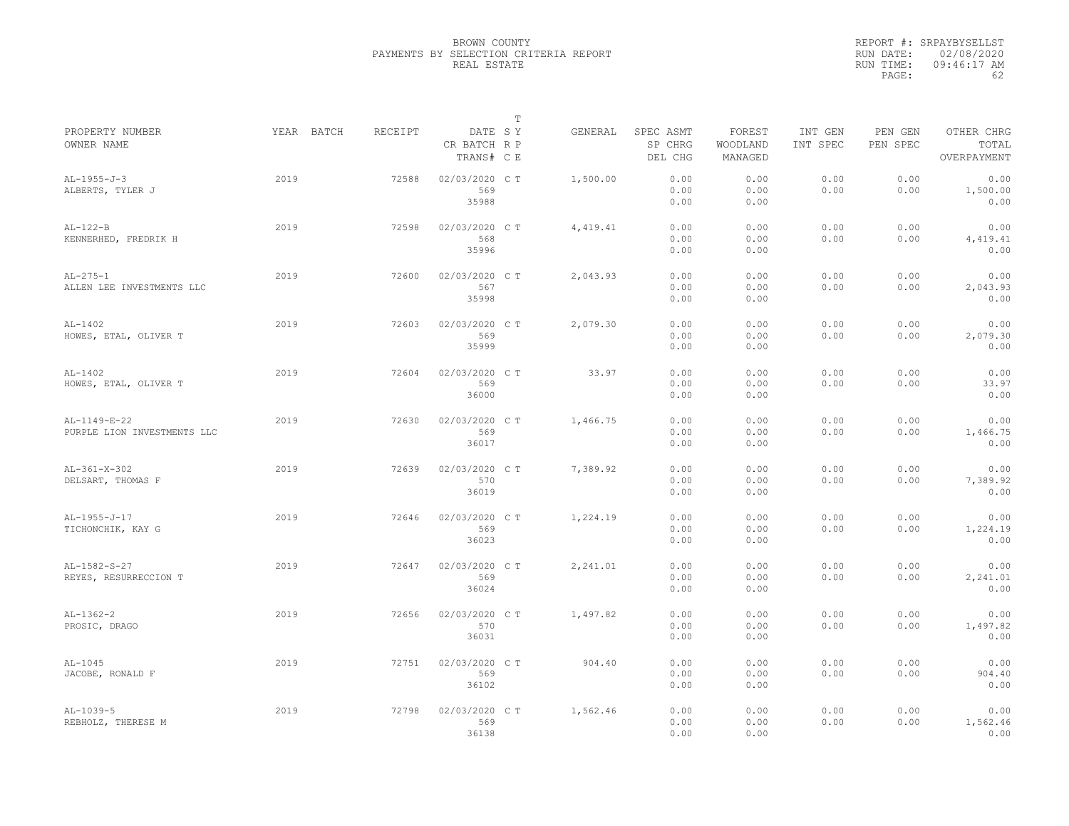|                                             |            |         |                                       | $\mathbb T$ |          |                                 |                               |                     |                     |                                    |
|---------------------------------------------|------------|---------|---------------------------------------|-------------|----------|---------------------------------|-------------------------------|---------------------|---------------------|------------------------------------|
| PROPERTY NUMBER<br>OWNER NAME               | YEAR BATCH | RECEIPT | DATE SY<br>CR BATCH R P<br>TRANS# C E |             | GENERAL  | SPEC ASMT<br>SP CHRG<br>DEL CHG | FOREST<br>WOODLAND<br>MANAGED | INT GEN<br>INT SPEC | PEN GEN<br>PEN SPEC | OTHER CHRG<br>TOTAL<br>OVERPAYMENT |
| $AL-1955-J-3$<br>ALBERTS, TYLER J           | 2019       | 72588   | 02/03/2020 CT<br>569<br>35988         |             | 1,500.00 | 0.00<br>0.00<br>0.00            | 0.00<br>0.00<br>0.00          | 0.00<br>0.00        | 0.00<br>0.00        | 0.00<br>1,500.00<br>0.00           |
| $AL-122-B$<br>KENNERHED, FREDRIK H          | 2019       | 72598   | 02/03/2020 C T<br>568<br>35996        |             | 4,419.41 | 0.00<br>0.00<br>0.00            | 0.00<br>0.00<br>0.00          | 0.00<br>0.00        | 0.00<br>0.00        | 0.00<br>4,419.41<br>0.00           |
| $AL-275-1$<br>ALLEN LEE INVESTMENTS LLC     | 2019       | 72600   | 02/03/2020 C T<br>567<br>35998        |             | 2,043.93 | 0.00<br>0.00<br>0.00            | 0.00<br>0.00<br>0.00          | 0.00<br>0.00        | 0.00<br>0.00        | 0.00<br>2,043.93<br>0.00           |
| $AL-1402$<br>HOWES, ETAL, OLIVER T          | 2019       | 72603   | 02/03/2020 C T<br>569<br>35999        |             | 2,079.30 | 0.00<br>0.00<br>0.00            | 0.00<br>0.00<br>0.00          | 0.00<br>0.00        | 0.00<br>0.00        | 0.00<br>2,079.30<br>0.00           |
| $AL-1402$<br>HOWES, ETAL, OLIVER T          | 2019       | 72604   | 02/03/2020 C T<br>569<br>36000        |             | 33.97    | 0.00<br>0.00<br>0.00            | 0.00<br>0.00<br>0.00          | 0.00<br>0.00        | 0.00<br>0.00        | 0.00<br>33.97<br>0.00              |
| AL-1149-E-22<br>PURPLE LION INVESTMENTS LLC | 2019       | 72630   | 02/03/2020 C T<br>569<br>36017        |             | 1,466.75 | 0.00<br>0.00<br>0.00            | 0.00<br>0.00<br>0.00          | 0.00<br>0.00        | 0.00<br>0.00        | 0.00<br>1,466.75<br>0.00           |
| AL-361-X-302<br>DELSART, THOMAS F           | 2019       | 72639   | 02/03/2020 C T<br>570<br>36019        |             | 7,389.92 | 0.00<br>0.00<br>0.00            | 0.00<br>0.00<br>0.00          | 0.00<br>0.00        | 0.00<br>0.00        | 0.00<br>7,389.92<br>0.00           |
| $AL-1955-J-17$<br>TICHONCHIK, KAY G         | 2019       | 72646   | 02/03/2020 C T<br>569<br>36023        |             | 1,224.19 | 0.00<br>0.00<br>0.00            | 0.00<br>0.00<br>0.00          | 0.00<br>0.00        | 0.00<br>0.00        | 0.00<br>1,224.19<br>0.00           |
| $AL-1582-S-27$<br>REYES, RESURRECCION T     | 2019       | 72647   | 02/03/2020 C T<br>569<br>36024        |             | 2,241.01 | 0.00<br>0.00<br>0.00            | 0.00<br>0.00<br>0.00          | 0.00<br>0.00        | 0.00<br>0.00        | 0.00<br>2,241.01<br>0.00           |
| $AL-1362-2$<br>PROSIC, DRAGO                | 2019       | 72656   | 02/03/2020 C T<br>570<br>36031        |             | 1,497.82 | 0.00<br>0.00<br>0.00            | 0.00<br>0.00<br>0.00          | 0.00<br>0.00        | 0.00<br>0.00        | 0.00<br>1,497.82<br>0.00           |
| $AL-1045$<br>JACOBE, RONALD F               | 2019       | 72751   | 02/03/2020 C T<br>569<br>36102        |             | 904.40   | 0.00<br>0.00<br>0.00            | 0.00<br>0.00<br>0.00          | 0.00<br>0.00        | 0.00<br>0.00        | 0.00<br>904.40<br>0.00             |
| $AL-1039-5$<br>REBHOLZ, THERESE M           | 2019       | 72798   | 02/03/2020 C T<br>569<br>36138        |             | 1,562.46 | 0.00<br>0.00<br>0.00            | 0.00<br>0.00<br>0.00          | 0.00<br>0.00        | 0.00<br>0.00        | 0.00<br>1,562.46<br>0.00           |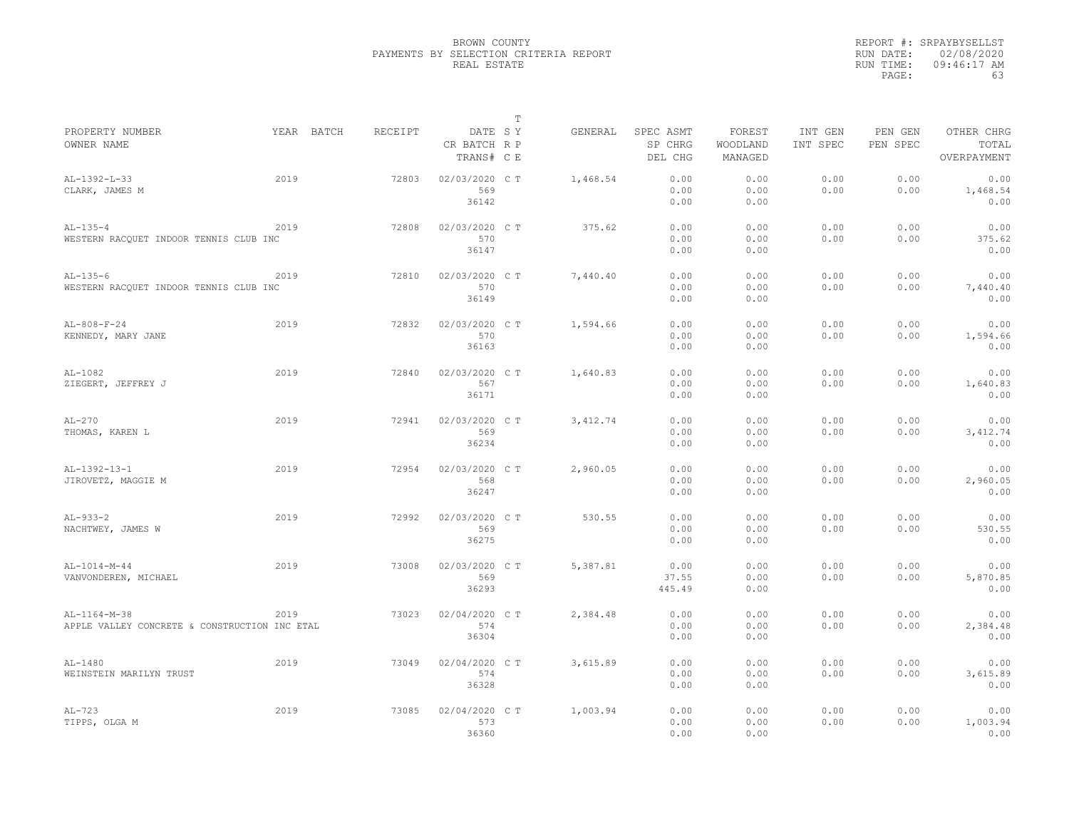|                                               |            |         |                                       | $\mathbb T$ |           |                                 |                               |                     |                     |                                    |
|-----------------------------------------------|------------|---------|---------------------------------------|-------------|-----------|---------------------------------|-------------------------------|---------------------|---------------------|------------------------------------|
| PROPERTY NUMBER<br>OWNER NAME                 | YEAR BATCH | RECEIPT | DATE SY<br>CR BATCH R P<br>TRANS# C E |             | GENERAL   | SPEC ASMT<br>SP CHRG<br>DEL CHG | FOREST<br>WOODLAND<br>MANAGED | INT GEN<br>INT SPEC | PEN GEN<br>PEN SPEC | OTHER CHRG<br>TOTAL<br>OVERPAYMENT |
| $AL-1392-L-33$                                | 2019       | 72803   | 02/03/2020 CT                         |             | 1,468.54  | 0.00                            | 0.00                          | 0.00                | 0.00                | 0.00                               |
| CLARK, JAMES M                                |            |         | 569                                   |             |           | 0.00                            | 0.00                          | 0.00                | 0.00                | 1,468.54                           |
|                                               |            |         | 36142                                 |             |           | 0.00                            | 0.00                          |                     |                     | 0.00                               |
| $AL-135-4$                                    | 2019       | 72808   | 02/03/2020 C T                        |             | 375.62    | 0.00                            | 0.00                          | 0.00                | 0.00                | 0.00                               |
| WESTERN RACQUET INDOOR TENNIS CLUB INC        |            |         | 570                                   |             |           | 0.00                            | 0.00                          | 0.00                | 0.00                | 375.62                             |
|                                               |            |         | 36147                                 |             |           | 0.00                            | 0.00                          |                     |                     | 0.00                               |
| $AL-135-6$                                    | 2019       | 72810   | 02/03/2020 C T                        |             | 7,440.40  | 0.00                            | 0.00                          | 0.00                | 0.00                | 0.00                               |
| WESTERN RACQUET INDOOR TENNIS CLUB INC        |            |         | 570                                   |             |           | 0.00                            | 0.00                          | 0.00                | 0.00                | 7,440.40                           |
|                                               |            |         | 36149                                 |             |           | 0.00                            | 0.00                          |                     |                     | 0.00                               |
| $AL-808-F-24$                                 | 2019       | 72832   | 02/03/2020 C T                        |             | 1,594.66  | 0.00                            | 0.00                          | 0.00                | 0.00                | 0.00                               |
| KENNEDY, MARY JANE                            |            |         | 570                                   |             |           | 0.00                            | 0.00                          | 0.00                | 0.00                | 1,594.66                           |
|                                               |            |         | 36163                                 |             |           | 0.00                            | 0.00                          |                     |                     | 0.00                               |
| AL-1082                                       | 2019       | 72840   | 02/03/2020 C T                        |             | 1,640.83  | 0.00                            | 0.00                          | 0.00                | 0.00                | 0.00                               |
| ZIEGERT, JEFFREY J                            |            |         | 567                                   |             |           | 0.00                            | 0.00                          | 0.00                | 0.00                | 1,640.83                           |
|                                               |            |         | 36171                                 |             |           | 0.00                            | 0.00                          |                     |                     | 0.00                               |
| $AL-270$                                      | 2019       | 72941   | 02/03/2020 CT                         |             | 3, 412.74 | 0.00                            | 0.00                          | 0.00                | 0.00                | 0.00                               |
| THOMAS, KAREN L                               |            |         | 569                                   |             |           | 0.00                            | 0.00                          | 0.00                | 0.00                | 3, 412.74                          |
|                                               |            |         | 36234                                 |             |           | 0.00                            | 0.00                          |                     |                     | 0.00                               |
| AL-1392-13-1                                  | 2019       | 72954   | 02/03/2020 C T                        |             | 2,960.05  | 0.00                            | 0.00                          | 0.00                | 0.00                | 0.00                               |
| JIROVETZ, MAGGIE M                            |            |         | 568                                   |             |           | 0.00                            | 0.00                          | 0.00                | 0.00                | 2,960.05                           |
|                                               |            |         | 36247                                 |             |           | 0.00                            | 0.00                          |                     |                     | 0.00                               |
| $AL-933-2$                                    | 2019       | 72992   | 02/03/2020 C T                        |             | 530.55    | 0.00                            | 0.00                          | 0.00                | 0.00                | 0.00                               |
| NACHTWEY, JAMES W                             |            |         | 569                                   |             |           | 0.00                            | 0.00                          | 0.00                | 0.00                | 530.55                             |
|                                               |            |         | 36275                                 |             |           | 0.00                            | 0.00                          |                     |                     | 0.00                               |
| $AL-1014-M-44$                                | 2019       | 73008   | 02/03/2020 CT                         |             | 5,387.81  | 0.00                            | 0.00                          | 0.00                | 0.00                | 0.00                               |
| VANVONDEREN, MICHAEL                          |            |         | 569                                   |             |           | 37.55                           | 0.00                          | 0.00                | 0.00                | 5,870.85                           |
|                                               |            |         | 36293                                 |             |           | 445.49                          | 0.00                          |                     |                     | 0.00                               |
| AL-1164-M-38                                  | 2019       | 73023   | 02/04/2020 C T                        |             | 2,384.48  | 0.00                            | 0.00                          | 0.00                | 0.00                | 0.00                               |
| APPLE VALLEY CONCRETE & CONSTRUCTION INC ETAL |            |         | 574                                   |             |           | 0.00                            | 0.00                          | 0.00                | 0.00                | 2,384.48                           |
|                                               |            |         | 36304                                 |             |           | 0.00                            | 0.00                          |                     |                     | 0.00                               |
| $AL-1480$                                     | 2019       | 73049   | 02/04/2020 C T                        |             | 3,615.89  | 0.00                            | 0.00                          | 0.00                | 0.00                | 0.00                               |
| WEINSTEIN MARILYN TRUST                       |            |         | 574                                   |             |           | 0.00                            | 0.00                          | 0.00                | 0.00                | 3,615.89                           |
|                                               |            |         | 36328                                 |             |           | 0.00                            | 0.00                          |                     |                     | 0.00                               |
| $AL-723$                                      | 2019       | 73085   | 02/04/2020 C T                        |             | 1,003.94  | 0.00                            | 0.00                          | 0.00                | 0.00                | 0.00                               |
| TIPPS, OLGA M                                 |            |         | 573                                   |             |           | 0.00                            | 0.00                          | 0.00                | 0.00                | 1,003.94                           |
|                                               |            |         | 36360                                 |             |           | 0.00                            | 0.00                          |                     |                     | 0.00                               |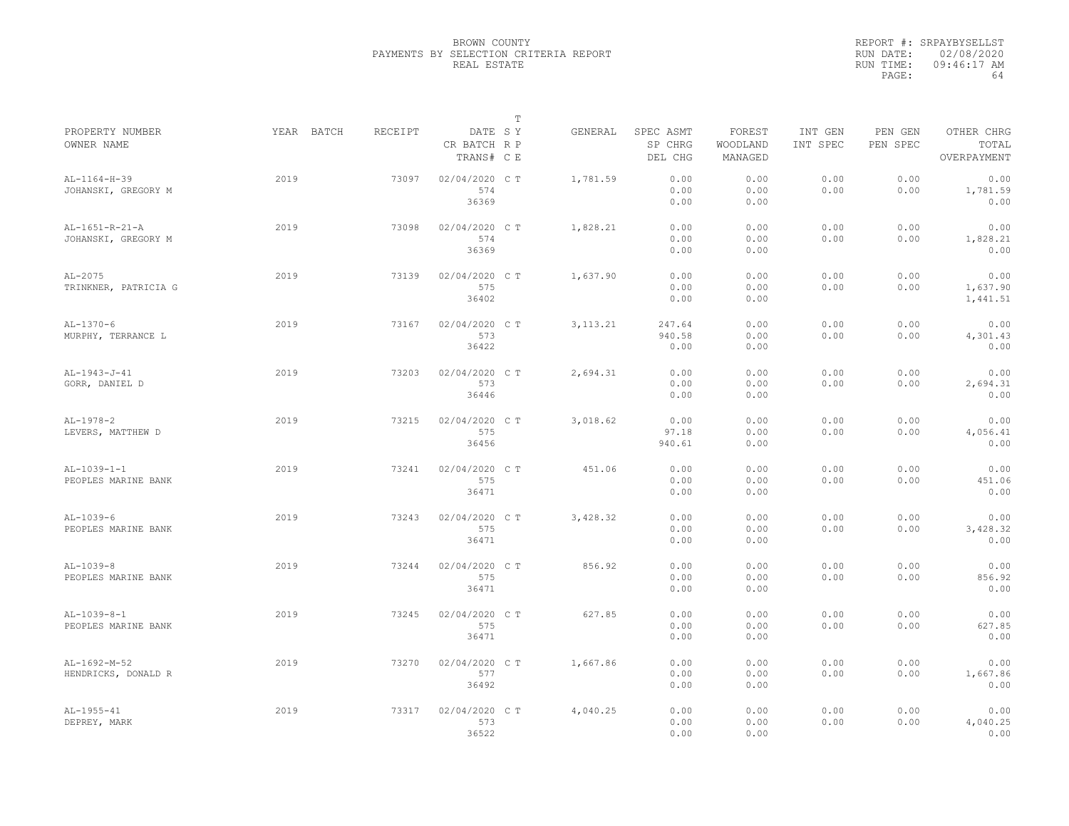|                                       |            |         |                                       | $\mathbb T$ |            |                                 |                               |                     |                     |                                    |
|---------------------------------------|------------|---------|---------------------------------------|-------------|------------|---------------------------------|-------------------------------|---------------------|---------------------|------------------------------------|
| PROPERTY NUMBER<br>OWNER NAME         | YEAR BATCH | RECEIPT | DATE SY<br>CR BATCH R P<br>TRANS# C E |             | GENERAL    | SPEC ASMT<br>SP CHRG<br>DEL CHG | FOREST<br>WOODLAND<br>MANAGED | INT GEN<br>INT SPEC | PEN GEN<br>PEN SPEC | OTHER CHRG<br>TOTAL<br>OVERPAYMENT |
| AL-1164-H-39<br>JOHANSKI, GREGORY M   | 2019       | 73097   | 02/04/2020 C T<br>574<br>36369        |             | 1,781.59   | 0.00<br>0.00<br>0.00            | 0.00<br>0.00<br>0.00          | 0.00<br>0.00        | 0.00<br>0.00        | 0.00<br>1,781.59<br>0.00           |
| AL-1651-R-21-A<br>JOHANSKI, GREGORY M | 2019       | 73098   | 02/04/2020 C T<br>574<br>36369        |             | 1,828.21   | 0.00<br>0.00<br>0.00            | 0.00<br>0.00<br>0.00          | 0.00<br>0.00        | 0.00<br>0.00        | 0.00<br>1,828.21<br>0.00           |
| $AL-2075$<br>TRINKNER, PATRICIA G     | 2019       | 73139   | 02/04/2020 C T<br>575<br>36402        |             | 1,637.90   | 0.00<br>0.00<br>0.00            | 0.00<br>0.00<br>0.00          | 0.00<br>0.00        | 0.00<br>0.00        | 0.00<br>1,637.90<br>1,441.51       |
| $AL-1370-6$<br>MURPHY, TERRANCE L     | 2019       | 73167   | 02/04/2020 C T<br>573<br>36422        |             | 3, 113. 21 | 247.64<br>940.58<br>0.00        | 0.00<br>0.00<br>0.00          | 0.00<br>0.00        | 0.00<br>0.00        | 0.00<br>4,301.43<br>0.00           |
| AL-1943-J-41<br>GORR, DANIEL D        | 2019       | 73203   | 02/04/2020 C T<br>573<br>36446        |             | 2,694.31   | 0.00<br>0.00<br>0.00            | 0.00<br>0.00<br>0.00          | 0.00<br>0.00        | 0.00<br>0.00        | 0.00<br>2,694.31<br>0.00           |
| $AL-1978-2$<br>LEVERS, MATTHEW D      | 2019       | 73215   | 02/04/2020 C T<br>575<br>36456        |             | 3,018.62   | 0.00<br>97.18<br>940.61         | 0.00<br>0.00<br>0.00          | 0.00<br>0.00        | 0.00<br>0.00        | 0.00<br>4,056.41<br>0.00           |
| $AL-1039-1-1$<br>PEOPLES MARINE BANK  | 2019       | 73241   | 02/04/2020 C T<br>575<br>36471        |             | 451.06     | 0.00<br>0.00<br>0.00            | 0.00<br>0.00<br>0.00          | 0.00<br>0.00        | 0.00<br>0.00        | 0.00<br>451.06<br>0.00             |
| $AL-1039-6$<br>PEOPLES MARINE BANK    | 2019       | 73243   | 02/04/2020 C T<br>575<br>36471        |             | 3,428.32   | 0.00<br>0.00<br>0.00            | 0.00<br>0.00<br>0.00          | 0.00<br>0.00        | 0.00<br>0.00        | 0.00<br>3,428.32<br>0.00           |
| $AL-1039-8$<br>PEOPLES MARINE BANK    | 2019       | 73244   | 02/04/2020 C T<br>575<br>36471        |             | 856.92     | 0.00<br>0.00<br>0.00            | 0.00<br>0.00<br>0.00          | 0.00<br>0.00        | 0.00<br>0.00        | 0.00<br>856.92<br>0.00             |
| $AL-1039-8-1$<br>PEOPLES MARINE BANK  | 2019       | 73245   | 02/04/2020 C T<br>575<br>36471        |             | 627.85     | 0.00<br>0.00<br>0.00            | 0.00<br>0.00<br>0.00          | 0.00<br>0.00        | 0.00<br>0.00        | 0.00<br>627.85<br>0.00             |
| $AL-1692-M-52$<br>HENDRICKS, DONALD R | 2019       | 73270   | 02/04/2020 C T<br>577<br>36492        |             | 1,667.86   | 0.00<br>0.00<br>0.00            | 0.00<br>0.00<br>0.00          | 0.00<br>0.00        | 0.00<br>0.00        | 0.00<br>1,667.86<br>0.00           |
| $AL-1955-41$<br>DEPREY, MARK          | 2019       | 73317   | 02/04/2020 C T<br>573<br>36522        |             | 4,040.25   | 0.00<br>0.00<br>0.00            | 0.00<br>0.00<br>0.00          | 0.00<br>0.00        | 0.00<br>0.00        | 0.00<br>4,040.25<br>0.00           |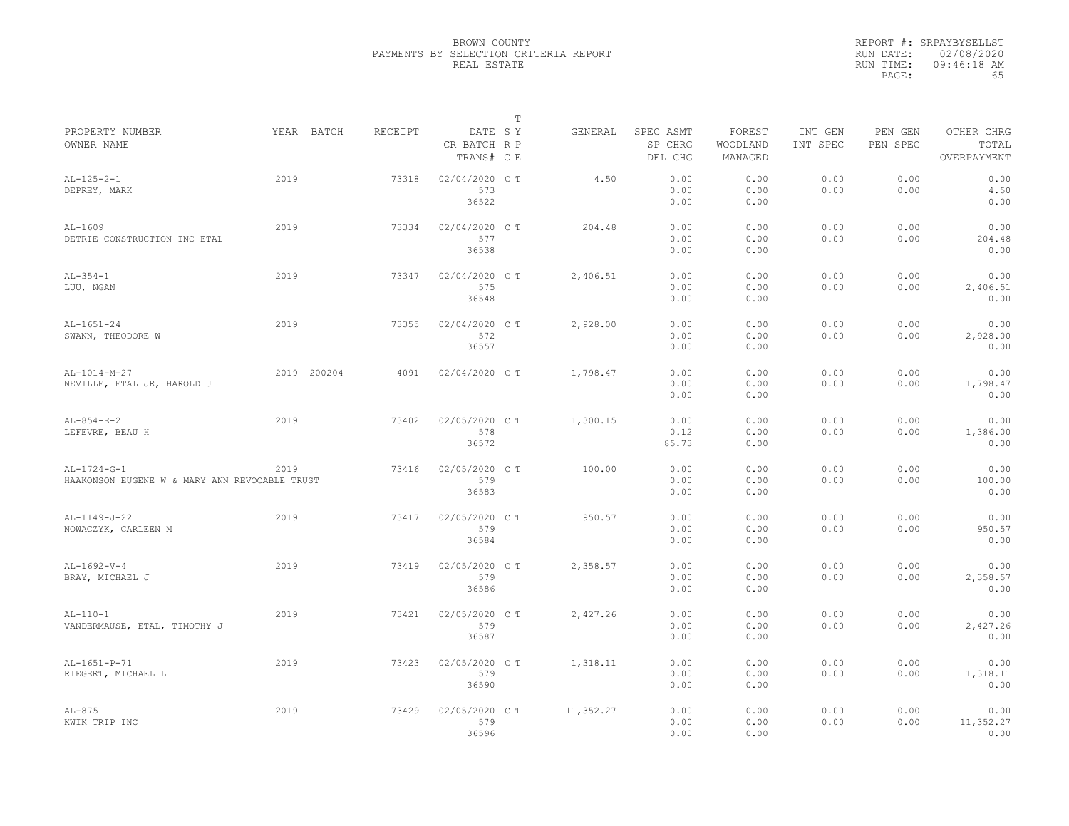|                                               |      |             |         |                                       | T |           |                                 |                               |                     |                     |                                    |
|-----------------------------------------------|------|-------------|---------|---------------------------------------|---|-----------|---------------------------------|-------------------------------|---------------------|---------------------|------------------------------------|
| PROPERTY NUMBER<br>OWNER NAME                 |      | YEAR BATCH  | RECEIPT | DATE SY<br>CR BATCH R P<br>TRANS# C E |   | GENERAL   | SPEC ASMT<br>SP CHRG<br>DEL CHG | FOREST<br>WOODLAND<br>MANAGED | INT GEN<br>INT SPEC | PEN GEN<br>PEN SPEC | OTHER CHRG<br>TOTAL<br>OVERPAYMENT |
|                                               |      |             |         |                                       |   |           |                                 |                               |                     |                     |                                    |
| $AL-125-2-1$                                  | 2019 |             | 73318   | 02/04/2020 C T                        |   | 4.50      | 0.00                            | 0.00                          | 0.00                | 0.00                | 0.00                               |
| DEPREY, MARK                                  |      |             |         | 573                                   |   |           | 0.00                            | 0.00                          | 0.00                | 0.00                | 4.50                               |
|                                               |      |             |         | 36522                                 |   |           | 0.00                            | 0.00                          |                     |                     | 0.00                               |
| $AL-1609$                                     | 2019 |             | 73334   | 02/04/2020 C T                        |   | 204.48    | 0.00                            | 0.00                          | 0.00                | 0.00                | 0.00                               |
| DETRIE CONSTRUCTION INC ETAL                  |      |             |         | 577                                   |   |           | 0.00                            | 0.00                          | 0.00                | 0.00                | 204.48                             |
|                                               |      |             |         | 36538                                 |   |           | 0.00                            | 0.00                          |                     |                     | 0.00                               |
| $AL-354-1$                                    | 2019 |             | 73347   | 02/04/2020 C T                        |   | 2,406.51  | 0.00                            | 0.00                          | 0.00                | 0.00                | 0.00                               |
| LUU, NGAN                                     |      |             |         | 575                                   |   |           | 0.00                            | 0.00                          | 0.00                | 0.00                | 2,406.51                           |
|                                               |      |             |         | 36548                                 |   |           | 0.00                            | 0.00                          |                     |                     | 0.00                               |
| $AL-1651-24$                                  | 2019 |             | 73355   | 02/04/2020 C T                        |   | 2,928.00  | 0.00                            | 0.00                          | 0.00                | 0.00                | 0.00                               |
| SWANN, THEODORE W                             |      |             |         | 572                                   |   |           | 0.00                            | 0.00                          | 0.00                | 0.00                | 2,928.00                           |
|                                               |      |             |         | 36557                                 |   |           | 0.00                            | 0.00                          |                     |                     | 0.00                               |
| AL-1014-M-27                                  |      | 2019 200204 | 4091    | 02/04/2020 C T                        |   | 1,798.47  | 0.00                            | 0.00                          | 0.00                | 0.00                | 0.00                               |
| NEVILLE, ETAL JR, HAROLD J                    |      |             |         |                                       |   |           | 0.00                            | 0.00                          | 0.00                | 0.00                | 1,798.47                           |
|                                               |      |             |         |                                       |   |           | 0.00                            | 0.00                          |                     |                     | 0.00                               |
|                                               |      |             |         |                                       |   |           |                                 |                               |                     |                     |                                    |
| $AL-854-E-2$                                  | 2019 |             | 73402   | 02/05/2020 C T                        |   | 1,300.15  | 0.00                            | 0.00                          | 0.00                | 0.00                | 0.00                               |
| LEFEVRE, BEAU H                               |      |             |         | 578                                   |   |           | 0.12                            | 0.00                          | 0.00                | 0.00                | 1,386.00                           |
|                                               |      |             |         | 36572                                 |   |           | 85.73                           | 0.00                          |                     |                     | 0.00                               |
| $AL-1724-G-1$                                 | 2019 |             | 73416   | 02/05/2020 CT                         |   | 100.00    | 0.00                            | 0.00                          | 0.00                | 0.00                | 0.00                               |
| HAAKONSON EUGENE W & MARY ANN REVOCABLE TRUST |      |             |         | 579                                   |   |           | 0.00                            | 0.00                          | 0.00                | 0.00                | 100.00                             |
|                                               |      |             |         | 36583                                 |   |           | 0.00                            | 0.00                          |                     |                     | 0.00                               |
| AL-1149-J-22                                  | 2019 |             | 73417   | 02/05/2020 CT                         |   | 950.57    | 0.00                            | 0.00                          | 0.00                | 0.00                | 0.00                               |
| NOWACZYK, CARLEEN M                           |      |             |         | 579                                   |   |           | 0.00                            | 0.00                          | 0.00                | 0.00                | 950.57                             |
|                                               |      |             |         | 36584                                 |   |           | 0.00                            | 0.00                          |                     |                     | 0.00                               |
| $AL-1692-V-4$                                 | 2019 |             | 73419   | 02/05/2020 C T                        |   | 2,358.57  | 0.00                            | 0.00                          | 0.00                | 0.00                | 0.00                               |
| BRAY, MICHAEL J                               |      |             |         | 579                                   |   |           | 0.00                            | 0.00                          | 0.00                | 0.00                | 2,358.57                           |
|                                               |      |             |         | 36586                                 |   |           | 0.00                            | 0.00                          |                     |                     | 0.00                               |
| $AL-110-1$                                    | 2019 |             | 73421   | 02/05/2020 C T                        |   | 2,427.26  | 0.00                            | 0.00                          | 0.00                | 0.00                | 0.00                               |
| VANDERMAUSE, ETAL, TIMOTHY J                  |      |             |         | 579                                   |   |           | 0.00                            | 0.00                          | 0.00                | 0.00                | 2,427.26                           |
|                                               |      |             |         | 36587                                 |   |           | 0.00                            | 0.00                          |                     |                     | 0.00                               |
|                                               |      |             |         |                                       |   |           |                                 |                               |                     |                     |                                    |
| AL-1651-P-71                                  | 2019 |             | 73423   | 02/05/2020 CT                         |   | 1,318.11  | 0.00                            | 0.00                          | 0.00                | 0.00                | 0.00                               |
| RIEGERT, MICHAEL L                            |      |             |         | 579                                   |   |           | 0.00                            | 0.00                          | 0.00                | 0.00                | 1,318.11                           |
|                                               |      |             |         | 36590                                 |   |           | 0.00                            | 0.00                          |                     |                     | 0.00                               |
| $AL-875$                                      | 2019 |             | 73429   | 02/05/2020 C T                        |   | 11,352.27 | 0.00                            | 0.00                          | 0.00                | 0.00                | 0.00                               |
| KWIK TRIP INC                                 |      |             |         | 579                                   |   |           | 0.00                            | 0.00                          | 0.00                | 0.00                | 11,352.27                          |
|                                               |      |             |         | 36596                                 |   |           | 0.00                            | 0.00                          |                     |                     | 0.00                               |
|                                               |      |             |         |                                       |   |           |                                 |                               |                     |                     |                                    |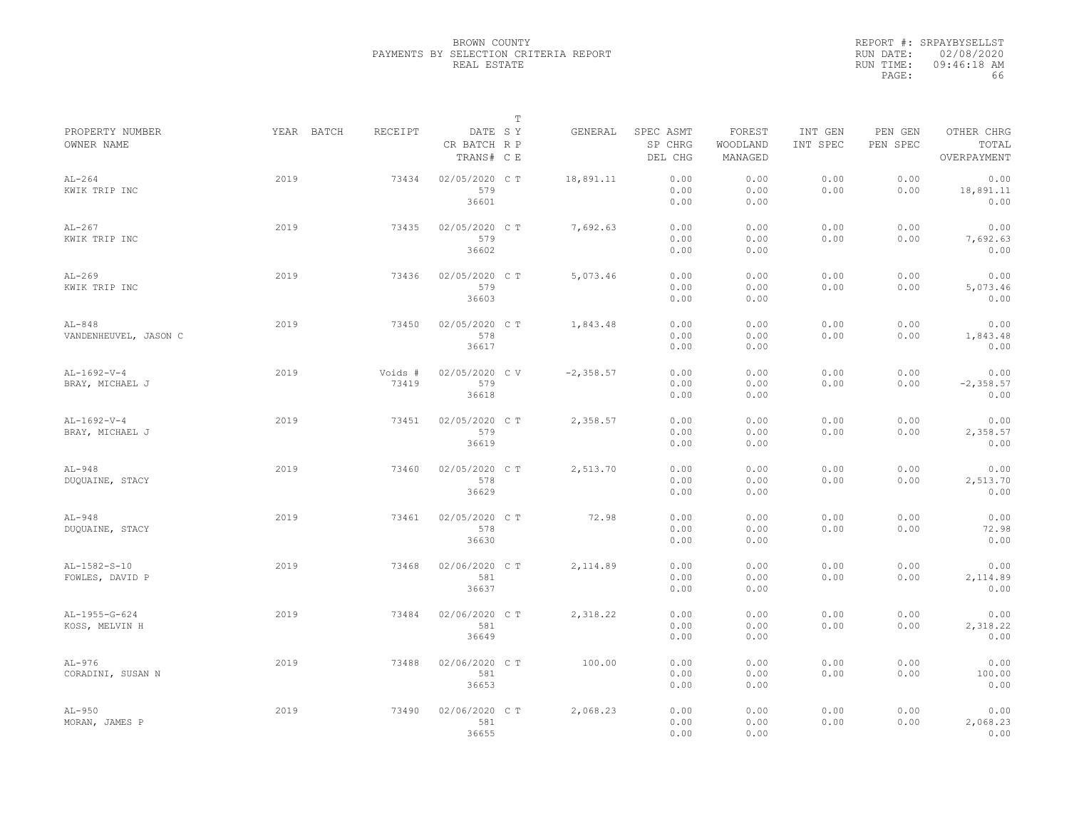|                                   |            |                  |                                       | $\mathbb T$ |              |                                 |                               |                     |                     |                                    |
|-----------------------------------|------------|------------------|---------------------------------------|-------------|--------------|---------------------------------|-------------------------------|---------------------|---------------------|------------------------------------|
| PROPERTY NUMBER<br>OWNER NAME     | YEAR BATCH | RECEIPT          | DATE SY<br>CR BATCH R P<br>TRANS# C E |             | GENERAL      | SPEC ASMT<br>SP CHRG<br>DEL CHG | FOREST<br>WOODLAND<br>MANAGED | INT GEN<br>INT SPEC | PEN GEN<br>PEN SPEC | OTHER CHRG<br>TOTAL<br>OVERPAYMENT |
| $AL-264$<br>KWIK TRIP INC         | 2019       | 73434            | 02/05/2020 C T<br>579<br>36601        |             | 18,891.11    | 0.00<br>0.00<br>0.00            | 0.00<br>0.00<br>0.00          | 0.00<br>0.00        | 0.00<br>0.00        | 0.00<br>18,891.11<br>0.00          |
| $AL-267$<br>KWIK TRIP INC         | 2019       | 73435            | 02/05/2020 C T<br>579<br>36602        |             | 7,692.63     | 0.00<br>0.00<br>0.00            | 0.00<br>0.00<br>0.00          | 0.00<br>0.00        | 0.00<br>0.00        | 0.00<br>7,692.63<br>0.00           |
| $AL-269$<br>KWIK TRIP INC         | 2019       | 73436            | 02/05/2020 CT<br>579<br>36603         |             | 5,073.46     | 0.00<br>0.00<br>0.00            | 0.00<br>0.00<br>0.00          | 0.00<br>0.00        | 0.00<br>0.00        | 0.00<br>5,073.46<br>0.00           |
| $AL-848$<br>VANDENHEUVEL, JASON C | 2019       | 73450            | 02/05/2020 CT<br>578<br>36617         |             | 1,843.48     | 0.00<br>0.00<br>0.00            | 0.00<br>0.00<br>0.00          | 0.00<br>0.00        | 0.00<br>0.00        | 0.00<br>1,843.48<br>0.00           |
| $AL-1692-V-4$<br>BRAY, MICHAEL J  | 2019       | Voids #<br>73419 | 02/05/2020 CV<br>579<br>36618         |             | $-2, 358.57$ | 0.00<br>0.00<br>0.00            | 0.00<br>0.00<br>0.00          | 0.00<br>0.00        | 0.00<br>0.00        | 0.00<br>$-2, 358.57$<br>0.00       |
| $AL-1692-V-4$<br>BRAY, MICHAEL J  | 2019       | 73451            | 02/05/2020 C T<br>579<br>36619        |             | 2,358.57     | 0.00<br>0.00<br>0.00            | 0.00<br>0.00<br>0.00          | 0.00<br>0.00        | 0.00<br>0.00        | 0.00<br>2,358.57<br>0.00           |
| $AL-948$<br>DUQUAINE, STACY       | 2019       | 73460            | 02/05/2020 CT<br>578<br>36629         |             | 2,513.70     | 0.00<br>0.00<br>0.00            | 0.00<br>0.00<br>0.00          | 0.00<br>0.00        | 0.00<br>0.00        | 0.00<br>2,513.70<br>0.00           |
| $AL-948$<br>DUQUAINE, STACY       | 2019       | 73461            | 02/05/2020 CT<br>578<br>36630         |             | 72.98        | 0.00<br>0.00<br>0.00            | 0.00<br>0.00<br>0.00          | 0.00<br>0.00        | 0.00<br>0.00        | 0.00<br>72.98<br>0.00              |
| AL-1582-S-10<br>FOWLES, DAVID P   | 2019       | 73468            | 02/06/2020 CT<br>581<br>36637         |             | 2,114.89     | 0.00<br>0.00<br>0.00            | 0.00<br>0.00<br>0.00          | 0.00<br>0.00        | 0.00<br>0.00        | 0.00<br>2,114.89<br>0.00           |
| AL-1955-G-624<br>KOSS, MELVIN H   | 2019       | 73484            | 02/06/2020 CT<br>581<br>36649         |             | 2,318.22     | 0.00<br>0.00<br>0.00            | 0.00<br>0.00<br>0.00          | 0.00<br>0.00        | 0.00<br>0.00        | 0.00<br>2,318.22<br>0.00           |
| $AL-976$<br>CORADINI, SUSAN N     | 2019       | 73488            | 02/06/2020 CT<br>581<br>36653         |             | 100.00       | 0.00<br>0.00<br>0.00            | 0.00<br>0.00<br>0.00          | 0.00<br>0.00        | 0.00<br>0.00        | 0.00<br>100.00<br>0.00             |
| $AL-950$<br>MORAN, JAMES P        | 2019       | 73490            | 02/06/2020 C T<br>581<br>36655        |             | 2,068.23     | 0.00<br>0.00<br>0.00            | 0.00<br>0.00<br>0.00          | 0.00<br>0.00        | 0.00<br>0.00        | 0.00<br>2,068.23<br>0.00           |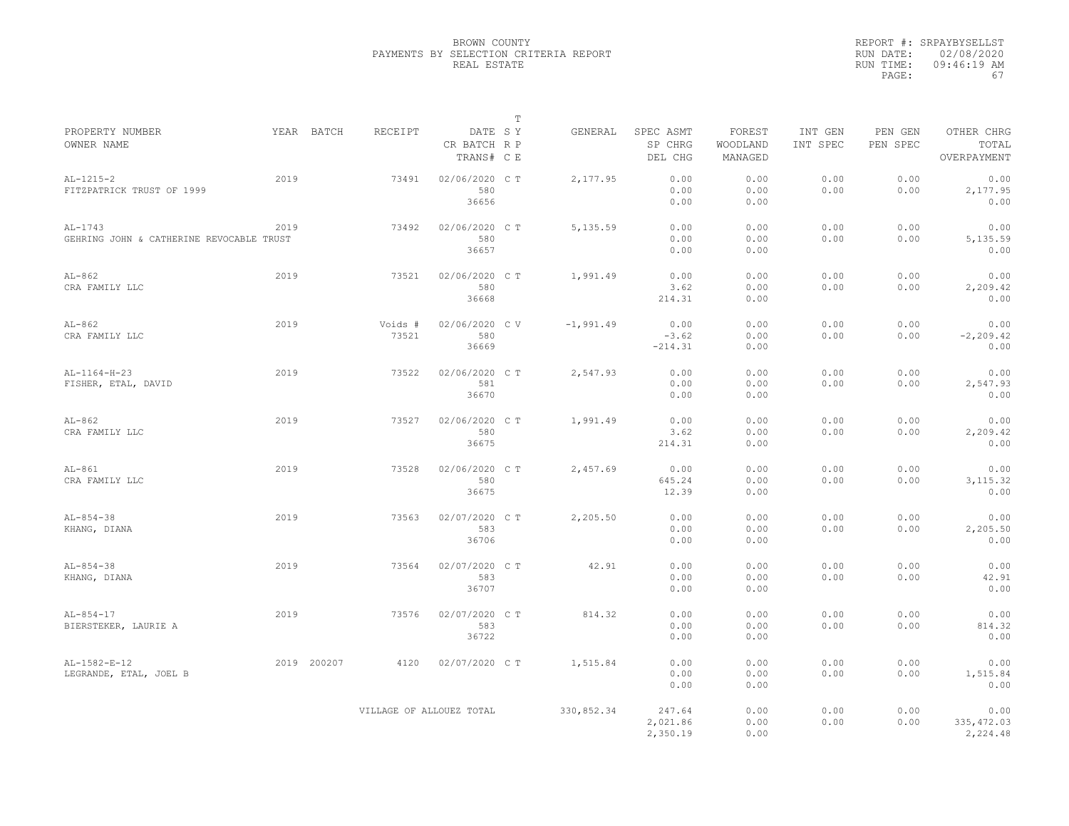|                                                       |             |                          |                                       | $\mathbb T$ |             |                                 |                               |                     |                     |                                    |
|-------------------------------------------------------|-------------|--------------------------|---------------------------------------|-------------|-------------|---------------------------------|-------------------------------|---------------------|---------------------|------------------------------------|
| PROPERTY NUMBER<br>OWNER NAME                         | YEAR BATCH  | RECEIPT                  | DATE SY<br>CR BATCH R P<br>TRANS# C E |             | GENERAL     | SPEC ASMT<br>SP CHRG<br>DEL CHG | FOREST<br>WOODLAND<br>MANAGED | INT GEN<br>INT SPEC | PEN GEN<br>PEN SPEC | OTHER CHRG<br>TOTAL<br>OVERPAYMENT |
| $AL-1215-2$<br>FITZPATRICK TRUST OF 1999              | 2019        | 73491                    | 02/06/2020 C T<br>580<br>36656        |             | 2,177.95    | 0.00<br>0.00<br>0.00            | 0.00<br>0.00<br>0.00          | 0.00<br>0.00        | 0.00<br>0.00        | 0.00<br>2,177.95<br>0.00           |
| $AL-1743$<br>GEHRING JOHN & CATHERINE REVOCABLE TRUST | 2019        | 73492                    | 02/06/2020 C T<br>580<br>36657        |             | 5,135.59    | 0.00<br>0.00<br>0.00            | 0.00<br>0.00<br>0.00          | 0.00<br>0.00        | 0.00<br>0.00        | 0.00<br>5,135.59<br>0.00           |
| $AL-862$<br>CRA FAMILY LLC                            | 2019        | 73521                    | 02/06/2020 CT<br>580<br>36668         |             | 1,991.49    | 0.00<br>3.62<br>214.31          | 0.00<br>0.00<br>0.00          | 0.00<br>0.00        | 0.00<br>0.00        | 0.00<br>2,209.42<br>0.00           |
| $AL-862$<br>CRA FAMILY LLC                            | 2019        | Voids #<br>73521         | 02/06/2020 CV<br>580<br>36669         |             | $-1,991.49$ | 0.00<br>$-3.62$<br>$-214.31$    | 0.00<br>0.00<br>0.00          | 0.00<br>0.00        | 0.00<br>0.00        | 0.00<br>$-2, 209.42$<br>0.00       |
| $AL-1164-H-23$<br>FISHER, ETAL, DAVID                 | 2019        | 73522                    | 02/06/2020 C T<br>581<br>36670        |             | 2,547.93    | 0.00<br>0.00<br>0.00            | 0.00<br>0.00<br>0.00          | 0.00<br>0.00        | 0.00<br>0.00        | 0.00<br>2,547.93<br>0.00           |
| $AL-862$<br>CRA FAMILY LLC                            | 2019        | 73527                    | 02/06/2020 C T<br>580<br>36675        |             | 1,991.49    | 0.00<br>3.62<br>214.31          | 0.00<br>0.00<br>0.00          | 0.00<br>0.00        | 0.00<br>0.00        | 0.00<br>2,209.42<br>0.00           |
| $AL-861$<br>CRA FAMILY LLC                            | 2019        | 73528                    | 02/06/2020 C T<br>580<br>36675        |             | 2,457.69    | 0.00<br>645.24<br>12.39         | 0.00<br>0.00<br>0.00          | 0.00<br>0.00        | 0.00<br>0.00        | 0.00<br>3, 115.32<br>0.00          |
| $AL-854-38$<br>KHANG, DIANA                           | 2019        | 73563                    | 02/07/2020 C T<br>583<br>36706        |             | 2,205.50    | 0.00<br>0.00<br>0.00            | 0.00<br>0.00<br>0.00          | 0.00<br>0.00        | 0.00<br>0.00        | 0.00<br>2,205.50<br>0.00           |
| $AL-854-38$<br>KHANG, DIANA                           | 2019        | 73564                    | 02/07/2020 C T<br>583<br>36707        |             | 42.91       | 0.00<br>0.00<br>0.00            | 0.00<br>0.00<br>0.00          | 0.00<br>0.00        | 0.00<br>0.00        | 0.00<br>42.91<br>0.00              |
| $AL-854-17$<br>BIERSTEKER, LAURIE A                   | 2019        | 73576                    | 02/07/2020 C T<br>583<br>36722        |             | 814.32      | 0.00<br>0.00<br>0.00            | 0.00<br>0.00<br>0.00          | 0.00<br>0.00        | 0.00<br>0.00        | 0.00<br>814.32<br>0.00             |
| $AL-1582-E-12$<br>LEGRANDE, ETAL, JOEL B              | 2019 200207 | 4120                     | 02/07/2020 C T                        |             | 1,515.84    | 0.00<br>0.00<br>0.00            | 0.00<br>0.00<br>0.00          | 0.00<br>0.00        | 0.00<br>0.00        | 0.00<br>1,515.84<br>0.00           |
|                                                       |             | VILLAGE OF ALLOUEZ TOTAL |                                       |             | 330,852.34  | 247.64<br>2,021.86<br>2,350.19  | 0.00<br>0.00<br>0.00          | 0.00<br>0.00        | 0.00<br>0.00        | 0.00<br>335, 472.03<br>2,224.48    |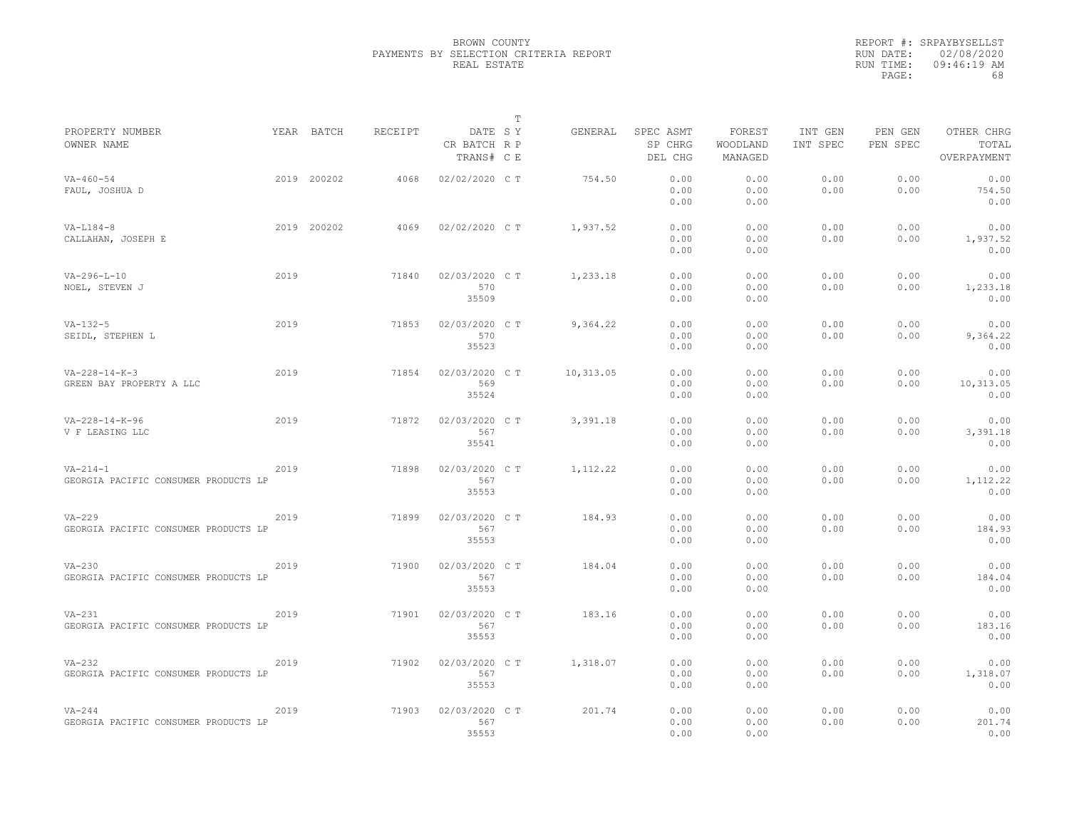|                                                        |      |             |         |                                       | T |           |                                 |                               |                     |                     |                                    |
|--------------------------------------------------------|------|-------------|---------|---------------------------------------|---|-----------|---------------------------------|-------------------------------|---------------------|---------------------|------------------------------------|
| PROPERTY NUMBER<br>OWNER NAME                          |      | YEAR BATCH  | RECEIPT | DATE SY<br>CR BATCH R P<br>TRANS# C E |   | GENERAL   | SPEC ASMT<br>SP CHRG<br>DEL CHG | FOREST<br>WOODLAND<br>MANAGED | INT GEN<br>INT SPEC | PEN GEN<br>PEN SPEC | OTHER CHRG<br>TOTAL<br>OVERPAYMENT |
| $VA - 460 - 54$<br>FAUL, JOSHUA D                      |      | 2019 200202 | 4068    | 02/02/2020 C T                        |   | 754.50    | 0.00<br>0.00<br>0.00            | 0.00<br>0.00<br>0.00          | 0.00<br>0.00        | 0.00<br>0.00        | 0.00<br>754.50<br>0.00             |
| $VA-L184-8$<br>CALLAHAN, JOSEPH E                      |      | 2019 200202 | 4069    | 02/02/2020 C T                        |   | 1,937.52  | 0.00<br>0.00<br>0.00            | 0.00<br>0.00<br>0.00          | 0.00<br>0.00        | 0.00<br>0.00        | 0.00<br>1,937.52<br>0.00           |
| $VA-296-L-10$<br>NOEL, STEVEN J                        | 2019 |             | 71840   | 02/03/2020 C T<br>570<br>35509        |   | 1,233.18  | 0.00<br>0.00<br>0.00            | 0.00<br>0.00<br>0.00          | 0.00<br>0.00        | 0.00<br>0.00        | 0.00<br>1,233.18<br>0.00           |
| $VA-132-5$<br>SEIDL, STEPHEN L                         | 2019 |             | 71853   | 02/03/2020 C T<br>570<br>35523        |   | 9,364.22  | 0.00<br>0.00<br>0.00            | 0.00<br>0.00<br>0.00          | 0.00<br>0.00        | 0.00<br>0.00        | 0.00<br>9,364.22<br>0.00           |
| $VA - 228 - 14 - K - 3$<br>GREEN BAY PROPERTY A LLC    | 2019 |             | 71854   | 02/03/2020 C T<br>569<br>35524        |   | 10,313.05 | 0.00<br>0.00<br>0.00            | 0.00<br>0.00<br>0.00          | 0.00<br>0.00        | 0.00<br>0.00        | 0.00<br>10,313.05<br>0.00          |
| $VA-228-14-K-96$<br>V F LEASING LLC                    | 2019 |             | 71872   | 02/03/2020 C T<br>567<br>35541        |   | 3,391.18  | 0.00<br>0.00<br>0.00            | 0.00<br>0.00<br>0.00          | 0.00<br>0.00        | 0.00<br>0.00        | 0.00<br>3,391.18<br>0.00           |
| $VA - 214 - 1$<br>GEORGIA PACIFIC CONSUMER PRODUCTS LP | 2019 |             | 71898   | 02/03/2020 CT<br>567<br>35553         |   | 1, 112.22 | 0.00<br>0.00<br>0.00            | 0.00<br>0.00<br>0.00          | 0.00<br>0.00        | 0.00<br>0.00        | 0.00<br>1,112.22<br>0.00           |
| $VA-229$<br>GEORGIA PACIFIC CONSUMER PRODUCTS LP       | 2019 |             | 71899   | 02/03/2020 C T<br>567<br>35553        |   | 184.93    | 0.00<br>0.00<br>0.00            | 0.00<br>0.00<br>0.00          | 0.00<br>0.00        | 0.00<br>0.00        | 0.00<br>184.93<br>0.00             |
| $VA-230$<br>GEORGIA PACIFIC CONSUMER PRODUCTS LP       | 2019 |             | 71900   | 02/03/2020 C T<br>567<br>35553        |   | 184.04    | 0.00<br>0.00<br>0.00            | 0.00<br>0.00<br>0.00          | 0.00<br>0.00        | 0.00<br>0.00        | 0.00<br>184.04<br>0.00             |
| $VA-231$<br>GEORGIA PACIFIC CONSUMER PRODUCTS LP       | 2019 |             | 71901   | 02/03/2020 C T<br>567<br>35553        |   | 183.16    | 0.00<br>0.00<br>0.00            | 0.00<br>0.00<br>0.00          | 0.00<br>0.00        | 0.00<br>0.00        | 0.00<br>183.16<br>0.00             |
| $VA-232$<br>GEORGIA PACIFIC CONSUMER PRODUCTS LP       | 2019 |             | 71902   | 02/03/2020 C T<br>567<br>35553        |   | 1,318.07  | 0.00<br>0.00<br>0.00            | 0.00<br>0.00<br>0.00          | 0.00<br>0.00        | 0.00<br>0.00        | 0.00<br>1,318.07<br>0.00           |
| $VA-244$<br>GEORGIA PACIFIC CONSUMER PRODUCTS LP       | 2019 |             | 71903   | 02/03/2020 C T<br>567<br>35553        |   | 201.74    | 0.00<br>0.00<br>0.00            | 0.00<br>0.00<br>0.00          | 0.00<br>0.00        | 0.00<br>0.00        | 0.00<br>201.74<br>0.00             |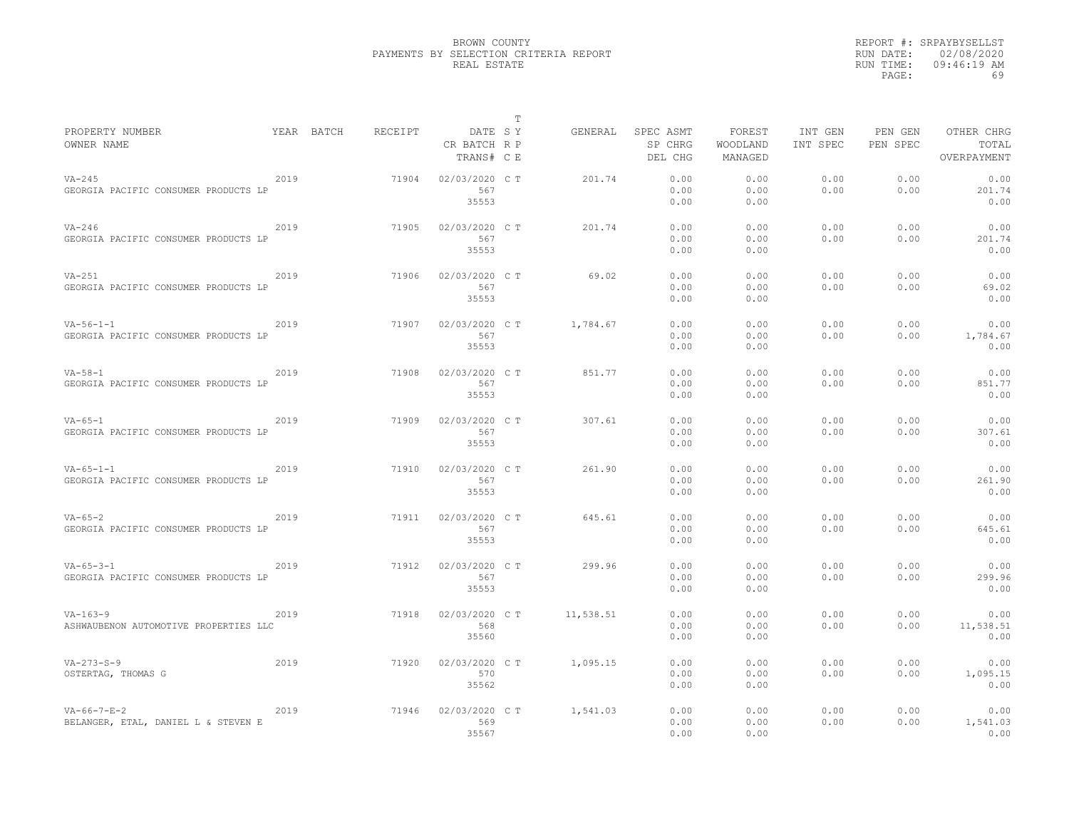|                                                              |      |            |         |                                       | T |           |                                 |                               |                     |                     |                                    |
|--------------------------------------------------------------|------|------------|---------|---------------------------------------|---|-----------|---------------------------------|-------------------------------|---------------------|---------------------|------------------------------------|
| PROPERTY NUMBER<br>OWNER NAME                                |      | YEAR BATCH | RECEIPT | DATE SY<br>CR BATCH R P<br>TRANS# C E |   | GENERAL   | SPEC ASMT<br>SP CHRG<br>DEL CHG | FOREST<br>WOODLAND<br>MANAGED | INT GEN<br>INT SPEC | PEN GEN<br>PEN SPEC | OTHER CHRG<br>TOTAL<br>OVERPAYMENT |
| $VA-245$<br>GEORGIA PACIFIC CONSUMER PRODUCTS LP             | 2019 |            | 71904   | 02/03/2020 C T<br>567<br>35553        |   | 201.74    | 0.00<br>0.00<br>0.00            | 0.00<br>0.00<br>0.00          | 0.00<br>0.00        | 0.00<br>0.00        | 0.00<br>201.74<br>0.00             |
| $VA-246$<br>GEORGIA PACIFIC CONSUMER PRODUCTS LP             | 2019 |            | 71905   | 02/03/2020 C T<br>567<br>35553        |   | 201.74    | 0.00<br>0.00<br>0.00            | 0.00<br>0.00<br>0.00          | 0.00<br>0.00        | 0.00<br>0.00        | 0.00<br>201.74<br>0.00             |
| $VA-251$<br>GEORGIA PACIFIC CONSUMER PRODUCTS LP             | 2019 |            | 71906   | 02/03/2020 C T<br>567<br>35553        |   | 69.02     | 0.00<br>0.00<br>0.00            | 0.00<br>0.00<br>0.00          | 0.00<br>0.00        | 0.00<br>0.00        | 0.00<br>69.02<br>0.00              |
| $VA-56-1-1$<br>GEORGIA PACIFIC CONSUMER PRODUCTS LP          | 2019 |            | 71907   | 02/03/2020 C T<br>567<br>35553        |   | 1,784.67  | 0.00<br>0.00<br>0.00            | 0.00<br>0.00<br>0.00          | 0.00<br>0.00        | 0.00<br>0.00        | 0.00<br>1,784.67<br>0.00           |
| $VA - 58 - 1$<br>GEORGIA PACIFIC CONSUMER PRODUCTS LP        | 2019 |            | 71908   | 02/03/2020 C T<br>567<br>35553        |   | 851.77    | 0.00<br>0.00<br>0.00            | 0.00<br>0.00<br>0.00          | 0.00<br>0.00        | 0.00<br>0.00        | 0.00<br>851.77<br>0.00             |
| $VA-65-1$<br>GEORGIA PACIFIC CONSUMER PRODUCTS LP            | 2019 |            | 71909   | 02/03/2020 C T<br>567<br>35553        |   | 307.61    | 0.00<br>0.00<br>0.00            | 0.00<br>0.00<br>0.00          | 0.00<br>0.00        | 0.00<br>0.00        | 0.00<br>307.61<br>0.00             |
| $VA - 65 - 1 - 1$<br>GEORGIA PACIFIC CONSUMER PRODUCTS LP    | 2019 |            | 71910   | 02/03/2020 C T<br>567<br>35553        |   | 261.90    | 0.00<br>0.00<br>0.00            | 0.00<br>0.00<br>0.00          | 0.00<br>0.00        | 0.00<br>0.00        | 0.00<br>261.90<br>0.00             |
| $VA - 65 - 2$<br>GEORGIA PACIFIC CONSUMER PRODUCTS LP        | 2019 |            | 71911   | 02/03/2020 C T<br>567<br>35553        |   | 645.61    | 0.00<br>0.00<br>0.00            | 0.00<br>0.00<br>0.00          | 0.00<br>0.00        | 0.00<br>0.00        | 0.00<br>645.61<br>0.00             |
| $VA - 65 - 3 - 1$<br>GEORGIA PACIFIC CONSUMER PRODUCTS LP    | 2019 |            | 71912   | 02/03/2020 C T<br>567<br>35553        |   | 299.96    | 0.00<br>0.00<br>0.00            | 0.00<br>0.00<br>0.00          | 0.00<br>0.00        | 0.00<br>0.00        | 0.00<br>299.96<br>0.00             |
| $VA-163-9$<br>ASHWAUBENON AUTOMOTIVE PROPERTIES LLC          | 2019 |            | 71918   | 02/03/2020 C T<br>568<br>35560        |   | 11,538.51 | 0.00<br>0.00<br>0.00            | 0.00<br>0.00<br>0.00          | 0.00<br>0.00        | 0.00<br>0.00        | 0.00<br>11,538.51<br>0.00          |
| $VA - 273 - S - 9$<br>OSTERTAG, THOMAS G                     | 2019 |            | 71920   | 02/03/2020 C T<br>570<br>35562        |   | 1,095.15  | 0.00<br>0.00<br>0.00            | 0.00<br>0.00<br>0.00          | 0.00<br>0.00        | 0.00<br>0.00        | 0.00<br>1,095.15<br>0.00           |
| $VA - 66 - 7 - E - 2$<br>BELANGER, ETAL, DANIEL L & STEVEN E | 2019 |            | 71946   | 02/03/2020 C T<br>569<br>35567        |   | 1,541.03  | 0.00<br>0.00<br>0.00            | 0.00<br>0.00<br>0.00          | 0.00<br>0.00        | 0.00<br>0.00        | 0.00<br>1,541.03<br>0.00           |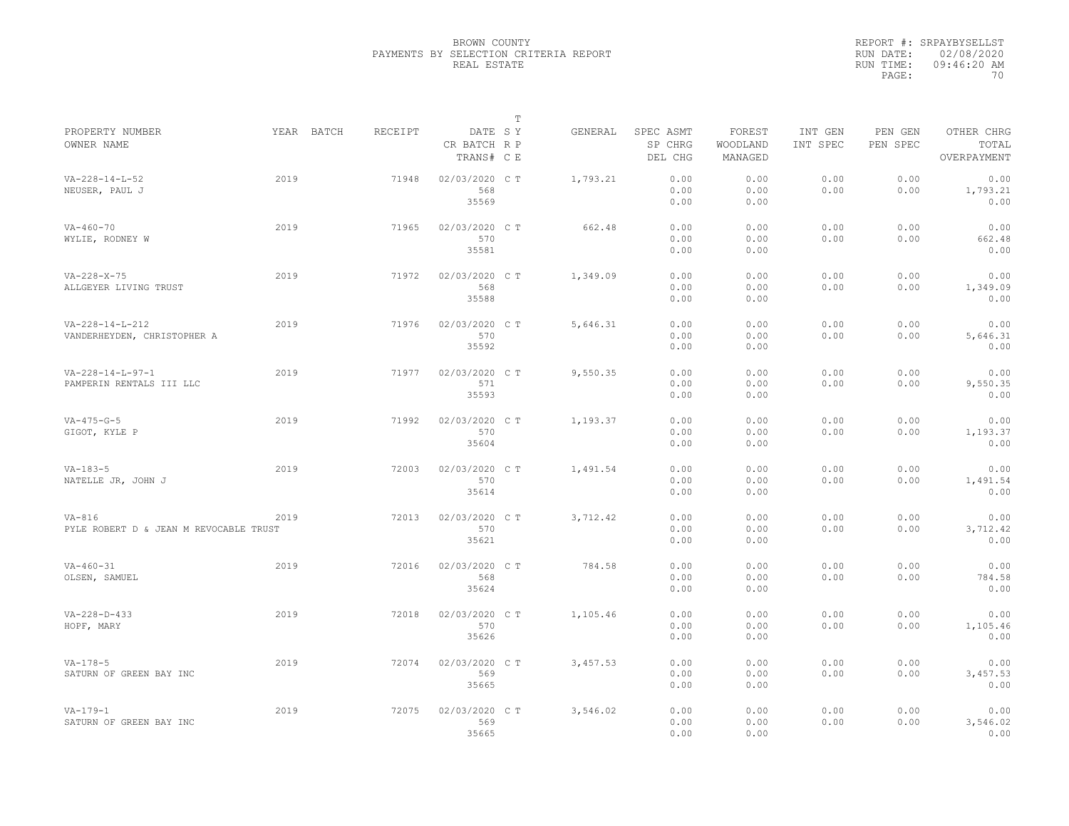|                                        |            |         |                                       | $\mathbb T$ |          |                                 |                               |                     |                     |                                    |
|----------------------------------------|------------|---------|---------------------------------------|-------------|----------|---------------------------------|-------------------------------|---------------------|---------------------|------------------------------------|
| PROPERTY NUMBER<br>OWNER NAME          | YEAR BATCH | RECEIPT | DATE SY<br>CR BATCH R P<br>TRANS# C E |             | GENERAL  | SPEC ASMT<br>SP CHRG<br>DEL CHG | FOREST<br>WOODLAND<br>MANAGED | INT GEN<br>INT SPEC | PEN GEN<br>PEN SPEC | OTHER CHRG<br>TOTAL<br>OVERPAYMENT |
| $VA - 228 - 14 - L - 52$               | 2019       | 71948   |                                       |             |          | 0.00                            | 0.00                          | 0.00                | 0.00                | 0.00                               |
| NEUSER, PAUL J                         |            |         | 02/03/2020 C T<br>568                 |             | 1,793.21 | 0.00                            | 0.00                          | 0.00                | 0.00                | 1,793.21                           |
|                                        |            |         | 35569                                 |             |          | 0.00                            | 0.00                          |                     |                     | 0.00                               |
|                                        |            |         |                                       |             |          |                                 |                               |                     |                     |                                    |
| $VA - 460 - 70$                        | 2019       | 71965   | 02/03/2020 C T                        |             | 662.48   | 0.00                            | 0.00                          | 0.00                | 0.00                | 0.00                               |
| WYLIE, RODNEY W                        |            |         | 570                                   |             |          | 0.00                            | 0.00                          | 0.00                | 0.00                | 662.48                             |
|                                        |            |         | 35581                                 |             |          | 0.00                            | 0.00                          |                     |                     | 0.00                               |
| $VA - 228 - X - 75$                    | 2019       | 71972   | 02/03/2020 C T                        |             | 1,349.09 | 0.00                            | 0.00                          | 0.00                | 0.00                | 0.00                               |
| ALLGEYER LIVING TRUST                  |            |         | 568                                   |             |          | 0.00                            | 0.00                          | 0.00                | 0.00                | 1,349.09                           |
|                                        |            |         | 35588                                 |             |          | 0.00                            | 0.00                          |                     |                     | 0.00                               |
|                                        |            |         |                                       |             |          |                                 |                               |                     |                     |                                    |
| VA-228-14-L-212                        | 2019       | 71976   | 02/03/2020 C T                        |             | 5,646.31 | 0.00                            | 0.00                          | 0.00                | 0.00                | 0.00                               |
| VANDERHEYDEN, CHRISTOPHER A            |            |         | 570                                   |             |          | 0.00                            | 0.00                          | 0.00                | 0.00                | 5,646.31                           |
|                                        |            |         | 35592                                 |             |          | 0.00                            | 0.00                          |                     |                     | 0.00                               |
|                                        |            |         |                                       |             |          |                                 |                               |                     |                     |                                    |
| $VA - 228 - 14 - L - 97 - 1$           | 2019       | 71977   | 02/03/2020 CT                         |             | 9,550.35 | 0.00                            | 0.00                          | 0.00                | 0.00                | 0.00                               |
| PAMPERIN RENTALS III LLC               |            |         | 571                                   |             |          | 0.00                            | 0.00                          | 0.00                | 0.00                | 9,550.35                           |
|                                        |            |         | 35593                                 |             |          | 0.00                            | 0.00                          |                     |                     | 0.00                               |
|                                        |            |         |                                       |             |          |                                 |                               |                     |                     |                                    |
| $VA - 475 - G - 5$                     | 2019       | 71992   | 02/03/2020 C T                        |             | 1,193.37 | 0.00                            | 0.00                          | 0.00                | 0.00                | 0.00                               |
| GIGOT, KYLE P                          |            |         | 570<br>35604                          |             |          | 0.00<br>0.00                    | 0.00<br>0.00                  | 0.00                | 0.00                | 1,193.37<br>0.00                   |
|                                        |            |         |                                       |             |          |                                 |                               |                     |                     |                                    |
| $VA-183-5$                             | 2019       | 72003   | 02/03/2020 C T                        |             | 1,491.54 | 0.00                            | 0.00                          | 0.00                | 0.00                | 0.00                               |
| NATELLE JR, JOHN J                     |            |         | 570                                   |             |          | 0.00                            | 0.00                          | 0.00                | 0.00                | 1,491.54                           |
|                                        |            |         | 35614                                 |             |          | 0.00                            | 0.00                          |                     |                     | 0.00                               |
|                                        |            |         |                                       |             |          |                                 |                               |                     |                     |                                    |
| $VA-816$                               | 2019       | 72013   | 02/03/2020 C T                        |             | 3,712.42 | 0.00                            | 0.00                          | 0.00                | 0.00                | 0.00                               |
| PYLE ROBERT D & JEAN M REVOCABLE TRUST |            |         | 570                                   |             |          | 0.00                            | 0.00                          | 0.00                | 0.00                | 3,712.42                           |
|                                        |            |         | 35621                                 |             |          | 0.00                            | 0.00                          |                     |                     | 0.00                               |
| $VA - 460 - 31$                        | 2019       | 72016   | 02/03/2020 C T                        |             | 784.58   | 0.00                            | 0.00                          | 0.00                | 0.00                | 0.00                               |
| OLSEN, SAMUEL                          |            |         | 568                                   |             |          | 0.00                            | 0.00                          | 0.00                | 0.00                | 784.58                             |
|                                        |            |         | 35624                                 |             |          | 0.00                            | 0.00                          |                     |                     | 0.00                               |
|                                        |            |         |                                       |             |          |                                 |                               |                     |                     |                                    |
| $VA - 228 - D - 433$                   | 2019       | 72018   | 02/03/2020 CT                         |             | 1,105.46 | 0.00                            | 0.00                          | 0.00                | 0.00                | 0.00                               |
| HOPF, MARY                             |            |         | 570                                   |             |          | 0.00                            | 0.00                          | 0.00                | 0.00                | 1,105.46                           |
|                                        |            |         | 35626                                 |             |          | 0.00                            | 0.00                          |                     |                     | 0.00                               |
| $VA-178-5$                             | 2019       | 72074   | 02/03/2020 C T                        |             | 3,457.53 | 0.00                            | 0.00                          | 0.00                | 0.00                | 0.00                               |
| SATURN OF GREEN BAY INC                |            |         | 569                                   |             |          | 0.00                            | 0.00                          | 0.00                | 0.00                | 3,457.53                           |
|                                        |            |         | 35665                                 |             |          | 0.00                            | 0.00                          |                     |                     | 0.00                               |
|                                        |            |         |                                       |             |          |                                 |                               |                     |                     |                                    |
| $VA-179-1$                             | 2019       | 72075   | 02/03/2020 CT                         |             | 3,546.02 | 0.00                            | 0.00                          | 0.00                | 0.00                | 0.00                               |
| SATURN OF GREEN BAY INC                |            |         | 569                                   |             |          | 0.00                            | 0.00                          | 0.00                | 0.00                | 3,546.02                           |
|                                        |            |         | 35665                                 |             |          | 0.00                            | 0.00                          |                     |                     | 0.00                               |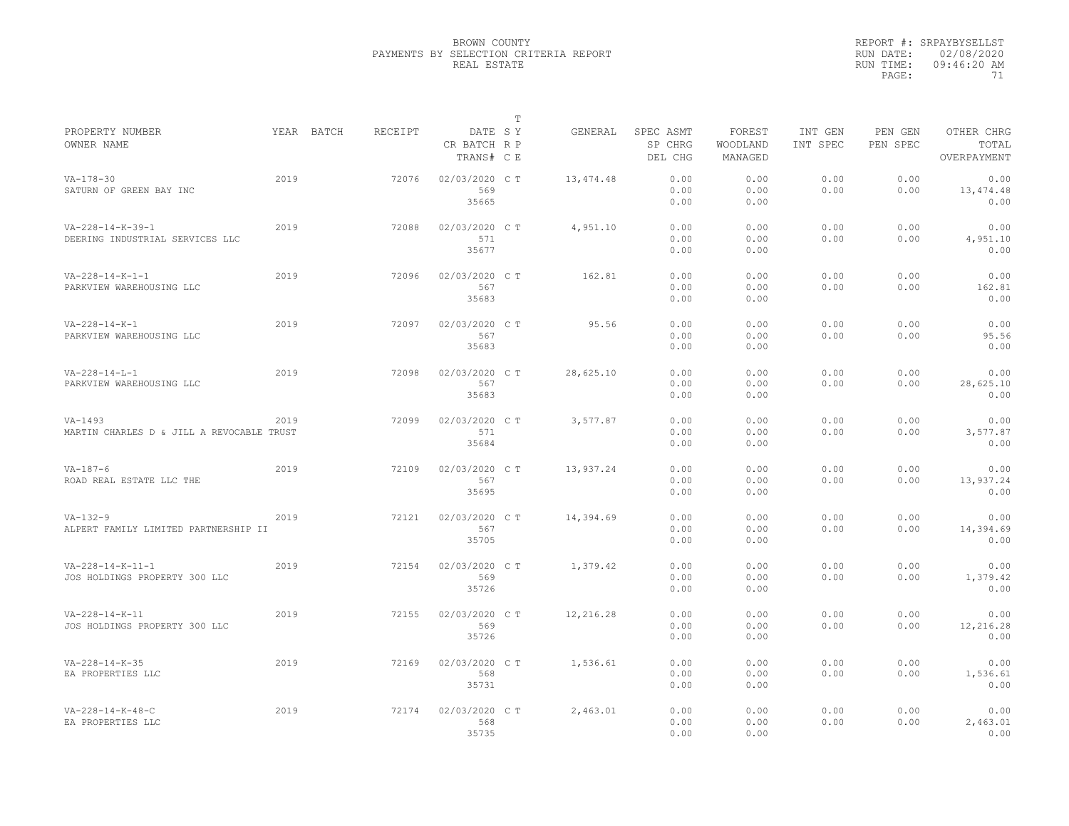|                                                                 |      |            |         |                                       | T |           |                                 |                               |                     |                     |                                    |
|-----------------------------------------------------------------|------|------------|---------|---------------------------------------|---|-----------|---------------------------------|-------------------------------|---------------------|---------------------|------------------------------------|
| PROPERTY NUMBER<br>OWNER NAME                                   |      | YEAR BATCH | RECEIPT | DATE SY<br>CR BATCH R P<br>TRANS# C E |   | GENERAL   | SPEC ASMT<br>SP CHRG<br>DEL CHG | FOREST<br>WOODLAND<br>MANAGED | INT GEN<br>INT SPEC | PEN GEN<br>PEN SPEC | OTHER CHRG<br>TOTAL<br>OVERPAYMENT |
| $VA - 178 - 30$<br>SATURN OF GREEN BAY INC                      | 2019 |            | 72076   | 02/03/2020 C T<br>569<br>35665        |   | 13,474.48 | 0.00<br>0.00<br>0.00            | 0.00<br>0.00<br>0.00          | 0.00<br>0.00        | 0.00<br>0.00        | 0.00<br>13,474.48<br>0.00          |
| $VA - 228 - 14 - K - 39 - 1$<br>DEERING INDUSTRIAL SERVICES LLC | 2019 |            | 72088   | 02/03/2020 C T<br>571<br>35677        |   | 4,951.10  | 0.00<br>0.00<br>0.00            | 0.00<br>0.00<br>0.00          | 0.00<br>0.00        | 0.00<br>0.00        | 0.00<br>4,951.10<br>0.00           |
| $VA - 228 - 14 - K - 1 - 1$<br>PARKVIEW WAREHOUSING LLC         | 2019 |            | 72096   | 02/03/2020 C T<br>567<br>35683        |   | 162.81    | 0.00<br>0.00<br>0.00            | 0.00<br>0.00<br>0.00          | 0.00<br>0.00        | 0.00<br>0.00        | 0.00<br>162.81<br>0.00             |
| $VA - 228 - 14 - K - 1$<br>PARKVIEW WAREHOUSING LLC             | 2019 |            | 72097   | 02/03/2020 C T<br>567<br>35683        |   | 95.56     | 0.00<br>0.00<br>0.00            | 0.00<br>0.00<br>0.00          | 0.00<br>0.00        | 0.00<br>0.00        | 0.00<br>95.56<br>0.00              |
| $VA - 228 - 14 - L - 1$<br>PARKVIEW WAREHOUSING LLC             | 2019 |            | 72098   | 02/03/2020 C T<br>567<br>35683        |   | 28,625.10 | 0.00<br>0.00<br>0.00            | 0.00<br>0.00<br>0.00          | 0.00<br>0.00        | 0.00<br>0.00        | 0.00<br>28,625.10<br>0.00          |
| $VA-1493$<br>MARTIN CHARLES D & JILL A REVOCABLE TRUST          | 2019 |            | 72099   | 02/03/2020 C T<br>571<br>35684        |   | 3,577.87  | 0.00<br>0.00<br>0.00            | 0.00<br>0.00<br>0.00          | 0.00<br>0.00        | 0.00<br>0.00        | 0.00<br>3,577.87<br>0.00           |
| $VA-187-6$<br>ROAD REAL ESTATE LLC THE                          | 2019 |            | 72109   | 02/03/2020 C T<br>567<br>35695        |   | 13,937.24 | 0.00<br>0.00<br>0.00            | 0.00<br>0.00<br>0.00          | 0.00<br>0.00        | 0.00<br>0.00        | 0.00<br>13,937.24<br>0.00          |
| $VA-132-9$<br>ALPERT FAMILY LIMITED PARTNERSHIP II              | 2019 |            | 72121   | 02/03/2020 C T<br>567<br>35705        |   | 14,394.69 | 0.00<br>0.00<br>0.00            | 0.00<br>0.00<br>0.00          | 0.00<br>0.00        | 0.00<br>0.00        | 0.00<br>14,394.69<br>0.00          |
| $VA-228-14-K-11-1$<br>JOS HOLDINGS PROPERTY 300 LLC             | 2019 |            | 72154   | 02/03/2020 C T<br>569<br>35726        |   | 1,379.42  | 0.00<br>0.00<br>0.00            | 0.00<br>0.00<br>0.00          | 0.00<br>0.00        | 0.00<br>0.00        | 0.00<br>1,379.42<br>0.00           |
| $VA - 228 - 14 - K - 11$<br>JOS HOLDINGS PROPERTY 300 LLC       | 2019 |            | 72155   | 02/03/2020 C T<br>569<br>35726        |   | 12,216.28 | 0.00<br>0.00<br>0.00            | 0.00<br>0.00<br>0.00          | 0.00<br>0.00        | 0.00<br>0.00        | 0.00<br>12,216.28<br>0.00          |
| $VA - 228 - 14 - K - 35$<br>EA PROPERTIES LLC                   | 2019 |            | 72169   | 02/03/2020 C T<br>568<br>35731        |   | 1,536.61  | 0.00<br>0.00<br>0.00            | 0.00<br>0.00<br>0.00          | 0.00<br>0.00        | 0.00<br>0.00        | 0.00<br>1,536.61<br>0.00           |
| $VA - 228 - 14 - K - 48 - C$<br>EA PROPERTIES LLC               | 2019 |            | 72174   | 02/03/2020 C T<br>568<br>35735        |   | 2,463.01  | 0.00<br>0.00<br>0.00            | 0.00<br>0.00<br>0.00          | 0.00<br>0.00        | 0.00<br>0.00        | 0.00<br>2,463.01<br>0.00           |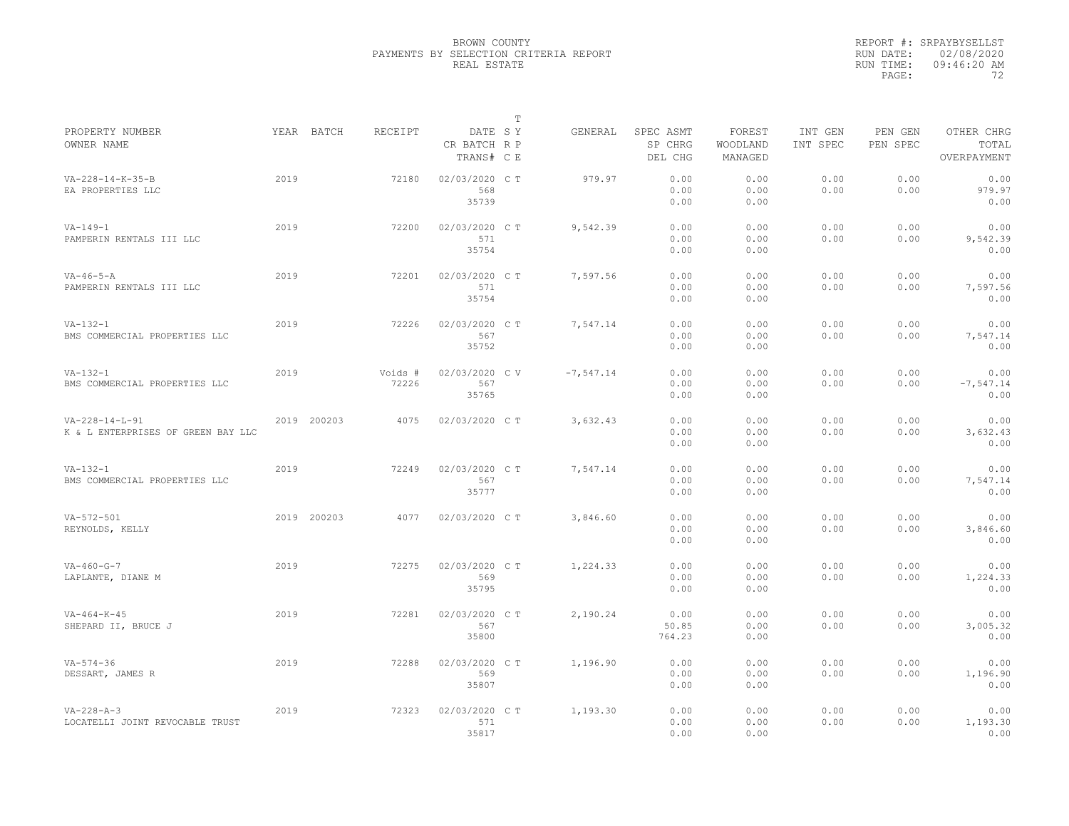|                                                                |      |             |                  |                                       | T |              |                                 |                               |                     |                     |                                    |
|----------------------------------------------------------------|------|-------------|------------------|---------------------------------------|---|--------------|---------------------------------|-------------------------------|---------------------|---------------------|------------------------------------|
| PROPERTY NUMBER<br>OWNER NAME                                  |      | YEAR BATCH  | RECEIPT          | DATE SY<br>CR BATCH R P<br>TRANS# C E |   | GENERAL      | SPEC ASMT<br>SP CHRG<br>DEL CHG | FOREST<br>WOODLAND<br>MANAGED | INT GEN<br>INT SPEC | PEN GEN<br>PEN SPEC | OTHER CHRG<br>TOTAL<br>OVERPAYMENT |
| VA-228-14-K-35-B<br>EA PROPERTIES LLC                          | 2019 |             | 72180            | 02/03/2020 CT<br>568<br>35739         |   | 979.97       | 0.00<br>0.00<br>0.00            | 0.00<br>0.00<br>0.00          | 0.00<br>0.00        | 0.00<br>0.00        | 0.00<br>979.97<br>0.00             |
| $VA - 149 - 1$<br>PAMPERIN RENTALS III LLC                     | 2019 |             | 72200            | 02/03/2020 C T<br>571<br>35754        |   | 9,542.39     | 0.00<br>0.00<br>0.00            | 0.00<br>0.00<br>0.00          | 0.00<br>0.00        | 0.00<br>0.00        | 0.00<br>9,542.39<br>0.00           |
| $VA - 46 - 5 - A$<br>PAMPERIN RENTALS III LLC                  | 2019 |             | 72201            | 02/03/2020 C T<br>571<br>35754        |   | 7,597.56     | 0.00<br>0.00<br>0.00            | 0.00<br>0.00<br>0.00          | 0.00<br>0.00        | 0.00<br>0.00        | 0.00<br>7,597.56<br>0.00           |
| $VA-132-1$<br>BMS COMMERCIAL PROPERTIES LLC                    | 2019 |             | 72226            | 02/03/2020 C T<br>567<br>35752        |   | 7,547.14     | 0.00<br>0.00<br>0.00            | 0.00<br>0.00<br>0.00          | 0.00<br>0.00        | 0.00<br>0.00        | 0.00<br>7,547.14<br>0.00           |
| $VA-132-1$<br>BMS COMMERCIAL PROPERTIES LLC                    | 2019 |             | Voids #<br>72226 | 02/03/2020 CV<br>567<br>35765         |   | $-7, 547.14$ | 0.00<br>0.00<br>0.00            | 0.00<br>0.00<br>0.00          | 0.00<br>0.00        | 0.00<br>0.00        | 0.00<br>$-7, 547.14$<br>0.00       |
| $VA - 228 - 14 - L - 91$<br>K & L ENTERPRISES OF GREEN BAY LLC |      | 2019 200203 | 4075             | 02/03/2020 C T                        |   | 3,632.43     | 0.00<br>0.00<br>0.00            | 0.00<br>0.00<br>0.00          | 0.00<br>0.00        | 0.00<br>0.00        | 0.00<br>3,632.43<br>0.00           |
| $VA-132-1$<br>BMS COMMERCIAL PROPERTIES LLC                    | 2019 |             | 72249            | 02/03/2020 C T<br>567<br>35777        |   | 7,547.14     | 0.00<br>0.00<br>0.00            | 0.00<br>0.00<br>0.00          | 0.00<br>0.00        | 0.00<br>0.00        | 0.00<br>7,547.14<br>0.00           |
| $VA - 572 - 501$<br>REYNOLDS, KELLY                            |      | 2019 200203 | 4077             | 02/03/2020 C T                        |   | 3,846.60     | 0.00<br>0.00<br>0.00            | 0.00<br>0.00<br>0.00          | 0.00<br>0.00        | 0.00<br>0.00        | 0.00<br>3,846.60<br>0.00           |
| $VA - 460 - G - 7$<br>LAPLANTE, DIANE M                        | 2019 |             | 72275            | 02/03/2020 C T<br>569<br>35795        |   | 1,224.33     | 0.00<br>0.00<br>0.00            | 0.00<br>0.00<br>0.00          | 0.00<br>0.00        | 0.00<br>0.00        | 0.00<br>1,224.33<br>0.00           |
| $VA - 464 - K - 45$<br>SHEPARD II, BRUCE J                     | 2019 |             | 72281            | 02/03/2020 C T<br>567<br>35800        |   | 2,190.24     | 0.00<br>50.85<br>764.23         | 0.00<br>0.00<br>0.00          | 0.00<br>0.00        | 0.00<br>0.00        | 0.00<br>3,005.32<br>0.00           |
| $VA - 574 - 36$<br>DESSART, JAMES R                            | 2019 |             | 72288            | 02/03/2020 C T<br>569<br>35807        |   | 1,196.90     | 0.00<br>0.00<br>0.00            | 0.00<br>0.00<br>0.00          | 0.00<br>0.00        | 0.00<br>0.00        | 0.00<br>1,196.90<br>0.00           |
| $VA - 228 - A - 3$<br>LOCATELLI JOINT REVOCABLE TRUST          | 2019 |             | 72323            | 02/03/2020 CT<br>571<br>35817         |   | 1,193.30     | 0.00<br>0.00<br>0.00            | 0.00<br>0.00<br>0.00          | 0.00<br>0.00        | 0.00<br>0.00        | 0.00<br>1,193.30<br>0.00           |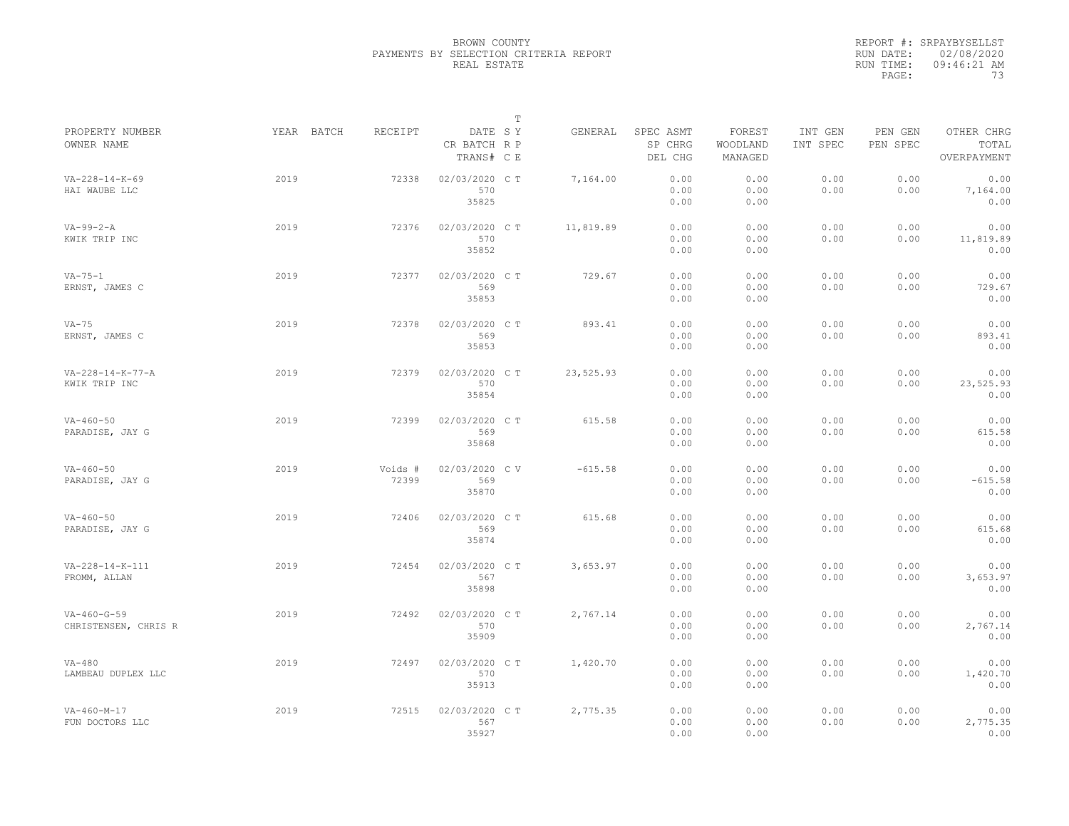|                                               |            |                  |                                       | $\mathbb T$ |           |                                 |                               |                     |                     |                                    |
|-----------------------------------------------|------------|------------------|---------------------------------------|-------------|-----------|---------------------------------|-------------------------------|---------------------|---------------------|------------------------------------|
| PROPERTY NUMBER<br>OWNER NAME                 | YEAR BATCH | <b>RECEIPT</b>   | DATE SY<br>CR BATCH R P<br>TRANS# C E |             | GENERAL   | SPEC ASMT<br>SP CHRG<br>DEL CHG | FOREST<br>WOODLAND<br>MANAGED | INT GEN<br>INT SPEC | PEN GEN<br>PEN SPEC | OTHER CHRG<br>TOTAL<br>OVERPAYMENT |
| $VA - 228 - 14 - K - 69$<br>HAI WAUBE LLC     | 2019       | 72338            | 02/03/2020 CT<br>570<br>35825         |             | 7,164.00  | 0.00<br>0.00<br>0.00            | 0.00<br>0.00<br>0.00          | 0.00<br>0.00        | 0.00<br>0.00        | 0.00<br>7,164.00<br>0.00           |
| $VA-99-2-A$<br>KWIK TRIP INC                  | 2019       | 72376            | 02/03/2020 C T<br>570<br>35852        |             | 11,819.89 | 0.00<br>0.00<br>0.00            | 0.00<br>0.00<br>0.00          | 0.00<br>0.00        | 0.00<br>0.00        | 0.00<br>11,819.89<br>0.00          |
| $VA - 75 - 1$<br>ERNST, JAMES C               | 2019       | 72377            | 02/03/2020 CT<br>569<br>35853         |             | 729.67    | 0.00<br>0.00<br>0.00            | 0.00<br>0.00<br>0.00          | 0.00<br>0.00        | 0.00<br>0.00        | 0.00<br>729.67<br>0.00             |
| $VA-75$<br>ERNST, JAMES C                     | 2019       | 72378            | 02/03/2020 CT<br>569<br>35853         |             | 893.41    | 0.00<br>0.00<br>0.00            | 0.00<br>0.00<br>0.00          | 0.00<br>0.00        | 0.00<br>0.00        | 0.00<br>893.41<br>0.00             |
| $VA - 228 - 14 - K - 77 - A$<br>KWIK TRIP INC | 2019       | 72379            | 02/03/2020 C T<br>570<br>35854        |             | 23,525.93 | 0.00<br>0.00<br>0.00            | 0.00<br>0.00<br>0.00          | 0.00<br>0.00        | 0.00<br>0.00        | 0.00<br>23,525.93<br>0.00          |
| $VA - 460 - 50$<br>PARADISE, JAY G            | 2019       | 72399            | 02/03/2020 CT<br>569<br>35868         |             | 615.58    | 0.00<br>0.00<br>0.00            | 0.00<br>0.00<br>0.00          | 0.00<br>0.00        | 0.00<br>0.00        | 0.00<br>615.58<br>0.00             |
| $VA - 460 - 50$<br>PARADISE, JAY G            | 2019       | Voids #<br>72399 | 02/03/2020 CV<br>569<br>35870         |             | $-615.58$ | 0.00<br>0.00<br>0.00            | 0.00<br>0.00<br>0.00          | 0.00<br>0.00        | 0.00<br>0.00        | 0.00<br>$-615.58$<br>0.00          |
| $VA - 460 - 50$<br>PARADISE, JAY G            | 2019       | 72406            | 02/03/2020 CT<br>569<br>35874         |             | 615.68    | 0.00<br>0.00<br>0.00            | 0.00<br>0.00<br>0.00          | 0.00<br>0.00        | 0.00<br>0.00        | 0.00<br>615.68<br>0.00             |
| VA-228-14-K-111<br>FROMM, ALLAN               | 2019       | 72454            | 02/03/2020 CT<br>567<br>35898         |             | 3,653.97  | 0.00<br>0.00<br>0.00            | 0.00<br>0.00<br>0.00          | 0.00<br>0.00        | 0.00<br>0.00        | 0.00<br>3,653.97<br>0.00           |
| $VA - 460 - G - 59$<br>CHRISTENSEN, CHRIS R   | 2019       | 72492            | 02/03/2020 CT<br>570<br>35909         |             | 2,767.14  | 0.00<br>0.00<br>0.00            | 0.00<br>0.00<br>0.00          | 0.00<br>0.00        | 0.00<br>0.00        | 0.00<br>2,767.14<br>0.00           |
| $VA-480$<br>LAMBEAU DUPLEX LLC                | 2019       | 72497            | 02/03/2020 C T<br>570<br>35913        |             | 1,420.70  | 0.00<br>0.00<br>0.00            | 0.00<br>0.00<br>0.00          | 0.00<br>0.00        | 0.00<br>0.00        | 0.00<br>1,420.70<br>0.00           |
| $VA - 460 - M - 17$<br>FUN DOCTORS LLC        | 2019       | 72515            | 02/03/2020 CT<br>567<br>35927         |             | 2,775.35  | 0.00<br>0.00<br>0.00            | 0.00<br>0.00<br>0.00          | 0.00<br>0.00        | 0.00<br>0.00        | 0.00<br>2,775.35<br>0.00           |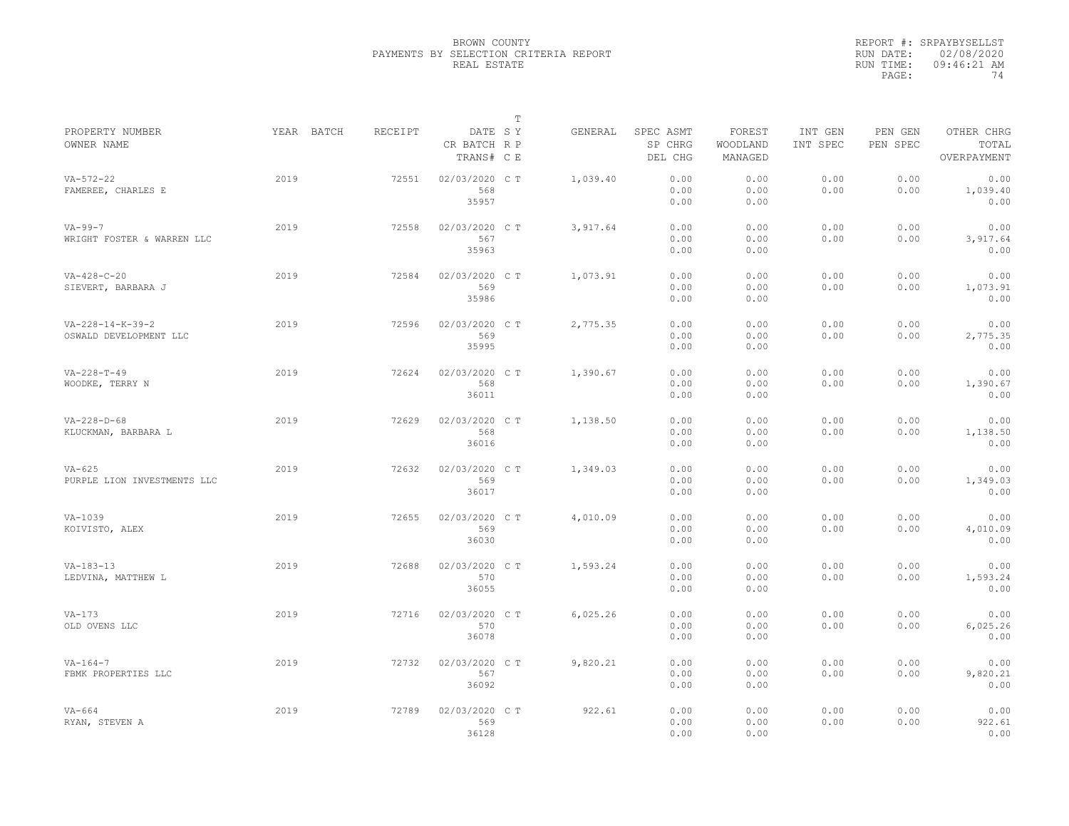|                                                        |            |         |                                       | T |          |                                 |                               |                     |                     |                                    |
|--------------------------------------------------------|------------|---------|---------------------------------------|---|----------|---------------------------------|-------------------------------|---------------------|---------------------|------------------------------------|
| PROPERTY NUMBER<br>OWNER NAME                          | YEAR BATCH | RECEIPT | DATE SY<br>CR BATCH R P<br>TRANS# C E |   | GENERAL  | SPEC ASMT<br>SP CHRG<br>DEL CHG | FOREST<br>WOODLAND<br>MANAGED | INT GEN<br>INT SPEC | PEN GEN<br>PEN SPEC | OTHER CHRG<br>TOTAL<br>OVERPAYMENT |
| $VA - 572 - 22$<br>FAMEREE, CHARLES E                  | 2019       | 72551   | 02/03/2020 C T<br>568<br>35957        |   | 1,039.40 | 0.00<br>0.00<br>0.00            | 0.00<br>0.00<br>0.00          | 0.00<br>0.00        | 0.00<br>0.00        | 0.00<br>1,039.40<br>0.00           |
| $VA - 99 - 7$<br>WRIGHT FOSTER & WARREN LLC            | 2019       | 72558   | 02/03/2020 C T<br>567<br>35963        |   | 3,917.64 | 0.00<br>0.00<br>0.00            | 0.00<br>0.00<br>0.00          | 0.00<br>0.00        | 0.00<br>0.00        | 0.00<br>3,917.64<br>0.00           |
| $VA-428-C-20$<br>SIEVERT, BARBARA J                    | 2019       | 72584   | 02/03/2020 C T<br>569<br>35986        |   | 1,073.91 | 0.00<br>0.00<br>0.00            | 0.00<br>0.00<br>0.00          | 0.00<br>0.00        | 0.00<br>0.00        | 0.00<br>1,073.91<br>0.00           |
| $VA - 228 - 14 - K - 39 - 2$<br>OSWALD DEVELOPMENT LLC | 2019       | 72596   | 02/03/2020 C T<br>569<br>35995        |   | 2,775.35 | 0.00<br>0.00<br>0.00            | 0.00<br>0.00<br>0.00          | 0.00<br>0.00        | 0.00<br>0.00        | 0.00<br>2,775.35<br>0.00           |
| $VA - 228 - T - 49$<br>WOODKE, TERRY N                 | 2019       | 72624   | 02/03/2020 C T<br>568<br>36011        |   | 1,390.67 | 0.00<br>0.00<br>0.00            | 0.00<br>0.00<br>0.00          | 0.00<br>0.00        | 0.00<br>0.00        | 0.00<br>1,390.67<br>0.00           |
| $VA - 228 - D - 68$<br>KLUCKMAN, BARBARA L             | 2019       | 72629   | 02/03/2020 C T<br>568<br>36016        |   | 1,138.50 | 0.00<br>0.00<br>0.00            | 0.00<br>0.00<br>0.00          | 0.00<br>0.00        | 0.00<br>0.00        | 0.00<br>1,138.50<br>0.00           |
| $VA-625$<br>PURPLE LION INVESTMENTS LLC                | 2019       | 72632   | 02/03/2020 C T<br>569<br>36017        |   | 1,349.03 | 0.00<br>0.00<br>0.00            | 0.00<br>0.00<br>0.00          | 0.00<br>0.00        | 0.00<br>0.00        | 0.00<br>1,349.03<br>0.00           |
| $VA-1039$<br>KOIVISTO, ALEX                            | 2019       | 72655   | 02/03/2020 C T<br>569<br>36030        |   | 4,010.09 | 0.00<br>0.00<br>0.00            | 0.00<br>0.00<br>0.00          | 0.00<br>0.00        | 0.00<br>0.00        | 0.00<br>4,010.09<br>0.00           |
| $VA-183-13$<br>LEDVINA, MATTHEW L                      | 2019       | 72688   | 02/03/2020 C T<br>570<br>36055        |   | 1,593.24 | 0.00<br>0.00<br>0.00            | 0.00<br>0.00<br>0.00          | 0.00<br>0.00        | 0.00<br>0.00        | 0.00<br>1,593.24<br>0.00           |
| $VA-173$<br>OLD OVENS LLC                              | 2019       | 72716   | 02/03/2020 C T<br>570<br>36078        |   | 6,025.26 | 0.00<br>0.00<br>0.00            | 0.00<br>0.00<br>0.00          | 0.00<br>0.00        | 0.00<br>0.00        | 0.00<br>6,025.26<br>0.00           |
| $VA - 164 - 7$<br>FBMK PROPERTIES LLC                  | 2019       | 72732   | 02/03/2020 C T<br>567<br>36092        |   | 9,820.21 | 0.00<br>0.00<br>0.00            | 0.00<br>0.00<br>0.00          | 0.00<br>0.00        | 0.00<br>0.00        | 0.00<br>9,820.21<br>0.00           |
| $VA-664$<br>RYAN, STEVEN A                             | 2019       | 72789   | 02/03/2020 CT<br>569<br>36128         |   | 922.61   | 0.00<br>0.00<br>0.00            | 0.00<br>0.00<br>0.00          | 0.00<br>0.00        | 0.00<br>0.00        | 0.00<br>922.61<br>0.00             |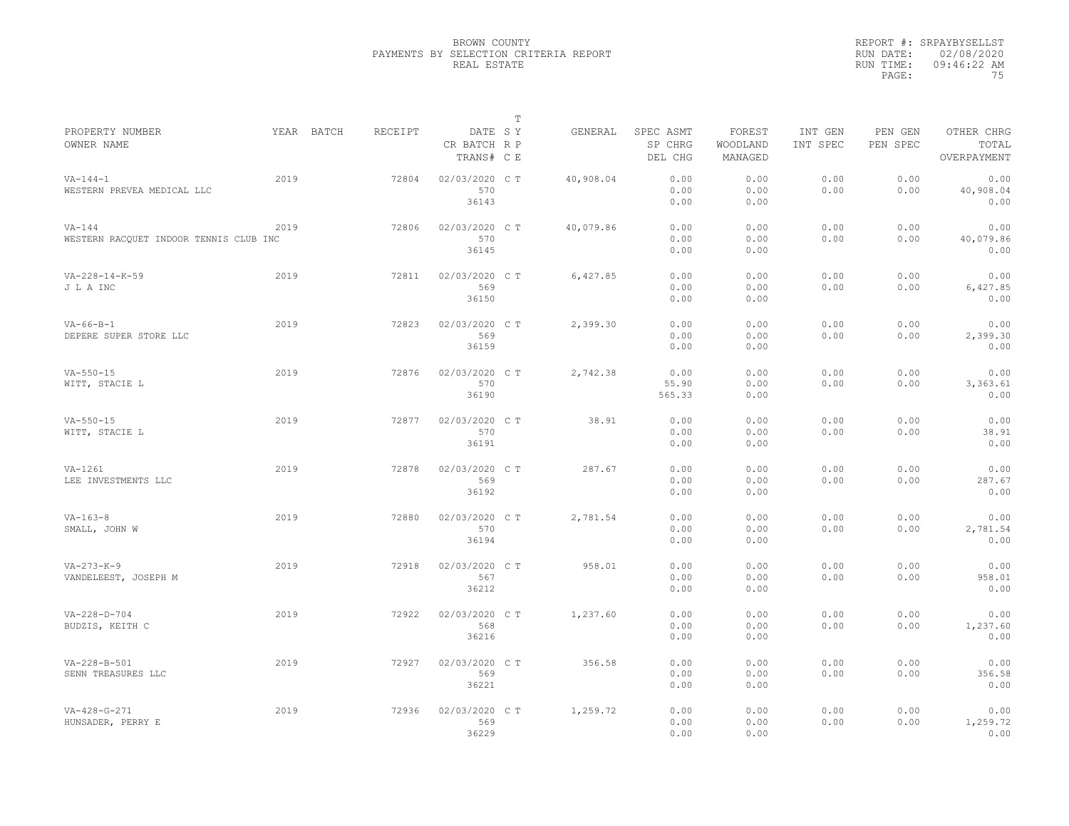|                                                    |            |         |                                       | $\mathbb T$ |           |                                 |                               |                     |                     |                                    |
|----------------------------------------------------|------------|---------|---------------------------------------|-------------|-----------|---------------------------------|-------------------------------|---------------------|---------------------|------------------------------------|
| PROPERTY NUMBER<br>OWNER NAME                      | YEAR BATCH | RECEIPT | DATE SY<br>CR BATCH R P<br>TRANS# C E |             | GENERAL   | SPEC ASMT<br>SP CHRG<br>DEL CHG | FOREST<br>WOODLAND<br>MANAGED | INT GEN<br>INT SPEC | PEN GEN<br>PEN SPEC | OTHER CHRG<br>TOTAL<br>OVERPAYMENT |
| $VA - 144 - 1$<br>WESTERN PREVEA MEDICAL LLC       | 2019       | 72804   | 02/03/2020 CT<br>570<br>36143         |             | 40,908.04 | 0.00<br>0.00<br>0.00            | 0.00<br>0.00<br>0.00          | 0.00<br>0.00        | 0.00<br>0.00        | 0.00<br>40,908.04<br>0.00          |
| $VA-144$<br>WESTERN RACQUET INDOOR TENNIS CLUB INC | 2019       | 72806   | 02/03/2020 C T<br>570<br>36145        |             | 40,079.86 | 0.00<br>0.00<br>0.00            | 0.00<br>0.00<br>0.00          | 0.00<br>0.00        | 0.00<br>0.00        | 0.00<br>40,079.86<br>0.00          |
| $VA - 228 - 14 - K - 59$<br>J L A INC              | 2019       | 72811   | 02/03/2020 C T<br>569<br>36150        |             | 6,427.85  | 0.00<br>0.00<br>0.00            | 0.00<br>0.00<br>0.00          | 0.00<br>0.00        | 0.00<br>0.00        | 0.00<br>6,427.85<br>0.00           |
| $VA-66-B-1$<br>DEPERE SUPER STORE LLC              | 2019       | 72823   | 02/03/2020 C T<br>569<br>36159        |             | 2,399.30  | 0.00<br>0.00<br>0.00            | 0.00<br>0.00<br>0.00          | 0.00<br>0.00        | 0.00<br>0.00        | 0.00<br>2,399.30<br>0.00           |
| $VA - 550 - 15$<br>WITT, STACIE L                  | 2019       | 72876   | 02/03/2020 C T<br>570<br>36190        |             | 2,742.38  | 0.00<br>55.90<br>565.33         | 0.00<br>0.00<br>0.00          | 0.00<br>0.00        | 0.00<br>0.00        | 0.00<br>3,363.61<br>0.00           |
| $VA - 550 - 15$<br>WITT, STACIE L                  | 2019       | 72877   | 02/03/2020 CT<br>570<br>36191         |             | 38.91     | 0.00<br>0.00<br>0.00            | 0.00<br>0.00<br>0.00          | 0.00<br>0.00        | 0.00<br>0.00        | 0.00<br>38.91<br>0.00              |
| VA-1261<br>LEE INVESTMENTS LLC                     | 2019       | 72878   | 02/03/2020 C T<br>569<br>36192        |             | 287.67    | 0.00<br>0.00<br>0.00            | 0.00<br>0.00<br>0.00          | 0.00<br>0.00        | 0.00<br>0.00        | 0.00<br>287.67<br>0.00             |
| $VA - 163 - 8$<br>SMALL, JOHN W                    | 2019       | 72880   | 02/03/2020 C T<br>570<br>36194        |             | 2,781.54  | 0.00<br>0.00<br>0.00            | 0.00<br>0.00<br>0.00          | 0.00<br>0.00        | 0.00<br>0.00        | 0.00<br>2,781.54<br>0.00           |
| $VA - 273 - K - 9$<br>VANDELEEST, JOSEPH M         | 2019       | 72918   | 02/03/2020 CT<br>567<br>36212         |             | 958.01    | 0.00<br>0.00<br>0.00            | 0.00<br>0.00<br>0.00          | 0.00<br>0.00        | 0.00<br>0.00        | 0.00<br>958.01<br>0.00             |
| $VA - 228 - D - 704$<br>BUDZIS, KEITH C            | 2019       | 72922   | 02/03/2020 C T<br>568<br>36216        |             | 1,237.60  | 0.00<br>0.00<br>0.00            | 0.00<br>0.00<br>0.00          | 0.00<br>0.00        | 0.00<br>0.00        | 0.00<br>1,237.60<br>0.00           |
| VA-228-B-501<br>SENN TREASURES LLC                 | 2019       | 72927   | 02/03/2020 C T<br>569<br>36221        |             | 356.58    | 0.00<br>0.00<br>0.00            | 0.00<br>0.00<br>0.00          | 0.00<br>0.00        | 0.00<br>0.00        | 0.00<br>356.58<br>0.00             |
| $VA - 428 - G - 271$<br>HUNSADER, PERRY E          | 2019       | 72936   | 02/03/2020 C T<br>569<br>36229        |             | 1,259.72  | 0.00<br>0.00<br>0.00            | 0.00<br>0.00<br>0.00          | 0.00<br>0.00        | 0.00<br>0.00        | 0.00<br>1,259.72<br>0.00           |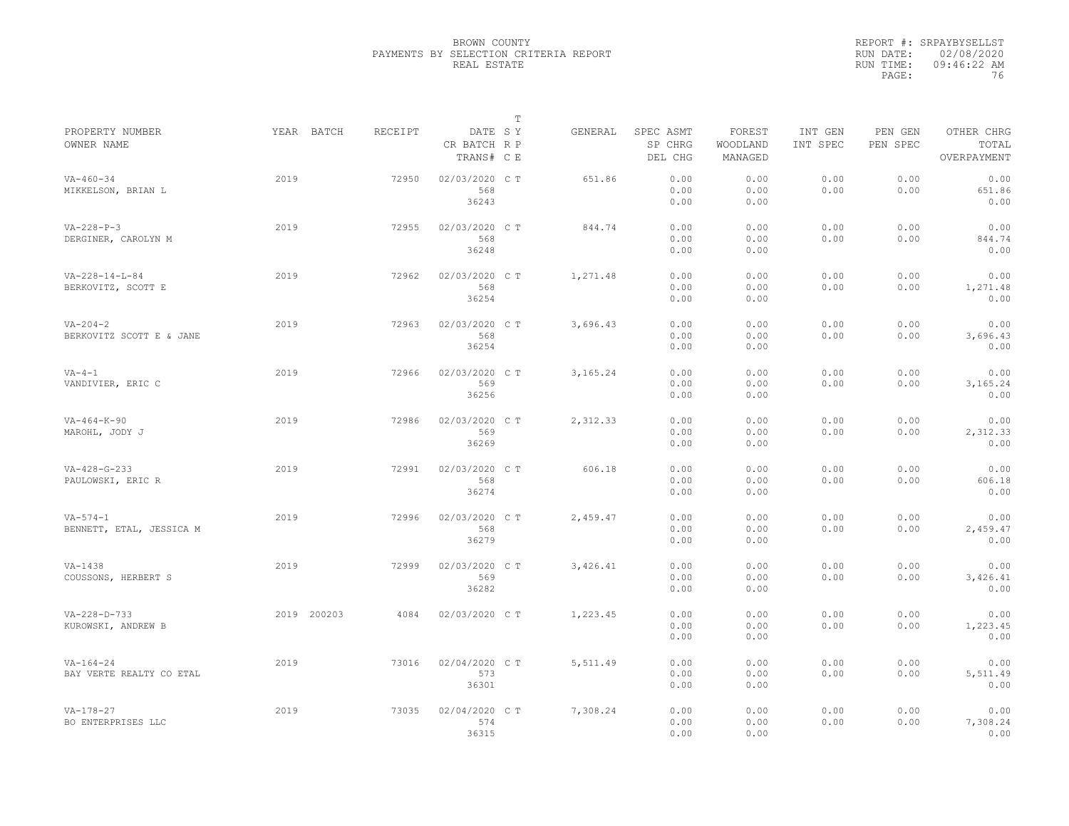|                               |             |         |                                       | $\mathbb T$ |          |                                 |                               |                     |                     |                                    |
|-------------------------------|-------------|---------|---------------------------------------|-------------|----------|---------------------------------|-------------------------------|---------------------|---------------------|------------------------------------|
| PROPERTY NUMBER<br>OWNER NAME | YEAR BATCH  | RECEIPT | DATE SY<br>CR BATCH R P<br>TRANS# C E |             | GENERAL  | SPEC ASMT<br>SP CHRG<br>DEL CHG | FOREST<br>WOODLAND<br>MANAGED | INT GEN<br>INT SPEC | PEN GEN<br>PEN SPEC | OTHER CHRG<br>TOTAL<br>OVERPAYMENT |
| $VA - 460 - 34$               | 2019        | 72950   | 02/03/2020 C T                        |             | 651.86   | 0.00                            | 0.00                          | 0.00                | 0.00                | 0.00                               |
| MIKKELSON, BRIAN L            |             |         | 568                                   |             |          | 0.00                            | 0.00                          | 0.00                | 0.00                | 651.86                             |
|                               |             |         | 36243                                 |             |          | 0.00                            | 0.00                          |                     |                     | 0.00                               |
|                               |             |         |                                       |             |          |                                 |                               |                     |                     |                                    |
| $VA - 228 - P - 3$            | 2019        | 72955   | 02/03/2020 C T                        |             | 844.74   | 0.00                            | 0.00                          | 0.00                | 0.00                | 0.00                               |
| DERGINER, CAROLYN M           |             |         | 568                                   |             |          | 0.00                            | 0.00                          | 0.00                | 0.00                | 844.74                             |
|                               |             |         | 36248                                 |             |          | 0.00                            | 0.00                          |                     |                     | 0.00                               |
| $VA - 228 - 14 - L - 84$      | 2019        | 72962   | 02/03/2020 C T                        |             | 1,271.48 | 0.00                            | 0.00                          | 0.00                | 0.00                | 0.00                               |
| BERKOVITZ, SCOTT E            |             |         | 568                                   |             |          | 0.00                            | 0.00                          | 0.00                | 0.00                | 1,271.48                           |
|                               |             |         | 36254                                 |             |          | 0.00                            | 0.00                          |                     |                     | 0.00                               |
|                               |             |         |                                       |             |          |                                 |                               |                     |                     |                                    |
| $VA - 204 - 2$                | 2019        | 72963   | 02/03/2020 C T                        |             | 3,696.43 | 0.00                            | 0.00                          | 0.00                | 0.00                | 0.00                               |
| BERKOVITZ SCOTT E & JANE      |             |         | 568                                   |             |          | 0.00                            | 0.00                          | 0.00                | 0.00                | 3,696.43                           |
|                               |             |         | 36254                                 |             |          | 0.00                            | 0.00                          |                     |                     | 0.00                               |
| $VA-4-1$                      | 2019        | 72966   | 02/03/2020 CT                         |             | 3,165.24 | 0.00                            | 0.00                          | 0.00                | 0.00                | 0.00                               |
| VANDIVIER, ERIC C             |             |         | 569                                   |             |          | 0.00                            | 0.00                          | 0.00                | 0.00                | 3,165.24                           |
|                               |             |         | 36256                                 |             |          | 0.00                            | 0.00                          |                     |                     | 0.00                               |
|                               |             |         |                                       |             |          |                                 |                               |                     |                     |                                    |
| $VA - 464 - K - 90$           | 2019        | 72986   | 02/03/2020 C T                        |             | 2,312.33 | 0.00                            | 0.00                          | 0.00                | 0.00                | 0.00                               |
| MAROHL, JODY J                |             |         | 569                                   |             |          | 0.00                            | 0.00                          | 0.00                | 0.00                | 2,312.33                           |
|                               |             |         | 36269                                 |             |          | 0.00                            | 0.00                          |                     |                     | 0.00                               |
| $VA - 428 - G - 233$          | 2019        | 72991   | 02/03/2020 CT                         |             | 606.18   | 0.00                            | 0.00                          | 0.00                | 0.00                | 0.00                               |
| PAULOWSKI, ERIC R             |             |         | 568                                   |             |          | 0.00                            | 0.00                          | 0.00                | 0.00                | 606.18                             |
|                               |             |         | 36274                                 |             |          | 0.00                            | 0.00                          |                     |                     | 0.00                               |
|                               |             |         |                                       |             |          |                                 |                               |                     |                     |                                    |
| $VA - 574 - 1$                | 2019        | 72996   | 02/03/2020 C T                        |             | 2,459.47 | 0.00                            | 0.00                          | 0.00                | 0.00                | 0.00                               |
| BENNETT, ETAL, JESSICA M      |             |         | 568                                   |             |          | 0.00                            | 0.00                          | 0.00                | 0.00                | 2,459.47                           |
|                               |             |         | 36279                                 |             |          | 0.00                            | 0.00                          |                     |                     | 0.00                               |
|                               | 2019        |         |                                       |             |          |                                 | 0.00                          |                     |                     | 0.00                               |
| VA-1438                       |             | 72999   | 02/03/2020 C T                        |             | 3,426.41 | 0.00                            |                               | 0.00                | 0.00                |                                    |
| COUSSONS, HERBERT S           |             |         | 569                                   |             |          | 0.00                            | 0.00                          | 0.00                | 0.00                | 3,426.41                           |
|                               |             |         | 36282                                 |             |          | 0.00                            | 0.00                          |                     |                     | 0.00                               |
| $VA - 228 - D - 733$          | 2019 200203 | 4084    | 02/03/2020 C T                        |             | 1,223.45 | 0.00                            | 0.00                          | 0.00                | 0.00                | 0.00                               |
| KUROWSKI, ANDREW B            |             |         |                                       |             |          | 0.00                            | 0.00                          | 0.00                | 0.00                | 1,223.45                           |
|                               |             |         |                                       |             |          | 0.00                            | 0.00                          |                     |                     | 0.00                               |
|                               |             |         |                                       |             |          |                                 |                               |                     |                     |                                    |
| $VA - 164 - 24$               | 2019        | 73016   | 02/04/2020 C T                        |             | 5,511.49 | 0.00                            | 0.00                          | 0.00                | 0.00                | 0.00                               |
| BAY VERTE REALTY CO ETAL      |             |         | 573                                   |             |          | 0.00                            | 0.00                          | 0.00                | 0.00                | 5,511.49                           |
|                               |             |         | 36301                                 |             |          | 0.00                            | 0.00                          |                     |                     | 0.00                               |
| $VA - 178 - 27$               | 2019        | 73035   | 02/04/2020 C T                        |             | 7,308.24 | 0.00                            | 0.00                          | 0.00                | 0.00                | 0.00                               |
| BO ENTERPRISES LLC            |             |         | 574                                   |             |          | 0.00                            | 0.00                          | 0.00                | 0.00                | 7,308.24                           |
|                               |             |         |                                       |             |          |                                 |                               |                     |                     |                                    |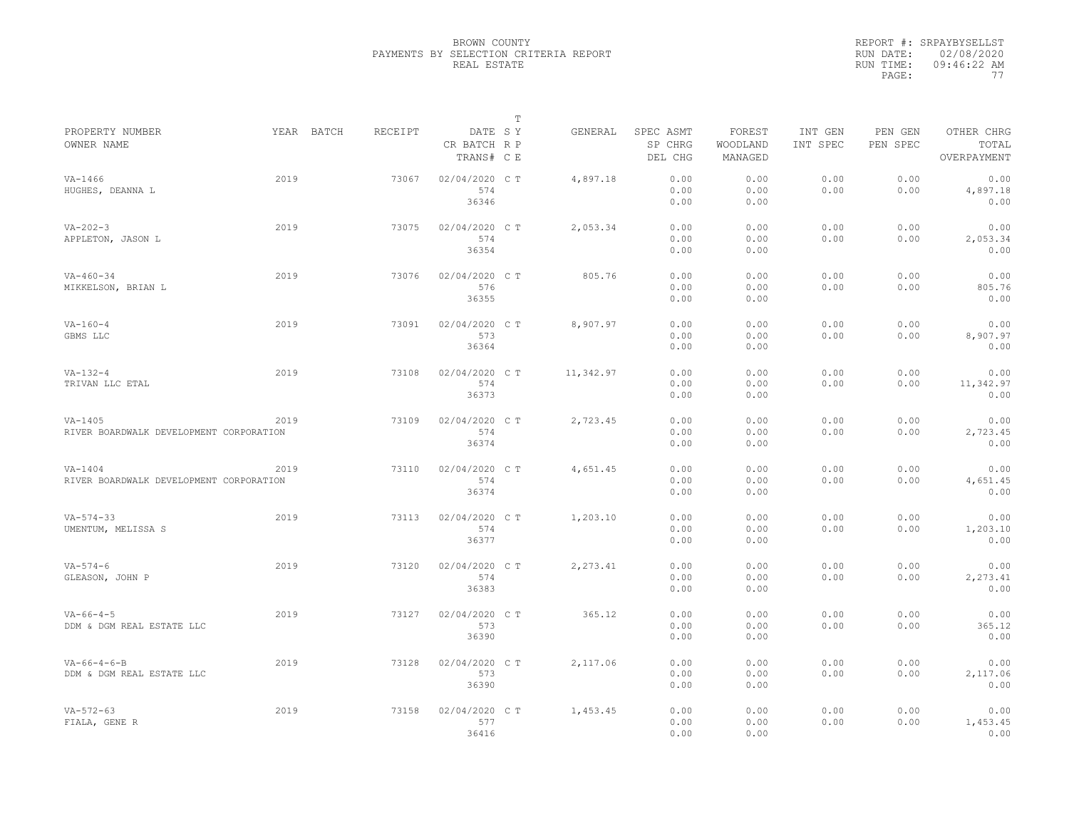|                                         |            |         |                                       | $\mathbb T$ |           |                                 |                               |                     |                     |                                    |
|-----------------------------------------|------------|---------|---------------------------------------|-------------|-----------|---------------------------------|-------------------------------|---------------------|---------------------|------------------------------------|
| PROPERTY NUMBER<br>OWNER NAME           | YEAR BATCH | RECEIPT | DATE SY<br>CR BATCH R P<br>TRANS# C E |             | GENERAL   | SPEC ASMT<br>SP CHRG<br>DEL CHG | FOREST<br>WOODLAND<br>MANAGED | INT GEN<br>INT SPEC | PEN GEN<br>PEN SPEC | OTHER CHRG<br>TOTAL<br>OVERPAYMENT |
| $VA - 1466$                             | 2019       | 73067   | 02/04/2020 C T                        |             | 4,897.18  | 0.00                            | 0.00                          | 0.00                | 0.00                | 0.00                               |
| HUGHES, DEANNA L                        |            |         | 574                                   |             |           | 0.00                            | 0.00                          | 0.00                | 0.00                | 4,897.18                           |
|                                         |            |         | 36346                                 |             |           | 0.00                            | 0.00                          |                     |                     | 0.00                               |
|                                         |            |         |                                       |             |           |                                 |                               |                     |                     |                                    |
| $VA - 202 - 3$                          | 2019       | 73075   | 02/04/2020 C T                        |             | 2,053.34  | 0.00                            | 0.00                          | 0.00                | 0.00                | 0.00                               |
| APPLETON, JASON L                       |            |         | 574                                   |             |           | 0.00                            | 0.00                          | 0.00                | 0.00                | 2,053.34                           |
|                                         |            |         | 36354                                 |             |           | 0.00                            | 0.00                          |                     |                     | 0.00                               |
| $VA - 460 - 34$                         | 2019       | 73076   | 02/04/2020 C T                        |             | 805.76    | 0.00                            | 0.00                          | 0.00                | 0.00                | 0.00                               |
| MIKKELSON, BRIAN L                      |            |         | 576                                   |             |           | 0.00                            | 0.00                          | 0.00                | 0.00                | 805.76                             |
|                                         |            |         | 36355                                 |             |           | 0.00                            | 0.00                          |                     |                     | 0.00                               |
| $VA - 160 - 4$                          | 2019       | 73091   | 02/04/2020 C T                        |             | 8,907.97  | 0.00                            | 0.00                          | 0.00                | 0.00                | 0.00                               |
| GBMS LLC                                |            |         | 573                                   |             |           | 0.00                            | 0.00                          | 0.00                | 0.00                | 8,907.97                           |
|                                         |            |         | 36364                                 |             |           | 0.00                            | 0.00                          |                     |                     | 0.00                               |
| $VA - 132 - 4$                          | 2019       | 73108   | 02/04/2020 C T                        |             | 11,342.97 | 0.00                            | 0.00                          | 0.00                | 0.00                | 0.00                               |
| TRIVAN LLC ETAL                         |            |         | 574                                   |             |           | 0.00                            | 0.00                          | 0.00                | 0.00                | 11,342.97                          |
|                                         |            |         | 36373                                 |             |           | 0.00                            | 0.00                          |                     |                     | 0.00                               |
| $VA-1405$                               | 2019       | 73109   | 02/04/2020 C T                        |             | 2,723.45  | 0.00                            | 0.00                          | 0.00                | 0.00                | 0.00                               |
| RIVER BOARDWALK DEVELOPMENT CORPORATION |            |         | 574                                   |             |           | 0.00                            | 0.00                          | 0.00                | 0.00                | 2,723.45                           |
|                                         |            |         | 36374                                 |             |           | 0.00                            | 0.00                          |                     |                     | 0.00                               |
| $VA - 1404$                             | 2019       | 73110   | 02/04/2020 C T                        |             | 4,651.45  | 0.00                            | 0.00                          | 0.00                | 0.00                | 0.00                               |
| RIVER BOARDWALK DEVELOPMENT CORPORATION |            |         | 574                                   |             |           | 0.00                            | 0.00                          | 0.00                | 0.00                | 4,651.45                           |
|                                         |            |         | 36374                                 |             |           | 0.00                            | 0.00                          |                     |                     | 0.00                               |
| $VA - 574 - 33$                         | 2019       | 73113   | 02/04/2020 C T                        |             | 1,203.10  | 0.00                            | 0.00                          | 0.00                | 0.00                | 0.00                               |
| UMENTUM, MELISSA S                      |            |         | 574                                   |             |           | 0.00                            | 0.00                          | 0.00                | 0.00                | 1,203.10                           |
|                                         |            |         | 36377                                 |             |           | 0.00                            | 0.00                          |                     |                     | 0.00                               |
| $VA - 574 - 6$                          | 2019       | 73120   | 02/04/2020 C T                        |             | 2,273.41  | 0.00                            | 0.00                          | 0.00                | 0.00                | 0.00                               |
| GLEASON, JOHN P                         |            |         | 574                                   |             |           | 0.00                            | 0.00                          | 0.00                | 0.00                | 2,273.41                           |
|                                         |            |         | 36383                                 |             |           | 0.00                            | 0.00                          |                     |                     | 0.00                               |
| $VA - 66 - 4 - 5$                       | 2019       | 73127   | 02/04/2020 C T                        |             | 365.12    | 0.00                            | 0.00                          | 0.00                | 0.00                | 0.00                               |
| DDM & DGM REAL ESTATE LLC               |            |         | 573                                   |             |           | 0.00                            | 0.00                          | 0.00                | 0.00                | 365.12                             |
|                                         |            |         | 36390                                 |             |           | 0.00                            | 0.00                          |                     |                     | 0.00                               |
| $VA-66-4-6-B$                           | 2019       | 73128   | 02/04/2020 C T                        |             | 2,117.06  | 0.00                            | 0.00                          | 0.00                | 0.00                | 0.00                               |
| DDM & DGM REAL ESTATE LLC               |            |         | 573                                   |             |           | 0.00                            | 0.00                          | 0.00                | 0.00                | 2,117.06                           |
|                                         |            |         | 36390                                 |             |           | 0.00                            | 0.00                          |                     |                     | 0.00                               |
| $VA - 572 - 63$                         | 2019       | 73158   | 02/04/2020 C T                        |             | 1,453.45  | 0.00                            | 0.00                          | 0.00                | 0.00                | 0.00                               |
| FIALA, GENE R                           |            |         | 577                                   |             |           | 0.00                            | 0.00                          | 0.00                | 0.00                | 1,453.45                           |
|                                         |            |         |                                       |             |           |                                 |                               |                     |                     |                                    |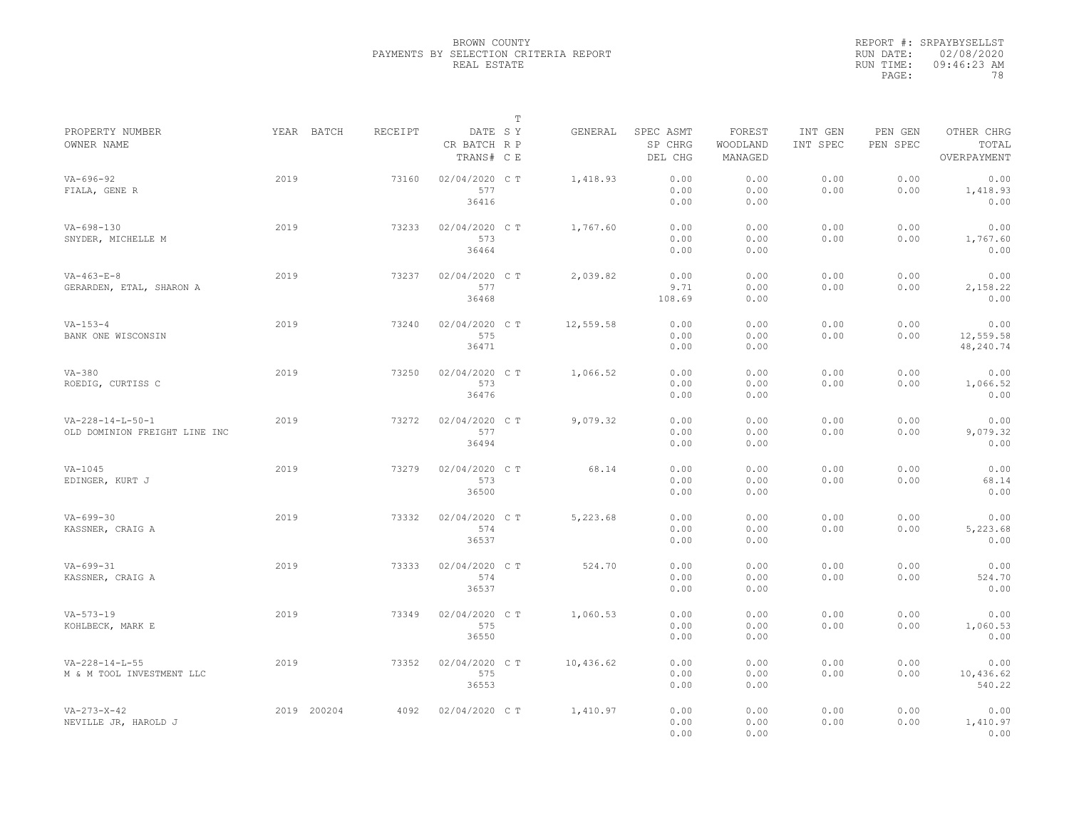|                                                               |             |         |                                       | T |           |                                 |                               |                     |                     |                                    |
|---------------------------------------------------------------|-------------|---------|---------------------------------------|---|-----------|---------------------------------|-------------------------------|---------------------|---------------------|------------------------------------|
| PROPERTY NUMBER<br>OWNER NAME                                 | YEAR BATCH  | RECEIPT | DATE SY<br>CR BATCH R P<br>TRANS# C E |   | GENERAL   | SPEC ASMT<br>SP CHRG<br>DEL CHG | FOREST<br>WOODLAND<br>MANAGED | INT GEN<br>INT SPEC | PEN GEN<br>PEN SPEC | OTHER CHRG<br>TOTAL<br>OVERPAYMENT |
| $VA - 696 - 92$<br>FIALA, GENE R                              | 2019        | 73160   | 02/04/2020 C T<br>577<br>36416        |   | 1,418.93  | 0.00<br>0.00<br>0.00            | 0.00<br>0.00<br>0.00          | 0.00<br>0.00        | 0.00<br>0.00        | 0.00<br>1,418.93<br>0.00           |
| $VA-698-130$<br>SNYDER, MICHELLE M                            | 2019        | 73233   | 02/04/2020 C T<br>573<br>36464        |   | 1,767.60  | 0.00<br>0.00<br>0.00            | 0.00<br>0.00<br>0.00          | 0.00<br>0.00        | 0.00<br>0.00        | 0.00<br>1,767.60<br>0.00           |
| $VA - 463 - E - 8$<br>GERARDEN, ETAL, SHARON A                | 2019        | 73237   | 02/04/2020 CT<br>577<br>36468         |   | 2,039.82  | 0.00<br>9.71<br>108.69          | 0.00<br>0.00<br>0.00          | 0.00<br>0.00        | 0.00<br>0.00        | 0.00<br>2,158.22<br>0.00           |
| $VA - 153 - 4$<br>BANK ONE WISCONSIN                          | 2019        | 73240   | 02/04/2020 C T<br>575<br>36471        |   | 12,559.58 | 0.00<br>0.00<br>0.00            | 0.00<br>0.00<br>0.00          | 0.00<br>0.00        | 0.00<br>0.00        | 0.00<br>12,559.58<br>48,240.74     |
| $VA-380$<br>ROEDIG, CURTISS C                                 | 2019        | 73250   | 02/04/2020 C T<br>573<br>36476        |   | 1,066.52  | 0.00<br>0.00<br>0.00            | 0.00<br>0.00<br>0.00          | 0.00<br>0.00        | 0.00<br>0.00        | 0.00<br>1,066.52<br>0.00           |
| $VA - 228 - 14 - L - 50 - 1$<br>OLD DOMINION FREIGHT LINE INC | 2019        | 73272   | 02/04/2020 C T<br>577<br>36494        |   | 9,079.32  | 0.00<br>0.00<br>0.00            | 0.00<br>0.00<br>0.00          | 0.00<br>0.00        | 0.00<br>0.00        | 0.00<br>9,079.32<br>0.00           |
| $VA-1045$<br>EDINGER, KURT J                                  | 2019        | 73279   | 02/04/2020 C T<br>573<br>36500        |   | 68.14     | 0.00<br>0.00<br>0.00            | 0.00<br>0.00<br>0.00          | 0.00<br>0.00        | 0.00<br>0.00        | 0.00<br>68.14<br>0.00              |
| $VA - 699 - 30$<br>KASSNER, CRAIG A                           | 2019        | 73332   | 02/04/2020 C T<br>574<br>36537        |   | 5,223.68  | 0.00<br>0.00<br>0.00            | 0.00<br>0.00<br>0.00          | 0.00<br>0.00        | 0.00<br>0.00        | 0.00<br>5,223.68<br>0.00           |
| $VA - 699 - 31$<br>KASSNER, CRAIG A                           | 2019        | 73333   | 02/04/2020 C T<br>574<br>36537        |   | 524.70    | 0.00<br>0.00<br>0.00            | 0.00<br>0.00<br>0.00          | 0.00<br>0.00        | 0.00<br>0.00        | 0.00<br>524.70<br>0.00             |
| $VA - 573 - 19$<br>KOHLBECK, MARK E                           | 2019        | 73349   | 02/04/2020 C T<br>575<br>36550        |   | 1,060.53  | 0.00<br>0.00<br>0.00            | 0.00<br>0.00<br>0.00          | 0.00<br>0.00        | 0.00<br>0.00        | 0.00<br>1,060.53<br>0.00           |
| $VA - 228 - 14 - L - 55$<br>M & M TOOL INVESTMENT LLC         | 2019        | 73352   | 02/04/2020 C T<br>575<br>36553        |   | 10,436.62 | 0.00<br>0.00<br>0.00            | 0.00<br>0.00<br>0.00          | 0.00<br>0.00        | 0.00<br>0.00        | 0.00<br>10,436.62<br>540.22        |
| $VA - 273 - X - 42$<br>NEVILLE JR, HAROLD J                   | 2019 200204 | 4092    | 02/04/2020 C T                        |   | 1,410.97  | 0.00<br>0.00<br>0.00            | 0.00<br>0.00<br>0.00          | 0.00<br>0.00        | 0.00<br>0.00        | 0.00<br>1,410.97<br>0.00           |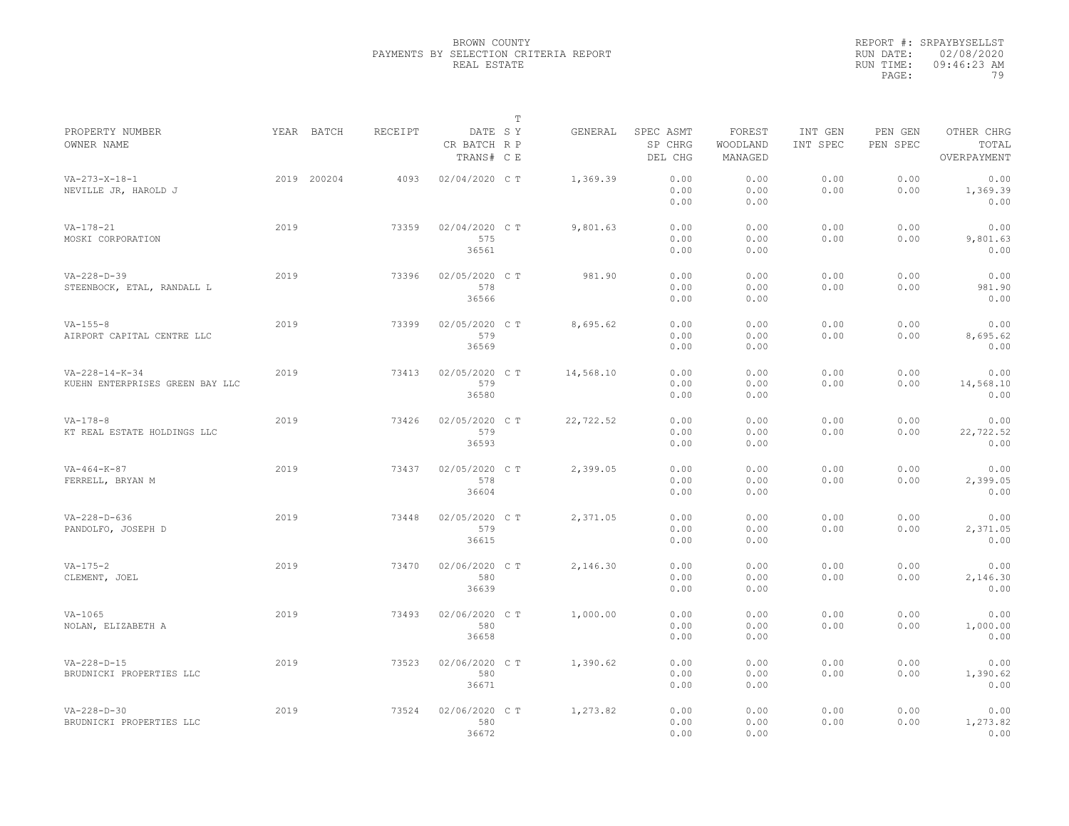|                                                             |      |             |         |                                       | T |           |                                 |                               |                     |                     |                                    |
|-------------------------------------------------------------|------|-------------|---------|---------------------------------------|---|-----------|---------------------------------|-------------------------------|---------------------|---------------------|------------------------------------|
| PROPERTY NUMBER<br>OWNER NAME                               |      | YEAR BATCH  | RECEIPT | DATE SY<br>CR BATCH R P<br>TRANS# C E |   | GENERAL   | SPEC ASMT<br>SP CHRG<br>DEL CHG | FOREST<br>WOODLAND<br>MANAGED | INT GEN<br>INT SPEC | PEN GEN<br>PEN SPEC | OTHER CHRG<br>TOTAL<br>OVERPAYMENT |
| $VA - 273 - X - 18 - 1$<br>NEVILLE JR, HAROLD J             |      | 2019 200204 | 4093    | 02/04/2020 C T                        |   | 1,369.39  | 0.00<br>0.00<br>0.00            | 0.00<br>0.00<br>0.00          | 0.00<br>0.00        | 0.00<br>0.00        | 0.00<br>1,369.39<br>0.00           |
| $VA - 178 - 21$<br>MOSKI CORPORATION                        | 2019 |             | 73359   | 02/04/2020 C T<br>575<br>36561        |   | 9,801.63  | 0.00<br>0.00<br>0.00            | 0.00<br>0.00<br>0.00          | 0.00<br>0.00        | 0.00<br>0.00        | 0.00<br>9,801.63<br>0.00           |
| $VA - 228 - D - 39$<br>STEENBOCK, ETAL, RANDALL L           | 2019 |             | 73396   | 02/05/2020 C T<br>578<br>36566        |   | 981.90    | 0.00<br>0.00<br>0.00            | 0.00<br>0.00<br>0.00          | 0.00<br>0.00        | 0.00<br>0.00        | 0.00<br>981.90<br>0.00             |
| $VA - 155 - 8$<br>AIRPORT CAPITAL CENTRE LLC                | 2019 |             | 73399   | 02/05/2020 C T<br>579<br>36569        |   | 8,695.62  | 0.00<br>0.00<br>0.00            | 0.00<br>0.00<br>0.00          | 0.00<br>0.00        | 0.00<br>0.00        | 0.00<br>8,695.62<br>0.00           |
| $VA - 228 - 14 - K - 34$<br>KUEHN ENTERPRISES GREEN BAY LLC | 2019 |             | 73413   | 02/05/2020 C T<br>579<br>36580        |   | 14,568.10 | 0.00<br>0.00<br>0.00            | 0.00<br>0.00<br>0.00          | 0.00<br>0.00        | 0.00<br>0.00        | 0.00<br>14,568.10<br>0.00          |
| $VA - 178 - 8$<br>KT REAL ESTATE HOLDINGS LLC               | 2019 |             | 73426   | 02/05/2020 C T<br>579<br>36593        |   | 22,722.52 | 0.00<br>0.00<br>0.00            | 0.00<br>0.00<br>0.00          | 0.00<br>0.00        | 0.00<br>0.00        | 0.00<br>22,722.52<br>0.00          |
| $VA - 464 - K - 87$<br>FERRELL, BRYAN M                     | 2019 |             | 73437   | 02/05/2020 C T<br>578<br>36604        |   | 2,399.05  | 0.00<br>0.00<br>0.00            | 0.00<br>0.00<br>0.00          | 0.00<br>0.00        | 0.00<br>0.00        | 0.00<br>2,399.05<br>0.00           |
| $VA - 228 - D - 636$<br>PANDOLFO, JOSEPH D                  | 2019 |             | 73448   | 02/05/2020 C T<br>579<br>36615        |   | 2,371.05  | 0.00<br>0.00<br>0.00            | 0.00<br>0.00<br>0.00          | 0.00<br>0.00        | 0.00<br>0.00        | 0.00<br>2,371.05<br>0.00           |
| $VA - 175 - 2$<br>CLEMENT, JOEL                             | 2019 |             | 73470   | 02/06/2020 C T<br>580<br>36639        |   | 2,146.30  | 0.00<br>0.00<br>0.00            | 0.00<br>0.00<br>0.00          | 0.00<br>0.00        | 0.00<br>0.00        | 0.00<br>2,146.30<br>0.00           |
| $VA-1065$<br>NOLAN, ELIZABETH A                             | 2019 |             | 73493   | 02/06/2020 C T<br>580<br>36658        |   | 1,000.00  | 0.00<br>0.00<br>0.00            | 0.00<br>0.00<br>0.00          | 0.00<br>0.00        | 0.00<br>0.00        | 0.00<br>1,000.00<br>0.00           |
| $VA-228-D-15$<br>BRUDNICKI PROPERTIES LLC                   | 2019 |             | 73523   | 02/06/2020 C T<br>580<br>36671        |   | 1,390.62  | 0.00<br>0.00<br>0.00            | 0.00<br>0.00<br>0.00          | 0.00<br>0.00        | 0.00<br>0.00        | 0.00<br>1,390.62<br>0.00           |
| $VA - 228 - D - 30$<br>BRUDNICKI PROPERTIES LLC             | 2019 |             | 73524   | 02/06/2020 CT<br>580<br>36672         |   | 1,273.82  | 0.00<br>0.00<br>0.00            | 0.00<br>0.00<br>0.00          | 0.00<br>0.00        | 0.00<br>0.00        | 0.00<br>1,273.82<br>0.00           |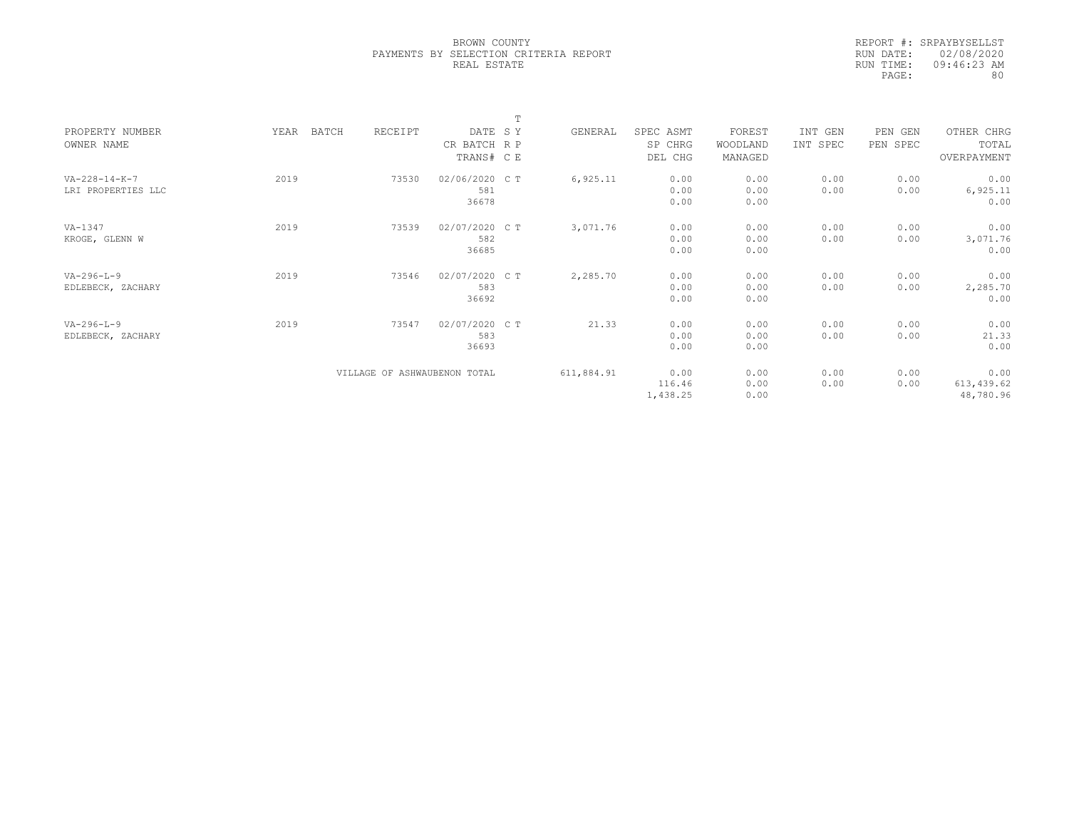|            | REPORT #: SRPAYBYSELLST |
|------------|-------------------------|
| RUN DATE:  | 02/08/2020              |
| RIIN TIME: | 09:46:23 AM             |
| PAGE:      | 80                      |
|            |                         |

|                         |      |       |                              |               | T |            |           |          |          |          |             |  |
|-------------------------|------|-------|------------------------------|---------------|---|------------|-----------|----------|----------|----------|-------------|--|
| PROPERTY NUMBER         | YEAR | BATCH | RECEIPT                      | DATE SY       |   | GENERAL    | SPEC ASMT | FOREST   | INT GEN  | PEN GEN  | OTHER CHRG  |  |
| OWNER NAME              |      |       |                              | CR BATCH R P  |   |            | SP CHRG   | WOODLAND | INT SPEC | PEN SPEC | TOTAL       |  |
|                         |      |       |                              | TRANS# C E    |   |            | DEL CHG   | MANAGED  |          |          | OVERPAYMENT |  |
| $VA - 228 - 14 - K - 7$ | 2019 |       | 73530                        | 02/06/2020 CT |   | 6,925.11   | 0.00      | 0.00     | 0.00     | 0.00     | 0.00        |  |
| LRI PROPERTIES LLC      |      |       |                              | 581           |   |            | 0.00      | 0.00     | 0.00     | 0.00     | 6,925.11    |  |
|                         |      |       |                              | 36678         |   |            | 0.00      | 0.00     |          |          | 0.00        |  |
|                         |      |       |                              |               |   |            |           |          |          |          |             |  |
| VA-1347                 | 2019 |       | 73539                        | 02/07/2020 CT |   | 3,071.76   | 0.00      | 0.00     | 0.00     | 0.00     | 0.00        |  |
| KROGE, GLENN W          |      |       |                              | 582           |   |            | 0.00      | 0.00     | 0.00     | 0.00     | 3,071.76    |  |
|                         |      |       |                              | 36685         |   |            | 0.00      | 0.00     |          |          | 0.00        |  |
|                         |      |       |                              |               |   |            |           |          |          |          |             |  |
| $VA-296-L-9$            | 2019 |       | 73546                        | 02/07/2020 CT |   | 2,285.70   | 0.00      | 0.00     | 0.00     | 0.00     | 0.00        |  |
| EDLEBECK, ZACHARY       |      |       |                              | 583           |   |            | 0.00      | 0.00     | 0.00     | 0.00     | 2,285.70    |  |
|                         |      |       |                              | 36692         |   |            | 0.00      | 0.00     |          |          | 0.00        |  |
| $VA-296-L-9$            | 2019 |       | 73547                        | 02/07/2020 CT |   | 21.33      | 0.00      | 0.00     | 0.00     | 0.00     | 0.00        |  |
| EDLEBECK, ZACHARY       |      |       |                              | 583           |   |            | 0.00      | 0.00     | 0.00     | 0.00     | 21.33       |  |
|                         |      |       |                              | 36693         |   |            | 0.00      | 0.00     |          |          | 0.00        |  |
|                         |      |       |                              |               |   |            |           |          |          |          |             |  |
|                         |      |       | VILLAGE OF ASHWAUBENON TOTAL |               |   | 611,884.91 | 0.00      | 0.00     | 0.00     | 0.00     | 0.00        |  |
|                         |      |       |                              |               |   |            | 116.46    | 0.00     | 0.00     | 0.00     | 613,439.62  |  |
|                         |      |       |                              |               |   |            | 1,438.25  | 0.00     |          |          | 48,780.96   |  |
|                         |      |       |                              |               |   |            |           |          |          |          |             |  |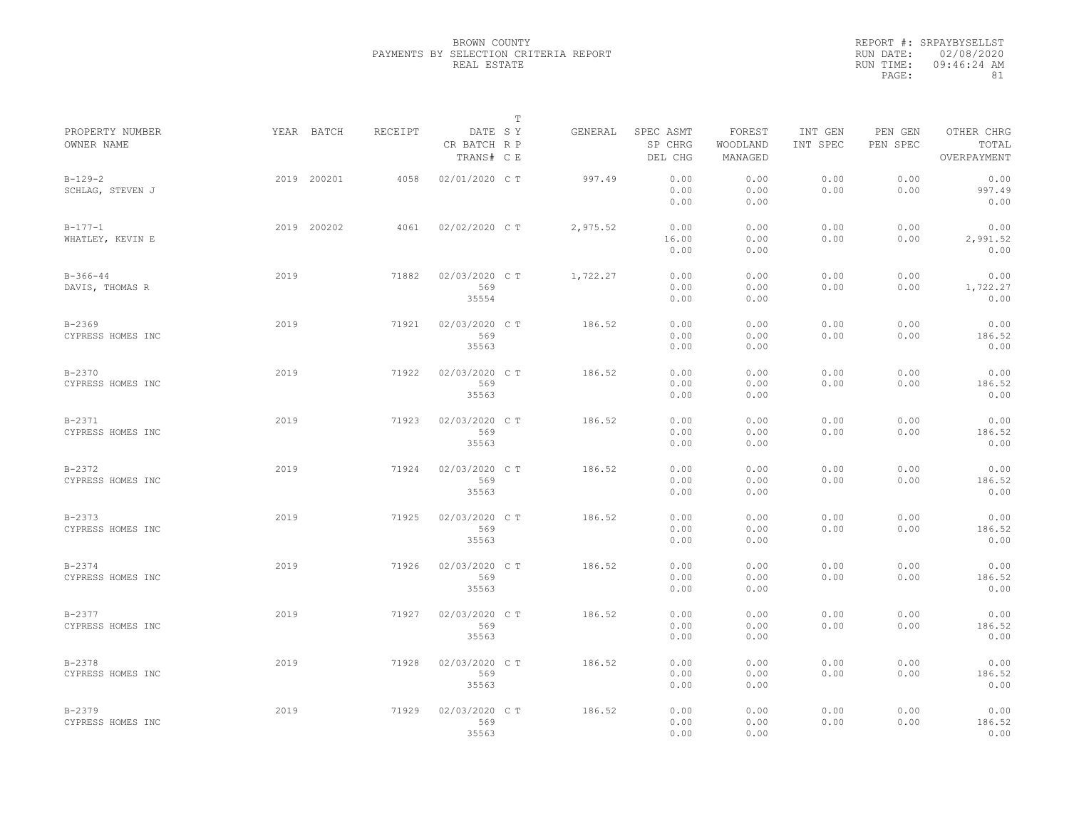|                                 |             |         |                                       | $\mathbb{T}$ |          |                                 |                               |                     |                     |                                    |
|---------------------------------|-------------|---------|---------------------------------------|--------------|----------|---------------------------------|-------------------------------|---------------------|---------------------|------------------------------------|
| PROPERTY NUMBER<br>OWNER NAME   | YEAR BATCH  | RECEIPT | DATE SY<br>CR BATCH R P<br>TRANS# C E |              | GENERAL  | SPEC ASMT<br>SP CHRG<br>DEL CHG | FOREST<br>WOODLAND<br>MANAGED | INT GEN<br>INT SPEC | PEN GEN<br>PEN SPEC | OTHER CHRG<br>TOTAL<br>OVERPAYMENT |
| $B-129-2$<br>SCHLAG, STEVEN J   | 2019 200201 | 4058    | 02/01/2020 C T                        |              | 997.49   | 0.00<br>0.00<br>0.00            | 0.00<br>0.00<br>0.00          | 0.00<br>0.00        | 0.00<br>0.00        | 0.00<br>997.49<br>0.00             |
| $B-177-1$<br>WHATLEY, KEVIN E   | 2019 200202 | 4061    | 02/02/2020 C T                        |              | 2,975.52 | 0.00<br>16.00<br>0.00           | 0.00<br>0.00<br>0.00          | 0.00<br>0.00        | 0.00<br>0.00        | 0.00<br>2,991.52<br>0.00           |
| $B-366-44$<br>DAVIS, THOMAS R   | 2019        | 71882   | 02/03/2020 C T<br>569<br>35554        |              | 1,722.27 | 0.00<br>0.00<br>0.00            | 0.00<br>0.00<br>0.00          | 0.00<br>0.00        | 0.00<br>0.00        | 0.00<br>1,722.27<br>0.00           |
| $B - 2369$<br>CYPRESS HOMES INC | 2019        | 71921   | 02/03/2020 C T<br>569<br>35563        |              | 186.52   | 0.00<br>0.00<br>0.00            | 0.00<br>0.00<br>0.00          | 0.00<br>0.00        | 0.00<br>0.00        | 0.00<br>186.52<br>0.00             |
| $B - 2370$<br>CYPRESS HOMES INC | 2019        | 71922   | 02/03/2020 C T<br>569<br>35563        |              | 186.52   | 0.00<br>0.00<br>0.00            | 0.00<br>0.00<br>0.00          | 0.00<br>0.00        | 0.00<br>0.00        | 0.00<br>186.52<br>0.00             |
| $B - 2371$<br>CYPRESS HOMES INC | 2019        | 71923   | 02/03/2020 C T<br>569<br>35563        |              | 186.52   | 0.00<br>0.00<br>0.00            | 0.00<br>0.00<br>0.00          | 0.00<br>0.00        | 0.00<br>0.00        | 0.00<br>186.52<br>0.00             |
| $B - 2372$<br>CYPRESS HOMES INC | 2019        | 71924   | 02/03/2020 C T<br>569<br>35563        |              | 186.52   | 0.00<br>0.00<br>0.00            | 0.00<br>0.00<br>0.00          | 0.00<br>0.00        | 0.00<br>0.00        | 0.00<br>186.52<br>0.00             |
| $B - 2373$<br>CYPRESS HOMES INC | 2019        | 71925   | 02/03/2020 C T<br>569<br>35563        |              | 186.52   | 0.00<br>0.00<br>0.00            | 0.00<br>0.00<br>0.00          | 0.00<br>0.00        | 0.00<br>0.00        | 0.00<br>186.52<br>0.00             |
| $B - 2374$<br>CYPRESS HOMES INC | 2019        | 71926   | 02/03/2020 C T<br>569<br>35563        |              | 186.52   | 0.00<br>0.00<br>0.00            | 0.00<br>0.00<br>0.00          | 0.00<br>0.00        | 0.00<br>0.00        | 0.00<br>186.52<br>0.00             |
| $B - 2377$<br>CYPRESS HOMES INC | 2019        | 71927   | 02/03/2020 C T<br>569<br>35563        |              | 186.52   | 0.00<br>0.00<br>0.00            | 0.00<br>0.00<br>0.00          | 0.00<br>0.00        | 0.00<br>0.00        | 0.00<br>186.52<br>0.00             |
| $B - 2378$<br>CYPRESS HOMES INC | 2019        | 71928   | 02/03/2020 C T<br>569<br>35563        |              | 186.52   | 0.00<br>0.00<br>0.00            | 0.00<br>0.00<br>0.00          | 0.00<br>0.00        | 0.00<br>0.00        | 0.00<br>186.52<br>0.00             |
| $B - 2379$<br>CYPRESS HOMES INC | 2019        | 71929   | 02/03/2020 C T<br>569<br>35563        |              | 186.52   | 0.00<br>0.00<br>0.00            | 0.00<br>0.00<br>0.00          | 0.00<br>0.00        | 0.00<br>0.00        | 0.00<br>186.52<br>0.00             |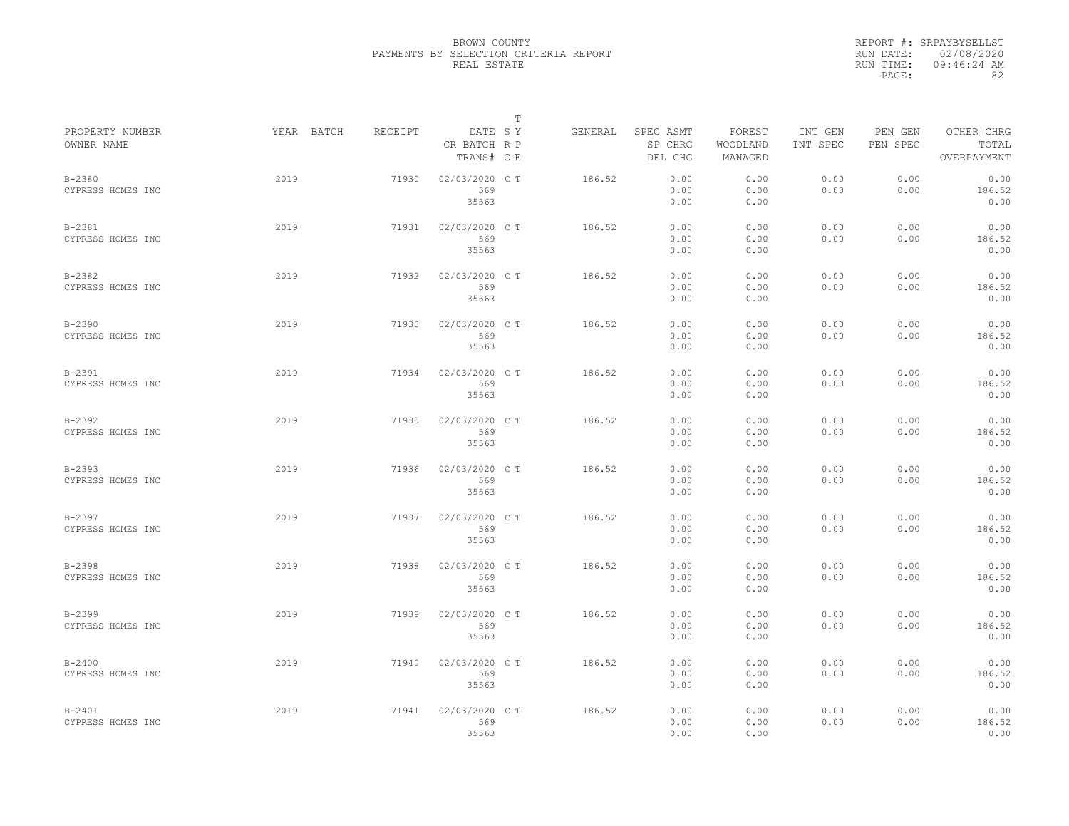|                                 |            |         |                                       | $\mathbb{T}$ |         |                                 |                               |                     |                     |                                    |
|---------------------------------|------------|---------|---------------------------------------|--------------|---------|---------------------------------|-------------------------------|---------------------|---------------------|------------------------------------|
| PROPERTY NUMBER<br>OWNER NAME   | YEAR BATCH | RECEIPT | DATE SY<br>CR BATCH R P<br>TRANS# C E |              | GENERAL | SPEC ASMT<br>SP CHRG<br>DEL CHG | FOREST<br>WOODLAND<br>MANAGED | INT GEN<br>INT SPEC | PEN GEN<br>PEN SPEC | OTHER CHRG<br>TOTAL<br>OVERPAYMENT |
| $B - 2380$<br>CYPRESS HOMES INC | 2019       | 71930   | 02/03/2020 C T<br>569<br>35563        |              | 186.52  | 0.00<br>0.00<br>0.00            | 0.00<br>0.00<br>0.00          | 0.00<br>0.00        | 0.00<br>0.00        | 0.00<br>186.52<br>0.00             |
| $B - 2381$<br>CYPRESS HOMES INC | 2019       | 71931   | 02/03/2020 C T<br>569<br>35563        |              | 186.52  | 0.00<br>0.00<br>0.00            | 0.00<br>0.00<br>0.00          | 0.00<br>0.00        | 0.00<br>0.00        | 0.00<br>186.52<br>0.00             |
| $B - 2382$<br>CYPRESS HOMES INC | 2019       | 71932   | 02/03/2020 C T<br>569<br>35563        |              | 186.52  | 0.00<br>0.00<br>0.00            | 0.00<br>0.00<br>0.00          | 0.00<br>0.00        | 0.00<br>0.00        | 0.00<br>186.52<br>0.00             |
| $B - 2390$<br>CYPRESS HOMES INC | 2019       | 71933   | 02/03/2020 C T<br>569<br>35563        |              | 186.52  | 0.00<br>0.00<br>0.00            | 0.00<br>0.00<br>0.00          | 0.00<br>0.00        | 0.00<br>0.00        | 0.00<br>186.52<br>0.00             |
| $B - 2391$<br>CYPRESS HOMES INC | 2019       | 71934   | 02/03/2020 C T<br>569<br>35563        |              | 186.52  | 0.00<br>0.00<br>0.00            | 0.00<br>0.00<br>0.00          | 0.00<br>0.00        | 0.00<br>0.00        | 0.00<br>186.52<br>0.00             |
| $B - 2392$<br>CYPRESS HOMES INC | 2019       | 71935   | 02/03/2020 C T<br>569<br>35563        |              | 186.52  | 0.00<br>0.00<br>0.00            | 0.00<br>0.00<br>0.00          | 0.00<br>0.00        | 0.00<br>0.00        | 0.00<br>186.52<br>0.00             |
| $B - 2393$<br>CYPRESS HOMES INC | 2019       | 71936   | 02/03/2020 C T<br>569<br>35563        |              | 186.52  | 0.00<br>0.00<br>0.00            | 0.00<br>0.00<br>0.00          | 0.00<br>0.00        | 0.00<br>0.00        | 0.00<br>186.52<br>0.00             |
| $B - 2397$<br>CYPRESS HOMES INC | 2019       | 71937   | 02/03/2020 C T<br>569<br>35563        |              | 186.52  | 0.00<br>0.00<br>0.00            | 0.00<br>0.00<br>0.00          | 0.00<br>0.00        | 0.00<br>0.00        | 0.00<br>186.52<br>0.00             |
| $B - 2398$<br>CYPRESS HOMES INC | 2019       | 71938   | 02/03/2020 C T<br>569<br>35563        |              | 186.52  | 0.00<br>0.00<br>0.00            | 0.00<br>0.00<br>0.00          | 0.00<br>0.00        | 0.00<br>0.00        | 0.00<br>186.52<br>0.00             |
| $B - 2399$<br>CYPRESS HOMES INC | 2019       | 71939   | 02/03/2020 C T<br>569<br>35563        |              | 186.52  | 0.00<br>0.00<br>0.00            | 0.00<br>0.00<br>0.00          | 0.00<br>0.00        | 0.00<br>0.00        | 0.00<br>186.52<br>0.00             |
| $B - 2400$<br>CYPRESS HOMES INC | 2019       | 71940   | 02/03/2020 C T<br>569<br>35563        |              | 186.52  | 0.00<br>0.00<br>0.00            | 0.00<br>0.00<br>0.00          | 0.00<br>0.00        | 0.00<br>0.00        | 0.00<br>186.52<br>0.00             |
| $B - 2401$<br>CYPRESS HOMES INC | 2019       | 71941   | 02/03/2020 C T<br>569<br>35563        |              | 186.52  | 0.00<br>0.00<br>0.00            | 0.00<br>0.00<br>0.00          | 0.00<br>0.00        | 0.00<br>0.00        | 0.00<br>186.52<br>0.00             |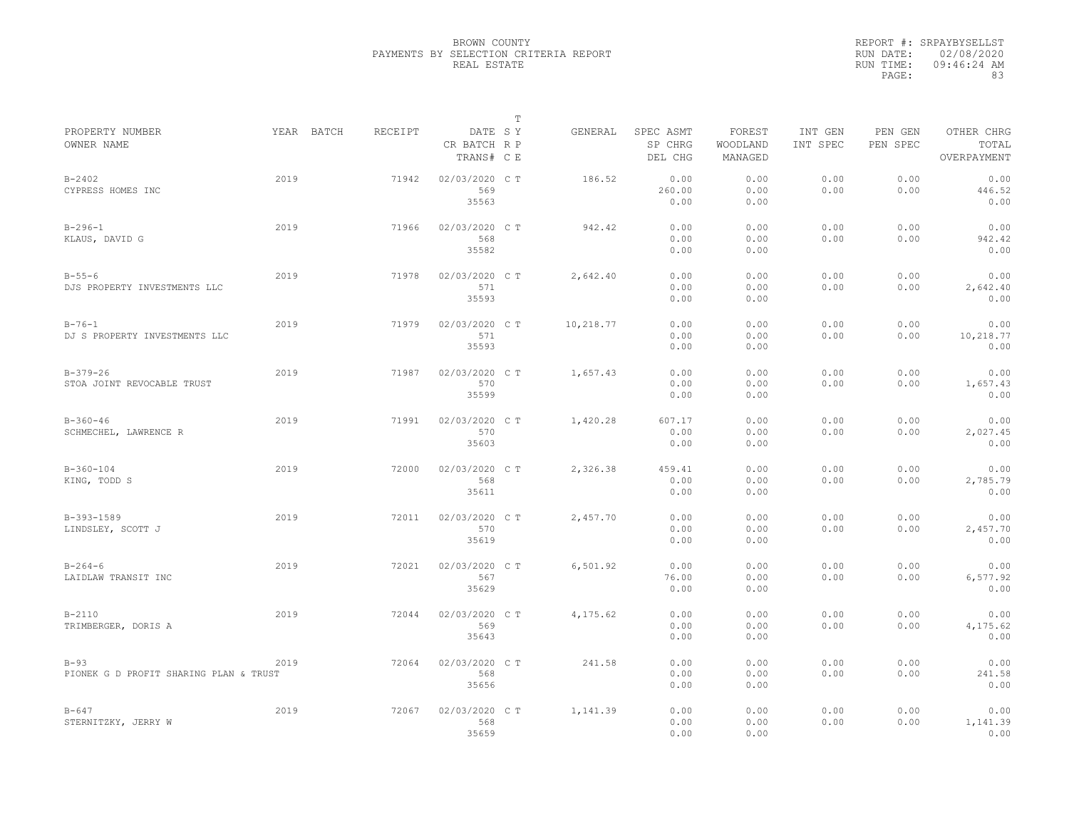|                                                  |            |         |                                       | $\mathbb T$ |           |                                 |                               |                     |                     |                                    |
|--------------------------------------------------|------------|---------|---------------------------------------|-------------|-----------|---------------------------------|-------------------------------|---------------------|---------------------|------------------------------------|
| PROPERTY NUMBER<br>OWNER NAME                    | YEAR BATCH | RECEIPT | DATE SY<br>CR BATCH R P<br>TRANS# C E |             | GENERAL   | SPEC ASMT<br>SP CHRG<br>DEL CHG | FOREST<br>WOODLAND<br>MANAGED | INT GEN<br>INT SPEC | PEN GEN<br>PEN SPEC | OTHER CHRG<br>TOTAL<br>OVERPAYMENT |
| $B - 2402$<br>CYPRESS HOMES INC                  | 2019       | 71942   | 02/03/2020 CT<br>569<br>35563         |             | 186.52    | 0.00<br>260.00<br>0.00          | 0.00<br>0.00<br>0.00          | 0.00<br>0.00        | 0.00<br>0.00        | 0.00<br>446.52<br>0.00             |
| $B - 296 - 1$<br>KLAUS, DAVID G                  | 2019       | 71966   | 02/03/2020 C T<br>568<br>35582        |             | 942.42    | 0.00<br>0.00<br>0.00            | 0.00<br>0.00<br>0.00          | 0.00<br>0.00        | 0.00<br>0.00        | 0.00<br>942.42<br>0.00             |
| $B - 55 - 6$<br>DJS PROPERTY INVESTMENTS LLC     | 2019       | 71978   | 02/03/2020 C T<br>571<br>35593        |             | 2,642.40  | 0.00<br>0.00<br>0.00            | 0.00<br>0.00<br>0.00          | 0.00<br>0.00        | 0.00<br>0.00        | 0.00<br>2,642.40<br>0.00           |
| $B - 76 - 1$<br>DJ S PROPERTY INVESTMENTS LLC    | 2019       | 71979   | 02/03/2020 C T<br>571<br>35593        |             | 10,218.77 | 0.00<br>0.00<br>0.00            | 0.00<br>0.00<br>0.00          | 0.00<br>0.00        | 0.00<br>0.00        | 0.00<br>10,218.77<br>0.00          |
| $B-379-26$<br>STOA JOINT REVOCABLE TRUST         | 2019       | 71987   | 02/03/2020 C T<br>570<br>35599        |             | 1,657.43  | 0.00<br>0.00<br>0.00            | 0.00<br>0.00<br>0.00          | 0.00<br>0.00        | 0.00<br>0.00        | 0.00<br>1,657.43<br>0.00           |
| $B-360-46$<br>SCHMECHEL, LAWRENCE R              | 2019       | 71991   | 02/03/2020 C T<br>570<br>35603        |             | 1,420.28  | 607.17<br>0.00<br>0.00          | 0.00<br>0.00<br>0.00          | 0.00<br>0.00        | 0.00<br>0.00        | 0.00<br>2,027.45<br>0.00           |
| $B-360-104$<br>KING, TODD S                      | 2019       | 72000   | 02/03/2020 C T<br>568<br>35611        |             | 2,326.38  | 459.41<br>0.00<br>0.00          | 0.00<br>0.00<br>0.00          | 0.00<br>0.00        | 0.00<br>0.00        | 0.00<br>2,785.79<br>0.00           |
| B-393-1589<br>LINDSLEY, SCOTT J                  | 2019       | 72011   | 02/03/2020 C T<br>570<br>35619        |             | 2,457.70  | 0.00<br>0.00<br>0.00            | 0.00<br>0.00<br>0.00          | 0.00<br>0.00        | 0.00<br>0.00        | 0.00<br>2,457.70<br>0.00           |
| $B - 264 - 6$<br>LAIDLAW TRANSIT INC             | 2019       | 72021   | 02/03/2020 C T<br>567<br>35629        |             | 6,501.92  | 0.00<br>76.00<br>0.00           | 0.00<br>0.00<br>0.00          | 0.00<br>0.00        | 0.00<br>0.00        | 0.00<br>6,577.92<br>0.00           |
| $B-2110$<br>TRIMBERGER, DORIS A                  | 2019       | 72044   | 02/03/2020 C T<br>569<br>35643        |             | 4,175.62  | 0.00<br>0.00<br>0.00            | 0.00<br>0.00<br>0.00          | 0.00<br>0.00        | 0.00<br>0.00        | 0.00<br>4,175.62<br>0.00           |
| $B-93$<br>PIONEK G D PROFIT SHARING PLAN & TRUST | 2019       | 72064   | 02/03/2020 C T<br>568<br>35656        |             | 241.58    | 0.00<br>0.00<br>0.00            | 0.00<br>0.00<br>0.00          | 0.00<br>0.00        | 0.00<br>0.00        | 0.00<br>241.58<br>0.00             |
| $B - 647$<br>STERNITZKY, JERRY W                 | 2019       | 72067   | 02/03/2020 C T<br>568<br>35659        |             | 1,141.39  | 0.00<br>0.00<br>0.00            | 0.00<br>0.00<br>0.00          | 0.00<br>0.00        | 0.00<br>0.00        | 0.00<br>1,141.39<br>0.00           |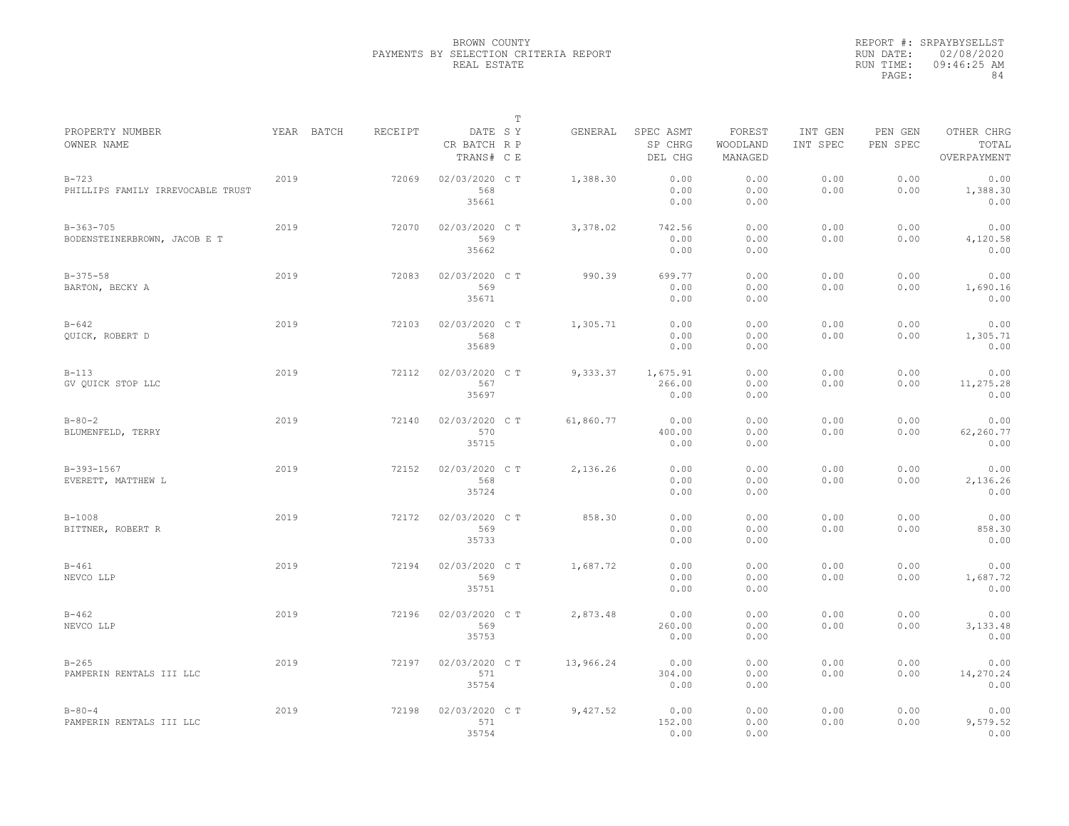|                                              |            |         |                                       | $\mathbb T$ |           |                                 |                               |                     |                     |                                    |
|----------------------------------------------|------------|---------|---------------------------------------|-------------|-----------|---------------------------------|-------------------------------|---------------------|---------------------|------------------------------------|
| PROPERTY NUMBER<br>OWNER NAME                | YEAR BATCH | RECEIPT | DATE SY<br>CR BATCH R P<br>TRANS# C E |             | GENERAL   | SPEC ASMT<br>SP CHRG<br>DEL CHG | FOREST<br>WOODLAND<br>MANAGED | INT GEN<br>INT SPEC | PEN GEN<br>PEN SPEC | OTHER CHRG<br>TOTAL<br>OVERPAYMENT |
| $B-723$<br>PHILLIPS FAMILY IRREVOCABLE TRUST | 2019       | 72069   | 02/03/2020 CT<br>568<br>35661         |             | 1,388.30  | 0.00<br>0.00<br>0.00            | 0.00<br>0.00<br>0.00          | 0.00<br>0.00        | 0.00<br>0.00        | 0.00<br>1,388.30<br>0.00           |
| $B-363-705$<br>BODENSTEINERBROWN, JACOB E T  | 2019       | 72070   | 02/03/2020 C T<br>569<br>35662        |             | 3,378.02  | 742.56<br>0.00<br>0.00          | 0.00<br>0.00<br>0.00          | 0.00<br>0.00        | 0.00<br>0.00        | 0.00<br>4,120.58<br>0.00           |
| $B-375-58$<br>BARTON, BECKY A                | 2019       | 72083   | 02/03/2020 C T<br>569<br>35671        |             | 990.39    | 699.77<br>0.00<br>0.00          | 0.00<br>0.00<br>0.00          | 0.00<br>0.00        | 0.00<br>0.00        | 0.00<br>1,690.16<br>0.00           |
| $B - 642$<br>QUICK, ROBERT D                 | 2019       | 72103   | 02/03/2020 C T<br>568<br>35689        |             | 1,305.71  | 0.00<br>0.00<br>0.00            | 0.00<br>0.00<br>0.00          | 0.00<br>0.00        | 0.00<br>0.00        | 0.00<br>1,305.71<br>0.00           |
| $B-113$<br>GV OUICK STOP LLC                 | 2019       | 72112   | 02/03/2020 C T<br>567<br>35697        |             | 9,333.37  | 1,675.91<br>266.00<br>0.00      | 0.00<br>0.00<br>0.00          | 0.00<br>0.00        | 0.00<br>0.00        | 0.00<br>11,275.28<br>0.00          |
| $B - 80 - 2$<br>BLUMENFELD, TERRY            | 2019       | 72140   | 02/03/2020 CT<br>570<br>35715         |             | 61,860.77 | 0.00<br>400.00<br>0.00          | 0.00<br>0.00<br>0.00          | 0.00<br>0.00        | 0.00<br>0.00        | 0.00<br>62,260.77<br>0.00          |
| B-393-1567<br>EVERETT, MATTHEW L             | 2019       | 72152   | 02/03/2020 C T<br>568<br>35724        |             | 2,136.26  | 0.00<br>0.00<br>0.00            | 0.00<br>0.00<br>0.00          | 0.00<br>0.00        | 0.00<br>0.00        | 0.00<br>2,136.26<br>0.00           |
| $B-1008$<br>BITTNER, ROBERT R                | 2019       | 72172   | 02/03/2020 C T<br>569<br>35733        |             | 858.30    | 0.00<br>0.00<br>0.00            | 0.00<br>0.00<br>0.00          | 0.00<br>0.00        | 0.00<br>0.00        | 0.00<br>858.30<br>0.00             |
| $B - 461$<br>NEVCO LLP                       | 2019       | 72194   | 02/03/2020 CT<br>569<br>35751         |             | 1,687.72  | 0.00<br>0.00<br>0.00            | 0.00<br>0.00<br>0.00          | 0.00<br>0.00        | 0.00<br>0.00        | 0.00<br>1,687.72<br>0.00           |
| $B - 462$<br>NEVCO LLP                       | 2019       | 72196   | 02/03/2020 C T<br>569<br>35753        |             | 2,873.48  | 0.00<br>260.00<br>0.00          | 0.00<br>0.00<br>0.00          | 0.00<br>0.00        | 0.00<br>0.00        | 0.00<br>3,133.48<br>0.00           |
| $B - 265$<br>PAMPERIN RENTALS III LLC        | 2019       | 72197   | 02/03/2020 C T<br>571<br>35754        |             | 13,966.24 | 0.00<br>304.00<br>0.00          | 0.00<br>0.00<br>0.00          | 0.00<br>0.00        | 0.00<br>0.00        | 0.00<br>14,270.24<br>0.00          |
| $B - 80 - 4$<br>PAMPERIN RENTALS III LLC     | 2019       | 72198   | 02/03/2020 C T<br>571<br>35754        |             | 9,427.52  | 0.00<br>152.00<br>0.00          | 0.00<br>0.00<br>0.00          | 0.00<br>0.00        | 0.00<br>0.00        | 0.00<br>9,579.52<br>0.00           |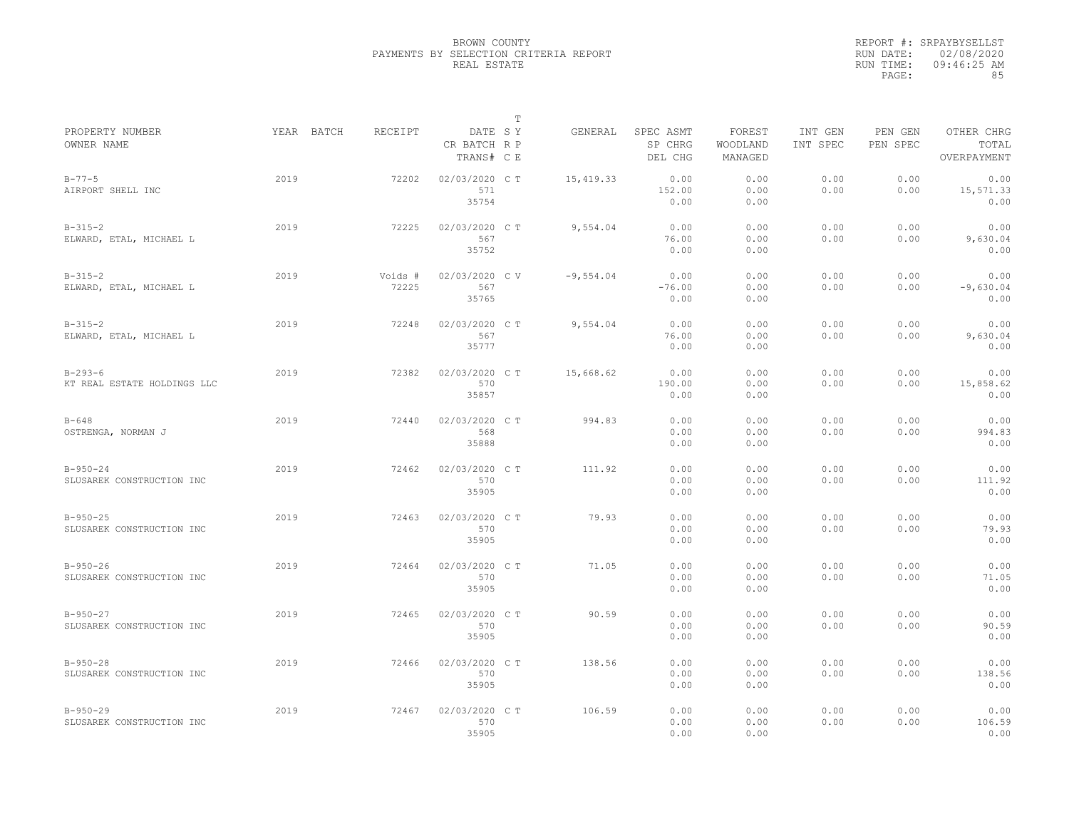|                                              |            |                  |                                       | T |             |                                 |                               |                     |                     |                                    |
|----------------------------------------------|------------|------------------|---------------------------------------|---|-------------|---------------------------------|-------------------------------|---------------------|---------------------|------------------------------------|
| PROPERTY NUMBER<br>OWNER NAME                | YEAR BATCH | RECEIPT          | DATE SY<br>CR BATCH R P<br>TRANS# C E |   | GENERAL     | SPEC ASMT<br>SP CHRG<br>DEL CHG | FOREST<br>WOODLAND<br>MANAGED | INT GEN<br>INT SPEC | PEN GEN<br>PEN SPEC | OTHER CHRG<br>TOTAL<br>OVERPAYMENT |
| $B - 77 - 5$<br>AIRPORT SHELL INC            | 2019       | 72202            | 02/03/2020 CT<br>571<br>35754         |   | 15,419.33   | 0.00<br>152.00<br>0.00          | 0.00<br>0.00<br>0.00          | 0.00<br>0.00        | 0.00<br>0.00        | 0.00<br>15,571.33<br>0.00          |
| $B-315-2$<br>ELWARD, ETAL, MICHAEL L         | 2019       | 72225            | 02/03/2020 C T<br>567<br>35752        |   | 9,554.04    | 0.00<br>76.00<br>0.00           | 0.00<br>0.00<br>0.00          | 0.00<br>0.00        | 0.00<br>0.00        | 0.00<br>9,630.04<br>0.00           |
| $B-315-2$<br>ELWARD, ETAL, MICHAEL L         | 2019       | Voids #<br>72225 | 02/03/2020 CV<br>567<br>35765         |   | $-9,554.04$ | 0.00<br>$-76.00$<br>0.00        | 0.00<br>0.00<br>0.00          | 0.00<br>0.00        | 0.00<br>0.00        | 0.00<br>$-9,630.04$<br>0.00        |
| $B-315-2$<br>ELWARD, ETAL, MICHAEL L         | 2019       | 72248            | 02/03/2020 C T<br>567<br>35777        |   | 9,554.04    | 0.00<br>76.00<br>0.00           | 0.00<br>0.00<br>0.00          | 0.00<br>0.00        | 0.00<br>0.00        | 0.00<br>9,630.04<br>0.00           |
| $B - 293 - 6$<br>KT REAL ESTATE HOLDINGS LLC | 2019       | 72382            | 02/03/2020 C T<br>570<br>35857        |   | 15,668.62   | 0.00<br>190.00<br>0.00          | 0.00<br>0.00<br>0.00          | 0.00<br>0.00        | 0.00<br>0.00        | 0.00<br>15,858.62<br>0.00          |
| $B - 648$<br>OSTRENGA, NORMAN J              | 2019       | 72440            | 02/03/2020 C T<br>568<br>35888        |   | 994.83      | 0.00<br>0.00<br>0.00            | 0.00<br>0.00<br>0.00          | 0.00<br>0.00        | 0.00<br>0.00        | 0.00<br>994.83<br>0.00             |
| $B - 950 - 24$<br>SLUSAREK CONSTRUCTION INC  | 2019       | 72462            | 02/03/2020 C T<br>570<br>35905        |   | 111.92      | 0.00<br>0.00<br>0.00            | 0.00<br>0.00<br>0.00          | 0.00<br>0.00        | 0.00<br>0.00        | 0.00<br>111.92<br>0.00             |
| $B-950-25$<br>SLUSAREK CONSTRUCTION INC      | 2019       | 72463            | 02/03/2020 C T<br>570<br>35905        |   | 79.93       | 0.00<br>0.00<br>0.00            | 0.00<br>0.00<br>0.00          | 0.00<br>0.00        | 0.00<br>0.00        | 0.00<br>79.93<br>0.00              |
| $B - 950 - 26$<br>SLUSAREK CONSTRUCTION INC  | 2019       | 72464            | 02/03/2020 C T<br>570<br>35905        |   | 71.05       | 0.00<br>0.00<br>0.00            | 0.00<br>0.00<br>0.00          | 0.00<br>0.00        | 0.00<br>0.00        | 0.00<br>71.05<br>0.00              |
| $B-950-27$<br>SLUSAREK CONSTRUCTION INC      | 2019       | 72465            | 02/03/2020 C T<br>570<br>35905        |   | 90.59       | 0.00<br>0.00<br>0.00            | 0.00<br>0.00<br>0.00          | 0.00<br>0.00        | 0.00<br>0.00        | 0.00<br>90.59<br>0.00              |
| $B - 950 - 28$<br>SLUSAREK CONSTRUCTION INC  | 2019       | 72466            | 02/03/2020 C T<br>570<br>35905        |   | 138.56      | 0.00<br>0.00<br>0.00            | 0.00<br>0.00<br>0.00          | 0.00<br>0.00        | 0.00<br>0.00        | 0.00<br>138.56<br>0.00             |
| $B - 950 - 29$<br>SLUSAREK CONSTRUCTION INC  | 2019       | 72467            | 02/03/2020 CT<br>570<br>35905         |   | 106.59      | 0.00<br>0.00<br>0.00            | 0.00<br>0.00<br>0.00          | 0.00<br>0.00        | 0.00<br>0.00        | 0.00<br>106.59<br>0.00             |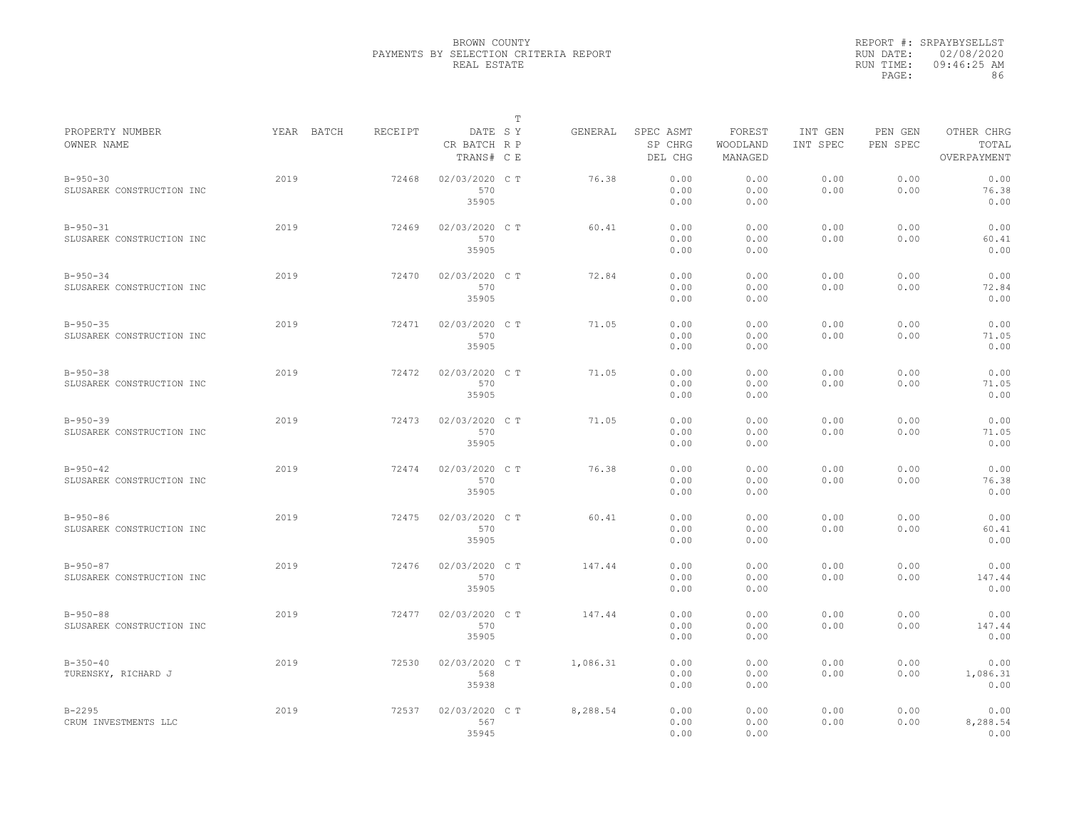|                                             |            |         |                                       | Т |          |                                 |                               |                     |                     |                                    |
|---------------------------------------------|------------|---------|---------------------------------------|---|----------|---------------------------------|-------------------------------|---------------------|---------------------|------------------------------------|
| PROPERTY NUMBER<br>OWNER NAME               | YEAR BATCH | RECEIPT | DATE SY<br>CR BATCH R P<br>TRANS# C E |   | GENERAL  | SPEC ASMT<br>SP CHRG<br>DEL CHG | FOREST<br>WOODLAND<br>MANAGED | INT GEN<br>INT SPEC | PEN GEN<br>PEN SPEC | OTHER CHRG<br>TOTAL<br>OVERPAYMENT |
| $B - 950 - 30$<br>SLUSAREK CONSTRUCTION INC | 2019       | 72468   | 02/03/2020 CT<br>570<br>35905         |   | 76.38    | 0.00<br>0.00<br>0.00            | 0.00<br>0.00<br>0.00          | 0.00<br>0.00        | 0.00<br>0.00        | 0.00<br>76.38<br>0.00              |
| $B - 950 - 31$<br>SLUSAREK CONSTRUCTION INC | 2019       | 72469   | 02/03/2020 C T<br>570<br>35905        |   | 60.41    | 0.00<br>0.00<br>0.00            | 0.00<br>0.00<br>0.00          | 0.00<br>0.00        | 0.00<br>0.00        | 0.00<br>60.41<br>0.00              |
| $B - 950 - 34$<br>SLUSAREK CONSTRUCTION INC | 2019       | 72470   | 02/03/2020 C T<br>570<br>35905        |   | 72.84    | 0.00<br>0.00<br>0.00            | 0.00<br>0.00<br>0.00          | 0.00<br>0.00        | 0.00<br>0.00        | 0.00<br>72.84<br>0.00              |
| $B - 950 - 35$<br>SLUSAREK CONSTRUCTION INC | 2019       | 72471   | 02/03/2020 C T<br>570<br>35905        |   | 71.05    | 0.00<br>0.00<br>0.00            | 0.00<br>0.00<br>0.00          | 0.00<br>0.00        | 0.00<br>0.00        | 0.00<br>71.05<br>0.00              |
| $B-950-38$<br>SLUSAREK CONSTRUCTION INC     | 2019       | 72472   | 02/03/2020 C T<br>570<br>35905        |   | 71.05    | 0.00<br>0.00<br>0.00            | 0.00<br>0.00<br>0.00          | 0.00<br>0.00        | 0.00<br>0.00        | 0.00<br>71.05<br>0.00              |
| $B - 950 - 39$<br>SLUSAREK CONSTRUCTION INC | 2019       | 72473   | 02/03/2020 CT<br>570<br>35905         |   | 71.05    | 0.00<br>0.00<br>0.00            | 0.00<br>0.00<br>0.00          | 0.00<br>0.00        | 0.00<br>0.00        | 0.00<br>71.05<br>0.00              |
| $B - 950 - 42$<br>SLUSAREK CONSTRUCTION INC | 2019       | 72474   | 02/03/2020 C T<br>570<br>35905        |   | 76.38    | 0.00<br>0.00<br>0.00            | 0.00<br>0.00<br>0.00          | 0.00<br>0.00        | 0.00<br>0.00        | 0.00<br>76.38<br>0.00              |
| $B-950-86$<br>SLUSAREK CONSTRUCTION INC     | 2019       | 72475   | 02/03/2020 C T<br>570<br>35905        |   | 60.41    | 0.00<br>0.00<br>0.00            | 0.00<br>0.00<br>0.00          | 0.00<br>0.00        | 0.00<br>0.00        | 0.00<br>60.41<br>0.00              |
| $B - 950 - 87$<br>SLUSAREK CONSTRUCTION INC | 2019       | 72476   | 02/03/2020 CT<br>570<br>35905         |   | 147.44   | 0.00<br>0.00<br>0.00            | 0.00<br>0.00<br>0.00          | 0.00<br>0.00        | 0.00<br>0.00        | 0.00<br>147.44<br>0.00             |
| $B-950-88$<br>SLUSAREK CONSTRUCTION INC     | 2019       | 72477   | 02/03/2020 C T<br>570<br>35905        |   | 147.44   | 0.00<br>0.00<br>0.00            | 0.00<br>0.00<br>0.00          | 0.00<br>0.00        | 0.00<br>0.00        | 0.00<br>147.44<br>0.00             |
| $B-350-40$<br>TURENSKY, RICHARD J           | 2019       | 72530   | 02/03/2020 C T<br>568<br>35938        |   | 1,086.31 | 0.00<br>0.00<br>0.00            | 0.00<br>0.00<br>0.00          | 0.00<br>0.00        | 0.00<br>0.00        | 0.00<br>1,086.31<br>0.00           |
| $B - 2295$<br>CRUM INVESTMENTS LLC          | 2019       | 72537   | 02/03/2020 CT<br>567<br>35945         |   | 8,288.54 | 0.00<br>0.00<br>0.00            | 0.00<br>0.00<br>0.00          | 0.00<br>0.00        | 0.00<br>0.00        | 0.00<br>8,288.54<br>0.00           |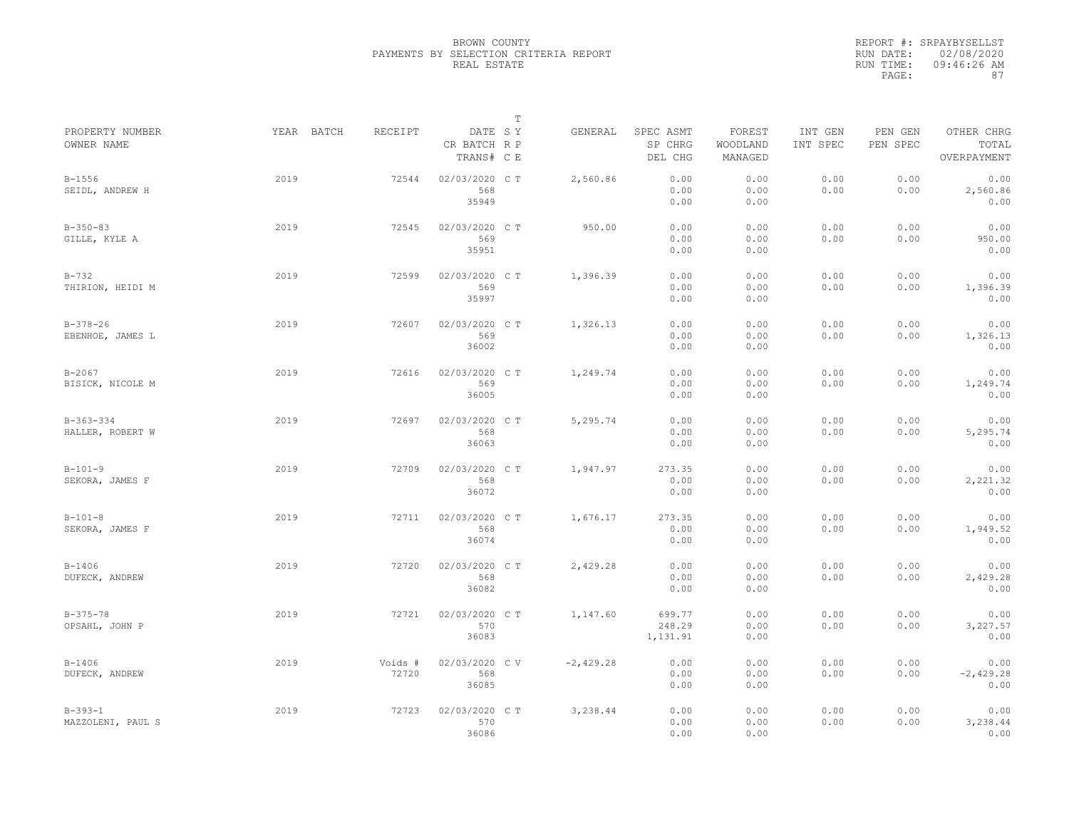|                                 |            |                  |                                       | $\mathbb T$ |             |                                 |                               |                     |                     |                                    |
|---------------------------------|------------|------------------|---------------------------------------|-------------|-------------|---------------------------------|-------------------------------|---------------------|---------------------|------------------------------------|
| PROPERTY NUMBER<br>OWNER NAME   | YEAR BATCH | RECEIPT          | DATE SY<br>CR BATCH R P<br>TRANS# C E |             | GENERAL     | SPEC ASMT<br>SP CHRG<br>DEL CHG | FOREST<br>WOODLAND<br>MANAGED | INT GEN<br>INT SPEC | PEN GEN<br>PEN SPEC | OTHER CHRG<br>TOTAL<br>OVERPAYMENT |
| $B - 1556$<br>SEIDL, ANDREW H   | 2019       | 72544            | 02/03/2020 CT<br>568<br>35949         |             | 2,560.86    | 0.00<br>0.00<br>0.00            | 0.00<br>0.00<br>0.00          | 0.00<br>0.00        | 0.00<br>0.00        | 0.00<br>2,560.86<br>0.00           |
| $B-350-83$<br>GILLE, KYLE A     | 2019       | 72545            | 02/03/2020 C T<br>569<br>35951        |             | 950.00      | 0.00<br>0.00<br>0.00            | 0.00<br>0.00<br>0.00          | 0.00<br>0.00        | 0.00<br>0.00        | 0.00<br>950.00<br>0.00             |
| $B - 732$<br>THIRION, HEIDI M   | 2019       | 72599            | 02/03/2020 C T<br>569<br>35997        |             | 1,396.39    | 0.00<br>0.00<br>0.00            | 0.00<br>0.00<br>0.00          | 0.00<br>0.00        | 0.00<br>0.00        | 0.00<br>1,396.39<br>0.00           |
| $B-378-26$<br>EBENHOE, JAMES L  | 2019       | 72607            | 02/03/2020 C T<br>569<br>36002        |             | 1,326.13    | 0.00<br>0.00<br>0.00            | 0.00<br>0.00<br>0.00          | 0.00<br>0.00        | 0.00<br>0.00        | 0.00<br>1,326.13<br>0.00           |
| $B - 2067$<br>BISICK, NICOLE M  | 2019       | 72616            | 02/03/2020 C T<br>569<br>36005        |             | 1,249.74    | 0.00<br>0.00<br>0.00            | 0.00<br>0.00<br>0.00          | 0.00<br>0.00        | 0.00<br>0.00        | 0.00<br>1,249.74<br>0.00           |
| $B-363-334$<br>HALLER, ROBERT W | 2019       | 72697            | 02/03/2020 CT<br>568<br>36063         |             | 5,295.74    | 0.00<br>0.00<br>0.00            | 0.00<br>0.00<br>0.00          | 0.00<br>0.00        | 0.00<br>0.00        | 0.00<br>5,295.74<br>0.00           |
| $B-101-9$<br>SEKORA, JAMES F    | 2019       | 72709            | 02/03/2020 C T<br>568<br>36072        |             | 1,947.97    | 273.35<br>0.00<br>0.00          | 0.00<br>0.00<br>0.00          | 0.00<br>0.00        | 0.00<br>0.00        | 0.00<br>2,221.32<br>0.00           |
| $B-101-8$<br>SEKORA, JAMES F    | 2019       | 72711            | 02/03/2020 C T<br>568<br>36074        |             | 1,676.17    | 273.35<br>0.00<br>0.00          | 0.00<br>0.00<br>0.00          | 0.00<br>0.00        | 0.00<br>0.00        | 0.00<br>1,949.52<br>0.00           |
| $B - 1406$<br>DUFECK, ANDREW    | 2019       | 72720            | 02/03/2020 CT<br>568<br>36082         |             | 2,429.28    | 0.00<br>0.00<br>0.00            | 0.00<br>0.00<br>0.00          | 0.00<br>0.00        | 0.00<br>0.00        | 0.00<br>2,429.28<br>0.00           |
| $B-375-78$<br>OPSAHL, JOHN P    | 2019       | 72721            | 02/03/2020 CT<br>570<br>36083         |             | 1,147.60    | 699.77<br>248.29<br>1,131.91    | 0.00<br>0.00<br>0.00          | 0.00<br>0.00        | 0.00<br>0.00        | 0.00<br>3,227.57<br>0.00           |
| $B-1406$<br>DUFECK, ANDREW      | 2019       | Voids #<br>72720 | 02/03/2020 CV<br>568<br>36085         |             | $-2,429.28$ | 0.00<br>0.00<br>0.00            | 0.00<br>0.00<br>0.00          | 0.00<br>0.00        | 0.00<br>0.00        | 0.00<br>$-2,429.28$<br>0.00        |
| $B-393-1$<br>MAZZOLENI, PAUL S  | 2019       | 72723            | 02/03/2020 CT<br>570<br>36086         |             | 3,238.44    | 0.00<br>0.00<br>0.00            | 0.00<br>0.00<br>0.00          | 0.00<br>0.00        | 0.00<br>0.00        | 0.00<br>3,238.44<br>0.00           |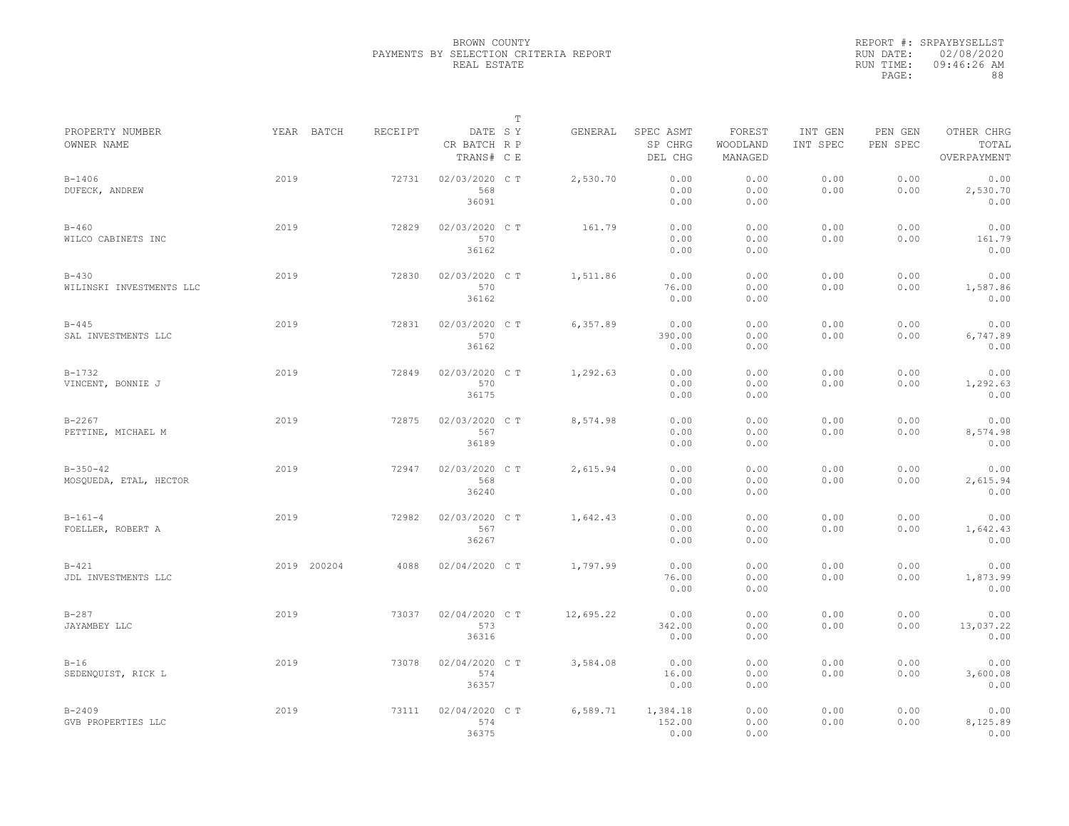|                                       |             |         |                                       | $\mathbb T$ |           |                                 |                               |                     |                     |                                    |
|---------------------------------------|-------------|---------|---------------------------------------|-------------|-----------|---------------------------------|-------------------------------|---------------------|---------------------|------------------------------------|
| PROPERTY NUMBER<br>OWNER NAME         | YEAR BATCH  | RECEIPT | DATE SY<br>CR BATCH R P<br>TRANS# C E |             | GENERAL   | SPEC ASMT<br>SP CHRG<br>DEL CHG | FOREST<br>WOODLAND<br>MANAGED | INT GEN<br>INT SPEC | PEN GEN<br>PEN SPEC | OTHER CHRG<br>TOTAL<br>OVERPAYMENT |
| $B - 1406$<br>DUFECK, ANDREW          | 2019        | 72731   | 02/03/2020 C T<br>568<br>36091        |             | 2,530.70  | 0.00<br>0.00<br>0.00            | 0.00<br>0.00<br>0.00          | 0.00<br>0.00        | 0.00<br>0.00        | 0.00<br>2,530.70<br>0.00           |
| $B-460$<br>WILCO CABINETS INC         | 2019        | 72829   | 02/03/2020 C T<br>570<br>36162        |             | 161.79    | 0.00<br>0.00<br>0.00            | 0.00<br>0.00<br>0.00          | 0.00<br>0.00        | 0.00<br>0.00        | 0.00<br>161.79<br>0.00             |
| $B - 430$<br>WILINSKI INVESTMENTS LLC | 2019        | 72830   | 02/03/2020 C T<br>570<br>36162        |             | 1,511.86  | 0.00<br>76.00<br>0.00           | 0.00<br>0.00<br>0.00          | 0.00<br>0.00        | 0.00<br>0.00        | 0.00<br>1,587.86<br>0.00           |
| $B - 445$<br>SAL INVESTMENTS LLC      | 2019        | 72831   | 02/03/2020 C T<br>570<br>36162        |             | 6,357.89  | 0.00<br>390.00<br>0.00          | 0.00<br>0.00<br>0.00          | 0.00<br>0.00        | 0.00<br>0.00        | 0.00<br>6,747.89<br>0.00           |
| $B-1732$<br>VINCENT, BONNIE J         | 2019        | 72849   | 02/03/2020 C T<br>570<br>36175        |             | 1,292.63  | 0.00<br>0.00<br>0.00            | 0.00<br>0.00<br>0.00          | 0.00<br>0.00        | 0.00<br>0.00        | 0.00<br>1,292.63<br>0.00           |
| $B - 2267$<br>PETTINE, MICHAEL M      | 2019        | 72875   | 02/03/2020 C T<br>567<br>36189        |             | 8.574.98  | 0.00<br>0.00<br>0.00            | 0.00<br>0.00<br>0.00          | 0.00<br>0.00        | 0.00<br>0.00        | 0.00<br>8,574.98<br>0.00           |
| $B-350-42$<br>MOSQUEDA, ETAL, HECTOR  | 2019        | 72947   | 02/03/2020 CT<br>568<br>36240         |             | 2,615.94  | 0.00<br>0.00<br>0.00            | 0.00<br>0.00<br>0.00          | 0.00<br>0.00        | 0.00<br>0.00        | 0.00<br>2,615.94<br>0.00           |
| $B-161-4$<br>FOELLER, ROBERT A        | 2019        | 72982   | 02/03/2020 C T<br>567<br>36267        |             | 1,642.43  | 0.00<br>0.00<br>0.00            | 0.00<br>0.00<br>0.00          | 0.00<br>0.00        | 0.00<br>0.00        | 0.00<br>1,642.43<br>0.00           |
| $B-421$<br>JDL INVESTMENTS LLC        | 2019 200204 | 4088    | 02/04/2020 C T                        |             | 1,797.99  | 0.00<br>76.00<br>0.00           | 0.00<br>0.00<br>0.00          | 0.00<br>0.00        | 0.00<br>0.00        | 0.00<br>1,873.99<br>0.00           |
| $B - 287$<br>JAYAMBEY LLC             | 2019        | 73037   | 02/04/2020 C T<br>573<br>36316        |             | 12,695.22 | 0.00<br>342.00<br>0.00          | 0.00<br>0.00<br>0.00          | 0.00<br>0.00        | 0.00<br>0.00        | 0.00<br>13,037.22<br>0.00          |
| $B-16$<br>SEDENQUIST, RICK L          | 2019        | 73078   | 02/04/2020 C T<br>574<br>36357        |             | 3,584.08  | 0.00<br>16.00<br>0.00           | 0.00<br>0.00<br>0.00          | 0.00<br>0.00        | 0.00<br>0.00        | 0.00<br>3,600.08<br>0.00           |
| $B - 2409$<br>GVB PROPERTIES LLC      | 2019        | 73111   | 02/04/2020 C T<br>574<br>36375        |             | 6,589.71  | 1,384.18<br>152.00<br>0.00      | 0.00<br>0.00<br>0.00          | 0.00<br>0.00        | 0.00<br>0.00        | 0.00<br>8,125.89<br>0.00           |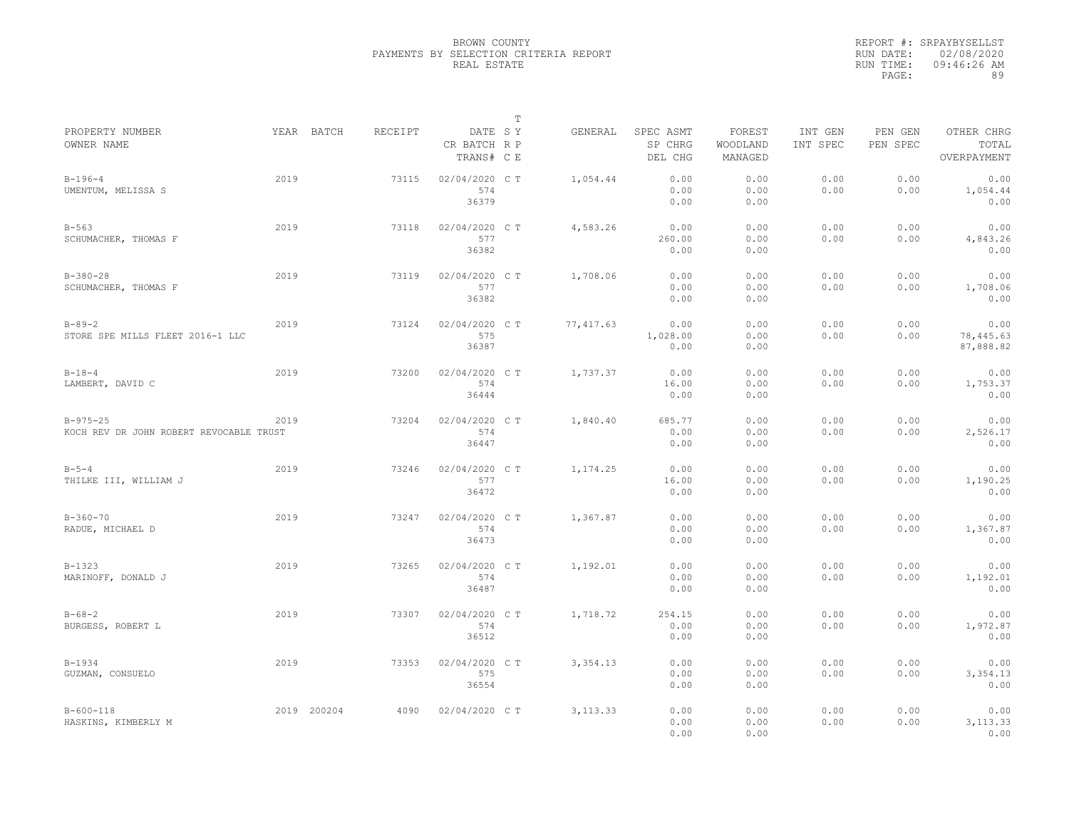|                                                           |      |             |         |                                       | $\mathbb T$ |            |                                 |                               |                     |                     |                                    |
|-----------------------------------------------------------|------|-------------|---------|---------------------------------------|-------------|------------|---------------------------------|-------------------------------|---------------------|---------------------|------------------------------------|
| PROPERTY NUMBER<br>OWNER NAME                             |      | YEAR BATCH  | RECEIPT | DATE SY<br>CR BATCH R P<br>TRANS# C E |             | GENERAL    | SPEC ASMT<br>SP CHRG<br>DEL CHG | FOREST<br>WOODLAND<br>MANAGED | INT GEN<br>INT SPEC | PEN GEN<br>PEN SPEC | OTHER CHRG<br>TOTAL<br>OVERPAYMENT |
| $B-196-4$<br>UMENTUM, MELISSA S                           | 2019 |             | 73115   | 02/04/2020 C T<br>574<br>36379        |             | 1,054.44   | 0.00<br>0.00<br>0.00            | 0.00<br>0.00<br>0.00          | 0.00<br>0.00        | 0.00<br>0.00        | 0.00<br>1,054.44<br>0.00           |
| $B - 563$<br>SCHUMACHER, THOMAS F                         | 2019 |             | 73118   | 02/04/2020 C T<br>577<br>36382        |             | 4,583.26   | 0.00<br>260.00<br>0.00          | 0.00<br>0.00<br>0.00          | 0.00<br>0.00        | 0.00<br>0.00        | 0.00<br>4,843.26<br>0.00           |
| $B-380-28$<br>SCHUMACHER, THOMAS F                        | 2019 |             | 73119   | 02/04/2020 C T<br>577<br>36382        |             | 1,708.06   | 0.00<br>0.00<br>0.00            | 0.00<br>0.00<br>0.00          | 0.00<br>0.00        | 0.00<br>0.00        | 0.00<br>1,708.06<br>0.00           |
| $B - 89 - 2$<br>STORE SPE MILLS FLEET 2016-1 LLC          | 2019 |             | 73124   | 02/04/2020 C T<br>575<br>36387        |             | 77, 417.63 | 0.00<br>1,028.00<br>0.00        | 0.00<br>0.00<br>0.00          | 0.00<br>0.00        | 0.00<br>0.00        | 0.00<br>78,445.63<br>87,888.82     |
| $B - 18 - 4$<br>LAMBERT, DAVID C                          | 2019 |             | 73200   | 02/04/2020 C T<br>574<br>36444        |             | 1,737.37   | 0.00<br>16.00<br>0.00           | 0.00<br>0.00<br>0.00          | 0.00<br>0.00        | 0.00<br>0.00        | 0.00<br>1,753.37<br>0.00           |
| $B - 975 - 25$<br>KOCH REV DR JOHN ROBERT REVOCABLE TRUST | 2019 |             | 73204   | 02/04/2020 C T<br>574<br>36447        |             | 1,840.40   | 685.77<br>0.00<br>0.00          | 0.00<br>0.00<br>0.00          | 0.00<br>0.00        | 0.00<br>0.00        | 0.00<br>2,526.17<br>0.00           |
| $B - 5 - 4$<br>THILKE III, WILLIAM J                      | 2019 |             | 73246   | 02/04/2020 C T<br>577<br>36472        |             | 1,174.25   | 0.00<br>16.00<br>0.00           | 0.00<br>0.00<br>0.00          | 0.00<br>0.00        | 0.00<br>0.00        | 0.00<br>1,190.25<br>0.00           |
| $B - 360 - 70$<br>RADUE, MICHAEL D                        | 2019 |             | 73247   | 02/04/2020 C T<br>574<br>36473        |             | 1,367.87   | 0.00<br>0.00<br>0.00            | 0.00<br>0.00<br>0.00          | 0.00<br>0.00        | 0.00<br>0.00        | 0.00<br>1,367.87<br>0.00           |
| $B-1323$<br>MARINOFF, DONALD J                            | 2019 |             | 73265   | 02/04/2020 C T<br>574<br>36487        |             | 1,192.01   | 0.00<br>0.00<br>0.00            | 0.00<br>0.00<br>0.00          | 0.00<br>0.00        | 0.00<br>0.00        | 0.00<br>1,192.01<br>0.00           |
| $B - 68 - 2$<br>BURGESS, ROBERT L                         | 2019 |             | 73307   | 02/04/2020 C T<br>574<br>36512        |             | 1,718.72   | 254.15<br>0.00<br>0.00          | 0.00<br>0.00<br>0.00          | 0.00<br>0.00        | 0.00<br>0.00        | 0.00<br>1,972.87<br>0.00           |
| $B-1934$<br>GUZMAN, CONSUELO                              | 2019 |             | 73353   | 02/04/2020 C T<br>575<br>36554        |             | 3, 354.13  | 0.00<br>0.00<br>0.00            | 0.00<br>0.00<br>0.00          | 0.00<br>0.00        | 0.00<br>0.00        | 0.00<br>3,354.13<br>0.00           |
| $B - 600 - 118$<br>HASKINS, KIMBERLY M                    |      | 2019 200204 | 4090    | 02/04/2020 C T                        |             | 3, 113.33  | 0.00<br>0.00<br>0.00            | 0.00<br>0.00<br>0.00          | 0.00<br>0.00        | 0.00<br>0.00        | 0.00<br>3, 113.33<br>0.00          |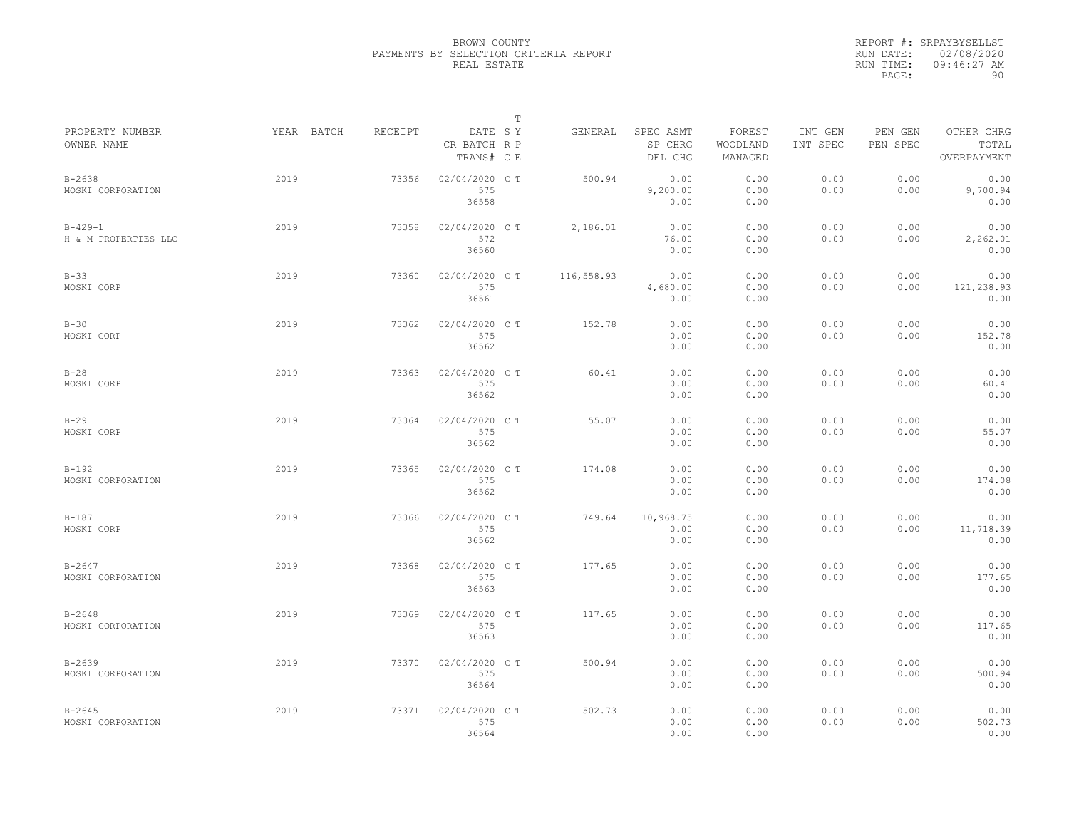|                                       |            |         |                                       | $\mathbb T$ |            |                                 |                               |                     |                     |                                    |
|---------------------------------------|------------|---------|---------------------------------------|-------------|------------|---------------------------------|-------------------------------|---------------------|---------------------|------------------------------------|
| PROPERTY NUMBER<br>OWNER NAME         | YEAR BATCH | RECEIPT | DATE SY<br>CR BATCH R P<br>TRANS# C E |             | GENERAL    | SPEC ASMT<br>SP CHRG<br>DEL CHG | FOREST<br>WOODLAND<br>MANAGED | INT GEN<br>INT SPEC | PEN GEN<br>PEN SPEC | OTHER CHRG<br>TOTAL<br>OVERPAYMENT |
| $B - 2638$<br>MOSKI CORPORATION       | 2019       | 73356   | 02/04/2020 C T<br>575<br>36558        |             | 500.94     | 0.00<br>9,200.00<br>0.00        | 0.00<br>0.00<br>0.00          | 0.00<br>0.00        | 0.00<br>0.00        | 0.00<br>9,700.94<br>0.00           |
| $B - 429 - 1$<br>H & M PROPERTIES LLC | 2019       | 73358   | 02/04/2020 C T<br>572<br>36560        |             | 2,186.01   | 0.00<br>76.00<br>0.00           | 0.00<br>0.00<br>0.00          | 0.00<br>0.00        | 0.00<br>0.00        | 0.00<br>2,262.01<br>0.00           |
| $B-33$<br>MOSKI CORP                  | 2019       | 73360   | 02/04/2020 CT<br>575<br>36561         |             | 116,558.93 | 0.00<br>4,680.00<br>0.00        | 0.00<br>0.00<br>0.00          | 0.00<br>0.00        | 0.00<br>0.00        | 0.00<br>121,238.93<br>0.00         |
| $B-30$<br>MOSKI CORP                  | 2019       | 73362   | 02/04/2020 C T<br>575<br>36562        |             | 152.78     | 0.00<br>0.00<br>0.00            | 0.00<br>0.00<br>0.00          | 0.00<br>0.00        | 0.00<br>0.00        | 0.00<br>152.78<br>0.00             |
| $B-28$<br>MOSKI CORP                  | 2019       | 73363   | 02/04/2020 C T<br>575<br>36562        |             | 60.41      | 0.00<br>0.00<br>0.00            | 0.00<br>0.00<br>0.00          | 0.00<br>0.00        | 0.00<br>0.00        | 0.00<br>60.41<br>0.00              |
| $B-29$<br>MOSKI CORP                  | 2019       | 73364   | 02/04/2020 C T<br>575<br>36562        |             | 55.07      | 0.00<br>0.00<br>0.00            | 0.00<br>0.00<br>0.00          | 0.00<br>0.00        | 0.00<br>0.00        | 0.00<br>55.07<br>0.00              |
| $B-192$<br>MOSKI CORPORATION          | 2019       | 73365   | 02/04/2020 C T<br>575<br>36562        |             | 174.08     | 0.00<br>0.00<br>0.00            | 0.00<br>0.00<br>0.00          | 0.00<br>0.00        | 0.00<br>0.00        | 0.00<br>174.08<br>0.00             |
| $B-187$<br>MOSKI CORP                 | 2019       | 73366   | 02/04/2020 C T<br>575<br>36562        |             | 749.64     | 10,968.75<br>0.00<br>0.00       | 0.00<br>0.00<br>0.00          | 0.00<br>0.00        | 0.00<br>0.00        | 0.00<br>11,718.39<br>0.00          |
| $B - 2647$<br>MOSKI CORPORATION       | 2019       | 73368   | 02/04/2020 C T<br>575<br>36563        |             | 177.65     | 0.00<br>0.00<br>0.00            | 0.00<br>0.00<br>0.00          | 0.00<br>0.00        | 0.00<br>0.00        | 0.00<br>177.65<br>0.00             |
| $B - 2648$<br>MOSKI CORPORATION       | 2019       | 73369   | 02/04/2020 C T<br>575<br>36563        |             | 117.65     | 0.00<br>0.00<br>0.00            | 0.00<br>0.00<br>0.00          | 0.00<br>0.00        | 0.00<br>0.00        | 0.00<br>117.65<br>0.00             |
| $B - 2639$<br>MOSKI CORPORATION       | 2019       | 73370   | 02/04/2020 C T<br>575<br>36564        |             | 500.94     | 0.00<br>0.00<br>0.00            | 0.00<br>0.00<br>0.00          | 0.00<br>0.00        | 0.00<br>0.00        | 0.00<br>500.94<br>0.00             |
| $B - 2645$<br>MOSKI CORPORATION       | 2019       | 73371   | 02/04/2020 C T<br>575<br>36564        |             | 502.73     | 0.00<br>0.00<br>0.00            | 0.00<br>0.00<br>0.00          | 0.00<br>0.00        | 0.00<br>0.00        | 0.00<br>502.73<br>0.00             |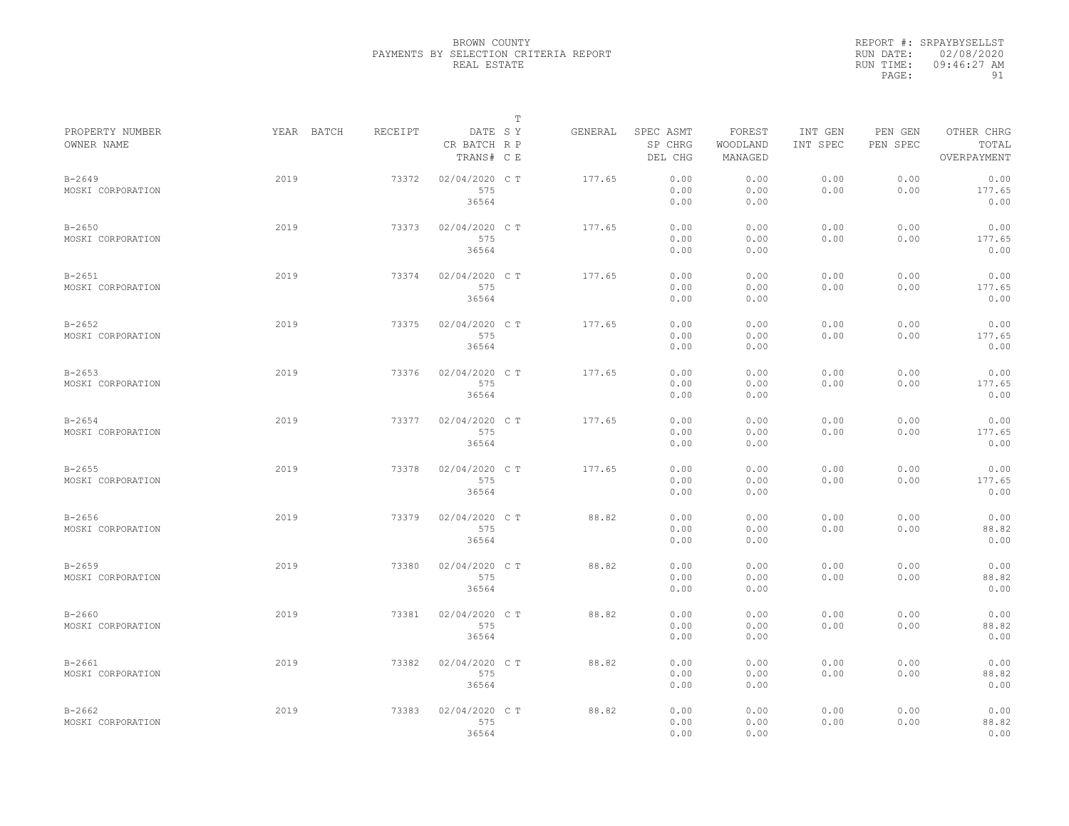|                                 |            |         |                                       | $\mathbb T$ |         |                                 |                               |                     |                     |                                    |
|---------------------------------|------------|---------|---------------------------------------|-------------|---------|---------------------------------|-------------------------------|---------------------|---------------------|------------------------------------|
| PROPERTY NUMBER<br>OWNER NAME   | YEAR BATCH | RECEIPT | DATE SY<br>CR BATCH R P<br>TRANS# C E |             | GENERAL | SPEC ASMT<br>SP CHRG<br>DEL CHG | FOREST<br>WOODLAND<br>MANAGED | INT GEN<br>INT SPEC | PEN GEN<br>PEN SPEC | OTHER CHRG<br>TOTAL<br>OVERPAYMENT |
| $B - 2649$<br>MOSKI CORPORATION | 2019       | 73372   | 02/04/2020 C T<br>575<br>36564        |             | 177.65  | 0.00<br>0.00<br>0.00            | 0.00<br>0.00<br>0.00          | 0.00<br>0.00        | 0.00<br>0.00        | 0.00<br>177.65<br>0.00             |
| $B - 2650$<br>MOSKI CORPORATION | 2019       | 73373   | 02/04/2020 C T<br>575<br>36564        |             | 177.65  | 0.00<br>0.00<br>0.00            | 0.00<br>0.00<br>0.00          | 0.00<br>0.00        | 0.00<br>0.00        | 0.00<br>177.65<br>0.00             |
| $B - 2651$<br>MOSKI CORPORATION | 2019       | 73374   | 02/04/2020 C T<br>575<br>36564        |             | 177.65  | 0.00<br>0.00<br>0.00            | 0.00<br>0.00<br>0.00          | 0.00<br>0.00        | 0.00<br>0.00        | 0.00<br>177.65<br>0.00             |
| $B - 2652$<br>MOSKI CORPORATION | 2019       | 73375   | 02/04/2020 C T<br>575<br>36564        |             | 177.65  | 0.00<br>0.00<br>0.00            | 0.00<br>0.00<br>0.00          | 0.00<br>0.00        | 0.00<br>0.00        | 0.00<br>177.65<br>0.00             |
| $B - 2653$<br>MOSKI CORPORATION | 2019       | 73376   | 02/04/2020 C T<br>575<br>36564        |             | 177.65  | 0.00<br>0.00<br>0.00            | 0.00<br>0.00<br>0.00          | 0.00<br>0.00        | 0.00<br>0.00        | 0.00<br>177.65<br>0.00             |
| $B - 2654$<br>MOSKI CORPORATION | 2019       | 73377   | 02/04/2020 C T<br>575<br>36564        |             | 177.65  | 0.00<br>0.00<br>0.00            | 0.00<br>0.00<br>0.00          | 0.00<br>0.00        | 0.00<br>0.00        | 0.00<br>177.65<br>0.00             |
| $B - 2655$<br>MOSKI CORPORATION | 2019       | 73378   | 02/04/2020 C T<br>575<br>36564        |             | 177.65  | 0.00<br>0.00<br>0.00            | 0.00<br>0.00<br>0.00          | 0.00<br>0.00        | 0.00<br>0.00        | 0.00<br>177.65<br>0.00             |
| $B - 2656$<br>MOSKI CORPORATION | 2019       | 73379   | 02/04/2020 C T<br>575<br>36564        |             | 88.82   | 0.00<br>0.00<br>0.00            | 0.00<br>0.00<br>0.00          | 0.00<br>0.00        | 0.00<br>0.00        | 0.00<br>88.82<br>0.00              |
| $B - 2659$<br>MOSKI CORPORATION | 2019       | 73380   | 02/04/2020 CT<br>575<br>36564         |             | 88.82   | 0.00<br>0.00<br>0.00            | 0.00<br>0.00<br>0.00          | 0.00<br>0.00        | 0.00<br>0.00        | 0.00<br>88.82<br>0.00              |
| $B - 2660$<br>MOSKI CORPORATION | 2019       | 73381   | 02/04/2020 CT<br>575<br>36564         |             | 88.82   | 0.00<br>0.00<br>0.00            | 0.00<br>0.00<br>0.00          | 0.00<br>0.00        | 0.00<br>0.00        | 0.00<br>88.82<br>0.00              |
| $B - 2661$<br>MOSKI CORPORATION | 2019       | 73382   | 02/04/2020 C T<br>575<br>36564        |             | 88.82   | 0.00<br>0.00<br>0.00            | 0.00<br>0.00<br>0.00          | 0.00<br>0.00        | 0.00<br>0.00        | 0.00<br>88.82<br>0.00              |
| $B - 2662$<br>MOSKI CORPORATION | 2019       | 73383   | 02/04/2020 CT<br>575<br>36564         |             | 88.82   | 0.00<br>0.00<br>0.00            | 0.00<br>0.00<br>0.00          | 0.00<br>0.00        | 0.00<br>0.00        | 0.00<br>88.82<br>0.00              |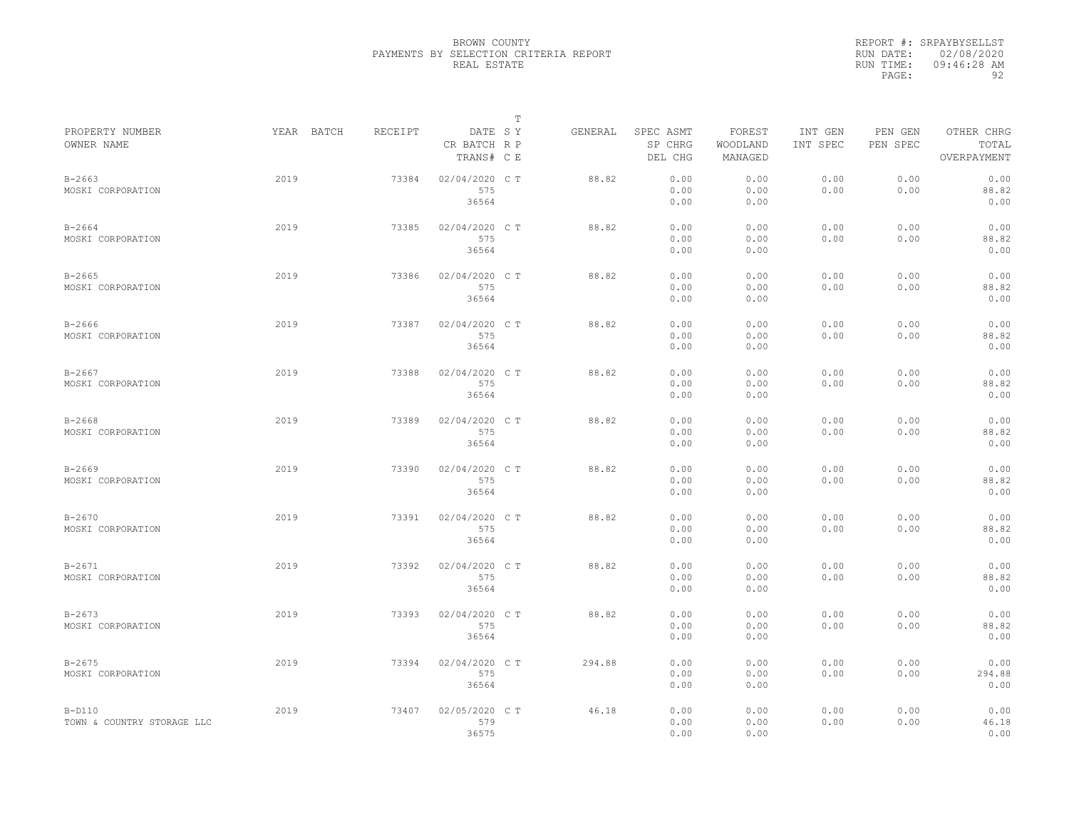|                                        |            |         |                                       | T |         |                                 |                               |                     |                     |                                    |
|----------------------------------------|------------|---------|---------------------------------------|---|---------|---------------------------------|-------------------------------|---------------------|---------------------|------------------------------------|
| PROPERTY NUMBER<br>OWNER NAME          | YEAR BATCH | RECEIPT | DATE SY<br>CR BATCH R P<br>TRANS# C E |   | GENERAL | SPEC ASMT<br>SP CHRG<br>DEL CHG | FOREST<br>WOODLAND<br>MANAGED | INT GEN<br>INT SPEC | PEN GEN<br>PEN SPEC | OTHER CHRG<br>TOTAL<br>OVERPAYMENT |
| $B - 2663$<br>MOSKI CORPORATION        | 2019       | 73384   | 02/04/2020 C T<br>575<br>36564        |   | 88.82   | 0.00<br>0.00<br>0.00            | 0.00<br>0.00<br>0.00          | 0.00<br>0.00        | 0.00<br>0.00        | 0.00<br>88.82<br>0.00              |
| $B - 2664$<br>MOSKI CORPORATION        | 2019       | 73385   | 02/04/2020 C T<br>575<br>36564        |   | 88.82   | 0.00<br>0.00<br>0.00            | 0.00<br>0.00<br>0.00          | 0.00<br>0.00        | 0.00<br>0.00        | 0.00<br>88.82<br>0.00              |
| $B - 2665$<br>MOSKI CORPORATION        | 2019       | 73386   | 02/04/2020 C T<br>575<br>36564        |   | 88.82   | 0.00<br>0.00<br>0.00            | 0.00<br>0.00<br>0.00          | 0.00<br>0.00        | 0.00<br>0.00        | 0.00<br>88.82<br>0.00              |
| $B - 2666$<br>MOSKI CORPORATION        | 2019       | 73387   | 02/04/2020 C T<br>575<br>36564        |   | 88.82   | 0.00<br>0.00<br>0.00            | 0.00<br>0.00<br>0.00          | 0.00<br>0.00        | 0.00<br>0.00        | 0.00<br>88.82<br>0.00              |
| $B - 2667$<br>MOSKI CORPORATION        | 2019       | 73388   | 02/04/2020 C T<br>575<br>36564        |   | 88.82   | 0.00<br>0.00<br>0.00            | 0.00<br>0.00<br>0.00          | 0.00<br>0.00        | 0.00<br>0.00        | 0.00<br>88.82<br>0.00              |
| $B - 2668$<br>MOSKI CORPORATION        | 2019       | 73389   | 02/04/2020 C T<br>575<br>36564        |   | 88.82   | 0.00<br>0.00<br>0.00            | 0.00<br>0.00<br>0.00          | 0.00<br>0.00        | 0.00<br>0.00        | 0.00<br>88.82<br>0.00              |
| $B - 2669$<br>MOSKI CORPORATION        | 2019       | 73390   | 02/04/2020 C T<br>575<br>36564        |   | 88.82   | 0.00<br>0.00<br>0.00            | 0.00<br>0.00<br>0.00          | 0.00<br>0.00        | 0.00<br>0.00        | 0.00<br>88.82<br>0.00              |
| $B - 2670$<br>MOSKI CORPORATION        | 2019       | 73391   | 02/04/2020 C T<br>575<br>36564        |   | 88.82   | 0.00<br>0.00<br>0.00            | 0.00<br>0.00<br>0.00          | 0.00<br>0.00        | 0.00<br>0.00        | 0.00<br>88.82<br>0.00              |
| $B - 2671$<br>MOSKI CORPORATION        | 2019       | 73392   | 02/04/2020 C T<br>575<br>36564        |   | 88.82   | 0.00<br>0.00<br>0.00            | 0.00<br>0.00<br>0.00          | 0.00<br>0.00        | 0.00<br>0.00        | 0.00<br>88.82<br>0.00              |
| $B - 2673$<br>MOSKI CORPORATION        | 2019       | 73393   | 02/04/2020 C T<br>575<br>36564        |   | 88.82   | 0.00<br>0.00<br>0.00            | 0.00<br>0.00<br>0.00          | 0.00<br>0.00        | 0.00<br>0.00        | 0.00<br>88.82<br>0.00              |
| $B - 2675$<br>MOSKI CORPORATION        | 2019       | 73394   | 02/04/2020 C T<br>575<br>36564        |   | 294.88  | 0.00<br>0.00<br>0.00            | 0.00<br>0.00<br>0.00          | 0.00<br>0.00        | 0.00<br>0.00        | 0.00<br>294.88<br>0.00             |
| $B-D110$<br>TOWN & COUNTRY STORAGE LLC | 2019       | 73407   | 02/05/2020 CT<br>579<br>36575         |   | 46.18   | 0.00<br>0.00<br>0.00            | 0.00<br>0.00<br>0.00          | 0.00<br>0.00        | 0.00<br>0.00        | 0.00<br>46.18<br>0.00              |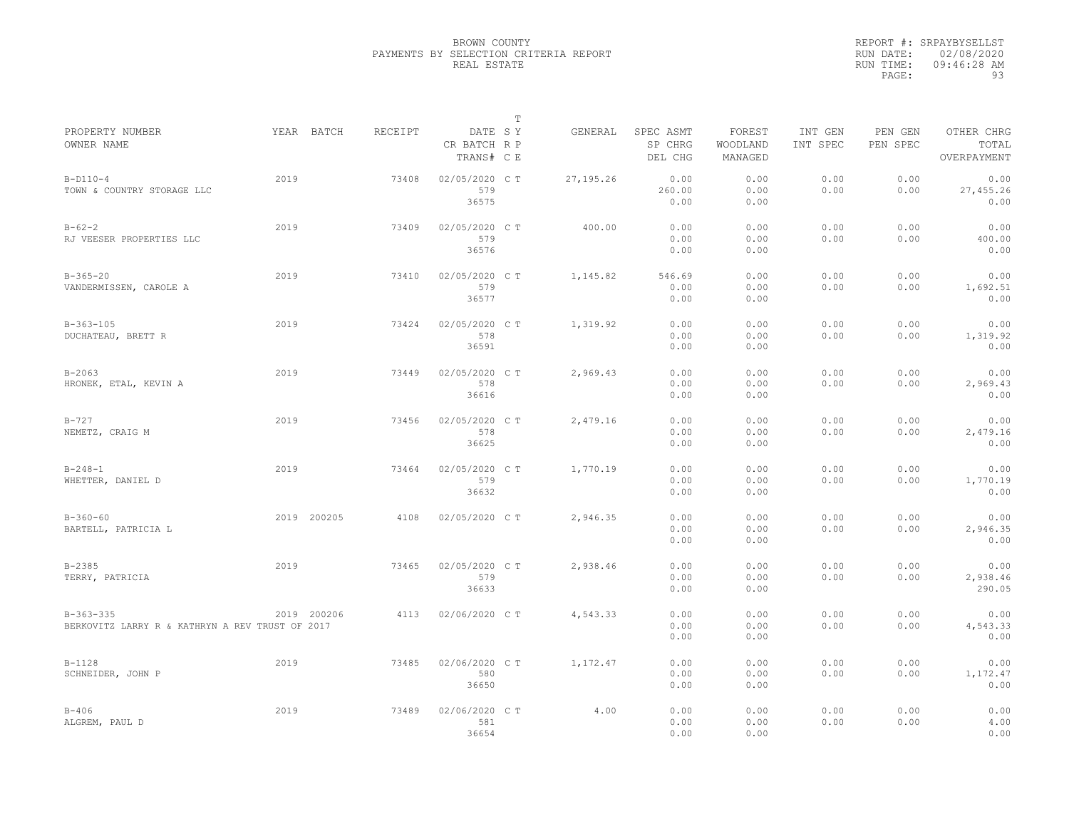|                                                                |             |         |                                       | $\mathbb T$ |           |                                 |                               |                     |                     |                                    |
|----------------------------------------------------------------|-------------|---------|---------------------------------------|-------------|-----------|---------------------------------|-------------------------------|---------------------|---------------------|------------------------------------|
| PROPERTY NUMBER<br>OWNER NAME                                  | YEAR BATCH  | RECEIPT | DATE SY<br>CR BATCH R P<br>TRANS# C E |             | GENERAL   | SPEC ASMT<br>SP CHRG<br>DEL CHG | FOREST<br>WOODLAND<br>MANAGED | INT GEN<br>INT SPEC | PEN GEN<br>PEN SPEC | OTHER CHRG<br>TOTAL<br>OVERPAYMENT |
| $B-D110-4$<br>TOWN & COUNTRY STORAGE LLC                       | 2019        | 73408   | 02/05/2020 C T<br>579<br>36575        |             | 27,195.26 | 0.00<br>260.00<br>0.00          | 0.00<br>0.00<br>0.00          | 0.00<br>0.00        | 0.00<br>0.00        | 0.00<br>27,455.26<br>0.00          |
| $B - 62 - 2$<br>RJ VEESER PROPERTIES LLC                       | 2019        | 73409   | 02/05/2020 C T<br>579<br>36576        |             | 400.00    | 0.00<br>0.00<br>0.00            | 0.00<br>0.00<br>0.00          | 0.00<br>0.00        | 0.00<br>0.00        | 0.00<br>400.00<br>0.00             |
| $B-365-20$<br>VANDERMISSEN, CAROLE A                           | 2019        | 73410   | 02/05/2020 C T<br>579<br>36577        |             | 1,145.82  | 546.69<br>0.00<br>0.00          | 0.00<br>0.00<br>0.00          | 0.00<br>0.00        | 0.00<br>0.00        | 0.00<br>1,692.51<br>0.00           |
| $B-363-105$<br>DUCHATEAU, BRETT R                              | 2019        | 73424   | 02/05/2020 C T<br>578<br>36591        |             | 1,319.92  | 0.00<br>0.00<br>0.00            | 0.00<br>0.00<br>0.00          | 0.00<br>0.00        | 0.00<br>0.00        | 0.00<br>1,319.92<br>0.00           |
| $B - 2063$<br>HRONEK, ETAL, KEVIN A                            | 2019        | 73449   | 02/05/2020 C T<br>578<br>36616        |             | 2,969.43  | 0.00<br>0.00<br>0.00            | 0.00<br>0.00<br>0.00          | 0.00<br>0.00        | 0.00<br>0.00        | 0.00<br>2,969.43<br>0.00           |
| $B - 727$<br>NEMETZ, CRAIG M                                   | 2019        | 73456   | 02/05/2020 C T<br>578<br>36625        |             | 2,479.16  | 0.00<br>0.00<br>0.00            | 0.00<br>0.00<br>0.00          | 0.00<br>0.00        | 0.00<br>0.00        | 0.00<br>2,479.16<br>0.00           |
| $B - 248 - 1$<br>WHETTER, DANIEL D                             | 2019        | 73464   | 02/05/2020 C T<br>579<br>36632        |             | 1,770.19  | 0.00<br>0.00<br>0.00            | 0.00<br>0.00<br>0.00          | 0.00<br>0.00        | 0.00<br>0.00        | 0.00<br>1,770.19<br>0.00           |
| $B - 360 - 60$<br>BARTELL, PATRICIA L                          | 2019 200205 | 4108    | 02/05/2020 C T                        |             | 2,946.35  | 0.00<br>0.00<br>0.00            | 0.00<br>0.00<br>0.00          | 0.00<br>0.00        | 0.00<br>0.00        | 0.00<br>2,946.35<br>0.00           |
| $B - 2385$<br>TERRY, PATRICIA                                  | 2019        | 73465   | 02/05/2020 C T<br>579<br>36633        |             | 2,938.46  | 0.00<br>0.00<br>0.00            | 0.00<br>0.00<br>0.00          | 0.00<br>0.00        | 0.00<br>0.00        | 0.00<br>2,938.46<br>290.05         |
| $B-363-335$<br>BERKOVITZ LARRY R & KATHRYN A REV TRUST OF 2017 | 2019 200206 | 4113    | 02/06/2020 C T                        |             | 4,543.33  | 0.00<br>0.00<br>0.00            | 0.00<br>0.00<br>0.00          | 0.00<br>0.00        | 0.00<br>0.00        | 0.00<br>4,543.33<br>0.00           |
| $B-1128$<br>SCHNEIDER, JOHN P                                  | 2019        | 73485   | 02/06/2020 C T<br>580<br>36650        |             | 1,172.47  | 0.00<br>0.00<br>0.00            | 0.00<br>0.00<br>0.00          | 0.00<br>0.00        | 0.00<br>0.00        | 0.00<br>1,172.47<br>0.00           |
| $B - 406$<br>ALGREM, PAUL D                                    | 2019        | 73489   | 02/06/2020 C T<br>581<br>36654        |             | 4.00      | 0.00<br>0.00<br>0.00            | 0.00<br>0.00<br>0.00          | 0.00<br>0.00        | 0.00<br>0.00        | 0.00<br>4.00<br>0.00               |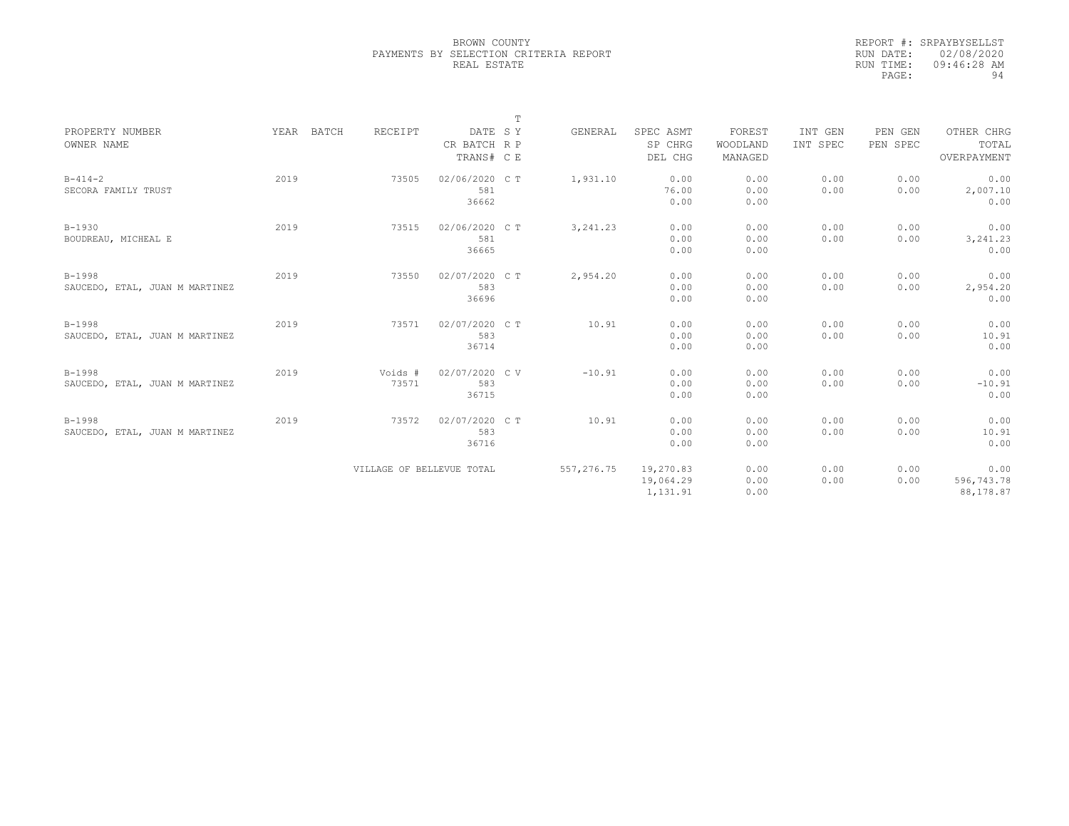|                                |            |         |                           | T |            |           |          |          |          |             |
|--------------------------------|------------|---------|---------------------------|---|------------|-----------|----------|----------|----------|-------------|
| PROPERTY NUMBER                | YEAR BATCH | RECEIPT | DATE SY                   |   | GENERAL    | SPEC ASMT | FOREST   | INT GEN  | PEN GEN  | OTHER CHRG  |
| OWNER NAME                     |            |         | CR BATCH R P              |   |            | SP CHRG   | WOODLAND | INT SPEC | PEN SPEC | TOTAL       |
|                                |            |         | TRANS# C E                |   |            | DEL CHG   | MANAGED  |          |          | OVERPAYMENT |
| $B - 414 - 2$                  | 2019       | 73505   | 02/06/2020 C T            |   | 1,931.10   | 0.00      | 0.00     | 0.00     | 0.00     | 0.00        |
| SECORA FAMILY TRUST            |            |         | 581                       |   |            | 76.00     | 0.00     | 0.00     | 0.00     | 2,007.10    |
|                                |            |         | 36662                     |   |            | 0.00      | 0.00     |          |          | 0.00        |
| $B-1930$                       | 2019       | 73515   | 02/06/2020 C T            |   | 3, 241.23  | 0.00      | 0.00     | 0.00     | 0.00     | 0.00        |
| BOUDREAU, MICHEAL E            |            |         | 581                       |   |            | 0.00      | 0.00     | 0.00     | 0.00     | 3, 241.23   |
|                                |            |         | 36665                     |   |            | 0.00      | 0.00     |          |          | 0.00        |
| $B-1998$                       | 2019       | 73550   | 02/07/2020 C T            |   | 2,954.20   | 0.00      | 0.00     | 0.00     | 0.00     | 0.00        |
| SAUCEDO, ETAL, JUAN M MARTINEZ |            |         | 583                       |   |            | 0.00      | 0.00     | 0.00     | 0.00     | 2,954.20    |
|                                |            |         | 36696                     |   |            | 0.00      | 0.00     |          |          | 0.00        |
| $B-1998$                       | 2019       | 73571   | 02/07/2020 CT             |   | 10.91      | 0.00      | 0.00     | 0.00     | 0.00     | 0.00        |
| SAUCEDO, ETAL, JUAN M MARTINEZ |            |         | 583                       |   |            | 0.00      | 0.00     | 0.00     | 0.00     | 10.91       |
|                                |            |         | 36714                     |   |            | 0.00      | 0.00     |          |          | 0.00        |
| $B-1998$                       | 2019       | Voids # | 02/07/2020 CV             |   | $-10.91$   | 0.00      | 0.00     | 0.00     | 0.00     | 0.00        |
| SAUCEDO, ETAL, JUAN M MARTINEZ |            | 73571   | 583                       |   |            | 0.00      | 0.00     | 0.00     | 0.00     | $-10.91$    |
|                                |            |         | 36715                     |   |            | 0.00      | 0.00     |          |          | 0.00        |
| $B-1998$                       | 2019       | 73572   | 02/07/2020 C T            |   | 10.91      | 0.00      | 0.00     | 0.00     | 0.00     | 0.00        |
| SAUCEDO, ETAL, JUAN M MARTINEZ |            |         | 583                       |   |            | 0.00      | 0.00     | 0.00     | 0.00     | 10.91       |
|                                |            |         | 36716                     |   |            | 0.00      | 0.00     |          |          | 0.00        |
|                                |            |         | VILLAGE OF BELLEVUE TOTAL |   | 557,276.75 | 19,270.83 | 0.00     | 0.00     | 0.00     | 0.00        |
|                                |            |         |                           |   |            | 19,064.29 | 0.00     | 0.00     | 0.00     | 596,743.78  |
|                                |            |         |                           |   |            | 1,131.91  | 0.00     |          |          | 88,178.87   |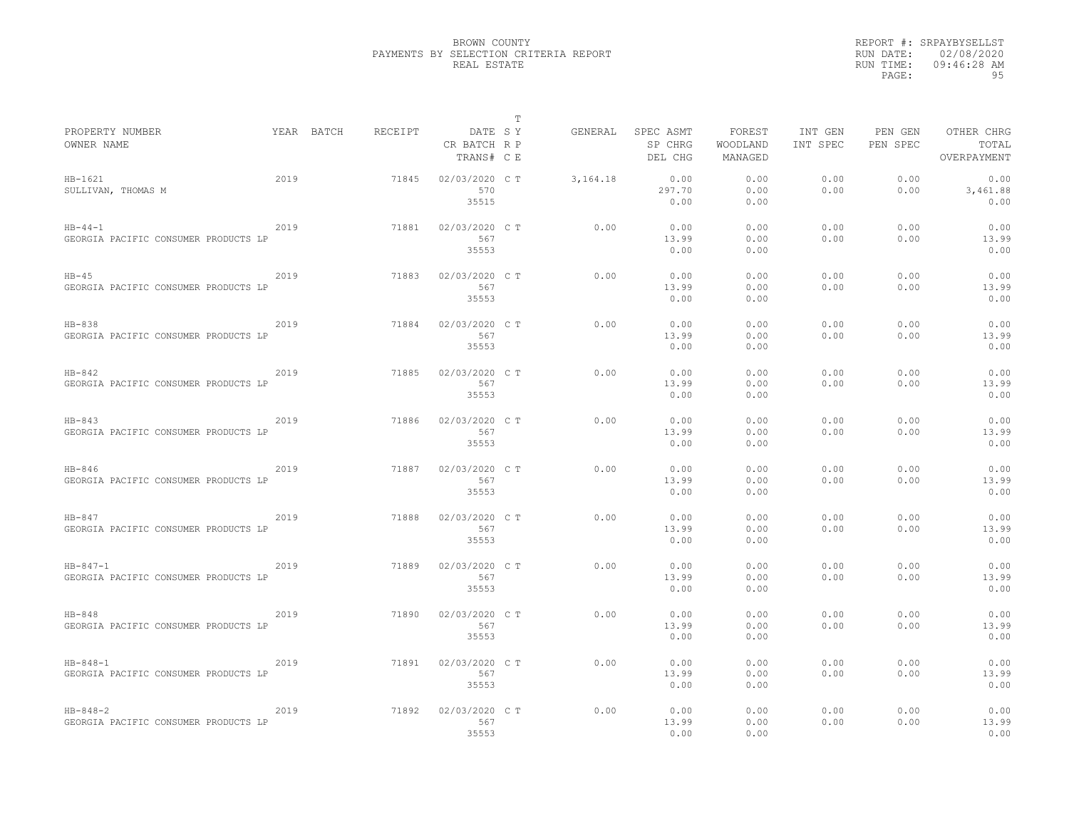|                                                        |      |                       |                                | T       |          |                                 |                               |                     |                     |                                    |
|--------------------------------------------------------|------|-----------------------|--------------------------------|---------|----------|---------------------------------|-------------------------------|---------------------|---------------------|------------------------------------|
| PROPERTY NUMBER<br>OWNER NAME                          |      | RECEIPT<br>YEAR BATCH | CR BATCH R P<br>TRANS# C E     | DATE SY | GENERAL  | SPEC ASMT<br>SP CHRG<br>DEL CHG | FOREST<br>WOODLAND<br>MANAGED | INT GEN<br>INT SPEC | PEN GEN<br>PEN SPEC | OTHER CHRG<br>TOTAL<br>OVERPAYMENT |
| $HB-1621$<br>SULLIVAN, THOMAS M                        | 2019 | 71845                 | 02/03/2020 C T<br>570<br>35515 |         | 3,164.18 | 0.00<br>297.70<br>0.00          | 0.00<br>0.00<br>0.00          | 0.00<br>0.00        | 0.00<br>0.00        | 0.00<br>3,461.88<br>0.00           |
| $HB - 44 - 1$<br>GEORGIA PACIFIC CONSUMER PRODUCTS LP  | 2019 | 71881                 | 02/03/2020 C T<br>567<br>35553 |         | 0.00     | 0.00<br>13.99<br>0.00           | 0.00<br>0.00<br>0.00          | 0.00<br>0.00        | 0.00<br>0.00        | 0.00<br>13.99<br>0.00              |
| $HB-45$<br>GEORGIA PACIFIC CONSUMER PRODUCTS LP        | 2019 | 71883                 | 02/03/2020 C T<br>567<br>35553 |         | 0.00     | 0.00<br>13.99<br>0.00           | 0.00<br>0.00<br>0.00          | 0.00<br>0.00        | 0.00<br>0.00        | 0.00<br>13.99<br>0.00              |
| $HB-838$<br>GEORGIA PACIFIC CONSUMER PRODUCTS LP       | 2019 | 71884                 | 02/03/2020 C T<br>567<br>35553 |         | 0.00     | 0.00<br>13.99<br>0.00           | 0.00<br>0.00<br>0.00          | 0.00<br>0.00        | 0.00<br>0.00        | 0.00<br>13.99<br>0.00              |
| $HB-842$<br>GEORGIA PACIFIC CONSUMER PRODUCTS LP       | 2019 | 71885                 | 02/03/2020 C T<br>567<br>35553 |         | 0.00     | 0.00<br>13.99<br>0.00           | 0.00<br>0.00<br>0.00          | 0.00<br>0.00        | 0.00<br>0.00        | 0.00<br>13.99<br>0.00              |
| $HB-843$<br>GEORGIA PACIFIC CONSUMER PRODUCTS LP       | 2019 | 71886                 | 02/03/2020 C T<br>567<br>35553 |         | 0.00     | 0.00<br>13.99<br>0.00           | 0.00<br>0.00<br>0.00          | 0.00<br>0.00        | 0.00<br>0.00        | 0.00<br>13.99<br>0.00              |
| $HB-846$<br>GEORGIA PACIFIC CONSUMER PRODUCTS LP       | 2019 | 71887                 | 02/03/2020 C T<br>567<br>35553 |         | 0.00     | 0.00<br>13.99<br>0.00           | 0.00<br>0.00<br>0.00          | 0.00<br>0.00        | 0.00<br>0.00        | 0.00<br>13.99<br>0.00              |
| $HB-847$<br>GEORGIA PACIFIC CONSUMER PRODUCTS LP       | 2019 | 71888                 | 02/03/2020 C T<br>567<br>35553 |         | 0.00     | 0.00<br>13.99<br>0.00           | 0.00<br>0.00<br>0.00          | 0.00<br>0.00        | 0.00<br>0.00        | 0.00<br>13.99<br>0.00              |
| $HB - 847 - 1$<br>GEORGIA PACIFIC CONSUMER PRODUCTS LP | 2019 | 71889                 | 02/03/2020 C T<br>567<br>35553 |         | 0.00     | 0.00<br>13.99<br>0.00           | 0.00<br>0.00<br>0.00          | 0.00<br>0.00        | 0.00<br>0.00        | 0.00<br>13.99<br>0.00              |
| $HB-848$<br>GEORGIA PACIFIC CONSUMER PRODUCTS LP       | 2019 | 71890                 | 02/03/2020 C T<br>567<br>35553 |         | 0.00     | 0.00<br>13.99<br>0.00           | 0.00<br>0.00<br>0.00          | 0.00<br>0.00        | 0.00<br>0.00        | 0.00<br>13.99<br>0.00              |
| $HB - 848 - 1$<br>GEORGIA PACIFIC CONSUMER PRODUCTS LP | 2019 | 71891                 | 02/03/2020 C T<br>567<br>35553 |         | 0.00     | 0.00<br>13.99<br>0.00           | 0.00<br>0.00<br>0.00          | 0.00<br>0.00        | 0.00<br>0.00        | 0.00<br>13.99<br>0.00              |
| $HB - 848 - 2$<br>GEORGIA PACIFIC CONSUMER PRODUCTS LP | 2019 | 71892                 | 02/03/2020 C T<br>567<br>35553 |         | 0.00     | 0.00<br>13.99<br>0.00           | 0.00<br>0.00<br>0.00          | 0.00<br>0.00        | 0.00<br>0.00        | 0.00<br>13.99<br>0.00              |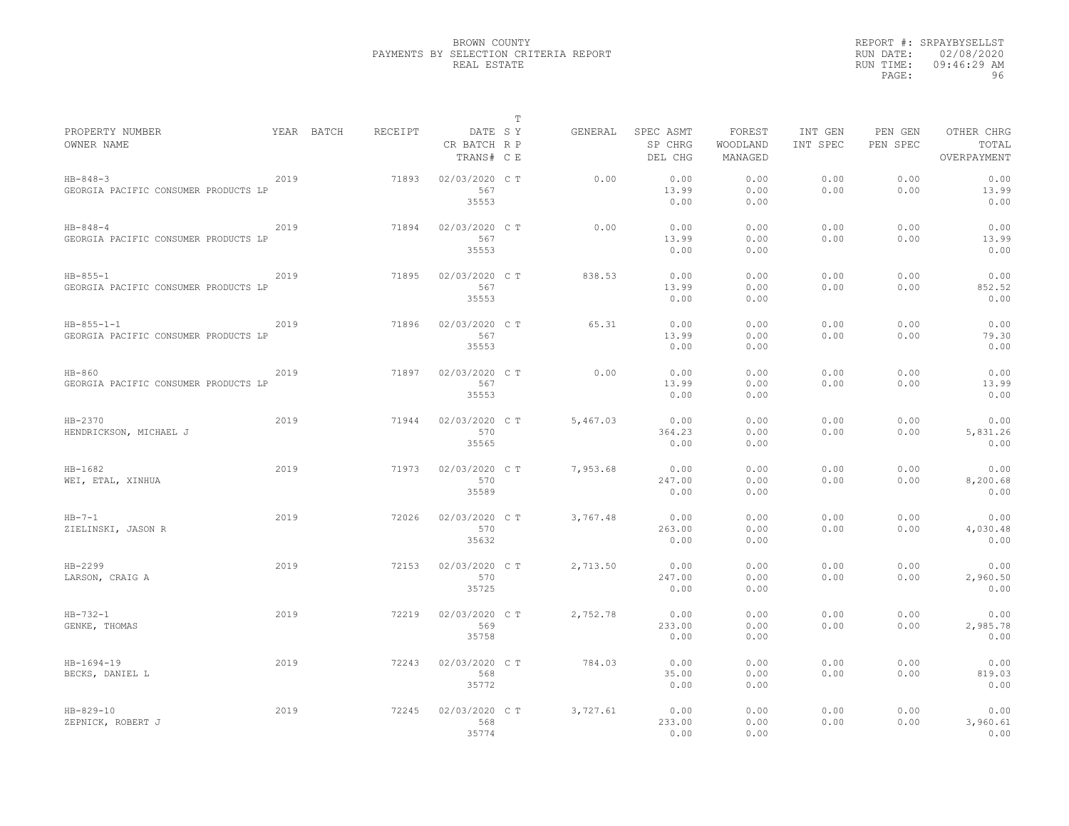|                                                            |      |            |         |                                       | $\mathbb T$ |          |                                 |                               |                     |                     |                                    |
|------------------------------------------------------------|------|------------|---------|---------------------------------------|-------------|----------|---------------------------------|-------------------------------|---------------------|---------------------|------------------------------------|
| PROPERTY NUMBER<br>OWNER NAME                              |      | YEAR BATCH | RECEIPT | DATE SY<br>CR BATCH R P<br>TRANS# C E |             | GENERAL  | SPEC ASMT<br>SP CHRG<br>DEL CHG | FOREST<br>WOODLAND<br>MANAGED | INT GEN<br>INT SPEC | PEN GEN<br>PEN SPEC | OTHER CHRG<br>TOTAL<br>OVERPAYMENT |
| $HB - 848 - 3$<br>GEORGIA PACIFIC CONSUMER PRODUCTS LP     | 2019 |            | 71893   | 02/03/2020 C T<br>567<br>35553        |             | 0.00     | 0.00<br>13.99<br>0.00           | 0.00<br>0.00<br>0.00          | 0.00<br>0.00        | 0.00<br>0.00        | 0.00<br>13.99<br>0.00              |
| $HB - 848 - 4$<br>GEORGIA PACIFIC CONSUMER PRODUCTS LP     | 2019 |            | 71894   | 02/03/2020 C T<br>567<br>35553        |             | 0.00     | 0.00<br>13.99<br>0.00           | 0.00<br>0.00<br>0.00          | 0.00<br>0.00        | 0.00<br>0.00        | 0.00<br>13.99<br>0.00              |
| $HB - 855 - 1$<br>GEORGIA PACIFIC CONSUMER PRODUCTS LP     | 2019 |            | 71895   | 02/03/2020 C T<br>567<br>35553        |             | 838.53   | 0.00<br>13.99<br>0.00           | 0.00<br>0.00<br>0.00          | 0.00<br>0.00        | 0.00<br>0.00        | 0.00<br>852.52<br>0.00             |
| $HB - 855 - 1 - 1$<br>GEORGIA PACIFIC CONSUMER PRODUCTS LP | 2019 |            | 71896   | 02/03/2020 C T<br>567<br>35553        |             | 65.31    | 0.00<br>13.99<br>0.00           | 0.00<br>0.00<br>0.00          | 0.00<br>0.00        | 0.00<br>0.00        | 0.00<br>79.30<br>0.00              |
| $HB-860$<br>GEORGIA PACIFIC CONSUMER PRODUCTS LP           | 2019 |            | 71897   | 02/03/2020 C T<br>567<br>35553        |             | 0.00     | 0.00<br>13.99<br>0.00           | 0.00<br>0.00<br>0.00          | 0.00<br>0.00        | 0.00<br>0.00        | 0.00<br>13.99<br>0.00              |
| HB-2370<br>HENDRICKSON, MICHAEL J                          | 2019 |            | 71944   | 02/03/2020 C T<br>570<br>35565        |             | 5.467.03 | 0.00<br>364.23<br>0.00          | 0.00<br>0.00<br>0.00          | 0.00<br>0.00        | 0.00<br>0.00        | 0.00<br>5,831.26<br>0.00           |
| $HB-1682$<br>WEI, ETAL, XINHUA                             | 2019 |            | 71973   | 02/03/2020 C T<br>570<br>35589        |             | 7,953.68 | 0.00<br>247.00<br>0.00          | 0.00<br>0.00<br>0.00          | 0.00<br>0.00        | 0.00<br>0.00        | 0.00<br>8,200.68<br>0.00           |
| $HB-7-1$<br>ZIELINSKI, JASON R                             | 2019 |            | 72026   | 02/03/2020 C T<br>570<br>35632        |             | 3,767.48 | 0.00<br>263.00<br>0.00          | 0.00<br>0.00<br>0.00          | 0.00<br>0.00        | 0.00<br>0.00        | 0.00<br>4,030.48<br>0.00           |
| HB-2299<br>LARSON, CRAIG A                                 | 2019 |            | 72153   | 02/03/2020 C T<br>570<br>35725        |             | 2,713.50 | 0.00<br>247.00<br>0.00          | 0.00<br>0.00<br>0.00          | 0.00<br>0.00        | 0.00<br>0.00        | 0.00<br>2,960.50<br>0.00           |
| $HB - 732 - 1$<br>GENKE, THOMAS                            | 2019 |            | 72219   | 02/03/2020 CT<br>569<br>35758         |             | 2,752.78 | 0.00<br>233.00<br>0.00          | 0.00<br>0.00<br>0.00          | 0.00<br>0.00        | 0.00<br>0.00        | 0.00<br>2,985.78<br>0.00           |
| $HB-1694-19$<br>BECKS, DANIEL L                            | 2019 |            | 72243   | 02/03/2020 C T<br>568<br>35772        |             | 784.03   | 0.00<br>35.00<br>0.00           | 0.00<br>0.00<br>0.00          | 0.00<br>0.00        | 0.00<br>0.00        | 0.00<br>819.03<br>0.00             |
| $HB - 829 - 10$<br>ZEPNICK, ROBERT J                       | 2019 |            | 72245   | 02/03/2020 C T<br>568<br>35774        |             | 3,727.61 | 0.00<br>233.00<br>0.00          | 0.00<br>0.00<br>0.00          | 0.00<br>0.00        | 0.00<br>0.00        | 0.00<br>3,960.61<br>0.00           |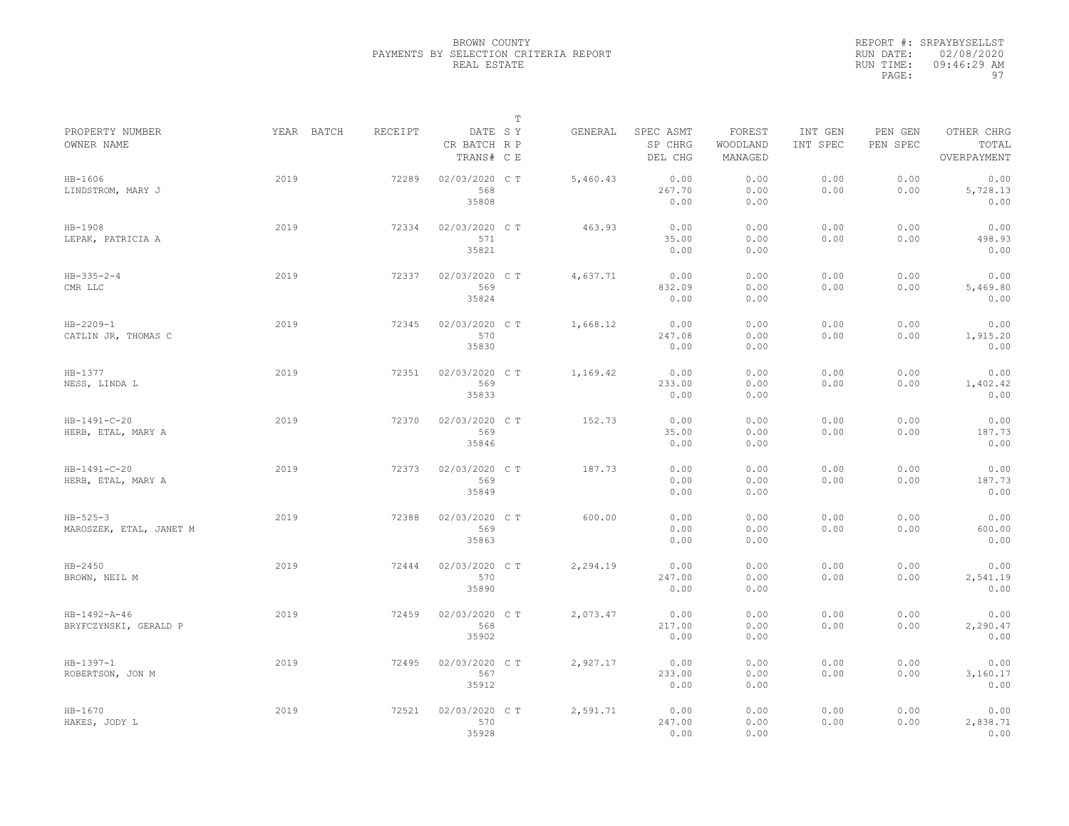|                                           |            |         |                                       | $\mathbb T$ |          |                                 |                               |                     |                     |                                    |
|-------------------------------------------|------------|---------|---------------------------------------|-------------|----------|---------------------------------|-------------------------------|---------------------|---------------------|------------------------------------|
| PROPERTY NUMBER<br>OWNER NAME             | YEAR BATCH | RECEIPT | DATE SY<br>CR BATCH R P<br>TRANS# C E |             | GENERAL  | SPEC ASMT<br>SP CHRG<br>DEL CHG | FOREST<br>WOODLAND<br>MANAGED | INT GEN<br>INT SPEC | PEN GEN<br>PEN SPEC | OTHER CHRG<br>TOTAL<br>OVERPAYMENT |
| $HB-1606$<br>LINDSTROM, MARY J            | 2019       | 72289   | 02/03/2020 C T<br>568<br>35808        |             | 5,460.43 | 0.00<br>267.70<br>0.00          | 0.00<br>0.00<br>0.00          | 0.00<br>0.00        | 0.00<br>0.00        | 0.00<br>5,728.13<br>0.00           |
| $HB-1908$<br>LEPAK, PATRICIA A            | 2019       | 72334   | 02/03/2020 CT<br>571<br>35821         |             | 463.93   | 0.00<br>35.00<br>0.00           | 0.00<br>0.00<br>0.00          | 0.00<br>0.00        | 0.00<br>0.00        | 0.00<br>498.93<br>0.00             |
| $HB - 335 - 2 - 4$<br>CMR LLC             | 2019       | 72337   | 02/03/2020 CT<br>569<br>35824         |             | 4,637.71 | 0.00<br>832.09<br>0.00          | 0.00<br>0.00<br>0.00          | 0.00<br>0.00        | 0.00<br>0.00        | 0.00<br>5,469.80<br>0.00           |
| $HB - 2209 - 1$<br>CATLIN JR, THOMAS C    | 2019       | 72345   | 02/03/2020 C T<br>570<br>35830        |             | 1,668.12 | 0.00<br>247.08<br>0.00          | 0.00<br>0.00<br>0.00          | 0.00<br>0.00        | 0.00<br>0.00        | 0.00<br>1,915.20<br>0.00           |
| HB-1377<br>NESS, LINDA L                  | 2019       | 72351   | 02/03/2020 C T<br>569<br>35833        |             | 1,169.42 | 0.00<br>233.00<br>0.00          | 0.00<br>0.00<br>0.00          | 0.00<br>0.00        | 0.00<br>0.00        | 0.00<br>1,402.42<br>0.00           |
| HB-1491-C-20<br>HERB, ETAL, MARY A        | 2019       | 72370   | 02/03/2020 CT<br>569<br>35846         |             | 152.73   | 0.00<br>35.00<br>0.00           | 0.00<br>0.00<br>0.00          | 0.00<br>0.00        | 0.00<br>0.00        | 0.00<br>187.73<br>0.00             |
| HB-1491-C-20<br>HERB, ETAL, MARY A        | 2019       | 72373   | 02/03/2020 CT<br>569<br>35849         |             | 187.73   | 0.00<br>0.00<br>0.00            | 0.00<br>0.00<br>0.00          | 0.00<br>0.00        | 0.00<br>0.00        | 0.00<br>187.73<br>0.00             |
| $HB - 525 - 3$<br>MAROSZEK, ETAL, JANET M | 2019       | 72388   | 02/03/2020 C T<br>569<br>35863        |             | 600.00   | 0.00<br>0.00<br>0.00            | 0.00<br>0.00<br>0.00          | 0.00<br>0.00        | 0.00<br>0.00        | 0.00<br>600.00<br>0.00             |
| $HB - 2450$<br>BROWN, NEIL M              | 2019       | 72444   | 02/03/2020 C T<br>570<br>35890        |             | 2,294.19 | 0.00<br>247.00<br>0.00          | 0.00<br>0.00<br>0.00          | 0.00<br>0.00        | 0.00<br>0.00        | 0.00<br>2,541.19<br>0.00           |
| HB-1492-A-46<br>BRYFCZYNSKI, GERALD P     | 2019       | 72459   | 02/03/2020 C T<br>568<br>35902        |             | 2,073.47 | 0.00<br>217.00<br>0.00          | 0.00<br>0.00<br>0.00          | 0.00<br>0.00        | 0.00<br>0.00        | 0.00<br>2,290.47<br>0.00           |
| $HB-1397-1$<br>ROBERTSON, JON M           | 2019       | 72495   | 02/03/2020 C T<br>567<br>35912        |             | 2,927.17 | 0.00<br>233.00<br>0.00          | 0.00<br>0.00<br>0.00          | 0.00<br>0.00        | 0.00<br>0.00        | 0.00<br>3,160.17<br>0.00           |
| $HB-1670$<br>HAKES, JODY L                | 2019       | 72521   | 02/03/2020 CT<br>570<br>35928         |             | 2,591.71 | 0.00<br>247.00<br>0.00          | 0.00<br>0.00<br>0.00          | 0.00<br>0.00        | 0.00<br>0.00        | 0.00<br>2,838.71<br>0.00           |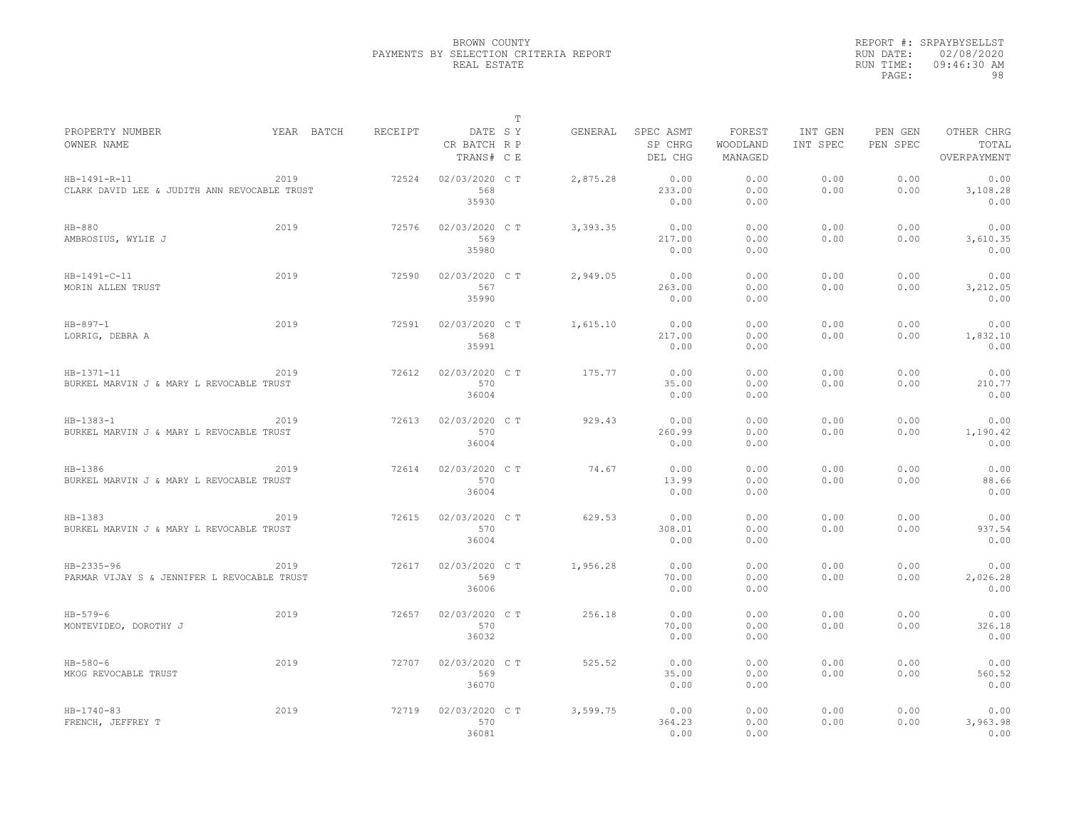|                                                              |            |         |                                         | $\mathbb T$ |          |                                 |                               |                     |                     |                                    |
|--------------------------------------------------------------|------------|---------|-----------------------------------------|-------------|----------|---------------------------------|-------------------------------|---------------------|---------------------|------------------------------------|
| PROPERTY NUMBER<br>OWNER NAME                                | YEAR BATCH | RECEIPT | DATE SY<br>CR BATCH R P<br>TRANS# C E   |             | GENERAL  | SPEC ASMT<br>SP CHRG<br>DEL CHG | FOREST<br>WOODLAND<br>MANAGED | INT GEN<br>INT SPEC | PEN GEN<br>PEN SPEC | OTHER CHRG<br>TOTAL<br>OVERPAYMENT |
| HB-1491-R-11<br>CLARK DAVID LEE & JUDITH ANN REVOCABLE TRUST | 2019       | 72524   | 02/03/2020 C T<br>568                   |             | 2,875.28 | 0.00<br>233.00                  | 0.00<br>0.00                  | 0.00<br>0.00        | 0.00<br>0.00        | 0.00<br>3,108.28                   |
| $HB-880$<br>AMBROSIUS, WYLIE J                               | 2019       | 72576   | 35930<br>02/03/2020 C T<br>569<br>35980 |             | 3,393.35 | 0.00<br>0.00<br>217.00<br>0.00  | 0.00<br>0.00<br>0.00<br>0.00  | 0.00<br>0.00        | 0.00<br>0.00        | 0.00<br>0.00<br>3,610.35<br>0.00   |
| HB-1491-C-11<br>MORIN ALLEN TRUST                            | 2019       | 72590   | 02/03/2020 C T<br>567<br>35990          |             | 2,949.05 | 0.00<br>263.00<br>0.00          | 0.00<br>0.00<br>0.00          | 0.00<br>0.00        | 0.00<br>0.00        | 0.00<br>3,212.05<br>0.00           |
| $HB - 897 - 1$<br>LORRIG, DEBRA A                            | 2019       | 72591   | 02/03/2020 C T<br>568<br>35991          |             | 1,615.10 | 0.00<br>217.00<br>0.00          | 0.00<br>0.00<br>0.00          | 0.00<br>0.00        | 0.00<br>0.00        | 0.00<br>1,832.10<br>0.00           |
| HB-1371-11<br>BURKEL MARVIN J & MARY L REVOCABLE TRUST       | 2019       | 72612   | 02/03/2020 C T<br>570<br>36004          |             | 175.77   | 0.00<br>35.00<br>0.00           | 0.00<br>0.00<br>0.00          | 0.00<br>0.00        | 0.00<br>0.00        | 0.00<br>210.77<br>0.00             |
| $HB-1383-1$<br>BURKEL MARVIN J & MARY L REVOCABLE TRUST      | 2019       | 72613   | 02/03/2020 C T<br>570<br>36004          |             | 929.43   | 0.00<br>260.99<br>0.00          | 0.00<br>0.00<br>0.00          | 0.00<br>0.00        | 0.00<br>0.00        | 0.00<br>1,190.42<br>0.00           |
| HB-1386<br>BURKEL MARVIN J & MARY L REVOCABLE TRUST          | 2019       | 72614   | 02/03/2020 C T<br>570<br>36004          |             | 74.67    | 0.00<br>13.99<br>0.00           | 0.00<br>0.00<br>0.00          | 0.00<br>0.00        | 0.00<br>0.00        | 0.00<br>88.66<br>0.00              |
| HB-1383<br>BURKEL MARVIN J & MARY L REVOCABLE TRUST          | 2019       | 72615   | 02/03/2020 C T<br>570<br>36004          |             | 629.53   | 0.00<br>308.01<br>0.00          | 0.00<br>0.00<br>0.00          | 0.00<br>0.00        | 0.00<br>0.00        | 0.00<br>937.54<br>0.00             |
| HB-2335-96<br>PARMAR VIJAY S & JENNIFER L REVOCABLE TRUST    | 2019       | 72617   | 02/03/2020 C T<br>569<br>36006          |             | 1,956.28 | 0.00<br>70.00<br>0.00           | 0.00<br>0.00<br>0.00          | 0.00<br>0.00        | 0.00<br>0.00        | 0.00<br>2,026.28<br>0.00           |
| $HB - 579 - 6$<br>MONTEVIDEO, DOROTHY J                      | 2019       | 72657   | 02/03/2020 C T<br>570<br>36032          |             | 256.18   | 0.00<br>70.00<br>0.00           | 0.00<br>0.00<br>0.00          | 0.00<br>0.00        | 0.00<br>0.00        | 0.00<br>326.18<br>0.00             |
| $HB-580-6$<br>MKOG REVOCABLE TRUST                           | 2019       | 72707   | 02/03/2020 C T<br>569<br>36070          |             | 525.52   | 0.00<br>35.00<br>0.00           | 0.00<br>0.00<br>0.00          | 0.00<br>0.00        | 0.00<br>0.00        | 0.00<br>560.52<br>0.00             |
| $HB - 1740 - 83$<br>FRENCH, JEFFREY T                        | 2019       | 72719   | 02/03/2020 C T<br>570<br>36081          |             | 3,599.75 | 0.00<br>364.23<br>0.00          | 0.00<br>0.00<br>0.00          | 0.00<br>0.00        | 0.00<br>0.00        | 0.00<br>3,963.98<br>0.00           |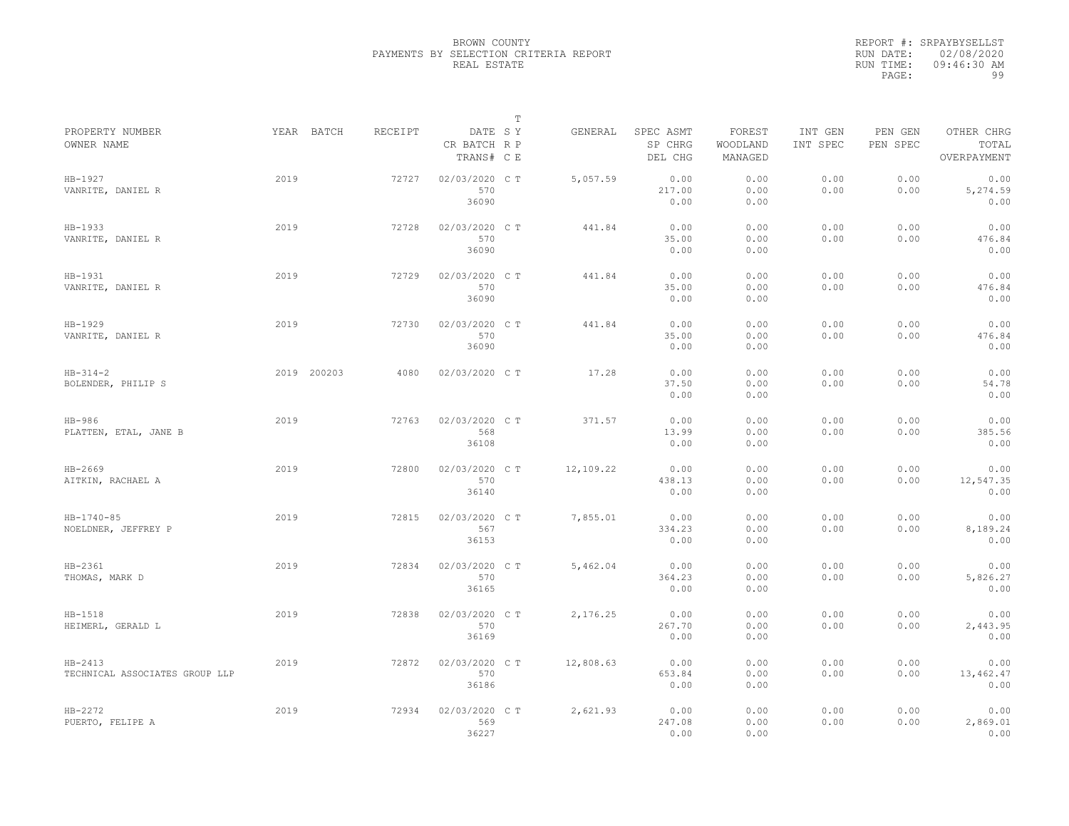|                                             |      |             |         |                                       | $\mathbb{T}$ |           |                                 |                               |                     |                     |                                    |
|---------------------------------------------|------|-------------|---------|---------------------------------------|--------------|-----------|---------------------------------|-------------------------------|---------------------|---------------------|------------------------------------|
| PROPERTY NUMBER<br>OWNER NAME               |      | YEAR BATCH  | RECEIPT | DATE SY<br>CR BATCH R P<br>TRANS# C E |              | GENERAL   | SPEC ASMT<br>SP CHRG<br>DEL CHG | FOREST<br>WOODLAND<br>MANAGED | INT GEN<br>INT SPEC | PEN GEN<br>PEN SPEC | OTHER CHRG<br>TOTAL<br>OVERPAYMENT |
| HB-1927<br>VANRITE, DANIEL R                | 2019 |             | 72727   | 02/03/2020 CT<br>570<br>36090         |              | 5,057.59  | 0.00<br>217.00<br>0.00          | 0.00<br>0.00<br>0.00          | 0.00<br>0.00        | 0.00<br>0.00        | 0.00<br>5,274.59<br>0.00           |
| HB-1933<br>VANRITE, DANIEL R                | 2019 |             | 72728   | 02/03/2020 C T<br>570<br>36090        |              | 441.84    | 0.00<br>35.00<br>0.00           | 0.00<br>0.00<br>0.00          | 0.00<br>0.00        | 0.00<br>0.00        | 0.00<br>476.84<br>0.00             |
| HB-1931<br>VANRITE, DANIEL R                | 2019 |             | 72729   | 02/03/2020 C T<br>570<br>36090        |              | 441.84    | 0.00<br>35.00<br>0.00           | 0.00<br>0.00<br>0.00          | 0.00<br>0.00        | 0.00<br>0.00        | 0.00<br>476.84<br>0.00             |
| HB-1929<br>VANRITE, DANIEL R                | 2019 |             | 72730   | 02/03/2020 C T<br>570<br>36090        |              | 441.84    | 0.00<br>35.00<br>0.00           | 0.00<br>0.00<br>0.00          | 0.00<br>0.00        | 0.00<br>0.00        | 0.00<br>476.84<br>0.00             |
| $HB-314-2$<br>BOLENDER, PHILIP S            |      | 2019 200203 | 4080    | 02/03/2020 C T                        |              | 17.28     | 0.00<br>37.50<br>0.00           | 0.00<br>0.00<br>0.00          | 0.00<br>0.00        | 0.00<br>0.00        | 0.00<br>54.78<br>0.00              |
| HB-986<br>PLATTEN, ETAL, JANE B             | 2019 |             | 72763   | 02/03/2020 C T<br>568<br>36108        |              | 371.57    | 0.00<br>13.99<br>0.00           | 0.00<br>0.00<br>0.00          | 0.00<br>0.00        | 0.00<br>0.00        | 0.00<br>385.56<br>0.00             |
| HB-2669<br>AITKIN, RACHAEL A                | 2019 |             | 72800   | 02/03/2020 C T<br>570<br>36140        |              | 12,109.22 | 0.00<br>438.13<br>0.00          | 0.00<br>0.00<br>0.00          | 0.00<br>0.00        | 0.00<br>0.00        | 0.00<br>12,547.35<br>0.00          |
| $HB - 1740 - 85$<br>NOELDNER, JEFFREY P     | 2019 |             | 72815   | 02/03/2020 C T<br>567<br>36153        |              | 7,855.01  | 0.00<br>334.23<br>0.00          | 0.00<br>0.00<br>0.00          | 0.00<br>0.00        | 0.00<br>0.00        | 0.00<br>8,189.24<br>0.00           |
| $HB-2361$<br>THOMAS, MARK D                 | 2019 |             | 72834   | 02/03/2020 C T<br>570<br>36165        |              | 5,462.04  | 0.00<br>364.23<br>0.00          | 0.00<br>0.00<br>0.00          | 0.00<br>0.00        | 0.00<br>0.00        | 0.00<br>5,826.27<br>0.00           |
| HB-1518<br>HEIMERL, GERALD L                | 2019 |             | 72838   | 02/03/2020 C T<br>570<br>36169        |              | 2,176.25  | 0.00<br>267.70<br>0.00          | 0.00<br>0.00<br>0.00          | 0.00<br>0.00        | 0.00<br>0.00        | 0.00<br>2,443.95<br>0.00           |
| $HB-2413$<br>TECHNICAL ASSOCIATES GROUP LLP | 2019 |             | 72872   | 02/03/2020 C T<br>570<br>36186        |              | 12,808.63 | 0.00<br>653.84<br>0.00          | 0.00<br>0.00<br>0.00          | 0.00<br>0.00        | 0.00<br>0.00        | 0.00<br>13,462.47<br>0.00          |
| $HB-2272$<br>PUERTO, FELIPE A               | 2019 |             | 72934   | 02/03/2020 C T<br>569<br>36227        |              | 2,621.93  | 0.00<br>247.08<br>0.00          | 0.00<br>0.00<br>0.00          | 0.00<br>0.00        | 0.00<br>0.00        | 0.00<br>2,869.01<br>0.00           |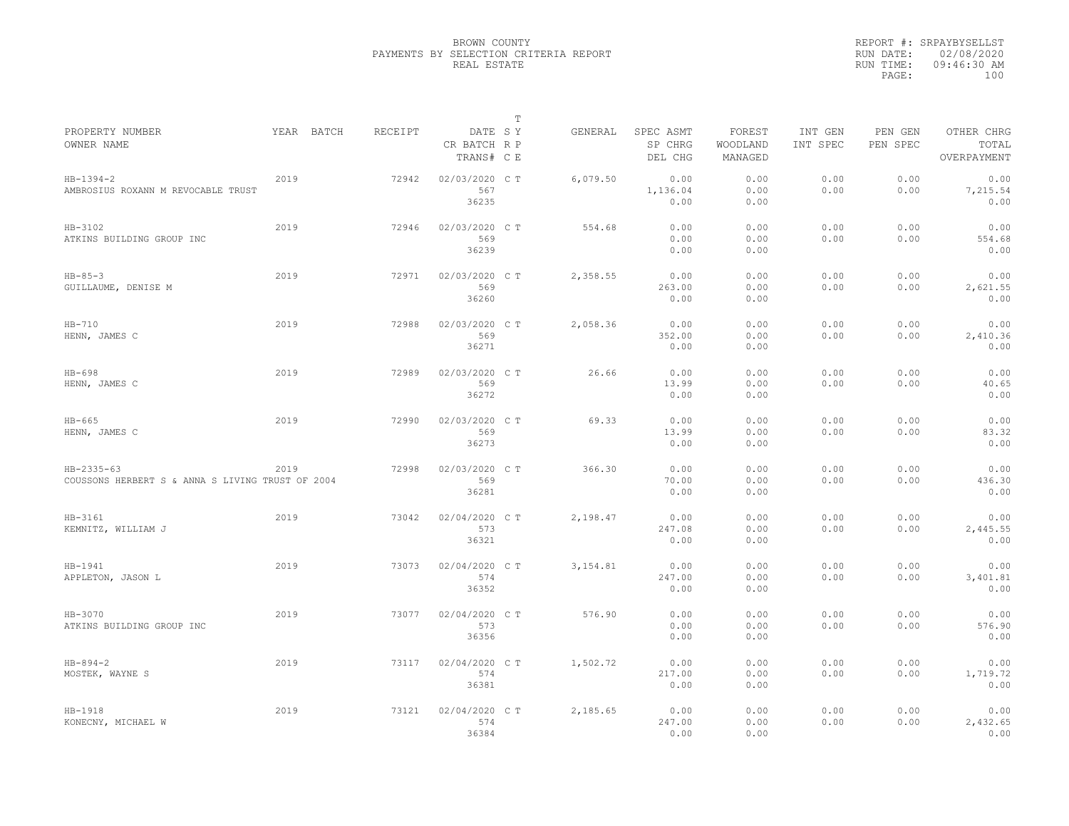|                                                                |            |         |                                       | $\mathbb T$ |          |                                 |                               |                     |                     |                                    |
|----------------------------------------------------------------|------------|---------|---------------------------------------|-------------|----------|---------------------------------|-------------------------------|---------------------|---------------------|------------------------------------|
| PROPERTY NUMBER<br>OWNER NAME                                  | YEAR BATCH | RECEIPT | DATE SY<br>CR BATCH R P<br>TRANS# C E |             | GENERAL  | SPEC ASMT<br>SP CHRG<br>DEL CHG | FOREST<br>WOODLAND<br>MANAGED | INT GEN<br>INT SPEC | PEN GEN<br>PEN SPEC | OTHER CHRG<br>TOTAL<br>OVERPAYMENT |
| $HB-1394-2$<br>AMBROSIUS ROXANN M REVOCABLE TRUST              | 2019       | 72942   | 02/03/2020 CT<br>567<br>36235         |             | 6,079.50 | 0.00<br>1,136.04<br>0.00        | 0.00<br>0.00<br>0.00          | 0.00<br>0.00        | 0.00<br>0.00        | 0.00<br>7,215.54<br>0.00           |
| HB-3102<br>ATKINS BUILDING GROUP INC                           | 2019       | 72946   | 02/03/2020 C T<br>569<br>36239        |             | 554.68   | 0.00<br>0.00<br>0.00            | 0.00<br>0.00<br>0.00          | 0.00<br>0.00        | 0.00<br>0.00        | 0.00<br>554.68<br>0.00             |
| $HB - 85 - 3$<br>GUILLAUME, DENISE M                           | 2019       | 72971   | 02/03/2020 CT<br>569<br>36260         |             | 2,358.55 | 0.00<br>263.00<br>0.00          | 0.00<br>0.00<br>0.00          | 0.00<br>0.00        | 0.00<br>0.00        | 0.00<br>2,621.55<br>0.00           |
| $HB-710$<br>HENN, JAMES C                                      | 2019       | 72988   | 02/03/2020 C T<br>569<br>36271        |             | 2,058.36 | 0.00<br>352.00<br>0.00          | 0.00<br>0.00<br>0.00          | 0.00<br>0.00        | 0.00<br>0.00        | 0.00<br>2,410.36<br>0.00           |
| $HB-698$<br>HENN, JAMES C                                      | 2019       | 72989   | 02/03/2020 CT<br>569<br>36272         |             | 26.66    | 0.00<br>13.99<br>0.00           | 0.00<br>0.00<br>0.00          | 0.00<br>0.00        | 0.00<br>0.00        | 0.00<br>40.65<br>0.00              |
| $HB-665$<br>HENN, JAMES C                                      | 2019       | 72990   | 02/03/2020 C T<br>569<br>36273        |             | 69.33    | 0.00<br>13.99<br>0.00           | 0.00<br>0.00<br>0.00          | 0.00<br>0.00        | 0.00<br>0.00        | 0.00<br>83.32<br>0.00              |
| HB-2335-63<br>COUSSONS HERBERT S & ANNA S LIVING TRUST OF 2004 | 2019       | 72998   | 02/03/2020 CT<br>569<br>36281         |             | 366.30   | 0.00<br>70.00<br>0.00           | 0.00<br>0.00<br>0.00          | 0.00<br>0.00        | 0.00<br>0.00        | 0.00<br>436.30<br>0.00             |
| HB-3161<br>KEMNITZ, WILLIAM J                                  | 2019       | 73042   | 02/04/2020 C T<br>573<br>36321        |             | 2.198.47 | 0.00<br>247.08<br>0.00          | 0.00<br>0.00<br>0.00          | 0.00<br>0.00        | 0.00<br>0.00        | 0.00<br>2,445.55<br>0.00           |
| HB-1941<br>APPLETON, JASON L                                   | 2019       | 73073   | 02/04/2020 CT<br>574<br>36352         |             | 3,154.81 | 0.00<br>247.00<br>0.00          | 0.00<br>0.00<br>0.00          | 0.00<br>0.00        | 0.00<br>0.00        | 0.00<br>3,401.81<br>0.00           |
| HB-3070<br>ATKINS BUILDING GROUP INC                           | 2019       | 73077   | 02/04/2020 C T<br>573<br>36356        |             | 576.90   | 0.00<br>0.00<br>0.00            | 0.00<br>0.00<br>0.00          | 0.00<br>0.00        | 0.00<br>0.00        | 0.00<br>576.90<br>0.00             |
| $HB - 894 - 2$<br>MOSTEK, WAYNE S                              | 2019       | 73117   | 02/04/2020 C T<br>574<br>36381        |             | 1,502.72 | 0.00<br>217.00<br>0.00          | 0.00<br>0.00<br>0.00          | 0.00<br>0.00        | 0.00<br>0.00        | 0.00<br>1,719.72<br>0.00           |
| HB-1918<br>KONECNY, MICHAEL W                                  | 2019       | 73121   | 02/04/2020 C T<br>574<br>36384        |             | 2,185.65 | 0.00<br>247.00<br>0.00          | 0.00<br>0.00<br>0.00          | 0.00<br>0.00        | 0.00<br>0.00        | 0.00<br>2,432.65<br>0.00           |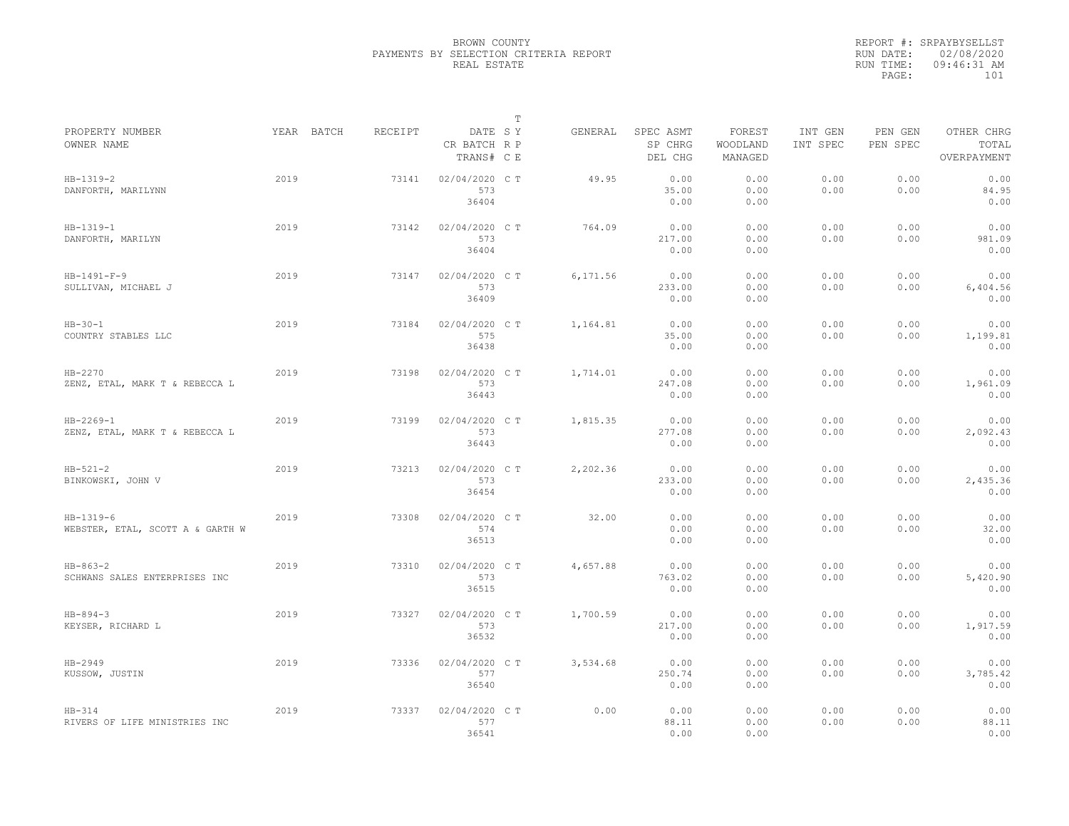|                                                   |      |            |         |                                       | $\mathbb T$ |          |                                 |                               |                     |                     |                                    |
|---------------------------------------------------|------|------------|---------|---------------------------------------|-------------|----------|---------------------------------|-------------------------------|---------------------|---------------------|------------------------------------|
| PROPERTY NUMBER<br>OWNER NAME                     |      | YEAR BATCH | RECEIPT | DATE SY<br>CR BATCH R P<br>TRANS# C E |             | GENERAL  | SPEC ASMT<br>SP CHRG<br>DEL CHG | FOREST<br>WOODLAND<br>MANAGED | INT GEN<br>INT SPEC | PEN GEN<br>PEN SPEC | OTHER CHRG<br>TOTAL<br>OVERPAYMENT |
| $HB-1319-2$<br>DANFORTH, MARILYNN                 | 2019 |            | 73141   | 02/04/2020 C T<br>573<br>36404        |             | 49.95    | 0.00<br>35.00<br>0.00           | 0.00<br>0.00<br>0.00          | 0.00<br>0.00        | 0.00<br>0.00        | 0.00<br>84.95<br>0.00              |
| $HB-1319-1$<br>DANFORTH, MARILYN                  | 2019 |            | 73142   | 02/04/2020 C T<br>573<br>36404        |             | 764.09   | 0.00<br>217.00<br>0.00          | 0.00<br>0.00<br>0.00          | 0.00<br>0.00        | 0.00<br>0.00        | 0.00<br>981.09<br>0.00             |
| $HB-1491-F-9$<br>SULLIVAN, MICHAEL J              | 2019 |            | 73147   | 02/04/2020 C T<br>573<br>36409        |             | 6,171.56 | 0.00<br>233.00<br>0.00          | 0.00<br>0.00<br>0.00          | 0.00<br>0.00        | 0.00<br>0.00        | 0.00<br>6,404.56<br>0.00           |
| $HB - 30 - 1$<br>COUNTRY STABLES LLC              | 2019 |            | 73184   | 02/04/2020 C T<br>575<br>36438        |             | 1,164.81 | 0.00<br>35.00<br>0.00           | 0.00<br>0.00<br>0.00          | 0.00<br>0.00        | 0.00<br>0.00        | 0.00<br>1,199.81<br>0.00           |
| HB-2270<br>ZENZ, ETAL, MARK T & REBECCA L         | 2019 |            | 73198   | 02/04/2020 C T<br>573<br>36443        |             | 1,714.01 | 0.00<br>247.08<br>0.00          | 0.00<br>0.00<br>0.00          | 0.00<br>0.00        | 0.00<br>0.00        | 0.00<br>1,961.09<br>0.00           |
| $HB - 2269 - 1$<br>ZENZ, ETAL, MARK T & REBECCA L | 2019 |            | 73199   | 02/04/2020 C T<br>573<br>36443        |             | 1,815.35 | 0.00<br>277.08<br>0.00          | 0.00<br>0.00<br>0.00          | 0.00<br>0.00        | 0.00<br>0.00        | 0.00<br>2,092.43<br>0.00           |
| $HB-521-2$<br>BINKOWSKI, JOHN V                   | 2019 |            | 73213   | 02/04/2020 CT<br>573<br>36454         |             | 2,202.36 | 0.00<br>233.00<br>0.00          | 0.00<br>0.00<br>0.00          | 0.00<br>0.00        | 0.00<br>0.00        | 0.00<br>2,435.36<br>0.00           |
| $HB-1319-6$<br>WEBSTER, ETAL, SCOTT A & GARTH W   | 2019 |            | 73308   | 02/04/2020 C T<br>574<br>36513        |             | 32.00    | 0.00<br>0.00<br>0.00            | 0.00<br>0.00<br>0.00          | 0.00<br>0.00        | 0.00<br>0.00        | 0.00<br>32.00<br>0.00              |
| $HB-863-2$<br>SCHWANS SALES ENTERPRISES INC       | 2019 |            | 73310   | 02/04/2020 C T<br>573<br>36515        |             | 4,657.88 | 0.00<br>763.02<br>0.00          | 0.00<br>0.00<br>0.00          | 0.00<br>0.00        | 0.00<br>0.00        | 0.00<br>5,420.90<br>0.00           |
| $HB - 894 - 3$<br>KEYSER, RICHARD L               | 2019 |            | 73327   | 02/04/2020 C T<br>573<br>36532        |             | 1,700.59 | 0.00<br>217.00<br>0.00          | 0.00<br>0.00<br>0.00          | 0.00<br>0.00        | 0.00<br>0.00        | 0.00<br>1,917.59<br>0.00           |
| HB-2949<br>KUSSOW, JUSTIN                         | 2019 |            | 73336   | 02/04/2020 C T<br>577<br>36540        |             | 3,534.68 | 0.00<br>250.74<br>0.00          | 0.00<br>0.00<br>0.00          | 0.00<br>0.00        | 0.00<br>0.00        | 0.00<br>3,785.42<br>0.00           |
| $HB-314$<br>RIVERS OF LIFE MINISTRIES INC         | 2019 |            | 73337   | 02/04/2020 CT<br>577<br>36541         |             | 0.00     | 0.00<br>88.11<br>0.00           | 0.00<br>0.00<br>0.00          | 0.00<br>0.00        | 0.00<br>0.00        | 0.00<br>88.11<br>0.00              |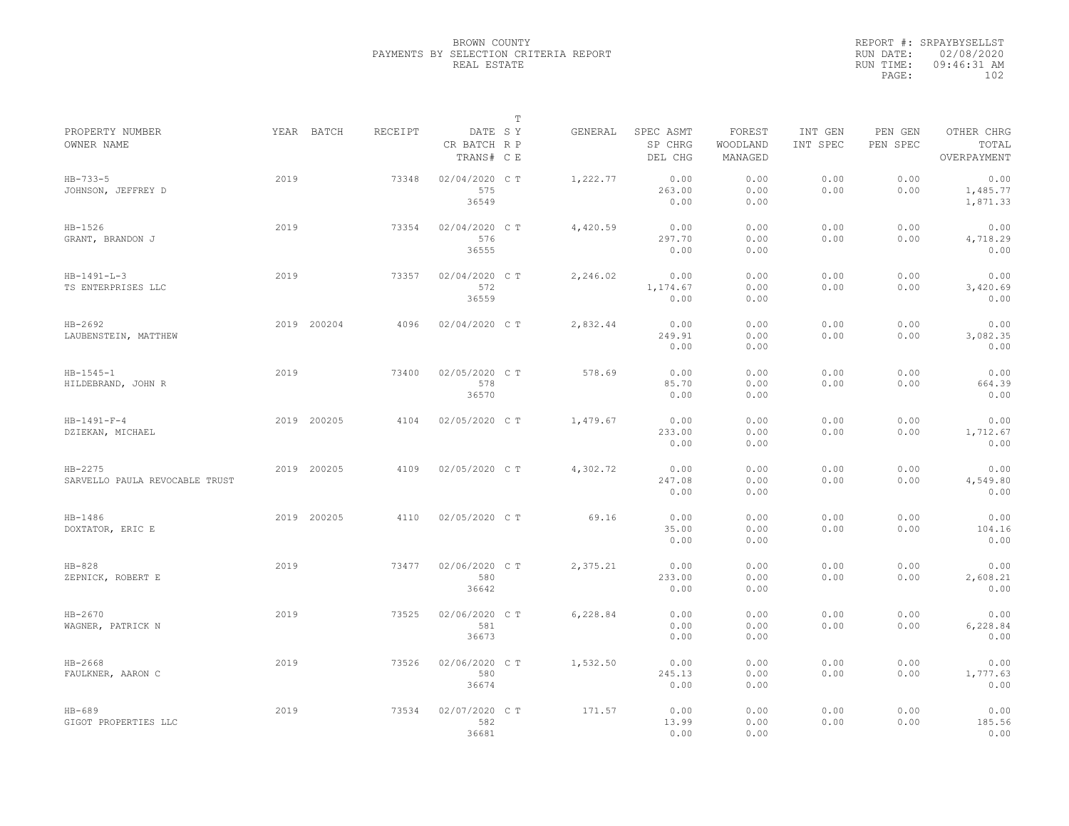|                                             |      |             |         |                                       | $\mathbb T$ |          |                                 |                               |                     |                     |                                    |  |
|---------------------------------------------|------|-------------|---------|---------------------------------------|-------------|----------|---------------------------------|-------------------------------|---------------------|---------------------|------------------------------------|--|
| PROPERTY NUMBER<br>OWNER NAME               |      | YEAR BATCH  | RECEIPT | DATE SY<br>CR BATCH R P<br>TRANS# C E |             | GENERAL  | SPEC ASMT<br>SP CHRG<br>DEL CHG | FOREST<br>WOODLAND<br>MANAGED | INT GEN<br>INT SPEC | PEN GEN<br>PEN SPEC | OTHER CHRG<br>TOTAL<br>OVERPAYMENT |  |
| $HB - 733 - 5$<br>JOHNSON, JEFFREY D        | 2019 |             | 73348   | 02/04/2020 C T<br>575<br>36549        |             | 1,222.77 | 0.00<br>263.00<br>0.00          | 0.00<br>0.00<br>0.00          | 0.00<br>0.00        | 0.00<br>0.00        | 0.00<br>1,485.77<br>1,871.33       |  |
| $HB-1526$<br>GRANT, BRANDON J               | 2019 |             | 73354   | 02/04/2020 C T<br>576<br>36555        |             | 4,420.59 | 0.00<br>297.70<br>0.00          | 0.00<br>0.00<br>0.00          | 0.00<br>0.00        | 0.00<br>0.00        | 0.00<br>4,718.29<br>0.00           |  |
| $HB - 1491 - L - 3$<br>TS ENTERPRISES LLC   | 2019 |             | 73357   | 02/04/2020 C T<br>572<br>36559        |             | 2,246.02 | 0.00<br>1,174.67<br>0.00        | 0.00<br>0.00<br>0.00          | 0.00<br>0.00        | 0.00<br>0.00        | 0.00<br>3,420.69<br>0.00           |  |
| HB-2692<br>LAUBENSTEIN, MATTHEW             |      | 2019 200204 | 4096    | 02/04/2020 C T                        |             | 2,832.44 | 0.00<br>249.91<br>0.00          | 0.00<br>0.00<br>0.00          | 0.00<br>0.00        | 0.00<br>0.00        | 0.00<br>3,082.35<br>0.00           |  |
| $HB - 1545 - 1$<br>HILDEBRAND, JOHN R       | 2019 |             | 73400   | 02/05/2020 C T<br>578<br>36570        |             | 578.69   | 0.00<br>85.70<br>0.00           | 0.00<br>0.00<br>0.00          | 0.00<br>0.00        | 0.00<br>0.00        | 0.00<br>664.39<br>0.00             |  |
| $HB - 1491 - F - 4$<br>DZIEKAN, MICHAEL     |      | 2019 200205 | 4104    | 02/05/2020 C T                        |             | 1,479.67 | 0.00<br>233.00<br>0.00          | 0.00<br>0.00<br>0.00          | 0.00<br>0.00        | 0.00<br>0.00        | 0.00<br>1,712.67<br>0.00           |  |
| $HB-2275$<br>SARVELLO PAULA REVOCABLE TRUST |      | 2019 200205 | 4109    | 02/05/2020 C T                        |             | 4,302.72 | 0.00<br>247.08<br>0.00          | 0.00<br>0.00<br>0.00          | 0.00<br>0.00        | 0.00<br>0.00        | 0.00<br>4,549.80<br>0.00           |  |
| HB-1486<br>DOXTATOR, ERIC E                 |      | 2019 200205 | 4110    | 02/05/2020 C T                        |             | 69.16    | 0.00<br>35.00<br>0.00           | 0.00<br>0.00<br>0.00          | 0.00<br>0.00        | 0.00<br>0.00        | 0.00<br>104.16<br>0.00             |  |
| $HB-828$<br>ZEPNICK, ROBERT E               | 2019 |             | 73477   | 02/06/2020 CT<br>580<br>36642         |             | 2,375.21 | 0.00<br>233.00<br>0.00          | 0.00<br>0.00<br>0.00          | 0.00<br>0.00        | 0.00<br>0.00        | 0.00<br>2,608.21<br>0.00           |  |
| HB-2670<br>WAGNER, PATRICK N                | 2019 |             | 73525   | 02/06/2020 C T<br>581<br>36673        |             | 6,228.84 | 0.00<br>0.00<br>0.00            | 0.00<br>0.00<br>0.00          | 0.00<br>0.00        | 0.00<br>0.00        | 0.00<br>6,228.84<br>0.00           |  |
| HB-2668<br>FAULKNER, AARON C                | 2019 |             | 73526   | 02/06/2020 C T<br>580<br>36674        |             | 1,532.50 | 0.00<br>245.13<br>0.00          | 0.00<br>0.00<br>0.00          | 0.00<br>0.00        | 0.00<br>0.00        | 0.00<br>1,777.63<br>0.00           |  |
| $HB-689$<br>GIGOT PROPERTIES LLC            | 2019 |             | 73534   | 02/07/2020 C T<br>582<br>36681        |             | 171.57   | 0.00<br>13.99<br>0.00           | 0.00<br>0.00<br>0.00          | 0.00<br>0.00        | 0.00<br>0.00        | 0.00<br>185.56<br>0.00             |  |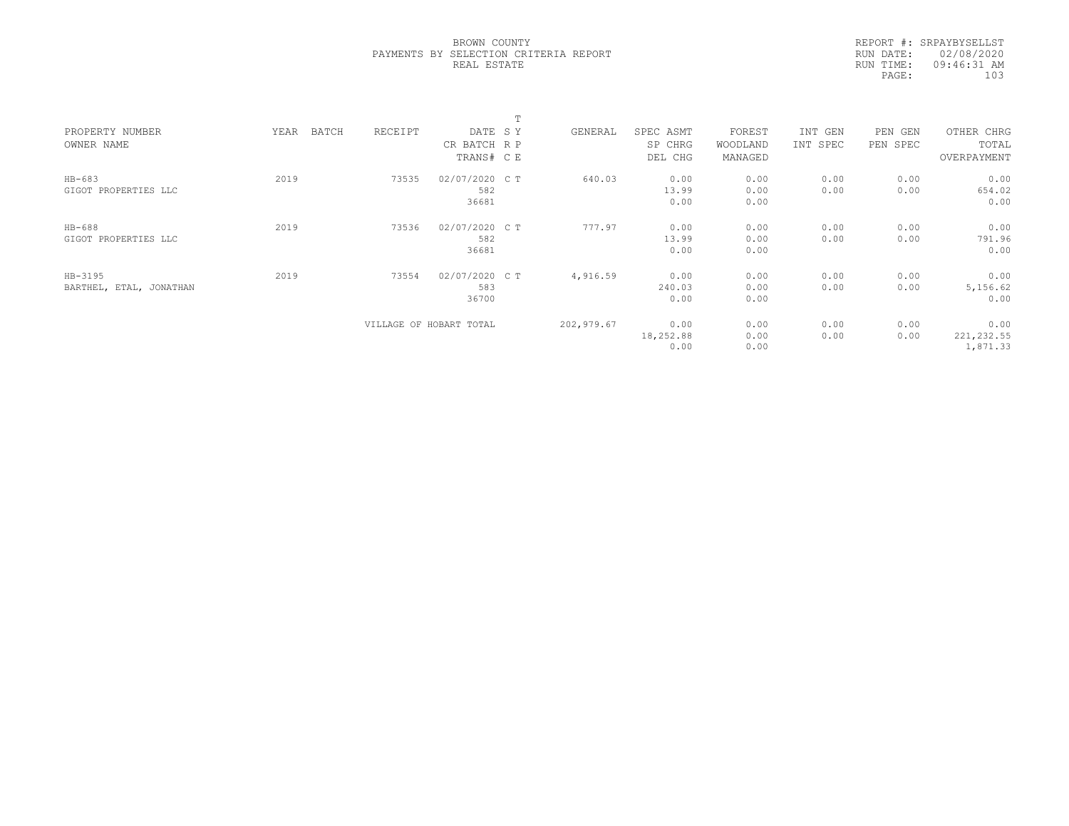|                         |               |         |                         | $\blacksquare$ |            |           |          |          |          |             |  |
|-------------------------|---------------|---------|-------------------------|----------------|------------|-----------|----------|----------|----------|-------------|--|
| PROPERTY NUMBER         | BATCH<br>YEAR | RECEIPT | DATE SY                 |                | GENERAL    | SPEC ASMT | FOREST   | INT GEN  | PEN GEN  | OTHER CHRG  |  |
| OWNER NAME              |               |         | CR BATCH R P            |                |            | SP CHRG   | WOODLAND | INT SPEC | PEN SPEC | TOTAL       |  |
|                         |               |         | TRANS# C E              |                |            | DEL CHG   | MANAGED  |          |          | OVERPAYMENT |  |
| $HB-683$                | 2019          | 73535   | 02/07/2020 C T          |                | 640.03     | 0.00      | 0.00     | 0.00     | 0.00     | 0.00        |  |
| GIGOT PROPERTIES LLC    |               |         | 582                     |                |            | 13.99     | 0.00     | 0.00     | 0.00     | 654.02      |  |
|                         |               |         | 36681                   |                |            | 0.00      | 0.00     |          |          | 0.00        |  |
| HB-688                  | 2019          | 73536   | 02/07/2020 C T          |                | 777.97     | 0.00      | 0.00     | 0.00     | 0.00     | 0.00        |  |
| GIGOT PROPERTIES LLC    |               |         | 582                     |                |            | 13.99     | 0.00     | 0.00     | 0.00     | 791.96      |  |
|                         |               |         | 36681                   |                |            | 0.00      | 0.00     |          |          | 0.00        |  |
| HB-3195                 | 2019          | 73554   | 02/07/2020 C T          |                | 4,916.59   | 0.00      | 0.00     | 0.00     | 0.00     | 0.00        |  |
| BARTHEL, ETAL, JONATHAN |               |         | 583                     |                |            | 240.03    | 0.00     | 0.00     | 0.00     | 5,156.62    |  |
|                         |               |         | 36700                   |                |            | 0.00      | 0.00     |          |          | 0.00        |  |
|                         |               |         | VILLAGE OF HOBART TOTAL |                | 202,979.67 | 0.00      | 0.00     | 0.00     | 0.00     | 0.00        |  |
|                         |               |         |                         |                |            | 18,252.88 | 0.00     | 0.00     | 0.00     | 221, 232.55 |  |
|                         |               |         |                         |                |            | 0.00      | 0.00     |          |          | 1,871.33    |  |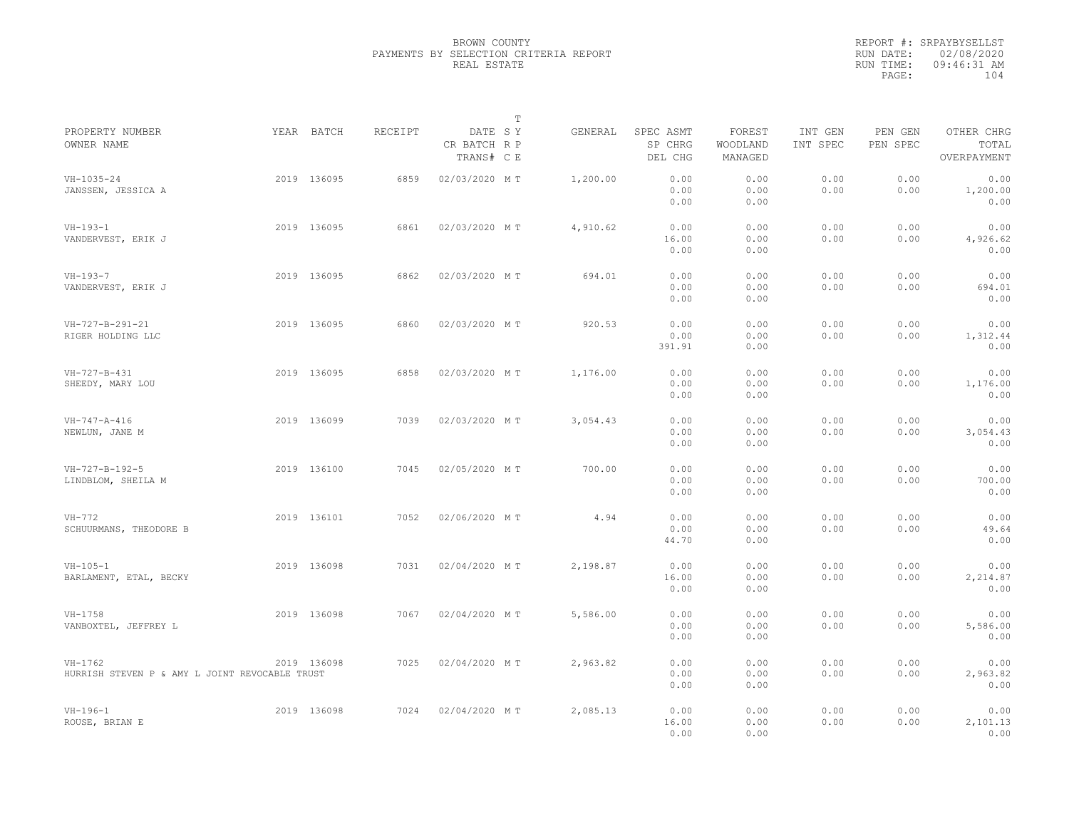|                                                             |             |                |                                       | $\mathbb T$ |          |                                 |                               |                     |                     |                                    |  |
|-------------------------------------------------------------|-------------|----------------|---------------------------------------|-------------|----------|---------------------------------|-------------------------------|---------------------|---------------------|------------------------------------|--|
| PROPERTY NUMBER<br>OWNER NAME                               | YEAR BATCH  | <b>RECEIPT</b> | DATE SY<br>CR BATCH R P<br>TRANS# C E |             | GENERAL  | SPEC ASMT<br>SP CHRG<br>DEL CHG | FOREST<br>WOODLAND<br>MANAGED | INT GEN<br>INT SPEC | PEN GEN<br>PEN SPEC | OTHER CHRG<br>TOTAL<br>OVERPAYMENT |  |
| $VH - 1035 - 24$<br>JANSSEN, JESSICA A                      | 2019 136095 | 6859           | 02/03/2020 MT                         |             | 1,200.00 | 0.00<br>0.00<br>0.00            | 0.00<br>0.00<br>0.00          | 0.00<br>0.00        | 0.00<br>0.00        | 0.00<br>1,200.00<br>0.00           |  |
| $VH-193-1$<br>VANDERVEST, ERIK J                            | 2019 136095 | 6861           | 02/03/2020 MT                         |             | 4,910.62 | 0.00<br>16.00<br>0.00           | 0.00<br>0.00<br>0.00          | 0.00<br>0.00        | 0.00<br>0.00        | 0.00<br>4,926.62<br>0.00           |  |
| $VH-193-7$<br>VANDERVEST, ERIK J                            | 2019 136095 | 6862           | 02/03/2020 MT                         |             | 694.01   | 0.00<br>0.00<br>0.00            | 0.00<br>0.00<br>0.00          | 0.00<br>0.00        | 0.00<br>0.00        | 0.00<br>694.01<br>0.00             |  |
| VH-727-B-291-21<br>RIGER HOLDING LLC                        | 2019 136095 | 6860           | 02/03/2020 MT                         |             | 920.53   | 0.00<br>0.00<br>391.91          | 0.00<br>0.00<br>0.00          | 0.00<br>0.00        | 0.00<br>0.00        | 0.00<br>1,312.44<br>0.00           |  |
| $VH - 727 - B - 431$<br>SHEEDY, MARY LOU                    | 2019 136095 | 6858           | 02/03/2020 MT                         |             | 1,176.00 | 0.00<br>0.00<br>0.00            | 0.00<br>0.00<br>0.00          | 0.00<br>0.00        | 0.00<br>0.00        | 0.00<br>1,176.00<br>0.00           |  |
| $VH - 747 - A - 416$<br>NEWLUN, JANE M                      | 2019 136099 | 7039           | 02/03/2020 MT                         |             | 3,054.43 | 0.00<br>0.00<br>0.00            | 0.00<br>0.00<br>0.00          | 0.00<br>0.00        | 0.00<br>0.00        | 0.00<br>3,054.43<br>0.00           |  |
| VH-727-B-192-5<br>LINDBLOM, SHEILA M                        | 2019 136100 | 7045           | 02/05/2020 MT                         |             | 700.00   | 0.00<br>0.00<br>0.00            | 0.00<br>0.00<br>0.00          | 0.00<br>0.00        | 0.00<br>0.00        | 0.00<br>700.00<br>0.00             |  |
| $VH-772$<br>SCHUURMANS, THEODORE B                          | 2019 136101 | 7052           | 02/06/2020 MT                         |             | 4.94     | 0.00<br>0.00<br>44.70           | 0.00<br>0.00<br>0.00          | 0.00<br>0.00        | 0.00<br>0.00        | 0.00<br>49.64<br>0.00              |  |
| $VH - 105 - 1$<br>BARLAMENT, ETAL, BECKY                    | 2019 136098 | 7031           | 02/04/2020 MT                         |             | 2,198.87 | 0.00<br>16.00<br>0.00           | 0.00<br>0.00<br>0.00          | 0.00<br>0.00        | 0.00<br>0.00        | 0.00<br>2,214.87<br>0.00           |  |
| $VH-1758$<br>VANBOXTEL, JEFFREY L                           | 2019 136098 | 7067           | 02/04/2020 MT                         |             | 5,586.00 | 0.00<br>0.00<br>0.00            | 0.00<br>0.00<br>0.00          | 0.00<br>0.00        | 0.00<br>0.00        | 0.00<br>5,586.00<br>0.00           |  |
| $VH-1762$<br>HURRISH STEVEN P & AMY L JOINT REVOCABLE TRUST | 2019 136098 | 7025           | 02/04/2020 MT                         |             | 2,963.82 | 0.00<br>0.00<br>0.00            | 0.00<br>0.00<br>0.00          | 0.00<br>0.00        | 0.00<br>0.00        | 0.00<br>2,963.82<br>0.00           |  |
| $VH-196-1$<br>ROUSE, BRIAN E                                | 2019 136098 | 7024           | 02/04/2020 MT                         |             | 2,085.13 | 0.00<br>16.00<br>0.00           | 0.00<br>0.00<br>0.00          | 0.00<br>0.00        | 0.00<br>0.00        | 0.00<br>2,101.13<br>0.00           |  |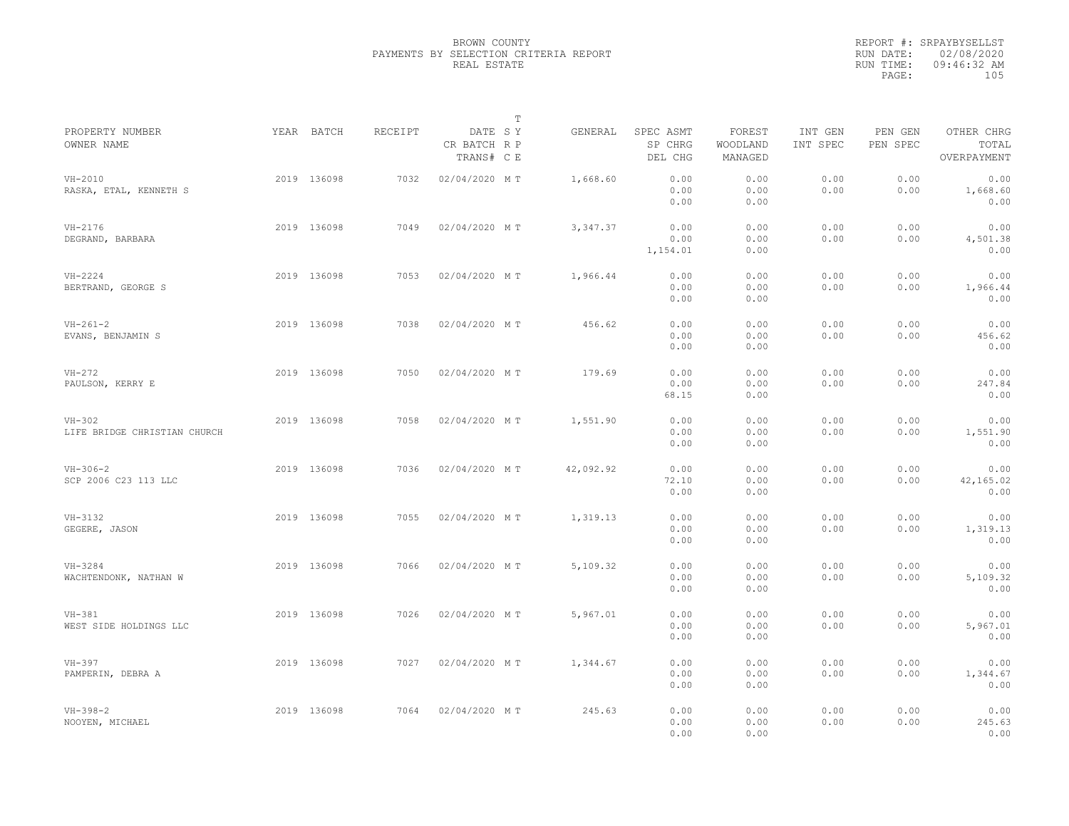|                                          |             |         |                                       | $\mathbb T$ |           |                                 |                               |                     |                     |                                    |  |
|------------------------------------------|-------------|---------|---------------------------------------|-------------|-----------|---------------------------------|-------------------------------|---------------------|---------------------|------------------------------------|--|
| PROPERTY NUMBER<br>OWNER NAME            | YEAR BATCH  | RECEIPT | DATE SY<br>CR BATCH R P<br>TRANS# C E |             | GENERAL   | SPEC ASMT<br>SP CHRG<br>DEL CHG | FOREST<br>WOODLAND<br>MANAGED | INT GEN<br>INT SPEC | PEN GEN<br>PEN SPEC | OTHER CHRG<br>TOTAL<br>OVERPAYMENT |  |
| $VH-2010$<br>RASKA, ETAL, KENNETH S      | 2019 136098 | 7032    | 02/04/2020 MT                         |             | 1,668.60  | 0.00<br>0.00<br>0.00            | 0.00<br>0.00<br>0.00          | 0.00<br>0.00        | 0.00<br>0.00        | 0.00<br>1,668.60<br>0.00           |  |
| VH-2176<br>DEGRAND, BARBARA              | 2019 136098 | 7049    | 02/04/2020 MT                         |             | 3, 347.37 | 0.00<br>0.00<br>1,154.01        | 0.00<br>0.00<br>0.00          | 0.00<br>0.00        | 0.00<br>0.00        | 0.00<br>4,501.38<br>0.00           |  |
| $VH-2224$<br>BERTRAND, GEORGE S          | 2019 136098 | 7053    | 02/04/2020 MT                         |             | 1,966.44  | 0.00<br>0.00<br>0.00            | 0.00<br>0.00<br>0.00          | 0.00<br>0.00        | 0.00<br>0.00        | 0.00<br>1,966.44<br>0.00           |  |
| $VH - 261 - 2$<br>EVANS, BENJAMIN S      | 2019 136098 | 7038    | 02/04/2020 MT                         |             | 456.62    | 0.00<br>0.00<br>0.00            | 0.00<br>0.00<br>0.00          | 0.00<br>0.00        | 0.00<br>0.00        | 0.00<br>456.62<br>0.00             |  |
| $VH-272$<br>PAULSON, KERRY E             | 2019 136098 | 7050    | 02/04/2020 MT                         |             | 179.69    | 0.00<br>0.00<br>68.15           | 0.00<br>0.00<br>0.00          | 0.00<br>0.00        | 0.00<br>0.00        | 0.00<br>247.84<br>0.00             |  |
| $VH-302$<br>LIFE BRIDGE CHRISTIAN CHURCH | 2019 136098 | 7058    | 02/04/2020 MT                         |             | 1,551.90  | 0.00<br>0.00<br>0.00            | 0.00<br>0.00<br>0.00          | 0.00<br>0.00        | 0.00<br>0.00        | 0.00<br>1,551.90<br>0.00           |  |
| $VH-306-2$<br>SCP 2006 C23 113 LLC       | 2019 136098 | 7036    | 02/04/2020 MT                         |             | 42,092.92 | 0.00<br>72.10<br>0.00           | 0.00<br>0.00<br>0.00          | 0.00<br>0.00        | 0.00<br>0.00        | 0.00<br>42,165.02<br>0.00          |  |
| $VH-3132$<br>GEGERE, JASON               | 2019 136098 | 7055    | 02/04/2020 MT                         |             | 1,319.13  | 0.00<br>0.00<br>0.00            | 0.00<br>0.00<br>0.00          | 0.00<br>0.00        | 0.00<br>0.00        | 0.00<br>1,319.13<br>0.00           |  |
| $VH - 3284$<br>WACHTENDONK, NATHAN W     | 2019 136098 | 7066    | 02/04/2020 MT                         |             | 5,109.32  | 0.00<br>0.00<br>0.00            | 0.00<br>0.00<br>0.00          | 0.00<br>0.00        | 0.00<br>0.00        | 0.00<br>5,109.32<br>0.00           |  |
| $VH-381$<br>WEST SIDE HOLDINGS LLC       | 2019 136098 | 7026    | 02/04/2020 MT                         |             | 5,967.01  | 0.00<br>0.00<br>0.00            | 0.00<br>0.00<br>0.00          | 0.00<br>0.00        | 0.00<br>0.00        | 0.00<br>5,967.01<br>0.00           |  |
| $VH-397$<br>PAMPERIN, DEBRA A            | 2019 136098 | 7027    | 02/04/2020 MT                         |             | 1,344.67  | 0.00<br>0.00<br>0.00            | 0.00<br>0.00<br>0.00          | 0.00<br>0.00        | 0.00<br>0.00        | 0.00<br>1,344.67<br>0.00           |  |
| $VH - 398 - 2$<br>NOOYEN, MICHAEL        | 2019 136098 | 7064    | 02/04/2020 MT                         |             | 245.63    | 0.00<br>0.00<br>0.00            | 0.00<br>0.00<br>0.00          | 0.00<br>0.00        | 0.00<br>0.00        | 0.00<br>245.63<br>0.00             |  |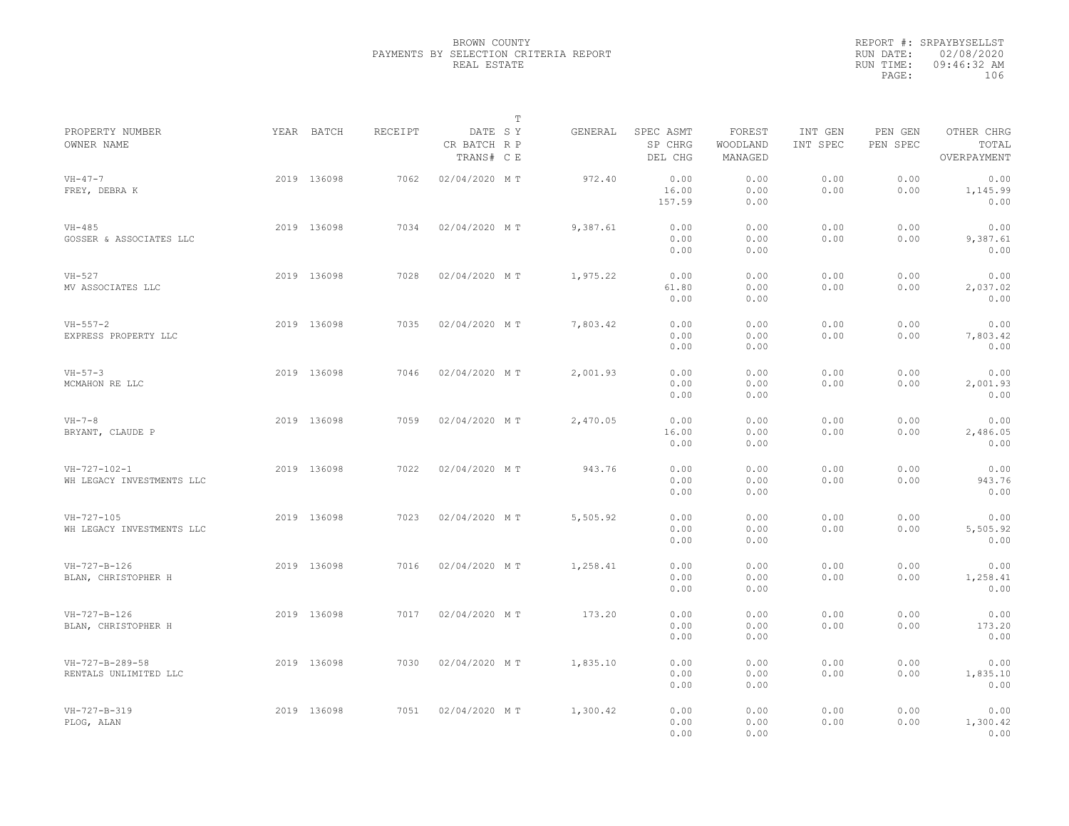|                                                   |             |         |                                       | $\mathbb T$ |          |                                 |                               |                     |                     |                                    |  |
|---------------------------------------------------|-------------|---------|---------------------------------------|-------------|----------|---------------------------------|-------------------------------|---------------------|---------------------|------------------------------------|--|
| PROPERTY NUMBER<br>OWNER NAME                     | YEAR BATCH  | RECEIPT | DATE SY<br>CR BATCH R P<br>TRANS# C E |             | GENERAL  | SPEC ASMT<br>SP CHRG<br>DEL CHG | FOREST<br>WOODLAND<br>MANAGED | INT GEN<br>INT SPEC | PEN GEN<br>PEN SPEC | OTHER CHRG<br>TOTAL<br>OVERPAYMENT |  |
| $VH - 47 - 7$<br>FREY, DEBRA K                    | 2019 136098 | 7062    | 02/04/2020 MT                         |             | 972.40   | 0.00<br>16.00<br>157.59         | 0.00<br>0.00<br>0.00          | 0.00<br>0.00        | 0.00<br>0.00        | 0.00<br>1,145.99<br>0.00           |  |
| $VH-485$<br>GOSSER & ASSOCIATES LLC               | 2019 136098 | 7034    | 02/04/2020 MT                         |             | 9,387.61 | 0.00<br>0.00<br>0.00            | 0.00<br>0.00<br>0.00          | 0.00<br>0.00        | 0.00<br>0.00        | 0.00<br>9,387.61<br>0.00           |  |
| $VH-527$<br>MV ASSOCIATES LLC                     | 2019 136098 | 7028    | 02/04/2020 MT                         |             | 1,975.22 | 0.00<br>61.80<br>0.00           | 0.00<br>0.00<br>0.00          | 0.00<br>0.00        | 0.00<br>0.00        | 0.00<br>2,037.02<br>0.00           |  |
| $VH - 557 - 2$<br>EXPRESS PROPERTY LLC            | 2019 136098 | 7035    | 02/04/2020 MT                         |             | 7,803.42 | 0.00<br>0.00<br>0.00            | 0.00<br>0.00<br>0.00          | 0.00<br>0.00        | 0.00<br>0.00        | 0.00<br>7,803.42<br>0.00           |  |
| $VH - 57 - 3$<br>MCMAHON RE LLC                   | 2019 136098 | 7046    | 02/04/2020 MT                         |             | 2,001.93 | 0.00<br>0.00<br>0.00            | 0.00<br>0.00<br>0.00          | 0.00<br>0.00        | 0.00<br>0.00        | 0.00<br>2,001.93<br>0.00           |  |
| $VH-7-8$<br>BRYANT, CLAUDE P                      | 2019 136098 | 7059    | 02/04/2020 MT                         |             | 2,470.05 | 0.00<br>16.00<br>0.00           | 0.00<br>0.00<br>0.00          | 0.00<br>0.00        | 0.00<br>0.00        | 0.00<br>2,486.05<br>0.00           |  |
| $VH - 727 - 102 - 1$<br>WH LEGACY INVESTMENTS LLC | 2019 136098 | 7022    | 02/04/2020 MT                         |             | 943.76   | 0.00<br>0.00<br>0.00            | 0.00<br>0.00<br>0.00          | 0.00<br>0.00        | 0.00<br>0.00        | 0.00<br>943.76<br>0.00             |  |
| $VH - 727 - 105$<br>WH LEGACY INVESTMENTS LLC     | 2019 136098 | 7023    | 02/04/2020 MT                         |             | 5,505.92 | 0.00<br>0.00<br>0.00            | 0.00<br>0.00<br>0.00          | 0.00<br>0.00        | 0.00<br>0.00        | 0.00<br>5,505.92<br>0.00           |  |
| $VH-727-B-126$<br>BLAN, CHRISTOPHER H             | 2019 136098 | 7016    | 02/04/2020 MT                         |             | 1,258.41 | 0.00<br>0.00<br>0.00            | 0.00<br>0.00<br>0.00          | 0.00<br>0.00        | 0.00<br>0.00        | 0.00<br>1,258.41<br>0.00           |  |
| $VH - 727 - B - 126$<br>BLAN, CHRISTOPHER H       | 2019 136098 | 7017    | 02/04/2020 MT                         |             | 173.20   | 0.00<br>0.00<br>0.00            | 0.00<br>0.00<br>0.00          | 0.00<br>0.00        | 0.00<br>0.00        | 0.00<br>173.20<br>0.00             |  |
| VH-727-B-289-58<br>RENTALS UNLIMITED LLC          | 2019 136098 | 7030    | 02/04/2020 MT                         |             | 1,835.10 | 0.00<br>0.00<br>0.00            | 0.00<br>0.00<br>0.00          | 0.00<br>0.00        | 0.00<br>0.00        | 0.00<br>1,835.10<br>0.00           |  |
| $VH-727-B-319$<br>PLOG, ALAN                      | 2019 136098 | 7051    | 02/04/2020 MT                         |             | 1,300.42 | 0.00<br>0.00<br>0.00            | 0.00<br>0.00<br>0.00          | 0.00<br>0.00        | 0.00<br>0.00        | 0.00<br>1,300.42<br>0.00           |  |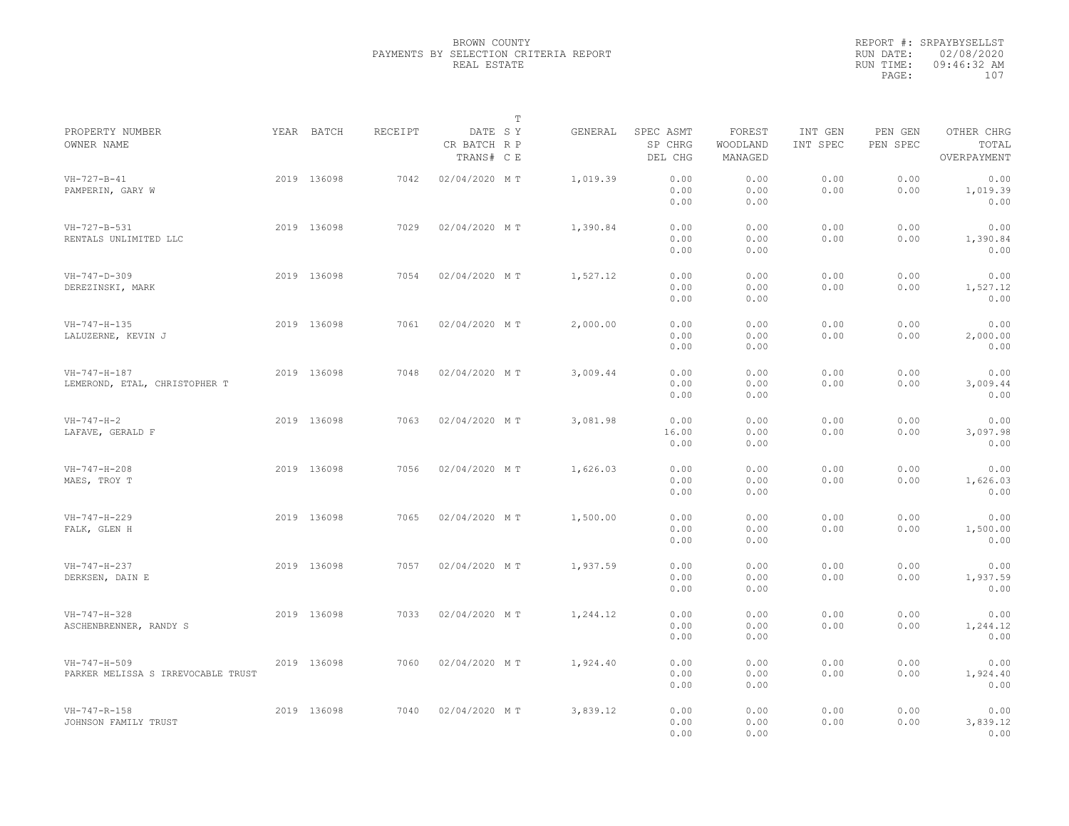|                                                    |             |         |                                       | $\mathbb T$ |          |                                 |                               |                     |                     |                                    |
|----------------------------------------------------|-------------|---------|---------------------------------------|-------------|----------|---------------------------------|-------------------------------|---------------------|---------------------|------------------------------------|
| PROPERTY NUMBER<br>OWNER NAME                      | YEAR BATCH  | RECEIPT | DATE SY<br>CR BATCH R P<br>TRANS# C E |             | GENERAL  | SPEC ASMT<br>SP CHRG<br>DEL CHG | FOREST<br>WOODLAND<br>MANAGED | INT GEN<br>INT SPEC | PEN GEN<br>PEN SPEC | OTHER CHRG<br>TOTAL<br>OVERPAYMENT |
| $VH - 727 - B - 41$<br>PAMPERIN, GARY W            | 2019 136098 | 7042    | 02/04/2020 MT                         |             | 1,019.39 | 0.00<br>0.00<br>0.00            | 0.00<br>0.00<br>0.00          | 0.00<br>0.00        | 0.00<br>0.00        | 0.00<br>1,019.39<br>0.00           |
| VH-727-B-531<br>RENTALS UNLIMITED LLC              | 2019 136098 | 7029    | 02/04/2020 MT                         |             | 1,390.84 | 0.00<br>0.00<br>0.00            | 0.00<br>0.00<br>0.00          | 0.00<br>0.00        | 0.00<br>0.00        | 0.00<br>1,390.84<br>0.00           |
| $VH - 747 - D - 309$<br>DEREZINSKI, MARK           | 2019 136098 | 7054    | 02/04/2020 MT                         |             | 1,527.12 | 0.00<br>0.00<br>0.00            | 0.00<br>0.00<br>0.00          | 0.00<br>0.00        | 0.00<br>0.00        | 0.00<br>1,527.12<br>0.00           |
| VH-747-H-135<br>LALUZERNE, KEVIN J                 | 2019 136098 | 7061    | 02/04/2020 MT                         |             | 2,000.00 | 0.00<br>0.00<br>0.00            | 0.00<br>0.00<br>0.00          | 0.00<br>0.00        | 0.00<br>0.00        | 0.00<br>2,000.00<br>0.00           |
| VH-747-H-187<br>LEMEROND, ETAL, CHRISTOPHER T      | 2019 136098 | 7048    | 02/04/2020 MT                         |             | 3,009.44 | 0.00<br>0.00<br>0.00            | 0.00<br>0.00<br>0.00          | 0.00<br>0.00        | 0.00<br>0.00        | 0.00<br>3,009.44<br>0.00           |
| $VH - 747 - H - 2$<br>LAFAVE, GERALD F             | 2019 136098 | 7063    | 02/04/2020 MT                         |             | 3,081.98 | 0.00<br>16.00<br>0.00           | 0.00<br>0.00<br>0.00          | 0.00<br>0.00        | 0.00<br>0.00        | 0.00<br>3,097.98<br>0.00           |
| $VH - 747 - H - 208$<br>MAES, TROY T               | 2019 136098 | 7056    | 02/04/2020 MT                         |             | 1,626.03 | 0.00<br>0.00<br>0.00            | 0.00<br>0.00<br>0.00          | 0.00<br>0.00        | 0.00<br>0.00        | 0.00<br>1,626.03<br>0.00           |
| $VH - 747 - H - 229$<br>FALK, GLEN H               | 2019 136098 | 7065    | 02/04/2020 MT                         |             | 1,500.00 | 0.00<br>0.00<br>0.00            | 0.00<br>0.00<br>0.00          | 0.00<br>0.00        | 0.00<br>0.00        | 0.00<br>1,500.00<br>0.00           |
| $VH-747-H-237$<br>DERKSEN, DAIN E                  | 2019 136098 | 7057    | 02/04/2020 MT                         |             | 1,937.59 | 0.00<br>0.00<br>0.00            | 0.00<br>0.00<br>0.00          | 0.00<br>0.00        | 0.00<br>0.00        | 0.00<br>1,937.59<br>0.00           |
| VH-747-H-328<br>ASCHENBRENNER, RANDY S             | 2019 136098 | 7033    | 02/04/2020 MT                         |             | 1,244.12 | 0.00<br>0.00<br>0.00            | 0.00<br>0.00<br>0.00          | 0.00<br>0.00        | 0.00<br>0.00        | 0.00<br>1,244.12<br>0.00           |
| VH-747-H-509<br>PARKER MELISSA S IRREVOCABLE TRUST | 2019 136098 | 7060    | 02/04/2020 MT                         |             | 1,924.40 | 0.00<br>0.00<br>0.00            | 0.00<br>0.00<br>0.00          | 0.00<br>0.00        | 0.00<br>0.00        | 0.00<br>1,924.40<br>0.00           |
| $VH-747-R-158$<br>JOHNSON FAMILY TRUST             | 2019 136098 | 7040    | 02/04/2020 MT                         |             | 3,839.12 | 0.00<br>0.00<br>0.00            | 0.00<br>0.00<br>0.00          | 0.00<br>0.00        | 0.00<br>0.00        | 0.00<br>3,839.12<br>0.00           |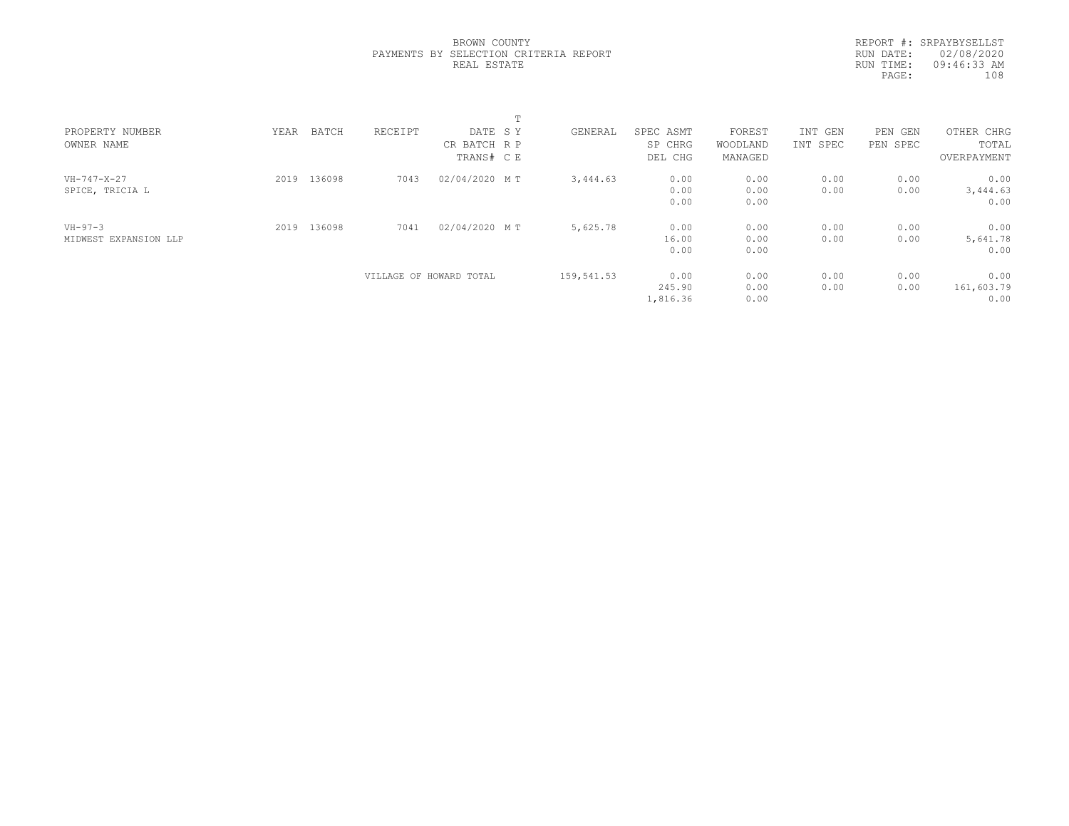|  | BROWN COUNTY |                                       |  |
|--|--------------|---------------------------------------|--|
|  |              | PAYMENTS BY SELECTION CRITERIA REPORT |  |
|  | REAL ESTATE  |                                       |  |

REPORT #: SRPAYBYSELLST RUN DATE: 02/08/2020 RUN TIME: 09:46:33 AM PAGE: 108

|                       |      |             |                         |               | ÷.         |          |           |          |          |            |             |  |
|-----------------------|------|-------------|-------------------------|---------------|------------|----------|-----------|----------|----------|------------|-------------|--|
| PROPERTY NUMBER       | YEAR | BATCH       | RECEIPT                 | DATE SY       |            | GENERAL  | SPEC ASMT | FOREST   | INT GEN  | PEN<br>GEN | OTHER CHRG  |  |
| OWNER NAME            |      |             |                         | CR BATCH R P  |            | SP CHRG  | WOODLAND  | INT SPEC | PEN SPEC | TOTAL      |             |  |
|                       |      |             |                         | TRANS# C E    |            |          | DEL CHG   | MANAGED  |          |            | OVERPAYMENT |  |
| $VH-747-X-27$         | 2019 | 136098      | 7043                    | 02/04/2020 MT |            | 3,444.63 | 0.00      | 0.00     | 0.00     | 0.00       | 0.00        |  |
| SPICE, TRICIA L       |      |             |                         |               |            |          | 0.00      | 0.00     | 0.00     | 0.00       | 3,444.63    |  |
|                       |      |             |                         |               |            |          | 0.00      | 0.00     |          |            | 0.00        |  |
| $VH - 97 - 3$         |      | 2019 136098 | 7041                    | 02/04/2020 MT |            | 5,625.78 | 0.00      | 0.00     | 0.00     | 0.00       | 0.00        |  |
| MIDWEST EXPANSION LLP |      |             |                         |               |            |          | 16.00     | 0.00     | 0.00     | 0.00       | 5,641.78    |  |
|                       |      |             |                         |               |            |          | 0.00      | 0.00     |          |            | 0.00        |  |
|                       |      |             | VILLAGE OF HOWARD TOTAL |               | 159,541.53 | 0.00     | 0.00      | 0.00     | 0.00     | 0.00       |             |  |
|                       |      |             |                         |               |            |          | 245.90    | 0.00     | 0.00     | 0.00       | 161,603.79  |  |
|                       |      |             |                         |               |            |          | 1,816.36  | 0.00     |          |            | 0.00        |  |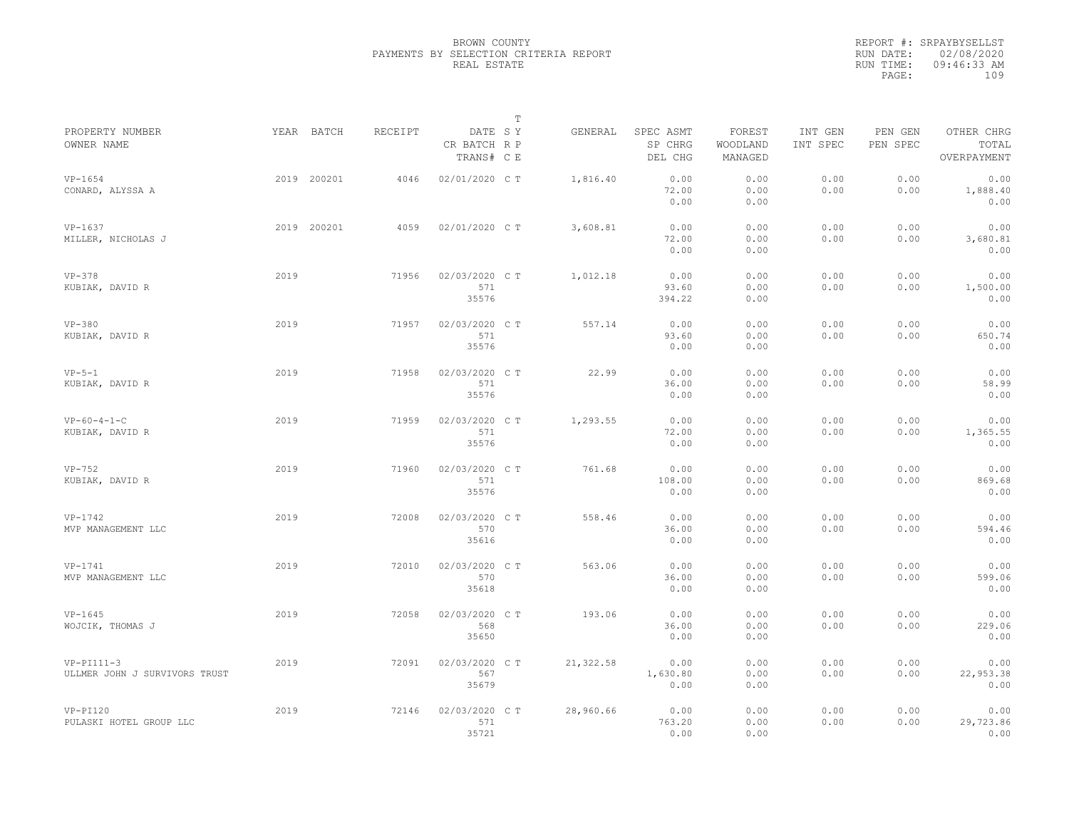|                                               |      |             |                |                                       | $\mathbb T$ |           |                                 |                               |                     |                     |                                    |
|-----------------------------------------------|------|-------------|----------------|---------------------------------------|-------------|-----------|---------------------------------|-------------------------------|---------------------|---------------------|------------------------------------|
| PROPERTY NUMBER<br>OWNER NAME                 |      | YEAR BATCH  | <b>RECEIPT</b> | DATE SY<br>CR BATCH R P<br>TRANS# C E |             | GENERAL   | SPEC ASMT<br>SP CHRG<br>DEL CHG | FOREST<br>WOODLAND<br>MANAGED | INT GEN<br>INT SPEC | PEN GEN<br>PEN SPEC | OTHER CHRG<br>TOTAL<br>OVERPAYMENT |
| $VP-1654$<br>CONARD, ALYSSA A                 |      | 2019 200201 | 4046           | 02/01/2020 C T                        |             | 1,816.40  | 0.00<br>72.00<br>0.00           | 0.00<br>0.00<br>0.00          | 0.00<br>0.00        | 0.00<br>0.00        | 0.00<br>1,888.40<br>0.00           |
| $VP-1637$<br>MILLER, NICHOLAS J               |      | 2019 200201 | 4059           | 02/01/2020 C T                        |             | 3,608.81  | 0.00<br>72.00<br>0.00           | 0.00<br>0.00<br>0.00          | 0.00<br>0.00        | 0.00<br>0.00        | 0.00<br>3,680.81<br>0.00           |
| $VP-378$<br>KUBIAK, DAVID R                   | 2019 |             | 71956          | 02/03/2020 CT<br>571<br>35576         |             | 1,012.18  | 0.00<br>93.60<br>394.22         | 0.00<br>0.00<br>0.00          | 0.00<br>0.00        | 0.00<br>0.00        | 0.00<br>1,500.00<br>0.00           |
| $VP-380$<br>KUBIAK, DAVID R                   | 2019 |             | 71957          | 02/03/2020 C T<br>571<br>35576        |             | 557.14    | 0.00<br>93.60<br>0.00           | 0.00<br>0.00<br>0.00          | 0.00<br>0.00        | 0.00<br>0.00        | 0.00<br>650.74<br>0.00             |
| $VP-5-1$<br>KUBIAK, DAVID R                   | 2019 |             | 71958          | 02/03/2020 CT<br>571<br>35576         |             | 22.99     | 0.00<br>36.00<br>0.00           | 0.00<br>0.00<br>0.00          | 0.00<br>0.00        | 0.00<br>0.00        | 0.00<br>58.99<br>0.00              |
| $VP-60-4-1-C$<br>KUBIAK, DAVID R              | 2019 |             | 71959          | 02/03/2020 C T<br>571<br>35576        |             | 1,293.55  | 0.00<br>72.00<br>0.00           | 0.00<br>0.00<br>0.00          | 0.00<br>0.00        | 0.00<br>0.00        | 0.00<br>1,365.55<br>0.00           |
| $VP-752$<br>KUBIAK, DAVID R                   | 2019 |             | 71960          | 02/03/2020 CT<br>571<br>35576         |             | 761.68    | 0.00<br>108.00<br>0.00          | 0.00<br>0.00<br>0.00          | 0.00<br>0.00        | 0.00<br>0.00        | 0.00<br>869.68<br>0.00             |
| $VP-1742$<br>MVP MANAGEMENT LLC               | 2019 |             | 72008          | 02/03/2020 C T<br>570<br>35616        |             | 558.46    | 0.00<br>36.00<br>0.00           | 0.00<br>0.00<br>0.00          | 0.00<br>0.00        | 0.00<br>0.00        | 0.00<br>594.46<br>0.00             |
| $VP-1741$<br>MVP MANAGEMENT LLC               | 2019 |             | 72010          | 02/03/2020 CT<br>570<br>35618         |             | 563.06    | 0.00<br>36.00<br>0.00           | 0.00<br>0.00<br>0.00          | 0.00<br>0.00        | 0.00<br>0.00        | 0.00<br>599.06<br>0.00             |
| $VP-1645$<br>WOJCIK, THOMAS J                 | 2019 |             | 72058          | 02/03/2020 C T<br>568<br>35650        |             | 193.06    | 0.00<br>36.00<br>0.00           | 0.00<br>0.00<br>0.00          | 0.00<br>0.00        | 0.00<br>0.00        | 0.00<br>229.06<br>0.00             |
| $VP-PI111-3$<br>ULLMER JOHN J SURVIVORS TRUST | 2019 |             | 72091          | 02/03/2020 CT<br>567<br>35679         |             | 21,322.58 | 0.00<br>1,630.80<br>0.00        | 0.00<br>0.00<br>0.00          | 0.00<br>0.00        | 0.00<br>0.00        | 0.00<br>22,953.38<br>0.00          |
| $VP-PI120$<br>PULASKI HOTEL GROUP LLC         | 2019 |             | 72146          | 02/03/2020 C T<br>571<br>35721        |             | 28,960.66 | 0.00<br>763.20<br>0.00          | 0.00<br>0.00<br>0.00          | 0.00<br>0.00        | 0.00<br>0.00        | 0.00<br>29,723.86<br>0.00          |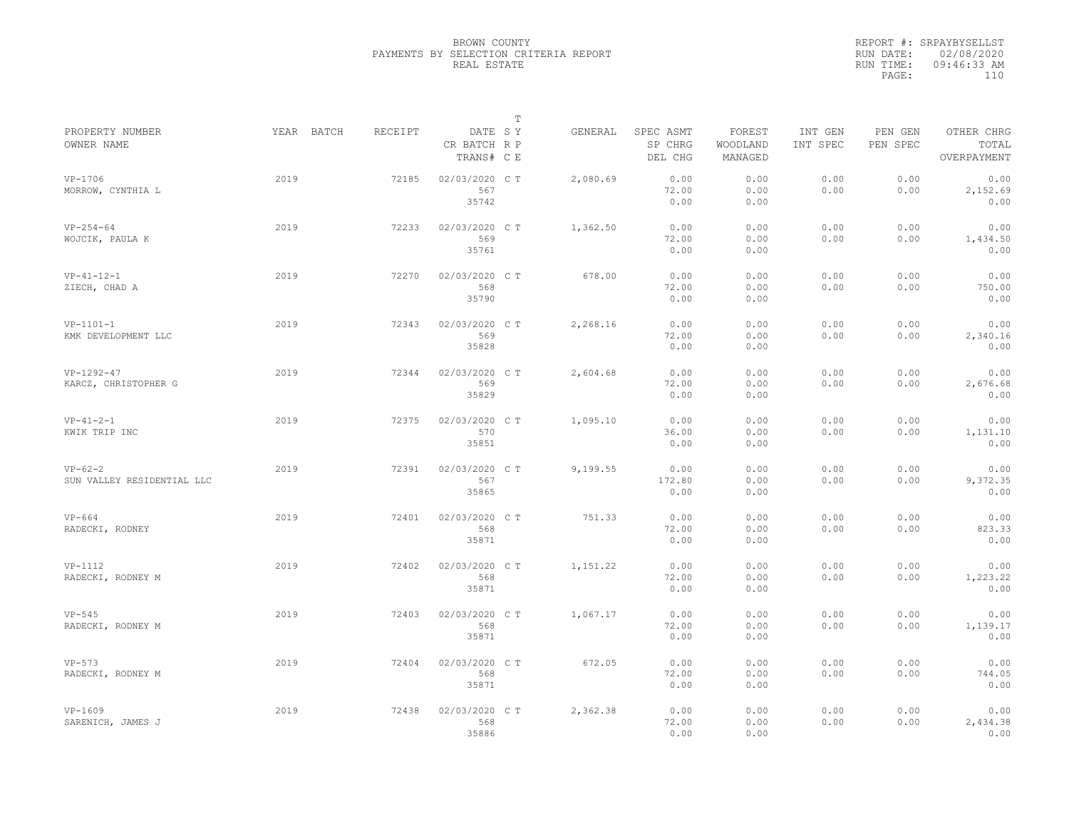|                                         |            |         |                                       | $\mathbb T$ |          |                                 |                               |                     |                     |                                    |
|-----------------------------------------|------------|---------|---------------------------------------|-------------|----------|---------------------------------|-------------------------------|---------------------|---------------------|------------------------------------|
| PROPERTY NUMBER<br>OWNER NAME           | YEAR BATCH | RECEIPT | DATE SY<br>CR BATCH R P<br>TRANS# C E |             | GENERAL  | SPEC ASMT<br>SP CHRG<br>DEL CHG | FOREST<br>WOODLAND<br>MANAGED | INT GEN<br>INT SPEC | PEN GEN<br>PEN SPEC | OTHER CHRG<br>TOTAL<br>OVERPAYMENT |
| $VP-1706$<br>MORROW, CYNTHIA L          | 2019       | 72185   | 02/03/2020 C T<br>567<br>35742        |             | 2,080.69 | 0.00<br>72.00<br>0.00           | 0.00<br>0.00<br>0.00          | 0.00<br>0.00        | 0.00<br>0.00        | 0.00<br>2,152.69<br>0.00           |
| $VP-254-64$<br>WOJCIK, PAULA K          | 2019       | 72233   | 02/03/2020 C T<br>569<br>35761        |             | 1,362.50 | 0.00<br>72.00<br>0.00           | 0.00<br>0.00<br>0.00          | 0.00<br>0.00        | 0.00<br>0.00        | 0.00<br>1,434.50<br>0.00           |
| $VP-41-12-1$<br>ZIECH, CHAD A           | 2019       | 72270   | 02/03/2020 C T<br>568<br>35790        |             | 678.00   | 0.00<br>72.00<br>0.00           | 0.00<br>0.00<br>0.00          | 0.00<br>0.00        | 0.00<br>0.00        | 0.00<br>750.00<br>0.00             |
| $VP-1101-1$<br>KMK DEVELOPMENT LLC      | 2019       | 72343   | 02/03/2020 C T<br>569<br>35828        |             | 2,268.16 | 0.00<br>72.00<br>0.00           | 0.00<br>0.00<br>0.00          | 0.00<br>0.00        | 0.00<br>0.00        | 0.00<br>2,340.16<br>0.00           |
| $VP-1292-47$<br>KARCZ, CHRISTOPHER G    | 2019       | 72344   | 02/03/2020 CT<br>569<br>35829         |             | 2,604.68 | 0.00<br>72.00<br>0.00           | 0.00<br>0.00<br>0.00          | 0.00<br>0.00        | 0.00<br>0.00        | 0.00<br>2,676.68<br>0.00           |
| $VP-41-2-1$<br>KWIK TRIP INC            | 2019       | 72375   | 02/03/2020 C T<br>570<br>35851        |             | 1,095.10 | 0.00<br>36.00<br>0.00           | 0.00<br>0.00<br>0.00          | 0.00<br>0.00        | 0.00<br>0.00        | 0.00<br>1,131.10<br>0.00           |
| $VP-62-2$<br>SUN VALLEY RESIDENTIAL LLC | 2019       | 72391   | 02/03/2020 C T<br>567<br>35865        |             | 9,199.55 | 0.00<br>172.80<br>0.00          | 0.00<br>0.00<br>0.00          | 0.00<br>0.00        | 0.00<br>0.00        | 0.00<br>9,372.35<br>0.00           |
| $VP-664$<br>RADECKI, RODNEY             | 2019       | 72401   | 02/03/2020 CT<br>568<br>35871         |             | 751.33   | 0.00<br>72.00<br>0.00           | 0.00<br>0.00<br>0.00          | 0.00<br>0.00        | 0.00<br>0.00        | 0.00<br>823.33<br>0.00             |
| $VP-1112$<br>RADECKI, RODNEY M          | 2019       | 72402   | 02/03/2020 C T<br>568<br>35871        |             | 1,151.22 | 0.00<br>72.00<br>0.00           | 0.00<br>0.00<br>0.00          | 0.00<br>0.00        | 0.00<br>0.00        | 0.00<br>1,223.22<br>0.00           |
| $VP-545$<br>RADECKI, RODNEY M           | 2019       | 72403   | 02/03/2020 CT<br>568<br>35871         |             | 1,067.17 | 0.00<br>72.00<br>0.00           | 0.00<br>0.00<br>0.00          | 0.00<br>0.00        | 0.00<br>0.00        | 0.00<br>1,139.17<br>0.00           |
| $VP-573$<br>RADECKI, RODNEY M           | 2019       | 72404   | 02/03/2020 C T<br>568<br>35871        |             | 672.05   | 0.00<br>72.00<br>0.00           | 0.00<br>0.00<br>0.00          | 0.00<br>0.00        | 0.00<br>0.00        | 0.00<br>744.05<br>0.00             |
| $VP-1609$<br>SARENICH, JAMES J          | 2019       | 72438   | 02/03/2020 C T<br>568<br>35886        |             | 2,362.38 | 0.00<br>72.00<br>0.00           | 0.00<br>0.00<br>0.00          | 0.00<br>0.00        | 0.00<br>0.00        | 0.00<br>2,434.38<br>0.00           |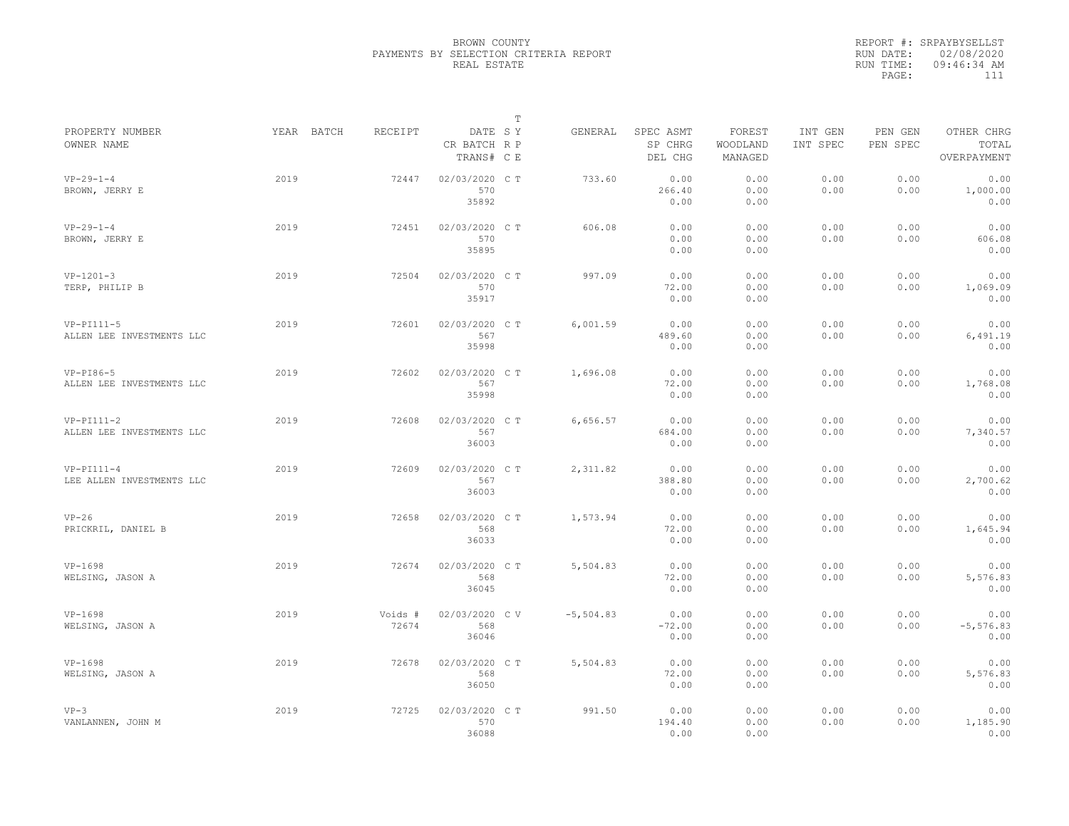|                                           |            |                  |                                       | $\mathbb T$ |              |                                 |                               |                     |                     |                                    |
|-------------------------------------------|------------|------------------|---------------------------------------|-------------|--------------|---------------------------------|-------------------------------|---------------------|---------------------|------------------------------------|
| PROPERTY NUMBER<br>OWNER NAME             | YEAR BATCH | <b>RECEIPT</b>   | DATE SY<br>CR BATCH R P<br>TRANS# C E |             | GENERAL      | SPEC ASMT<br>SP CHRG<br>DEL CHG | FOREST<br>WOODLAND<br>MANAGED | INT GEN<br>INT SPEC | PEN GEN<br>PEN SPEC | OTHER CHRG<br>TOTAL<br>OVERPAYMENT |
| $VP-29-1-4$<br>BROWN, JERRY E             | 2019       | 72447            | 02/03/2020 CT<br>570<br>35892         |             | 733.60       | 0.00<br>266.40<br>0.00          | 0.00<br>0.00<br>0.00          | 0.00<br>0.00        | 0.00<br>0.00        | 0.00<br>1,000.00<br>0.00           |
| $VP-29-1-4$<br>BROWN, JERRY E             | 2019       | 72451            | 02/03/2020 CT<br>570<br>35895         |             | 606.08       | 0.00<br>0.00<br>0.00            | 0.00<br>0.00<br>0.00          | 0.00<br>0.00        | 0.00<br>0.00        | 0.00<br>606.08<br>0.00             |
| $VP-1201-3$<br>TERP, PHILIP B             | 2019       | 72504            | 02/03/2020 C T<br>570<br>35917        |             | 997.09       | 0.00<br>72.00<br>0.00           | 0.00<br>0.00<br>0.00          | 0.00<br>0.00        | 0.00<br>0.00        | 0.00<br>1,069.09<br>0.00           |
| $VP-PI111-5$<br>ALLEN LEE INVESTMENTS LLC | 2019       | 72601            | 02/03/2020 CT<br>567<br>35998         |             | 6,001.59     | 0.00<br>489.60<br>0.00          | 0.00<br>0.00<br>0.00          | 0.00<br>0.00        | 0.00<br>0.00        | 0.00<br>6,491.19<br>0.00           |
| $VP-PI86-5$<br>ALLEN LEE INVESTMENTS LLC  | 2019       | 72602            | 02/03/2020 CT<br>567<br>35998         |             | 1,696.08     | 0.00<br>72.00<br>0.00           | 0.00<br>0.00<br>0.00          | 0.00<br>0.00        | 0.00<br>0.00        | 0.00<br>1,768.08<br>0.00           |
| $VP-PI111-2$<br>ALLEN LEE INVESTMENTS LLC | 2019       | 72608            | 02/03/2020 C T<br>567<br>36003        |             | 6,656.57     | 0.00<br>684.00<br>0.00          | 0.00<br>0.00<br>0.00          | 0.00<br>0.00        | 0.00<br>0.00        | 0.00<br>7,340.57<br>0.00           |
| $VP-PI111-4$<br>LEE ALLEN INVESTMENTS LLC | 2019       | 72609            | 02/03/2020 C T<br>567<br>36003        |             | 2,311.82     | 0.00<br>388.80<br>0.00          | 0.00<br>0.00<br>0.00          | 0.00<br>0.00        | 0.00<br>0.00        | 0.00<br>2,700.62<br>0.00           |
| $VP-26$<br>PRICKRIL, DANIEL B             | 2019       | 72658            | 02/03/2020 CT<br>568<br>36033         |             | 1,573.94     | 0.00<br>72.00<br>0.00           | 0.00<br>0.00<br>0.00          | 0.00<br>0.00        | 0.00<br>0.00        | 0.00<br>1,645.94<br>0.00           |
| $VP-1698$<br>WELSING, JASON A             | 2019       | 72674            | 02/03/2020 C T<br>568<br>36045        |             | 5,504.83     | 0.00<br>72.00<br>0.00           | 0.00<br>0.00<br>0.00          | 0.00<br>0.00        | 0.00<br>0.00        | 0.00<br>5,576.83<br>0.00           |
| $VP-1698$<br>WELSING, JASON A             | 2019       | Voids #<br>72674 | 02/03/2020 CV<br>568<br>36046         |             | $-5, 504.83$ | 0.00<br>$-72.00$<br>0.00        | 0.00<br>0.00<br>0.00          | 0.00<br>0.00        | 0.00<br>0.00        | 0.00<br>$-5, 576.83$<br>0.00       |
| $VP-1698$<br>WELSING, JASON A             | 2019       | 72678            | 02/03/2020 CT<br>568<br>36050         |             | 5,504.83     | 0.00<br>72.00<br>0.00           | 0.00<br>0.00<br>0.00          | 0.00<br>0.00        | 0.00<br>0.00        | 0.00<br>5,576.83<br>0.00           |
| $VP-3$<br>VANLANNEN, JOHN M               | 2019       | 72725            | 02/03/2020 C T<br>570<br>36088        |             | 991.50       | 0.00<br>194.40<br>0.00          | 0.00<br>0.00<br>0.00          | 0.00<br>0.00        | 0.00<br>0.00        | 0.00<br>1,185.90<br>0.00           |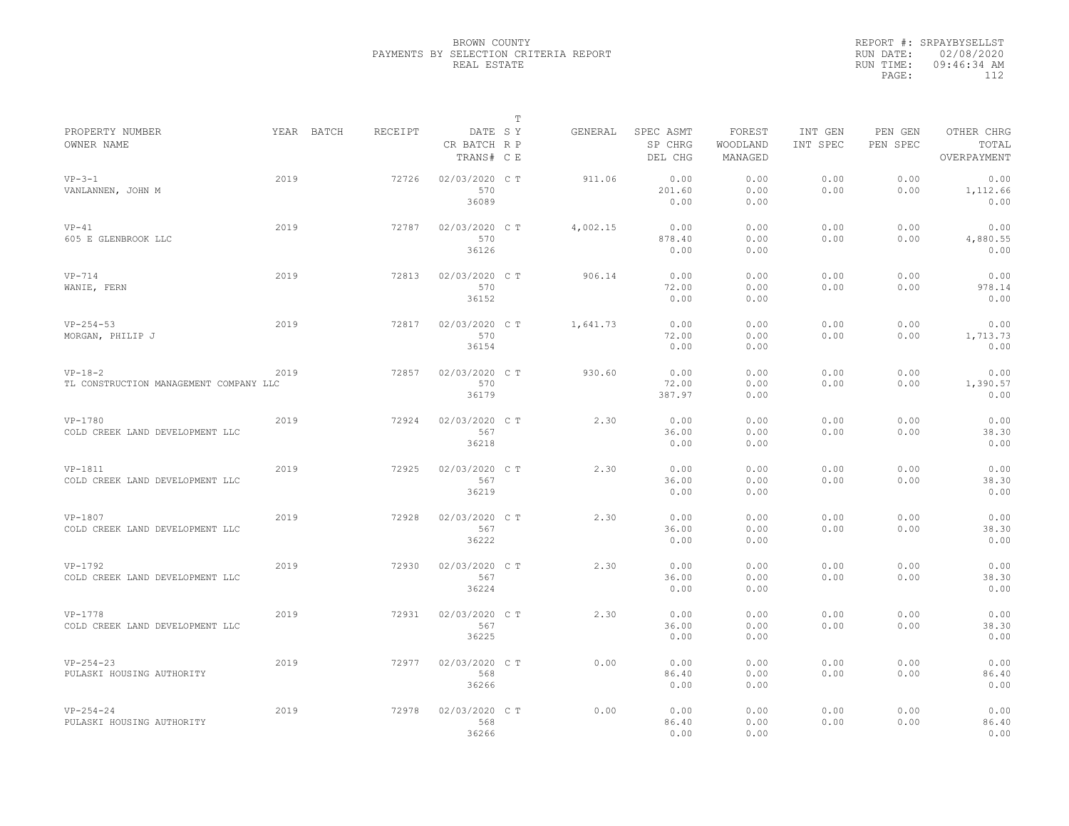|                                                     |      |            |         |                                       | T |          |                                 |                               |                     |                     |                                    |
|-----------------------------------------------------|------|------------|---------|---------------------------------------|---|----------|---------------------------------|-------------------------------|---------------------|---------------------|------------------------------------|
| PROPERTY NUMBER<br>OWNER NAME                       |      | YEAR BATCH | RECEIPT | DATE SY<br>CR BATCH R P<br>TRANS# C E |   | GENERAL  | SPEC ASMT<br>SP CHRG<br>DEL CHG | FOREST<br>WOODLAND<br>MANAGED | INT GEN<br>INT SPEC | PEN GEN<br>PEN SPEC | OTHER CHRG<br>TOTAL<br>OVERPAYMENT |
| $VP-3-1$<br>VANLANNEN, JOHN M                       | 2019 |            | 72726   | 02/03/2020 CT<br>570<br>36089         |   | 911.06   | 0.00<br>201.60<br>0.00          | 0.00<br>0.00<br>0.00          | 0.00<br>0.00        | 0.00<br>0.00        | 0.00<br>1,112.66<br>0.00           |
| $VP-41$<br>605 E GLENBROOK LLC                      | 2019 |            | 72787   | 02/03/2020 C T<br>570<br>36126        |   | 4,002.15 | 0.00<br>878.40<br>0.00          | 0.00<br>0.00<br>0.00          | 0.00<br>0.00        | 0.00<br>0.00        | 0.00<br>4,880.55<br>0.00           |
| $VP-714$<br>WANIE, FERN                             | 2019 |            | 72813   | 02/03/2020 C T<br>570<br>36152        |   | 906.14   | 0.00<br>72.00<br>0.00           | 0.00<br>0.00<br>0.00          | 0.00<br>0.00        | 0.00<br>0.00        | 0.00<br>978.14<br>0.00             |
| $VP-254-53$<br>MORGAN, PHILIP J                     | 2019 |            | 72817   | 02/03/2020 C T<br>570<br>36154        |   | 1,641.73 | 0.00<br>72.00<br>0.00           | 0.00<br>0.00<br>0.00          | 0.00<br>0.00        | 0.00<br>0.00        | 0.00<br>1,713.73<br>0.00           |
| $VP-18-2$<br>TL CONSTRUCTION MANAGEMENT COMPANY LLC | 2019 |            | 72857   | 02/03/2020 C T<br>570<br>36179        |   | 930.60   | 0.00<br>72.00<br>387.97         | 0.00<br>0.00<br>0.00          | 0.00<br>0.00        | 0.00<br>0.00        | 0.00<br>1,390.57<br>0.00           |
| VP-1780<br>COLD CREEK LAND DEVELOPMENT LLC          | 2019 |            | 72924   | 02/03/2020 C T<br>567<br>36218        |   | 2.30     | 0.00<br>36.00<br>0.00           | 0.00<br>0.00<br>0.00          | 0.00<br>0.00        | 0.00<br>0.00        | 0.00<br>38.30<br>0.00              |
| VP-1811<br>COLD CREEK LAND DEVELOPMENT LLC          | 2019 |            | 72925   | 02/03/2020 CT<br>567<br>36219         |   | 2.30     | 0.00<br>36.00<br>0.00           | 0.00<br>0.00<br>0.00          | 0.00<br>0.00        | 0.00<br>0.00        | 0.00<br>38.30<br>0.00              |
| VP-1807<br>COLD CREEK LAND DEVELOPMENT LLC          | 2019 |            | 72928   | 02/03/2020 C T<br>567<br>36222        |   | 2.30     | 0.00<br>36.00<br>0.00           | 0.00<br>0.00<br>0.00          | 0.00<br>0.00        | 0.00<br>0.00        | 0.00<br>38.30<br>0.00              |
| VP-1792<br>COLD CREEK LAND DEVELOPMENT LLC          | 2019 |            | 72930   | 02/03/2020 C T<br>567<br>36224        |   | 2.30     | 0.00<br>36.00<br>0.00           | 0.00<br>0.00<br>0.00          | 0.00<br>0.00        | 0.00<br>0.00        | 0.00<br>38.30<br>0.00              |
| VP-1778<br>COLD CREEK LAND DEVELOPMENT LLC          | 2019 |            | 72931   | 02/03/2020 C T<br>567<br>36225        |   | 2.30     | 0.00<br>36.00<br>0.00           | 0.00<br>0.00<br>0.00          | 0.00<br>0.00        | 0.00<br>0.00        | 0.00<br>38.30<br>0.00              |
| $VP - 254 - 23$<br>PULASKI HOUSING AUTHORITY        | 2019 |            | 72977   | 02/03/2020 CT<br>568<br>36266         |   | 0.00     | 0.00<br>86.40<br>0.00           | 0.00<br>0.00<br>0.00          | 0.00<br>0.00        | 0.00<br>0.00        | 0.00<br>86.40<br>0.00              |
| $VP-254-24$<br>PULASKI HOUSING AUTHORITY            | 2019 |            | 72978   | 02/03/2020 CT<br>568<br>36266         |   | 0.00     | 0.00<br>86.40<br>0.00           | 0.00<br>0.00<br>0.00          | 0.00<br>0.00        | 0.00<br>0.00        | 0.00<br>86.40<br>0.00              |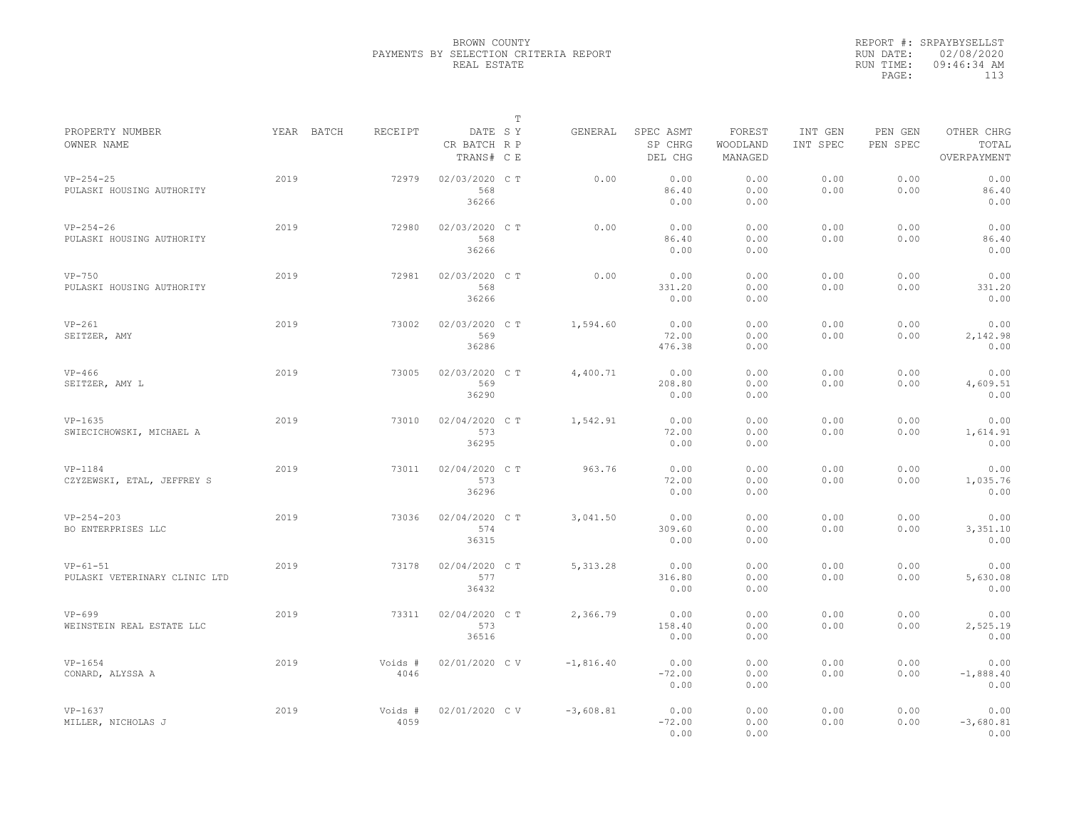|                                             |            |                 |                                       | $\mathbb T$ |             |                                 |                               |                     |                     |                                    |
|---------------------------------------------|------------|-----------------|---------------------------------------|-------------|-------------|---------------------------------|-------------------------------|---------------------|---------------------|------------------------------------|
| PROPERTY NUMBER<br>OWNER NAME               | YEAR BATCH | RECEIPT         | DATE SY<br>CR BATCH R P<br>TRANS# C E |             | GENERAL     | SPEC ASMT<br>SP CHRG<br>DEL CHG | FOREST<br>WOODLAND<br>MANAGED | INT GEN<br>INT SPEC | PEN GEN<br>PEN SPEC | OTHER CHRG<br>TOTAL<br>OVERPAYMENT |
| $VP-254-25$<br>PULASKI HOUSING AUTHORITY    | 2019       | 72979           | 02/03/2020 C T<br>568<br>36266        |             | 0.00        | 0.00<br>86.40<br>0.00           | 0.00<br>0.00<br>0.00          | 0.00<br>0.00        | 0.00<br>0.00        | 0.00<br>86.40<br>0.00              |
| $VP-254-26$<br>PULASKI HOUSING AUTHORITY    | 2019       | 72980           | 02/03/2020 C T<br>568<br>36266        |             | 0.00        | 0.00<br>86.40<br>0.00           | 0.00<br>0.00<br>0.00          | 0.00<br>0.00        | 0.00<br>0.00        | 0.00<br>86.40<br>0.00              |
| $VP-750$<br>PULASKI HOUSING AUTHORITY       | 2019       | 72981           | 02/03/2020 C T<br>568<br>36266        |             | 0.00        | 0.00<br>331.20<br>0.00          | 0.00<br>0.00<br>0.00          | 0.00<br>0.00        | 0.00<br>0.00        | 0.00<br>331.20<br>0.00             |
| $VP-261$<br>SEITZER, AMY                    | 2019       | 73002           | 02/03/2020 CT<br>569<br>36286         |             | 1,594.60    | 0.00<br>72.00<br>476.38         | 0.00<br>0.00<br>0.00          | 0.00<br>0.00        | 0.00<br>0.00        | 0.00<br>2,142.98<br>0.00           |
| $VP-466$<br>SEITZER, AMY L                  | 2019       | 73005           | 02/03/2020 CT<br>569<br>36290         |             | 4,400.71    | 0.00<br>208.80<br>0.00          | 0.00<br>0.00<br>0.00          | 0.00<br>0.00        | 0.00<br>0.00        | 0.00<br>4,609.51<br>0.00           |
| $VP-1635$<br>SWIECICHOWSKI, MICHAEL A       | 2019       | 73010           | 02/04/2020 C T<br>573<br>36295        |             | 1,542.91    | 0.00<br>72.00<br>0.00           | 0.00<br>0.00<br>0.00          | 0.00<br>0.00        | 0.00<br>0.00        | 0.00<br>1,614.91<br>0.00           |
| $VP-1184$<br>CZYZEWSKI, ETAL, JEFFREY S     | 2019       | 73011           | 02/04/2020 C T<br>573<br>36296        |             | 963.76      | 0.00<br>72.00<br>0.00           | 0.00<br>0.00<br>0.00          | 0.00<br>0.00        | 0.00<br>0.00        | 0.00<br>1,035.76<br>0.00           |
| $VP - 254 - 203$<br>BO ENTERPRISES LLC      | 2019       | 73036           | 02/04/2020 C T<br>574<br>36315        |             | 3,041.50    | 0.00<br>309.60<br>0.00          | 0.00<br>0.00<br>0.00          | 0.00<br>0.00        | 0.00<br>0.00        | 0.00<br>3,351.10<br>0.00           |
| $VP-61-51$<br>PULASKI VETERINARY CLINIC LTD | 2019       | 73178           | 02/04/2020 C T<br>577<br>36432        |             | 5, 313.28   | 0.00<br>316.80<br>0.00          | 0.00<br>0.00<br>0.00          | 0.00<br>0.00        | 0.00<br>0.00        | 0.00<br>5,630.08<br>0.00           |
| $VP-699$<br>WEINSTEIN REAL ESTATE LLC       | 2019       | 73311           | 02/04/2020 CT<br>573<br>36516         |             | 2,366.79    | 0.00<br>158.40<br>0.00          | 0.00<br>0.00<br>0.00          | 0.00<br>0.00        | 0.00<br>0.00        | 0.00<br>2,525.19<br>0.00           |
| $VP-1654$<br>CONARD, ALYSSA A               | 2019       | Voids #<br>4046 | 02/01/2020 C V                        |             | $-1,816.40$ | 0.00<br>$-72.00$<br>0.00        | 0.00<br>0.00<br>0.00          | 0.00<br>0.00        | 0.00<br>0.00        | 0.00<br>$-1,888.40$<br>0.00        |
| $VP-1637$<br>MILLER, NICHOLAS J             | 2019       | Voids #<br>4059 | 02/01/2020 CV                         |             | $-3,608.81$ | 0.00<br>$-72.00$<br>0.00        | 0.00<br>0.00<br>0.00          | 0.00<br>0.00        | 0.00<br>0.00        | 0.00<br>$-3,680.81$<br>0.00        |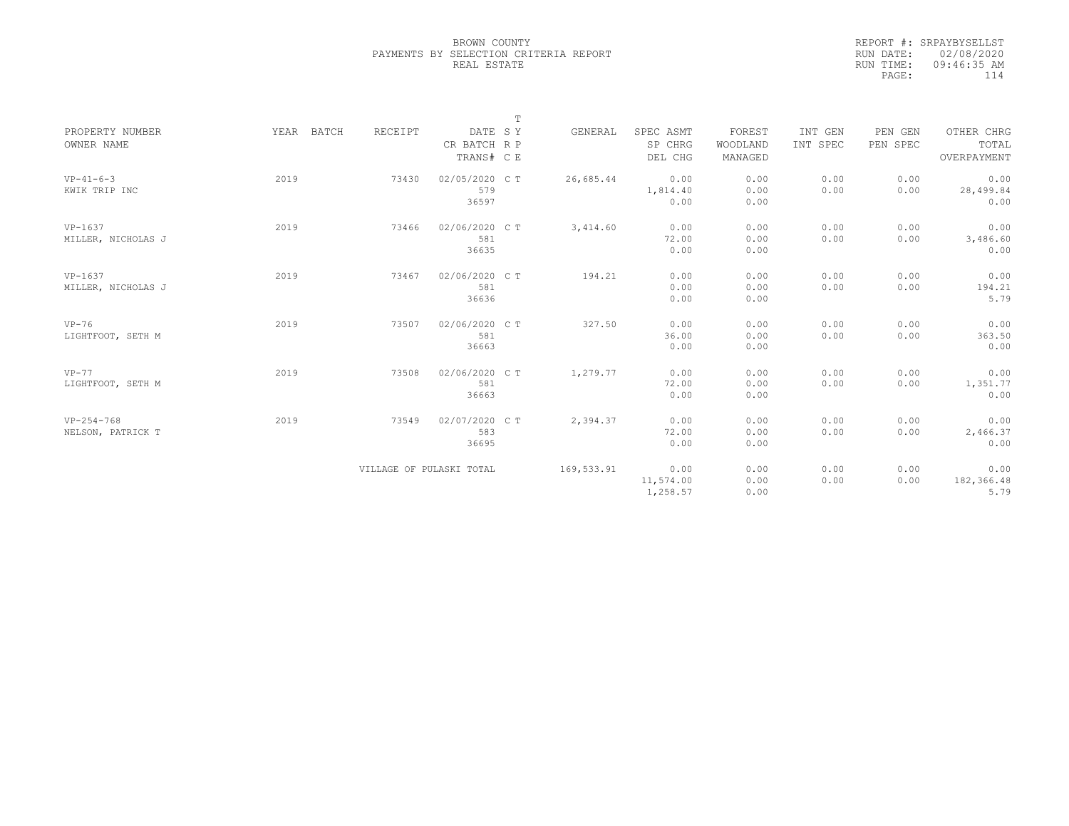|                                   |            |                          |                                       | $\mathbb T$ |            |                                 |                               |                     |                     |                                    |
|-----------------------------------|------------|--------------------------|---------------------------------------|-------------|------------|---------------------------------|-------------------------------|---------------------|---------------------|------------------------------------|
| PROPERTY NUMBER<br>OWNER NAME     | YEAR BATCH | RECEIPT                  | DATE SY<br>CR BATCH R P<br>TRANS# C E |             | GENERAL    | SPEC ASMT<br>SP CHRG<br>DEL CHG | FOREST<br>WOODLAND<br>MANAGED | INT GEN<br>INT SPEC | PEN GEN<br>PEN SPEC | OTHER CHRG<br>TOTAL<br>OVERPAYMENT |
| $VP-41-6-3$<br>KWIK TRIP INC      | 2019       | 73430                    | 02/05/2020 C T<br>579<br>36597        |             | 26,685.44  | 0.00<br>1,814.40<br>0.00        | 0.00<br>0.00<br>0.00          | 0.00<br>0.00        | 0.00<br>0.00        | 0.00<br>28,499.84<br>0.00          |
| $VP-1637$<br>MILLER, NICHOLAS J   | 2019       | 73466                    | 02/06/2020 CT<br>581<br>36635         |             | 3,414.60   | 0.00<br>72.00<br>0.00           | 0.00<br>0.00<br>0.00          | 0.00<br>0.00        | 0.00<br>0.00        | 0.00<br>3,486.60<br>0.00           |
| $VP-1637$<br>MILLER, NICHOLAS J   | 2019       | 73467                    | 02/06/2020 C T<br>581<br>36636        |             | 194.21     | 0.00<br>0.00<br>0.00            | 0.00<br>0.00<br>0.00          | 0.00<br>0.00        | 0.00<br>0.00        | 0.00<br>194.21<br>5.79             |
| $VP-76$<br>LIGHTFOOT, SETH M      | 2019       | 73507                    | 02/06/2020 C T<br>581<br>36663        |             | 327.50     | 0.00<br>36.00<br>0.00           | 0.00<br>0.00<br>0.00          | 0.00<br>0.00        | 0.00<br>0.00        | 0.00<br>363.50<br>0.00             |
| $VP-77$<br>LIGHTFOOT, SETH M      | 2019       | 73508                    | 02/06/2020 C T<br>581<br>36663        |             | 1,279.77   | 0.00<br>72.00<br>0.00           | 0.00<br>0.00<br>0.00          | 0.00<br>0.00        | 0.00<br>0.00        | 0.00<br>1,351.77<br>0.00           |
| $VP-254-768$<br>NELSON, PATRICK T | 2019       | 73549                    | 02/07/2020 C T<br>583<br>36695        |             | 2,394.37   | 0.00<br>72.00<br>0.00           | 0.00<br>0.00<br>0.00          | 0.00<br>0.00        | 0.00<br>0.00        | 0.00<br>2,466.37<br>0.00           |
|                                   |            | VILLAGE OF PULASKI TOTAL |                                       |             | 169,533.91 | 0.00<br>11,574.00<br>1,258.57   | 0.00<br>0.00<br>0.00          | 0.00<br>0.00        | 0.00<br>0.00        | 0.00<br>182,366.48<br>5.79         |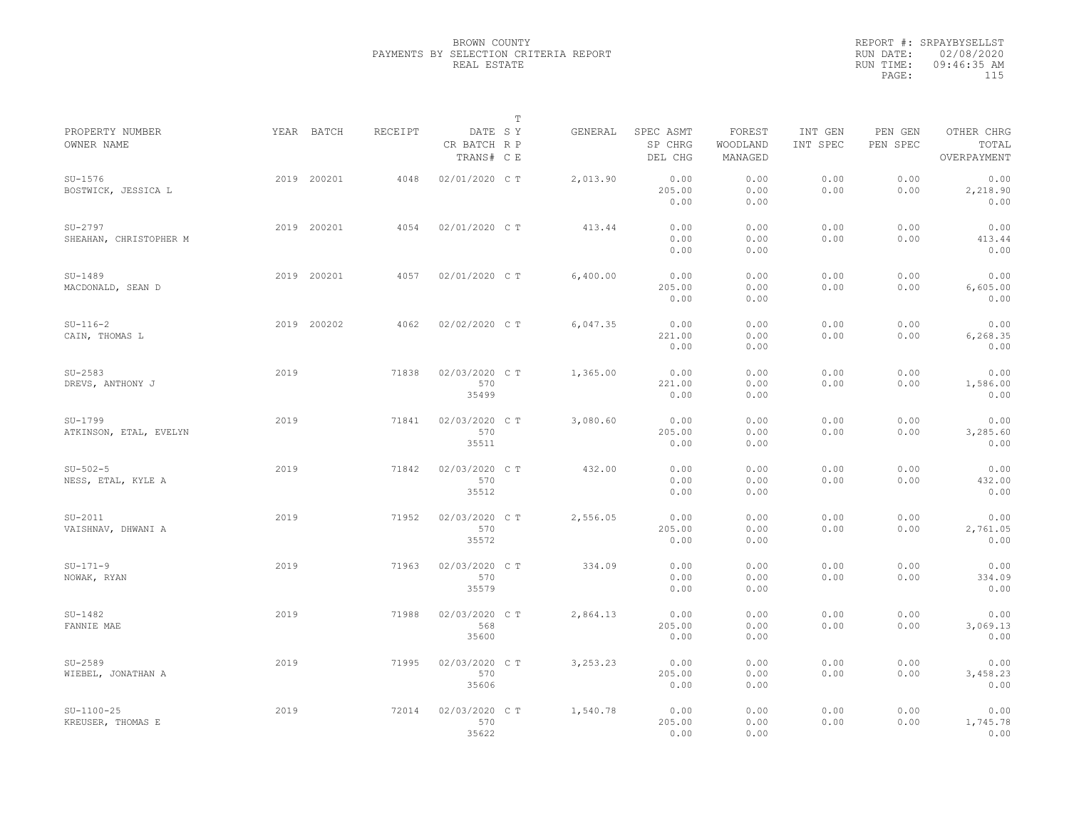|                                     |             |         |                                       | $\mathbb T$ |          |                                 |                               |                     |                     |                                    |
|-------------------------------------|-------------|---------|---------------------------------------|-------------|----------|---------------------------------|-------------------------------|---------------------|---------------------|------------------------------------|
| PROPERTY NUMBER<br>OWNER NAME       | YEAR BATCH  | RECEIPT | DATE SY<br>CR BATCH R P<br>TRANS# C E |             | GENERAL  | SPEC ASMT<br>SP CHRG<br>DEL CHG | FOREST<br>WOODLAND<br>MANAGED | INT GEN<br>INT SPEC | PEN GEN<br>PEN SPEC | OTHER CHRG<br>TOTAL<br>OVERPAYMENT |
| $SU-1576$<br>BOSTWICK, JESSICA L    | 2019 200201 | 4048    | 02/01/2020 C T                        |             | 2,013.90 | 0.00<br>205.00<br>0.00          | 0.00<br>0.00<br>0.00          | 0.00<br>0.00        | 0.00<br>0.00        | 0.00<br>2,218.90<br>0.00           |
| $SU-2797$<br>SHEAHAN, CHRISTOPHER M | 2019 200201 | 4054    | 02/01/2020 C T                        |             | 413.44   | 0.00<br>0.00<br>0.00            | 0.00<br>0.00<br>0.00          | 0.00<br>0.00        | 0.00<br>0.00        | 0.00<br>413.44<br>0.00             |
| $SU-1489$<br>MACDONALD, SEAN D      | 2019 200201 | 4057    | 02/01/2020 C T                        |             | 6,400.00 | 0.00<br>205.00<br>0.00          | 0.00<br>0.00<br>0.00          | 0.00<br>0.00        | 0.00<br>0.00        | 0.00<br>6,605.00<br>0.00           |
| $SU-116-2$<br>CAIN, THOMAS L        | 2019 200202 | 4062    | 02/02/2020 C T                        |             | 6,047.35 | 0.00<br>221.00<br>0.00          | 0.00<br>0.00<br>0.00          | 0.00<br>0.00        | 0.00<br>0.00        | 0.00<br>6,268.35<br>0.00           |
| $SU-2583$<br>DREVS, ANTHONY J       | 2019        | 71838   | 02/03/2020 C T<br>570<br>35499        |             | 1,365.00 | 0.00<br>221.00<br>0.00          | 0.00<br>0.00<br>0.00          | 0.00<br>0.00        | 0.00<br>0.00        | 0.00<br>1,586.00<br>0.00           |
| SU-1799<br>ATKINSON, ETAL, EVELYN   | 2019        | 71841   | 02/03/2020 C T<br>570<br>35511        |             | 3,080.60 | 0.00<br>205.00<br>0.00          | 0.00<br>0.00<br>0.00          | 0.00<br>0.00        | 0.00<br>0.00        | 0.00<br>3,285.60<br>0.00           |
| $SU-502-5$<br>NESS, ETAL, KYLE A    | 2019        | 71842   | 02/03/2020 CT<br>570<br>35512         |             | 432.00   | 0.00<br>0.00<br>0.00            | 0.00<br>0.00<br>0.00          | 0.00<br>0.00        | 0.00<br>0.00        | 0.00<br>432.00<br>0.00             |
| $SU-2011$<br>VAISHNAV, DHWANI A     | 2019        | 71952   | 02/03/2020 C T<br>570<br>35572        |             | 2,556.05 | 0.00<br>205.00<br>0.00          | 0.00<br>0.00<br>0.00          | 0.00<br>0.00        | 0.00<br>0.00        | 0.00<br>2,761.05<br>0.00           |
| $SU-171-9$<br>NOWAK, RYAN           | 2019        | 71963   | 02/03/2020 C T<br>570<br>35579        |             | 334.09   | 0.00<br>0.00<br>0.00            | 0.00<br>0.00<br>0.00          | 0.00<br>0.00        | 0.00<br>0.00        | 0.00<br>334.09<br>0.00             |
| $SU-1482$<br>FANNIE MAE             | 2019        | 71988   | 02/03/2020 C T<br>568<br>35600        |             | 2,864.13 | 0.00<br>205.00<br>0.00          | 0.00<br>0.00<br>0.00          | 0.00<br>0.00        | 0.00<br>0.00        | 0.00<br>3,069.13<br>0.00           |
| $SU-2589$<br>WIEBEL, JONATHAN A     | 2019        | 71995   | 02/03/2020 C T<br>570<br>35606        |             | 3,253.23 | 0.00<br>205.00<br>0.00          | 0.00<br>0.00<br>0.00          | 0.00<br>0.00        | 0.00<br>0.00        | 0.00<br>3,458.23<br>0.00           |
| $SU-1100-25$<br>KREUSER, THOMAS E   | 2019        | 72014   | 02/03/2020 C T<br>570<br>35622        |             | 1,540.78 | 0.00<br>205.00<br>0.00          | 0.00<br>0.00<br>0.00          | 0.00<br>0.00        | 0.00<br>0.00        | 0.00<br>1,745.78<br>0.00           |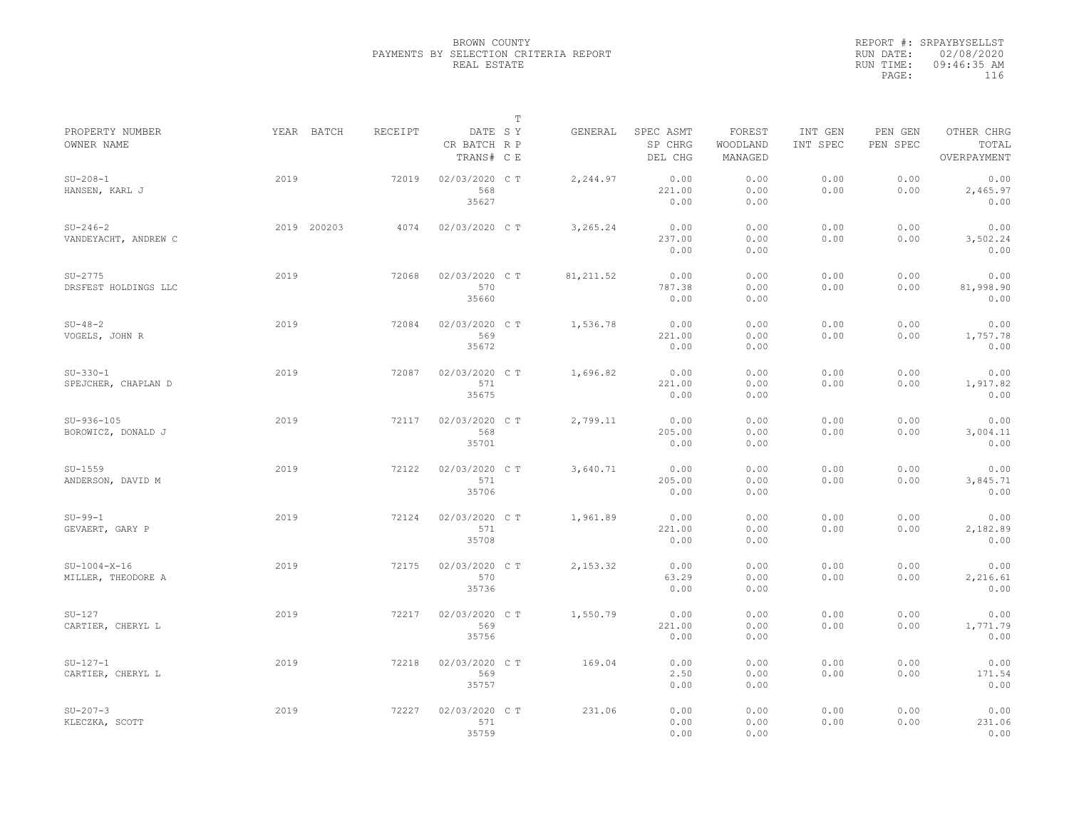|                                      |             |         |                                       | $\mathbb T$ |            |                                 |                               |                     |                     |                                    |
|--------------------------------------|-------------|---------|---------------------------------------|-------------|------------|---------------------------------|-------------------------------|---------------------|---------------------|------------------------------------|
| PROPERTY NUMBER<br>OWNER NAME        | YEAR BATCH  | RECEIPT | DATE SY<br>CR BATCH R P<br>TRANS# C E |             | GENERAL    | SPEC ASMT<br>SP CHRG<br>DEL CHG | FOREST<br>WOODLAND<br>MANAGED | INT GEN<br>INT SPEC | PEN GEN<br>PEN SPEC | OTHER CHRG<br>TOTAL<br>OVERPAYMENT |
| $SU-208-1$<br>HANSEN, KARL J         | 2019        | 72019   | 02/03/2020 C T<br>568<br>35627        |             | 2,244.97   | 0.00<br>221.00<br>0.00          | 0.00<br>0.00<br>0.00          | 0.00<br>0.00        | 0.00<br>0.00        | 0.00<br>2,465.97<br>0.00           |
| $SU-246-2$<br>VANDEYACHT, ANDREW C   | 2019 200203 | 4074    | 02/03/2020 C T                        |             | 3,265.24   | 0.00<br>237.00<br>0.00          | 0.00<br>0.00<br>0.00          | 0.00<br>0.00        | 0.00<br>0.00        | 0.00<br>3,502.24<br>0.00           |
| $SU-2775$<br>DRSFEST HOLDINGS LLC    | 2019        | 72068   | 02/03/2020 CT<br>570<br>35660         |             | 81, 211.52 | 0.00<br>787.38<br>0.00          | 0.00<br>0.00<br>0.00          | 0.00<br>0.00        | 0.00<br>0.00        | 0.00<br>81,998.90<br>0.00          |
| $SU-48-2$<br>VOGELS, JOHN R          | 2019        | 72084   | 02/03/2020 C T<br>569<br>35672        |             | 1,536.78   | 0.00<br>221.00<br>0.00          | 0.00<br>0.00<br>0.00          | 0.00<br>0.00        | 0.00<br>0.00        | 0.00<br>1,757.78<br>0.00           |
| $SU-330-1$<br>SPEJCHER, CHAPLAN D    | 2019        | 72087   | 02/03/2020 C T<br>571<br>35675        |             | 1,696.82   | 0.00<br>221.00<br>0.00          | 0.00<br>0.00<br>0.00          | 0.00<br>0.00        | 0.00<br>0.00        | 0.00<br>1,917.82<br>0.00           |
| $SU-936-105$<br>BOROWICZ, DONALD J   | 2019        | 72117   | 02/03/2020 CT<br>568<br>35701         |             | 2,799.11   | 0.00<br>205.00<br>0.00          | 0.00<br>0.00<br>0.00          | 0.00<br>0.00        | 0.00<br>0.00        | 0.00<br>3,004.11<br>0.00           |
| $SU-1559$<br>ANDERSON, DAVID M       | 2019        | 72122   | 02/03/2020 CT<br>571<br>35706         |             | 3,640.71   | 0.00<br>205.00<br>0.00          | 0.00<br>0.00<br>0.00          | 0.00<br>0.00        | 0.00<br>0.00        | 0.00<br>3,845.71<br>0.00           |
| $SU-99-1$<br>GEVAERT, GARY P         | 2019        | 72124   | 02/03/2020 C T<br>571<br>35708        |             | 1,961.89   | 0.00<br>221.00<br>0.00          | 0.00<br>0.00<br>0.00          | 0.00<br>0.00        | 0.00<br>0.00        | 0.00<br>2,182.89<br>0.00           |
| $SU-1004-X-16$<br>MILLER, THEODORE A | 2019        | 72175   | 02/03/2020 CT<br>570<br>35736         |             | 2,153.32   | 0.00<br>63.29<br>0.00           | 0.00<br>0.00<br>0.00          | 0.00<br>0.00        | 0.00<br>0.00        | 0.00<br>2,216.61<br>0.00           |
| $SU-127$<br>CARTIER, CHERYL L        | 2019        | 72217   | 02/03/2020 CT<br>569<br>35756         |             | 1,550.79   | 0.00<br>221.00<br>0.00          | 0.00<br>0.00<br>0.00          | 0.00<br>0.00        | 0.00<br>0.00        | 0.00<br>1,771.79<br>0.00           |
| $SU-127-1$<br>CARTIER, CHERYL L      | 2019        | 72218   | 02/03/2020 C T<br>569<br>35757        |             | 169.04     | 0.00<br>2.50<br>0.00            | 0.00<br>0.00<br>0.00          | 0.00<br>0.00        | 0.00<br>0.00        | 0.00<br>171.54<br>0.00             |
| $SU-207-3$<br>KLECZKA, SCOTT         | 2019        | 72227   | 02/03/2020 CT<br>571<br>35759         |             | 231.06     | 0.00<br>0.00<br>0.00            | 0.00<br>0.00<br>0.00          | 0.00<br>0.00        | 0.00<br>0.00        | 0.00<br>231.06<br>0.00             |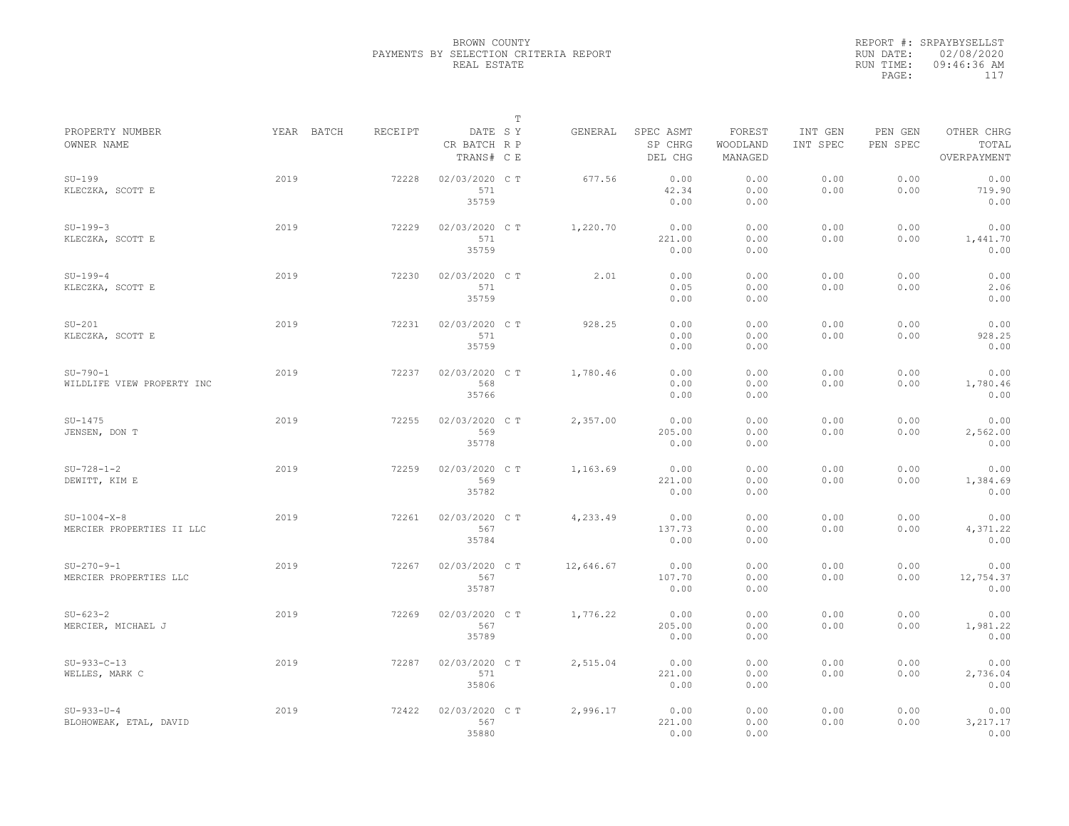|                                            |            |         |                                       | $\mathbb T$ |           |                                 |                               |                     |                     |                                    |
|--------------------------------------------|------------|---------|---------------------------------------|-------------|-----------|---------------------------------|-------------------------------|---------------------|---------------------|------------------------------------|
| PROPERTY NUMBER<br>OWNER NAME              | YEAR BATCH | RECEIPT | DATE SY<br>CR BATCH R P<br>TRANS# C E |             | GENERAL   | SPEC ASMT<br>SP CHRG<br>DEL CHG | FOREST<br>WOODLAND<br>MANAGED | INT GEN<br>INT SPEC | PEN GEN<br>PEN SPEC | OTHER CHRG<br>TOTAL<br>OVERPAYMENT |
| $SU-199$<br>KLECZKA, SCOTT E               | 2019       | 72228   | 02/03/2020 C T<br>571<br>35759        |             | 677.56    | 0.00<br>42.34<br>0.00           | 0.00<br>0.00<br>0.00          | 0.00<br>0.00        | 0.00<br>0.00        | 0.00<br>719.90<br>0.00             |
| $SU-199-3$<br>KLECZKA, SCOTT E             | 2019       | 72229   | 02/03/2020 C T<br>571<br>35759        |             | 1,220.70  | 0.00<br>221.00<br>0.00          | 0.00<br>0.00<br>0.00          | 0.00<br>0.00        | 0.00<br>0.00        | 0.00<br>1,441.70<br>0.00           |
| $SU-199-4$<br>KLECZKA, SCOTT E             | 2019       | 72230   | 02/03/2020 C T<br>571<br>35759        |             | 2.01      | 0.00<br>0.05<br>0.00            | 0.00<br>0.00<br>0.00          | 0.00<br>0.00        | 0.00<br>0.00        | 0.00<br>2.06<br>0.00               |
| $SU-201$<br>KLECZKA, SCOTT E               | 2019       | 72231   | 02/03/2020 C T<br>571<br>35759        |             | 928.25    | 0.00<br>0.00<br>0.00            | 0.00<br>0.00<br>0.00          | 0.00<br>0.00        | 0.00<br>0.00        | 0.00<br>928.25<br>0.00             |
| $SU-790-1$<br>WILDLIFE VIEW PROPERTY INC   | 2019       | 72237   | 02/03/2020 CT<br>568<br>35766         |             | 1,780.46  | 0.00<br>0.00<br>0.00            | 0.00<br>0.00<br>0.00          | 0.00<br>0.00        | 0.00<br>0.00        | 0.00<br>1,780.46<br>0.00           |
| $SU-1475$<br>JENSEN, DON T                 | 2019       | 72255   | 02/03/2020 C T<br>569<br>35778        |             | 2,357.00  | 0.00<br>205.00<br>0.00          | 0.00<br>0.00<br>0.00          | 0.00<br>0.00        | 0.00<br>0.00        | 0.00<br>2,562.00<br>0.00           |
| $SU-728-1-2$<br>DEWITT, KIM E              | 2019       | 72259   | 02/03/2020 CT<br>569<br>35782         |             | 1,163.69  | 0.00<br>221.00<br>0.00          | 0.00<br>0.00<br>0.00          | 0.00<br>0.00        | 0.00<br>0.00        | 0.00<br>1,384.69<br>0.00           |
| $SU-1004-X-8$<br>MERCIER PROPERTIES II LLC | 2019       | 72261   | 02/03/2020 C T<br>567<br>35784        |             | 4,233.49  | 0.00<br>137.73<br>0.00          | 0.00<br>0.00<br>0.00          | 0.00<br>0.00        | 0.00<br>0.00        | 0.00<br>4,371.22<br>0.00           |
| $SU-270-9-1$<br>MERCIER PROPERTIES LLC     | 2019       | 72267   | 02/03/2020 C T<br>567<br>35787        |             | 12,646.67 | 0.00<br>107.70<br>0.00          | 0.00<br>0.00<br>0.00          | 0.00<br>0.00        | 0.00<br>0.00        | 0.00<br>12,754.37<br>0.00          |
| $SU - 623 - 2$<br>MERCIER, MICHAEL J       | 2019       | 72269   | 02/03/2020 CT<br>567<br>35789         |             | 1,776.22  | 0.00<br>205.00<br>0.00          | 0.00<br>0.00<br>0.00          | 0.00<br>0.00        | 0.00<br>0.00        | 0.00<br>1,981.22<br>0.00           |
| $SU-933-C-13$<br>WELLES, MARK C            | 2019       | 72287   | 02/03/2020 CT<br>571<br>35806         |             | 2,515.04  | 0.00<br>221.00<br>0.00          | 0.00<br>0.00<br>0.00          | 0.00<br>0.00        | 0.00<br>0.00        | 0.00<br>2,736.04<br>0.00           |
| $SU-933-U-4$<br>BLOHOWEAK, ETAL, DAVID     | 2019       | 72422   | 02/03/2020 CT<br>567<br>35880         |             | 2,996.17  | 0.00<br>221.00<br>0.00          | 0.00<br>0.00<br>0.00          | 0.00<br>0.00        | 0.00<br>0.00        | 0.00<br>3,217.17<br>0.00           |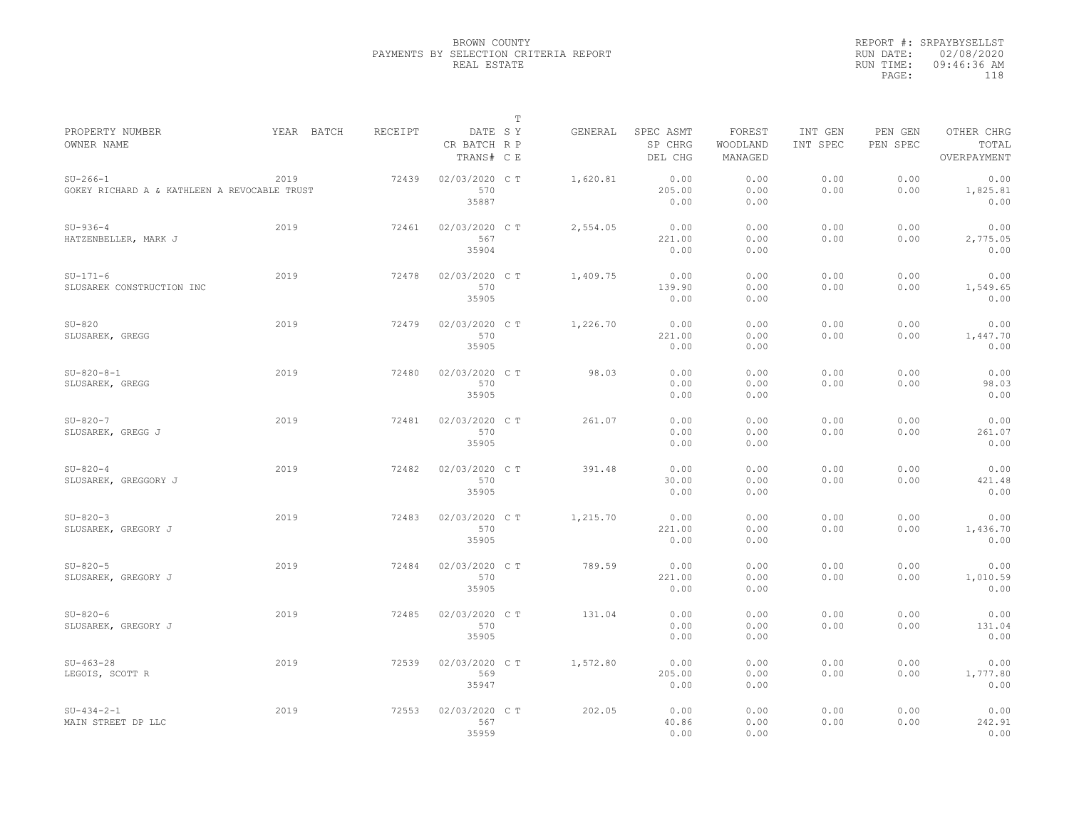|                                                            |            |         |                                       | $\mathbb T$ |          |                                 |                               |                     |                     |                                    |
|------------------------------------------------------------|------------|---------|---------------------------------------|-------------|----------|---------------------------------|-------------------------------|---------------------|---------------------|------------------------------------|
| PROPERTY NUMBER<br>OWNER NAME                              | YEAR BATCH | RECEIPT | DATE SY<br>CR BATCH R P<br>TRANS# C E |             | GENERAL  | SPEC ASMT<br>SP CHRG<br>DEL CHG | FOREST<br>WOODLAND<br>MANAGED | INT GEN<br>INT SPEC | PEN GEN<br>PEN SPEC | OTHER CHRG<br>TOTAL<br>OVERPAYMENT |
| $SU-266-1$<br>GOKEY RICHARD A & KATHLEEN A REVOCABLE TRUST | 2019       | 72439   | 02/03/2020 CT<br>570<br>35887         |             | 1,620.81 | 0.00<br>205.00<br>0.00          | 0.00<br>0.00<br>0.00          | 0.00<br>0.00        | 0.00<br>0.00        | 0.00<br>1,825.81<br>0.00           |
| $SU-936-4$<br>HATZENBELLER, MARK J                         | 2019       | 72461   | 02/03/2020 C T<br>567<br>35904        |             | 2,554.05 | 0.00<br>221.00<br>0.00          | 0.00<br>0.00<br>0.00          | 0.00<br>0.00        | 0.00<br>0.00        | 0.00<br>2,775.05<br>0.00           |
| $SU-171-6$<br>SLUSAREK CONSTRUCTION INC                    | 2019       | 72478   | 02/03/2020 C T<br>570<br>35905        |             | 1,409.75 | 0.00<br>139.90<br>0.00          | 0.00<br>0.00<br>0.00          | 0.00<br>0.00        | 0.00<br>0.00        | 0.00<br>1,549.65<br>0.00           |
| $SU-820$<br>SLUSAREK, GREGG                                | 2019       | 72479   | 02/03/2020 C T<br>570<br>35905        |             | 1,226.70 | 0.00<br>221.00<br>0.00          | 0.00<br>0.00<br>0.00          | 0.00<br>0.00        | 0.00<br>0.00        | 0.00<br>1,447.70<br>0.00           |
| $SU-820-8-1$<br>SLUSAREK, GREGG                            | 2019       | 72480   | 02/03/2020 C T<br>570<br>35905        |             | 98.03    | 0.00<br>0.00<br>0.00            | 0.00<br>0.00<br>0.00          | 0.00<br>0.00        | 0.00<br>0.00        | 0.00<br>98.03<br>0.00              |
| $SU-820-7$<br>SLUSAREK, GREGG J                            | 2019       | 72481   | 02/03/2020 CT<br>570<br>35905         |             | 261.07   | 0.00<br>0.00<br>0.00            | 0.00<br>0.00<br>0.00          | 0.00<br>0.00        | 0.00<br>0.00        | 0.00<br>261.07<br>0.00             |
| $SU-820-4$<br>SLUSAREK, GREGGORY J                         | 2019       | 72482   | 02/03/2020 C T<br>570<br>35905        |             | 391.48   | 0.00<br>30.00<br>0.00           | 0.00<br>0.00<br>0.00          | 0.00<br>0.00        | 0.00<br>0.00        | 0.00<br>421.48<br>0.00             |
| $SU-820-3$<br>SLUSAREK, GREGORY J                          | 2019       | 72483   | 02/03/2020 C T<br>570<br>35905        |             | 1,215.70 | 0.00<br>221.00<br>0.00          | 0.00<br>0.00<br>0.00          | 0.00<br>0.00        | 0.00<br>0.00        | 0.00<br>1,436.70<br>0.00           |
| $SU-820-5$<br>SLUSAREK, GREGORY J                          | 2019       | 72484   | 02/03/2020 CT<br>570<br>35905         |             | 789.59   | 0.00<br>221.00<br>0.00          | 0.00<br>0.00<br>0.00          | 0.00<br>0.00        | 0.00<br>0.00        | 0.00<br>1,010.59<br>0.00           |
| $SU-820-6$<br>SLUSAREK, GREGORY J                          | 2019       | 72485   | 02/03/2020 C T<br>570<br>35905        |             | 131.04   | 0.00<br>0.00<br>0.00            | 0.00<br>0.00<br>0.00          | 0.00<br>0.00        | 0.00<br>0.00        | 0.00<br>131.04<br>0.00             |
| $SU-463-28$<br>LEGOIS, SCOTT R                             | 2019       | 72539   | 02/03/2020 C T<br>569<br>35947        |             | 1,572.80 | 0.00<br>205.00<br>0.00          | 0.00<br>0.00<br>0.00          | 0.00<br>0.00        | 0.00<br>0.00        | 0.00<br>1,777.80<br>0.00           |
| $SU-434-2-1$<br>MAIN STREET DP LLC                         | 2019       | 72553   | 02/03/2020 CT<br>567<br>35959         |             | 202.05   | 0.00<br>40.86<br>0.00           | 0.00<br>0.00<br>0.00          | 0.00<br>0.00        | 0.00<br>0.00        | 0.00<br>242.91<br>0.00             |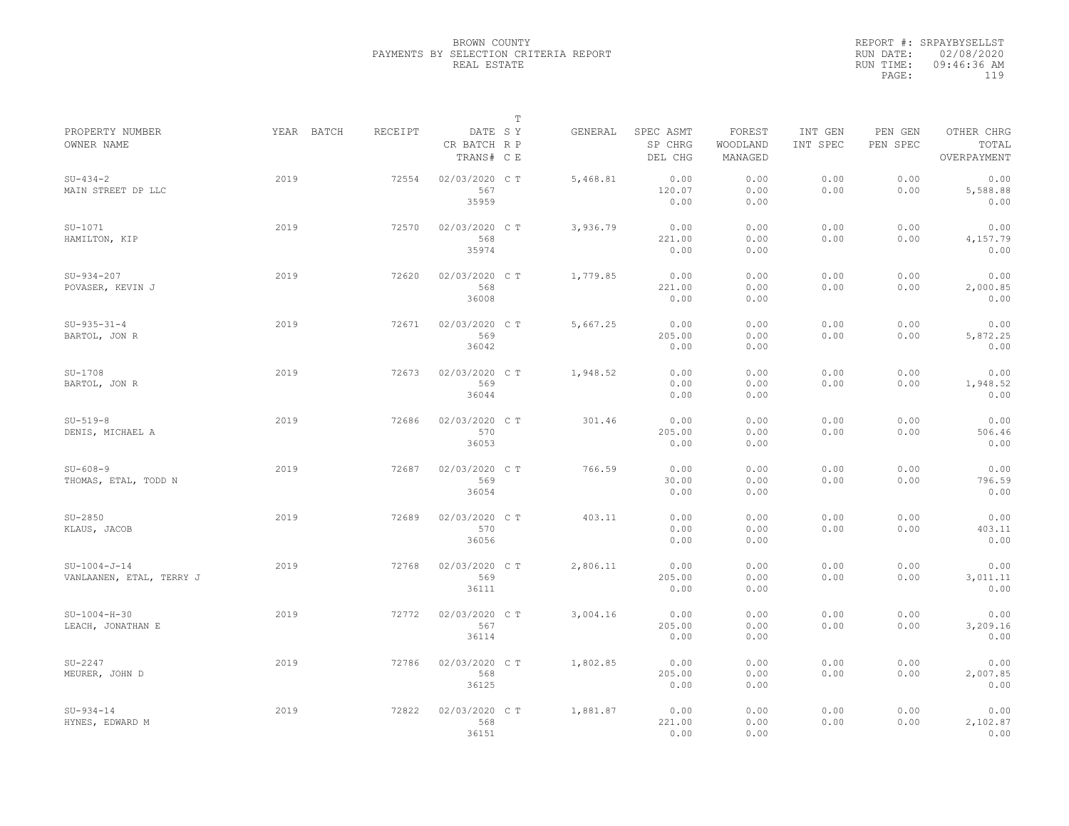|                                            |            |         |                                       | $\mathbb T$ |          |                                 |                               |                     |                     |                                    |
|--------------------------------------------|------------|---------|---------------------------------------|-------------|----------|---------------------------------|-------------------------------|---------------------|---------------------|------------------------------------|
| PROPERTY NUMBER<br>OWNER NAME              | YEAR BATCH | RECEIPT | DATE SY<br>CR BATCH R P<br>TRANS# C E |             | GENERAL  | SPEC ASMT<br>SP CHRG<br>DEL CHG | FOREST<br>WOODLAND<br>MANAGED | INT GEN<br>INT SPEC | PEN GEN<br>PEN SPEC | OTHER CHRG<br>TOTAL<br>OVERPAYMENT |
| $SU-434-2$<br>MAIN STREET DP LLC           | 2019       | 72554   | 02/03/2020 CT<br>567<br>35959         |             | 5,468.81 | 0.00<br>120.07<br>0.00          | 0.00<br>0.00<br>0.00          | 0.00<br>0.00        | 0.00<br>0.00        | 0.00<br>5,588.88<br>0.00           |
| $SU-1071$<br>HAMILTON, KIP                 | 2019       | 72570   | 02/03/2020 C T<br>568<br>35974        |             | 3,936.79 | 0.00<br>221.00<br>0.00          | 0.00<br>0.00<br>0.00          | 0.00<br>0.00        | 0.00<br>0.00        | 0.00<br>4,157.79<br>0.00           |
| $SU-934-207$<br>POVASER, KEVIN J           | 2019       | 72620   | 02/03/2020 C T<br>568<br>36008        |             | 1,779.85 | 0.00<br>221.00<br>0.00          | 0.00<br>0.00<br>0.00          | 0.00<br>0.00        | 0.00<br>0.00        | 0.00<br>2,000.85<br>0.00           |
| $SU-935-31-4$<br>BARTOL, JON R             | 2019       | 72671   | 02/03/2020 C T<br>569<br>36042        |             | 5,667.25 | 0.00<br>205.00<br>0.00          | 0.00<br>0.00<br>0.00          | 0.00<br>0.00        | 0.00<br>0.00        | 0.00<br>5,872.25<br>0.00           |
| $SU-1708$<br>BARTOL, JON R                 | 2019       | 72673   | 02/03/2020 C T<br>569<br>36044        |             | 1,948.52 | 0.00<br>0.00<br>0.00            | 0.00<br>0.00<br>0.00          | 0.00<br>0.00        | 0.00<br>0.00        | 0.00<br>1,948.52<br>0.00           |
| $SU-519-8$<br>DENIS, MICHAEL A             | 2019       | 72686   | 02/03/2020 CT<br>570<br>36053         |             | 301.46   | 0.00<br>205.00<br>0.00          | 0.00<br>0.00<br>0.00          | 0.00<br>0.00        | 0.00<br>0.00        | 0.00<br>506.46<br>0.00             |
| $SU - 608 - 9$<br>THOMAS, ETAL, TODD N     | 2019       | 72687   | 02/03/2020 CT<br>569<br>36054         |             | 766.59   | 0.00<br>30.00<br>0.00           | 0.00<br>0.00<br>0.00          | 0.00<br>0.00        | 0.00<br>0.00        | 0.00<br>796.59<br>0.00             |
| $SU-2850$<br>KLAUS, JACOB                  | 2019       | 72689   | 02/03/2020 C T<br>570<br>36056        |             | 403.11   | 0.00<br>0.00<br>0.00            | 0.00<br>0.00<br>0.00          | 0.00<br>0.00        | 0.00<br>0.00        | 0.00<br>403.11<br>0.00             |
| $SU-1004-J-14$<br>VANLAANEN, ETAL, TERRY J | 2019       | 72768   | 02/03/2020 CT<br>569<br>36111         |             | 2,806.11 | 0.00<br>205.00<br>0.00          | 0.00<br>0.00<br>0.00          | 0.00<br>0.00        | 0.00<br>0.00        | 0.00<br>3,011.11<br>0.00           |
| $SU-1004-H-30$<br>LEACH, JONATHAN E        | 2019       | 72772   | 02/03/2020 CT<br>567<br>36114         |             | 3,004.16 | 0.00<br>205.00<br>0.00          | 0.00<br>0.00<br>0.00          | 0.00<br>0.00        | 0.00<br>0.00        | 0.00<br>3,209.16<br>0.00           |
| $SU-2247$<br>MEURER, JOHN D                | 2019       | 72786   | 02/03/2020 C T<br>568<br>36125        |             | 1,802.85 | 0.00<br>205.00<br>0.00          | 0.00<br>0.00<br>0.00          | 0.00<br>0.00        | 0.00<br>0.00        | 0.00<br>2,007.85<br>0.00           |
| $SU-934-14$<br>HYNES, EDWARD M             | 2019       | 72822   | 02/03/2020 CT<br>568<br>36151         |             | 1,881.87 | 0.00<br>221.00<br>0.00          | 0.00<br>0.00<br>0.00          | 0.00<br>0.00        | 0.00<br>0.00        | 0.00<br>2,102.87<br>0.00           |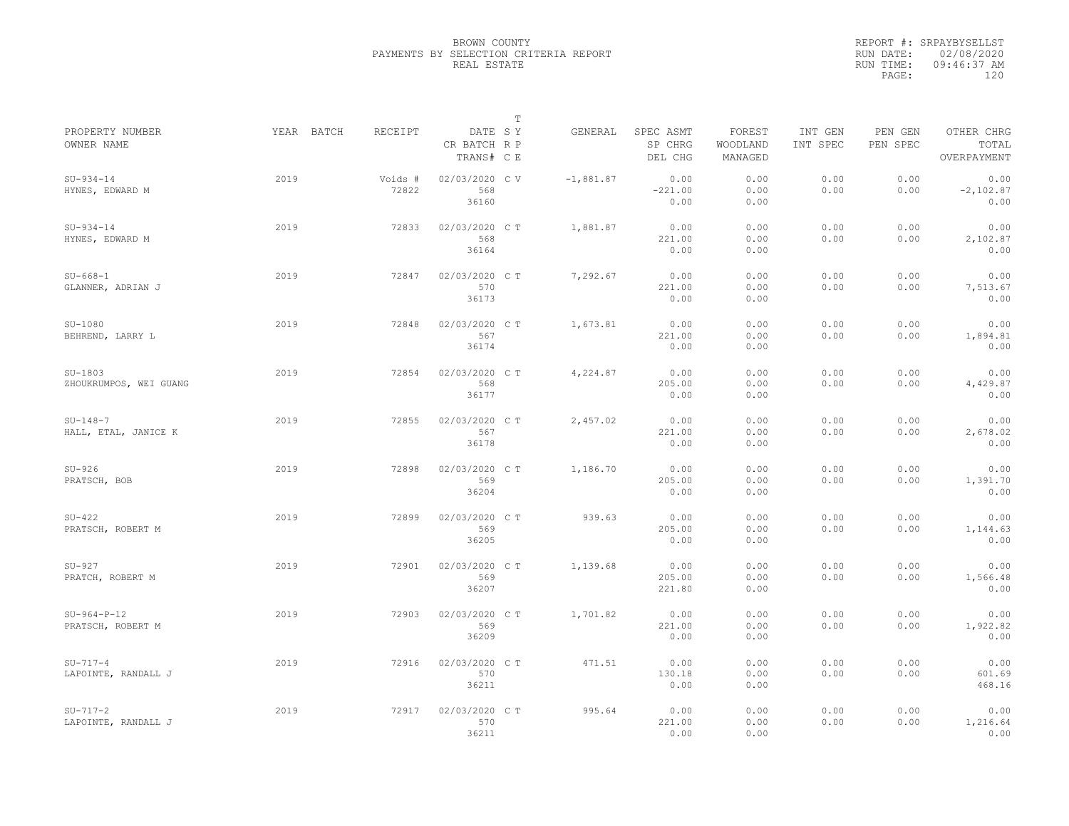|                                     |            |                  |                                       | $\mathbb T$ |             |                                 |                               |                     |                     |                                    |
|-------------------------------------|------------|------------------|---------------------------------------|-------------|-------------|---------------------------------|-------------------------------|---------------------|---------------------|------------------------------------|
| PROPERTY NUMBER<br>OWNER NAME       | YEAR BATCH | RECEIPT          | DATE SY<br>CR BATCH R P<br>TRANS# C E |             | GENERAL     | SPEC ASMT<br>SP CHRG<br>DEL CHG | FOREST<br>WOODLAND<br>MANAGED | INT GEN<br>INT SPEC | PEN GEN<br>PEN SPEC | OTHER CHRG<br>TOTAL<br>OVERPAYMENT |
| $SU-934-14$<br>HYNES, EDWARD M      | 2019       | Voids #<br>72822 | 02/03/2020 CV<br>568<br>36160         |             | $-1,881.87$ | 0.00<br>$-221.00$<br>0.00       | 0.00<br>0.00<br>0.00          | 0.00<br>0.00        | 0.00<br>0.00        | 0.00<br>$-2,102.87$<br>0.00        |
| $SU-934-14$<br>HYNES, EDWARD M      | 2019       | 72833            | 02/03/2020 C T<br>568<br>36164        |             | 1,881.87    | 0.00<br>221.00<br>0.00          | 0.00<br>0.00<br>0.00          | 0.00<br>0.00        | 0.00<br>0.00        | 0.00<br>2,102.87<br>0.00           |
| $SU - 668 - 1$<br>GLANNER, ADRIAN J | 2019       | 72847            | 02/03/2020 CT<br>570<br>36173         |             | 7,292.67    | 0.00<br>221.00<br>0.00          | 0.00<br>0.00<br>0.00          | 0.00<br>0.00        | 0.00<br>0.00        | 0.00<br>7,513.67<br>0.00           |
| $SU-1080$<br>BEHREND, LARRY L       | 2019       | 72848            | 02/03/2020 C T<br>567<br>36174        |             | 1,673.81    | 0.00<br>221.00<br>0.00          | 0.00<br>0.00<br>0.00          | 0.00<br>0.00        | 0.00<br>0.00        | 0.00<br>1,894.81<br>0.00           |
| $SU-1803$<br>ZHOUKRUMPOS, WEI GUANG | 2019       | 72854            | 02/03/2020 C T<br>568<br>36177        |             | 4,224.87    | 0.00<br>205.00<br>0.00          | 0.00<br>0.00<br>0.00          | 0.00<br>0.00        | 0.00<br>0.00        | 0.00<br>4,429.87<br>0.00           |
| $SU-148-7$<br>HALL, ETAL, JANICE K  | 2019       | 72855            | 02/03/2020 C T<br>567<br>36178        |             | 2,457.02    | 0.00<br>221.00<br>0.00          | 0.00<br>0.00<br>0.00          | 0.00<br>0.00        | 0.00<br>0.00        | 0.00<br>2,678.02<br>0.00           |
| $SU-926$<br>PRATSCH, BOB            | 2019       | 72898            | 02/03/2020 CT<br>569<br>36204         |             | 1,186.70    | 0.00<br>205.00<br>0.00          | 0.00<br>0.00<br>0.00          | 0.00<br>0.00        | 0.00<br>0.00        | 0.00<br>1,391.70<br>0.00           |
| $SU-422$<br>PRATSCH, ROBERT M       | 2019       | 72899            | 02/03/2020 C T<br>569<br>36205        |             | 939.63      | 0.00<br>205.00<br>0.00          | 0.00<br>0.00<br>0.00          | 0.00<br>0.00        | 0.00<br>0.00        | 0.00<br>1,144.63<br>0.00           |
| $SU-927$<br>PRATCH, ROBERT M        | 2019       | 72901            | 02/03/2020 C T<br>569<br>36207        |             | 1,139.68    | 0.00<br>205.00<br>221.80        | 0.00<br>0.00<br>0.00          | 0.00<br>0.00        | 0.00<br>0.00        | 0.00<br>1,566.48<br>0.00           |
| $SU-964-P-12$<br>PRATSCH, ROBERT M  | 2019       | 72903            | 02/03/2020 C T<br>569<br>36209        |             | 1,701.82    | 0.00<br>221.00<br>0.00          | 0.00<br>0.00<br>0.00          | 0.00<br>0.00        | 0.00<br>0.00        | 0.00<br>1,922.82<br>0.00           |
| $SU-717-4$<br>LAPOINTE, RANDALL J   | 2019       | 72916            | 02/03/2020 C T<br>570<br>36211        |             | 471.51      | 0.00<br>130.18<br>0.00          | 0.00<br>0.00<br>0.00          | 0.00<br>0.00        | 0.00<br>0.00        | 0.00<br>601.69<br>468.16           |
| $SU-717-2$<br>LAPOINTE, RANDALL J   | 2019       | 72917            | 02/03/2020 CT<br>570<br>36211         |             | 995.64      | 0.00<br>221.00<br>0.00          | 0.00<br>0.00<br>0.00          | 0.00<br>0.00        | 0.00<br>0.00        | 0.00<br>1,216.64<br>0.00           |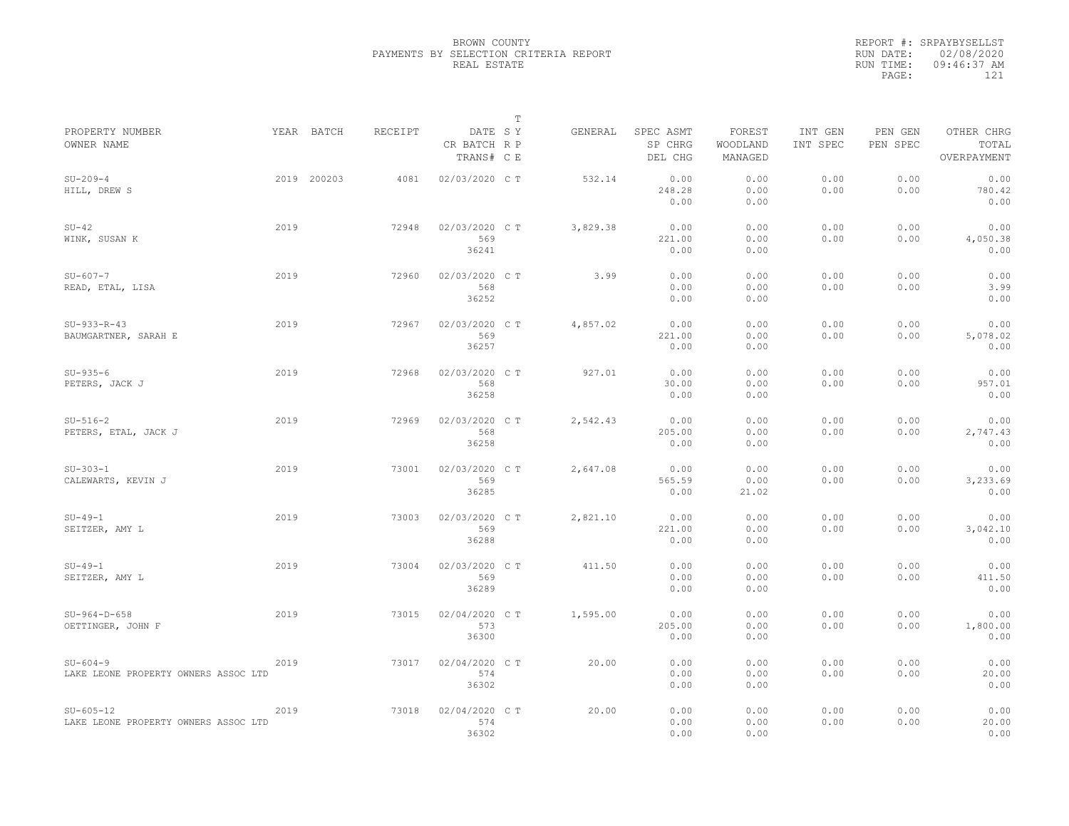|                                                         |      |             |                |                                       | $\mathbb T$ |          |                                 |                               |                     |                     |                                    |
|---------------------------------------------------------|------|-------------|----------------|---------------------------------------|-------------|----------|---------------------------------|-------------------------------|---------------------|---------------------|------------------------------------|
| PROPERTY NUMBER<br>OWNER NAME                           |      | YEAR BATCH  | <b>RECEIPT</b> | DATE SY<br>CR BATCH R P<br>TRANS# C E |             | GENERAL  | SPEC ASMT<br>SP CHRG<br>DEL CHG | FOREST<br>WOODLAND<br>MANAGED | INT GEN<br>INT SPEC | PEN GEN<br>PEN SPEC | OTHER CHRG<br>TOTAL<br>OVERPAYMENT |
| $SU-209-4$<br>HILL, DREW S                              |      | 2019 200203 | 4081           | 02/03/2020 C T                        |             | 532.14   | 0.00<br>248.28<br>0.00          | 0.00<br>0.00<br>0.00          | 0.00<br>0.00        | 0.00<br>0.00        | 0.00<br>780.42<br>0.00             |
| $SU-42$<br>WINK, SUSAN K                                | 2019 |             | 72948          | 02/03/2020 C T<br>569<br>36241        |             | 3,829.38 | 0.00<br>221.00<br>0.00          | 0.00<br>0.00<br>0.00          | 0.00<br>0.00        | 0.00<br>0.00        | 0.00<br>4,050.38<br>0.00           |
| $SU - 607 - 7$<br>READ, ETAL, LISA                      | 2019 |             | 72960          | 02/03/2020 CT<br>568<br>36252         |             | 3.99     | 0.00<br>0.00<br>0.00            | 0.00<br>0.00<br>0.00          | 0.00<br>0.00        | 0.00<br>0.00        | 0.00<br>3.99<br>0.00               |
| $SU-933-R-43$<br>BAUMGARTNER, SARAH E                   | 2019 |             | 72967          | 02/03/2020 CT<br>569<br>36257         |             | 4,857.02 | 0.00<br>221.00<br>0.00          | 0.00<br>0.00<br>0.00          | 0.00<br>0.00        | 0.00<br>0.00        | 0.00<br>5,078.02<br>0.00           |
| $SU-935-6$<br>PETERS, JACK J                            | 2019 |             | 72968          | 02/03/2020 C T<br>568<br>36258        |             | 927.01   | 0.00<br>30.00<br>0.00           | 0.00<br>0.00<br>0.00          | 0.00<br>0.00        | 0.00<br>0.00        | 0.00<br>957.01<br>0.00             |
| $SU-516-2$<br>PETERS, ETAL, JACK J                      | 2019 |             | 72969          | 02/03/2020 C T<br>568<br>36258        |             | 2,542.43 | 0.00<br>205.00<br>0.00          | 0.00<br>0.00<br>0.00          | 0.00<br>0.00        | 0.00<br>0.00        | 0.00<br>2,747.43<br>0.00           |
| $SU-303-1$<br>CALEWARTS, KEVIN J                        | 2019 |             | 73001          | 02/03/2020 C T<br>569<br>36285        |             | 2,647.08 | 0.00<br>565.59<br>0.00          | 0.00<br>0.00<br>21.02         | 0.00<br>0.00        | 0.00<br>0.00        | 0.00<br>3,233.69<br>0.00           |
| $SU-49-1$<br>SEITZER, AMY L                             | 2019 |             | 73003          | 02/03/2020 CT<br>569<br>36288         |             | 2,821.10 | 0.00<br>221.00<br>0.00          | 0.00<br>0.00<br>0.00          | 0.00<br>0.00        | 0.00<br>0.00        | 0.00<br>3,042.10<br>0.00           |
| $SU-49-1$<br>SEITZER, AMY L                             | 2019 |             | 73004          | 02/03/2020 CT<br>569<br>36289         |             | 411.50   | 0.00<br>0.00<br>0.00            | 0.00<br>0.00<br>0.00          | 0.00<br>0.00        | 0.00<br>0.00        | 0.00<br>411.50<br>0.00             |
| $SU-964-D-658$<br>OETTINGER, JOHN F                     | 2019 |             | 73015          | 02/04/2020 C T<br>573<br>36300        |             | 1,595.00 | 0.00<br>205.00<br>0.00          | 0.00<br>0.00<br>0.00          | 0.00<br>0.00        | 0.00<br>0.00        | 0.00<br>1,800.00<br>0.00           |
| $SU - 604 - 9$<br>LAKE LEONE PROPERTY OWNERS ASSOC LTD  | 2019 |             | 73017          | 02/04/2020 CT<br>574<br>36302         |             | 20.00    | 0.00<br>0.00<br>0.00            | 0.00<br>0.00<br>0.00          | 0.00<br>0.00        | 0.00<br>0.00        | 0.00<br>20.00<br>0.00              |
| $SU - 605 - 12$<br>LAKE LEONE PROPERTY OWNERS ASSOC LTD | 2019 |             | 73018          | 02/04/2020 CT<br>574<br>36302         |             | 20.00    | 0.00<br>0.00<br>0.00            | 0.00<br>0.00<br>0.00          | 0.00<br>0.00        | 0.00<br>0.00        | 0.00<br>20.00<br>0.00              |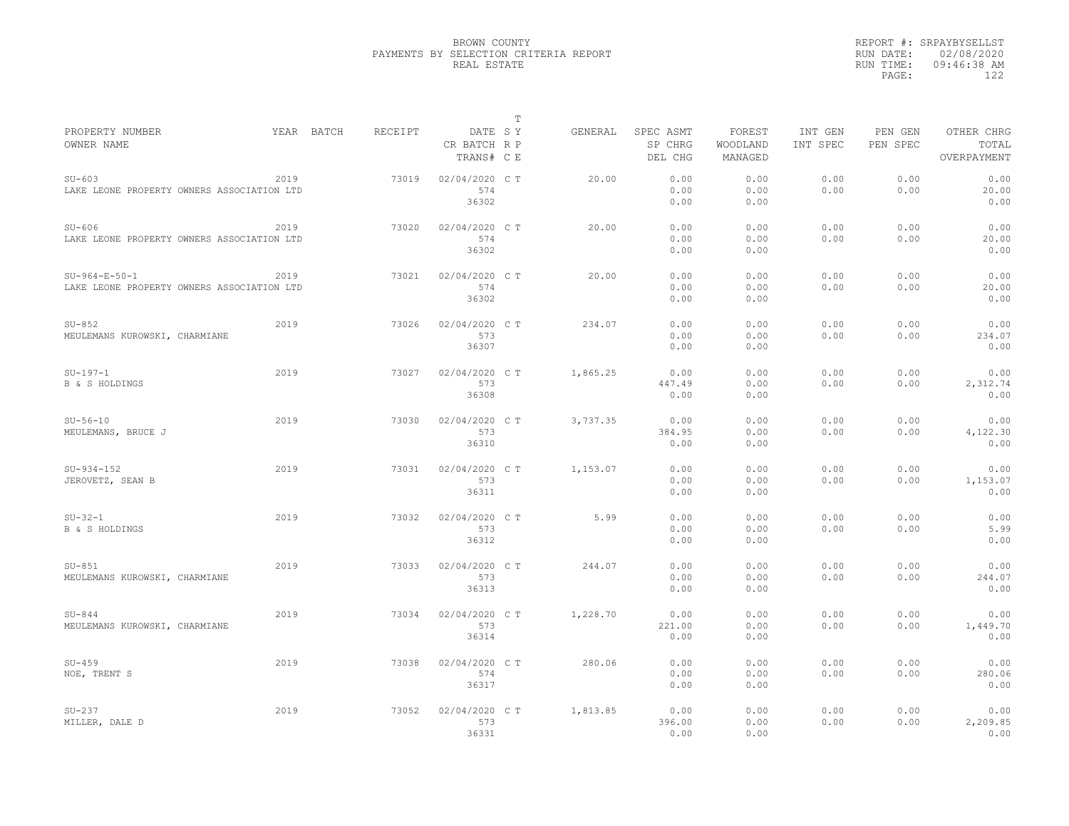|                                                               |      |            |         |                                       | T |          |                                 |                               |                     |                     |                                    |
|---------------------------------------------------------------|------|------------|---------|---------------------------------------|---|----------|---------------------------------|-------------------------------|---------------------|---------------------|------------------------------------|
| PROPERTY NUMBER<br>OWNER NAME                                 |      | YEAR BATCH | RECEIPT | DATE SY<br>CR BATCH R P<br>TRANS# C E |   | GENERAL  | SPEC ASMT<br>SP CHRG<br>DEL CHG | FOREST<br>WOODLAND<br>MANAGED | INT GEN<br>INT SPEC | PEN GEN<br>PEN SPEC | OTHER CHRG<br>TOTAL<br>OVERPAYMENT |
| $SU-603$<br>LAKE LEONE PROPERTY OWNERS ASSOCIATION LTD        | 2019 |            | 73019   | 02/04/2020 C T<br>574<br>36302        |   | 20.00    | 0.00<br>0.00<br>0.00            | 0.00<br>0.00<br>0.00          | 0.00<br>0.00        | 0.00<br>0.00        | 0.00<br>20.00<br>0.00              |
| $SU-606$<br>LAKE LEONE PROPERTY OWNERS ASSOCIATION LTD        | 2019 |            | 73020   | 02/04/2020 C T<br>574<br>36302        |   | 20.00    | 0.00<br>0.00<br>0.00            | 0.00<br>0.00<br>0.00          | 0.00<br>0.00        | 0.00<br>0.00        | 0.00<br>20.00<br>0.00              |
| $SU-964-E-50-1$<br>LAKE LEONE PROPERTY OWNERS ASSOCIATION LTD | 2019 |            | 73021   | 02/04/2020 C T<br>574<br>36302        |   | 20.00    | 0.00<br>0.00<br>0.00            | 0.00<br>0.00<br>0.00          | 0.00<br>0.00        | 0.00<br>0.00        | 0.00<br>20.00<br>0.00              |
| $SU-852$<br>MEULEMANS KUROWSKI, CHARMIANE                     | 2019 |            | 73026   | 02/04/2020 C T<br>573<br>36307        |   | 234.07   | 0.00<br>0.00<br>0.00            | 0.00<br>0.00<br>0.00          | 0.00<br>0.00        | 0.00<br>0.00        | 0.00<br>234.07<br>0.00             |
| $SU-197-1$<br><b>B &amp; S HOLDINGS</b>                       | 2019 |            | 73027   | 02/04/2020 C T<br>573<br>36308        |   | 1,865.25 | 0.00<br>447.49<br>0.00          | 0.00<br>0.00<br>0.00          | 0.00<br>0.00        | 0.00<br>0.00        | 0.00<br>2,312.74<br>0.00           |
| $SU-56-10$<br>MEULEMANS, BRUCE J                              | 2019 |            | 73030   | 02/04/2020 C T<br>573<br>36310        |   | 3,737.35 | 0.00<br>384.95<br>0.00          | 0.00<br>0.00<br>0.00          | 0.00<br>0.00        | 0.00<br>0.00        | 0.00<br>4,122.30<br>0.00           |
| $SU-934-152$<br>JEROVETZ, SEAN B                              | 2019 |            | 73031   | 02/04/2020 C T<br>573<br>36311        |   | 1,153.07 | 0.00<br>0.00<br>0.00            | 0.00<br>0.00<br>0.00          | 0.00<br>0.00        | 0.00<br>0.00        | 0.00<br>1,153.07<br>0.00           |
| $SU-32-1$<br><b>B &amp; S HOLDINGS</b>                        | 2019 |            | 73032   | 02/04/2020 CT<br>573<br>36312         |   | 5.99     | 0.00<br>0.00<br>0.00            | 0.00<br>0.00<br>0.00          | 0.00<br>0.00        | 0.00<br>0.00        | 0.00<br>5.99<br>0.00               |
| $SU-851$<br>MEULEMANS KUROWSKI, CHARMIANE                     | 2019 |            | 73033   | 02/04/2020 C T<br>573<br>36313        |   | 244.07   | 0.00<br>0.00<br>0.00            | 0.00<br>0.00<br>0.00          | 0.00<br>0.00        | 0.00<br>0.00        | 0.00<br>244.07<br>0.00             |
| $SU-844$<br>MEULEMANS KUROWSKI, CHARMIANE                     | 2019 |            | 73034   | 02/04/2020 C T<br>573<br>36314        |   | 1,228.70 | 0.00<br>221.00<br>0.00          | 0.00<br>0.00<br>0.00          | 0.00<br>0.00        | 0.00<br>0.00        | 0.00<br>1,449.70<br>0.00           |
| $SU-459$<br>NOE, TRENT S                                      | 2019 |            | 73038   | 02/04/2020 C T<br>574<br>36317        |   | 280.06   | 0.00<br>0.00<br>0.00            | 0.00<br>0.00<br>0.00          | 0.00<br>0.00        | 0.00<br>0.00        | 0.00<br>280.06<br>0.00             |
| $SU-237$<br>MILLER, DALE D                                    | 2019 |            | 73052   | 02/04/2020 CT<br>573<br>36331         |   | 1,813.85 | 0.00<br>396.00<br>0.00          | 0.00<br>0.00<br>0.00          | 0.00<br>0.00        | 0.00<br>0.00        | 0.00<br>2,209.85<br>0.00           |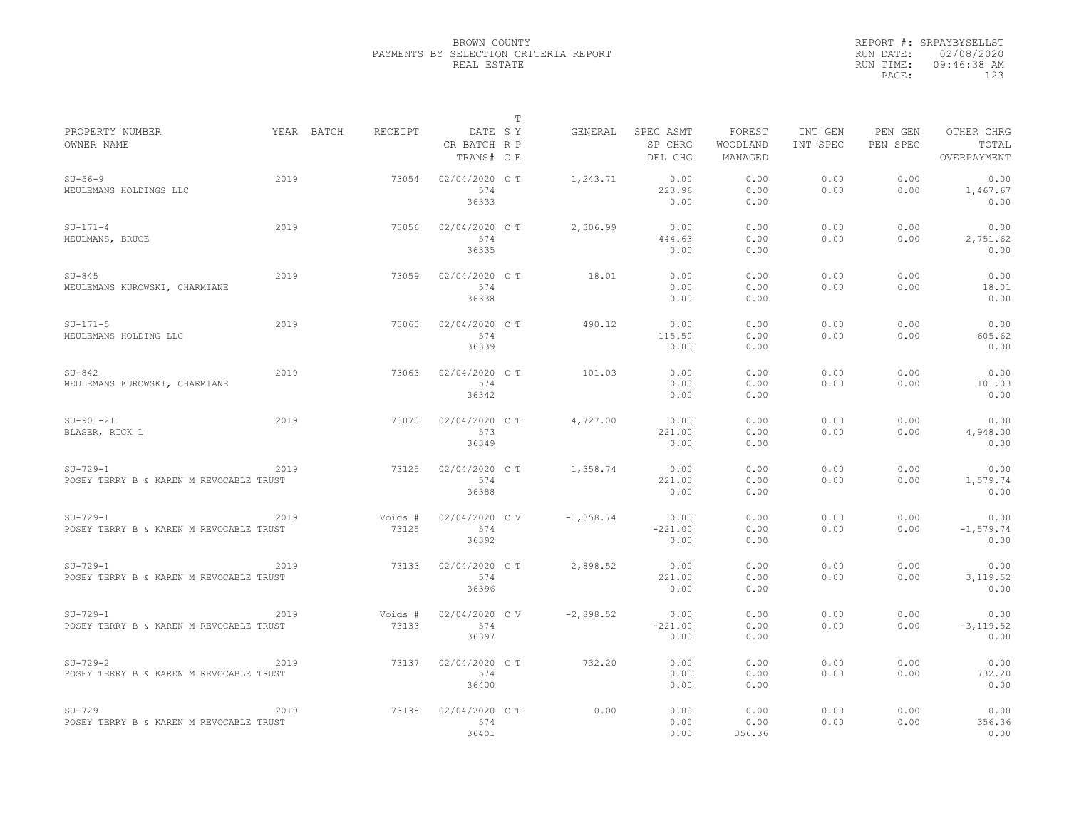|                                                       |      |            |                  |                                       | T |              |                                 |                               |                     |                     |                                    |
|-------------------------------------------------------|------|------------|------------------|---------------------------------------|---|--------------|---------------------------------|-------------------------------|---------------------|---------------------|------------------------------------|
| PROPERTY NUMBER<br>OWNER NAME                         |      | YEAR BATCH | RECEIPT          | DATE SY<br>CR BATCH R P<br>TRANS# C E |   | GENERAL      | SPEC ASMT<br>SP CHRG<br>DEL CHG | FOREST<br>WOODLAND<br>MANAGED | INT GEN<br>INT SPEC | PEN GEN<br>PEN SPEC | OTHER CHRG<br>TOTAL<br>OVERPAYMENT |
| $SU-56-9$<br>MEULEMANS HOLDINGS LLC                   | 2019 |            | 73054            | 02/04/2020 C T<br>574<br>36333        |   | 1,243.71     | 0.00<br>223.96<br>0.00          | 0.00<br>0.00<br>0.00          | 0.00<br>0.00        | 0.00<br>0.00        | 0.00<br>1,467.67<br>0.00           |
| $SU-171-4$<br>MEULMANS, BRUCE                         | 2019 |            | 73056            | 02/04/2020 C T<br>574<br>36335        |   | 2,306.99     | 0.00<br>444.63<br>0.00          | 0.00<br>0.00<br>0.00          | 0.00<br>0.00        | 0.00<br>0.00        | 0.00<br>2,751.62<br>0.00           |
| $SU-845$<br>MEULEMANS KUROWSKI, CHARMIANE             | 2019 |            | 73059            | 02/04/2020 C T<br>574<br>36338        |   | 18.01        | 0.00<br>0.00<br>0.00            | 0.00<br>0.00<br>0.00          | 0.00<br>0.00        | 0.00<br>0.00        | 0.00<br>18.01<br>0.00              |
| $SU-171-5$<br>MEULEMANS HOLDING LLC                   | 2019 |            | 73060            | 02/04/2020 C T<br>574<br>36339        |   | 490.12       | 0.00<br>115.50<br>0.00          | 0.00<br>0.00<br>0.00          | 0.00<br>0.00        | 0.00<br>0.00        | 0.00<br>605.62<br>0.00             |
| $SU-842$<br>MEULEMANS KUROWSKI, CHARMIANE             | 2019 |            | 73063            | 02/04/2020 C T<br>574<br>36342        |   | 101.03       | 0.00<br>0.00<br>0.00            | 0.00<br>0.00<br>0.00          | 0.00<br>0.00        | 0.00<br>0.00        | 0.00<br>101.03<br>0.00             |
| $SU-901-211$<br>BLASER, RICK L                        | 2019 |            | 73070            | 02/04/2020 C T<br>573<br>36349        |   | 4,727.00     | 0.00<br>221.00<br>0.00          | 0.00<br>0.00<br>0.00          | 0.00<br>0.00        | 0.00<br>0.00        | 0.00<br>4,948.00<br>0.00           |
| $SU-729-1$<br>POSEY TERRY B & KAREN M REVOCABLE TRUST | 2019 |            | 73125            | 02/04/2020 C T<br>574<br>36388        |   | 1,358.74     | 0.00<br>221.00<br>0.00          | 0.00<br>0.00<br>0.00          | 0.00<br>0.00        | 0.00<br>0.00        | 0.00<br>1,579.74<br>0.00           |
| $SU-729-1$<br>POSEY TERRY B & KAREN M REVOCABLE TRUST | 2019 |            | Voids #<br>73125 | 02/04/2020 CV<br>574<br>36392         |   | $-1, 358.74$ | 0.00<br>$-221.00$<br>0.00       | 0.00<br>0.00<br>0.00          | 0.00<br>0.00        | 0.00<br>0.00        | 0.00<br>$-1, 579.74$<br>0.00       |
| $SU-729-1$<br>POSEY TERRY B & KAREN M REVOCABLE TRUST | 2019 |            | 73133            | 02/04/2020 C T<br>574<br>36396        |   | 2,898.52     | 0.00<br>221.00<br>0.00          | 0.00<br>0.00<br>0.00          | 0.00<br>0.00        | 0.00<br>0.00        | 0.00<br>3, 119.52<br>0.00          |
| $SU-729-1$<br>POSEY TERRY B & KAREN M REVOCABLE TRUST | 2019 |            | Voids #<br>73133 | 02/04/2020 CV<br>574<br>36397         |   | $-2,898.52$  | 0.00<br>$-221.00$<br>0.00       | 0.00<br>0.00<br>0.00          | 0.00<br>0.00        | 0.00<br>0.00        | 0.00<br>$-3, 119.52$<br>0.00       |
| $SU-729-2$<br>POSEY TERRY B & KAREN M REVOCABLE TRUST | 2019 |            | 73137            | 02/04/2020 C T<br>574<br>36400        |   | 732.20       | 0.00<br>0.00<br>0.00            | 0.00<br>0.00<br>0.00          | 0.00<br>0.00        | 0.00<br>0.00        | 0.00<br>732.20<br>0.00             |
| $SU-729$<br>POSEY TERRY B & KAREN M REVOCABLE TRUST   | 2019 |            | 73138            | 02/04/2020 CT<br>574<br>36401         |   | 0.00         | 0.00<br>0.00<br>0.00            | 0.00<br>0.00<br>356.36        | 0.00<br>0.00        | 0.00<br>0.00        | 0.00<br>356.36<br>0.00             |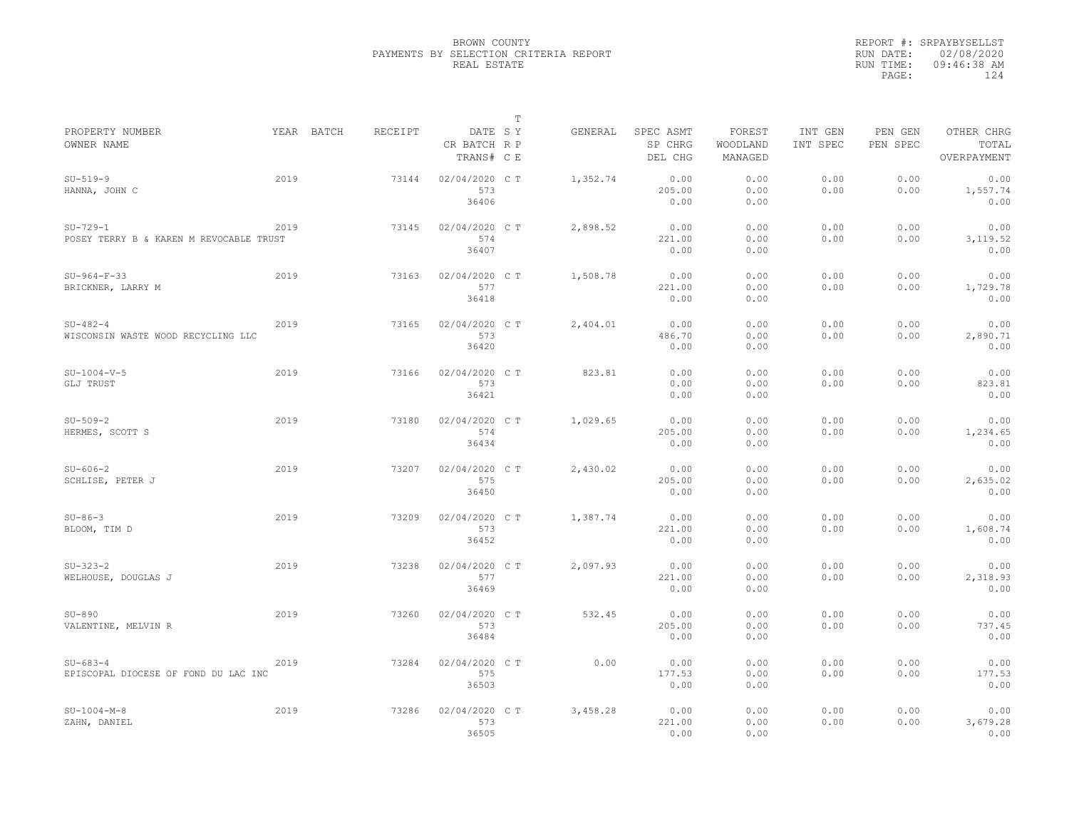|                                                        |      |            |         |                                       | $\mathbb T$ |          |                                 |                               |                     |                     |                                    |
|--------------------------------------------------------|------|------------|---------|---------------------------------------|-------------|----------|---------------------------------|-------------------------------|---------------------|---------------------|------------------------------------|
| PROPERTY NUMBER<br>OWNER NAME                          |      | YEAR BATCH | RECEIPT | DATE SY<br>CR BATCH R P<br>TRANS# C E |             | GENERAL  | SPEC ASMT<br>SP CHRG<br>DEL CHG | FOREST<br>WOODLAND<br>MANAGED | INT GEN<br>INT SPEC | PEN GEN<br>PEN SPEC | OTHER CHRG<br>TOTAL<br>OVERPAYMENT |
| $SU-519-9$<br>HANNA, JOHN C                            | 2019 |            | 73144   | 02/04/2020 C T<br>573<br>36406        |             | 1,352.74 | 0.00<br>205.00<br>0.00          | 0.00<br>0.00<br>0.00          | 0.00<br>0.00        | 0.00<br>0.00        | 0.00<br>1,557.74<br>0.00           |
| $SU-729-1$<br>POSEY TERRY B & KAREN M REVOCABLE TRUST  | 2019 |            | 73145   | 02/04/2020 C T<br>574<br>36407        |             | 2,898.52 | 0.00<br>221.00<br>0.00          | 0.00<br>0.00<br>0.00          | 0.00<br>0.00        | 0.00<br>0.00        | 0.00<br>3,119.52<br>0.00           |
| $SU-964-F-33$<br>BRICKNER, LARRY M                     | 2019 |            | 73163   | 02/04/2020 C T<br>577<br>36418        |             | 1,508.78 | 0.00<br>221.00<br>0.00          | 0.00<br>0.00<br>0.00          | 0.00<br>0.00        | 0.00<br>0.00        | 0.00<br>1,729.78<br>0.00           |
| $SU-482-4$<br>WISCONSIN WASTE WOOD RECYCLING LLC       | 2019 |            | 73165   | 02/04/2020 C T<br>573<br>36420        |             | 2,404.01 | 0.00<br>486.70<br>0.00          | 0.00<br>0.00<br>0.00          | 0.00<br>0.00        | 0.00<br>0.00        | 0.00<br>2,890.71<br>0.00           |
| $SU-1004-V-5$<br>GLJ TRUST                             | 2019 |            | 73166   | 02/04/2020 C T<br>573<br>36421        |             | 823.81   | 0.00<br>0.00<br>0.00            | 0.00<br>0.00<br>0.00          | 0.00<br>0.00        | 0.00<br>0.00        | 0.00<br>823.81<br>0.00             |
| $SU-509-2$<br>HERMES, SCOTT S                          | 2019 |            | 73180   | 02/04/2020 C T<br>574<br>36434        |             | 1,029.65 | 0.00<br>205.00<br>0.00          | 0.00<br>0.00<br>0.00          | 0.00<br>0.00        | 0.00<br>0.00        | 0.00<br>1,234.65<br>0.00           |
| $SU - 606 - 2$<br>SCHLISE, PETER J                     | 2019 |            | 73207   | 02/04/2020 C T<br>575<br>36450        |             | 2,430.02 | 0.00<br>205.00<br>0.00          | 0.00<br>0.00<br>0.00          | 0.00<br>0.00        | 0.00<br>0.00        | 0.00<br>2,635.02<br>0.00           |
| $SU-86-3$<br>BLOOM, TIM D                              | 2019 |            | 73209   | 02/04/2020 C T<br>573<br>36452        |             | 1,387.74 | 0.00<br>221.00<br>0.00          | 0.00<br>0.00<br>0.00          | 0.00<br>0.00        | 0.00<br>0.00        | 0.00<br>1,608.74<br>0.00           |
| $SU-323-2$<br>WELHOUSE, DOUGLAS J                      | 2019 |            | 73238   | 02/04/2020 C T<br>577<br>36469        |             | 2,097.93 | 0.00<br>221.00<br>0.00          | 0.00<br>0.00<br>0.00          | 0.00<br>0.00        | 0.00<br>0.00        | 0.00<br>2,318.93<br>0.00           |
| $SU-890$<br>VALENTINE, MELVIN R                        | 2019 |            | 73260   | 02/04/2020 CT<br>573<br>36484         |             | 532.45   | 0.00<br>205.00<br>0.00          | 0.00<br>0.00<br>0.00          | 0.00<br>0.00        | 0.00<br>0.00        | 0.00<br>737.45<br>0.00             |
| $SU - 683 - 4$<br>EPISCOPAL DIOCESE OF FOND DU LAC INC | 2019 |            | 73284   | 02/04/2020 C T<br>575<br>36503        |             | 0.00     | 0.00<br>177.53<br>0.00          | 0.00<br>0.00<br>0.00          | 0.00<br>0.00        | 0.00<br>0.00        | 0.00<br>177.53<br>0.00             |
| $SU-1004-M-8$<br>ZAHN, DANIEL                          | 2019 |            | 73286   | 02/04/2020 C T<br>573<br>36505        |             | 3,458.28 | 0.00<br>221.00<br>0.00          | 0.00<br>0.00<br>0.00          | 0.00<br>0.00        | 0.00<br>0.00        | 0.00<br>3,679.28<br>0.00           |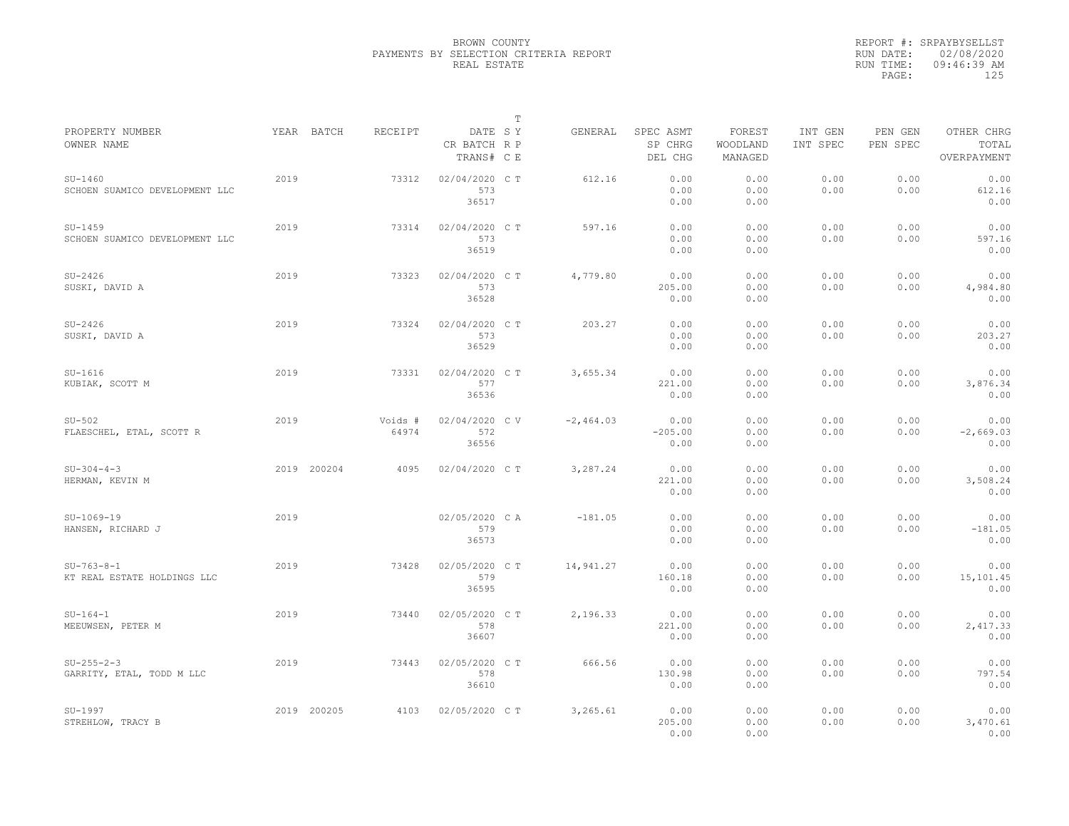|                                             |      |             |                  |                                       | $\mathbb T$ |             |                                 |                               |                     |                     |                                    |
|---------------------------------------------|------|-------------|------------------|---------------------------------------|-------------|-------------|---------------------------------|-------------------------------|---------------------|---------------------|------------------------------------|
| PROPERTY NUMBER<br>OWNER NAME               |      | YEAR BATCH  | RECEIPT          | DATE SY<br>CR BATCH R P<br>TRANS# C E |             | GENERAL     | SPEC ASMT<br>SP CHRG<br>DEL CHG | FOREST<br>WOODLAND<br>MANAGED | INT GEN<br>INT SPEC | PEN GEN<br>PEN SPEC | OTHER CHRG<br>TOTAL<br>OVERPAYMENT |
| $SU-1460$<br>SCHOEN SUAMICO DEVELOPMENT LLC | 2019 |             | 73312            | 02/04/2020 C T<br>573<br>36517        |             | 612.16      | 0.00<br>0.00<br>0.00            | 0.00<br>0.00<br>0.00          | 0.00<br>0.00        | 0.00<br>0.00        | 0.00<br>612.16<br>0.00             |
| $SU-1459$<br>SCHOEN SUAMICO DEVELOPMENT LLC | 2019 |             | 73314            | 02/04/2020 C T<br>573<br>36519        |             | 597.16      | 0.00<br>0.00<br>0.00            | 0.00<br>0.00<br>0.00          | 0.00<br>0.00        | 0.00<br>0.00        | 0.00<br>597.16<br>0.00             |
| $SU-2426$<br>SUSKI, DAVID A                 | 2019 |             | 73323            | 02/04/2020 C T<br>573<br>36528        |             | 4,779.80    | 0.00<br>205.00<br>0.00          | 0.00<br>0.00<br>0.00          | 0.00<br>0.00        | 0.00<br>0.00        | 0.00<br>4,984.80<br>0.00           |
| $SU-2426$<br>SUSKI, DAVID A                 | 2019 |             | 73324            | 02/04/2020 C T<br>573<br>36529        |             | 203.27      | 0.00<br>0.00<br>0.00            | 0.00<br>0.00<br>0.00          | 0.00<br>0.00        | 0.00<br>0.00        | 0.00<br>203.27<br>0.00             |
| $SU-1616$<br>KUBIAK, SCOTT M                | 2019 |             | 73331            | 02/04/2020 C T<br>577<br>36536        |             | 3,655.34    | 0.00<br>221.00<br>0.00          | 0.00<br>0.00<br>0.00          | 0.00<br>0.00        | 0.00<br>0.00        | 0.00<br>3,876.34<br>0.00           |
| $SU-502$<br>FLAESCHEL, ETAL, SCOTT R        | 2019 |             | Voids #<br>64974 | 02/04/2020 CV<br>572<br>36556         |             | $-2,464.03$ | 0.00<br>$-205.00$<br>0.00       | 0.00<br>0.00<br>0.00          | 0.00<br>0.00        | 0.00<br>0.00        | 0.00<br>$-2,669.03$<br>0.00        |
| $SU-304-4-3$<br>HERMAN, KEVIN M             |      | 2019 200204 | 4095             | 02/04/2020 C T                        |             | 3,287.24    | 0.00<br>221.00<br>0.00          | 0.00<br>0.00<br>0.00          | 0.00<br>0.00        | 0.00<br>0.00        | 0.00<br>3,508.24<br>0.00           |
| $SU-1069-19$<br>HANSEN, RICHARD J           | 2019 |             |                  | 02/05/2020 CA<br>579<br>36573         |             | $-181.05$   | 0.00<br>0.00<br>0.00            | 0.00<br>0.00<br>0.00          | 0.00<br>0.00        | 0.00<br>0.00        | 0.00<br>$-181.05$<br>0.00          |
| $SU-763-8-1$<br>KT REAL ESTATE HOLDINGS LLC | 2019 |             | 73428            | 02/05/2020 CT<br>579<br>36595         |             | 14,941.27   | 0.00<br>160.18<br>0.00          | 0.00<br>0.00<br>0.00          | 0.00<br>0.00        | 0.00<br>0.00        | 0.00<br>15,101.45<br>0.00          |
| $SU-164-1$<br>MEEUWSEN, PETER M             | 2019 |             | 73440            | 02/05/2020 CT<br>578<br>36607         |             | 2,196.33    | 0.00<br>221.00<br>0.00          | 0.00<br>0.00<br>0.00          | 0.00<br>0.00        | 0.00<br>0.00        | 0.00<br>2,417.33<br>0.00           |
| $SU-255-2-3$<br>GARRITY, ETAL, TODD M LLC   | 2019 |             | 73443            | 02/05/2020 C T<br>578<br>36610        |             | 666.56      | 0.00<br>130.98<br>0.00          | 0.00<br>0.00<br>0.00          | 0.00<br>0.00        | 0.00<br>0.00        | 0.00<br>797.54<br>0.00             |
| $SU-1997$<br>STREHLOW, TRACY B              |      | 2019 200205 | 4103             | 02/05/2020 C T                        |             | 3,265.61    | 0.00<br>205.00<br>0.00          | 0.00<br>0.00<br>0.00          | 0.00<br>0.00        | 0.00<br>0.00        | 0.00<br>3,470.61<br>0.00           |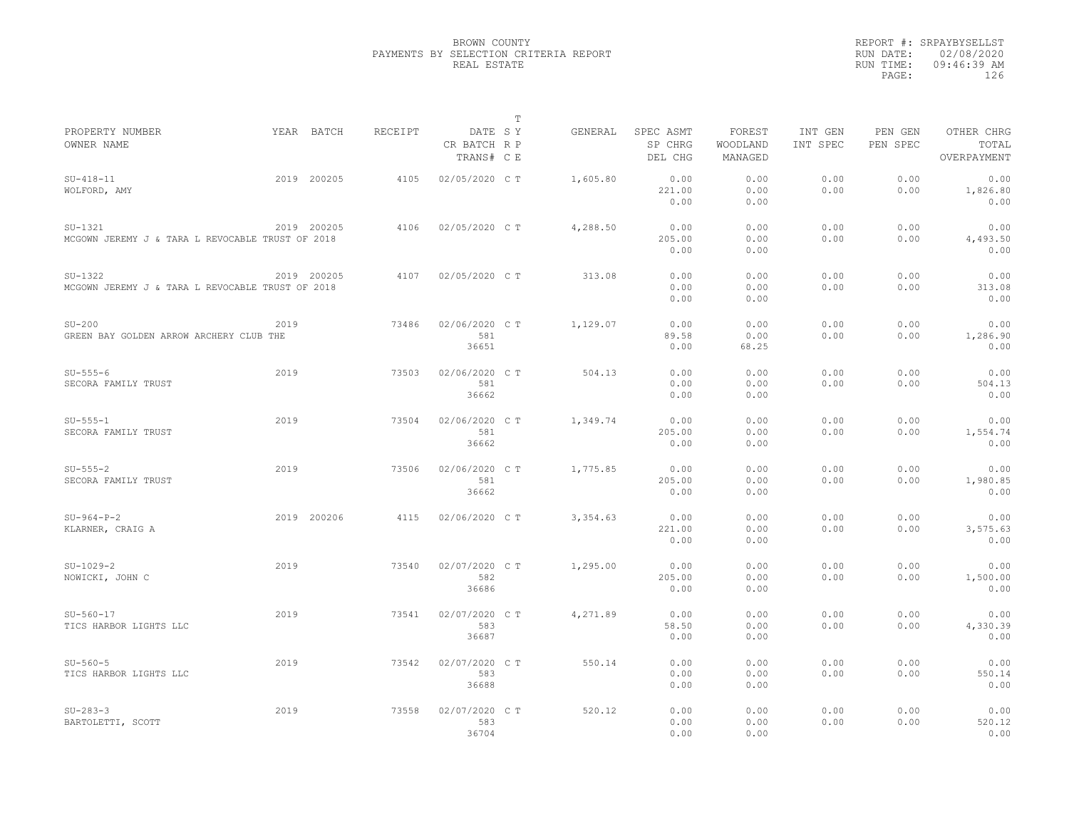|                                                               |      |             |         |                                       | $\mathbb T$ |          |                                 |                               |                     |                     |                                    |
|---------------------------------------------------------------|------|-------------|---------|---------------------------------------|-------------|----------|---------------------------------|-------------------------------|---------------------|---------------------|------------------------------------|
| PROPERTY NUMBER<br>OWNER NAME                                 |      | YEAR BATCH  | RECEIPT | DATE SY<br>CR BATCH R P<br>TRANS# C E |             | GENERAL  | SPEC ASMT<br>SP CHRG<br>DEL CHG | FOREST<br>WOODLAND<br>MANAGED | INT GEN<br>INT SPEC | PEN GEN<br>PEN SPEC | OTHER CHRG<br>TOTAL<br>OVERPAYMENT |
| $SU-418-11$<br>WOLFORD, AMY                                   |      | 2019 200205 | 4105    | 02/05/2020 C T                        |             | 1,605.80 | 0.00<br>221.00<br>0.00          | 0.00<br>0.00<br>0.00          | 0.00<br>0.00        | 0.00<br>0.00        | 0.00<br>1,826.80<br>0.00           |
| $SU-1321$<br>MCGOWN JEREMY J & TARA L REVOCABLE TRUST OF 2018 |      | 2019 200205 | 4106    | 02/05/2020 C T                        |             | 4,288.50 | 0.00<br>205.00<br>0.00          | 0.00<br>0.00<br>0.00          | 0.00<br>0.00        | 0.00<br>0.00        | 0.00<br>4,493.50<br>0.00           |
| $SU-1322$<br>MCGOWN JEREMY J & TARA L REVOCABLE TRUST OF 2018 |      | 2019 200205 | 4107    | 02/05/2020 C T                        |             | 313.08   | 0.00<br>0.00<br>0.00            | 0.00<br>0.00<br>0.00          | 0.00<br>0.00        | 0.00<br>0.00        | 0.00<br>313.08<br>0.00             |
| $SU-200$<br>GREEN BAY GOLDEN ARROW ARCHERY CLUB THE           | 2019 |             | 73486   | 02/06/2020 C T<br>581<br>36651        |             | 1,129.07 | 0.00<br>89.58<br>0.00           | 0.00<br>0.00<br>68.25         | 0.00<br>0.00        | 0.00<br>0.00        | 0.00<br>1,286.90<br>0.00           |
| $SU-555-6$<br>SECORA FAMILY TRUST                             | 2019 |             | 73503   | 02/06/2020 C T<br>581<br>36662        |             | 504.13   | 0.00<br>0.00<br>0.00            | 0.00<br>0.00<br>0.00          | 0.00<br>0.00        | 0.00<br>0.00        | 0.00<br>504.13<br>0.00             |
| $SU-5555-1$<br>SECORA FAMILY TRUST                            | 2019 |             | 73504   | 02/06/2020 CT<br>581<br>36662         |             | 1,349.74 | 0.00<br>205.00<br>0.00          | 0.00<br>0.00<br>0.00          | 0.00<br>0.00        | 0.00<br>0.00        | 0.00<br>1,554.74<br>0.00           |
| $SU-555-2$<br>SECORA FAMILY TRUST                             | 2019 |             | 73506   | 02/06/2020 C T<br>581<br>36662        |             | 1,775.85 | 0.00<br>205.00<br>0.00          | 0.00<br>0.00<br>0.00          | 0.00<br>0.00        | 0.00<br>0.00        | 0.00<br>1,980.85<br>0.00           |
| $SU-964-P-2$<br>KLARNER, CRAIG A                              |      | 2019 200206 | 4115    | 02/06/2020 C T                        |             | 3,354.63 | 0.00<br>221.00<br>0.00          | 0.00<br>0.00<br>0.00          | 0.00<br>0.00        | 0.00<br>0.00        | 0.00<br>3,575.63<br>0.00           |
| $SU-1029-2$<br>NOWICKI, JOHN C                                | 2019 |             | 73540   | 02/07/2020 CT<br>582<br>36686         |             | 1,295.00 | 0.00<br>205.00<br>0.00          | 0.00<br>0.00<br>0.00          | 0.00<br>0.00        | 0.00<br>0.00        | 0.00<br>1,500.00<br>0.00           |
| $SU-560-17$<br>TICS HARBOR LIGHTS LLC                         | 2019 |             | 73541   | 02/07/2020 C T<br>583<br>36687        |             | 4,271.89 | 0.00<br>58.50<br>0.00           | 0.00<br>0.00<br>0.00          | 0.00<br>0.00        | 0.00<br>0.00        | 0.00<br>4,330.39<br>0.00           |
| $SU-560-5$<br>TICS HARBOR LIGHTS LLC                          | 2019 |             | 73542   | 02/07/2020 C T<br>583<br>36688        |             | 550.14   | 0.00<br>0.00<br>0.00            | 0.00<br>0.00<br>0.00          | 0.00<br>0.00        | 0.00<br>0.00        | 0.00<br>550.14<br>0.00             |
| $SU-283-3$<br>BARTOLETTI, SCOTT                               | 2019 |             | 73558   | 02/07/2020 CT<br>583<br>36704         |             | 520.12   | 0.00<br>0.00<br>0.00            | 0.00<br>0.00<br>0.00          | 0.00<br>0.00        | 0.00<br>0.00        | 0.00<br>520.12<br>0.00             |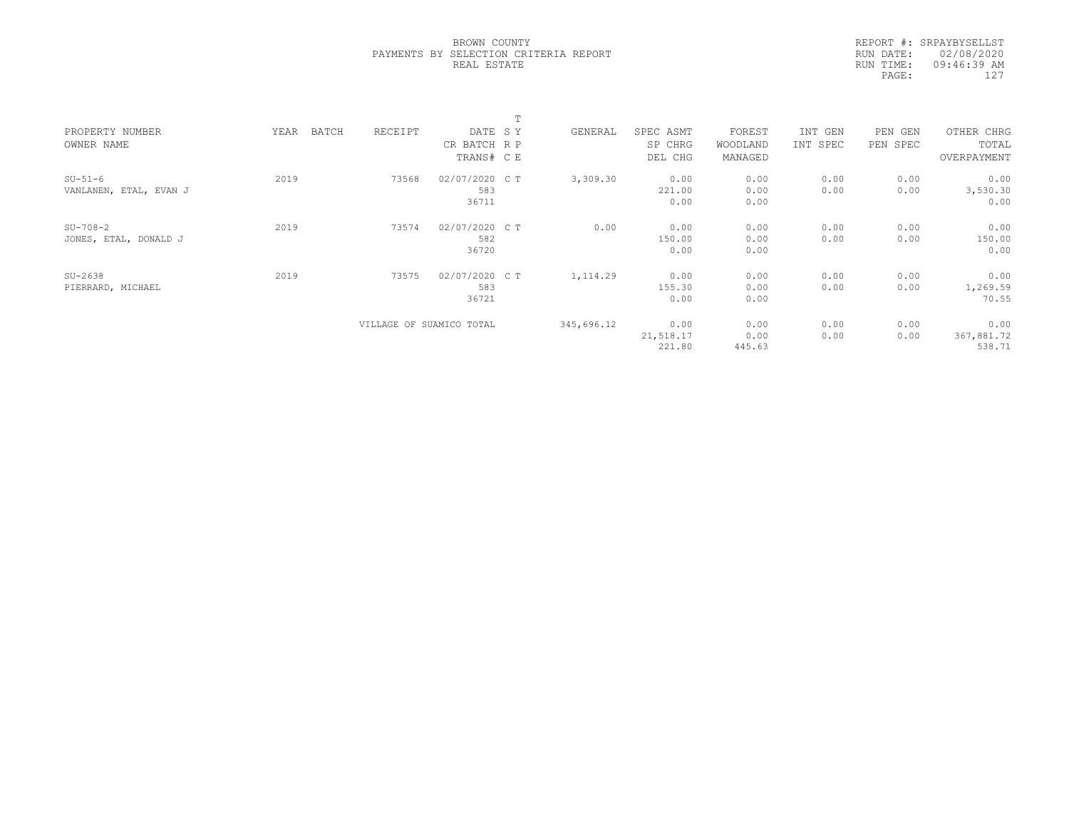REPORT #: SRPAYBYSELLST RUN DATE: 02/08/2020 RUN TIME: 09:46:39 AM PAGE: 127

|                        |               |         |                          | $\blacksquare$ |            |           |          |          |          |             |  |
|------------------------|---------------|---------|--------------------------|----------------|------------|-----------|----------|----------|----------|-------------|--|
| PROPERTY NUMBER        | BATCH<br>YEAR | RECEIPT | DATE SY                  |                | GENERAL    | SPEC ASMT | FOREST   | INT GEN  | PEN GEN  | OTHER CHRG  |  |
| OWNER NAME             |               |         | CR BATCH R P             |                |            | SP CHRG   | WOODLAND | INT SPEC | PEN SPEC | TOTAL       |  |
|                        |               |         | TRANS# C E               |                |            | DEL CHG   | MANAGED  |          |          | OVERPAYMENT |  |
| $SU-51-6$              | 2019          | 73568   | 02/07/2020 C T           |                | 3,309.30   | 0.00      | 0.00     | 0.00     | 0.00     | 0.00        |  |
| VANLANEN, ETAL, EVAN J |               |         | 583                      |                |            | 221.00    | 0.00     | 0.00     | 0.00     | 3,530.30    |  |
|                        |               |         | 36711                    |                |            | 0.00      | 0.00     |          |          | 0.00        |  |
| $SU-708-2$             | 2019          | 73574   | 02/07/2020 C T           |                | 0.00       | 0.00      | 0.00     | 0.00     | 0.00     | 0.00        |  |
| JONES, ETAL, DONALD J  |               |         | 582                      |                |            | 150.00    | 0.00     | 0.00     | 0.00     | 150.00      |  |
|                        |               |         | 36720                    |                |            | 0.00      | 0.00     |          |          | 0.00        |  |
| $SU-2638$              | 2019          | 73575   | 02/07/2020 C T           |                | 1, 114.29  | 0.00      | 0.00     | 0.00     | 0.00     | 0.00        |  |
| PIERRARD, MICHAEL      |               |         | 583                      |                |            | 155.30    | 0.00     | 0.00     | 0.00     | 1,269.59    |  |
|                        |               |         | 36721                    |                |            | 0.00      | 0.00     |          |          | 70.55       |  |
|                        |               |         | VILLAGE OF SUAMICO TOTAL |                | 345,696.12 | 0.00      | 0.00     | 0.00     | 0.00     | 0.00        |  |
|                        |               |         |                          |                |            | 21,518.17 | 0.00     | 0.00     | 0.00     | 367,881.72  |  |
|                        |               |         |                          |                |            | 221.80    | 445.63   |          |          | 538.71      |  |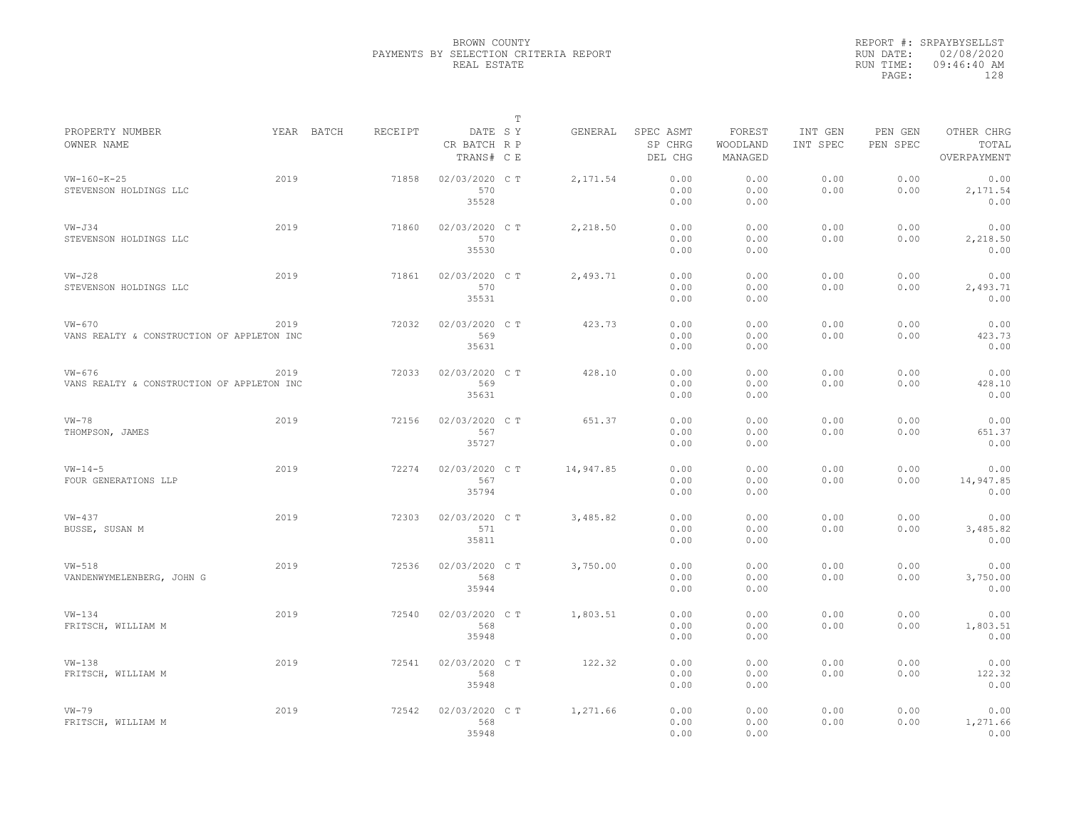|                                                        |      |            |         |                                       | $\mathbb T$ |           |                                 |                               |                     |                     |                                    |
|--------------------------------------------------------|------|------------|---------|---------------------------------------|-------------|-----------|---------------------------------|-------------------------------|---------------------|---------------------|------------------------------------|
| PROPERTY NUMBER<br>OWNER NAME                          |      | YEAR BATCH | RECEIPT | DATE SY<br>CR BATCH R P<br>TRANS# C E |             | GENERAL   | SPEC ASMT<br>SP CHRG<br>DEL CHG | FOREST<br>WOODLAND<br>MANAGED | INT GEN<br>INT SPEC | PEN GEN<br>PEN SPEC | OTHER CHRG<br>TOTAL<br>OVERPAYMENT |
| $VW-160-K-25$<br>STEVENSON HOLDINGS LLC                | 2019 |            | 71858   | 02/03/2020 C T<br>570<br>35528        |             | 2,171.54  | 0.00<br>0.00<br>0.00            | 0.00<br>0.00<br>0.00          | 0.00<br>0.00        | 0.00<br>0.00        | 0.00<br>2,171.54<br>0.00           |
| $VW - J34$<br>STEVENSON HOLDINGS LLC                   | 2019 |            | 71860   | 02/03/2020 C T<br>570<br>35530        |             | 2,218.50  | 0.00<br>0.00<br>0.00            | 0.00<br>0.00<br>0.00          | 0.00<br>0.00        | 0.00<br>0.00        | 0.00<br>2,218.50<br>0.00           |
| $VN-J28$<br>STEVENSON HOLDINGS LLC                     | 2019 |            | 71861   | 02/03/2020 C T<br>570<br>35531        |             | 2,493.71  | 0.00<br>0.00<br>0.00            | 0.00<br>0.00<br>0.00          | 0.00<br>0.00        | 0.00<br>0.00        | 0.00<br>2,493.71<br>0.00           |
| $VW-670$<br>VANS REALTY & CONSTRUCTION OF APPLETON INC | 2019 |            | 72032   | 02/03/2020 C T<br>569<br>35631        |             | 423.73    | 0.00<br>0.00<br>0.00            | 0.00<br>0.00<br>0.00          | 0.00<br>0.00        | 0.00<br>0.00        | 0.00<br>423.73<br>0.00             |
| $VW-676$<br>VANS REALTY & CONSTRUCTION OF APPLETON INC | 2019 |            | 72033   | 02/03/2020 C T<br>569<br>35631        |             | 428.10    | 0.00<br>0.00<br>0.00            | 0.00<br>0.00<br>0.00          | 0.00<br>0.00        | 0.00<br>0.00        | 0.00<br>428.10<br>0.00             |
| $VW-78$<br>THOMPSON, JAMES                             | 2019 |            | 72156   | 02/03/2020 C T<br>567<br>35727        |             | 651.37    | 0.00<br>0.00<br>0.00            | 0.00<br>0.00<br>0.00          | 0.00<br>0.00        | 0.00<br>0.00        | 0.00<br>651.37<br>0.00             |
| $VW - 14 - 5$<br>FOUR GENERATIONS LLP                  | 2019 |            | 72274   | 02/03/2020 C T<br>567<br>35794        |             | 14,947.85 | 0.00<br>0.00<br>0.00            | 0.00<br>0.00<br>0.00          | 0.00<br>0.00        | 0.00<br>0.00        | 0.00<br>14,947.85<br>0.00          |
| $VW-437$<br>BUSSE, SUSAN M                             | 2019 |            | 72303   | 02/03/2020 C T<br>571<br>35811        |             | 3,485.82  | 0.00<br>0.00<br>0.00            | 0.00<br>0.00<br>0.00          | 0.00<br>0.00        | 0.00<br>0.00        | 0.00<br>3,485.82<br>0.00           |
| $VW-518$<br>VANDENWYMELENBERG, JOHN G                  | 2019 |            | 72536   | 02/03/2020 C T<br>568<br>35944        |             | 3,750.00  | 0.00<br>0.00<br>0.00            | 0.00<br>0.00<br>0.00          | 0.00<br>0.00        | 0.00<br>0.00        | 0.00<br>3,750.00<br>0.00           |
| $VW-134$<br>FRITSCH, WILLIAM M                         | 2019 |            | 72540   | 02/03/2020 C T<br>568<br>35948        |             | 1,803.51  | 0.00<br>0.00<br>0.00            | 0.00<br>0.00<br>0.00          | 0.00<br>0.00        | 0.00<br>0.00        | 0.00<br>1,803.51<br>0.00           |
| $VW-138$<br>FRITSCH, WILLIAM M                         | 2019 |            | 72541   | 02/03/2020 CT<br>568<br>35948         |             | 122.32    | 0.00<br>0.00<br>0.00            | 0.00<br>0.00<br>0.00          | 0.00<br>0.00        | 0.00<br>0.00        | 0.00<br>122.32<br>0.00             |
| $VW-79$<br>FRITSCH, WILLIAM M                          | 2019 |            | 72542   | 02/03/2020 C T<br>568<br>35948        |             | 1,271.66  | 0.00<br>0.00<br>0.00            | 0.00<br>0.00<br>0.00          | 0.00<br>0.00        | 0.00<br>0.00        | 0.00<br>1,271.66<br>0.00           |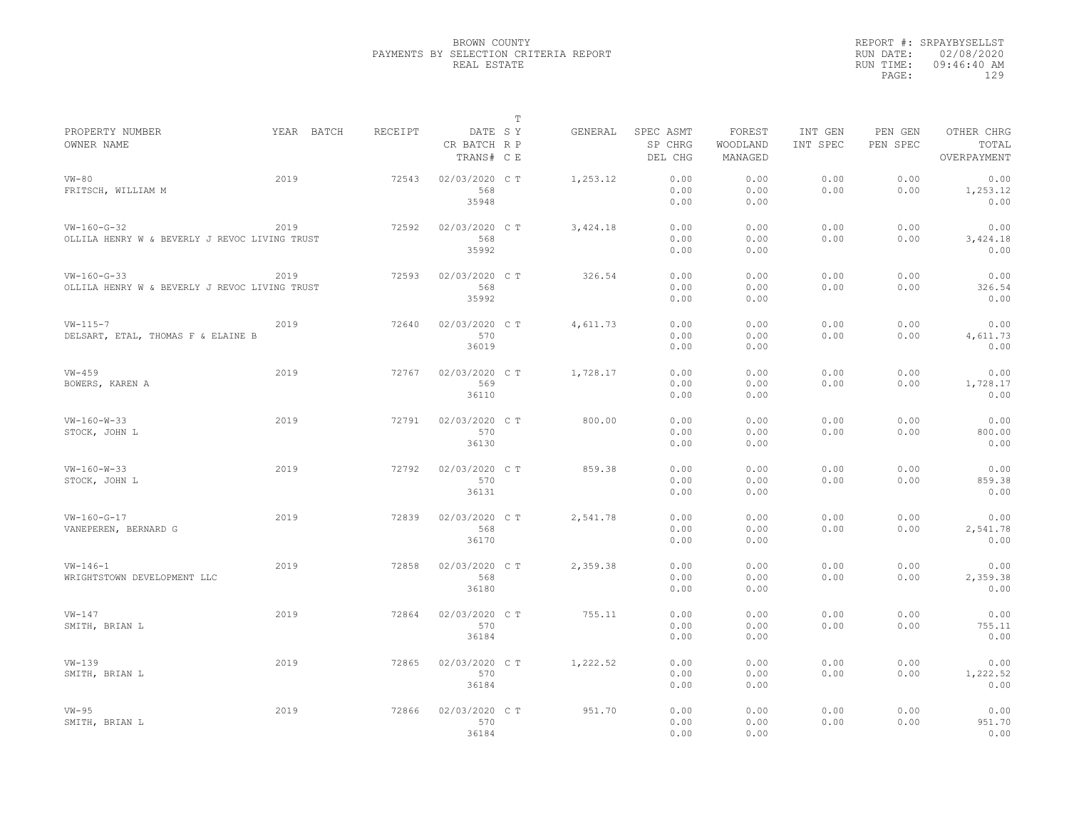|                                               |            |         |                | $\mathbb T$ |           |           |          |          |          |             |
|-----------------------------------------------|------------|---------|----------------|-------------|-----------|-----------|----------|----------|----------|-------------|
| PROPERTY NUMBER                               | YEAR BATCH | RECEIPT | DATE SY        |             | GENERAL   | SPEC ASMT | FOREST   | INT GEN  | PEN GEN  | OTHER CHRG  |
| OWNER NAME                                    |            |         | CR BATCH R P   |             |           | SP CHRG   | WOODLAND | INT SPEC | PEN SPEC | TOTAL       |
|                                               |            |         | TRANS# C E     |             |           | DEL CHG   | MANAGED  |          |          | OVERPAYMENT |
| $VW-80$                                       | 2019       | 72543   | 02/03/2020 C T |             | 1,253.12  | 0.00      | 0.00     | 0.00     | 0.00     | 0.00        |
| FRITSCH, WILLIAM M                            |            |         | 568            |             |           | 0.00      | 0.00     | 0.00     | 0.00     | 1,253.12    |
|                                               |            |         | 35948          |             |           | 0.00      | 0.00     |          |          | 0.00        |
|                                               |            |         |                |             |           |           |          |          |          |             |
| $VW-160-G-32$                                 | 2019       | 72592   | 02/03/2020 C T |             | 3, 424.18 | 0.00      | 0.00     | 0.00     | 0.00     | 0.00        |
| OLLILA HENRY W & BEVERLY J REVOC LIVING TRUST |            |         | 568            |             |           | 0.00      | 0.00     | 0.00     | 0.00     | 3,424.18    |
|                                               |            |         | 35992          |             |           | 0.00      | 0.00     |          |          | 0.00        |
| $VW-160-G-33$                                 | 2019       | 72593   | 02/03/2020 C T |             | 326.54    | 0.00      | 0.00     | 0.00     | 0.00     | 0.00        |
| OLLILA HENRY W & BEVERLY J REVOC LIVING TRUST |            |         | 568            |             |           | 0.00      | 0.00     | 0.00     | 0.00     | 326.54      |
|                                               |            |         | 35992          |             |           | 0.00      | 0.00     |          |          | 0.00        |
|                                               |            |         |                |             |           |           |          |          |          |             |
| $VW - 115 - 7$                                | 2019       | 72640   | 02/03/2020 C T |             | 4,611.73  | 0.00      | 0.00     | 0.00     | 0.00     | 0.00        |
| DELSART, ETAL, THOMAS F & ELAINE B            |            |         | 570            |             |           | 0.00      | 0.00     | 0.00     | 0.00     | 4,611.73    |
|                                               |            |         | 36019          |             |           | 0.00      | 0.00     |          |          | 0.00        |
| $VW-459$                                      | 2019       | 72767   | 02/03/2020 C T |             | 1,728.17  | 0.00      | 0.00     | 0.00     | 0.00     | 0.00        |
| BOWERS, KAREN A                               |            |         | 569            |             |           | 0.00      | 0.00     | 0.00     | 0.00     | 1,728.17    |
|                                               |            |         | 36110          |             |           | 0.00      | 0.00     |          |          | 0.00        |
|                                               |            |         |                |             |           |           |          |          |          |             |
| $VW-160-W-33$                                 | 2019       | 72791   | 02/03/2020 C T |             | 800.00    | 0.00      | 0.00     | 0.00     | 0.00     | 0.00        |
| STOCK, JOHN L                                 |            |         | 570            |             |           | 0.00      | 0.00     | 0.00     | 0.00     | 800.00      |
|                                               |            |         | 36130          |             |           | 0.00      | 0.00     |          |          | 0.00        |
| $VW-160-W-33$                                 | 2019       | 72792   | 02/03/2020 CT  |             | 859.38    | 0.00      | 0.00     | 0.00     | 0.00     | 0.00        |
| STOCK, JOHN L                                 |            |         | 570            |             |           | 0.00      | 0.00     | 0.00     | 0.00     | 859.38      |
|                                               |            |         | 36131          |             |           | 0.00      | 0.00     |          |          | 0.00        |
|                                               |            |         |                |             |           |           |          |          |          |             |
| $VW-160-G-17$                                 | 2019       | 72839   | 02/03/2020 C T |             | 2,541.78  | 0.00      | 0.00     | 0.00     | 0.00     | 0.00        |
| VANEPEREN, BERNARD G                          |            |         | 568            |             |           | 0.00      | 0.00     | 0.00     | 0.00     | 2,541.78    |
|                                               |            |         | 36170          |             |           | 0.00      | 0.00     |          |          | 0.00        |
| $VW - 146 - 1$                                | 2019       | 72858   | 02/03/2020 C T |             | 2,359.38  | 0.00      | 0.00     | 0.00     | 0.00     | 0.00        |
|                                               |            |         |                |             |           |           |          |          |          |             |
| WRIGHTSTOWN DEVELOPMENT LLC                   |            |         | 568            |             |           | 0.00      | 0.00     | 0.00     | 0.00     | 2,359.38    |
|                                               |            |         | 36180          |             |           | 0.00      | 0.00     |          |          | 0.00        |
| $VW-147$                                      | 2019       | 72864   | 02/03/2020 CT  |             | 755.11    | 0.00      | 0.00     | 0.00     | 0.00     | 0.00        |
| SMITH, BRIAN L                                |            |         | 570            |             |           | 0.00      | 0.00     | 0.00     | 0.00     | 755.11      |
|                                               |            |         | 36184          |             |           | 0.00      | 0.00     |          |          | 0.00        |
| $VW-139$                                      | 2019       | 72865   |                |             |           | 0.00      | 0.00     | 0.00     | 0.00     | 0.00        |
|                                               |            |         | 02/03/2020 C T |             | 1,222.52  |           |          |          |          |             |
| SMITH, BRIAN L                                |            |         | 570            |             |           | 0.00      | 0.00     | 0.00     | 0.00     | 1,222.52    |
|                                               |            |         | 36184          |             |           | 0.00      | 0.00     |          |          | 0.00        |
| $VW-95$                                       | 2019       | 72866   | 02/03/2020 CT  |             | 951.70    | 0.00      | 0.00     | 0.00     | 0.00     | 0.00        |
| SMITH, BRIAN L                                |            |         | 570            |             |           | 0.00      | 0.00     | 0.00     | 0.00     | 951.70      |
|                                               |            |         | 36184          |             |           | 0.00      | 0.00     |          |          | 0.00        |
|                                               |            |         |                |             |           |           |          |          |          |             |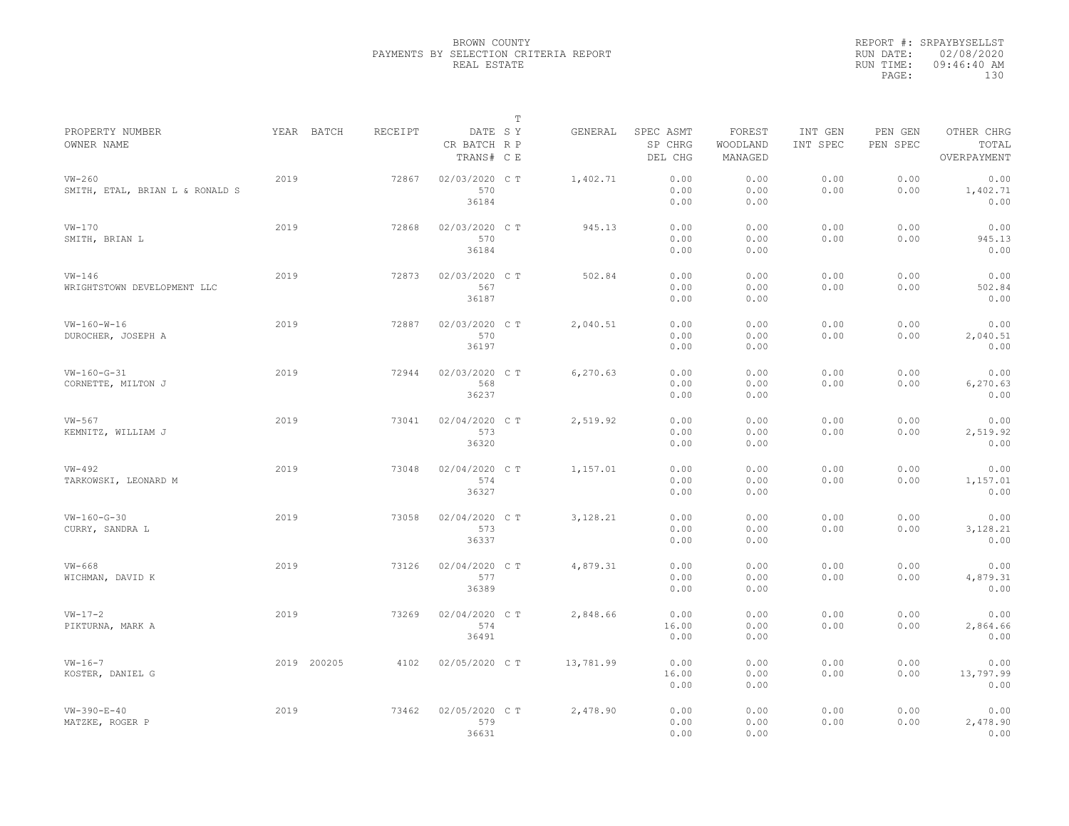|                                             |             |         |                                       | $\mathbb T$ |           |                                 |                               |                     |                     |                                    |
|---------------------------------------------|-------------|---------|---------------------------------------|-------------|-----------|---------------------------------|-------------------------------|---------------------|---------------------|------------------------------------|
| PROPERTY NUMBER<br>OWNER NAME               | YEAR BATCH  | RECEIPT | DATE SY<br>CR BATCH R P<br>TRANS# C E |             | GENERAL   | SPEC ASMT<br>SP CHRG<br>DEL CHG | FOREST<br>WOODLAND<br>MANAGED | INT GEN<br>INT SPEC | PEN GEN<br>PEN SPEC | OTHER CHRG<br>TOTAL<br>OVERPAYMENT |
| $VW-260$<br>SMITH, ETAL, BRIAN L & RONALD S | 2019        | 72867   | 02/03/2020 C T<br>570<br>36184        |             | 1,402.71  | 0.00<br>0.00<br>0.00            | 0.00<br>0.00<br>0.00          | 0.00<br>0.00        | 0.00<br>0.00        | 0.00<br>1,402.71<br>0.00           |
| $VW-170$<br>SMITH, BRIAN L                  | 2019        | 72868   | 02/03/2020 C T<br>570<br>36184        |             | 945.13    | 0.00<br>0.00<br>0.00            | 0.00<br>0.00<br>0.00          | 0.00<br>0.00        | 0.00<br>0.00        | 0.00<br>945.13<br>0.00             |
| $VW-146$<br>WRIGHTSTOWN DEVELOPMENT LLC     | 2019        | 72873   | 02/03/2020 C T<br>567<br>36187        |             | 502.84    | 0.00<br>0.00<br>0.00            | 0.00<br>0.00<br>0.00          | 0.00<br>0.00        | 0.00<br>0.00        | 0.00<br>502.84<br>0.00             |
| $VW-160-W-16$<br>DUROCHER, JOSEPH A         | 2019        | 72887   | 02/03/2020 C T<br>570<br>36197        |             | 2,040.51  | 0.00<br>0.00<br>0.00            | 0.00<br>0.00<br>0.00          | 0.00<br>0.00        | 0.00<br>0.00        | 0.00<br>2,040.51<br>0.00           |
| $VW-160-G-31$<br>CORNETTE, MILTON J         | 2019        | 72944   | 02/03/2020 CT<br>568<br>36237         |             | 6,270.63  | 0.00<br>0.00<br>0.00            | 0.00<br>0.00<br>0.00          | 0.00<br>0.00        | 0.00<br>0.00        | 0.00<br>6,270.63<br>0.00           |
| $VW-567$<br>KEMNITZ, WILLIAM J              | 2019        | 73041   | 02/04/2020 C T<br>573<br>36320        |             | 2,519.92  | 0.00<br>0.00<br>0.00            | 0.00<br>0.00<br>0.00          | 0.00<br>0.00        | 0.00<br>0.00        | 0.00<br>2,519.92<br>0.00           |
| $VW-492$<br>TARKOWSKI, LEONARD M            | 2019        | 73048   | 02/04/2020 C T<br>574<br>36327        |             | 1,157.01  | 0.00<br>0.00<br>0.00            | 0.00<br>0.00<br>0.00          | 0.00<br>0.00        | 0.00<br>0.00        | 0.00<br>1,157.01<br>0.00           |
| $VW-160-G-30$<br>CURRY, SANDRA L            | 2019        | 73058   | 02/04/2020 C T<br>573<br>36337        |             | 3,128.21  | 0.00<br>0.00<br>0.00            | 0.00<br>0.00<br>0.00          | 0.00<br>0.00        | 0.00<br>0.00        | 0.00<br>3,128.21<br>0.00           |
| $VW-668$<br>WICHMAN, DAVID K                | 2019        | 73126   | 02/04/2020 C T<br>577<br>36389        |             | 4,879.31  | 0.00<br>0.00<br>0.00            | 0.00<br>0.00<br>0.00          | 0.00<br>0.00        | 0.00<br>0.00        | 0.00<br>4,879.31<br>0.00           |
| $VW-17-2$<br>PIKTURNA, MARK A               | 2019        | 73269   | 02/04/2020 C T<br>574<br>36491        |             | 2,848.66  | 0.00<br>16.00<br>0.00           | 0.00<br>0.00<br>0.00          | 0.00<br>0.00        | 0.00<br>0.00        | 0.00<br>2,864.66<br>0.00           |
| $VW-16-7$<br>KOSTER, DANIEL G               | 2019 200205 | 4102    | 02/05/2020 C T                        |             | 13,781.99 | 0.00<br>16.00<br>0.00           | 0.00<br>0.00<br>0.00          | 0.00<br>0.00        | 0.00<br>0.00        | 0.00<br>13,797.99<br>0.00          |
| $VW - 390 - E - 40$<br>MATZKE, ROGER P      | 2019        | 73462   | 02/05/2020 C T<br>579<br>36631        |             | 2,478.90  | 0.00<br>0.00<br>0.00            | 0.00<br>0.00<br>0.00          | 0.00<br>0.00        | 0.00<br>0.00        | 0.00<br>2,478.90<br>0.00           |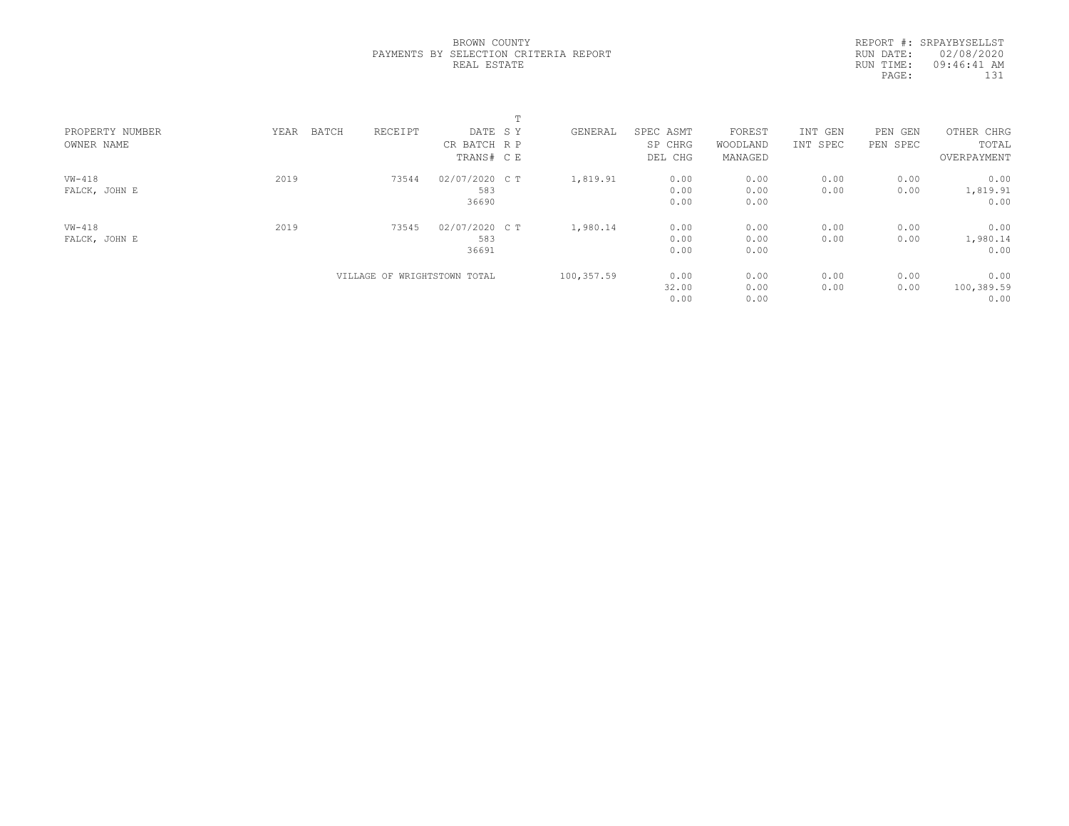|  | BROWN COUNTY |                                       |  |
|--|--------------|---------------------------------------|--|
|  |              | PAYMENTS BY SELECTION CRITERIA REPORT |  |
|  | REAL ESTATE  |                                       |  |

REPORT #: SRPAYBYSELLST RUN DATE: 02/08/2020 RUN TIME: 09:46:41 AM PAGE: 131

| PROPERTY NUMBER | BATCH<br>YEAR | RECEIPT                      | DATE SY        | GENERAL    | SPEC ASMT | FOREST   | INT GEN  | PEN<br>GEN | OTHER CHRG  |  |
|-----------------|---------------|------------------------------|----------------|------------|-----------|----------|----------|------------|-------------|--|
| OWNER NAME      |               |                              | CR BATCH R P   |            | SP CHRG   | WOODLAND | INT SPEC | PEN SPEC   | TOTAL       |  |
|                 |               |                              | TRANS# C E     |            | DEL CHG   | MANAGED  |          |            | OVERPAYMENT |  |
| $VW-418$        | 2019          | 73544                        | 02/07/2020 C T | 1,819.91   | 0.00      | 0.00     | 0.00     | 0.00       | 0.00        |  |
| FALCK, JOHN E   |               |                              | 583            |            | 0.00      | 0.00     | 0.00     | 0.00       | 1,819.91    |  |
|                 |               |                              | 36690          |            | 0.00      | 0.00     |          |            | 0.00        |  |
| $VW-418$        | 2019          | 73545                        | 02/07/2020 C T | 1,980.14   | 0.00      | 0.00     | 0.00     | 0.00       | 0.00        |  |
| FALCK, JOHN E   |               |                              | 583            |            | 0.00      | 0.00     | 0.00     | 0.00       | 1,980.14    |  |
|                 |               |                              | 36691          |            | 0.00      | 0.00     |          |            | 0.00        |  |
|                 |               | VILLAGE OF WRIGHTSTOWN TOTAL |                | 100,357.59 | 0.00      | 0.00     | 0.00     | 0.00       | 0.00        |  |
|                 |               |                              |                |            | 32.00     | 0.00     | 0.00     | 0.00       | 100,389.59  |  |
|                 |               |                              |                |            | 0.00      | 0.00     |          |            | 0.00        |  |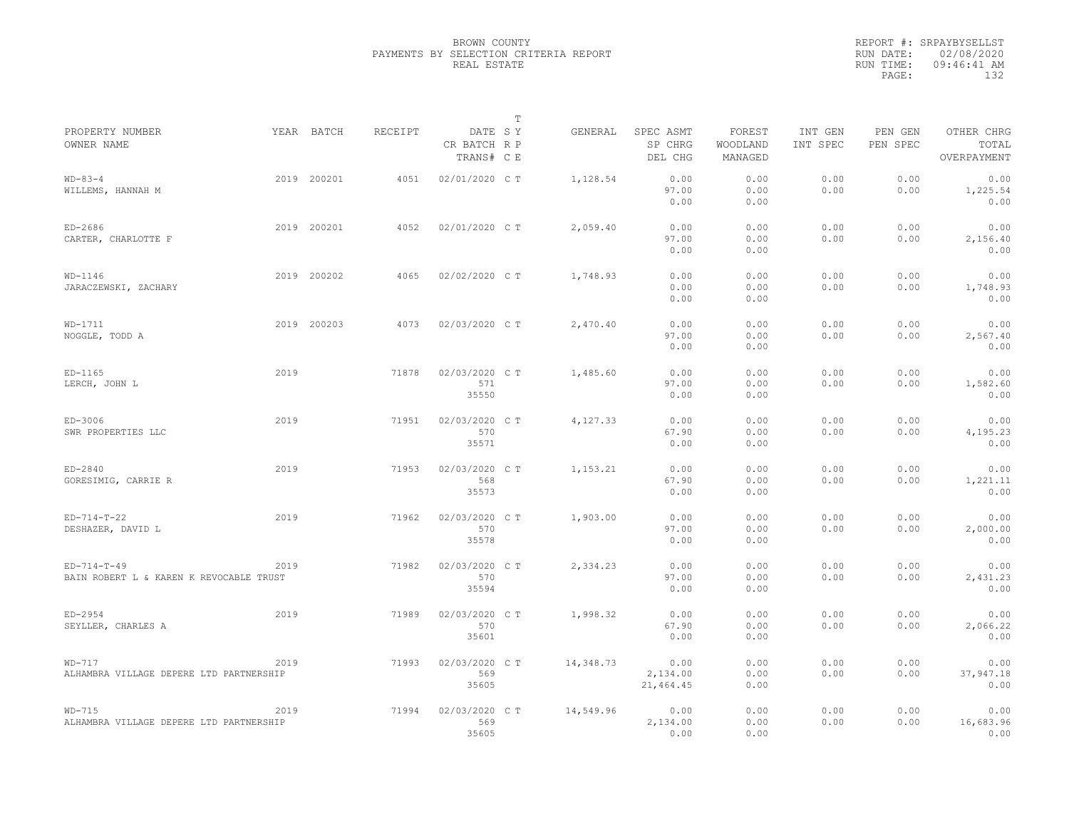|                                                          |      |             |                |                                       | $\mathbb T$ |           |                                 |                               |                     |                     |                                    |
|----------------------------------------------------------|------|-------------|----------------|---------------------------------------|-------------|-----------|---------------------------------|-------------------------------|---------------------|---------------------|------------------------------------|
| PROPERTY NUMBER<br>OWNER NAME                            |      | YEAR BATCH  | <b>RECEIPT</b> | DATE SY<br>CR BATCH R P<br>TRANS# C E |             | GENERAL   | SPEC ASMT<br>SP CHRG<br>DEL CHG | FOREST<br>WOODLAND<br>MANAGED | INT GEN<br>INT SPEC | PEN GEN<br>PEN SPEC | OTHER CHRG<br>TOTAL<br>OVERPAYMENT |
| $WD-83-4$<br>WILLEMS, HANNAH M                           |      | 2019 200201 | 4051           | 02/01/2020 CT                         |             | 1,128.54  | 0.00<br>97.00<br>0.00           | 0.00<br>0.00<br>0.00          | 0.00<br>0.00        | 0.00<br>0.00        | 0.00<br>1,225.54<br>0.00           |
| $ED-2686$<br>CARTER, CHARLOTTE F                         |      | 2019 200201 | 4052           | 02/01/2020 C T                        |             | 2,059.40  | 0.00<br>97.00<br>0.00           | 0.00<br>0.00<br>0.00          | 0.00<br>0.00        | 0.00<br>0.00        | 0.00<br>2,156.40<br>0.00           |
| $WD-1146$<br>JARACZEWSKI, ZACHARY                        |      | 2019 200202 | 4065           | 02/02/2020 CT                         |             | 1,748.93  | 0.00<br>0.00<br>0.00            | 0.00<br>0.00<br>0.00          | 0.00<br>0.00        | 0.00<br>0.00        | 0.00<br>1,748.93<br>0.00           |
| $WD-1711$<br>NOGGLE, TODD A                              |      | 2019 200203 | 4073           | 02/03/2020 C T                        |             | 2,470.40  | 0.00<br>97.00<br>0.00           | 0.00<br>0.00<br>0.00          | 0.00<br>0.00        | 0.00<br>0.00        | 0.00<br>2,567.40<br>0.00           |
| $ED-1165$<br>LERCH, JOHN L                               | 2019 |             | 71878          | 02/03/2020 CT<br>571<br>35550         |             | 1,485.60  | 0.00<br>97.00<br>0.00           | 0.00<br>0.00<br>0.00          | 0.00<br>0.00        | 0.00<br>0.00        | 0.00<br>1,582.60<br>0.00           |
| ED-3006<br>SWR PROPERTIES LLC                            | 2019 |             | 71951          | 02/03/2020 C T<br>570<br>35571        |             | 4,127.33  | 0.00<br>67.90<br>0.00           | 0.00<br>0.00<br>0.00          | 0.00<br>0.00        | 0.00<br>0.00        | 0.00<br>4,195.23<br>0.00           |
| $ED-2840$<br>GORESIMIG, CARRIE R                         | 2019 |             | 71953          | 02/03/2020 CT<br>568<br>35573         |             | 1,153.21  | 0.00<br>67.90<br>0.00           | 0.00<br>0.00<br>0.00          | 0.00<br>0.00        | 0.00<br>0.00        | 0.00<br>1,221.11<br>0.00           |
| $ED-714-T-22$<br>DESHAZER, DAVID L                       | 2019 |             | 71962          | 02/03/2020 C T<br>570<br>35578        |             | 1,903.00  | 0.00<br>97.00<br>0.00           | 0.00<br>0.00<br>0.00          | 0.00<br>0.00        | 0.00<br>0.00        | 0.00<br>2,000.00<br>0.00           |
| $ED-714-T-49$<br>BAIN ROBERT L & KAREN K REVOCABLE TRUST | 2019 |             | 71982          | 02/03/2020 CT<br>570<br>35594         |             | 2,334.23  | 0.00<br>97.00<br>0.00           | 0.00<br>0.00<br>0.00          | 0.00<br>0.00        | 0.00<br>0.00        | 0.00<br>2,431.23<br>0.00           |
| $ED-2954$<br>SEYLLER, CHARLES A                          | 2019 |             | 71989          | 02/03/2020 C T<br>570<br>35601        |             | 1,998.32  | 0.00<br>67.90<br>0.00           | 0.00<br>0.00<br>0.00          | 0.00<br>0.00        | 0.00<br>0.00        | 0.00<br>2,066.22<br>0.00           |
| $WD-717$<br>ALHAMBRA VILLAGE DEPERE LTD PARTNERSHIP      | 2019 |             | 71993          | 02/03/2020 CT<br>569<br>35605         |             | 14,348.73 | 0.00<br>2,134.00<br>21,464.45   | 0.00<br>0.00<br>0.00          | 0.00<br>0.00        | 0.00<br>0.00        | 0.00<br>37,947.18<br>0.00          |
| $WD-715$<br>ALHAMBRA VILLAGE DEPERE LTD PARTNERSHIP      | 2019 |             | 71994          | 02/03/2020 CT<br>569<br>35605         |             | 14,549.96 | 0.00<br>2,134.00<br>0.00        | 0.00<br>0.00<br>0.00          | 0.00<br>0.00        | 0.00<br>0.00        | 0.00<br>16,683.96<br>0.00          |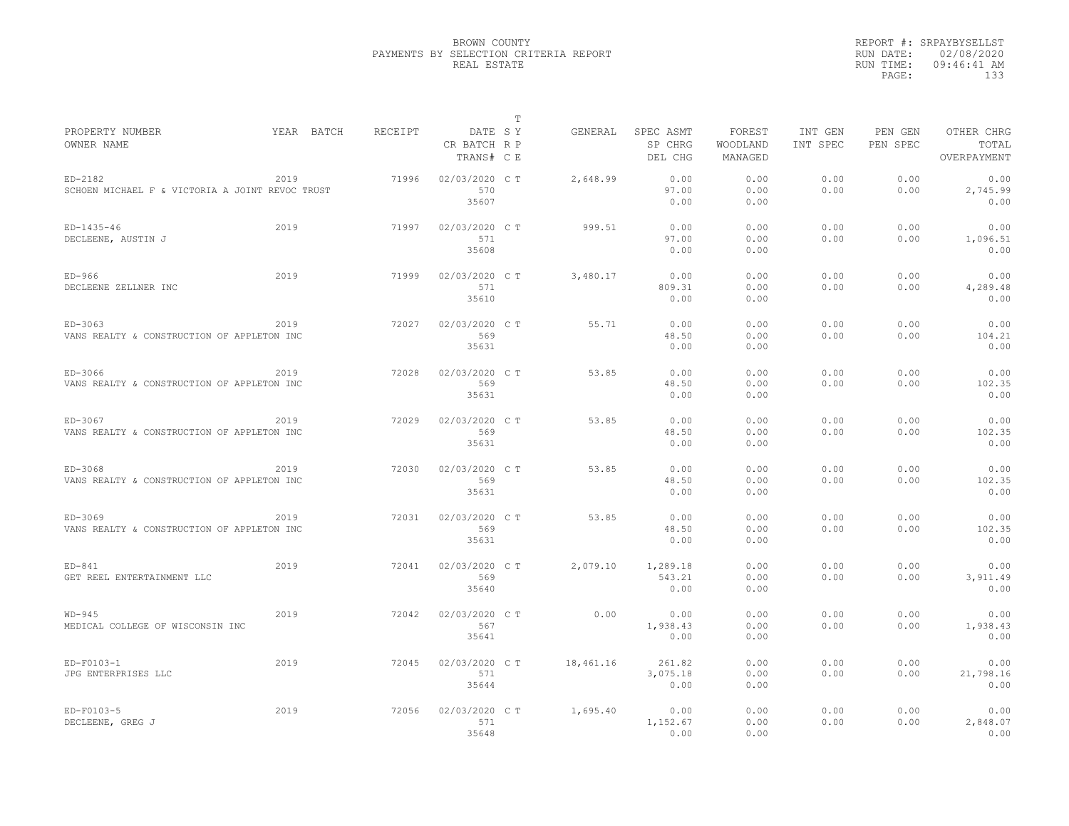|                                                            |            |         |                                       | $\mathbb T$ |           |                                 |                               |                     |                     |                                    |
|------------------------------------------------------------|------------|---------|---------------------------------------|-------------|-----------|---------------------------------|-------------------------------|---------------------|---------------------|------------------------------------|
| PROPERTY NUMBER<br>OWNER NAME                              | YEAR BATCH | RECEIPT | DATE SY<br>CR BATCH R P<br>TRANS# C E |             | GENERAL   | SPEC ASMT<br>SP CHRG<br>DEL CHG | FOREST<br>WOODLAND<br>MANAGED | INT GEN<br>INT SPEC | PEN GEN<br>PEN SPEC | OTHER CHRG<br>TOTAL<br>OVERPAYMENT |
| ED-2182<br>SCHOEN MICHAEL F & VICTORIA A JOINT REVOC TRUST | 2019       | 71996   | 02/03/2020 C T<br>570                 |             | 2,648.99  | 0.00<br>97.00                   | 0.00<br>0.00                  | 0.00<br>0.00        | 0.00<br>0.00        | 0.00<br>2,745.99                   |
|                                                            |            |         | 35607                                 |             |           | 0.00                            | 0.00                          |                     |                     | 0.00                               |
| $ED-1435-46$<br>DECLEENE, AUSTIN J                         | 2019       | 71997   | 02/03/2020 C T<br>571<br>35608        |             | 999.51    | 0.00<br>97.00<br>0.00           | 0.00<br>0.00<br>0.00          | 0.00<br>0.00        | 0.00<br>0.00        | 0.00<br>1,096.51<br>0.00           |
| $ED-966$                                                   | 2019       | 71999   | 02/03/2020 C T                        |             | 3,480.17  | 0.00                            | 0.00                          | 0.00                | 0.00                | 0.00                               |
| DECLEENE ZELLNER INC                                       |            |         | 571<br>35610                          |             |           | 809.31<br>0.00                  | 0.00<br>0.00                  | 0.00                | 0.00                | 4,289.48<br>0.00                   |
| $ED-3063$                                                  | 2019       | 72027   | 02/03/2020 C T                        |             | 55.71     | 0.00                            | 0.00                          | 0.00                | 0.00                | 0.00                               |
| VANS REALTY & CONSTRUCTION OF APPLETON INC                 |            |         | 569<br>35631                          |             |           | 48.50<br>0.00                   | 0.00<br>0.00                  | 0.00                | 0.00                | 104.21<br>0.00                     |
| ED-3066                                                    | 2019       | 72028   | 02/03/2020 C T                        |             | 53.85     | 0.00                            | 0.00                          | 0.00                | 0.00                | 0.00                               |
| VANS REALTY & CONSTRUCTION OF APPLETON INC                 |            |         | 569<br>35631                          |             |           | 48.50<br>0.00                   | 0.00<br>0.00                  | 0.00                | 0.00                | 102.35<br>0.00                     |
| ED-3067                                                    | 2019       | 72029   | 02/03/2020 C T                        |             | 53.85     | 0.00                            | 0.00                          | 0.00                | 0.00                | 0.00                               |
| VANS REALTY & CONSTRUCTION OF APPLETON INC                 |            |         | 569<br>35631                          |             |           | 48.50<br>0.00                   | 0.00<br>0.00                  | 0.00                | 0.00                | 102.35<br>0.00                     |
| ED-3068                                                    | 2019       | 72030   | 02/03/2020 C T                        |             | 53.85     | 0.00                            | 0.00                          | 0.00                | 0.00                | 0.00                               |
| VANS REALTY & CONSTRUCTION OF APPLETON INC                 |            |         | 569<br>35631                          |             |           | 48.50<br>0.00                   | 0.00<br>0.00                  | 0.00                | 0.00                | 102.35<br>0.00                     |
| ED-3069                                                    | 2019       | 72031   | 02/03/2020 C T                        |             | 53.85     | 0.00                            | 0.00                          | 0.00                | 0.00                | 0.00                               |
| VANS REALTY & CONSTRUCTION OF APPLETON INC                 |            |         | 569<br>35631                          |             |           | 48.50<br>0.00                   | 0.00<br>0.00                  | 0.00                | 0.00                | 102.35<br>0.00                     |
| $ED - 841$                                                 | 2019       | 72041   | 02/03/2020 C T                        |             | 2,079.10  | 1,289.18                        | 0.00                          | 0.00                | 0.00                | 0.00                               |
| GET REEL ENTERTAINMENT LLC                                 |            |         | 569<br>35640                          |             |           | 543.21<br>0.00                  | 0.00<br>0.00                  | 0.00                | 0.00                | 3,911.49<br>0.00                   |
| $WD-945$                                                   | 2019       | 72042   | 02/03/2020 C T                        |             | 0.00      | 0.00                            | 0.00                          | 0.00                | 0.00                | 0.00                               |
| MEDICAL COLLEGE OF WISCONSIN INC                           |            |         | 567<br>35641                          |             |           | 1,938.43<br>0.00                | 0.00<br>0.00                  | 0.00                | 0.00                | 1,938.43<br>0.00                   |
| ED-F0103-1                                                 | 2019       | 72045   | 02/03/2020 C T                        |             | 18,461.16 | 261.82                          | 0.00                          | 0.00                | 0.00                | 0.00                               |
| JPG ENTERPRISES LLC                                        |            |         | 571<br>35644                          |             |           | 3,075.18<br>0.00                | 0.00<br>0.00                  | 0.00                | 0.00                | 21,798.16<br>0.00                  |
| ED-F0103-5                                                 | 2019       | 72056   | 02/03/2020 C T                        |             | 1,695.40  | 0.00                            | 0.00                          | 0.00                | 0.00                | 0.00                               |
| DECLEENE, GREG J                                           |            |         | 571<br>35648                          |             |           | 1,152.67<br>0.00                | 0.00<br>0.00                  | 0.00                | 0.00                | 2,848.07<br>0.00                   |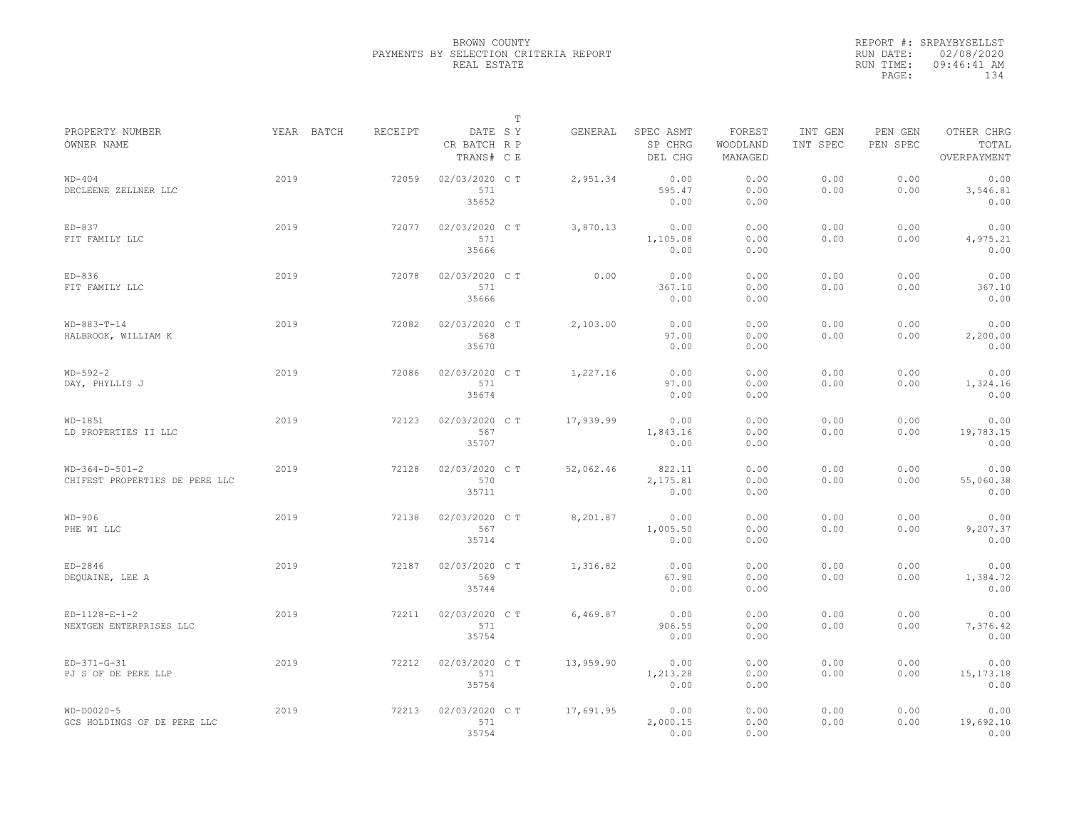|                                                    |      |            |                |                                       | $\mathbb T$ |           |                                 |                               |                     |                     |                                    |
|----------------------------------------------------|------|------------|----------------|---------------------------------------|-------------|-----------|---------------------------------|-------------------------------|---------------------|---------------------|------------------------------------|
| PROPERTY NUMBER<br>OWNER NAME                      |      | YEAR BATCH | <b>RECEIPT</b> | DATE SY<br>CR BATCH R P<br>TRANS# C E |             | GENERAL   | SPEC ASMT<br>SP CHRG<br>DEL CHG | FOREST<br>WOODLAND<br>MANAGED | INT GEN<br>INT SPEC | PEN GEN<br>PEN SPEC | OTHER CHRG<br>TOTAL<br>OVERPAYMENT |
| $WD-404$<br>DECLEENE ZELLNER LLC                   | 2019 |            | 72059          | 02/03/2020 CT<br>571<br>35652         |             | 2,951.34  | 0.00<br>595.47<br>0.00          | 0.00<br>0.00<br>0.00          | 0.00<br>0.00        | 0.00<br>0.00        | 0.00<br>3,546.81<br>0.00           |
| $ED-837$<br>FIT FAMILY LLC                         | 2019 |            | 72077          | 02/03/2020 C T<br>571<br>35666        |             | 3,870.13  | 0.00<br>1,105.08<br>0.00        | 0.00<br>0.00<br>0.00          | 0.00<br>0.00        | 0.00<br>0.00        | 0.00<br>4,975.21<br>0.00           |
| $ED-836$<br>FIT FAMILY LLC                         | 2019 |            | 72078          | 02/03/2020 C T<br>571<br>35666        |             | 0.00      | 0.00<br>367.10<br>0.00          | 0.00<br>0.00<br>0.00          | 0.00<br>0.00        | 0.00<br>0.00        | 0.00<br>367.10<br>0.00             |
| $WD-883-T-14$<br>HALBROOK, WILLIAM K               | 2019 |            | 72082          | 02/03/2020 C T<br>568<br>35670        |             | 2,103.00  | 0.00<br>97.00<br>0.00           | 0.00<br>0.00<br>0.00          | 0.00<br>0.00        | 0.00<br>0.00        | 0.00<br>2,200.00<br>0.00           |
| $WD-592-2$<br>DAY, PHYLLIS J                       | 2019 |            | 72086          | 02/03/2020 C T<br>571<br>35674        |             | 1,227.16  | 0.00<br>97.00<br>0.00           | 0.00<br>0.00<br>0.00          | 0.00<br>0.00        | 0.00<br>0.00        | 0.00<br>1,324.16<br>0.00           |
| WD-1851<br>LD PROPERTIES II LLC                    | 2019 |            | 72123          | 02/03/2020 C T<br>567<br>35707        |             | 17,939.99 | 0.00<br>1,843.16<br>0.00        | 0.00<br>0.00<br>0.00          | 0.00<br>0.00        | 0.00<br>0.00        | 0.00<br>19,783.15<br>0.00          |
| $WD-364-D-501-2$<br>CHIFEST PROPERTIES DE PERE LLC | 2019 |            | 72128          | 02/03/2020 C T<br>570<br>35711        |             | 52,062.46 | 822.11<br>2,175.81<br>0.00      | 0.00<br>0.00<br>0.00          | 0.00<br>0.00        | 0.00<br>0.00        | 0.00<br>55,060.38<br>0.00          |
| $WD-906$<br>PHE WI LLC                             | 2019 |            | 72138          | 02/03/2020 C T<br>567<br>35714        |             | 8,201.87  | 0.00<br>1,005.50<br>0.00        | 0.00<br>0.00<br>0.00          | 0.00<br>0.00        | 0.00<br>0.00        | 0.00<br>9,207.37<br>0.00           |
| $ED-2846$<br>DEQUAINE, LEE A                       | 2019 |            | 72187          | 02/03/2020 C T<br>569<br>35744        |             | 1,316.82  | 0.00<br>67.90<br>0.00           | 0.00<br>0.00<br>0.00          | 0.00<br>0.00        | 0.00<br>0.00        | 0.00<br>1,384.72<br>0.00           |
| $ED-1128-E-1-2$<br>NEXTGEN ENTERPRISES LLC         | 2019 |            | 72211          | 02/03/2020 C T<br>571<br>35754        |             | 6,469.87  | 0.00<br>906.55<br>0.00          | 0.00<br>0.00<br>0.00          | 0.00<br>0.00        | 0.00<br>0.00        | 0.00<br>7,376.42<br>0.00           |
| $ED-371-G-31$<br>PJ S OF DE PERE LLP               | 2019 |            | 72212          | 02/03/2020 C T<br>571<br>35754        |             | 13,959.90 | 0.00<br>1,213.28<br>0.00        | 0.00<br>0.00<br>0.00          | 0.00<br>0.00        | 0.00<br>0.00        | 0.00<br>15, 173. 18<br>0.00        |
| $WD-DOO2O-5$<br>GCS HOLDINGS OF DE PERE LLC        | 2019 |            | 72213          | 02/03/2020 C T<br>571<br>35754        |             | 17,691.95 | 0.00<br>2,000.15<br>0.00        | 0.00<br>0.00<br>0.00          | 0.00<br>0.00        | 0.00<br>0.00        | 0.00<br>19,692.10<br>0.00          |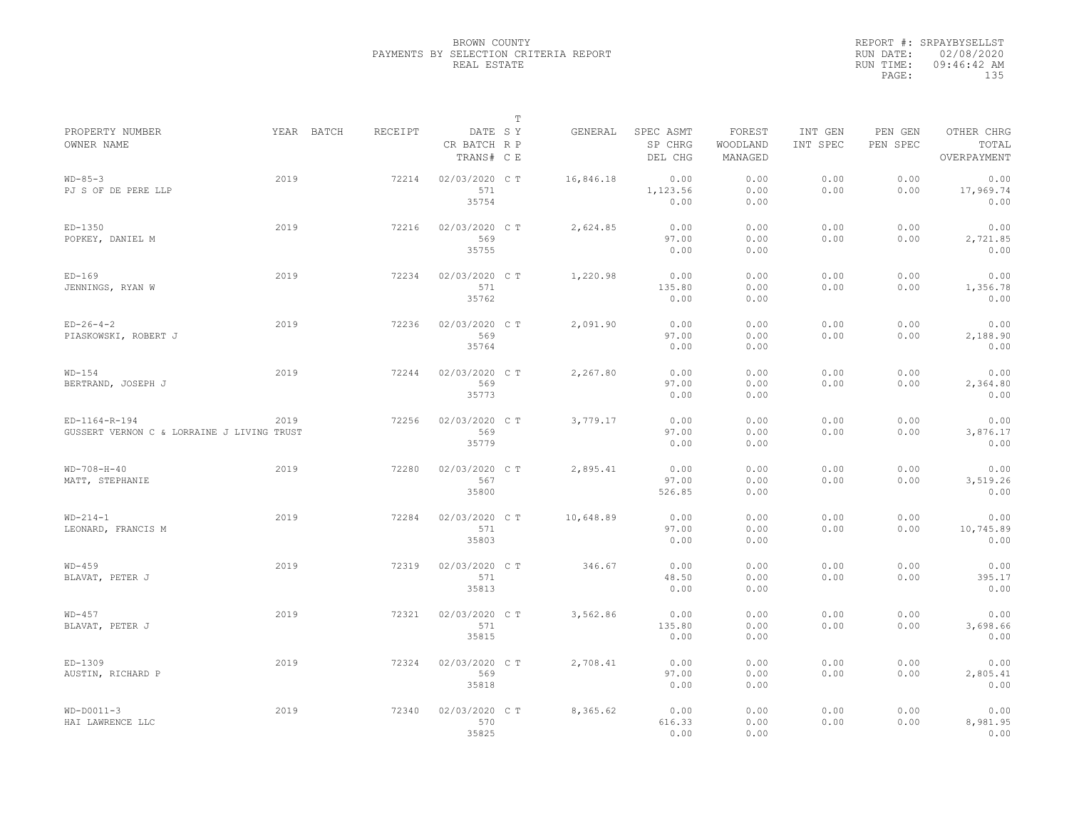|                                                             |      |            |         |                                       | $\mathbb T$ |           |                                 |                               |                     |                     |                                    |
|-------------------------------------------------------------|------|------------|---------|---------------------------------------|-------------|-----------|---------------------------------|-------------------------------|---------------------|---------------------|------------------------------------|
| PROPERTY NUMBER<br>OWNER NAME                               |      | YEAR BATCH | RECEIPT | DATE SY<br>CR BATCH R P<br>TRANS# C E |             | GENERAL   | SPEC ASMT<br>SP CHRG<br>DEL CHG | FOREST<br>WOODLAND<br>MANAGED | INT GEN<br>INT SPEC | PEN GEN<br>PEN SPEC | OTHER CHRG<br>TOTAL<br>OVERPAYMENT |
| $WD-85-3$<br>PJ S OF DE PERE LLP                            | 2019 |            | 72214   | 02/03/2020 C T<br>571<br>35754        |             | 16,846.18 | 0.00<br>1,123.56<br>0.00        | 0.00<br>0.00<br>0.00          | 0.00<br>0.00        | 0.00<br>0.00        | 0.00<br>17,969.74<br>0.00          |
| $ED-1350$<br>POPKEY, DANIEL M                               | 2019 |            | 72216   | 02/03/2020 C T<br>569<br>35755        |             | 2,624.85  | 0.00<br>97.00<br>0.00           | 0.00<br>0.00<br>0.00          | 0.00<br>0.00        | 0.00<br>0.00        | 0.00<br>2,721.85<br>0.00           |
| $ED-169$<br>JENNINGS, RYAN W                                | 2019 |            | 72234   | 02/03/2020 C T<br>571<br>35762        |             | 1,220.98  | 0.00<br>135.80<br>0.00          | 0.00<br>0.00<br>0.00          | 0.00<br>0.00        | 0.00<br>0.00        | 0.00<br>1,356.78<br>0.00           |
| $ED-26-4-2$<br>PIASKOWSKI, ROBERT J                         | 2019 |            | 72236   | 02/03/2020 C T<br>569<br>35764        |             | 2,091.90  | 0.00<br>97.00<br>0.00           | 0.00<br>0.00<br>0.00          | 0.00<br>0.00        | 0.00<br>0.00        | 0.00<br>2,188.90<br>0.00           |
| $WD-154$<br>BERTRAND, JOSEPH J                              | 2019 |            | 72244   | 02/03/2020 C T<br>569<br>35773        |             | 2,267.80  | 0.00<br>97.00<br>0.00           | 0.00<br>0.00<br>0.00          | 0.00<br>0.00        | 0.00<br>0.00        | 0.00<br>2,364.80<br>0.00           |
| ED-1164-R-194<br>GUSSERT VERNON C & LORRAINE J LIVING TRUST | 2019 |            | 72256   | 02/03/2020 C T<br>569<br>35779        |             | 3,779.17  | 0.00<br>97.00<br>0.00           | 0.00<br>0.00<br>0.00          | 0.00<br>0.00        | 0.00<br>0.00        | 0.00<br>3,876.17<br>0.00           |
| $WD-708-H-40$<br>MATT, STEPHANIE                            | 2019 |            | 72280   | 02/03/2020 C T<br>567<br>35800        |             | 2,895.41  | 0.00<br>97.00<br>526.85         | 0.00<br>0.00<br>0.00          | 0.00<br>0.00        | 0.00<br>0.00        | 0.00<br>3,519.26<br>0.00           |
| $WD-214-1$<br>LEONARD, FRANCIS M                            | 2019 |            | 72284   | 02/03/2020 C T<br>571<br>35803        |             | 10,648.89 | 0.00<br>97.00<br>0.00           | 0.00<br>0.00<br>0.00          | 0.00<br>0.00        | 0.00<br>0.00        | 0.00<br>10,745.89<br>0.00          |
| $WD-459$<br>BLAVAT, PETER J                                 | 2019 |            | 72319   | 02/03/2020 C T<br>571<br>35813        |             | 346.67    | 0.00<br>48.50<br>0.00           | 0.00<br>0.00<br>0.00          | 0.00<br>0.00        | 0.00<br>0.00        | 0.00<br>395.17<br>0.00             |
| $WD-457$<br>BLAVAT, PETER J                                 | 2019 |            | 72321   | 02/03/2020 CT<br>571<br>35815         |             | 3,562.86  | 0.00<br>135.80<br>0.00          | 0.00<br>0.00<br>0.00          | 0.00<br>0.00        | 0.00<br>0.00        | 0.00<br>3,698.66<br>0.00           |
| ED-1309<br>AUSTIN, RICHARD P                                | 2019 |            | 72324   | 02/03/2020 C T<br>569<br>35818        |             | 2,708.41  | 0.00<br>97.00<br>0.00           | 0.00<br>0.00<br>0.00          | 0.00<br>0.00        | 0.00<br>0.00        | 0.00<br>2,805.41<br>0.00           |
| $WD-DOO11-3$<br>HAI LAWRENCE LLC                            | 2019 |            | 72340   | 02/03/2020 CT<br>570<br>35825         |             | 8,365.62  | 0.00<br>616.33<br>0.00          | 0.00<br>0.00<br>0.00          | 0.00<br>0.00        | 0.00<br>0.00        | 0.00<br>8,981.95<br>0.00           |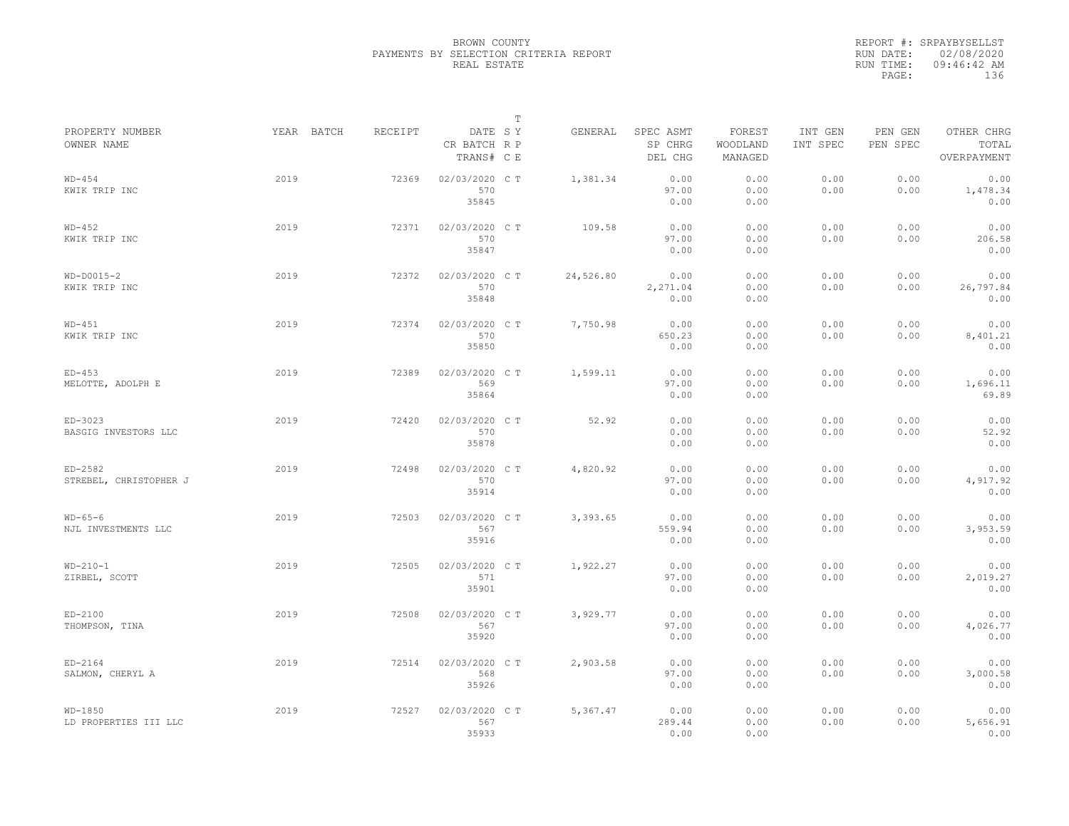|                                     |            |                |                                       | $\mathbb T$ |           |                                 |                               |                     |                     |                                    |
|-------------------------------------|------------|----------------|---------------------------------------|-------------|-----------|---------------------------------|-------------------------------|---------------------|---------------------|------------------------------------|
| PROPERTY NUMBER<br>OWNER NAME       | YEAR BATCH | <b>RECEIPT</b> | DATE SY<br>CR BATCH R P<br>TRANS# C E |             | GENERAL   | SPEC ASMT<br>SP CHRG<br>DEL CHG | FOREST<br>WOODLAND<br>MANAGED | INT GEN<br>INT SPEC | PEN GEN<br>PEN SPEC | OTHER CHRG<br>TOTAL<br>OVERPAYMENT |
| $WD-454$<br>KWIK TRIP INC           | 2019       | 72369          | 02/03/2020 CT<br>570<br>35845         |             | 1,381.34  | 0.00<br>97.00<br>0.00           | 0.00<br>0.00<br>0.00          | 0.00<br>0.00        | 0.00<br>0.00        | 0.00<br>1,478.34<br>0.00           |
| $WD-452$<br>KWIK TRIP INC           | 2019       | 72371          | 02/03/2020 C T<br>570<br>35847        |             | 109.58    | 0.00<br>97.00<br>0.00           | 0.00<br>0.00<br>0.00          | 0.00<br>0.00        | 0.00<br>0.00        | 0.00<br>206.58<br>0.00             |
| $WD-DOO15-2$<br>KWIK TRIP INC       | 2019       | 72372          | 02/03/2020 CT<br>570<br>35848         |             | 24,526.80 | 0.00<br>2,271.04<br>0.00        | 0.00<br>0.00<br>0.00          | 0.00<br>0.00        | 0.00<br>0.00        | 0.00<br>26,797.84<br>0.00          |
| $WD-451$<br>KWIK TRIP INC           | 2019       | 72374          | 02/03/2020 C T<br>570<br>35850        |             | 7,750.98  | 0.00<br>650.23<br>0.00          | 0.00<br>0.00<br>0.00          | 0.00<br>0.00        | 0.00<br>0.00        | 0.00<br>8,401.21<br>0.00           |
| $ED-453$<br>MELOTTE, ADOLPH E       | 2019       | 72389          | 02/03/2020 CT<br>569<br>35864         |             | 1,599.11  | 0.00<br>97.00<br>0.00           | 0.00<br>0.00<br>0.00          | 0.00<br>0.00        | 0.00<br>0.00        | 0.00<br>1,696.11<br>69.89          |
| ED-3023<br>BASGIG INVESTORS LLC     | 2019       | 72420          | 02/03/2020 C T<br>570<br>35878        |             | 52.92     | 0.00<br>0.00<br>0.00            | 0.00<br>0.00<br>0.00          | 0.00<br>0.00        | 0.00<br>0.00        | 0.00<br>52.92<br>0.00              |
| $ED-2582$<br>STREBEL, CHRISTOPHER J | 2019       | 72498          | 02/03/2020 C T<br>570<br>35914        |             | 4,820.92  | 0.00<br>97.00<br>0.00           | 0.00<br>0.00<br>0.00          | 0.00<br>0.00        | 0.00<br>0.00        | 0.00<br>4,917.92<br>0.00           |
| $WD-65-6$<br>NJL INVESTMENTS LLC    | 2019       | 72503          | 02/03/2020 C T<br>567<br>35916        |             | 3,393.65  | 0.00<br>559.94<br>0.00          | 0.00<br>0.00<br>0.00          | 0.00<br>0.00        | 0.00<br>0.00        | 0.00<br>3,953.59<br>0.00           |
| $WD-210-1$<br>ZIRBEL, SCOTT         | 2019       | 72505          | 02/03/2020 CT<br>571<br>35901         |             | 1,922.27  | 0.00<br>97.00<br>0.00           | 0.00<br>0.00<br>0.00          | 0.00<br>0.00        | 0.00<br>0.00        | 0.00<br>2,019.27<br>0.00           |
| $ED-2100$<br>THOMPSON, TINA         | 2019       | 72508          | 02/03/2020 C T<br>567<br>35920        |             | 3,929.77  | 0.00<br>97.00<br>0.00           | 0.00<br>0.00<br>0.00          | 0.00<br>0.00        | 0.00<br>0.00        | 0.00<br>4,026.77<br>0.00           |
| $ED-2164$<br>SALMON, CHERYL A       | 2019       | 72514          | 02/03/2020 CT<br>568<br>35926         |             | 2,903.58  | 0.00<br>97.00<br>0.00           | 0.00<br>0.00<br>0.00          | 0.00<br>0.00        | 0.00<br>0.00        | 0.00<br>3,000.58<br>0.00           |
| WD-1850<br>LD PROPERTIES III LLC    | 2019       | 72527          | 02/03/2020 CT<br>567<br>35933         |             | 5,367.47  | 0.00<br>289.44<br>0.00          | 0.00<br>0.00<br>0.00          | 0.00<br>0.00        | 0.00<br>0.00        | 0.00<br>5,656.91<br>0.00           |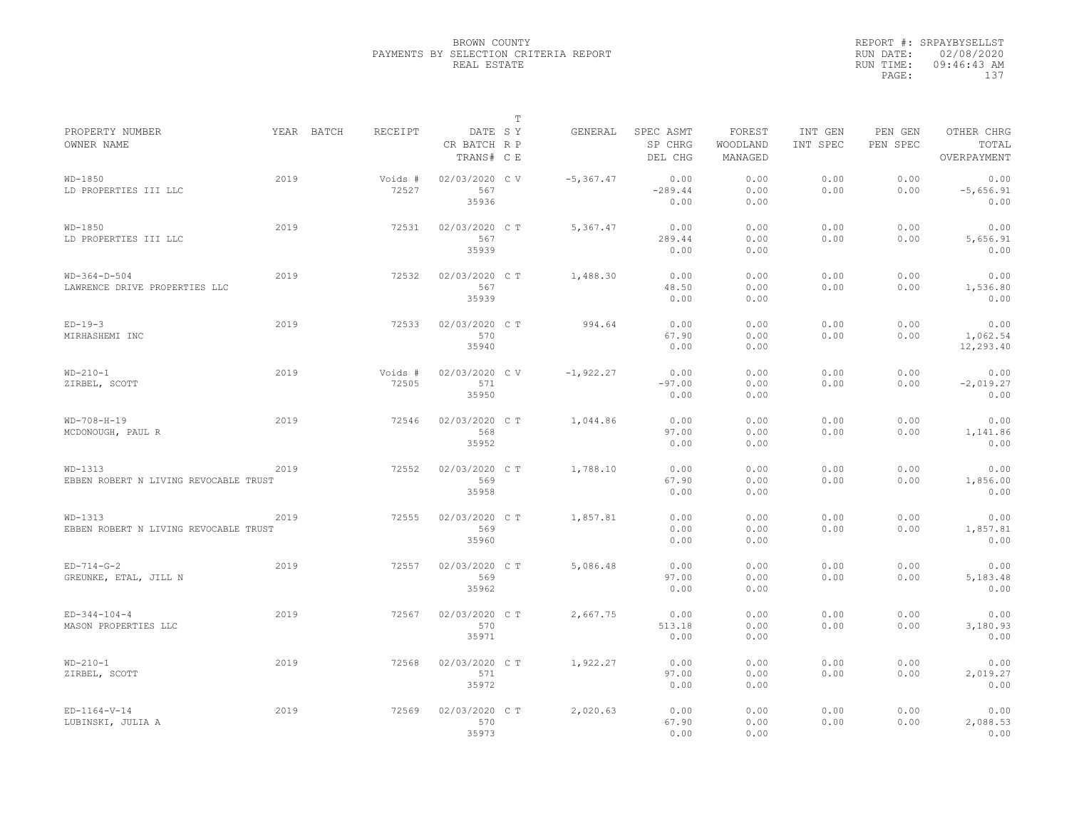|                                                  |      |                       |                                       | T |               |                                 |                               |                     |                     |                                    |
|--------------------------------------------------|------|-----------------------|---------------------------------------|---|---------------|---------------------------------|-------------------------------|---------------------|---------------------|------------------------------------|
| PROPERTY NUMBER<br>OWNER NAME                    |      | YEAR BATCH<br>RECEIPT | DATE SY<br>CR BATCH R P<br>TRANS# C E |   | GENERAL       | SPEC ASMT<br>SP CHRG<br>DEL CHG | FOREST<br>WOODLAND<br>MANAGED | INT GEN<br>INT SPEC | PEN GEN<br>PEN SPEC | OTHER CHRG<br>TOTAL<br>OVERPAYMENT |
| $WD-1850$<br>LD PROPERTIES III LLC               | 2019 | Voids #<br>72527      | 02/03/2020 CV<br>567<br>35936         |   | $-5, 367, 47$ | 0.00<br>$-289.44$<br>0.00       | 0.00<br>0.00<br>0.00          | 0.00<br>0.00        | 0.00<br>0.00        | 0.00<br>$-5,656.91$<br>0.00        |
| $WD-1850$<br>LD PROPERTIES III LLC               | 2019 | 72531                 | 02/03/2020 C T<br>567<br>35939        |   | 5,367.47      | 0.00<br>289.44<br>0.00          | 0.00<br>0.00<br>0.00          | 0.00<br>0.00        | 0.00<br>0.00        | 0.00<br>5,656.91<br>0.00           |
| $WD-364-D-504$<br>LAWRENCE DRIVE PROPERTIES LLC  | 2019 | 72532                 | 02/03/2020 C T<br>567<br>35939        |   | 1,488.30      | 0.00<br>48.50<br>0.00           | 0.00<br>0.00<br>0.00          | 0.00<br>0.00        | 0.00<br>0.00        | 0.00<br>1,536.80<br>0.00           |
| $ED-19-3$<br>MIRHASHEMI INC                      | 2019 | 72533                 | 02/03/2020 C T<br>570<br>35940        |   | 994.64        | 0.00<br>67.90<br>0.00           | 0.00<br>0.00<br>0.00          | 0.00<br>0.00        | 0.00<br>0.00        | 0.00<br>1,062.54<br>12,293.40      |
| $WD-210-1$<br>ZIRBEL, SCOTT                      | 2019 | Voids #<br>72505      | 02/03/2020 CV<br>571<br>35950         |   | $-1, 922.27$  | 0.00<br>$-97.00$<br>0.00        | 0.00<br>0.00<br>0.00          | 0.00<br>0.00        | 0.00<br>0.00        | 0.00<br>$-2,019.27$<br>0.00        |
| $WD-708-H-19$<br>MCDONOUGH, PAUL R               | 2019 | 72546                 | 02/03/2020 C T<br>568<br>35952        |   | 1,044.86      | 0.00<br>97.00<br>0.00           | 0.00<br>0.00<br>0.00          | 0.00<br>0.00        | 0.00<br>0.00        | 0.00<br>1,141.86<br>0.00           |
| WD-1313<br>EBBEN ROBERT N LIVING REVOCABLE TRUST | 2019 | 72552                 | 02/03/2020 C T<br>569<br>35958        |   | 1,788.10      | 0.00<br>67.90<br>0.00           | 0.00<br>0.00<br>0.00          | 0.00<br>0.00        | 0.00<br>0.00        | 0.00<br>1,856.00<br>0.00           |
| WD-1313<br>EBBEN ROBERT N LIVING REVOCABLE TRUST | 2019 | 72555                 | 02/03/2020 C T<br>569<br>35960        |   | 1,857.81      | 0.00<br>0.00<br>0.00            | 0.00<br>0.00<br>0.00          | 0.00<br>0.00        | 0.00<br>0.00        | 0.00<br>1,857.81<br>0.00           |
| $ED-714-G-2$<br>GREUNKE, ETAL, JILL N            | 2019 | 72557                 | 02/03/2020 C T<br>569<br>35962        |   | 5.086.48      | 0.00<br>97.00<br>0.00           | 0.00<br>0.00<br>0.00          | 0.00<br>0.00        | 0.00<br>0.00        | 0.00<br>5,183.48<br>0.00           |
| $ED-344-104-4$<br>MASON PROPERTIES LLC           | 2019 | 72567                 | 02/03/2020 C T<br>570<br>35971        |   | 2,667.75      | 0.00<br>513.18<br>0.00          | 0.00<br>0.00<br>0.00          | 0.00<br>0.00        | 0.00<br>0.00        | 0.00<br>3,180.93<br>0.00           |
| $WD - 210 - 1$<br>ZIRBEL, SCOTT                  | 2019 | 72568                 | 02/03/2020 C T<br>571<br>35972        |   | 1,922.27      | 0.00<br>97.00<br>0.00           | 0.00<br>0.00<br>0.00          | 0.00<br>0.00        | 0.00<br>0.00        | 0.00<br>2,019.27<br>0.00           |
| $ED-1164-V-14$<br>LUBINSKI, JULIA A              | 2019 | 72569                 | 02/03/2020 C T<br>570<br>35973        |   | 2,020.63      | 0.00<br>67.90<br>0.00           | 0.00<br>0.00<br>0.00          | 0.00<br>0.00        | 0.00<br>0.00        | 0.00<br>2,088.53<br>0.00           |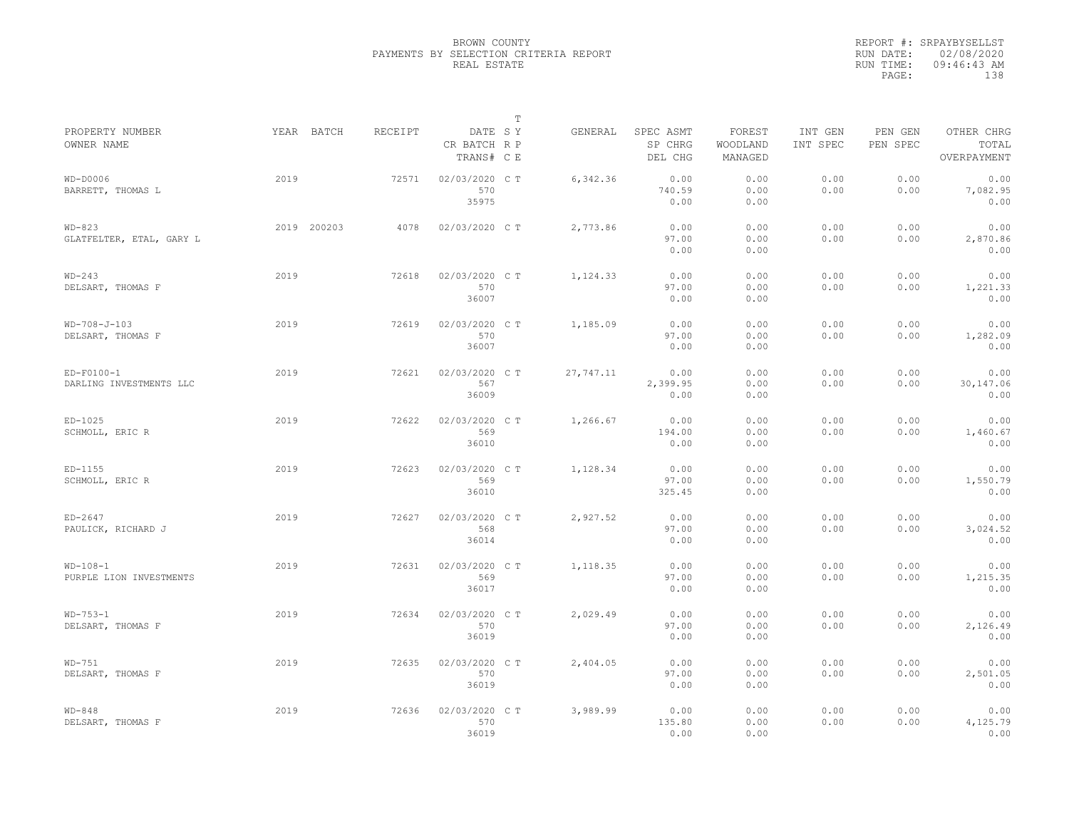|                                         |             |         |                                       | $\mathbb T$ |           |                                 |                               |                     |                     |                                    |
|-----------------------------------------|-------------|---------|---------------------------------------|-------------|-----------|---------------------------------|-------------------------------|---------------------|---------------------|------------------------------------|
| PROPERTY NUMBER<br>OWNER NAME           | YEAR BATCH  | RECEIPT | DATE SY<br>CR BATCH R P<br>TRANS# C E |             | GENERAL   | SPEC ASMT<br>SP CHRG<br>DEL CHG | FOREST<br>WOODLAND<br>MANAGED | INT GEN<br>INT SPEC | PEN GEN<br>PEN SPEC | OTHER CHRG<br>TOTAL<br>OVERPAYMENT |
| $WD-DOOO6$<br>BARRETT, THOMAS L         | 2019        | 72571   | 02/03/2020 CT<br>570<br>35975         |             | 6,342.36  | 0.00<br>740.59<br>0.00          | 0.00<br>0.00<br>0.00          | 0.00<br>0.00        | 0.00<br>0.00        | 0.00<br>7,082.95<br>0.00           |
| $WD-823$<br>GLATFELTER, ETAL, GARY L    | 2019 200203 | 4078    | 02/03/2020 C T                        |             | 2,773.86  | 0.00<br>97.00<br>0.00           | 0.00<br>0.00<br>0.00          | 0.00<br>0.00        | 0.00<br>0.00        | 0.00<br>2,870.86<br>0.00           |
| $WD-243$<br>DELSART, THOMAS F           | 2019        | 72618   | 02/03/2020 C T<br>570<br>36007        |             | 1,124.33  | 0.00<br>97.00<br>0.00           | 0.00<br>0.00<br>0.00          | 0.00<br>0.00        | 0.00<br>0.00        | 0.00<br>1,221.33<br>0.00           |
| WD-708-J-103<br>DELSART, THOMAS F       | 2019        | 72619   | 02/03/2020 C T<br>570<br>36007        |             | 1,185.09  | 0.00<br>97.00<br>0.00           | 0.00<br>0.00<br>0.00          | 0.00<br>0.00        | 0.00<br>0.00        | 0.00<br>1,282.09<br>0.00           |
| $ED-F0100-1$<br>DARLING INVESTMENTS LLC | 2019        | 72621   | 02/03/2020 CT<br>567<br>36009         |             | 27,747.11 | 0.00<br>2,399.95<br>0.00        | 0.00<br>0.00<br>0.00          | 0.00<br>0.00        | 0.00<br>0.00        | 0.00<br>30,147.06<br>0.00          |
| $ED-1025$<br>SCHMOLL, ERIC R            | 2019        | 72622   | 02/03/2020 C T<br>569<br>36010        |             | 1,266.67  | 0.00<br>194.00<br>0.00          | 0.00<br>0.00<br>0.00          | 0.00<br>0.00        | 0.00<br>0.00        | 0.00<br>1,460.67<br>0.00           |
| $ED-1155$<br>SCHMOLL, ERIC R            | 2019        | 72623   | 02/03/2020 CT<br>569<br>36010         |             | 1,128.34  | 0.00<br>97.00<br>325.45         | 0.00<br>0.00<br>0.00          | 0.00<br>0.00        | 0.00<br>0.00        | 0.00<br>1,550.79<br>0.00           |
| $ED-2647$<br>PAULICK, RICHARD J         | 2019        | 72627   | 02/03/2020 CT<br>568<br>36014         |             | 2,927.52  | 0.00<br>97.00<br>0.00           | 0.00<br>0.00<br>0.00          | 0.00<br>0.00        | 0.00<br>0.00        | 0.00<br>3,024.52<br>0.00           |
| $WD-108-1$<br>PURPLE LION INVESTMENTS   | 2019        | 72631   | 02/03/2020 C T<br>569<br>36017        |             | 1,118.35  | 0.00<br>97.00<br>0.00           | 0.00<br>0.00<br>0.00          | 0.00<br>0.00        | 0.00<br>0.00        | 0.00<br>1,215.35<br>0.00           |
| $WD-753-1$<br>DELSART, THOMAS F         | 2019        | 72634   | 02/03/2020 CT<br>570<br>36019         |             | 2,029.49  | 0.00<br>97.00<br>0.00           | 0.00<br>0.00<br>0.00          | 0.00<br>0.00        | 0.00<br>0.00        | 0.00<br>2,126.49<br>0.00           |
| $WD-751$<br>DELSART, THOMAS F           | 2019        | 72635   | 02/03/2020 C T<br>570<br>36019        |             | 2,404.05  | 0.00<br>97.00<br>0.00           | 0.00<br>0.00<br>0.00          | 0.00<br>0.00        | 0.00<br>0.00        | 0.00<br>2,501.05<br>0.00           |
| $WD-848$<br>DELSART, THOMAS F           | 2019        | 72636   | 02/03/2020 CT<br>570<br>36019         |             | 3,989.99  | 0.00<br>135.80<br>0.00          | 0.00<br>0.00<br>0.00          | 0.00<br>0.00        | 0.00<br>0.00        | 0.00<br>4,125.79<br>0.00           |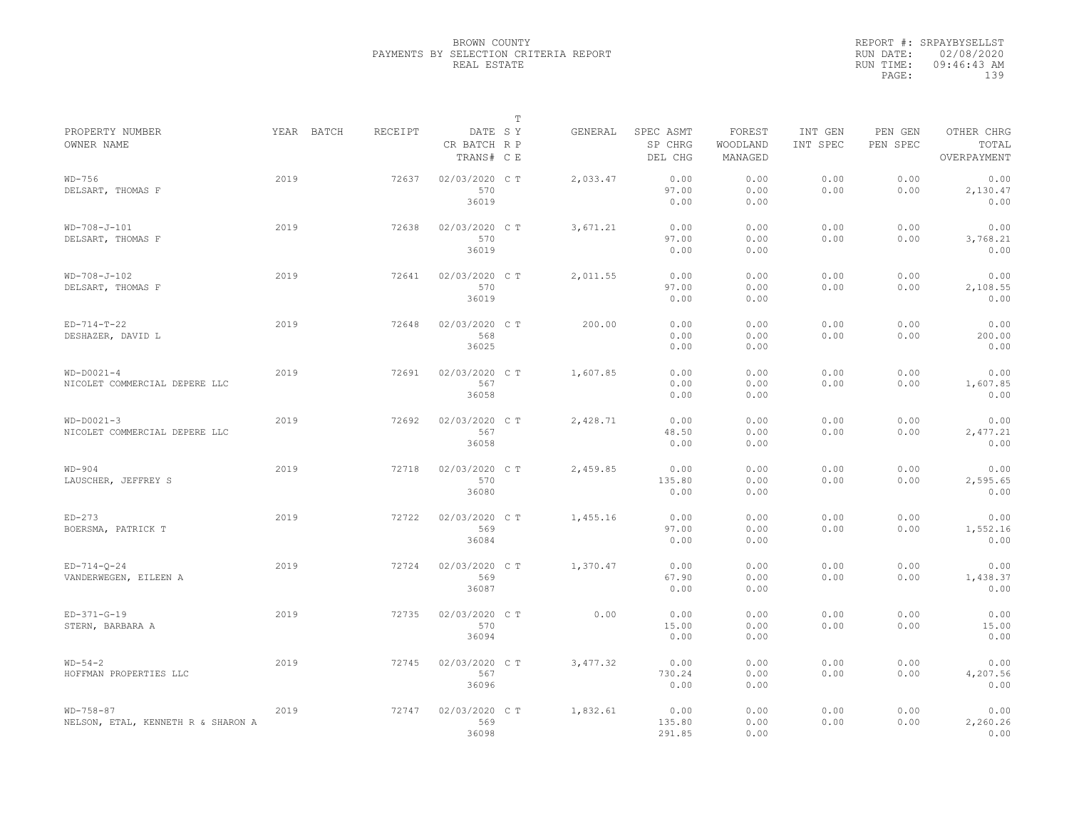|                                                       |            |         |                                       | $\mathbb T$ |          |                                 |                               |                     |                     |                                    |
|-------------------------------------------------------|------------|---------|---------------------------------------|-------------|----------|---------------------------------|-------------------------------|---------------------|---------------------|------------------------------------|
| PROPERTY NUMBER<br>OWNER NAME                         | YEAR BATCH | RECEIPT | DATE SY<br>CR BATCH R P<br>TRANS# C E |             | GENERAL  | SPEC ASMT<br>SP CHRG<br>DEL CHG | FOREST<br>WOODLAND<br>MANAGED | INT GEN<br>INT SPEC | PEN GEN<br>PEN SPEC | OTHER CHRG<br>TOTAL<br>OVERPAYMENT |
| $WD-756$<br>DELSART, THOMAS F                         | 2019       | 72637   | 02/03/2020 CT<br>570<br>36019         |             | 2,033.47 | 0.00<br>97.00<br>0.00           | 0.00<br>0.00<br>0.00          | 0.00<br>0.00        | 0.00<br>0.00        | 0.00<br>2,130.47<br>0.00           |
| $WD-708-J-101$<br>DELSART, THOMAS F                   | 2019       | 72638   | 02/03/2020 C T<br>570<br>36019        |             | 3,671.21 | 0.00<br>97.00<br>0.00           | 0.00<br>0.00<br>0.00          | 0.00<br>0.00        | 0.00<br>0.00        | 0.00<br>3,768.21<br>0.00           |
| $WD-708-J-102$<br>DELSART, THOMAS F                   | 2019       | 72641   | 02/03/2020 C T<br>570<br>36019        |             | 2,011.55 | 0.00<br>97.00<br>0.00           | 0.00<br>0.00<br>0.00          | 0.00<br>0.00        | 0.00<br>0.00        | 0.00<br>2,108.55<br>0.00           |
| $ED-714-T-22$<br>DESHAZER, DAVID L                    | 2019       | 72648   | 02/03/2020 C T<br>568<br>36025        |             | 200.00   | 0.00<br>0.00<br>0.00            | 0.00<br>0.00<br>0.00          | 0.00<br>0.00        | 0.00<br>0.00        | 0.00<br>200.00<br>0.00             |
| $WD-DOO21-4$<br>NICOLET COMMERCIAL DEPERE LLC         | 2019       | 72691   | 02/03/2020 C T<br>567<br>36058        |             | 1,607.85 | 0.00<br>0.00<br>0.00            | 0.00<br>0.00<br>0.00          | 0.00<br>0.00        | 0.00<br>0.00        | 0.00<br>1,607.85<br>0.00           |
| $WD-DOO21-3$<br>NICOLET COMMERCIAL DEPERE LLC         | 2019       | 72692   | 02/03/2020 CT<br>567<br>36058         |             | 2,428.71 | 0.00<br>48.50<br>0.00           | 0.00<br>0.00<br>0.00          | 0.00<br>0.00        | 0.00<br>0.00        | 0.00<br>2,477.21<br>0.00           |
| $WD-904$<br>LAUSCHER, JEFFREY S                       | 2019       | 72718   | 02/03/2020 CT<br>570<br>36080         |             | 2,459.85 | 0.00<br>135.80<br>0.00          | 0.00<br>0.00<br>0.00          | 0.00<br>0.00        | 0.00<br>0.00        | 0.00<br>2,595.65<br>0.00           |
| $ED-273$<br>BOERSMA, PATRICK T                        | 2019       | 72722   | 02/03/2020 C T<br>569<br>36084        |             | 1,455.16 | 0.00<br>97.00<br>0.00           | 0.00<br>0.00<br>0.00          | 0.00<br>0.00        | 0.00<br>0.00        | 0.00<br>1,552.16<br>0.00           |
| $ED-714-Q-24$<br>VANDERWEGEN, EILEEN A                | 2019       | 72724   | 02/03/2020 CT<br>569<br>36087         |             | 1,370.47 | 0.00<br>67.90<br>0.00           | 0.00<br>0.00<br>0.00          | 0.00<br>0.00        | 0.00<br>0.00        | 0.00<br>1,438.37<br>0.00           |
| $ED-371-G-19$<br>STERN, BARBARA A                     | 2019       | 72735   | 02/03/2020 CT<br>570<br>36094         |             | 0.00     | 0.00<br>15.00<br>0.00           | 0.00<br>0.00<br>0.00          | 0.00<br>0.00        | 0.00<br>0.00        | 0.00<br>15.00<br>0.00              |
| $WD-54-2$<br>HOFFMAN PROPERTIES LLC                   | 2019       | 72745   | 02/03/2020 C T<br>567<br>36096        |             | 3,477.32 | 0.00<br>730.24<br>0.00          | 0.00<br>0.00<br>0.00          | 0.00<br>0.00        | 0.00<br>0.00        | 0.00<br>4,207.56<br>0.00           |
| $WD - 758 - 87$<br>NELSON, ETAL, KENNETH R & SHARON A | 2019       | 72747   | 02/03/2020 CT<br>569<br>36098         |             | 1,832.61 | 0.00<br>135.80<br>291.85        | 0.00<br>0.00<br>0.00          | 0.00<br>0.00        | 0.00<br>0.00        | 0.00<br>2,260.26<br>0.00           |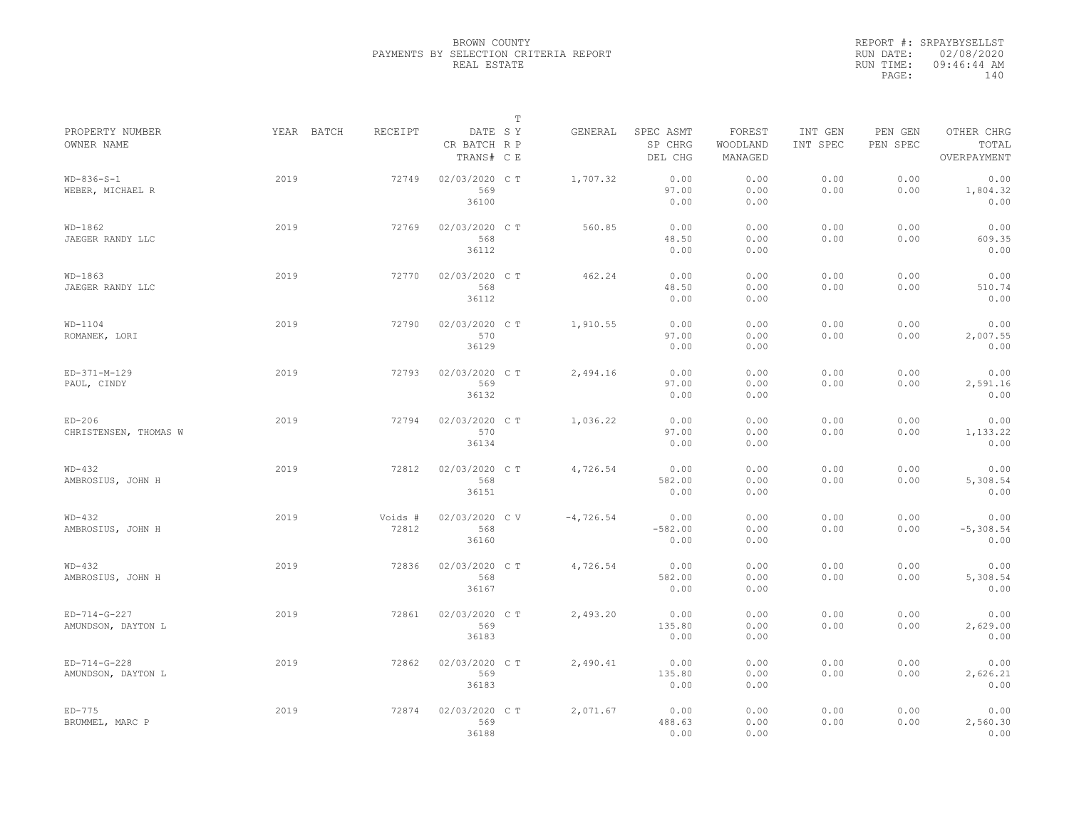|                                      |            |                  |                                       | $\mathbb T$ |             |                                 |                               |                     |                     |                                    |
|--------------------------------------|------------|------------------|---------------------------------------|-------------|-------------|---------------------------------|-------------------------------|---------------------|---------------------|------------------------------------|
| PROPERTY NUMBER<br>OWNER NAME        | YEAR BATCH | RECEIPT          | DATE SY<br>CR BATCH R P<br>TRANS# C E |             | GENERAL     | SPEC ASMT<br>SP CHRG<br>DEL CHG | FOREST<br>WOODLAND<br>MANAGED | INT GEN<br>INT SPEC | PEN GEN<br>PEN SPEC | OTHER CHRG<br>TOTAL<br>OVERPAYMENT |
| $WD-836-S-1$<br>WEBER, MICHAEL R     | 2019       | 72749            | 02/03/2020 C T<br>569<br>36100        |             | 1,707.32    | 0.00<br>97.00<br>0.00           | 0.00<br>0.00<br>0.00          | 0.00<br>0.00        | 0.00<br>0.00        | 0.00<br>1,804.32<br>0.00           |
| $WD-1862$<br>JAEGER RANDY LLC        | 2019       | 72769            | 02/03/2020 C T<br>568<br>36112        |             | 560.85      | 0.00<br>48.50<br>0.00           | 0.00<br>0.00<br>0.00          | 0.00<br>0.00        | 0.00<br>0.00        | 0.00<br>609.35<br>0.00             |
| $WD-1863$<br>JAEGER RANDY LLC        | 2019       | 72770            | 02/03/2020 C T<br>568<br>36112        |             | 462.24      | 0.00<br>48.50<br>0.00           | 0.00<br>0.00<br>0.00          | 0.00<br>0.00        | 0.00<br>0.00        | 0.00<br>510.74<br>0.00             |
| $WD-1104$<br>ROMANEK, LORI           | 2019       | 72790            | 02/03/2020 C T<br>570<br>36129        |             | 1,910.55    | 0.00<br>97.00<br>0.00           | 0.00<br>0.00<br>0.00          | 0.00<br>0.00        | 0.00<br>0.00        | 0.00<br>2,007.55<br>0.00           |
| ED-371-M-129<br>PAUL, CINDY          | 2019       | 72793            | 02/03/2020 C T<br>569<br>36132        |             | 2,494.16    | 0.00<br>97.00<br>0.00           | 0.00<br>0.00<br>0.00          | 0.00<br>0.00        | 0.00<br>0.00        | 0.00<br>2,591.16<br>0.00           |
| $ED-206$<br>CHRISTENSEN, THOMAS W    | 2019       | 72794            | 02/03/2020 CT<br>570<br>36134         |             | 1,036.22    | 0.00<br>97.00<br>0.00           | 0.00<br>0.00<br>0.00          | 0.00<br>0.00        | 0.00<br>0.00        | 0.00<br>1,133.22<br>0.00           |
| $WD-432$<br>AMBROSIUS, JOHN H        | 2019       | 72812            | 02/03/2020 CT<br>568<br>36151         |             | 4,726.54    | 0.00<br>582.00<br>0.00          | 0.00<br>0.00<br>0.00          | 0.00<br>0.00        | 0.00<br>0.00        | 0.00<br>5,308.54<br>0.00           |
| $WD-432$<br>AMBROSIUS, JOHN H        | 2019       | Voids #<br>72812 | 02/03/2020 CV<br>568<br>36160         |             | $-4,726.54$ | 0.00<br>$-582.00$<br>0.00       | 0.00<br>0.00<br>0.00          | 0.00<br>0.00        | 0.00<br>0.00        | 0.00<br>$-5,308.54$<br>0.00        |
| $WD-432$<br>AMBROSIUS, JOHN H        | 2019       | 72836            | 02/03/2020 CT<br>568<br>36167         |             | 4,726.54    | 0.00<br>582.00<br>0.00          | 0.00<br>0.00<br>0.00          | 0.00<br>0.00        | 0.00<br>0.00        | 0.00<br>5,308.54<br>0.00           |
| $ED-714-G-227$<br>AMUNDSON, DAYTON L | 2019       | 72861            | 02/03/2020 CT<br>569<br>36183         |             | 2,493.20    | 0.00<br>135.80<br>0.00          | 0.00<br>0.00<br>0.00          | 0.00<br>0.00        | 0.00<br>0.00        | 0.00<br>2,629.00<br>0.00           |
| $ED-714-G-228$<br>AMUNDSON, DAYTON L | 2019       | 72862            | 02/03/2020 C T<br>569<br>36183        |             | 2,490.41    | 0.00<br>135.80<br>0.00          | 0.00<br>0.00<br>0.00          | 0.00<br>0.00        | 0.00<br>0.00        | 0.00<br>2,626.21<br>0.00           |
| $ED-775$<br>BRUMMEL, MARC P          | 2019       | 72874            | 02/03/2020 CT<br>569<br>36188         |             | 2,071.67    | 0.00<br>488.63<br>0.00          | 0.00<br>0.00<br>0.00          | 0.00<br>0.00        | 0.00<br>0.00        | 0.00<br>2,560.30<br>0.00           |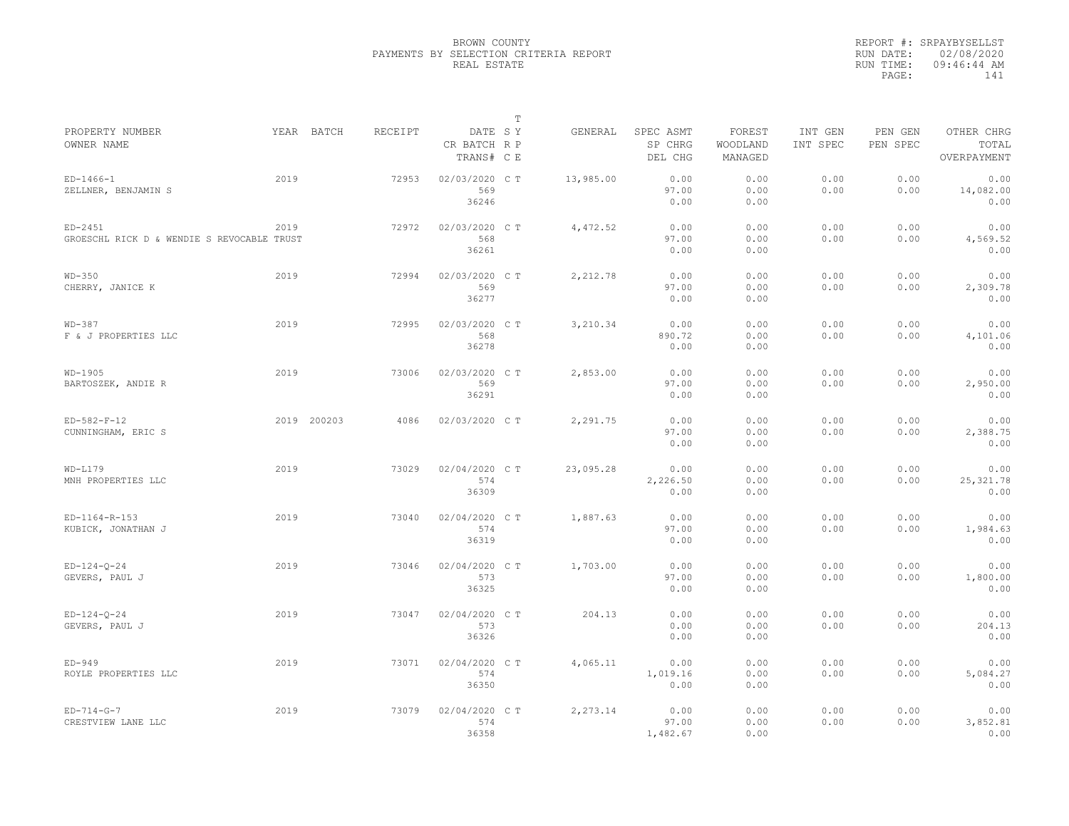|                                                         |      |             |         |                                       | $\mathbb T$ |           |                                 |                               |                     |                     |                                    |
|---------------------------------------------------------|------|-------------|---------|---------------------------------------|-------------|-----------|---------------------------------|-------------------------------|---------------------|---------------------|------------------------------------|
| PROPERTY NUMBER<br>OWNER NAME                           |      | YEAR BATCH  | RECEIPT | DATE SY<br>CR BATCH R P<br>TRANS# C E |             | GENERAL   | SPEC ASMT<br>SP CHRG<br>DEL CHG | FOREST<br>WOODLAND<br>MANAGED | INT GEN<br>INT SPEC | PEN GEN<br>PEN SPEC | OTHER CHRG<br>TOTAL<br>OVERPAYMENT |
| $ED-1466-1$<br>ZELLNER, BENJAMIN S                      | 2019 |             | 72953   | 02/03/2020 C T<br>569<br>36246        |             | 13,985.00 | 0.00<br>97.00<br>0.00           | 0.00<br>0.00<br>0.00          | 0.00<br>0.00        | 0.00<br>0.00        | 0.00<br>14,082.00<br>0.00          |
| $ED-2451$<br>GROESCHL RICK D & WENDIE S REVOCABLE TRUST | 2019 |             | 72972   | 02/03/2020 C T<br>568<br>36261        |             | 4,472.52  | 0.00<br>97.00<br>0.00           | 0.00<br>0.00<br>0.00          | 0.00<br>0.00        | 0.00<br>0.00        | 0.00<br>4,569.52<br>0.00           |
| $WD-350$<br>CHERRY, JANICE K                            | 2019 |             | 72994   | 02/03/2020 C T<br>569<br>36277        |             | 2,212.78  | 0.00<br>97.00<br>0.00           | 0.00<br>0.00<br>0.00          | 0.00<br>0.00        | 0.00<br>0.00        | 0.00<br>2,309.78<br>0.00           |
| $WD-387$<br>F & J PROPERTIES LLC                        | 2019 |             | 72995   | 02/03/2020 C T<br>568<br>36278        |             | 3,210.34  | 0.00<br>890.72<br>0.00          | 0.00<br>0.00<br>0.00          | 0.00<br>0.00        | 0.00<br>0.00        | 0.00<br>4,101.06<br>0.00           |
| WD-1905<br>BARTOSZEK, ANDIE R                           | 2019 |             | 73006   | 02/03/2020 C T<br>569<br>36291        |             | 2,853.00  | 0.00<br>97.00<br>0.00           | 0.00<br>0.00<br>0.00          | 0.00<br>0.00        | 0.00<br>0.00        | 0.00<br>2,950.00<br>0.00           |
| $ED-582-F-12$<br>CUNNINGHAM, ERIC S                     |      | 2019 200203 | 4086    | 02/03/2020 C T                        |             | 2,291.75  | 0.00<br>97.00<br>0.00           | 0.00<br>0.00<br>0.00          | 0.00<br>0.00        | 0.00<br>0.00        | 0.00<br>2,388.75<br>0.00           |
| $WD-L179$<br>MNH PROPERTIES LLC                         | 2019 |             | 73029   | 02/04/2020 CT<br>574<br>36309         |             | 23,095.28 | 0.00<br>2,226.50<br>0.00        | 0.00<br>0.00<br>0.00          | 0.00<br>0.00        | 0.00<br>0.00        | 0.00<br>25, 321.78<br>0.00         |
| ED-1164-R-153<br>KUBICK, JONATHAN J                     | 2019 |             | 73040   | 02/04/2020 C T<br>574<br>36319        |             | 1,887.63  | 0.00<br>97.00<br>0.00           | 0.00<br>0.00<br>0.00          | 0.00<br>0.00        | 0.00<br>0.00        | 0.00<br>1,984.63<br>0.00           |
| $ED-124-O-24$<br>GEVERS, PAUL J                         | 2019 |             | 73046   | 02/04/2020 C T<br>573<br>36325        |             | 1,703.00  | 0.00<br>97.00<br>0.00           | 0.00<br>0.00<br>0.00          | 0.00<br>0.00        | 0.00<br>0.00        | 0.00<br>1,800.00<br>0.00           |
| $ED-124-Q-24$<br>GEVERS, PAUL J                         | 2019 |             | 73047   | 02/04/2020 CT<br>573<br>36326         |             | 204.13    | 0.00<br>0.00<br>0.00            | 0.00<br>0.00<br>0.00          | 0.00<br>0.00        | 0.00<br>0.00        | 0.00<br>204.13<br>0.00             |
| $ED-949$<br>ROYLE PROPERTIES LLC                        | 2019 |             | 73071   | 02/04/2020 C T<br>574<br>36350        |             | 4,065.11  | 0.00<br>1,019.16<br>0.00        | 0.00<br>0.00<br>0.00          | 0.00<br>0.00        | 0.00<br>0.00        | 0.00<br>5,084.27<br>0.00           |
| $ED-714-G-7$<br>CRESTVIEW LANE LLC                      | 2019 |             | 73079   | 02/04/2020 C T<br>574<br>36358        |             | 2,273.14  | 0.00<br>97.00<br>1,482.67       | 0.00<br>0.00<br>0.00          | 0.00<br>0.00        | 0.00<br>0.00        | 0.00<br>3,852.81<br>0.00           |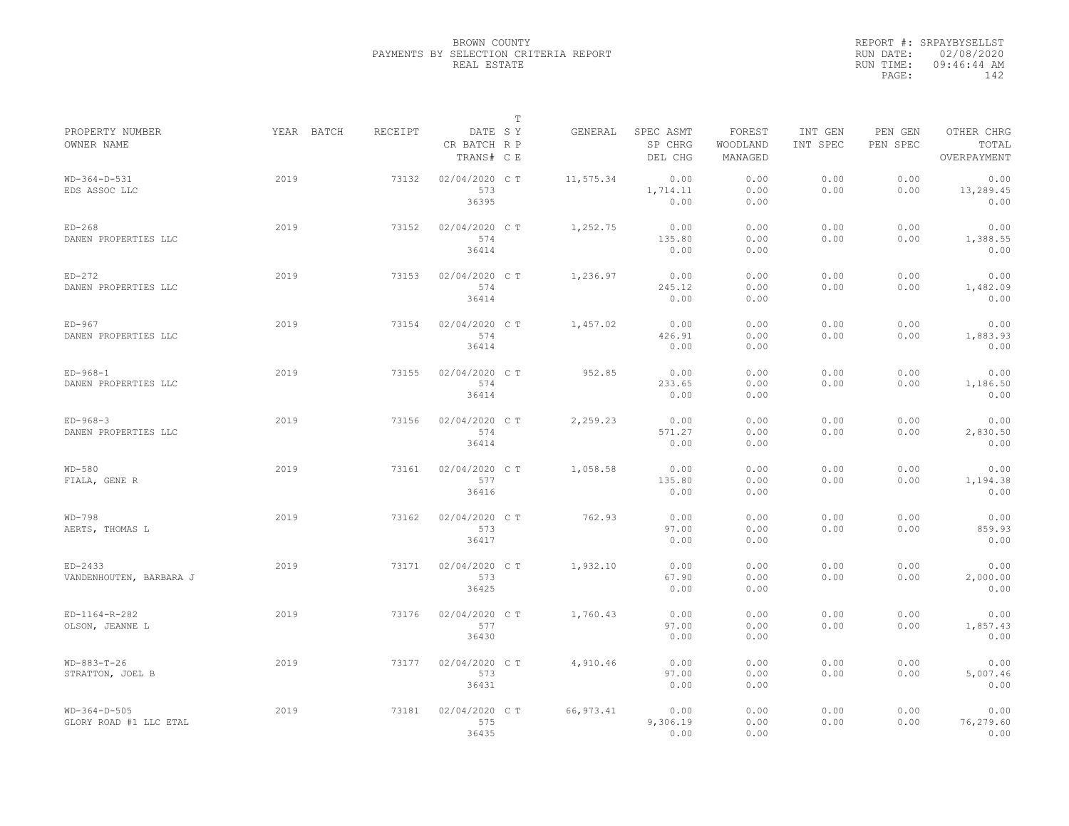|                                          |            |         |                                       | $\mathbb T$ |            |                                 |                               |                     |                     |                                    |
|------------------------------------------|------------|---------|---------------------------------------|-------------|------------|---------------------------------|-------------------------------|---------------------|---------------------|------------------------------------|
| PROPERTY NUMBER<br>OWNER NAME            | YEAR BATCH | RECEIPT | DATE SY<br>CR BATCH R P<br>TRANS# C E |             | GENERAL    | SPEC ASMT<br>SP CHRG<br>DEL CHG | FOREST<br>WOODLAND<br>MANAGED | INT GEN<br>INT SPEC | PEN GEN<br>PEN SPEC | OTHER CHRG<br>TOTAL<br>OVERPAYMENT |
| $WD-364-D-531$<br>EDS ASSOC LLC          | 2019       | 73132   | 02/04/2020 C T<br>573<br>36395        |             | 11,575.34  | 0.00<br>1,714.11<br>0.00        | 0.00<br>0.00<br>0.00          | 0.00<br>0.00        | 0.00<br>0.00        | 0.00<br>13,289.45<br>0.00          |
| $ED-268$<br>DANEN PROPERTIES LLC         | 2019       | 73152   | 02/04/2020 C T<br>574<br>36414        |             | 1,252.75   | 0.00<br>135.80<br>0.00          | 0.00<br>0.00<br>0.00          | 0.00<br>0.00        | 0.00<br>0.00        | 0.00<br>1,388.55<br>0.00           |
| $ED-272$<br>DANEN PROPERTIES LLC         | 2019       | 73153   | 02/04/2020 C T<br>574<br>36414        |             | 1,236.97   | 0.00<br>245.12<br>0.00          | 0.00<br>0.00<br>0.00          | 0.00<br>0.00        | 0.00<br>0.00        | 0.00<br>1,482.09<br>0.00           |
| $ED-967$<br>DANEN PROPERTIES LLC         | 2019       | 73154   | 02/04/2020 C T<br>574<br>36414        |             | 1,457.02   | 0.00<br>426.91<br>0.00          | 0.00<br>0.00<br>0.00          | 0.00<br>0.00        | 0.00<br>0.00        | 0.00<br>1,883.93<br>0.00           |
| $ED-968-1$<br>DANEN PROPERTIES LLC       | 2019       | 73155   | 02/04/2020 C T<br>574<br>36414        |             | 952.85     | 0.00<br>233.65<br>0.00          | 0.00<br>0.00<br>0.00          | 0.00<br>0.00        | 0.00<br>0.00        | 0.00<br>1,186.50<br>0.00           |
| $ED-968-3$<br>DANEN PROPERTIES LLC       | 2019       | 73156   | 02/04/2020 C T<br>574<br>36414        |             | 2,259.23   | 0.00<br>571.27<br>0.00          | 0.00<br>0.00<br>0.00          | 0.00<br>0.00        | 0.00<br>0.00        | 0.00<br>2,830.50<br>0.00           |
| $WD-580$<br>FIALA, GENE R                | 2019       | 73161   | 02/04/2020 C T<br>577<br>36416        |             | 1,058.58   | 0.00<br>135.80<br>0.00          | 0.00<br>0.00<br>0.00          | 0.00<br>0.00        | 0.00<br>0.00        | 0.00<br>1,194.38<br>0.00           |
| $WD-798$<br>AERTS, THOMAS L              | 2019       | 73162   | 02/04/2020 C T<br>573<br>36417        |             | 762.93     | 0.00<br>97.00<br>0.00           | 0.00<br>0.00<br>0.00          | 0.00<br>0.00        | 0.00<br>0.00        | 0.00<br>859.93<br>0.00             |
| $ED-2433$<br>VANDENHOUTEN, BARBARA J     | 2019       | 73171   | 02/04/2020 C T<br>573<br>36425        |             | 1,932.10   | 0.00<br>67.90<br>0.00           | 0.00<br>0.00<br>0.00          | 0.00<br>0.00        | 0.00<br>0.00        | 0.00<br>2,000.00<br>0.00           |
| ED-1164-R-282<br>OLSON, JEANNE L         | 2019       | 73176   | 02/04/2020 C T<br>577<br>36430        |             | 1,760.43   | 0.00<br>97.00<br>0.00           | 0.00<br>0.00<br>0.00          | 0.00<br>0.00        | 0.00<br>0.00        | 0.00<br>1,857.43<br>0.00           |
| $WD-883-T-26$<br>STRATTON, JOEL B        | 2019       | 73177   | 02/04/2020 C T<br>573<br>36431        |             | 4,910.46   | 0.00<br>97.00<br>0.00           | 0.00<br>0.00<br>0.00          | 0.00<br>0.00        | 0.00<br>0.00        | 0.00<br>5,007.46<br>0.00           |
| $WD-364-D-505$<br>GLORY ROAD #1 LLC ETAL | 2019       | 73181   | 02/04/2020 C T<br>575<br>36435        |             | 66, 973.41 | 0.00<br>9,306.19<br>0.00        | 0.00<br>0.00<br>0.00          | 0.00<br>0.00        | 0.00<br>0.00        | 0.00<br>76,279.60<br>0.00          |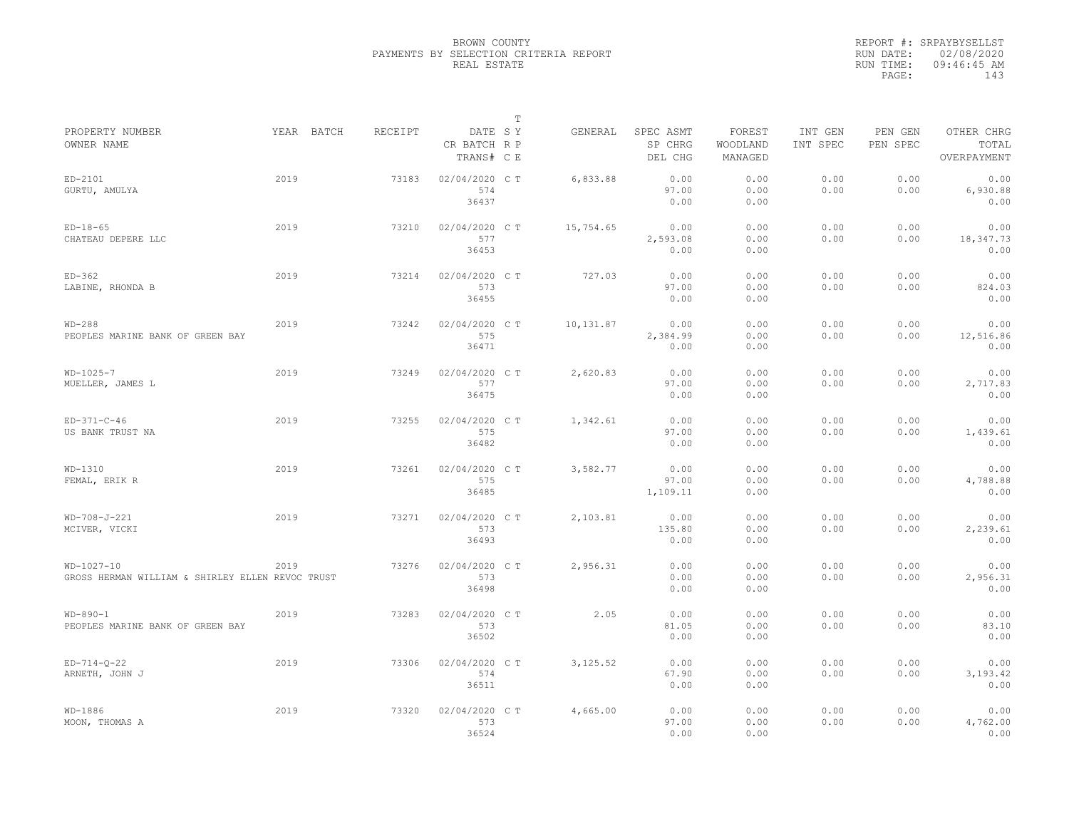|                                                                  |            |         |                                       | $\mathbb T$ |           |                                 |                               |                     |                     |                                    |
|------------------------------------------------------------------|------------|---------|---------------------------------------|-------------|-----------|---------------------------------|-------------------------------|---------------------|---------------------|------------------------------------|
| PROPERTY NUMBER<br>OWNER NAME                                    | YEAR BATCH | RECEIPT | DATE SY<br>CR BATCH R P<br>TRANS# C E |             | GENERAL   | SPEC ASMT<br>SP CHRG<br>DEL CHG | FOREST<br>WOODLAND<br>MANAGED | INT GEN<br>INT SPEC | PEN GEN<br>PEN SPEC | OTHER CHRG<br>TOTAL<br>OVERPAYMENT |
| ED-2101<br>GURTU, AMULYA                                         | 2019       | 73183   | 02/04/2020 C T<br>574<br>36437        |             | 6,833.88  | 0.00<br>97.00<br>0.00           | 0.00<br>0.00<br>0.00          | 0.00<br>0.00        | 0.00<br>0.00        | 0.00<br>6,930.88<br>0.00           |
| $ED-18-65$<br>CHATEAU DEPERE LLC                                 | 2019       | 73210   | 02/04/2020 C T<br>577<br>36453        |             | 15,754.65 | 0.00<br>2,593.08<br>0.00        | 0.00<br>0.00<br>0.00          | 0.00<br>0.00        | 0.00<br>0.00        | 0.00<br>18,347.73<br>0.00          |
| $ED-362$<br>LABINE, RHONDA B                                     | 2019       | 73214   | 02/04/2020 C T<br>573<br>36455        |             | 727.03    | 0.00<br>97.00<br>0.00           | 0.00<br>0.00<br>0.00          | 0.00<br>0.00        | 0.00<br>0.00        | 0.00<br>824.03<br>0.00             |
| $WD-288$<br>PEOPLES MARINE BANK OF GREEN BAY                     | 2019       | 73242   | 02/04/2020 C T<br>575<br>36471        |             | 10,131.87 | 0.00<br>2,384.99<br>0.00        | 0.00<br>0.00<br>0.00          | 0.00<br>0.00        | 0.00<br>0.00        | 0.00<br>12,516.86<br>0.00          |
| $WD-1025-7$<br>MUELLER, JAMES L                                  | 2019       | 73249   | 02/04/2020 C T<br>577<br>36475        |             | 2,620.83  | 0.00<br>97.00<br>0.00           | 0.00<br>0.00<br>0.00          | 0.00<br>0.00        | 0.00<br>0.00        | 0.00<br>2,717.83<br>0.00           |
| $ED-371-C-46$<br>US BANK TRUST NA                                | 2019       | 73255   | 02/04/2020 C T<br>575<br>36482        |             | 1,342.61  | 0.00<br>97.00<br>0.00           | 0.00<br>0.00<br>0.00          | 0.00<br>0.00        | 0.00<br>0.00        | 0.00<br>1,439.61<br>0.00           |
| $WD-1310$<br>FEMAL, ERIK R                                       | 2019       | 73261   | 02/04/2020 C T<br>575<br>36485        |             | 3.582.77  | 0.00<br>97.00<br>1,109.11       | 0.00<br>0.00<br>0.00          | 0.00<br>0.00        | 0.00<br>0.00        | 0.00<br>4,788.88<br>0.00           |
| WD-708-J-221<br>MCIVER, VICKI                                    | 2019       | 73271   | 02/04/2020 C T<br>573<br>36493        |             | 2,103.81  | 0.00<br>135.80<br>0.00          | 0.00<br>0.00<br>0.00          | 0.00<br>0.00        | 0.00<br>0.00        | 0.00<br>2,239.61<br>0.00           |
| $WD-1027-10$<br>GROSS HERMAN WILLIAM & SHIRLEY ELLEN REVOC TRUST | 2019       | 73276   | 02/04/2020 C T<br>573<br>36498        |             | 2,956.31  | 0.00<br>0.00<br>0.00            | 0.00<br>0.00<br>0.00          | 0.00<br>0.00        | 0.00<br>0.00        | 0.00<br>2,956.31<br>0.00           |
| $WD-890-1$<br>PEOPLES MARINE BANK OF GREEN BAY                   | 2019       | 73283   | 02/04/2020 C T<br>573<br>36502        |             | 2.05      | 0.00<br>81.05<br>0.00           | 0.00<br>0.00<br>0.00          | 0.00<br>0.00        | 0.00<br>0.00        | 0.00<br>83.10<br>0.00              |
| $ED-714-0-22$<br>ARNETH, JOHN J                                  | 2019       | 73306   | 02/04/2020 C T<br>574<br>36511        |             | 3, 125.52 | 0.00<br>67.90<br>0.00           | 0.00<br>0.00<br>0.00          | 0.00<br>0.00        | 0.00<br>0.00        | 0.00<br>3,193.42<br>0.00           |
| $WD-1886$<br>MOON, THOMAS A                                      | 2019       | 73320   | 02/04/2020 C T<br>573<br>36524        |             | 4,665.00  | 0.00<br>97.00<br>0.00           | 0.00<br>0.00<br>0.00          | 0.00<br>0.00        | 0.00<br>0.00        | 0.00<br>4,762.00<br>0.00           |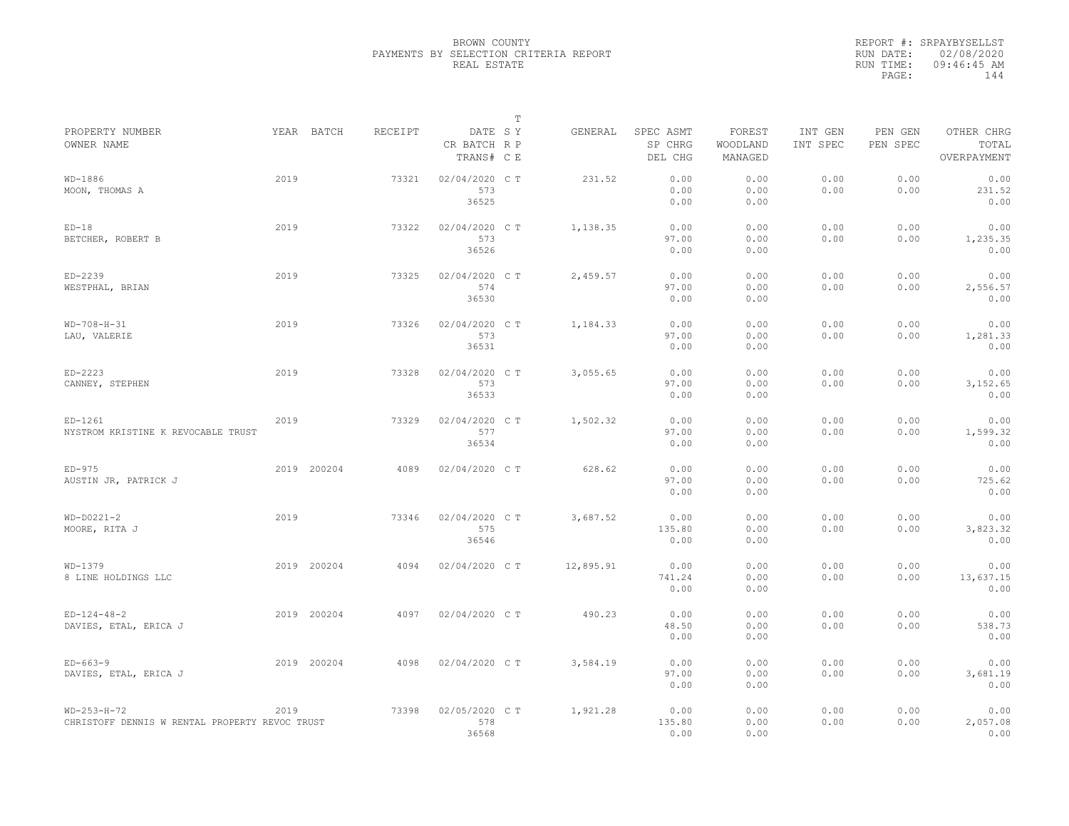|                                                                       |      |             |         |                                       | $\mathbb T$ |           |                                 |                               |                     |                     |                                    |
|-----------------------------------------------------------------------|------|-------------|---------|---------------------------------------|-------------|-----------|---------------------------------|-------------------------------|---------------------|---------------------|------------------------------------|
| PROPERTY NUMBER<br>OWNER NAME                                         |      | YEAR BATCH  | RECEIPT | DATE SY<br>CR BATCH R P<br>TRANS# C E |             | GENERAL   | SPEC ASMT<br>SP CHRG<br>DEL CHG | FOREST<br>WOODLAND<br>MANAGED | INT GEN<br>INT SPEC | PEN GEN<br>PEN SPEC | OTHER CHRG<br>TOTAL<br>OVERPAYMENT |
| WD-1886<br>MOON, THOMAS A                                             | 2019 |             | 73321   | 02/04/2020 CT<br>573<br>36525         |             | 231.52    | 0.00<br>0.00<br>0.00            | 0.00<br>0.00<br>0.00          | 0.00<br>0.00        | 0.00<br>0.00        | 0.00<br>231.52<br>0.00             |
| $ED-18$<br>BETCHER, ROBERT B                                          | 2019 |             | 73322   | 02/04/2020 C T<br>573<br>36526        |             | 1,138.35  | 0.00<br>97.00<br>0.00           | 0.00<br>0.00<br>0.00          | 0.00<br>0.00        | 0.00<br>0.00        | 0.00<br>1,235.35<br>0.00           |
| ED-2239<br>WESTPHAL, BRIAN                                            | 2019 |             | 73325   | 02/04/2020 C T<br>574<br>36530        |             | 2,459.57  | 0.00<br>97.00<br>0.00           | 0.00<br>0.00<br>0.00          | 0.00<br>0.00        | 0.00<br>0.00        | 0.00<br>2,556.57<br>0.00           |
| $WD-708-H-31$<br>LAU, VALERIE                                         | 2019 |             | 73326   | 02/04/2020 C T<br>573<br>36531        |             | 1,184.33  | 0.00<br>97.00<br>0.00           | 0.00<br>0.00<br>0.00          | 0.00<br>0.00        | 0.00<br>0.00        | 0.00<br>1,281.33<br>0.00           |
| $ED-2223$<br>CANNEY, STEPHEN                                          | 2019 |             | 73328   | 02/04/2020 C T<br>573<br>36533        |             | 3,055.65  | 0.00<br>97.00<br>0.00           | 0.00<br>0.00<br>0.00          | 0.00<br>0.00        | 0.00<br>0.00        | 0.00<br>3, 152.65<br>0.00          |
| ED-1261<br>NYSTROM KRISTINE K REVOCABLE TRUST                         | 2019 |             | 73329   | 02/04/2020 C T<br>577<br>36534        |             | 1,502.32  | 0.00<br>97.00<br>0.00           | 0.00<br>0.00<br>0.00          | 0.00<br>0.00        | 0.00<br>0.00        | 0.00<br>1,599.32<br>0.00           |
| $ED-975$<br>AUSTIN JR, PATRICK J                                      |      | 2019 200204 | 4089    | 02/04/2020 C T                        |             | 628.62    | 0.00<br>97.00<br>0.00           | 0.00<br>0.00<br>0.00          | 0.00<br>0.00        | 0.00<br>0.00        | 0.00<br>725.62<br>0.00             |
| $WD-D0221-2$<br>MOORE, RITA J                                         | 2019 |             | 73346   | 02/04/2020 C T<br>575<br>36546        |             | 3,687.52  | 0.00<br>135.80<br>0.00          | 0.00<br>0.00<br>0.00          | 0.00<br>0.00        | 0.00<br>0.00        | 0.00<br>3,823.32<br>0.00           |
| WD-1379<br>8 LINE HOLDINGS LLC                                        |      | 2019 200204 | 4094    | 02/04/2020 C T                        |             | 12,895.91 | 0.00<br>741.24<br>0.00          | 0.00<br>0.00<br>0.00          | 0.00<br>0.00        | 0.00<br>0.00        | 0.00<br>13,637.15<br>0.00          |
| $ED-124-48-2$<br>DAVIES, ETAL, ERICA J                                |      | 2019 200204 | 4097    | 02/04/2020 CT                         |             | 490.23    | 0.00<br>48.50<br>0.00           | 0.00<br>0.00<br>0.00          | 0.00<br>0.00        | 0.00<br>0.00        | 0.00<br>538.73<br>0.00             |
| $ED-663-9$<br>DAVIES, ETAL, ERICA J                                   |      | 2019 200204 | 4098    | 02/04/2020 C T                        |             | 3,584.19  | 0.00<br>97.00<br>0.00           | 0.00<br>0.00<br>0.00          | 0.00<br>0.00        | 0.00<br>0.00        | 0.00<br>3,681.19<br>0.00           |
| $WD - 253 - H - 72$<br>CHRISTOFF DENNIS W RENTAL PROPERTY REVOC TRUST | 2019 |             | 73398   | 02/05/2020 CT<br>578<br>36568         |             | 1,921.28  | 0.00<br>135.80<br>0.00          | 0.00<br>0.00<br>0.00          | 0.00<br>0.00        | 0.00<br>0.00        | 0.00<br>2,057.08<br>0.00           |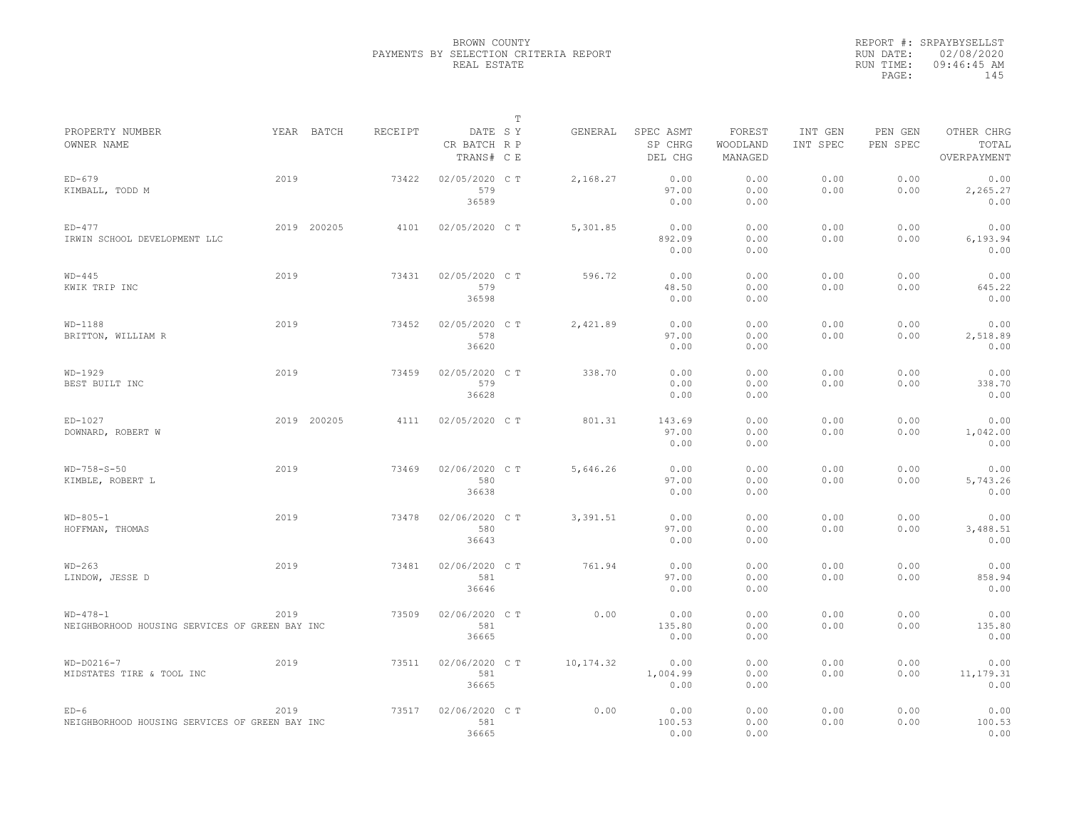## BROWN COUNTY PAYMENTS BY SELECTION CRITERIA REPORT REAL ESTATE

|                                                              |      |             |         |                                       | $\mathbb T$ |           |                                 |                               |                     |                     |                                    |
|--------------------------------------------------------------|------|-------------|---------|---------------------------------------|-------------|-----------|---------------------------------|-------------------------------|---------------------|---------------------|------------------------------------|
| PROPERTY NUMBER<br>OWNER NAME                                |      | YEAR BATCH  | RECEIPT | DATE SY<br>CR BATCH R P<br>TRANS# C E |             | GENERAL   | SPEC ASMT<br>SP CHRG<br>DEL CHG | FOREST<br>WOODLAND<br>MANAGED | INT GEN<br>INT SPEC | PEN GEN<br>PEN SPEC | OTHER CHRG<br>TOTAL<br>OVERPAYMENT |
| $ED-679$<br>KIMBALL, TODD M                                  | 2019 |             | 73422   | 02/05/2020 CT<br>579<br>36589         |             | 2,168.27  | 0.00<br>97.00<br>0.00           | 0.00<br>0.00<br>0.00          | 0.00<br>0.00        | 0.00<br>0.00        | 0.00<br>2,265.27<br>0.00           |
| $ED-477$<br>IRWIN SCHOOL DEVELOPMENT LLC                     |      | 2019 200205 | 4101    | 02/05/2020 C T                        |             | 5,301.85  | 0.00<br>892.09<br>0.00          | 0.00<br>0.00<br>0.00          | 0.00<br>0.00        | 0.00<br>0.00        | 0.00<br>6,193.94<br>0.00           |
| $WD-445$<br>KWIK TRIP INC                                    | 2019 |             | 73431   | 02/05/2020 CT<br>579<br>36598         |             | 596.72    | 0.00<br>48.50<br>0.00           | 0.00<br>0.00<br>0.00          | 0.00<br>0.00        | 0.00<br>0.00        | 0.00<br>645.22<br>0.00             |
| $WD-1188$<br>BRITTON, WILLIAM R                              | 2019 |             | 73452   | 02/05/2020 CT<br>578<br>36620         |             | 2,421.89  | 0.00<br>97.00<br>0.00           | 0.00<br>0.00<br>0.00          | 0.00<br>0.00        | 0.00<br>0.00        | 0.00<br>2,518.89<br>0.00           |
| $WD-1929$<br>BEST BUILT INC                                  | 2019 |             | 73459   | 02/05/2020 C T<br>579<br>36628        |             | 338.70    | 0.00<br>0.00<br>0.00            | 0.00<br>0.00<br>0.00          | 0.00<br>0.00        | 0.00<br>0.00        | 0.00<br>338.70<br>0.00             |
| ED-1027<br>DOWNARD, ROBERT W                                 |      | 2019 200205 | 4111    | 02/05/2020 CT                         |             | 801.31    | 143.69<br>97.00<br>0.00         | 0.00<br>0.00<br>0.00          | 0.00<br>0.00        | 0.00<br>0.00        | 0.00<br>1,042.00<br>0.00           |
| $WD-758-S-50$<br>KIMBLE, ROBERT L                            | 2019 |             | 73469   | 02/06/2020 C T<br>580<br>36638        |             | 5,646.26  | 0.00<br>97.00<br>0.00           | 0.00<br>0.00<br>0.00          | 0.00<br>0.00        | 0.00<br>0.00        | 0.00<br>5,743.26<br>0.00           |
| $WD - 805 - 1$<br>HOFFMAN, THOMAS                            | 2019 |             | 73478   | 02/06/2020 C T<br>580<br>36643        |             | 3,391.51  | 0.00<br>97.00<br>0.00           | 0.00<br>0.00<br>0.00          | 0.00<br>0.00        | 0.00<br>0.00        | 0.00<br>3,488.51<br>0.00           |
| $WD-263$<br>LINDOW, JESSE D                                  | 2019 |             | 73481   | 02/06/2020 C T<br>581<br>36646        |             | 761.94    | 0.00<br>97.00<br>0.00           | 0.00<br>0.00<br>0.00          | 0.00<br>0.00        | 0.00<br>0.00        | 0.00<br>858.94<br>0.00             |
| $WD-478-1$<br>NEIGHBORHOOD HOUSING SERVICES OF GREEN BAY INC | 2019 |             | 73509   | 02/06/2020 CT<br>581<br>36665         |             | 0.00      | 0.00<br>135.80<br>0.00          | 0.00<br>0.00<br>0.00          | 0.00<br>0.00        | 0.00<br>0.00        | 0.00<br>135.80<br>0.00             |
| $WD-DO216-7$<br>MIDSTATES TIRE & TOOL INC                    | 2019 |             | 73511   | 02/06/2020 C T<br>581<br>36665        |             | 10,174.32 | 0.00<br>1,004.99<br>0.00        | 0.00<br>0.00<br>0.00          | 0.00<br>0.00        | 0.00<br>0.00        | 0.00<br>11, 179.31<br>0.00         |
| $ED-6$<br>NEIGHBORHOOD HOUSING SERVICES OF GREEN BAY INC     | 2019 |             | 73517   | 02/06/2020 CT<br>581<br>36665         |             | 0.00      | 0.00<br>100.53<br>0.00          | 0.00<br>0.00<br>0.00          | 0.00<br>0.00        | 0.00<br>0.00        | 0.00<br>100.53<br>0.00             |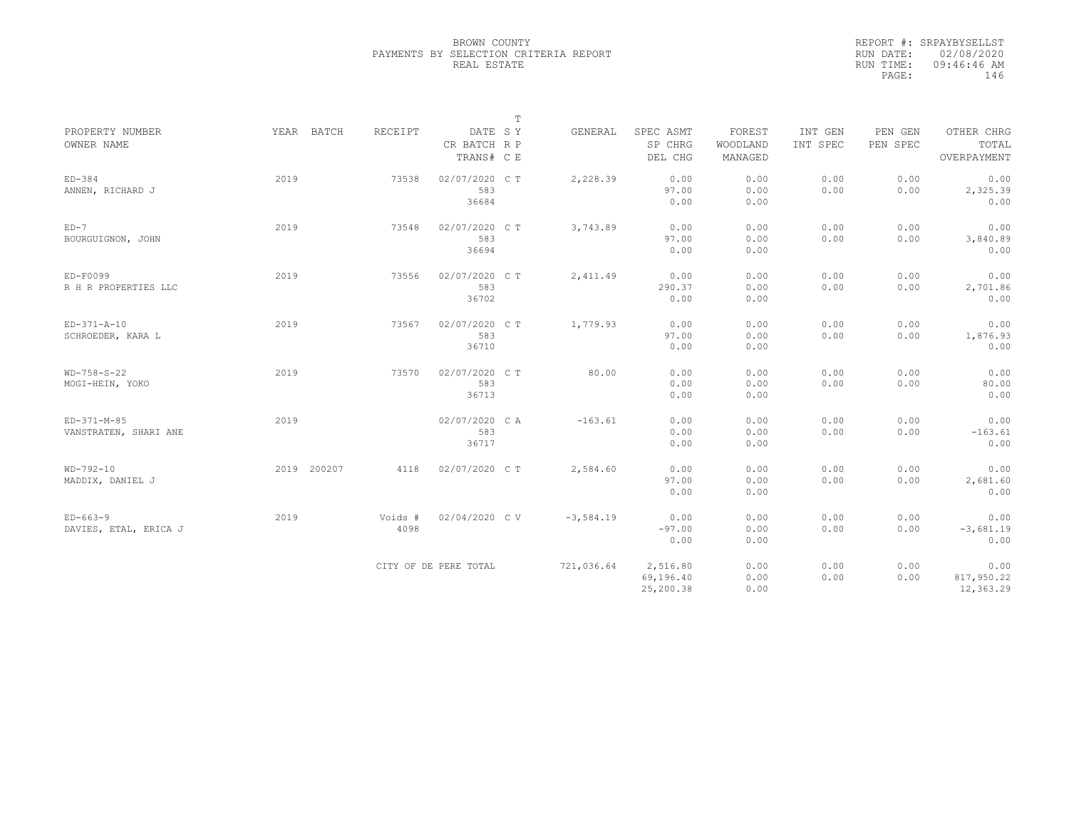## BROWN COUNTY PAYMENTS BY SELECTION CRITERIA REPORT REAL ESTATE

|                                      |             |                 |                                       | $\mathbb T$ |                                    |                               |                     |                     |                                    |
|--------------------------------------|-------------|-----------------|---------------------------------------|-------------|------------------------------------|-------------------------------|---------------------|---------------------|------------------------------------|
| PROPERTY NUMBER<br>OWNER NAME        | YEAR BATCH  | RECEIPT         | DATE SY<br>CR BATCH R P<br>TRANS# C E | GENERAL     | SPEC ASMT<br>SP CHRG<br>DEL CHG    | FOREST<br>WOODLAND<br>MANAGED | INT GEN<br>INT SPEC | PEN GEN<br>PEN SPEC | OTHER CHRG<br>TOTAL<br>OVERPAYMENT |
| $ED-384$<br>ANNEN, RICHARD J         | 2019        | 73538           | 02/07/2020 CT<br>583<br>36684         | 2,228.39    | 0.00<br>97.00<br>0.00              | 0.00<br>0.00<br>0.00          | 0.00<br>0.00        | 0.00<br>0.00        | 0.00<br>2,325.39<br>0.00           |
| $ED-7$<br>BOURGUIGNON, JOHN          | 2019        | 73548           | 02/07/2020 C T<br>583<br>36694        | 3,743.89    | 0.00<br>97.00<br>0.00              | 0.00<br>0.00<br>0.00          | 0.00<br>0.00        | 0.00<br>0.00        | 0.00<br>3,840.89<br>0.00           |
| ED-F0099<br>R H R PROPERTIES LLC     | 2019        | 73556           | 02/07/2020 C T<br>583<br>36702        | 2,411.49    | 0.00<br>290.37<br>0.00             | 0.00<br>0.00<br>0.00          | 0.00<br>0.00        | 0.00<br>0.00        | 0.00<br>2,701.86<br>0.00           |
| $ED-371 - A-10$<br>SCHROEDER, KARA L | 2019        | 73567           | 02/07/2020 CT<br>583<br>36710         | 1,779.93    | 0.00<br>97.00<br>0.00              | 0.00<br>0.00<br>0.00          | 0.00<br>0.00        | 0.00<br>0.00        | 0.00<br>1,876.93<br>0.00           |
| $WD-758-S-22$<br>MOGI-HEIN, YOKO     | 2019        | 73570           | 02/07/2020 CT<br>583<br>36713         | 80.00       | 0.00<br>0.00<br>0.00               | 0.00<br>0.00<br>0.00          | 0.00<br>0.00        | 0.00<br>0.00        | 0.00<br>80.00<br>0.00              |
| ED-371-M-85<br>VANSTRATEN, SHARI ANE | 2019        |                 | 02/07/2020 CA<br>583<br>36717         | $-163.61$   | 0.00<br>0.00<br>0.00               | 0.00<br>0.00<br>0.00          | 0.00<br>0.00        | 0.00<br>0.00        | 0.00<br>$-163.61$<br>0.00          |
| $WD-792-10$<br>MADDIX, DANIEL J      | 2019 200207 | 4118            | 02/07/2020 C T                        | 2,584.60    | 0.00<br>97.00<br>0.00              | 0.00<br>0.00<br>0.00          | 0.00<br>0.00        | 0.00<br>0.00        | 0.00<br>2,681.60<br>0.00           |
| $ED-663-9$<br>DAVIES, ETAL, ERICA J  | 2019        | Voids #<br>4098 | 02/04/2020 CV                         | $-3,584.19$ | 0.00<br>$-97.00$<br>0.00           | 0.00<br>0.00<br>0.00          | 0.00<br>0.00        | 0.00<br>0.00        | 0.00<br>$-3,681.19$<br>0.00        |
|                                      |             |                 | CITY OF DE PERE TOTAL                 | 721,036.64  | 2,516.80<br>69,196.40<br>25,200.38 | 0.00<br>0.00<br>0.00          | 0.00<br>0.00        | 0.00<br>0.00        | 0.00<br>817,950.22<br>12,363.29    |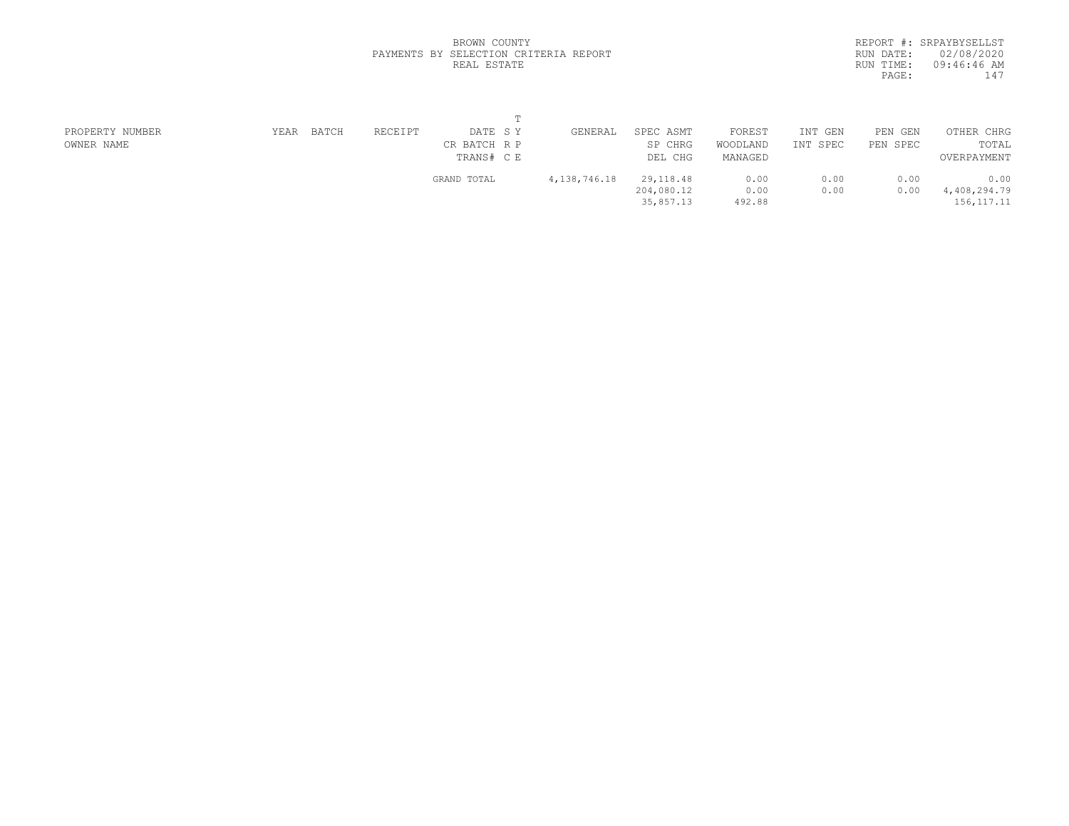|           | REPORT #: SRPAYBYSELLST |
|-----------|-------------------------|
| RUN DATE: | 02/08/2020              |
| RUN TIME: | $09:46:46$ AM           |
| PAGE:     | 147                     |
|           |                         |

### BROWN COUNTY PAYMENTS BY SELECTION CRITERIA REPORT REAL ESTATE

| PROPERTY NUMBER | YEAR | BATCH | RECEIPT | DATE SY      | GENERAL         | SPEC ASMT  | FOREST   | INT GEN  | PEN GEN  | OTHER CHRG   |  |
|-----------------|------|-------|---------|--------------|-----------------|------------|----------|----------|----------|--------------|--|
| OWNER NAME      |      |       |         | CR BATCH R P |                 | SP CHRG    | WOODLAND | INT SPEC | PEN SPEC | TOTAL        |  |
|                 |      |       |         | TRANS# C E   |                 | DEL CHG    | MANAGED  |          |          | OVERPAYMENT  |  |
|                 |      |       |         | GRAND TOTAL  | 4, 138, 746. 18 | 29, 118.48 | 0.00     | 0.00     | 0.00     | 0.00         |  |
|                 |      |       |         |              |                 | 204,080.12 | 0.00     | 0.00     | 0.00     | 4,408,294.79 |  |
|                 |      |       |         |              |                 | 35,857.13  | 492.88   |          |          | 156, 117. 11 |  |